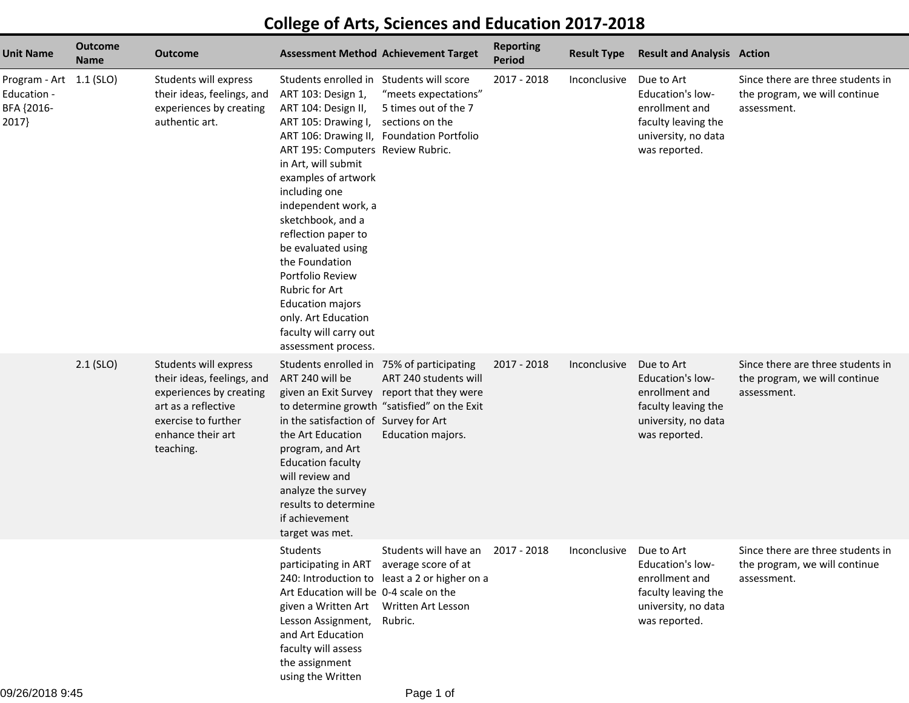## **College of Arts, Sciences and Education 2017-2018**

| <b>Unit Name</b>                                              | <b>Outcome</b><br><b>Name</b> | <b>Outcome</b>                                                                                                                                                 | <b>Assessment Method Achievement Target</b>                                                                                                                                                                                                                                                                                                                                                                                                                                                                       |                                                                                                                    | <b>Reporting</b><br><b>Period</b> | <b>Result Type</b> | <b>Result and Analysis Action</b>                                                                               |                                                                                   |
|---------------------------------------------------------------|-------------------------------|----------------------------------------------------------------------------------------------------------------------------------------------------------------|-------------------------------------------------------------------------------------------------------------------------------------------------------------------------------------------------------------------------------------------------------------------------------------------------------------------------------------------------------------------------------------------------------------------------------------------------------------------------------------------------------------------|--------------------------------------------------------------------------------------------------------------------|-----------------------------------|--------------------|-----------------------------------------------------------------------------------------------------------------|-----------------------------------------------------------------------------------|
| Program - Art 1.1 (SLO)<br>Education -<br>BFA {2016-<br>2017} |                               | Students will express<br>their ideas, feelings, and<br>experiences by creating<br>authentic art.                                                               | Students enrolled in Students will score<br>ART 103: Design 1,<br>ART 104: Design II,<br>ART 105: Drawing I,<br>ART 106: Drawing II, Foundation Portfolio<br>ART 195: Computers Review Rubric.<br>in Art, will submit<br>examples of artwork<br>including one<br>independent work, a<br>sketchbook, and a<br>reflection paper to<br>be evaluated using<br>the Foundation<br>Portfolio Review<br>Rubric for Art<br><b>Education majors</b><br>only. Art Education<br>faculty will carry out<br>assessment process. | "meets expectations"<br>5 times out of the 7<br>sections on the                                                    | 2017 - 2018                       | Inconclusive       | Due to Art<br>Education's low-<br>enrollment and<br>faculty leaving the<br>university, no data<br>was reported. | Since there are three students in<br>the program, we will continue<br>assessment. |
|                                                               | $2.1$ (SLO)                   | Students will express<br>their ideas, feelings, and<br>experiences by creating<br>art as a reflective<br>exercise to further<br>enhance their art<br>teaching. | Students enrolled in 75% of participating<br>ART 240 will be<br>given an Exit Survey<br>in the satisfaction of Survey for Art<br>the Art Education<br>program, and Art<br><b>Education faculty</b><br>will review and<br>analyze the survey<br>results to determine<br>if achievement<br>target was met.                                                                                                                                                                                                          | ART 240 students will<br>report that they were<br>to determine growth "satisfied" on the Exit<br>Education majors. | 2017 - 2018                       | Inconclusive       | Due to Art<br>Education's low-<br>enrollment and<br>faculty leaving the<br>university, no data<br>was reported. | Since there are three students in<br>the program, we will continue<br>assessment. |
|                                                               |                               |                                                                                                                                                                | Students<br>participating in ART average score of at<br>Art Education will be 0-4 scale on the<br>given a Written Art Written Art Lesson<br>Lesson Assignment,<br>and Art Education<br>faculty will assess<br>the assignment<br>using the Written                                                                                                                                                                                                                                                                 | Students will have an<br>240: Introduction to least a 2 or higher on a<br>Rubric.                                  | 2017 - 2018                       | Inconclusive       | Due to Art<br>Education's low-<br>enrollment and<br>faculty leaving the<br>university, no data<br>was reported. | Since there are three students in<br>the program, we will continue<br>assessment. |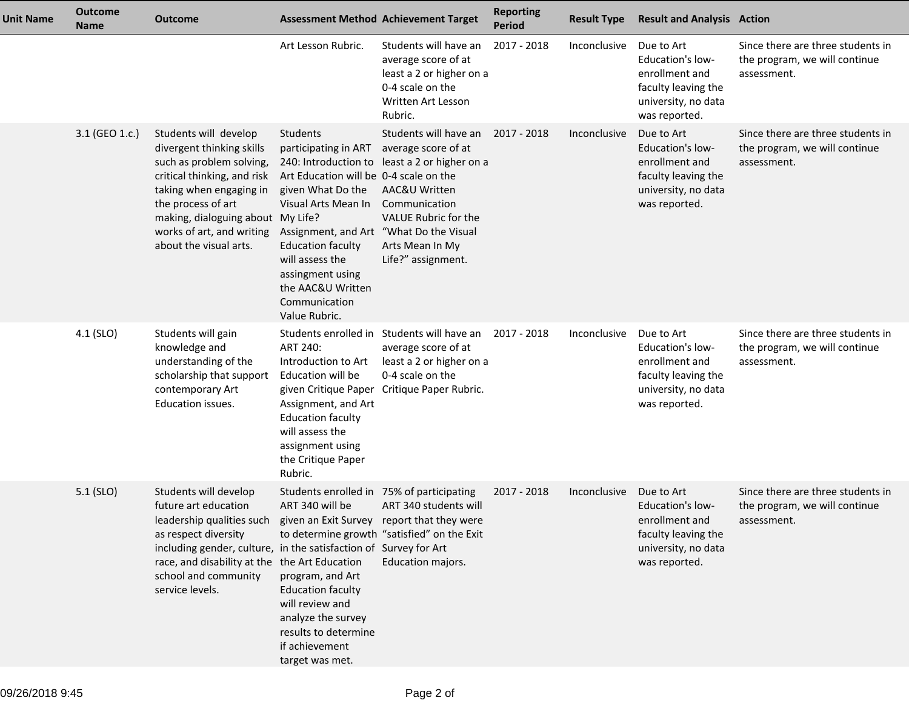| <b>Unit Name</b> | <b>Outcome</b><br><b>Name</b> | <b>Outcome</b>                                                                                                                                                                                                                                                                                                |                                                                                                                                                                                                                                                                                             | <b>Assessment Method Achievement Target</b>                                                                                                                                                                  | <b>Reporting</b><br><b>Period</b> | <b>Result Type</b> | <b>Result and Analysis Action</b>                                                                                      |                                                                                   |
|------------------|-------------------------------|---------------------------------------------------------------------------------------------------------------------------------------------------------------------------------------------------------------------------------------------------------------------------------------------------------------|---------------------------------------------------------------------------------------------------------------------------------------------------------------------------------------------------------------------------------------------------------------------------------------------|--------------------------------------------------------------------------------------------------------------------------------------------------------------------------------------------------------------|-----------------------------------|--------------------|------------------------------------------------------------------------------------------------------------------------|-----------------------------------------------------------------------------------|
|                  |                               |                                                                                                                                                                                                                                                                                                               | Art Lesson Rubric.                                                                                                                                                                                                                                                                          | Students will have an<br>average score of at<br>least a 2 or higher on a<br>0-4 scale on the<br>Written Art Lesson<br>Rubric.                                                                                | 2017 - 2018                       | Inconclusive       | Due to Art<br><b>Education's low-</b><br>enrollment and<br>faculty leaving the<br>university, no data<br>was reported. | Since there are three students in<br>the program, we will continue<br>assessment. |
|                  | 3.1 (GEO 1.c.)                | Students will develop<br>divergent thinking skills<br>such as problem solving,<br>critical thinking, and risk<br>taking when engaging in<br>the process of art<br>making, dialoguing about My Life?<br>works of art, and writing<br>about the visual arts.                                                    | Students<br>participating in ART<br>Art Education will be 0-4 scale on the<br>given What Do the<br>Visual Arts Mean In<br>Assignment, and Art "What Do the Visual<br><b>Education faculty</b><br>will assess the<br>assingment using<br>the AAC&U Written<br>Communication<br>Value Rubric. | Students will have an 2017 - 2018<br>average score of at<br>240: Introduction to least a 2 or higher on a<br>AAC&U Written<br>Communication<br>VALUE Rubric for the<br>Arts Mean In My<br>Life?" assignment. |                                   | Inconclusive       | Due to Art<br><b>Education's low-</b><br>enrollment and<br>faculty leaving the<br>university, no data<br>was reported. | Since there are three students in<br>the program, we will continue<br>assessment. |
|                  | 4.1 (SLO)                     | Students will gain<br>knowledge and<br>understanding of the<br>scholarship that support<br>contemporary Art<br>Education issues.                                                                                                                                                                              | ART 240:<br>Introduction to Art<br>Education will be<br>given Critique Paper<br>Assignment, and Art<br><b>Education faculty</b><br>will assess the<br>assignment using<br>the Critique Paper<br>Rubric.                                                                                     | Students enrolled in Students will have an<br>average score of at<br>least a 2 or higher on a<br>0-4 scale on the<br>Critique Paper Rubric.                                                                  | 2017 - 2018                       | Inconclusive       | Due to Art<br><b>Education's low-</b><br>enrollment and<br>faculty leaving the<br>university, no data<br>was reported. | Since there are three students in<br>the program, we will continue<br>assessment. |
|                  | $5.1$ (SLO)                   | Students will develop<br>future art education<br>leadership qualities such given an Exit Survey report that they were<br>as respect diversity<br>including gender, culture, in the satisfaction of Survey for Art<br>race, and disability at the the Art Education<br>school and community<br>service levels. | Students enrolled in 75% of participating<br>ART 340 will be<br>program, and Art<br><b>Education faculty</b><br>will review and<br>analyze the survey<br>results to determine<br>if achievement<br>target was met.                                                                          | ART 340 students will<br>to determine growth "satisfied" on the Exit<br>Education majors.                                                                                                                    | 2017 - 2018                       | Inconclusive       | Due to Art<br><b>Education's low-</b><br>enrollment and<br>faculty leaving the<br>university, no data<br>was reported. | Since there are three students in<br>the program, we will continue<br>assessment. |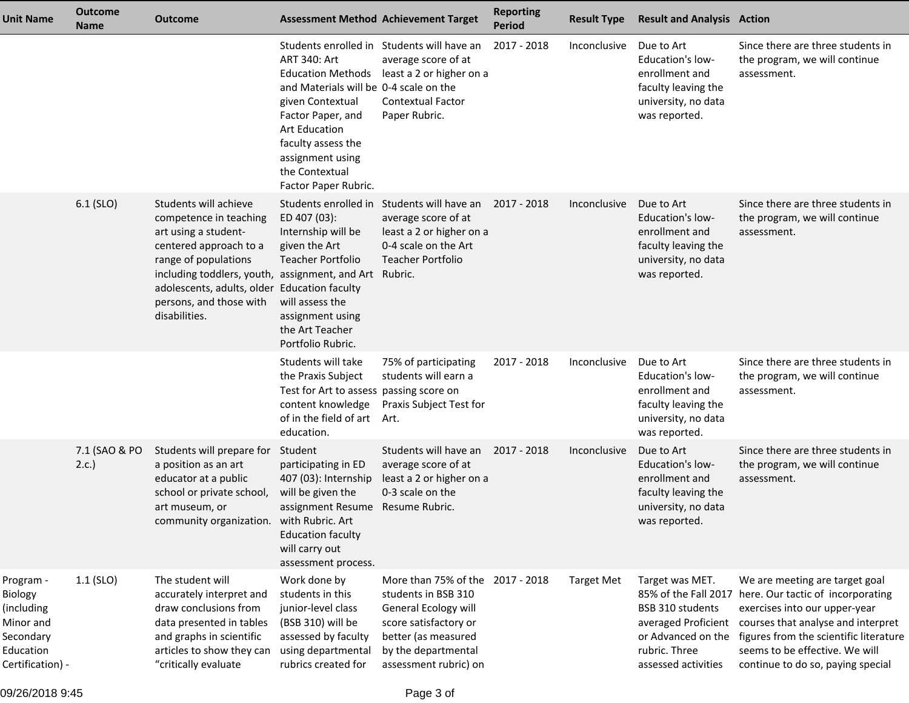| <b>Unit Name</b>                                                                              | <b>Outcome</b><br><b>Name</b> | <b>Outcome</b>                                                                                                                                                                                                                                                                  |                                                                                                                                                                                                                                         | <b>Assessment Method Achievement Target</b>                                                                                                                                     | <b>Reporting</b><br><b>Period</b> | <b>Result Type</b> | <b>Result and Analysis Action</b>                                                                                      |                                                                                                                                                                                                                                                                                                      |
|-----------------------------------------------------------------------------------------------|-------------------------------|---------------------------------------------------------------------------------------------------------------------------------------------------------------------------------------------------------------------------------------------------------------------------------|-----------------------------------------------------------------------------------------------------------------------------------------------------------------------------------------------------------------------------------------|---------------------------------------------------------------------------------------------------------------------------------------------------------------------------------|-----------------------------------|--------------------|------------------------------------------------------------------------------------------------------------------------|------------------------------------------------------------------------------------------------------------------------------------------------------------------------------------------------------------------------------------------------------------------------------------------------------|
|                                                                                               |                               |                                                                                                                                                                                                                                                                                 | ART 340: Art<br><b>Education Methods</b><br>and Materials will be 0-4 scale on the<br>given Contextual<br>Factor Paper, and<br><b>Art Education</b><br>faculty assess the<br>assignment using<br>the Contextual<br>Factor Paper Rubric. | Students enrolled in Students will have an<br>average score of at<br>least a 2 or higher on a<br><b>Contextual Factor</b><br>Paper Rubric.                                      | 2017 - 2018                       | Inconclusive       | Due to Art<br><b>Education's low-</b><br>enrollment and<br>faculty leaving the<br>university, no data<br>was reported. | Since there are three students in<br>the program, we will continue<br>assessment.                                                                                                                                                                                                                    |
|                                                                                               | 6.1 (SLO)                     | Students will achieve<br>competence in teaching<br>art using a student-<br>centered approach to a<br>range of populations<br>including toddlers, youth, assignment, and Art Rubric.<br>adolescents, adults, older Education faculty<br>persons, and those with<br>disabilities. | Students enrolled in<br>ED 407 (03):<br>Internship will be<br>given the Art<br><b>Teacher Portfolio</b><br>will assess the<br>assignment using<br>the Art Teacher<br>Portfolio Rubric.                                                  | Students will have an<br>average score of at<br>least a 2 or higher on a<br>0-4 scale on the Art<br><b>Teacher Portfolio</b>                                                    | 2017 - 2018                       | Inconclusive       | Due to Art<br><b>Education's low-</b><br>enrollment and<br>faculty leaving the<br>university, no data<br>was reported. | Since there are three students in<br>the program, we will continue<br>assessment.                                                                                                                                                                                                                    |
|                                                                                               |                               |                                                                                                                                                                                                                                                                                 | Students will take<br>the Praxis Subject<br>Test for Art to assess passing score on<br>content knowledge<br>of in the field of art<br>education.                                                                                        | 75% of participating<br>students will earn a<br>Praxis Subject Test for<br>Art.                                                                                                 | 2017 - 2018                       | Inconclusive       | Due to Art<br><b>Education's low-</b><br>enrollment and<br>faculty leaving the<br>university, no data<br>was reported. | Since there are three students in<br>the program, we will continue<br>assessment.                                                                                                                                                                                                                    |
|                                                                                               | 7.1 (SAO & PO<br>2.c.         | Students will prepare for<br>a position as an art<br>educator at a public<br>school or private school,<br>art museum, or<br>community organization. with Rubric. Art                                                                                                            | Student<br>participating in ED<br>407 (03): Internship<br>will be given the<br>assignment Resume Resume Rubric.<br><b>Education faculty</b><br>will carry out<br>assessment process.                                                    | Students will have an<br>average score of at<br>least a 2 or higher on a<br>0-3 scale on the                                                                                    | 2017 - 2018                       | Inconclusive       | Due to Art<br>Education's low-<br>enrollment and<br>faculty leaving the<br>university, no data<br>was reported.        | Since there are three students in<br>the program, we will continue<br>assessment.                                                                                                                                                                                                                    |
| Program -<br>Biology<br>(including<br>Minor and<br>Secondary<br>Education<br>Certification) - | $1.1$ (SLO)                   | The student will<br>accurately interpret and<br>draw conclusions from<br>data presented in tables<br>and graphs in scientific<br>articles to show they can<br>"critically evaluate                                                                                              | Work done by<br>students in this<br>junior-level class<br>(BSB 310) will be<br>assessed by faculty<br>using departmental<br>rubrics created for                                                                                         | More than 75% of the 2017 - 2018<br>students in BSB 310<br>General Ecology will<br>score satisfactory or<br>better (as measured<br>by the departmental<br>assessment rubric) on |                                   | <b>Target Met</b>  | Target was MET.<br>BSB 310 students<br>or Advanced on the<br>rubric. Three<br>assessed activities                      | We are meeting are target goal<br>85% of the Fall 2017 here. Our tactic of incorporating<br>exercises into our upper-year<br>averaged Proficient courses that analyse and interpret<br>figures from the scientific literature<br>seems to be effective. We will<br>continue to do so, paying special |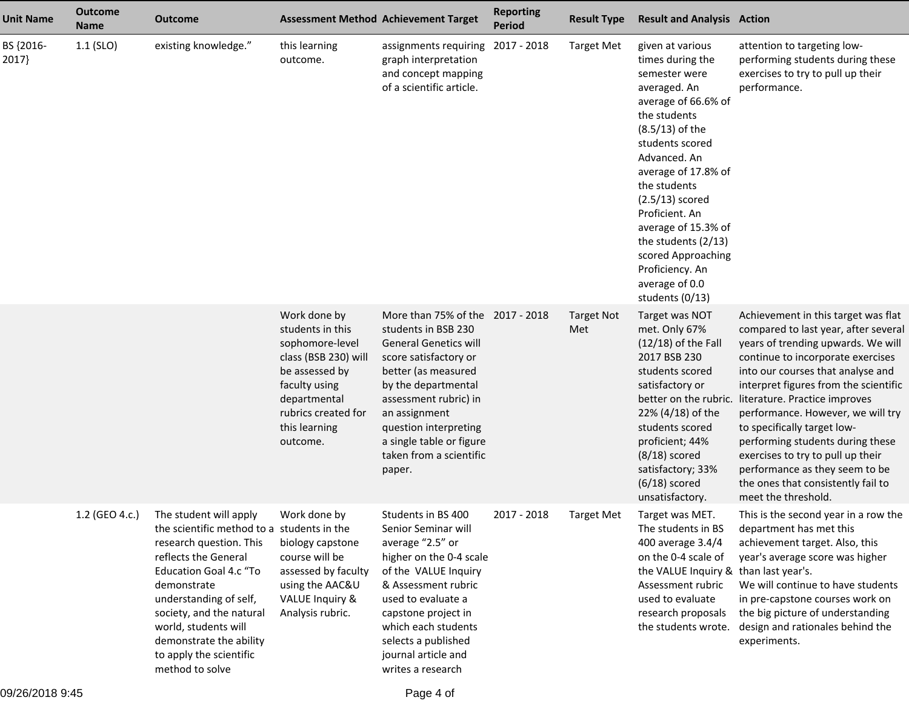| <b>Unit Name</b>  | <b>Outcome</b><br><b>Name</b> | <b>Outcome</b>                                                                                                                                                                                                                                                                                                                 |                                                                                                                                                                                    | <b>Assessment Method Achievement Target</b>                                                                                                                                                                                                                                                        | <b>Reporting</b><br><b>Period</b> | <b>Result Type</b>       | <b>Result and Analysis Action</b>                                                                                                                                                                                                                                                                                                                                              |                                                                                                                                                                                                                                                                                                                                                                                                                                                                                                                   |
|-------------------|-------------------------------|--------------------------------------------------------------------------------------------------------------------------------------------------------------------------------------------------------------------------------------------------------------------------------------------------------------------------------|------------------------------------------------------------------------------------------------------------------------------------------------------------------------------------|----------------------------------------------------------------------------------------------------------------------------------------------------------------------------------------------------------------------------------------------------------------------------------------------------|-----------------------------------|--------------------------|--------------------------------------------------------------------------------------------------------------------------------------------------------------------------------------------------------------------------------------------------------------------------------------------------------------------------------------------------------------------------------|-------------------------------------------------------------------------------------------------------------------------------------------------------------------------------------------------------------------------------------------------------------------------------------------------------------------------------------------------------------------------------------------------------------------------------------------------------------------------------------------------------------------|
| BS {2016-<br>2017 | $1.1$ (SLO)                   | existing knowledge."                                                                                                                                                                                                                                                                                                           | this learning<br>outcome.                                                                                                                                                          | assignments requiring<br>graph interpretation<br>and concept mapping<br>of a scientific article.                                                                                                                                                                                                   | 2017 - 2018                       | <b>Target Met</b>        | given at various<br>times during the<br>semester were<br>averaged. An<br>average of 66.6% of<br>the students<br>$(8.5/13)$ of the<br>students scored<br>Advanced. An<br>average of 17.8% of<br>the students<br>$(2.5/13)$ scored<br>Proficient. An<br>average of 15.3% of<br>the students (2/13)<br>scored Approaching<br>Proficiency. An<br>average of 0.0<br>students (0/13) | attention to targeting low-<br>performing students during these<br>exercises to try to pull up their<br>performance.                                                                                                                                                                                                                                                                                                                                                                                              |
|                   |                               |                                                                                                                                                                                                                                                                                                                                | Work done by<br>students in this<br>sophomore-level<br>class (BSB 230) will<br>be assessed by<br>faculty using<br>departmental<br>rubrics created for<br>this learning<br>outcome. | More than 75% of the 2017 - 2018<br>students in BSB 230<br><b>General Genetics will</b><br>score satisfactory or<br>better (as measured<br>by the departmental<br>assessment rubric) in<br>an assignment<br>question interpreting<br>a single table or figure<br>taken from a scientific<br>paper. |                                   | <b>Target Not</b><br>Met | Target was NOT<br>met. Only 67%<br>$(12/18)$ of the Fall<br>2017 BSB 230<br>students scored<br>satisfactory or<br>better on the rubric.<br>22% (4/18) of the<br>students scored<br>proficient; 44%<br>$(8/18)$ scored<br>satisfactory; 33%<br>$(6/18)$ scored<br>unsatisfactory.                                                                                               | Achievement in this target was flat<br>compared to last year, after several<br>years of trending upwards. We will<br>continue to incorporate exercises<br>into our courses that analyse and<br>interpret figures from the scientific<br>literature. Practice improves<br>performance. However, we will try<br>to specifically target low-<br>performing students during these<br>exercises to try to pull up their<br>performance as they seem to be<br>the ones that consistently fail to<br>meet the threshold. |
|                   | 1.2 (GEO 4.c.)                | The student will apply<br>the scientific method to a students in the<br>research question. This<br>reflects the General<br><b>Education Goal 4.c "To</b><br>demonstrate<br>understanding of self,<br>society, and the natural<br>world, students will<br>demonstrate the ability<br>to apply the scientific<br>method to solve | Work done by<br>biology capstone<br>course will be<br>assessed by faculty<br>using the AAC&U<br><b>VALUE Inquiry &amp;</b><br>Analysis rubric.                                     | Students in BS 400<br>Senior Seminar will<br>average "2.5" or<br>higher on the 0-4 scale<br>of the VALUE Inquiry<br>& Assessment rubric<br>used to evaluate a<br>capstone project in<br>which each students<br>selects a published<br>journal article and<br>writes a research                     | 2017 - 2018                       | <b>Target Met</b>        | Target was MET.<br>The students in BS<br>400 average 3.4/4<br>on the 0-4 scale of<br>the VALUE Inquiry & than last year's.<br>Assessment rubric<br>used to evaluate<br>research proposals<br>the students wrote.                                                                                                                                                               | This is the second year in a row the<br>department has met this<br>achievement target. Also, this<br>year's average score was higher<br>We will continue to have students<br>in pre-capstone courses work on<br>the big picture of understanding<br>design and rationales behind the<br>experiments.                                                                                                                                                                                                              |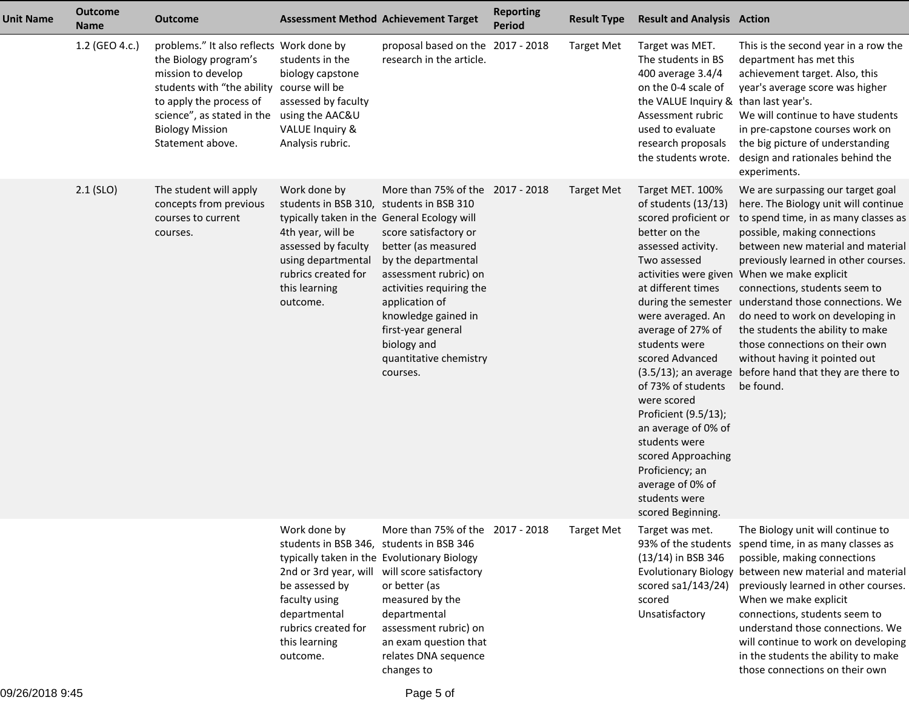| <b>Unit Name</b> | <b>Outcome</b><br><b>Name</b> | <b>Outcome</b>                                                                                                                                                                                                                              |                                                                                                                                                                                                                                         | <b>Assessment Method Achievement Target</b>                                                                                                                                                                                                                                      | <b>Reporting</b><br><b>Period</b> | <b>Result Type</b> | <b>Result and Analysis Action</b>                                                                                                                                                                                                                                                                                                                                                                                                  |                                                                                                                                                                                                                                                                                                                                                                                                                                                                                                                                                                                           |
|------------------|-------------------------------|---------------------------------------------------------------------------------------------------------------------------------------------------------------------------------------------------------------------------------------------|-----------------------------------------------------------------------------------------------------------------------------------------------------------------------------------------------------------------------------------------|----------------------------------------------------------------------------------------------------------------------------------------------------------------------------------------------------------------------------------------------------------------------------------|-----------------------------------|--------------------|------------------------------------------------------------------------------------------------------------------------------------------------------------------------------------------------------------------------------------------------------------------------------------------------------------------------------------------------------------------------------------------------------------------------------------|-------------------------------------------------------------------------------------------------------------------------------------------------------------------------------------------------------------------------------------------------------------------------------------------------------------------------------------------------------------------------------------------------------------------------------------------------------------------------------------------------------------------------------------------------------------------------------------------|
|                  | 1.2 (GEO 4.c.)                | problems." It also reflects Work done by<br>the Biology program's<br>mission to develop<br>students with "the ability course will be<br>to apply the process of<br>science", as stated in the<br><b>Biology Mission</b><br>Statement above. | students in the<br>biology capstone<br>assessed by faculty<br>using the AAC&U<br><b>VALUE Inquiry &amp;</b><br>Analysis rubric.                                                                                                         | proposal based on the 2017 - 2018<br>research in the article.                                                                                                                                                                                                                    |                                   | <b>Target Met</b>  | Target was MET.<br>The students in BS<br>400 average 3.4/4<br>on the 0-4 scale of<br>the VALUE Inquiry & than last year's.<br>Assessment rubric<br>used to evaluate<br>research proposals<br>the students wrote.                                                                                                                                                                                                                   | This is the second year in a row the<br>department has met this<br>achievement target. Also, this<br>year's average score was higher<br>We will continue to have students<br>in pre-capstone courses work on<br>the big picture of understanding<br>design and rationales behind the<br>experiments.                                                                                                                                                                                                                                                                                      |
|                  | $2.1$ (SLO)                   | The student will apply<br>concepts from previous<br>courses to current<br>courses.                                                                                                                                                          | Work done by<br>students in BSB 310, students in BSB 310<br>typically taken in the General Ecology will<br>4th year, will be<br>assessed by faculty<br>using departmental<br>rubrics created for<br>this learning<br>outcome.           | More than 75% of the 2017 - 2018<br>score satisfactory or<br>better (as measured<br>by the departmental<br>assessment rubric) on<br>activities requiring the<br>application of<br>knowledge gained in<br>first-year general<br>biology and<br>quantitative chemistry<br>courses. |                                   | Target Met         | Target MET. 100%<br>of students (13/13)<br>scored proficient or<br>better on the<br>assessed activity.<br>Two assessed<br>at different times<br>were averaged. An<br>average of 27% of<br>students were<br>scored Advanced<br>of 73% of students<br>were scored<br>Proficient (9.5/13);<br>an average of 0% of<br>students were<br>scored Approaching<br>Proficiency; an<br>average of 0% of<br>students were<br>scored Beginning. | We are surpassing our target goal<br>here. The Biology unit will continue<br>to spend time, in as many classes as<br>possible, making connections<br>between new material and material<br>previously learned in other courses.<br>activities were given When we make explicit<br>connections, students seem to<br>during the semester understand those connections. We<br>do need to work on developing in<br>the students the ability to make<br>those connections on their own<br>without having it pointed out<br>(3.5/13); an average before hand that they are there to<br>be found. |
|                  |                               |                                                                                                                                                                                                                                             | Work done by<br>students in BSB 346, students in BSB 346<br>typically taken in the Evolutionary Biology<br>2nd or 3rd year, will<br>be assessed by<br>faculty using<br>departmental<br>rubrics created for<br>this learning<br>outcome. | More than 75% of the 2017 - 2018<br>will score satisfactory<br>or better (as<br>measured by the<br>departmental<br>assessment rubric) on<br>an exam question that<br>relates DNA sequence<br>changes to                                                                          |                                   | <b>Target Met</b>  | Target was met.<br>93% of the students<br>(13/14) in BSB 346<br>scored sa1/143/24)<br>scored<br>Unsatisfactory                                                                                                                                                                                                                                                                                                                     | The Biology unit will continue to<br>spend time, in as many classes as<br>possible, making connections<br>Evolutionary Biology between new material and material<br>previously learned in other courses.<br>When we make explicit<br>connections, students seem to<br>understand those connections. We<br>will continue to work on developing<br>in the students the ability to make<br>those connections on their own                                                                                                                                                                    |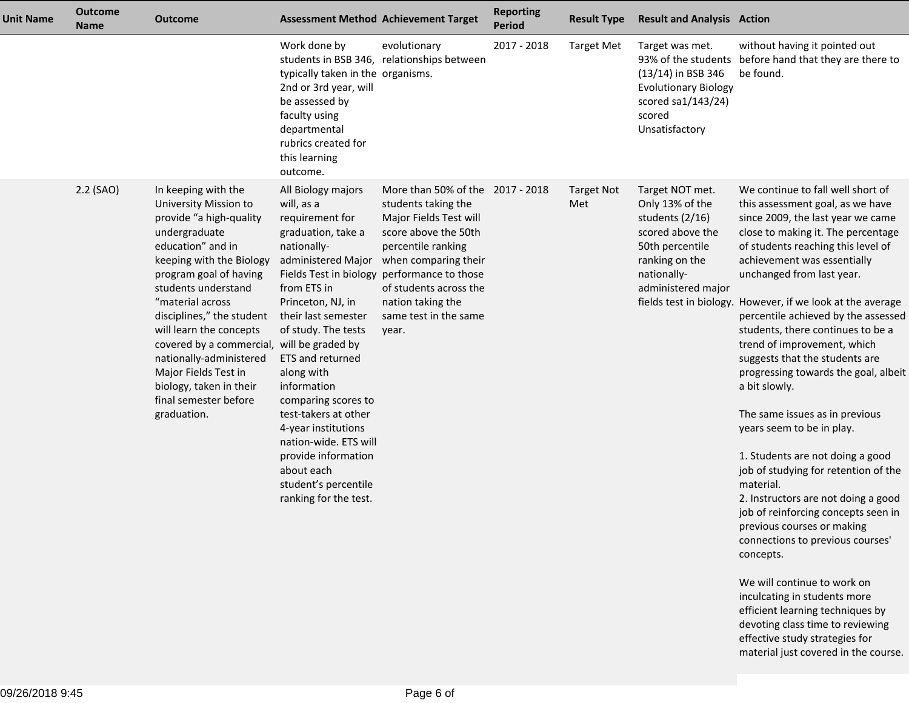| <b>Unit Name</b> | <b>Outcome</b><br><b>Name</b> | <b>Outcome</b>                                                                                                                                                                                                                                                                                                                                                                                                                             |                                                                                                                                                                                                                                                                                                                                                                                                                                        | <b>Assessment Method Achievement Target</b>                                                                                                                                                                                                                                             | <b>Reporting</b><br><b>Period</b> | <b>Result Type</b>       | <b>Result and Analysis Action</b>                                                                                                                   |                                                                                                                                                                                                                                                                                                                                                                                                                                                                                                                                                                                                                                                                                                                                                                                                                                                                                                                                                                                                                                                              |
|------------------|-------------------------------|--------------------------------------------------------------------------------------------------------------------------------------------------------------------------------------------------------------------------------------------------------------------------------------------------------------------------------------------------------------------------------------------------------------------------------------------|----------------------------------------------------------------------------------------------------------------------------------------------------------------------------------------------------------------------------------------------------------------------------------------------------------------------------------------------------------------------------------------------------------------------------------------|-----------------------------------------------------------------------------------------------------------------------------------------------------------------------------------------------------------------------------------------------------------------------------------------|-----------------------------------|--------------------------|-----------------------------------------------------------------------------------------------------------------------------------------------------|--------------------------------------------------------------------------------------------------------------------------------------------------------------------------------------------------------------------------------------------------------------------------------------------------------------------------------------------------------------------------------------------------------------------------------------------------------------------------------------------------------------------------------------------------------------------------------------------------------------------------------------------------------------------------------------------------------------------------------------------------------------------------------------------------------------------------------------------------------------------------------------------------------------------------------------------------------------------------------------------------------------------------------------------------------------|
|                  |                               |                                                                                                                                                                                                                                                                                                                                                                                                                                            | Work done by<br>typically taken in the organisms.<br>2nd or 3rd year, will<br>be assessed by<br>faculty using<br>departmental<br>rubrics created for<br>this learning<br>outcome.                                                                                                                                                                                                                                                      | evolutionary<br>students in BSB 346, relationships between                                                                                                                                                                                                                              | 2017 - 2018                       | <b>Target Met</b>        | Target was met.<br>(13/14) in BSB 346<br><b>Evolutionary Biology</b><br>scored sa1/143/24)<br>scored<br>Unsatisfactory                              | without having it pointed out<br>93% of the students before hand that they are there to<br>be found.                                                                                                                                                                                                                                                                                                                                                                                                                                                                                                                                                                                                                                                                                                                                                                                                                                                                                                                                                         |
|                  | $2.2$ (SAO)                   | In keeping with the<br>University Mission to<br>provide "a high-quality<br>undergraduate<br>education" and in<br>keeping with the Biology<br>program goal of having<br>students understand<br>"material across<br>disciplines," the student<br>will learn the concepts<br>covered by a commercial, will be graded by<br>nationally-administered<br>Major Fields Test in<br>biology, taken in their<br>final semester before<br>graduation. | All Biology majors<br>will, as a<br>requirement for<br>graduation, take a<br>nationally-<br>administered Major<br>from ETS in<br>Princeton, NJ, in<br>their last semester<br>of study. The tests<br>ETS and returned<br>along with<br>information<br>comparing scores to<br>test-takers at other<br>4-year institutions<br>nation-wide. ETS will<br>provide information<br>about each<br>student's percentile<br>ranking for the test. | More than 50% of the 2017 - 2018<br>students taking the<br>Major Fields Test will<br>score above the 50th<br>percentile ranking<br>when comparing their<br>Fields Test in biology performance to those<br>of students across the<br>nation taking the<br>same test in the same<br>year. |                                   | <b>Target Not</b><br>Met | Target NOT met.<br>Only 13% of the<br>students (2/16)<br>scored above the<br>50th percentile<br>ranking on the<br>nationally-<br>administered major | We continue to fall well short of<br>this assessment goal, as we have<br>since 2009, the last year we came<br>close to making it. The percentage<br>of students reaching this level of<br>achievement was essentially<br>unchanged from last year.<br>fields test in biology. However, if we look at the average<br>percentile achieved by the assessed<br>students, there continues to be a<br>trend of improvement, which<br>suggests that the students are<br>progressing towards the goal, albeit<br>a bit slowly.<br>The same issues as in previous<br>years seem to be in play.<br>1. Students are not doing a good<br>job of studying for retention of the<br>material.<br>2. Instructors are not doing a good<br>job of reinforcing concepts seen in<br>previous courses or making<br>connections to previous courses'<br>concepts.<br>We will continue to work on<br>inculcating in students more<br>efficient learning techniques by<br>devoting class time to reviewing<br>effective study strategies for<br>material just covered in the course. |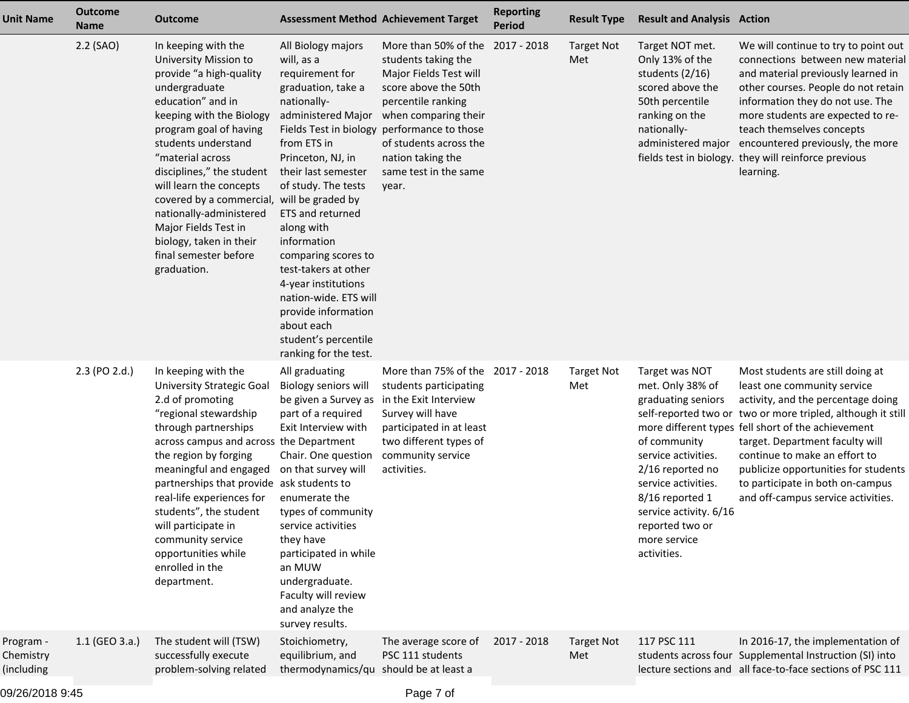| <b>Unit Name</b>                     | <b>Outcome</b><br><b>Name</b> | <b>Outcome</b>                                                                                                                                                                                                                                                                                                                                                                                                                             | <b>Assessment Method Achievement Target</b>                                                                                                                                                                                                                                                                                                                                                                      |                                                                                                                                                                                                                                                                                                            | <b>Reporting</b><br><b>Period</b> | <b>Result Type</b>       | <b>Result and Analysis Action</b>                                                                                                                                                                                                         |                                                                                                                                                                                                                                                                                                                                                                                                                  |
|--------------------------------------|-------------------------------|--------------------------------------------------------------------------------------------------------------------------------------------------------------------------------------------------------------------------------------------------------------------------------------------------------------------------------------------------------------------------------------------------------------------------------------------|------------------------------------------------------------------------------------------------------------------------------------------------------------------------------------------------------------------------------------------------------------------------------------------------------------------------------------------------------------------------------------------------------------------|------------------------------------------------------------------------------------------------------------------------------------------------------------------------------------------------------------------------------------------------------------------------------------------------------------|-----------------------------------|--------------------------|-------------------------------------------------------------------------------------------------------------------------------------------------------------------------------------------------------------------------------------------|------------------------------------------------------------------------------------------------------------------------------------------------------------------------------------------------------------------------------------------------------------------------------------------------------------------------------------------------------------------------------------------------------------------|
|                                      | 2.2 (SAO)                     | In keeping with the<br>University Mission to<br>provide "a high-quality<br>undergraduate<br>education" and in<br>keeping with the Biology<br>program goal of having<br>students understand<br>"material across<br>disciplines," the student<br>will learn the concepts<br>covered by a commercial, will be graded by<br>nationally-administered<br>Major Fields Test in<br>biology, taken in their<br>final semester before<br>graduation. | All Biology majors<br>will, as a<br>requirement for<br>graduation, take a<br>nationally-<br>from ETS in<br>Princeton, NJ, in<br>their last semester<br>of study. The tests<br>ETS and returned<br>along with<br>information<br>comparing scores to<br>test-takers at other<br>4-year institutions<br>nation-wide. ETS will<br>provide information<br>about each<br>student's percentile<br>ranking for the test. | More than 50% of the 2017 - 2018<br>students taking the<br>Major Fields Test will<br>score above the 50th<br>percentile ranking<br>administered Major when comparing their<br>Fields Test in biology performance to those<br>of students across the<br>nation taking the<br>same test in the same<br>year. |                                   | <b>Target Not</b><br>Met | Target NOT met.<br>Only 13% of the<br>students (2/16)<br>scored above the<br>50th percentile<br>ranking on the<br>nationally-<br>administered major                                                                                       | We will continue to try to point out<br>connections between new material<br>and material previously learned in<br>other courses. People do not retain<br>information they do not use. The<br>more students are expected to re-<br>teach themselves concepts<br>encountered previously, the more<br>fields test in biology. they will reinforce previous<br>learning.                                             |
|                                      | 2.3 (PO 2.d.)                 | In keeping with the<br><b>University Strategic Goal</b><br>2.d of promoting<br>"regional stewardship<br>through partnerships<br>across campus and across the Department<br>the region by forging<br>meaningful and engaged<br>partnerships that provide ask students to<br>real-life experiences for<br>students", the student<br>will participate in<br>community service<br>opportunities while<br>enrolled in the<br>department.        | All graduating<br>Biology seniors will<br>be given a Survey as in the Exit Interview<br>part of a required<br>Exit Interview with<br>Chair. One question<br>on that survey will<br>enumerate the<br>types of community<br>service activities<br>they have<br>participated in while<br>an MUW<br>undergraduate.<br>Faculty will review<br>and analyze the<br>survey results.                                      | More than 75% of the<br>students participating<br>Survey will have<br>participated in at least<br>two different types of<br>community service<br>activities.                                                                                                                                               | 2017 - 2018                       | <b>Target Not</b><br>Met | Target was NOT<br>met. Only 38% of<br>graduating seniors<br>of community<br>service activities.<br>2/16 reported no<br>service activities.<br>8/16 reported 1<br>service activity. 6/16<br>reported two or<br>more service<br>activities. | Most students are still doing at<br>least one community service<br>activity, and the percentage doing<br>self-reported two or two or more tripled, although it still<br>more different types fell short of the achievement<br>target. Department faculty will<br>continue to make an effort to<br>publicize opportunities for students<br>to participate in both on-campus<br>and off-campus service activities. |
| Program -<br>Chemistry<br>(including | 1.1 (GEO 3.a.)                | The student will (TSW)<br>successfully execute<br>problem-solving related                                                                                                                                                                                                                                                                                                                                                                  | Stoichiometry,<br>equilibrium, and<br>thermodynamics/qu should be at least a                                                                                                                                                                                                                                                                                                                                     | The average score of<br>PSC 111 students                                                                                                                                                                                                                                                                   | 2017 - 2018                       | <b>Target Not</b><br>Met | 117 PSC 111                                                                                                                                                                                                                               | In 2016-17, the implementation of<br>students across four Supplemental Instruction (SI) into<br>lecture sections and all face-to-face sections of PSC 111                                                                                                                                                                                                                                                        |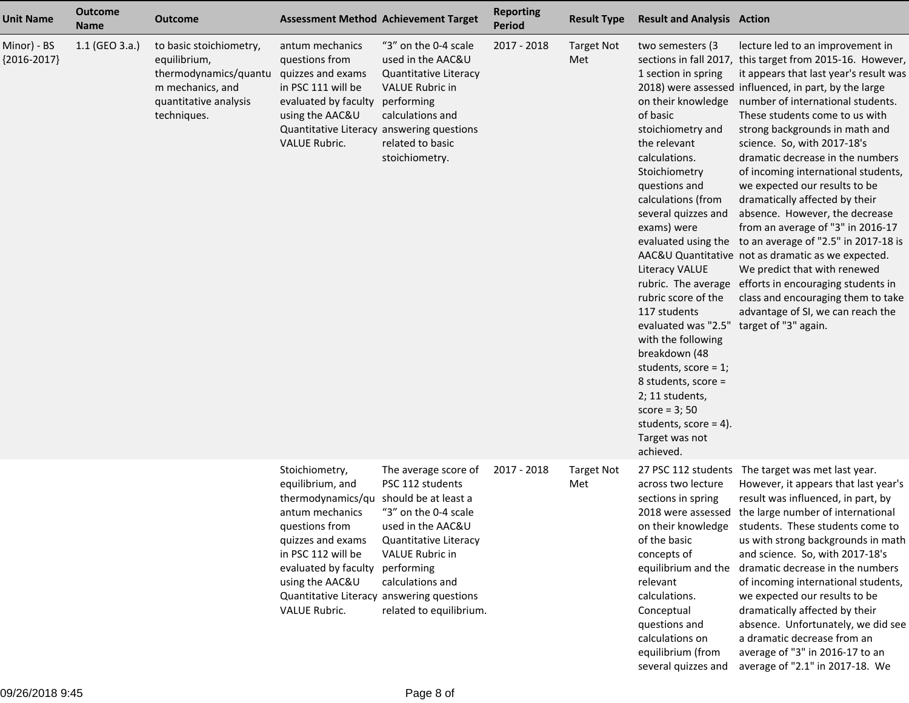| <b>Unit Name</b>             | <b>Outcome</b><br><b>Name</b> | <b>Outcome</b>                                                                                                               |                                                                                                                                                                                                                       | <b>Assessment Method Achievement Target</b>                                                                                                                                                                                                           | <b>Reporting</b><br><b>Period</b> | <b>Result Type</b>       | <b>Result and Analysis Action</b>                                                                                                                                                                                                                                                                                                                                                                                                                                                                                                  |                                                                                                                                                                                                                                                                                                                                                                                                                                                                                                                                                                                                                                                                                                                                                                                                                                                      |
|------------------------------|-------------------------------|------------------------------------------------------------------------------------------------------------------------------|-----------------------------------------------------------------------------------------------------------------------------------------------------------------------------------------------------------------------|-------------------------------------------------------------------------------------------------------------------------------------------------------------------------------------------------------------------------------------------------------|-----------------------------------|--------------------------|------------------------------------------------------------------------------------------------------------------------------------------------------------------------------------------------------------------------------------------------------------------------------------------------------------------------------------------------------------------------------------------------------------------------------------------------------------------------------------------------------------------------------------|------------------------------------------------------------------------------------------------------------------------------------------------------------------------------------------------------------------------------------------------------------------------------------------------------------------------------------------------------------------------------------------------------------------------------------------------------------------------------------------------------------------------------------------------------------------------------------------------------------------------------------------------------------------------------------------------------------------------------------------------------------------------------------------------------------------------------------------------------|
| Minor) - BS<br>${2016-2017}$ | 1.1 (GEO 3.a.)                | to basic stoichiometry,<br>equilibrium,<br>thermodynamics/quantu<br>m mechanics, and<br>quantitative analysis<br>techniques. | antum mechanics<br>questions from<br>quizzes and exams<br>in PSC 111 will be<br>evaluated by faculty<br>using the AAC&U<br><b>VALUE Rubric.</b>                                                                       | "3" on the 0-4 scale<br>used in the AAC&U<br>Quantitative Literacy<br><b>VALUE Rubric in</b><br>performing<br>calculations and<br>Quantitative Literacy answering questions<br>related to basic<br>stoichiometry.                                     | 2017 - 2018                       | <b>Target Not</b><br>Met | two semesters (3<br>1 section in spring<br>on their knowledge<br>of basic<br>stoichiometry and<br>the relevant<br>calculations.<br>Stoichiometry<br>questions and<br>calculations (from<br>several quizzes and<br>exams) were<br><b>Literacy VALUE</b><br>rubric score of the<br>117 students<br>evaluated was "2.5" target of "3" again.<br>with the following<br>breakdown (48<br>students, score = $1$ ;<br>8 students, score =<br>2; 11 students,<br>score = $3;50$<br>students, score = $4$ ).<br>Target was not<br>achieved. | lecture led to an improvement in<br>sections in fall 2017, this target from 2015-16. However,<br>it appears that last year's result was<br>2018) were assessed influenced, in part, by the large<br>number of international students.<br>These students come to us with<br>strong backgrounds in math and<br>science. So, with 2017-18's<br>dramatic decrease in the numbers<br>of incoming international students,<br>we expected our results to be<br>dramatically affected by their<br>absence. However, the decrease<br>from an average of "3" in 2016-17<br>evaluated using the to an average of "2.5" in 2017-18 is<br>AAC&U Quantitative not as dramatic as we expected.<br>We predict that with renewed<br>rubric. The average efforts in encouraging students in<br>class and encouraging them to take<br>advantage of SI, we can reach the |
|                              |                               |                                                                                                                              | Stoichiometry,<br>equilibrium, and<br>thermodynamics/qu<br>antum mechanics<br>questions from<br>quizzes and exams<br>in PSC 112 will be<br>evaluated by faculty performing<br>using the AAC&U<br><b>VALUE Rubric.</b> | The average score of<br>PSC 112 students<br>should be at least a<br>"3" on the 0-4 scale<br>used in the AAC&U<br>Quantitative Literacy<br>VALUE Rubric in<br>calculations and<br>Quantitative Literacy answering questions<br>related to equilibrium. | 2017 - 2018                       | <b>Target Not</b><br>Met | across two lecture<br>sections in spring<br>on their knowledge<br>of the basic<br>concepts of<br>relevant<br>calculations.<br>Conceptual<br>questions and<br>calculations on<br>equilibrium (from                                                                                                                                                                                                                                                                                                                                  | 27 PSC 112 students The target was met last year.<br>However, it appears that last year's<br>result was influenced, in part, by<br>2018 were assessed the large number of international<br>students. These students come to<br>us with strong backgrounds in math<br>and science. So, with 2017-18's<br>equilibrium and the dramatic decrease in the numbers<br>of incoming international students,<br>we expected our results to be<br>dramatically affected by their<br>absence. Unfortunately, we did see<br>a dramatic decrease from an<br>average of "3" in 2016-17 to an                                                                                                                                                                                                                                                                       |

several quizzes and average of "2.1" in 2017-18. We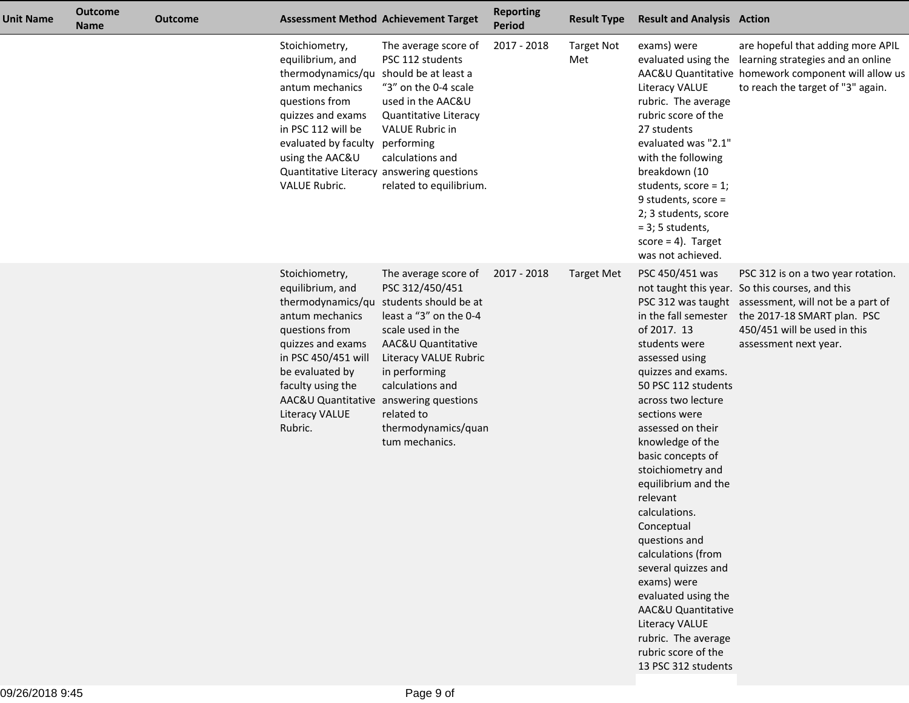| <b>Unit Name</b> | <b>Outcome</b><br><b>Name</b> | <b>Outcome</b> |                                                                                                                                                                                                                                     | <b>Assessment Method Achievement Target</b>                                                                                                                                                                                                                                                                            | <b>Reporting</b><br><b>Period</b> | <b>Result Type</b>       | <b>Result and Analysis Action</b>                                                                                                                                                                                                                                                                                                                                                                                                                                                                                                                   |                                                                                                                                                                                                                                       |
|------------------|-------------------------------|----------------|-------------------------------------------------------------------------------------------------------------------------------------------------------------------------------------------------------------------------------------|------------------------------------------------------------------------------------------------------------------------------------------------------------------------------------------------------------------------------------------------------------------------------------------------------------------------|-----------------------------------|--------------------------|-----------------------------------------------------------------------------------------------------------------------------------------------------------------------------------------------------------------------------------------------------------------------------------------------------------------------------------------------------------------------------------------------------------------------------------------------------------------------------------------------------------------------------------------------------|---------------------------------------------------------------------------------------------------------------------------------------------------------------------------------------------------------------------------------------|
|                  |                               |                | Stoichiometry,<br>equilibrium, and<br>thermodynamics/qu should be at least a<br>antum mechanics<br>questions from<br>quizzes and exams<br>in PSC 112 will be<br>evaluated by faculty performing<br>using the AAC&U<br>VALUE Rubric. | The average score of<br>PSC 112 students<br>"3" on the 0-4 scale<br>used in the AAC&U<br>Quantitative Literacy<br>VALUE Rubric in<br>calculations and<br>Quantitative Literacy answering questions<br>related to equilibrium.                                                                                          | 2017 - 2018                       | <b>Target Not</b><br>Met | exams) were<br><b>Literacy VALUE</b><br>rubric. The average<br>rubric score of the<br>27 students<br>evaluated was "2.1"<br>with the following<br>breakdown (10<br>students, score = $1$ ;<br>9 students, score =<br>2; 3 students, score<br>$= 3$ ; 5 students,<br>$score = 4$ ). Target<br>was not achieved.                                                                                                                                                                                                                                      | are hopeful that adding more APIL<br>evaluated using the learning strategies and an online<br>AAC&U Quantitative homework component will allow us<br>to reach the target of "3" again.                                                |
|                  |                               |                | Stoichiometry,<br>equilibrium, and<br>antum mechanics<br>questions from<br>quizzes and exams<br>in PSC 450/451 will<br>be evaluated by<br>faculty using the<br>Literacy VALUE<br>Rubric.                                            | The average score of<br>PSC 312/450/451<br>thermodynamics/qu students should be at<br>least a "3" on the 0-4<br>scale used in the<br>AAC&U Quantitative<br>Literacy VALUE Rubric<br>in performing<br>calculations and<br>AAC&U Quantitative answering questions<br>related to<br>thermodynamics/quan<br>tum mechanics. | 2017 - 2018                       | <b>Target Met</b>        | PSC 450/451 was<br>in the fall semester<br>of 2017. 13<br>students were<br>assessed using<br>quizzes and exams.<br>50 PSC 112 students<br>across two lecture<br>sections were<br>assessed on their<br>knowledge of the<br>basic concepts of<br>stoichiometry and<br>equilibrium and the<br>relevant<br>calculations.<br>Conceptual<br>questions and<br>calculations (from<br>several quizzes and<br>exams) were<br>evaluated using the<br>AAC&U Quantitative<br>Literacy VALUE<br>rubric. The average<br>rubric score of the<br>13 PSC 312 students | PSC 312 is on a two year rotation.<br>not taught this year. So this courses, and this<br>PSC 312 was taught assessment, will not be a part of<br>the 2017-18 SMART plan. PSC<br>450/451 will be used in this<br>assessment next year. |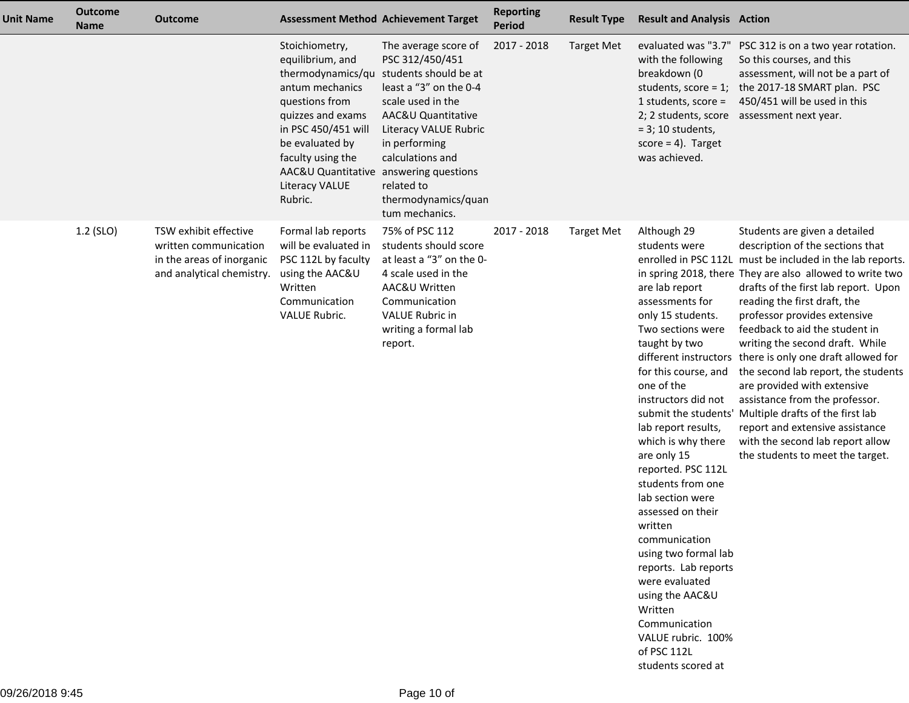| <b>Unit Name</b> | <b>Outcome</b><br><b>Name</b> | <b>Outcome</b>                                                                                           |                                                                                                                                                                                                                                    | <b>Assessment Method Achievement Target</b>                                                                                                                                                                                                                                  | <b>Reporting</b><br><b>Period</b> | <b>Result Type</b> | <b>Result and Analysis Action</b>                                                                                                                                                                                                                                                                                                                                                                                                                                                                                                                                          |                                                                                                                                                                                                                                                                                                                                                                                                                                                                                                                                                                                                                                                                                            |
|------------------|-------------------------------|----------------------------------------------------------------------------------------------------------|------------------------------------------------------------------------------------------------------------------------------------------------------------------------------------------------------------------------------------|------------------------------------------------------------------------------------------------------------------------------------------------------------------------------------------------------------------------------------------------------------------------------|-----------------------------------|--------------------|----------------------------------------------------------------------------------------------------------------------------------------------------------------------------------------------------------------------------------------------------------------------------------------------------------------------------------------------------------------------------------------------------------------------------------------------------------------------------------------------------------------------------------------------------------------------------|--------------------------------------------------------------------------------------------------------------------------------------------------------------------------------------------------------------------------------------------------------------------------------------------------------------------------------------------------------------------------------------------------------------------------------------------------------------------------------------------------------------------------------------------------------------------------------------------------------------------------------------------------------------------------------------------|
|                  |                               |                                                                                                          | Stoichiometry,<br>equilibrium, and<br>antum mechanics<br>questions from<br>quizzes and exams<br>in PSC 450/451 will<br>be evaluated by<br>faculty using the<br>AAC&U Quantitative answering questions<br>Literacy VALUE<br>Rubric. | The average score of<br>PSC 312/450/451<br>thermodynamics/qu students should be at<br>least a "3" on the 0-4<br>scale used in the<br>AAC&U Quantitative<br>Literacy VALUE Rubric<br>in performing<br>calculations and<br>related to<br>thermodynamics/quan<br>tum mechanics. | 2017 - 2018                       | <b>Target Met</b>  | evaluated was "3.7"<br>with the following<br>breakdown (0<br>students, score = $1$ ;<br>1 students, score $=$<br>2; 2 students, score<br>$= 3$ ; 10 students,<br>score = $4$ ). Target<br>was achieved.                                                                                                                                                                                                                                                                                                                                                                    | PSC 312 is on a two year rotation.<br>So this courses, and this<br>assessment, will not be a part of<br>the 2017-18 SMART plan. PSC<br>450/451 will be used in this<br>assessment next year.                                                                                                                                                                                                                                                                                                                                                                                                                                                                                               |
|                  | 1.2 (SLO)                     | TSW exhibit effective<br>written communication<br>in the areas of inorganic<br>and analytical chemistry. | Formal lab reports<br>will be evaluated in<br>PSC 112L by faculty<br>using the AAC&U<br>Written<br>Communication<br>VALUE Rubric.                                                                                                  | 75% of PSC 112<br>students should score<br>at least a "3" on the 0-<br>4 scale used in the<br>AAC&U Written<br>Communication<br><b>VALUE Rubric in</b><br>writing a formal lab<br>report.                                                                                    | 2017 - 2018                       | <b>Target Met</b>  | Although 29<br>students were<br>are lab report<br>assessments for<br>only 15 students.<br>Two sections were<br>taught by two<br>different instructors<br>for this course, and<br>one of the<br>instructors did not<br>lab report results,<br>which is why there<br>are only 15<br>reported. PSC 112L<br>students from one<br>lab section were<br>assessed on their<br>written<br>communication<br>using two formal lab<br>reports. Lab reports<br>were evaluated<br>using the AAC&U<br>Written<br>Communication<br>VALUE rubric. 100%<br>of PSC 112L<br>students scored at | Students are given a detailed<br>description of the sections that<br>enrolled in PSC 112L must be included in the lab reports.<br>in spring 2018, there They are also allowed to write two<br>drafts of the first lab report. Upon<br>reading the first draft, the<br>professor provides extensive<br>feedback to aid the student in<br>writing the second draft. While<br>there is only one draft allowed for<br>the second lab report, the students<br>are provided with extensive<br>assistance from the professor.<br>submit the students' Multiple drafts of the first lab<br>report and extensive assistance<br>with the second lab report allow<br>the students to meet the target. |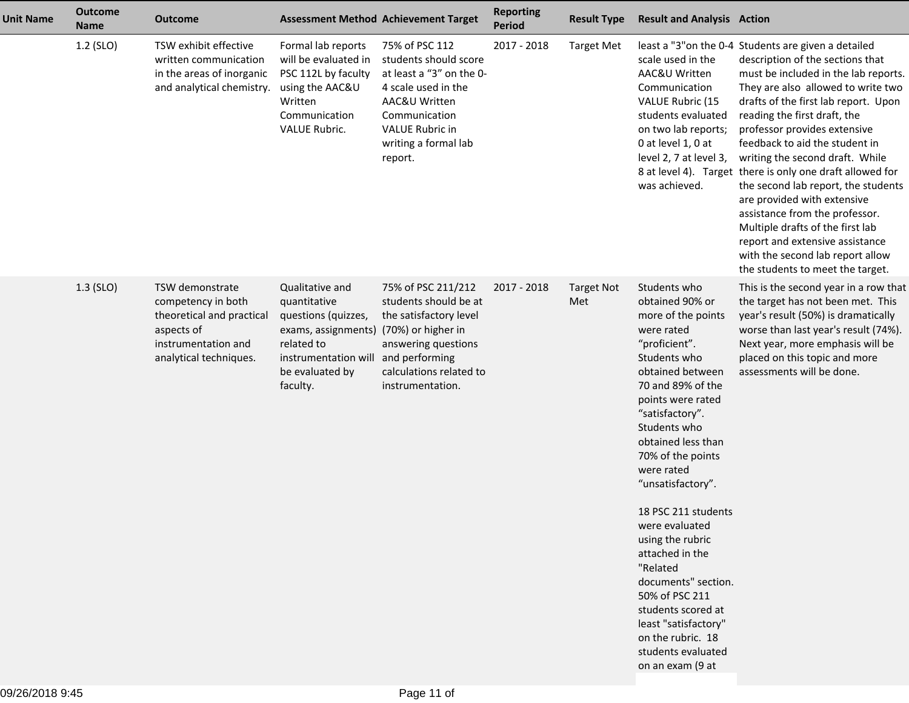| <b>Unit Name</b> | <b>Outcome</b><br><b>Name</b> | <b>Outcome</b>                                                                                                                    |                                                                                                                                                    | <b>Assessment Method Achievement Target</b>                                                                                                                                               | <b>Reporting</b><br><b>Period</b> | <b>Result Type</b>       | <b>Result and Analysis Action</b>                                                                                                                                                                                                                                                                                                                                                                                                                                                                                                     |                                                                                                                                                                                                                                                                                                                                                                                                                                                                                                                                                                                                                                                                         |
|------------------|-------------------------------|-----------------------------------------------------------------------------------------------------------------------------------|----------------------------------------------------------------------------------------------------------------------------------------------------|-------------------------------------------------------------------------------------------------------------------------------------------------------------------------------------------|-----------------------------------|--------------------------|---------------------------------------------------------------------------------------------------------------------------------------------------------------------------------------------------------------------------------------------------------------------------------------------------------------------------------------------------------------------------------------------------------------------------------------------------------------------------------------------------------------------------------------|-------------------------------------------------------------------------------------------------------------------------------------------------------------------------------------------------------------------------------------------------------------------------------------------------------------------------------------------------------------------------------------------------------------------------------------------------------------------------------------------------------------------------------------------------------------------------------------------------------------------------------------------------------------------------|
|                  | 1.2 (SLO)                     | TSW exhibit effective<br>written communication<br>in the areas of inorganic<br>and analytical chemistry.                          | Formal lab reports<br>will be evaluated in<br>PSC 112L by faculty<br>using the AAC&U<br>Written<br>Communication<br>VALUE Rubric.                  | 75% of PSC 112<br>students should score<br>at least a "3" on the 0-<br>4 scale used in the<br>AAC&U Written<br>Communication<br><b>VALUE Rubric in</b><br>writing a formal lab<br>report. | 2017 - 2018                       | <b>Target Met</b>        | scale used in the<br>AAC&U Written<br>Communication<br>VALUE Rubric (15<br>students evaluated<br>on two lab reports;<br>0 at level 1, 0 at<br>level 2, 7 at level 3,<br>was achieved.                                                                                                                                                                                                                                                                                                                                                 | least a "3" on the 0-4 Students are given a detailed<br>description of the sections that<br>must be included in the lab reports.<br>They are also allowed to write two<br>drafts of the first lab report. Upon<br>reading the first draft, the<br>professor provides extensive<br>feedback to aid the student in<br>writing the second draft. While<br>8 at level 4). Target there is only one draft allowed for<br>the second lab report, the students<br>are provided with extensive<br>assistance from the professor.<br>Multiple drafts of the first lab<br>report and extensive assistance<br>with the second lab report allow<br>the students to meet the target. |
|                  | $1.3$ (SLO)                   | TSW demonstrate<br>competency in both<br>theoretical and practical<br>aspects of<br>instrumentation and<br>analytical techniques. | Qualitative and<br>quantitative<br>questions (quizzes,<br>exams, assignments)<br>related to<br>instrumentation will<br>be evaluated by<br>faculty. | 75% of PSC 211/212<br>students should be at<br>the satisfactory level<br>(70%) or higher in<br>answering questions<br>and performing<br>calculations related to<br>instrumentation.       | 2017 - 2018                       | <b>Target Not</b><br>Met | Students who<br>obtained 90% or<br>more of the points<br>were rated<br>"proficient".<br>Students who<br>obtained between<br>70 and 89% of the<br>points were rated<br>"satisfactory".<br>Students who<br>obtained less than<br>70% of the points<br>were rated<br>"unsatisfactory".<br>18 PSC 211 students<br>were evaluated<br>using the rubric<br>attached in the<br>"Related<br>documents" section.<br>50% of PSC 211<br>students scored at<br>least "satisfactory"<br>on the rubric. 18<br>students evaluated<br>on an exam (9 at | This is the second year in a row that<br>the target has not been met. This<br>year's result (50%) is dramatically<br>worse than last year's result (74%).<br>Next year, more emphasis will be<br>placed on this topic and more<br>assessments will be done.                                                                                                                                                                                                                                                                                                                                                                                                             |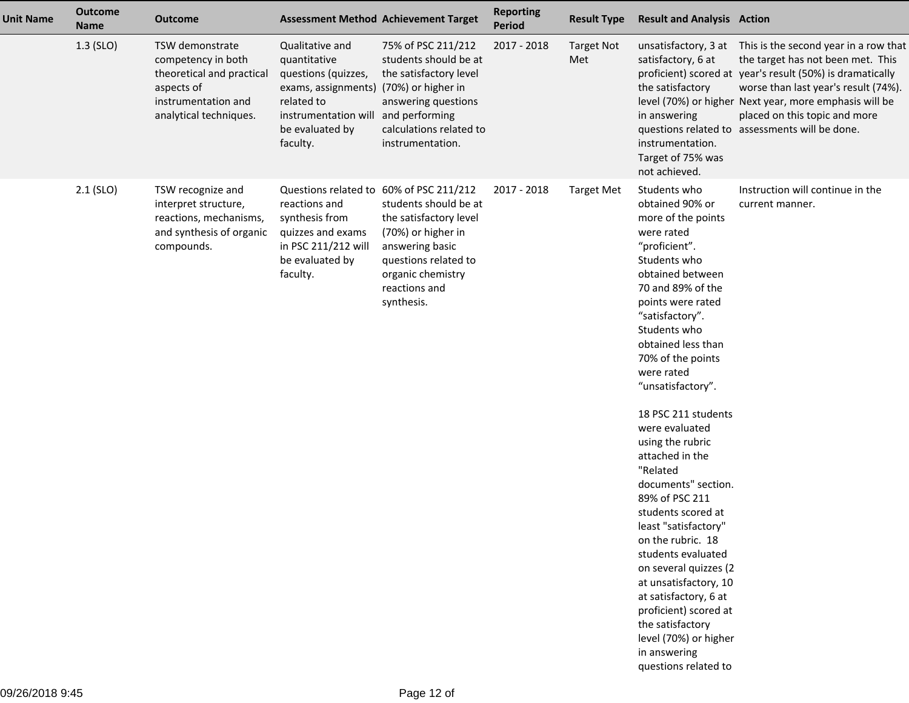| <b>Unit Name</b> | <b>Outcome</b><br><b>Name</b> | <b>Outcome</b>                                                                                                                    | <b>Assessment Method Achievement Target</b>                                                                                                                                          |                                                                                                                                                                      | <b>Reporting</b><br><b>Period</b> | <b>Result Type</b>       | <b>Result and Analysis Action</b>                                                                                                                                                                                                                                                                                                                                                                                                                                                                                                                                                                                                                                                                          |                                                                                                                                                                                                                                                                                                                                                   |
|------------------|-------------------------------|-----------------------------------------------------------------------------------------------------------------------------------|--------------------------------------------------------------------------------------------------------------------------------------------------------------------------------------|----------------------------------------------------------------------------------------------------------------------------------------------------------------------|-----------------------------------|--------------------------|------------------------------------------------------------------------------------------------------------------------------------------------------------------------------------------------------------------------------------------------------------------------------------------------------------------------------------------------------------------------------------------------------------------------------------------------------------------------------------------------------------------------------------------------------------------------------------------------------------------------------------------------------------------------------------------------------------|---------------------------------------------------------------------------------------------------------------------------------------------------------------------------------------------------------------------------------------------------------------------------------------------------------------------------------------------------|
|                  | $1.3$ (SLO)                   | TSW demonstrate<br>competency in both<br>theoretical and practical<br>aspects of<br>instrumentation and<br>analytical techniques. | Qualitative and<br>quantitative<br>questions (quizzes,<br>exams, assignments) (70%) or higher in<br>related to<br>instrumentation will and performing<br>be evaluated by<br>faculty. | 75% of PSC 211/212<br>students should be at<br>the satisfactory level<br>answering questions<br>calculations related to<br>instrumentation.                          | 2017 - 2018                       | <b>Target Not</b><br>Met | satisfactory, 6 at<br>the satisfactory<br>in answering<br>instrumentation.<br>Target of 75% was<br>not achieved.                                                                                                                                                                                                                                                                                                                                                                                                                                                                                                                                                                                           | unsatisfactory, 3 at This is the second year in a row that<br>the target has not been met. This<br>proficient) scored at year's result (50%) is dramatically<br>worse than last year's result (74%).<br>level (70%) or higher Next year, more emphasis will be<br>placed on this topic and more<br>questions related to assessments will be done. |
|                  | $2.1$ (SLO)                   | TSW recognize and<br>interpret structure,<br>reactions, mechanisms,<br>and synthesis of organic<br>compounds.                     | Questions related to 60% of PSC 211/212<br>reactions and<br>synthesis from<br>quizzes and exams<br>in PSC 211/212 will<br>be evaluated by<br>faculty.                                | students should be at<br>the satisfactory level<br>(70%) or higher in<br>answering basic<br>questions related to<br>organic chemistry<br>reactions and<br>synthesis. | 2017 - 2018                       | <b>Target Met</b>        | Students who<br>obtained 90% or<br>more of the points<br>were rated<br>"proficient".<br>Students who<br>obtained between<br>70 and 89% of the<br>points were rated<br>"satisfactory".<br>Students who<br>obtained less than<br>70% of the points<br>were rated<br>"unsatisfactory".<br>18 PSC 211 students<br>were evaluated<br>using the rubric<br>attached in the<br>"Related<br>documents" section.<br>89% of PSC 211<br>students scored at<br>least "satisfactory"<br>on the rubric. 18<br>students evaluated<br>on several quizzes (2<br>at unsatisfactory, 10<br>at satisfactory, 6 at<br>proficient) scored at<br>the satisfactory<br>level (70%) or higher<br>in answering<br>questions related to | Instruction will continue in the<br>current manner.                                                                                                                                                                                                                                                                                               |
|                  |                               |                                                                                                                                   |                                                                                                                                                                                      |                                                                                                                                                                      |                                   |                          |                                                                                                                                                                                                                                                                                                                                                                                                                                                                                                                                                                                                                                                                                                            |                                                                                                                                                                                                                                                                                                                                                   |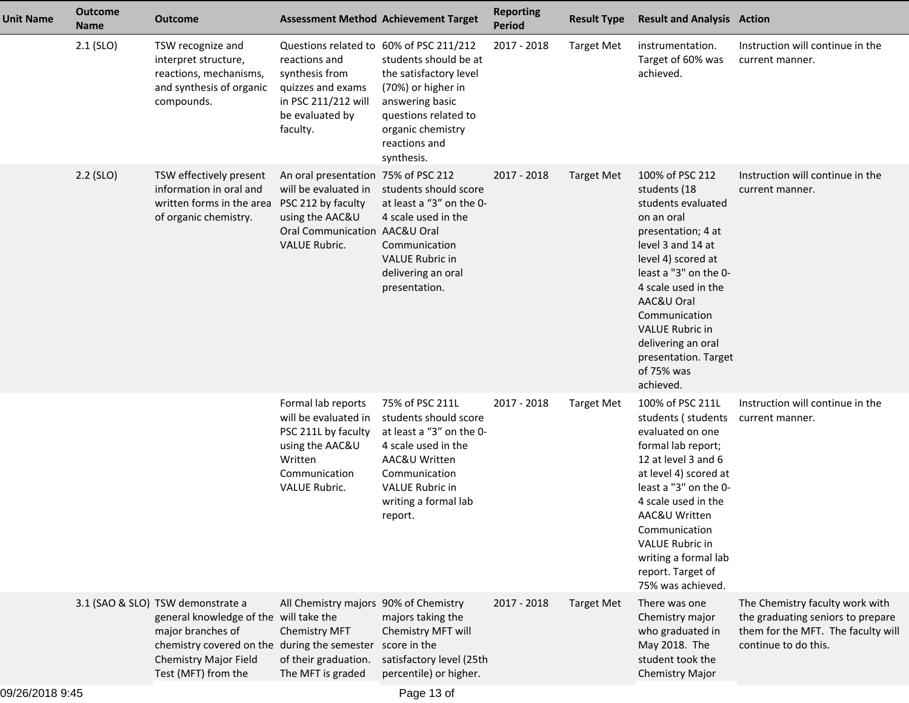| <b>Unit Name</b> | <b>Outcome</b><br><b>Name</b> | Outcome                                                                                                                                                                                          |                                                                                                                                                       | <b>Assessment Method Achievement Target</b>                                                                                                                                                | <b>Reporting</b><br><b>Period</b> | <b>Result Type</b> | <b>Result and Analysis Action</b>                                                                                                                                                                                                                                                                                      |                                                                                                                                    |
|------------------|-------------------------------|--------------------------------------------------------------------------------------------------------------------------------------------------------------------------------------------------|-------------------------------------------------------------------------------------------------------------------------------------------------------|--------------------------------------------------------------------------------------------------------------------------------------------------------------------------------------------|-----------------------------------|--------------------|------------------------------------------------------------------------------------------------------------------------------------------------------------------------------------------------------------------------------------------------------------------------------------------------------------------------|------------------------------------------------------------------------------------------------------------------------------------|
|                  | $2.1$ (SLO)                   | TSW recognize and<br>interpret structure,<br>reactions, mechanisms,<br>and synthesis of organic<br>compounds.                                                                                    | Questions related to 60% of PSC 211/212<br>reactions and<br>synthesis from<br>quizzes and exams<br>in PSC 211/212 will<br>be evaluated by<br>faculty. | students should be at<br>the satisfactory level<br>(70%) or higher in<br>answering basic<br>questions related to<br>organic chemistry<br>reactions and<br>synthesis.                       | 2017 - 2018                       | <b>Target Met</b>  | instrumentation.<br>Target of 60% was<br>achieved.                                                                                                                                                                                                                                                                     | Instruction will continue in the<br>current manner.                                                                                |
|                  | $2.2$ (SLO)                   | TSW effectively present<br>information in oral and<br>written forms in the area<br>of organic chemistry.                                                                                         | An oral presentation<br>will be evaluated in<br>PSC 212 by faculty<br>using the AAC&U<br>Oral Communication AAC&U Oral<br><b>VALUE Rubric.</b>        | 75% of PSC 212<br>students should score<br>at least a "3" on the 0-<br>4 scale used in the<br>Communication<br><b>VALUE Rubric in</b><br>delivering an oral<br>presentation.               | 2017 - 2018                       | <b>Target Met</b>  | 100% of PSC 212<br>students (18<br>students evaluated<br>on an oral<br>presentation; 4 at<br>level 3 and 14 at<br>level 4) scored at<br>least a "3" on the 0-<br>4 scale used in the<br>AAC&U Oral<br>Communication<br><b>VALUE Rubric in</b><br>delivering an oral<br>presentation. Target<br>of 75% was<br>achieved. | Instruction will continue in the<br>current manner.                                                                                |
|                  |                               |                                                                                                                                                                                                  | Formal lab reports<br>will be evaluated in<br>PSC 211L by faculty<br>using the AAC&U<br>Written<br>Communication<br>VALUE Rubric.                     | 75% of PSC 211L<br>students should score<br>at least a "3" on the 0-<br>4 scale used in the<br>AAC&U Written<br>Communication<br><b>VALUE Rubric in</b><br>writing a formal lab<br>report. | 2017 - 2018                       | <b>Target Met</b>  | 100% of PSC 211L<br>students (students<br>evaluated on one<br>formal lab report;<br>12 at level 3 and 6<br>at level 4) scored at<br>least a "3" on the 0-<br>4 scale used in the<br>AAC&U Written<br>Communication<br><b>VALUE Rubric in</b><br>writing a formal lab<br>report. Target of<br>75% was achieved.         | Instruction will continue in the<br>current manner.                                                                                |
|                  |                               | 3.1 (SAO & SLO) TSW demonstrate a<br>general knowledge of the will take the<br>major branches of<br>chemistry covered on the during the semester<br>Chemistry Major Field<br>Test (MFT) from the | All Chemistry majors 90% of Chemistry<br>Chemistry MFT<br>of their graduation.<br>The MFT is graded                                                   | majors taking the<br>Chemistry MFT will<br>score in the<br>satisfactory level (25th<br>percentile) or higher.                                                                              | 2017 - 2018                       | <b>Target Met</b>  | There was one<br>Chemistry major<br>who graduated in<br>May 2018. The<br>student took the<br>Chemistry Major                                                                                                                                                                                                           | The Chemistry faculty work with<br>the graduating seniors to prepare<br>them for the MFT. The faculty will<br>continue to do this. |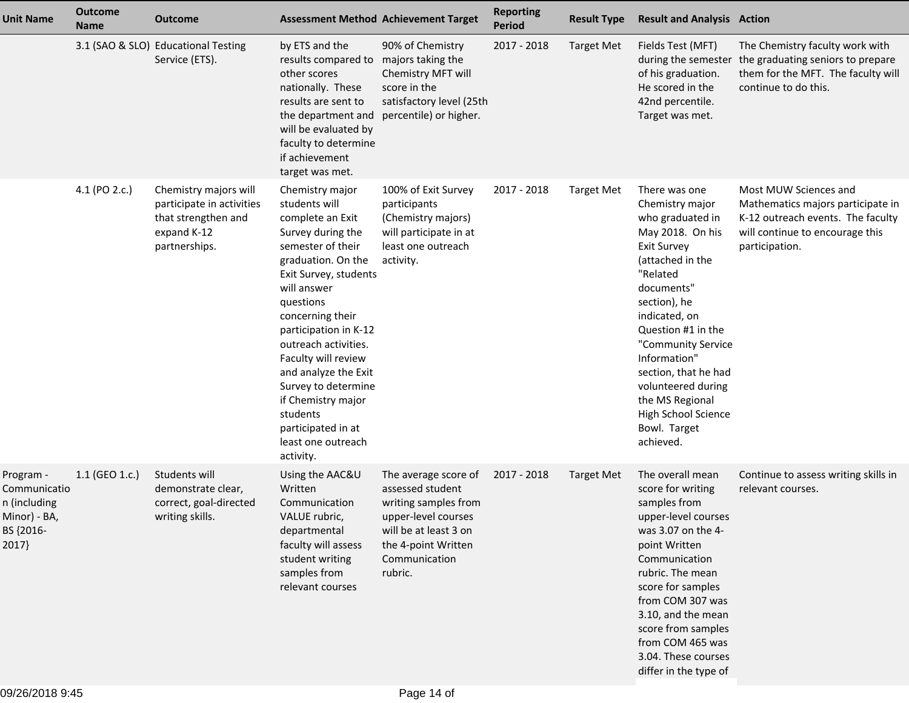| <b>Unit Name</b>                                                                | <b>Outcome</b><br><b>Name</b> | <b>Outcome</b>                                                                                            |                                                                                                                                                                                                                                                                                                                                                                                                                 | <b>Assessment Method Achievement Target</b>                                                                                                                         | <b>Reporting</b><br><b>Period</b> | <b>Result Type</b> | <b>Result and Analysis Action</b>                                                                                                                                                                                                                                                                                                                              |                                                                                                                                                      |
|---------------------------------------------------------------------------------|-------------------------------|-----------------------------------------------------------------------------------------------------------|-----------------------------------------------------------------------------------------------------------------------------------------------------------------------------------------------------------------------------------------------------------------------------------------------------------------------------------------------------------------------------------------------------------------|---------------------------------------------------------------------------------------------------------------------------------------------------------------------|-----------------------------------|--------------------|----------------------------------------------------------------------------------------------------------------------------------------------------------------------------------------------------------------------------------------------------------------------------------------------------------------------------------------------------------------|------------------------------------------------------------------------------------------------------------------------------------------------------|
|                                                                                 |                               | 3.1 (SAO & SLO) Educational Testing<br>Service (ETS).                                                     | by ETS and the<br>results compared to majors taking the<br>other scores<br>nationally. These<br>results are sent to<br>the department and<br>will be evaluated by<br>faculty to determine<br>if achievement<br>target was met.                                                                                                                                                                                  | 90% of Chemistry<br>Chemistry MFT will<br>score in the<br>satisfactory level (25th<br>percentile) or higher.                                                        | 2017 - 2018                       | <b>Target Met</b>  | Fields Test (MFT)<br>during the semester<br>of his graduation.<br>He scored in the<br>42nd percentile.<br>Target was met.                                                                                                                                                                                                                                      | The Chemistry faculty work with<br>the graduating seniors to prepare<br>them for the MFT. The faculty will<br>continue to do this.                   |
|                                                                                 | 4.1 (PO 2.c.)                 | Chemistry majors will<br>participate in activities<br>that strengthen and<br>expand K-12<br>partnerships. | Chemistry major<br>students will<br>complete an Exit<br>Survey during the<br>semester of their<br>graduation. On the<br>Exit Survey, students<br>will answer<br>questions<br>concerning their<br>participation in K-12<br>outreach activities.<br>Faculty will review<br>and analyze the Exit<br>Survey to determine<br>if Chemistry major<br>students<br>participated in at<br>least one outreach<br>activity. | 100% of Exit Survey<br>participants<br>(Chemistry majors)<br>will participate in at<br>least one outreach<br>activity.                                              | 2017 - 2018                       | <b>Target Met</b>  | There was one<br>Chemistry major<br>who graduated in<br>May 2018. On his<br><b>Exit Survey</b><br>(attached in the<br>"Related<br>documents"<br>section), he<br>indicated, on<br>Question #1 in the<br>"Community Service<br>Information"<br>section, that he had<br>volunteered during<br>the MS Regional<br>High School Science<br>Bowl. Target<br>achieved. | Most MUW Sciences and<br>Mathematics majors participate in<br>K-12 outreach events. The faculty<br>will continue to encourage this<br>participation. |
| Program -<br>Communicatio<br>n (including<br>Minor) - BA,<br>BS {2016-<br>2017} | 1.1 (GEO 1.c.)                | Students will<br>demonstrate clear,<br>correct, goal-directed<br>writing skills.                          | Using the AAC&U<br>Written<br>Communication<br>VALUE rubric,<br>departmental<br>faculty will assess<br>student writing<br>samples from<br>relevant courses                                                                                                                                                                                                                                                      | The average score of<br>assessed student<br>writing samples from<br>upper-level courses<br>will be at least 3 on<br>the 4-point Written<br>Communication<br>rubric. | 2017 - 2018                       | <b>Target Met</b>  | The overall mean<br>score for writing<br>samples from<br>upper-level courses<br>was 3.07 on the 4-<br>point Written<br>Communication<br>rubric. The mean<br>score for samples<br>from COM 307 was<br>3.10, and the mean<br>score from samples<br>from COM 465 was<br>3.04. These courses<br>differ in the type of                                              | Continue to assess writing skills in<br>relevant courses.                                                                                            |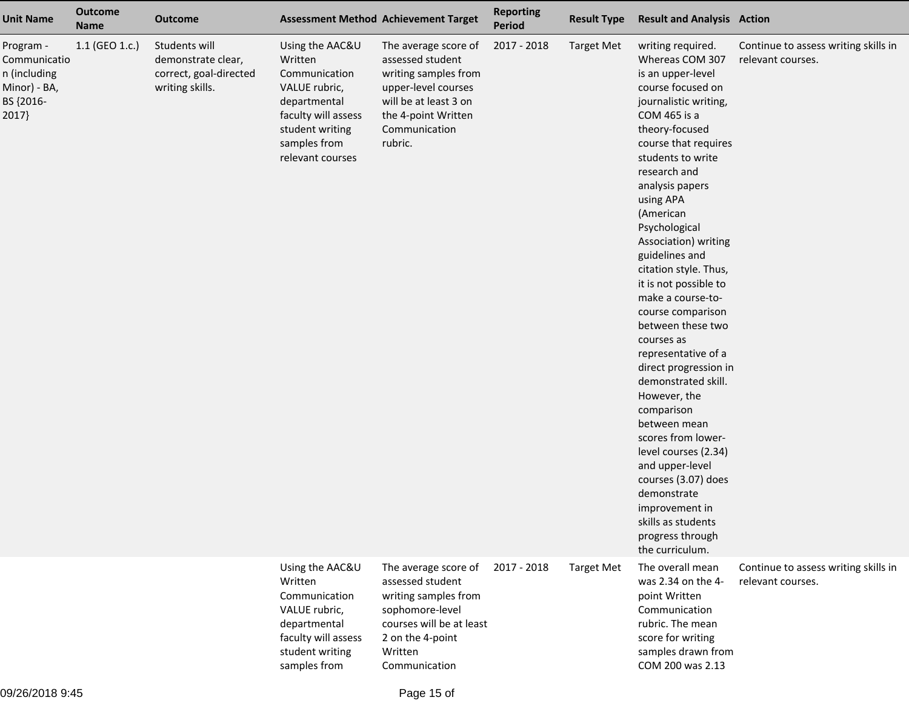| <b>Unit Name</b>                                                                | <b>Outcome</b><br><b>Name</b> | <b>Outcome</b>                                                                   |                                                                                                                                                            | <b>Assessment Method Achievement Target</b>                                                                                                                         | <b>Reporting</b><br>Period | <b>Result Type</b> | <b>Result and Analysis Action</b>                                                                                                                                                                                                                                                                                                                                                                                                                                                                                                                                                                                                                                                                                                                        |                                                           |
|---------------------------------------------------------------------------------|-------------------------------|----------------------------------------------------------------------------------|------------------------------------------------------------------------------------------------------------------------------------------------------------|---------------------------------------------------------------------------------------------------------------------------------------------------------------------|----------------------------|--------------------|----------------------------------------------------------------------------------------------------------------------------------------------------------------------------------------------------------------------------------------------------------------------------------------------------------------------------------------------------------------------------------------------------------------------------------------------------------------------------------------------------------------------------------------------------------------------------------------------------------------------------------------------------------------------------------------------------------------------------------------------------------|-----------------------------------------------------------|
| Program -<br>Communicatio<br>n (including<br>Minor) - BA,<br>BS {2016-<br>2017} | 1.1 (GEO 1.c.)                | Students will<br>demonstrate clear,<br>correct, goal-directed<br>writing skills. | Using the AAC&U<br>Written<br>Communication<br>VALUE rubric,<br>departmental<br>faculty will assess<br>student writing<br>samples from<br>relevant courses | The average score of<br>assessed student<br>writing samples from<br>upper-level courses<br>will be at least 3 on<br>the 4-point Written<br>Communication<br>rubric. | 2017 - 2018                | <b>Target Met</b>  | writing required.<br>Whereas COM 307<br>is an upper-level<br>course focused on<br>journalistic writing,<br>COM 465 is a<br>theory-focused<br>course that requires<br>students to write<br>research and<br>analysis papers<br>using APA<br>(American<br>Psychological<br>Association) writing<br>guidelines and<br>citation style. Thus,<br>it is not possible to<br>make a course-to-<br>course comparison<br>between these two<br>courses as<br>representative of a<br>direct progression in<br>demonstrated skill.<br>However, the<br>comparison<br>between mean<br>scores from lower-<br>level courses (2.34)<br>and upper-level<br>courses (3.07) does<br>demonstrate<br>improvement in<br>skills as students<br>progress through<br>the curriculum. | Continue to assess writing skills in<br>relevant courses. |
|                                                                                 |                               |                                                                                  | Using the AAC&U<br>Written<br>Communication<br>VALUE rubric,<br>departmental<br>faculty will assess<br>student writing<br>samples from                     | The average score of<br>assessed student<br>writing samples from<br>sophomore-level<br>courses will be at least<br>2 on the 4-point<br>Written<br>Communication     | 2017 - 2018                | <b>Target Met</b>  | The overall mean<br>was 2.34 on the 4-<br>point Written<br>Communication<br>rubric. The mean<br>score for writing<br>samples drawn from<br>COM 200 was 2.13                                                                                                                                                                                                                                                                                                                                                                                                                                                                                                                                                                                              | Continue to assess writing skills in<br>relevant courses. |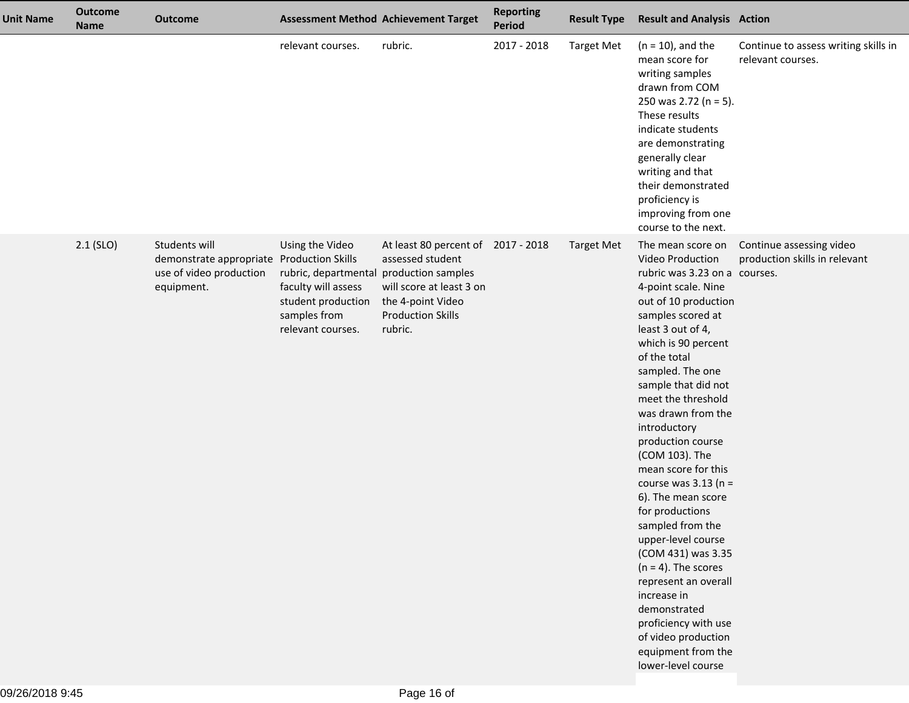| <b>Unit Name</b> | <b>Outcome</b><br><b>Name</b> | <b>Outcome</b>                                                                                      |                                                                                                                                              | <b>Assessment Method Achievement Target</b>                                                                                                    | <b>Reporting</b><br><b>Period</b> | <b>Result Type</b> | <b>Result and Analysis Action</b>                                                                                                                                                                                                                                                                                                                                                                                                                                                                                                                                                                                                                                                                 |                                                           |
|------------------|-------------------------------|-----------------------------------------------------------------------------------------------------|----------------------------------------------------------------------------------------------------------------------------------------------|------------------------------------------------------------------------------------------------------------------------------------------------|-----------------------------------|--------------------|---------------------------------------------------------------------------------------------------------------------------------------------------------------------------------------------------------------------------------------------------------------------------------------------------------------------------------------------------------------------------------------------------------------------------------------------------------------------------------------------------------------------------------------------------------------------------------------------------------------------------------------------------------------------------------------------------|-----------------------------------------------------------|
|                  |                               |                                                                                                     | relevant courses.                                                                                                                            | rubric.                                                                                                                                        | 2017 - 2018                       | <b>Target Met</b>  | $(n = 10)$ , and the<br>mean score for<br>writing samples<br>drawn from COM<br>250 was 2.72 (n = 5).<br>These results<br>indicate students<br>are demonstrating<br>generally clear<br>writing and that<br>their demonstrated<br>proficiency is<br>improving from one<br>course to the next.                                                                                                                                                                                                                                                                                                                                                                                                       | Continue to assess writing skills in<br>relevant courses. |
|                  | $2.1$ (SLO)                   | Students will<br>demonstrate appropriate Production Skills<br>use of video production<br>equipment. | Using the Video<br>rubric, departmental production samples<br>faculty will assess<br>student production<br>samples from<br>relevant courses. | At least 80 percent of 2017 - 2018<br>assessed student<br>will score at least 3 on<br>the 4-point Video<br><b>Production Skills</b><br>rubric. |                                   | <b>Target Met</b>  | The mean score on<br><b>Video Production</b><br>rubric was 3.23 on a courses.<br>4-point scale. Nine<br>out of 10 production<br>samples scored at<br>least 3 out of 4,<br>which is 90 percent<br>of the total<br>sampled. The one<br>sample that did not<br>meet the threshold<br>was drawn from the<br>introductory<br>production course<br>(COM 103). The<br>mean score for this<br>course was $3.13$ (n =<br>6). The mean score<br>for productions<br>sampled from the<br>upper-level course<br>(COM 431) was 3.35<br>$(n = 4)$ . The scores<br>represent an overall<br>increase in<br>demonstrated<br>proficiency with use<br>of video production<br>equipment from the<br>lower-level course | Continue assessing video<br>production skills in relevant |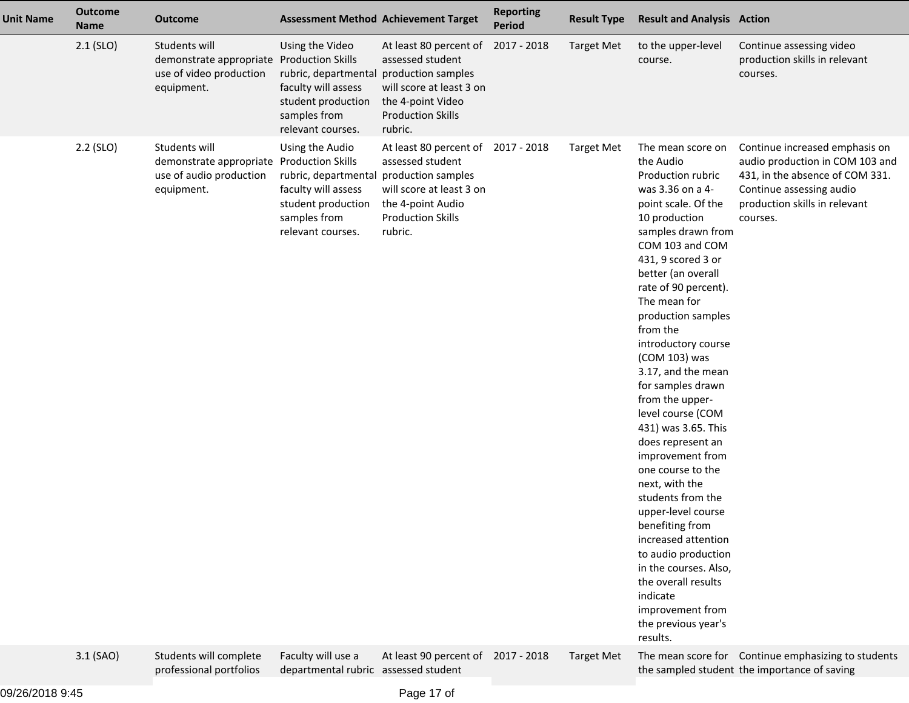| <b>Unit Name</b> | <b>Outcome</b><br><b>Name</b> | <b>Outcome</b>                                                                                      |                                                                                                                                              | <b>Assessment Method Achievement Target</b>                                                                                                                          | <b>Reporting</b><br><b>Period</b> | <b>Result Type</b> | <b>Result and Analysis Action</b>                                                                                                                                                                                                                                                                                                                                                                                                                                                                                                                                                                                                                                                                                                               |                                                                                                                                                                               |
|------------------|-------------------------------|-----------------------------------------------------------------------------------------------------|----------------------------------------------------------------------------------------------------------------------------------------------|----------------------------------------------------------------------------------------------------------------------------------------------------------------------|-----------------------------------|--------------------|-------------------------------------------------------------------------------------------------------------------------------------------------------------------------------------------------------------------------------------------------------------------------------------------------------------------------------------------------------------------------------------------------------------------------------------------------------------------------------------------------------------------------------------------------------------------------------------------------------------------------------------------------------------------------------------------------------------------------------------------------|-------------------------------------------------------------------------------------------------------------------------------------------------------------------------------|
|                  | $2.1$ (SLO)                   | Students will<br>demonstrate appropriate Production Skills<br>use of video production<br>equipment. | Using the Video<br>rubric, departmental<br>faculty will assess<br>student production<br>samples from<br>relevant courses.                    | At least 80 percent of 2017 - 2018<br>assessed student<br>production samples<br>will score at least 3 on<br>the 4-point Video<br><b>Production Skills</b><br>rubric. |                                   | <b>Target Met</b>  | to the upper-level<br>course.                                                                                                                                                                                                                                                                                                                                                                                                                                                                                                                                                                                                                                                                                                                   | Continue assessing video<br>production skills in relevant<br>courses.                                                                                                         |
|                  | $2.2$ (SLO)                   | Students will<br>demonstrate appropriate Production Skills<br>use of audio production<br>equipment. | Using the Audio<br>rubric, departmental production samples<br>faculty will assess<br>student production<br>samples from<br>relevant courses. | At least 80 percent of<br>assessed student<br>will score at least 3 on<br>the 4-point Audio<br><b>Production Skills</b><br>rubric.                                   | 2017 - 2018                       | <b>Target Met</b>  | The mean score on<br>the Audio<br>Production rubric<br>was 3.36 on a 4-<br>point scale. Of the<br>10 production<br>samples drawn from<br>COM 103 and COM<br>431, 9 scored 3 or<br>better (an overall<br>rate of 90 percent).<br>The mean for<br>production samples<br>from the<br>introductory course<br>(COM 103) was<br>3.17, and the mean<br>for samples drawn<br>from the upper-<br>level course (COM<br>431) was 3.65. This<br>does represent an<br>improvement from<br>one course to the<br>next, with the<br>students from the<br>upper-level course<br>benefiting from<br>increased attention<br>to audio production<br>in the courses. Also,<br>the overall results<br>indicate<br>improvement from<br>the previous year's<br>results. | Continue increased emphasis on<br>audio production in COM 103 and<br>431, in the absence of COM 331.<br>Continue assessing audio<br>production skills in relevant<br>courses. |
|                  | 3.1 (SAO)                     | Students will complete<br>professional portfolios                                                   | Faculty will use a<br>departmental rubric assessed student                                                                                   | At least 90 percent of 2017 - 2018                                                                                                                                   |                                   | <b>Target Met</b>  |                                                                                                                                                                                                                                                                                                                                                                                                                                                                                                                                                                                                                                                                                                                                                 | The mean score for Continue emphasizing to students<br>the sampled student the importance of saving                                                                           |
|                  |                               |                                                                                                     |                                                                                                                                              |                                                                                                                                                                      |                                   |                    |                                                                                                                                                                                                                                                                                                                                                                                                                                                                                                                                                                                                                                                                                                                                                 |                                                                                                                                                                               |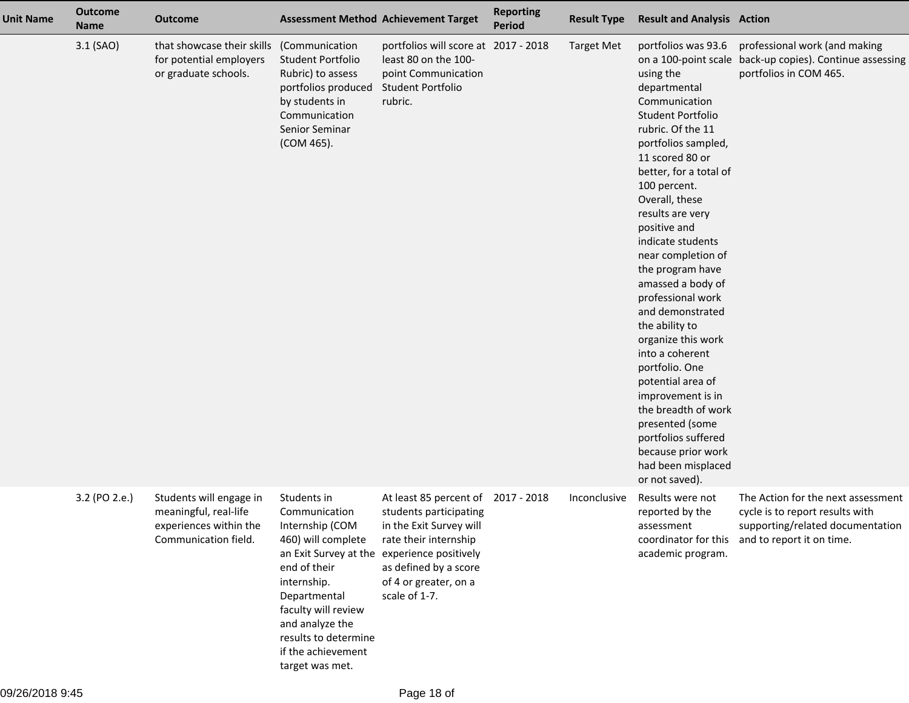| <b>Unit Name</b> | <b>Outcome</b><br><b>Name</b> | <b>Outcome</b>                                                                                     |                                                                                                                                                                                                                                 | <b>Assessment Method Achievement Target</b>                                                                                                                                                                            | <b>Reporting</b><br><b>Period</b> | <b>Result Type</b> | <b>Result and Analysis Action</b>                                                                                                                                                                                                                                                                                                                                                                                                                                                                                                                                                                                                        |                                                                                                                                        |
|------------------|-------------------------------|----------------------------------------------------------------------------------------------------|---------------------------------------------------------------------------------------------------------------------------------------------------------------------------------------------------------------------------------|------------------------------------------------------------------------------------------------------------------------------------------------------------------------------------------------------------------------|-----------------------------------|--------------------|------------------------------------------------------------------------------------------------------------------------------------------------------------------------------------------------------------------------------------------------------------------------------------------------------------------------------------------------------------------------------------------------------------------------------------------------------------------------------------------------------------------------------------------------------------------------------------------------------------------------------------------|----------------------------------------------------------------------------------------------------------------------------------------|
|                  | 3.1 (SAO)                     | that showcase their skills<br>for potential employers<br>or graduate schools.                      | (Communication<br>Student Portfolio<br>Rubric) to assess<br>portfolios produced<br>by students in<br>Communication<br>Senior Seminar<br>(COM 465).                                                                              | portfolios will score at 2017 - 2018<br>least 80 on the 100-<br>point Communication<br>Student Portfolio<br>rubric.                                                                                                    |                                   | <b>Target Met</b>  | portfolios was 93.6<br>using the<br>departmental<br>Communication<br>Student Portfolio<br>rubric. Of the 11<br>portfolios sampled,<br>11 scored 80 or<br>better, for a total of<br>100 percent.<br>Overall, these<br>results are very<br>positive and<br>indicate students<br>near completion of<br>the program have<br>amassed a body of<br>professional work<br>and demonstrated<br>the ability to<br>organize this work<br>into a coherent<br>portfolio. One<br>potential area of<br>improvement is in<br>the breadth of work<br>presented (some<br>portfolios suffered<br>because prior work<br>had been misplaced<br>or not saved). | professional work (and making<br>on a 100-point scale back-up copies). Continue assessing<br>portfolios in COM 465.                    |
|                  | 3.2 (PO 2.e.)                 | Students will engage in<br>meaningful, real-life<br>experiences within the<br>Communication field. | Students in<br>Communication<br>Internship (COM<br>460) will complete<br>end of their<br>internship.<br>Departmental<br>faculty will review<br>and analyze the<br>results to determine<br>if the achievement<br>target was met. | At least 85 percent of<br>students participating<br>in the Exit Survey will<br>rate their internship<br>an Exit Survey at the experience positively<br>as defined by a score<br>of 4 or greater, on a<br>scale of 1-7. | 2017 - 2018                       | Inconclusive       | Results were not<br>reported by the<br>assessment<br>coordinator for this<br>academic program.                                                                                                                                                                                                                                                                                                                                                                                                                                                                                                                                           | The Action for the next assessment<br>cycle is to report results with<br>supporting/related documentation<br>and to report it on time. |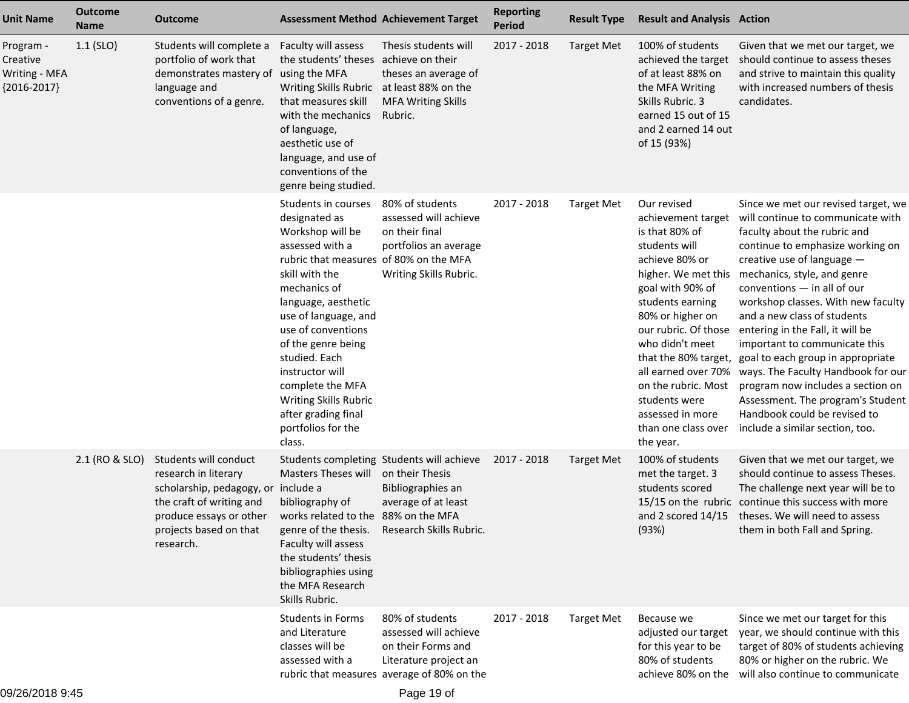| <b>Unit Name</b>                                               | <b>Outcome</b><br><b>Name</b> | Outcome                                                                                                                                                                            | <b>Assessment Method Achievement Target</b>                                                                                                                                                                                                                                                                                                                                                       |                                                                                                                                       | <b>Reporting</b><br><b>Period</b> | <b>Result Type</b> | <b>Result and Analysis Action</b>                                                                                                                                                                                                                                                                                                           |                                                                                                                                                                                                                                                                                                                                                                                                                                                                                                                                                                                                                                     |
|----------------------------------------------------------------|-------------------------------|------------------------------------------------------------------------------------------------------------------------------------------------------------------------------------|---------------------------------------------------------------------------------------------------------------------------------------------------------------------------------------------------------------------------------------------------------------------------------------------------------------------------------------------------------------------------------------------------|---------------------------------------------------------------------------------------------------------------------------------------|-----------------------------------|--------------------|---------------------------------------------------------------------------------------------------------------------------------------------------------------------------------------------------------------------------------------------------------------------------------------------------------------------------------------------|-------------------------------------------------------------------------------------------------------------------------------------------------------------------------------------------------------------------------------------------------------------------------------------------------------------------------------------------------------------------------------------------------------------------------------------------------------------------------------------------------------------------------------------------------------------------------------------------------------------------------------------|
| Program -<br>Creative<br><b>Writing - MFA</b><br>${2016-2017}$ | $1.1$ (SLO)                   | Students will complete a<br>portfolio of work that<br>demonstrates mastery of<br>language and<br>conventions of a genre.                                                           | Faculty will assess<br>the students' theses achieve on their<br>using the MFA<br>Writing Skills Rubric at least 88% on the<br>that measures skill<br>with the mechanics<br>of language,<br>aesthetic use of<br>language, and use of<br>conventions of the<br>genre being studied.                                                                                                                 | Thesis students will<br>theses an average of<br><b>MFA Writing Skills</b><br>Rubric.                                                  | 2017 - 2018                       | <b>Target Met</b>  | 100% of students<br>achieved the target<br>of at least 88% on<br>the MFA Writing<br>Skills Rubric. 3<br>earned 15 out of 15<br>and 2 earned 14 out<br>of 15 (93%)                                                                                                                                                                           | Given that we met our target, we<br>should continue to assess theses<br>and strive to maintain this quality<br>with increased numbers of thesis<br>candidates.                                                                                                                                                                                                                                                                                                                                                                                                                                                                      |
|                                                                |                               |                                                                                                                                                                                    | Students in courses<br>designated as<br>Workshop will be<br>assessed with a<br>rubric that measures of 80% on the MFA<br>skill with the<br>mechanics of<br>language, aesthetic<br>use of language, and<br>use of conventions<br>of the genre being<br>studied. Each<br>instructor will<br>complete the MFA<br><b>Writing Skills Rubric</b><br>after grading final<br>portfolios for the<br>class. | 80% of students<br>assessed will achieve<br>on their final<br>portfolios an average<br>Writing Skills Rubric.                         | 2017 - 2018                       | <b>Target Met</b>  | Our revised<br>achievement target<br>is that 80% of<br>students will<br>achieve 80% or<br>higher. We met this<br>goal with 90% of<br>students earning<br>80% or higher on<br>our rubric. Of those<br>who didn't meet<br>all earned over 70%<br>on the rubric. Most<br>students were<br>assessed in more<br>than one class over<br>the year. | Since we met our revised target, we<br>will continue to communicate with<br>faculty about the rubric and<br>continue to emphasize working on<br>creative use of language $-$<br>mechanics, style, and genre<br>conventions $-$ in all of our<br>workshop classes. With new faculty<br>and a new class of students<br>entering in the Fall, it will be<br>important to communicate this<br>that the 80% target, goal to each group in appropriate<br>ways. The Faculty Handbook for our<br>program now includes a section on<br>Assessment. The program's Student<br>Handbook could be revised to<br>include a similar section, too. |
|                                                                | 2.1 (RO & SLO)                | Students will conduct<br>research in literary<br>scholarship, pedagogy, or include a<br>the craft of writing and<br>produce essays or other<br>projects based on that<br>research. | Masters Theses will on their Thesis<br>bibliography of<br>works related to the 88% on the MFA<br>genre of the thesis.<br>Faculty will assess<br>the students' thesis<br>bibliographies using<br>the MFA Research<br>Skills Rubric.                                                                                                                                                                | Students completing Students will achieve<br>Bibliographies an<br>average of at least<br>Research Skills Rubric.                      | 2017 - 2018                       | <b>Target Met</b>  | 100% of students<br>met the target. 3<br>students scored<br>(93%)                                                                                                                                                                                                                                                                           | Given that we met our target, we<br>should continue to assess Theses.<br>The challenge next year will be to<br>15/15 on the rubric continue this success with more<br>and 2 scored 14/15 theses. We will need to assess<br>them in both Fall and Spring.                                                                                                                                                                                                                                                                                                                                                                            |
|                                                                |                               |                                                                                                                                                                                    | <b>Students in Forms</b><br>and Literature<br>classes will be<br>assessed with a                                                                                                                                                                                                                                                                                                                  | 80% of students<br>assessed will achieve<br>on their Forms and<br>Literature project an<br>rubric that measures average of 80% on the | 2017 - 2018                       | <b>Target Met</b>  | Because we<br>adjusted our target<br>for this year to be<br>80% of students<br>achieve 80% on the                                                                                                                                                                                                                                           | Since we met our target for this<br>year, we should continue with this<br>target of 80% of students achieving<br>80% or higher on the rubric. We<br>will also continue to communicate                                                                                                                                                                                                                                                                                                                                                                                                                                               |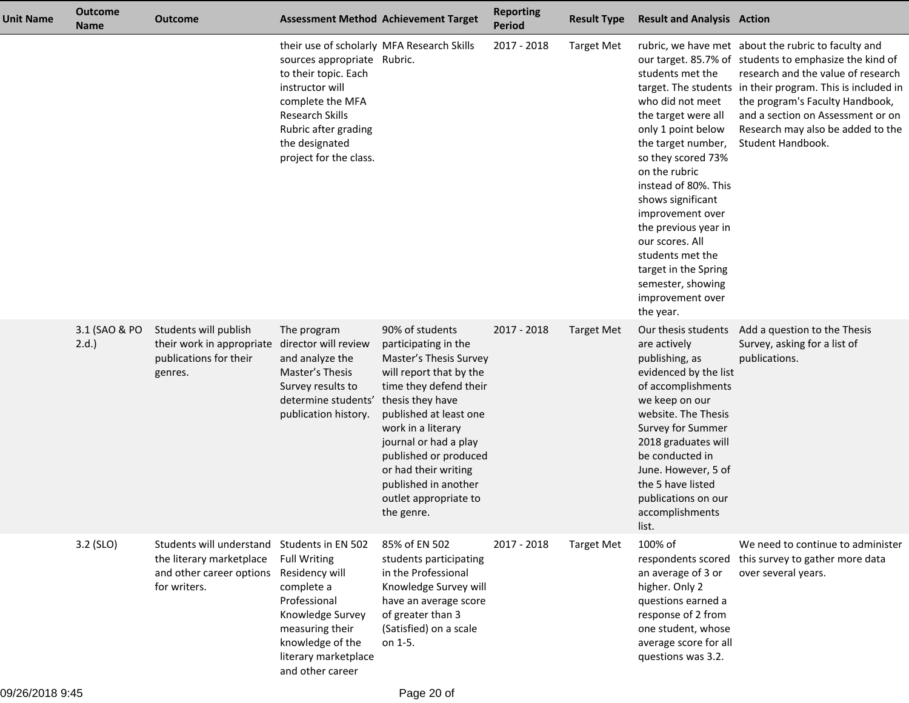| <b>Unit Name</b> | <b>Outcome</b><br><b>Name</b> | <b>Outcome</b>                                                                                   |                                                                                                                                                                                                                                        | <b>Assessment Method Achievement Target</b>                                                                                                                                                                                                                                                                                         | <b>Reporting</b><br><b>Period</b> | <b>Result Type</b> | <b>Result and Analysis Action</b>                                                                                                                                                                                                                                                                                                                            |                                                                                                                                                                                                                                                                                                                                                     |
|------------------|-------------------------------|--------------------------------------------------------------------------------------------------|----------------------------------------------------------------------------------------------------------------------------------------------------------------------------------------------------------------------------------------|-------------------------------------------------------------------------------------------------------------------------------------------------------------------------------------------------------------------------------------------------------------------------------------------------------------------------------------|-----------------------------------|--------------------|--------------------------------------------------------------------------------------------------------------------------------------------------------------------------------------------------------------------------------------------------------------------------------------------------------------------------------------------------------------|-----------------------------------------------------------------------------------------------------------------------------------------------------------------------------------------------------------------------------------------------------------------------------------------------------------------------------------------------------|
|                  |                               |                                                                                                  | their use of scholarly MFA Research Skills<br>sources appropriate Rubric.<br>to their topic. Each<br>instructor will<br>complete the MFA<br><b>Research Skills</b><br>Rubric after grading<br>the designated<br>project for the class. |                                                                                                                                                                                                                                                                                                                                     | 2017 - 2018                       | <b>Target Met</b>  | students met the<br>who did not meet<br>the target were all<br>only 1 point below<br>the target number,<br>so they scored 73%<br>on the rubric<br>instead of 80%. This<br>shows significant<br>improvement over<br>the previous year in<br>our scores. All<br>students met the<br>target in the Spring<br>semester, showing<br>improvement over<br>the year. | rubric, we have met about the rubric to faculty and<br>our target. 85.7% of students to emphasize the kind of<br>research and the value of research<br>target. The students in their program. This is included in<br>the program's Faculty Handbook,<br>and a section on Assessment or on<br>Research may also be added to the<br>Student Handbook. |
|                  | 3.1 (SAO & PO<br>2.d.         | Students will publish<br>their work in appropriate<br>publications for their<br>genres.          | The program<br>director will review<br>and analyze the<br>Master's Thesis<br>Survey results to<br>determine students'<br>publication history.                                                                                          | 90% of students<br>participating in the<br>Master's Thesis Survey<br>will report that by the<br>time they defend their<br>thesis they have<br>published at least one<br>work in a literary<br>journal or had a play<br>published or produced<br>or had their writing<br>published in another<br>outlet appropriate to<br>the genre. | 2017 - 2018                       | <b>Target Met</b>  | Our thesis students<br>are actively<br>publishing, as<br>evidenced by the list<br>of accomplishments<br>we keep on our<br>website. The Thesis<br>Survey for Summer<br>2018 graduates will<br>be conducted in<br>June. However, 5 of<br>the 5 have listed<br>publications on our<br>accomplishments<br>list.                                                  | Add a question to the Thesis<br>Survey, asking for a list of<br>publications.                                                                                                                                                                                                                                                                       |
|                  | 3.2 (SLO)                     | Students will understand<br>the literary marketplace<br>and other career options<br>for writers. | Students in EN 502<br><b>Full Writing</b><br>Residency will<br>complete a<br>Professional<br>Knowledge Survey<br>measuring their<br>knowledge of the<br>literary marketplace<br>and other career                                       | 85% of EN 502<br>students participating<br>in the Professional<br>Knowledge Survey will<br>have an average score<br>of greater than 3<br>(Satisfied) on a scale<br>on 1-5.                                                                                                                                                          | 2017 - 2018                       | <b>Target Met</b>  | 100% of<br>respondents scored<br>an average of 3 or<br>higher. Only 2<br>questions earned a<br>response of 2 from<br>one student, whose<br>average score for all<br>questions was 3.2.                                                                                                                                                                       | We need to continue to administer<br>this survey to gather more data<br>over several years.                                                                                                                                                                                                                                                         |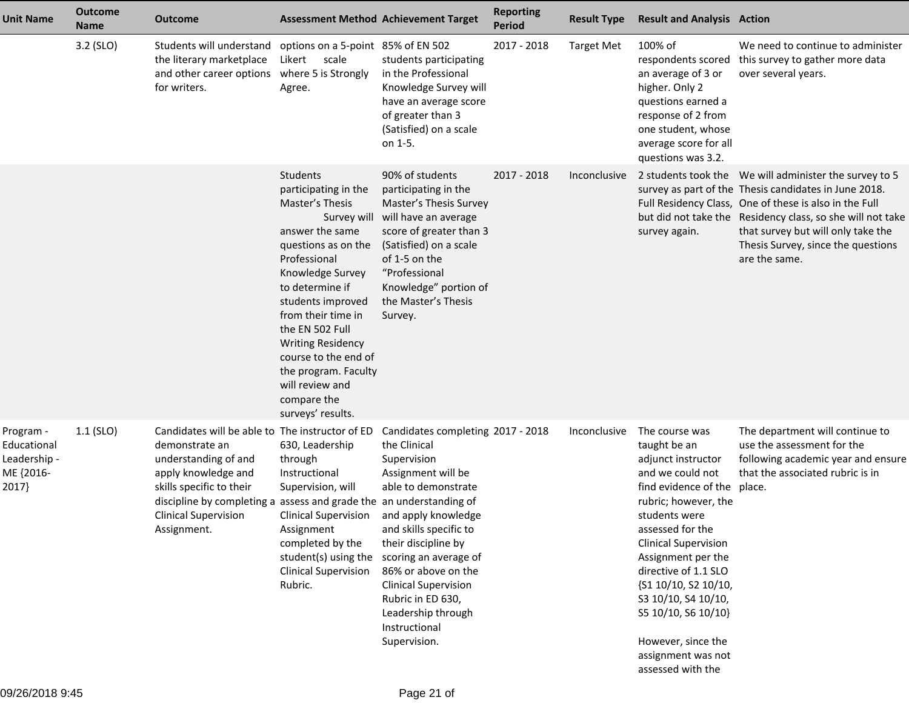| <b>Unit Name</b>                                               | <b>Outcome</b><br><b>Name</b> | <b>Outcome</b>                                                                                                                                                                                                                                                    | <b>Assessment Method Achievement Target</b>                                                                                                                                                                                                                                                                                                           |                                                                                                                                                                                                                                                                                                                                                                       | <b>Reporting</b><br><b>Period</b> | <b>Result Type</b> | <b>Result and Analysis Action</b>                                                                                                                                                                                                                                                                                                                                                        |                                                                                                                                                                                                                                                                                                                                      |
|----------------------------------------------------------------|-------------------------------|-------------------------------------------------------------------------------------------------------------------------------------------------------------------------------------------------------------------------------------------------------------------|-------------------------------------------------------------------------------------------------------------------------------------------------------------------------------------------------------------------------------------------------------------------------------------------------------------------------------------------------------|-----------------------------------------------------------------------------------------------------------------------------------------------------------------------------------------------------------------------------------------------------------------------------------------------------------------------------------------------------------------------|-----------------------------------|--------------------|------------------------------------------------------------------------------------------------------------------------------------------------------------------------------------------------------------------------------------------------------------------------------------------------------------------------------------------------------------------------------------------|--------------------------------------------------------------------------------------------------------------------------------------------------------------------------------------------------------------------------------------------------------------------------------------------------------------------------------------|
|                                                                | 3.2 (SLO)                     | Students will understand<br>the literary marketplace<br>and other career options<br>for writers.                                                                                                                                                                  | options on a 5-point 85% of EN 502<br>Likert<br>scale<br>where 5 is Strongly<br>Agree.                                                                                                                                                                                                                                                                | students participating<br>in the Professional<br>Knowledge Survey will<br>have an average score<br>of greater than 3<br>(Satisfied) on a scale<br>on 1-5.                                                                                                                                                                                                             | 2017 - 2018                       | <b>Target Met</b>  | 100% of<br>respondents scored<br>an average of 3 or<br>higher. Only 2<br>questions earned a<br>response of 2 from<br>one student, whose<br>average score for all<br>questions was 3.2.                                                                                                                                                                                                   | We need to continue to administer<br>this survey to gather more data<br>over several years.                                                                                                                                                                                                                                          |
|                                                                |                               |                                                                                                                                                                                                                                                                   | Students<br>participating in the<br>Master's Thesis<br>answer the same<br>questions as on the<br>Professional<br>Knowledge Survey<br>to determine if<br>students improved<br>from their time in<br>the EN 502 Full<br><b>Writing Residency</b><br>course to the end of<br>the program. Faculty<br>will review and<br>compare the<br>surveys' results. | 90% of students<br>participating in the<br>Master's Thesis Survey<br>Survey will will have an average<br>score of greater than 3<br>(Satisfied) on a scale<br>of 1-5 on the<br>"Professional<br>Knowledge" portion of<br>the Master's Thesis<br>Survey.                                                                                                               | 2017 - 2018                       | Inconclusive       | survey again.                                                                                                                                                                                                                                                                                                                                                                            | 2 students took the We will administer the survey to 5<br>survey as part of the Thesis candidates in June 2018.<br>Full Residency Class, One of these is also in the Full<br>but did not take the Residency class, so she will not take<br>that survey but will only take the<br>Thesis Survey, since the questions<br>are the same. |
| Program -<br>Educational<br>Leadership -<br>ME {2016-<br>2017} | $1.1$ (SLO)                   | Candidates will be able to The instructor of ED<br>demonstrate an<br>understanding of and<br>apply knowledge and<br>skills specific to their<br>discipline by completing a assess and grade the an understanding of<br><b>Clinical Supervision</b><br>Assignment. | 630, Leadership<br>through<br>Instructional<br>Supervision, will<br>Clinical Supervision<br>Assignment<br>completed by the<br><b>Clinical Supervision</b><br>Rubric.                                                                                                                                                                                  | Candidates completing 2017 - 2018<br>the Clinical<br>Supervision<br>Assignment will be<br>able to demonstrate<br>and apply knowledge<br>and skills specific to<br>their discipline by<br>student(s) using the scoring an average of<br>86% or above on the<br><b>Clinical Supervision</b><br>Rubric in ED 630,<br>Leadership through<br>Instructional<br>Supervision. |                                   | Inconclusive       | The course was<br>taught be an<br>adjunct instructor<br>and we could not<br>find evidence of the place.<br>rubric; however, the<br>students were<br>assessed for the<br><b>Clinical Supervision</b><br>Assignment per the<br>directive of 1.1 SLO<br>{S1 10/10, S2 10/10,<br>S3 10/10, S4 10/10,<br>S5 10/10, S6 10/10}<br>However, since the<br>assignment was not<br>assessed with the | The department will continue to<br>use the assessment for the<br>following academic year and ensure<br>that the associated rubric is in                                                                                                                                                                                              |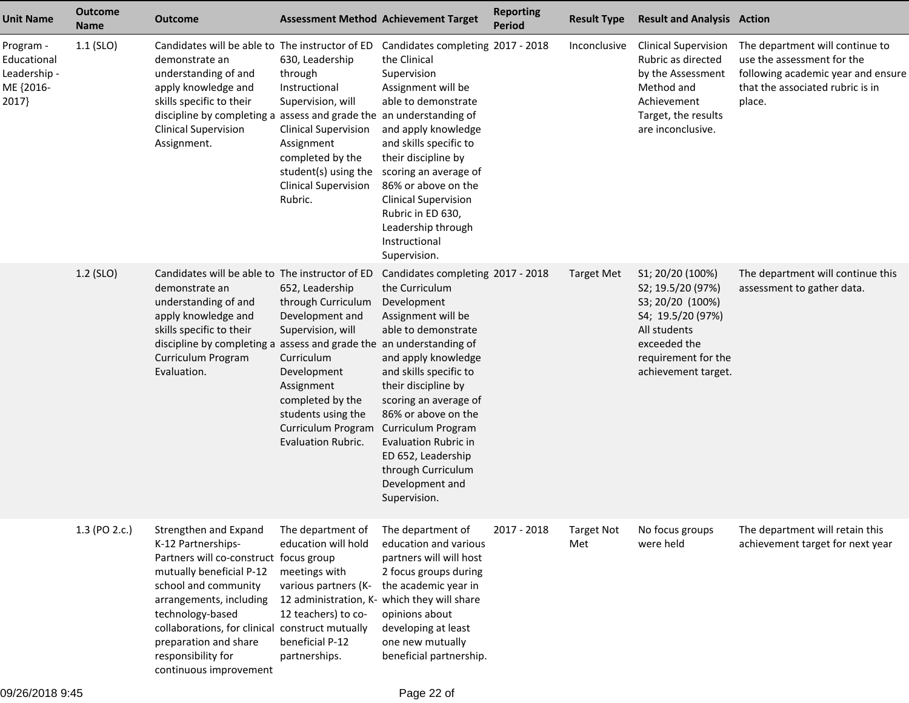| <b>Unit Name</b>                                               | <b>Outcome</b><br><b>Name</b> | <b>Outcome</b>                                                                                                                                                                                                                                                                                      | <b>Assessment Method Achievement Target</b>                                                                                                                                                                                              |                                                                                                                                                                                                                                                                                                                                                       | <b>Reporting</b><br><b>Period</b> | <b>Result Type</b>       | <b>Result and Analysis Action</b>                                                                                                                            |                                                                                                                                                   |
|----------------------------------------------------------------|-------------------------------|-----------------------------------------------------------------------------------------------------------------------------------------------------------------------------------------------------------------------------------------------------------------------------------------------------|------------------------------------------------------------------------------------------------------------------------------------------------------------------------------------------------------------------------------------------|-------------------------------------------------------------------------------------------------------------------------------------------------------------------------------------------------------------------------------------------------------------------------------------------------------------------------------------------------------|-----------------------------------|--------------------------|--------------------------------------------------------------------------------------------------------------------------------------------------------------|---------------------------------------------------------------------------------------------------------------------------------------------------|
| Program -<br>Educational<br>Leadership -<br>ME {2016-<br>2017} | $1.1$ (SLO)                   | Candidates will be able to The instructor of ED Candidates completing 2017 - 2018<br>demonstrate an<br>understanding of and<br>apply knowledge and<br>skills specific to their<br>discipline by completing a assess and grade the an understanding of<br><b>Clinical Supervision</b><br>Assignment. | 630, Leadership<br>through<br>Instructional<br>Supervision, will<br><b>Clinical Supervision</b><br>Assignment<br>completed by the<br><b>Clinical Supervision</b><br>Rubric.                                                              | the Clinical<br>Supervision<br>Assignment will be<br>able to demonstrate<br>and apply knowledge<br>and skills specific to<br>their discipline by<br>student(s) using the scoring an average of<br>86% or above on the<br><b>Clinical Supervision</b><br>Rubric in ED 630,<br>Leadership through<br>Instructional<br>Supervision.                      |                                   | Inconclusive             | <b>Clinical Supervision</b><br>Rubric as directed<br>by the Assessment<br>Method and<br>Achievement<br>Target, the results<br>are inconclusive.              | The department will continue to<br>use the assessment for the<br>following academic year and ensure<br>that the associated rubric is in<br>place. |
|                                                                | 1.2 (SLO)                     | Candidates will be able to The instructor of ED<br>demonstrate an<br>understanding of and<br>apply knowledge and<br>skills specific to their<br>discipline by completing a assess and grade the an understanding of<br>Curriculum Program<br>Evaluation.                                            | 652, Leadership<br>through Curriculum<br>Development and<br>Supervision, will<br>Curriculum<br>Development<br>Assignment<br>completed by the<br>students using the<br>Curriculum Program Curriculum Program<br><b>Evaluation Rubric.</b> | Candidates completing 2017 - 2018<br>the Curriculum<br>Development<br>Assignment will be<br>able to demonstrate<br>and apply knowledge<br>and skills specific to<br>their discipline by<br>scoring an average of<br>86% or above on the<br><b>Evaluation Rubric in</b><br>ED 652, Leadership<br>through Curriculum<br>Development and<br>Supervision. |                                   | <b>Target Met</b>        | S1; 20/20 (100%)<br>S2; 19.5/20 (97%)<br>S3; 20/20 (100%)<br>S4; 19.5/20 (97%)<br>All students<br>exceeded the<br>requirement for the<br>achievement target. | The department will continue this<br>assessment to gather data.                                                                                   |
|                                                                | 1.3 (PO 2.c.)                 | Strengthen and Expand<br>K-12 Partnerships-<br>Partners will co-construct focus group<br>mutually beneficial P-12<br>school and community<br>arrangements, including<br>technology-based<br>collaborations, for clinical<br>preparation and share<br>responsibility for<br>continuous improvement   | The department of<br>education will hold<br>meetings with<br>various partners (K-<br>12 administration, K- which they will share<br>12 teachers) to co-<br>construct mutually<br>beneficial P-12<br>partnerships.                        | The department of<br>education and various<br>partners will will host<br>2 focus groups during<br>the academic year in<br>opinions about<br>developing at least<br>one new mutually<br>beneficial partnership.                                                                                                                                        | 2017 - 2018                       | <b>Target Not</b><br>Met | No focus groups<br>were held                                                                                                                                 | The department will retain this<br>achievement target for next year                                                                               |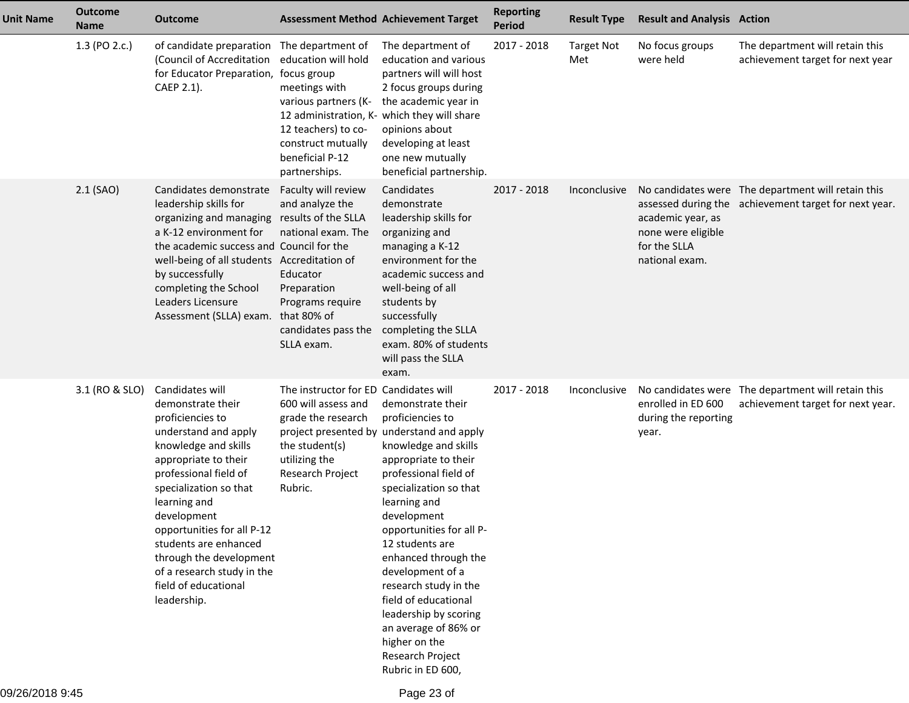| <b>Unit Name</b> | <b>Outcome</b><br><b>Name</b> | <b>Outcome</b>                                                                                                                                                                                                                                                                                                                                                            |                                                                                                                                                                 | <b>Assessment Method Achievement Target</b>                                                                                                                                                                                                                                                                                                                                                                                                                                 | <b>Reporting</b><br><b>Period</b> | <b>Result Type</b>       | <b>Result and Analysis Action</b>                                         |                                                                                                             |
|------------------|-------------------------------|---------------------------------------------------------------------------------------------------------------------------------------------------------------------------------------------------------------------------------------------------------------------------------------------------------------------------------------------------------------------------|-----------------------------------------------------------------------------------------------------------------------------------------------------------------|-----------------------------------------------------------------------------------------------------------------------------------------------------------------------------------------------------------------------------------------------------------------------------------------------------------------------------------------------------------------------------------------------------------------------------------------------------------------------------|-----------------------------------|--------------------------|---------------------------------------------------------------------------|-------------------------------------------------------------------------------------------------------------|
|                  | 1.3 (PO 2.c.)                 | of candidate preparation The department of<br>(Council of Accreditation<br>for Educator Preparation, focus group<br>CAEP 2.1).                                                                                                                                                                                                                                            | education will hold<br>meetings with<br>various partners (K-<br>12 teachers) to co-<br>construct mutually<br>beneficial P-12<br>partnerships.                   | The department of<br>education and various<br>partners will will host<br>2 focus groups during<br>the academic year in<br>12 administration, K- which they will share<br>opinions about<br>developing at least<br>one new mutually<br>beneficial partnership.                                                                                                                                                                                                               | 2017 - 2018                       | <b>Target Not</b><br>Met | No focus groups<br>were held                                              | The department will retain this<br>achievement target for next year                                         |
|                  | 2.1 (SAO)                     | Candidates demonstrate<br>leadership skills for<br>organizing and managing results of the SLLA<br>a K-12 environment for<br>the academic success and Council for the<br>well-being of all students Accreditation of<br>by successfully<br>completing the School<br>Leaders Licensure<br>Assessment (SLLA) exam.                                                           | Faculty will review<br>and analyze the<br>national exam. The<br>Educator<br>Preparation<br>Programs require<br>that 80% of<br>candidates pass the<br>SLLA exam. | Candidates<br>demonstrate<br>leadership skills for<br>organizing and<br>managing a K-12<br>environment for the<br>academic success and<br>well-being of all<br>students by<br>successfully<br>completing the SLLA<br>exam. 80% of students<br>will pass the SLLA<br>exam.                                                                                                                                                                                                   | 2017 - 2018                       | Inconclusive             | academic year, as<br>none were eligible<br>for the SLLA<br>national exam. | No candidates were The department will retain this<br>assessed during the achievement target for next year. |
|                  | 3.1 (RO & SLO)                | Candidates will<br>demonstrate their<br>proficiencies to<br>understand and apply<br>knowledge and skills<br>appropriate to their<br>professional field of<br>specialization so that<br>learning and<br>development<br>opportunities for all P-12<br>students are enhanced<br>through the development<br>of a research study in the<br>field of educational<br>leadership. | The instructor for ED Candidates will<br>600 will assess and<br>grade the research<br>the student(s)<br>utilizing the<br>Research Project<br>Rubric.            | demonstrate their<br>proficiencies to<br>project presented by understand and apply<br>knowledge and skills<br>appropriate to their<br>professional field of<br>specialization so that<br>learning and<br>development<br>opportunities for all P-<br>12 students are<br>enhanced through the<br>development of a<br>research study in the<br>field of educational<br>leadership by scoring<br>an average of 86% or<br>higher on the<br>Research Project<br>Rubric in ED 600, | 2017 - 2018                       | Inconclusive             | enrolled in ED 600<br>during the reporting<br>year.                       | No candidates were The department will retain this<br>achievement target for next year.                     |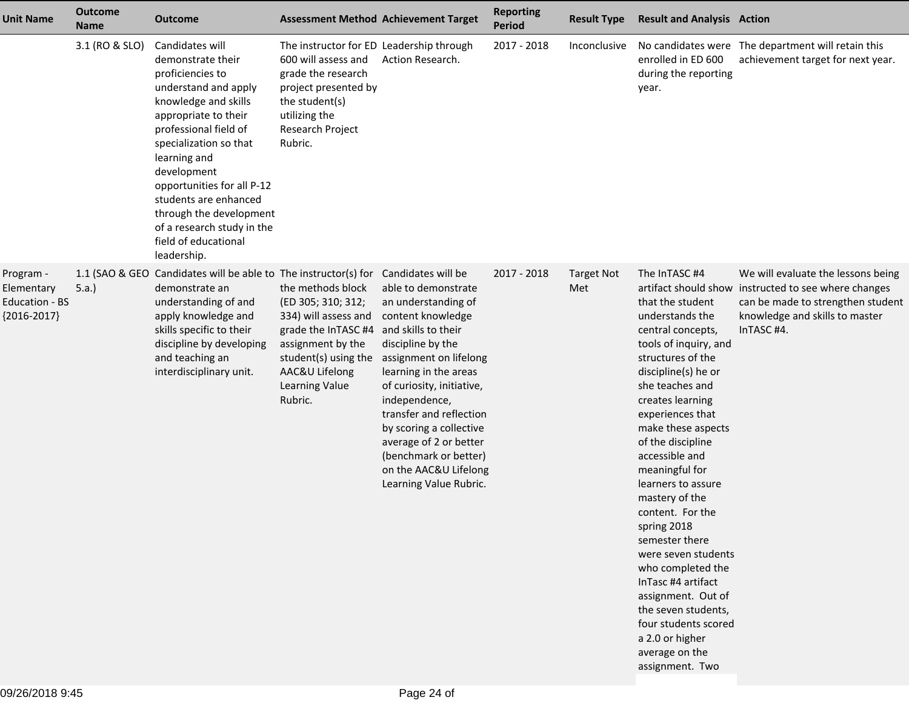| <b>Unit Name</b>                                                  | Outcome<br><b>Name</b> | <b>Outcome</b>                                                                                                                                                                                                                                                                                                                                                            | <b>Assessment Method Achievement Target</b>                                                                                                                                        |                                                                                                                                                                                                                                                                                                                                                                                                | <b>Reporting</b><br>Period | <b>Result Type</b>       | <b>Result and Analysis Action</b>                                                                                                                                                                                                                                                                                                                                                                                                                                                                                                                                                    |                                                                                                                                                                                 |
|-------------------------------------------------------------------|------------------------|---------------------------------------------------------------------------------------------------------------------------------------------------------------------------------------------------------------------------------------------------------------------------------------------------------------------------------------------------------------------------|------------------------------------------------------------------------------------------------------------------------------------------------------------------------------------|------------------------------------------------------------------------------------------------------------------------------------------------------------------------------------------------------------------------------------------------------------------------------------------------------------------------------------------------------------------------------------------------|----------------------------|--------------------------|--------------------------------------------------------------------------------------------------------------------------------------------------------------------------------------------------------------------------------------------------------------------------------------------------------------------------------------------------------------------------------------------------------------------------------------------------------------------------------------------------------------------------------------------------------------------------------------|---------------------------------------------------------------------------------------------------------------------------------------------------------------------------------|
|                                                                   | 3.1 (RO & SLO)         | Candidates will<br>demonstrate their<br>proficiencies to<br>understand and apply<br>knowledge and skills<br>appropriate to their<br>professional field of<br>specialization so that<br>learning and<br>development<br>opportunities for all P-12<br>students are enhanced<br>through the development<br>of a research study in the<br>field of educational<br>leadership. | The instructor for ED Leadership through<br>600 will assess and<br>grade the research<br>project presented by<br>the student(s)<br>utilizing the<br>Research Project<br>Rubric.    | Action Research.                                                                                                                                                                                                                                                                                                                                                                               | 2017 - 2018                | Inconclusive             | enrolled in ED 600<br>during the reporting<br>year.                                                                                                                                                                                                                                                                                                                                                                                                                                                                                                                                  | No candidates were The department will retain this<br>achievement target for next year.                                                                                         |
| Program -<br>Elementary<br><b>Education - BS</b><br>${2016-2017}$ | 5.a.)                  | 1.1 (SAO & GEO Candidates will be able to The instructor(s) for<br>demonstrate an<br>understanding of and<br>apply knowledge and<br>skills specific to their<br>discipline by developing<br>and teaching an<br>interdisciplinary unit.                                                                                                                                    | the methods block<br>(ED 305; 310; 312;<br>334) will assess and<br>grade the InTASC #4<br>assignment by the<br>student(s) using the<br>AAC&U Lifelong<br>Learning Value<br>Rubric. | Candidates will be<br>able to demonstrate<br>an understanding of<br>content knowledge<br>and skills to their<br>discipline by the<br>assignment on lifelong<br>learning in the areas<br>of curiosity, initiative,<br>independence,<br>transfer and reflection<br>by scoring a collective<br>average of 2 or better<br>(benchmark or better)<br>on the AAC&U Lifelong<br>Learning Value Rubric. | 2017 - 2018                | <b>Target Not</b><br>Met | The InTASC #4<br>that the student<br>understands the<br>central concepts,<br>tools of inquiry, and<br>structures of the<br>discipline(s) he or<br>she teaches and<br>creates learning<br>experiences that<br>make these aspects<br>of the discipline<br>accessible and<br>meaningful for<br>learners to assure<br>mastery of the<br>content. For the<br>spring 2018<br>semester there<br>were seven students<br>who completed the<br>InTasc #4 artifact<br>assignment. Out of<br>the seven students,<br>four students scored<br>a 2.0 or higher<br>average on the<br>assignment. Two | We will evaluate the lessons being<br>artifact should show instructed to see where changes<br>can be made to strengthen student<br>knowledge and skills to master<br>InTASC #4. |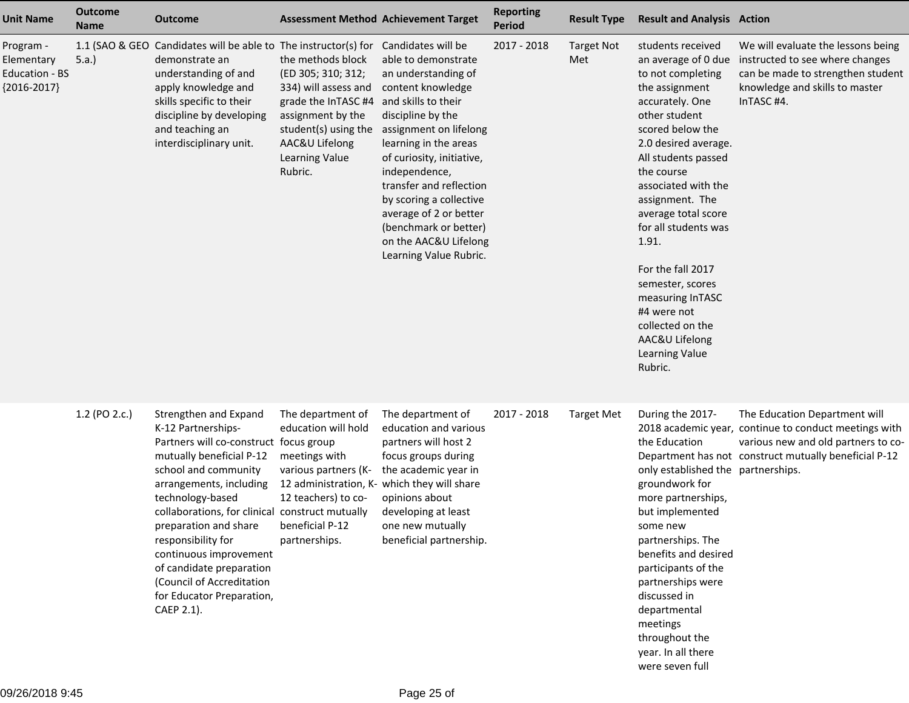| <b>Unit Name</b>                                           | <b>Outcome</b><br><b>Name</b> | <b>Outcome</b>                                                                                                                                                                                                                                                                                                                                                                                                           |                                                                                                                                                                                    | <b>Assessment Method Achievement Target</b>                                                                                                                                                                                                                                                                                                                              | <b>Reporting</b><br><b>Period</b> | <b>Result Type</b>       | <b>Result and Analysis Action</b>                                                                                                                                                                                                                                                                                                                                                                                                                     |                                                                                                                                                                                        |
|------------------------------------------------------------|-------------------------------|--------------------------------------------------------------------------------------------------------------------------------------------------------------------------------------------------------------------------------------------------------------------------------------------------------------------------------------------------------------------------------------------------------------------------|------------------------------------------------------------------------------------------------------------------------------------------------------------------------------------|--------------------------------------------------------------------------------------------------------------------------------------------------------------------------------------------------------------------------------------------------------------------------------------------------------------------------------------------------------------------------|-----------------------------------|--------------------------|-------------------------------------------------------------------------------------------------------------------------------------------------------------------------------------------------------------------------------------------------------------------------------------------------------------------------------------------------------------------------------------------------------------------------------------------------------|----------------------------------------------------------------------------------------------------------------------------------------------------------------------------------------|
| Program -<br>Elementary<br>Education - BS<br>${2016-2017}$ | 1.1 (SAO & GEO<br>5.a.        | Candidates will be able to The instructor(s) for Candidates will be<br>demonstrate an<br>understanding of and<br>apply knowledge and<br>skills specific to their<br>discipline by developing<br>and teaching an<br>interdisciplinary unit.                                                                                                                                                                               | the methods block<br>(ED 305; 310; 312;<br>334) will assess and<br>grade the InTASC #4<br>assignment by the<br>student(s) using the<br>AAC&U Lifelong<br>Learning Value<br>Rubric. | able to demonstrate<br>an understanding of<br>content knowledge<br>and skills to their<br>discipline by the<br>assignment on lifelong<br>learning in the areas<br>of curiosity, initiative,<br>independence,<br>transfer and reflection<br>by scoring a collective<br>average of 2 or better<br>(benchmark or better)<br>on the AAC&U Lifelong<br>Learning Value Rubric. | 2017 - 2018                       | <b>Target Not</b><br>Met | students received<br>an average of 0 due<br>to not completing<br>the assignment<br>accurately. One<br>other student<br>scored below the<br>2.0 desired average.<br>All students passed<br>the course<br>associated with the<br>assignment. The<br>average total score<br>for all students was<br>1.91.<br>For the fall 2017<br>semester, scores<br>measuring InTASC<br>#4 were not<br>collected on the<br>AAC&U Lifelong<br>Learning Value<br>Rubric. | We will evaluate the lessons being<br>instructed to see where changes<br>can be made to strengthen student<br>knowledge and skills to master<br>InTASC #4.                             |
|                                                            | 1.2 (PO 2.c.)                 | Strengthen and Expand<br>K-12 Partnerships-<br>Partners will co-construct focus group<br>mutually beneficial P-12<br>school and community<br>arrangements, including<br>technology-based<br>collaborations, for clinical construct mutually<br>preparation and share<br>responsibility for<br>continuous improvement<br>of candidate preparation<br>(Council of Accreditation<br>for Educator Preparation,<br>CAEP 2.1). | The department of<br>education will hold<br>meetings with<br>various partners (K-<br>12 teachers) to co-<br>beneficial P-12<br>partnerships.                                       | The department of<br>education and various<br>partners will host 2<br>focus groups during<br>the academic year in<br>12 administration, K- which they will share<br>opinions about<br>developing at least<br>one new mutually<br>beneficial partnership.                                                                                                                 | 2017 - 2018                       | <b>Target Met</b>        | During the 2017-<br>the Education<br>only established the partnerships.<br>groundwork for<br>more partnerships,<br>but implemented<br>some new<br>partnerships. The<br>benefits and desired<br>participants of the<br>partnerships were<br>discussed in<br>departmental<br>meetings<br>throughout the<br>year. In all there<br>were seven full                                                                                                        | The Education Department will<br>2018 academic year, continue to conduct meetings with<br>various new and old partners to co-<br>Department has not construct mutually beneficial P-12 |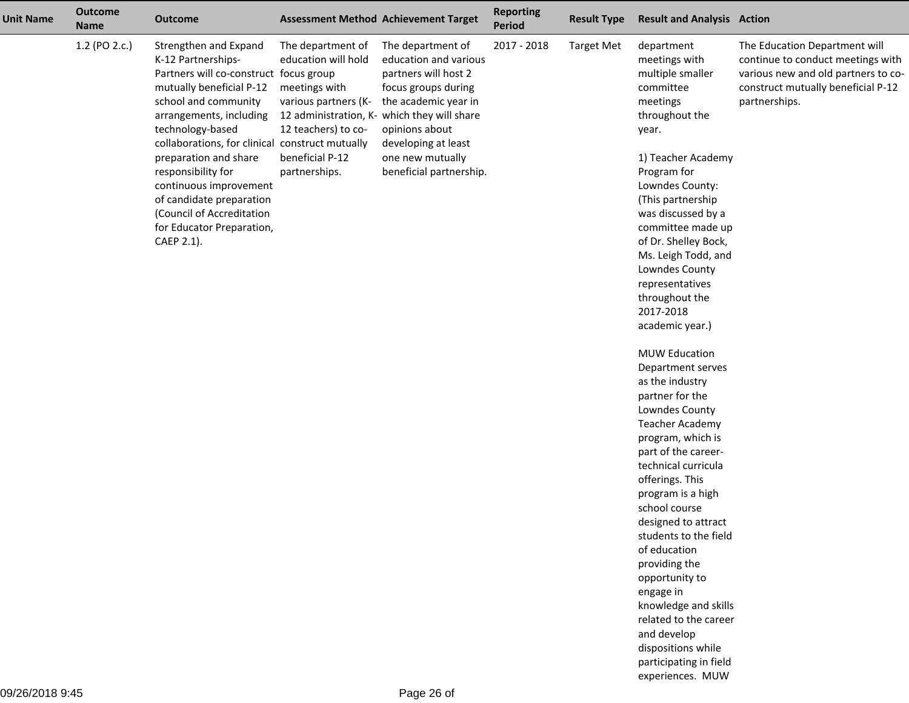| <b>Unit Name</b> | <b>Outcome</b><br><b>Name</b> | <b>Outcome</b>                                                                                                                                                                                                                                                                                                                                                                                                           |                                                                                                                                              | <b>Assessment Method Achievement Target</b>                                                                                                                                                                                                              | <b>Reporting</b><br><b>Period</b> | <b>Result Type</b> | <b>Result and Analysis Action</b>                                                                                                                                                                                                                                                                                                                                                               |                                                                                                                                                                  |
|------------------|-------------------------------|--------------------------------------------------------------------------------------------------------------------------------------------------------------------------------------------------------------------------------------------------------------------------------------------------------------------------------------------------------------------------------------------------------------------------|----------------------------------------------------------------------------------------------------------------------------------------------|----------------------------------------------------------------------------------------------------------------------------------------------------------------------------------------------------------------------------------------------------------|-----------------------------------|--------------------|-------------------------------------------------------------------------------------------------------------------------------------------------------------------------------------------------------------------------------------------------------------------------------------------------------------------------------------------------------------------------------------------------|------------------------------------------------------------------------------------------------------------------------------------------------------------------|
|                  | 1.2 (PO 2.c.)                 | Strengthen and Expand<br>K-12 Partnerships-<br>Partners will co-construct focus group<br>mutually beneficial P-12<br>school and community<br>arrangements, including<br>technology-based<br>collaborations, for clinical construct mutually<br>preparation and share<br>responsibility for<br>continuous improvement<br>of candidate preparation<br>(Council of Accreditation<br>for Educator Preparation,<br>CAEP 2.1). | The department of<br>education will hold<br>meetings with<br>various partners (K-<br>12 teachers) to co-<br>beneficial P-12<br>partnerships. | The department of<br>education and various<br>partners will host 2<br>focus groups during<br>the academic year in<br>12 administration, K- which they will share<br>opinions about<br>developing at least<br>one new mutually<br>beneficial partnership. | 2017 - 2018                       | <b>Target Met</b>  | department<br>meetings with<br>multiple smaller<br>committee<br>meetings<br>throughout the<br>year.<br>1) Teacher Academy<br>Program for<br>Lowndes County:<br>(This partnership<br>was discussed by a<br>committee made up<br>of Dr. Shelley Bock,<br>Ms. Leigh Todd, and<br>Lowndes County<br>representatives<br>throughout the                                                               | The Education Department will<br>continue to conduct meetings with<br>various new and old partners to co-<br>construct mutually beneficial P-12<br>partnerships. |
|                  |                               |                                                                                                                                                                                                                                                                                                                                                                                                                          |                                                                                                                                              |                                                                                                                                                                                                                                                          |                                   |                    | 2017-2018<br>academic year.)                                                                                                                                                                                                                                                                                                                                                                    |                                                                                                                                                                  |
|                  |                               |                                                                                                                                                                                                                                                                                                                                                                                                                          |                                                                                                                                              |                                                                                                                                                                                                                                                          |                                   |                    | <b>MUW Education</b><br>Department serves<br>as the industry<br>partner for the<br>Lowndes County<br><b>Teacher Academy</b><br>program, which is<br>part of the career-<br>technical curricula<br>offerings. This<br>program is a high<br>school course<br>designed to attract<br>students to the field<br>of education<br>providing the<br>opportunity to<br>engage in<br>knowledge and skills |                                                                                                                                                                  |
|                  |                               |                                                                                                                                                                                                                                                                                                                                                                                                                          |                                                                                                                                              |                                                                                                                                                                                                                                                          |                                   |                    | related to the career<br>and develop<br>dispositions while<br>participating in field<br>experiences. MUW                                                                                                                                                                                                                                                                                        |                                                                                                                                                                  |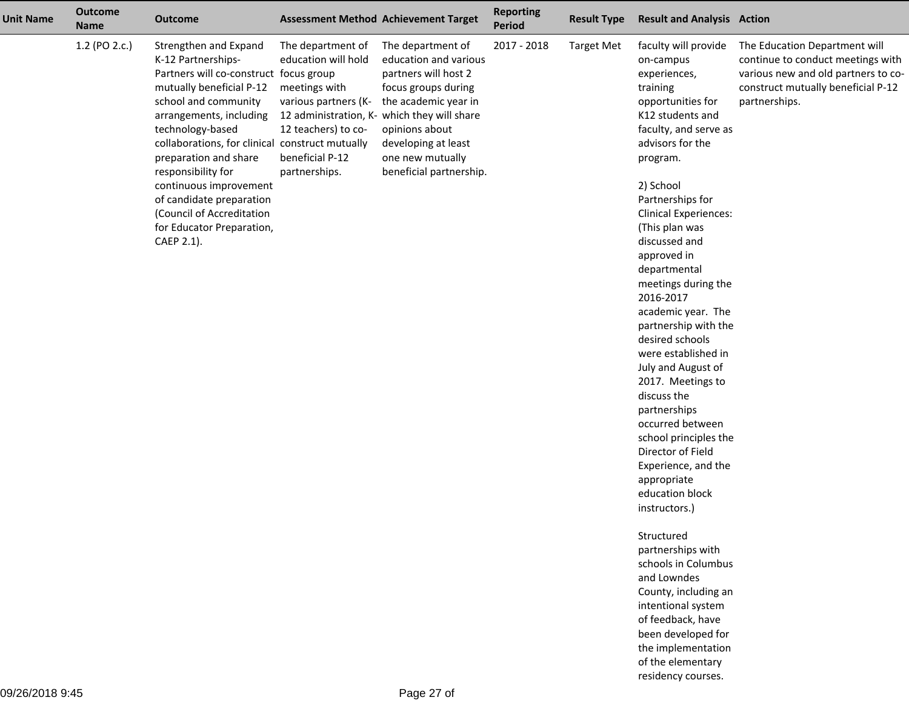| <b>Unit Name</b> | <b>Outcome</b><br><b>Name</b> | <b>Outcome</b>                                                                                                                                                                                                                                                                                                                                                                                                           |                                                                                                                                              | <b>Assessment Method Achievement Target</b>                                                                                                                                                                                                              | <b>Reporting</b><br><b>Period</b> | <b>Result Type</b> | <b>Result and Analysis Action</b>                                                                                                                                                                                                                                                                                                                                                                                                                                                                                                                                                                                                                                                                                                                                           |                                                                                                                                                                  |
|------------------|-------------------------------|--------------------------------------------------------------------------------------------------------------------------------------------------------------------------------------------------------------------------------------------------------------------------------------------------------------------------------------------------------------------------------------------------------------------------|----------------------------------------------------------------------------------------------------------------------------------------------|----------------------------------------------------------------------------------------------------------------------------------------------------------------------------------------------------------------------------------------------------------|-----------------------------------|--------------------|-----------------------------------------------------------------------------------------------------------------------------------------------------------------------------------------------------------------------------------------------------------------------------------------------------------------------------------------------------------------------------------------------------------------------------------------------------------------------------------------------------------------------------------------------------------------------------------------------------------------------------------------------------------------------------------------------------------------------------------------------------------------------------|------------------------------------------------------------------------------------------------------------------------------------------------------------------|
|                  | 1.2 (PO 2.c.)                 | Strengthen and Expand<br>K-12 Partnerships-<br>Partners will co-construct focus group<br>mutually beneficial P-12<br>school and community<br>arrangements, including<br>technology-based<br>collaborations, for clinical construct mutually<br>preparation and share<br>responsibility for<br>continuous improvement<br>of candidate preparation<br>(Council of Accreditation<br>for Educator Preparation,<br>CAEP 2.1). | The department of<br>education will hold<br>meetings with<br>various partners (K-<br>12 teachers) to co-<br>beneficial P-12<br>partnerships. | The department of<br>education and various<br>partners will host 2<br>focus groups during<br>the academic year in<br>12 administration, K- which they will share<br>opinions about<br>developing at least<br>one new mutually<br>beneficial partnership. | 2017 - 2018                       | <b>Target Met</b>  | faculty will provide<br>on-campus<br>experiences,<br>training<br>opportunities for<br>K12 students and<br>faculty, and serve as<br>advisors for the<br>program.<br>2) School<br>Partnerships for<br><b>Clinical Experiences:</b><br>(This plan was<br>discussed and<br>approved in<br>departmental<br>meetings during the<br>2016-2017<br>academic year. The<br>partnership with the<br>desired schools<br>were established in<br>July and August of<br>2017. Meetings to<br>discuss the<br>partnerships<br>occurred between<br>school principles the<br>Director of Field<br>Experience, and the<br>appropriate<br>education block<br>instructors.)<br>Structured<br>partnerships with<br>schools in Columbus<br>and Lowndes<br>County, including an<br>intentional system | The Education Department will<br>continue to conduct meetings with<br>various new and old partners to co-<br>construct mutually beneficial P-12<br>partnerships. |

 of feedback, have been developed for the implementationof the elementaryresidency courses.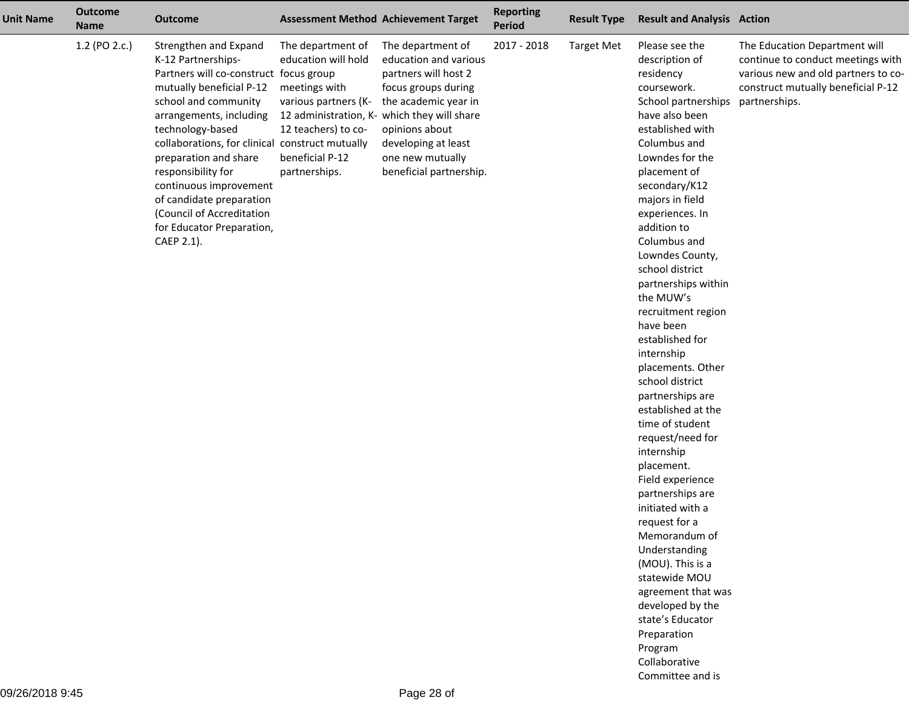| <b>Unit Name</b> | <b>Outcome</b><br><b>Name</b> | <b>Outcome</b>                                                                                                                                                                                                                                                                                                                                                                                                           |                                                                                                                                                                                             | <b>Assessment Method Achievement Target</b>                                                                                                                                                               | <b>Reporting</b><br><b>Period</b> | <b>Result Type</b> | <b>Result and Analysis Action</b>                                                                                                                                                                                                                                                                                                                                                                                                                                                                                                                                                                                                                                                                                                                                                                                                  |                                                                                                                                                                  |
|------------------|-------------------------------|--------------------------------------------------------------------------------------------------------------------------------------------------------------------------------------------------------------------------------------------------------------------------------------------------------------------------------------------------------------------------------------------------------------------------|---------------------------------------------------------------------------------------------------------------------------------------------------------------------------------------------|-----------------------------------------------------------------------------------------------------------------------------------------------------------------------------------------------------------|-----------------------------------|--------------------|------------------------------------------------------------------------------------------------------------------------------------------------------------------------------------------------------------------------------------------------------------------------------------------------------------------------------------------------------------------------------------------------------------------------------------------------------------------------------------------------------------------------------------------------------------------------------------------------------------------------------------------------------------------------------------------------------------------------------------------------------------------------------------------------------------------------------------|------------------------------------------------------------------------------------------------------------------------------------------------------------------|
|                  | 1.2 (PO 2.c.)                 | Strengthen and Expand<br>K-12 Partnerships-<br>Partners will co-construct focus group<br>mutually beneficial P-12<br>school and community<br>arrangements, including<br>technology-based<br>collaborations, for clinical construct mutually<br>preparation and share<br>responsibility for<br>continuous improvement<br>of candidate preparation<br>(Council of Accreditation<br>for Educator Preparation,<br>CAEP 2.1). | The department of<br>education will hold<br>meetings with<br>various partners (K-<br>12 administration, K- which they will share<br>12 teachers) to co-<br>beneficial P-12<br>partnerships. | The department of<br>education and various<br>partners will host 2<br>focus groups during<br>the academic year in<br>opinions about<br>developing at least<br>one new mutually<br>beneficial partnership. | 2017 - 2018                       | <b>Target Met</b>  | Please see the<br>description of<br>residency<br>coursework.<br>School partnerships<br>have also been<br>established with<br>Columbus and<br>Lowndes for the<br>placement of<br>secondary/K12<br>majors in field<br>experiences. In<br>addition to<br>Columbus and<br>Lowndes County,<br>school district<br>partnerships within<br>the MUW's<br>recruitment region<br>have been<br>established for<br>internship<br>placements. Other<br>school district<br>partnerships are<br>established at the<br>time of student<br>request/need for<br>internship<br>placement.<br>Field experience<br>partnerships are<br>initiated with a<br>request for a<br>Memorandum of<br>Understanding<br>(MOU). This is a<br>statewide MOU<br>agreement that was<br>developed by the<br>state's Educator<br>Preparation<br>Program<br>Collaborative | The Education Department will<br>continue to conduct meetings with<br>various new and old partners to co-<br>construct mutually beneficial P-12<br>partnerships. |

Committee and is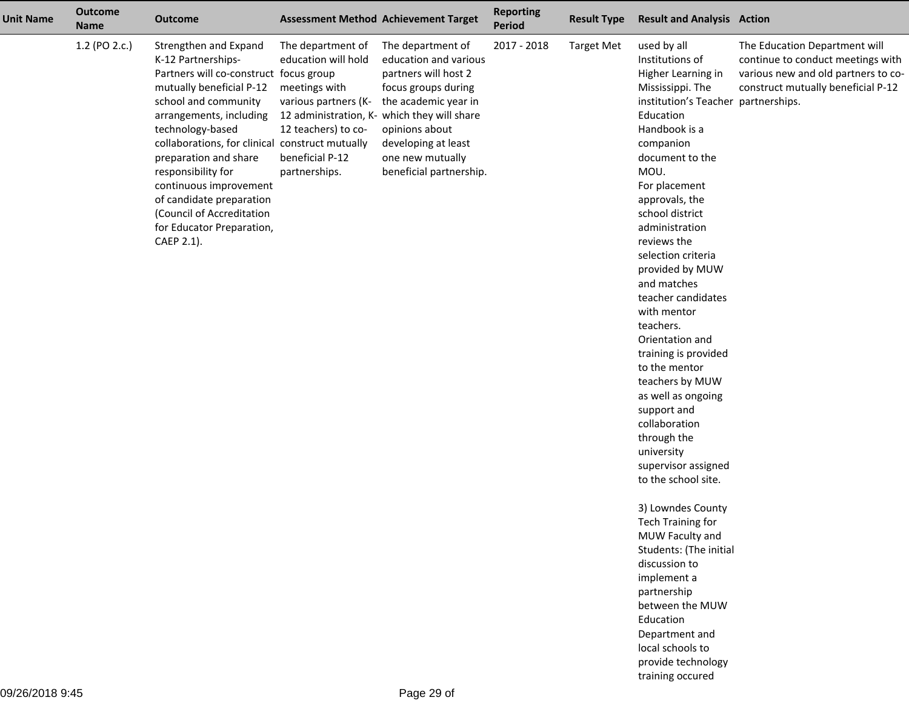| <b>Unit Name</b> | <b>Outcome</b><br><b>Name</b> | <b>Outcome</b>                                                                                                                                                                                                                                                                                                                                                                                                           |                                                                                                                                              | <b>Assessment Method Achievement Target</b>                                                                                                                                                                                                              | <b>Reporting</b><br><b>Period</b> | <b>Result Type</b> | <b>Result and Analysis Action</b>                                                                                                                                                                                                                                                                                                                                                                                                                                                                                                                                                                                                                                                                                                                                                                                         |                                                                                                                                                 |
|------------------|-------------------------------|--------------------------------------------------------------------------------------------------------------------------------------------------------------------------------------------------------------------------------------------------------------------------------------------------------------------------------------------------------------------------------------------------------------------------|----------------------------------------------------------------------------------------------------------------------------------------------|----------------------------------------------------------------------------------------------------------------------------------------------------------------------------------------------------------------------------------------------------------|-----------------------------------|--------------------|---------------------------------------------------------------------------------------------------------------------------------------------------------------------------------------------------------------------------------------------------------------------------------------------------------------------------------------------------------------------------------------------------------------------------------------------------------------------------------------------------------------------------------------------------------------------------------------------------------------------------------------------------------------------------------------------------------------------------------------------------------------------------------------------------------------------------|-------------------------------------------------------------------------------------------------------------------------------------------------|
|                  | 1.2 (PO 2.c.)                 | Strengthen and Expand<br>K-12 Partnerships-<br>Partners will co-construct focus group<br>mutually beneficial P-12<br>school and community<br>arrangements, including<br>technology-based<br>collaborations, for clinical construct mutually<br>preparation and share<br>responsibility for<br>continuous improvement<br>of candidate preparation<br>(Council of Accreditation<br>for Educator Preparation,<br>CAEP 2.1). | The department of<br>education will hold<br>meetings with<br>various partners (K-<br>12 teachers) to co-<br>beneficial P-12<br>partnerships. | The department of<br>education and various<br>partners will host 2<br>focus groups during<br>the academic year in<br>12 administration, K- which they will share<br>opinions about<br>developing at least<br>one new mutually<br>beneficial partnership. | 2017 - 2018                       | <b>Target Met</b>  | used by all<br>Institutions of<br>Higher Learning in<br>Mississippi. The<br>institution's Teacher partnerships.<br>Education<br>Handbook is a<br>companion<br>document to the<br>MOU.<br>For placement<br>approvals, the<br>school district<br>administration<br>reviews the<br>selection criteria<br>provided by MUW<br>and matches<br>teacher candidates<br>with mentor<br>teachers.<br>Orientation and<br>training is provided<br>to the mentor<br>teachers by MUW<br>as well as ongoing<br>support and<br>collaboration<br>through the<br>university<br>supervisor assigned<br>to the school site.<br>3) Lowndes County<br><b>Tech Training for</b><br>MUW Faculty and<br>Students: (The initial<br>discussion to<br>implement a<br>partnership<br>between the MUW<br>Education<br>Department and<br>local schools to | The Education Department will<br>continue to conduct meetings with<br>various new and old partners to co-<br>construct mutually beneficial P-12 |

 provide technologytraining occured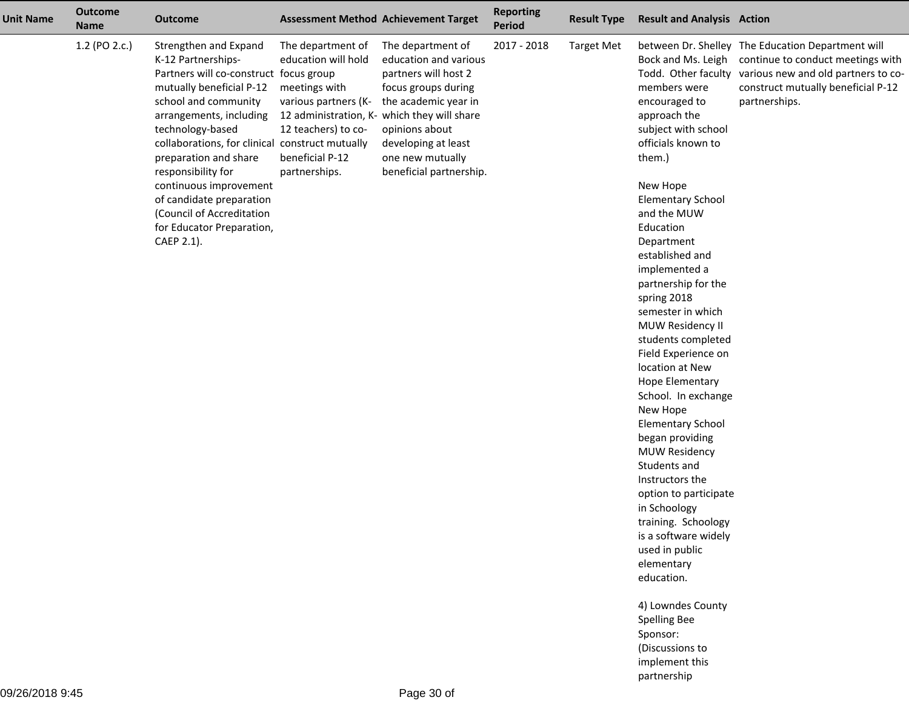| The department of<br>2017 - 2018<br>between Dr. Shelley The Education Department will<br><b>Target Met</b><br>education and various<br>Bock and Ms. Leigh<br>continue to conduct meetings with<br>partners will host 2<br>Todd. Other faculty various new and old partners to co-<br>members were<br>focus groups during<br>construct mutually beneficial P-12<br>the academic year in<br>partnerships.<br>encouraged to<br>12 administration, K- which they will share<br>approach the<br>subject with school<br>opinions about<br>officials known to<br>developing at least<br>one new mutually<br>them.)<br>beneficial partnership. |
|----------------------------------------------------------------------------------------------------------------------------------------------------------------------------------------------------------------------------------------------------------------------------------------------------------------------------------------------------------------------------------------------------------------------------------------------------------------------------------------------------------------------------------------------------------------------------------------------------------------------------------------|
| New Hope<br><b>Elementary School</b><br>and the MUW<br>Education<br>Department<br>established and<br>implemented a<br>partnership for the<br>spring 2018<br>semester in which<br>MUW Residency II<br>students completed<br>Field Experience on<br>location at New<br>Hope Elementary<br>School. In exchange<br>New Hope<br><b>Elementary School</b><br>began providing<br><b>MUW Residency</b><br>Students and<br>Instructors the<br>option to participate<br>in Schoology<br>training. Schoology<br>is a software widely<br>used in public<br>elementary<br>education.<br>4) Lowndes County<br>Spelling Bee<br>Sponsor:               |
|                                                                                                                                                                                                                                                                                                                                                                                                                                                                                                                                                                                                                                        |

 (Discussions to implement thispartnership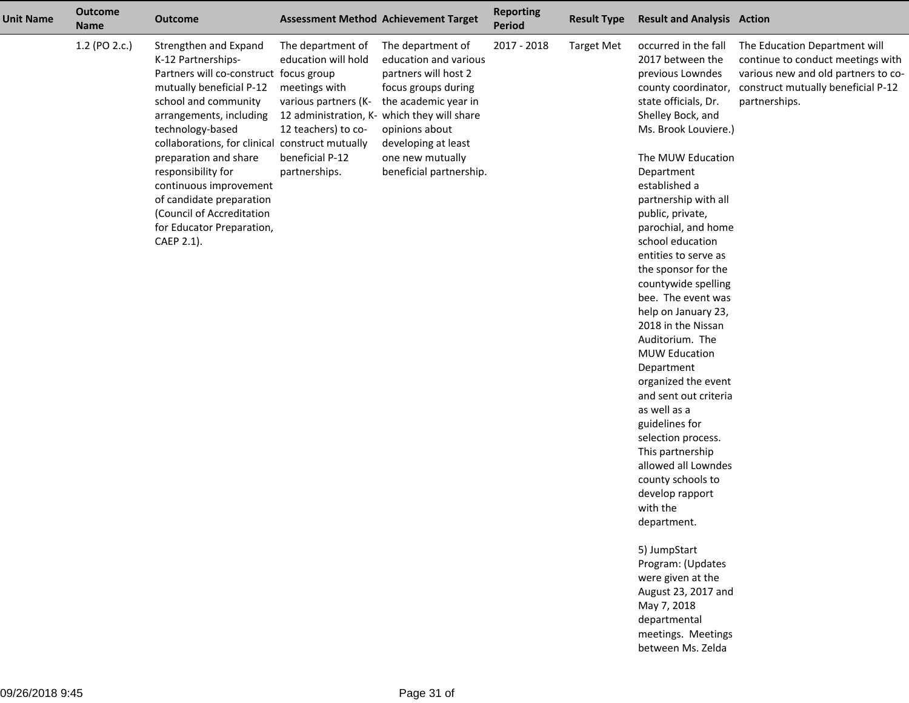| <b>Unit Name</b> | <b>Outcome</b><br><b>Name</b> | <b>Outcome</b>                                                                                                                                                                                                                                                                                                                                                                                                           |                                                                                                                                              | <b>Assessment Method Achievement Target</b>                                                                                                                                                                                                              | <b>Reporting</b><br><b>Period</b> | <b>Result Type</b> | <b>Result and Analysis Action</b>                                                                                                                                                                                                                                                                                                                                                                                                                                                                                                                                                                                                                                                                                                                                                                                           |                                                                                                                                                                  |
|------------------|-------------------------------|--------------------------------------------------------------------------------------------------------------------------------------------------------------------------------------------------------------------------------------------------------------------------------------------------------------------------------------------------------------------------------------------------------------------------|----------------------------------------------------------------------------------------------------------------------------------------------|----------------------------------------------------------------------------------------------------------------------------------------------------------------------------------------------------------------------------------------------------------|-----------------------------------|--------------------|-----------------------------------------------------------------------------------------------------------------------------------------------------------------------------------------------------------------------------------------------------------------------------------------------------------------------------------------------------------------------------------------------------------------------------------------------------------------------------------------------------------------------------------------------------------------------------------------------------------------------------------------------------------------------------------------------------------------------------------------------------------------------------------------------------------------------------|------------------------------------------------------------------------------------------------------------------------------------------------------------------|
|                  | 1.2 (PO 2.c.)                 | Strengthen and Expand<br>K-12 Partnerships-<br>Partners will co-construct focus group<br>mutually beneficial P-12<br>school and community<br>arrangements, including<br>technology-based<br>collaborations, for clinical construct mutually<br>preparation and share<br>responsibility for<br>continuous improvement<br>of candidate preparation<br>(Council of Accreditation<br>for Educator Preparation,<br>CAEP 2.1). | The department of<br>education will hold<br>meetings with<br>various partners (K-<br>12 teachers) to co-<br>beneficial P-12<br>partnerships. | The department of<br>education and various<br>partners will host 2<br>focus groups during<br>the academic year in<br>12 administration, K- which they will share<br>opinions about<br>developing at least<br>one new mutually<br>beneficial partnership. | 2017 - 2018                       | <b>Target Met</b>  | occurred in the fall<br>2017 between the<br>previous Lowndes<br>county coordinator,<br>state officials, Dr.<br>Shelley Bock, and<br>Ms. Brook Louviere.)<br>The MUW Education<br>Department<br>established a<br>partnership with all<br>public, private,<br>parochial, and home<br>school education<br>entities to serve as<br>the sponsor for the<br>countywide spelling<br>bee. The event was<br>help on January 23,<br>2018 in the Nissan<br>Auditorium. The<br><b>MUW Education</b><br>Department<br>organized the event<br>and sent out criteria<br>as well as a<br>guidelines for<br>selection process.<br>This partnership<br>allowed all Lowndes<br>county schools to<br>develop rapport<br>with the<br>department.<br>5) JumpStart<br>Program: (Updates<br>were given at the<br>August 23, 2017 and<br>May 7, 2018 | The Education Department will<br>continue to conduct meetings with<br>various new and old partners to co-<br>construct mutually beneficial P-12<br>partnerships. |

 departmental meetings. Meetingsbetween Ms. Zelda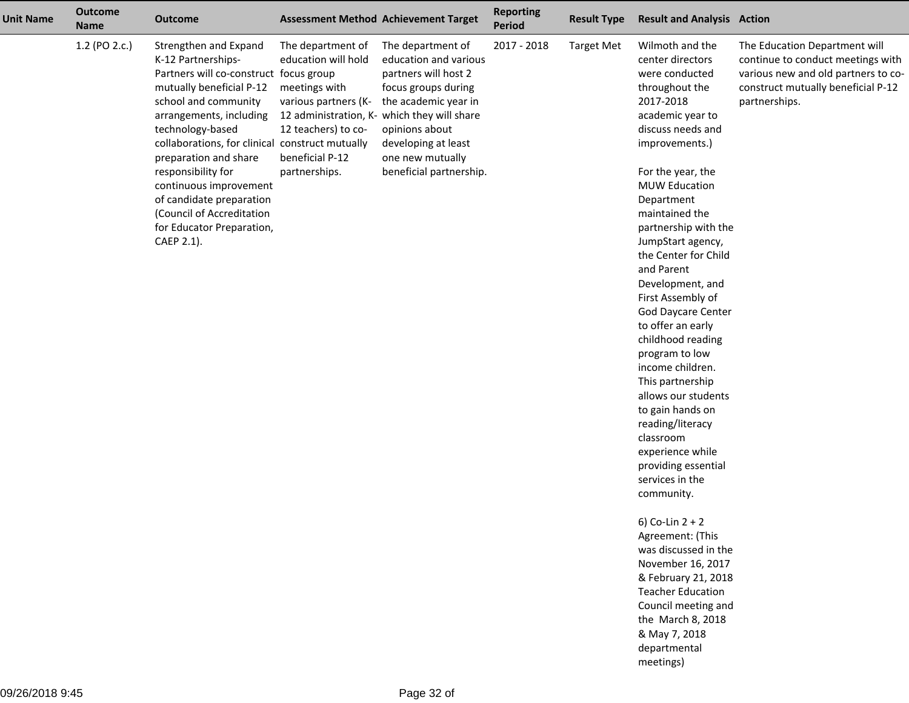| <b>Unit Name</b> | <b>Outcome</b><br><b>Name</b> | <b>Outcome</b>                                                                                                                                                                                                                                                                                                                                                                                                           |                                                                                                                                              | <b>Assessment Method Achievement Target</b>                                                                                                                                                                                                              | <b>Reporting</b><br><b>Period</b> | <b>Result Type</b> | <b>Result and Analysis Action</b>                                                                                                                                                                                                                                                                                                                                                                                                                                                                                                                                                                                                                                                                                                                                                                                 |                                                                                                                                                                  |
|------------------|-------------------------------|--------------------------------------------------------------------------------------------------------------------------------------------------------------------------------------------------------------------------------------------------------------------------------------------------------------------------------------------------------------------------------------------------------------------------|----------------------------------------------------------------------------------------------------------------------------------------------|----------------------------------------------------------------------------------------------------------------------------------------------------------------------------------------------------------------------------------------------------------|-----------------------------------|--------------------|-------------------------------------------------------------------------------------------------------------------------------------------------------------------------------------------------------------------------------------------------------------------------------------------------------------------------------------------------------------------------------------------------------------------------------------------------------------------------------------------------------------------------------------------------------------------------------------------------------------------------------------------------------------------------------------------------------------------------------------------------------------------------------------------------------------------|------------------------------------------------------------------------------------------------------------------------------------------------------------------|
|                  | 1.2 (PO 2.c.)                 | Strengthen and Expand<br>K-12 Partnerships-<br>Partners will co-construct focus group<br>mutually beneficial P-12<br>school and community<br>arrangements, including<br>technology-based<br>collaborations, for clinical construct mutually<br>preparation and share<br>responsibility for<br>continuous improvement<br>of candidate preparation<br>(Council of Accreditation<br>for Educator Preparation,<br>CAEP 2.1). | The department of<br>education will hold<br>meetings with<br>various partners (K-<br>12 teachers) to co-<br>beneficial P-12<br>partnerships. | The department of<br>education and various<br>partners will host 2<br>focus groups during<br>the academic year in<br>12 administration, K- which they will share<br>opinions about<br>developing at least<br>one new mutually<br>beneficial partnership. | 2017 - 2018                       | <b>Target Met</b>  | Wilmoth and the<br>center directors<br>were conducted<br>throughout the<br>2017-2018<br>academic year to<br>discuss needs and<br>improvements.)<br>For the year, the<br><b>MUW Education</b><br>Department<br>maintained the<br>partnership with the<br>JumpStart agency,<br>the Center for Child<br>and Parent<br>Development, and<br>First Assembly of<br><b>God Daycare Center</b><br>to offer an early<br>childhood reading<br>program to low<br>income children.<br>This partnership<br>allows our students<br>to gain hands on<br>reading/literacy<br>classroom<br>experience while<br>providing essential<br>services in the<br>community.<br>6) Co-Lin $2 + 2$<br>Agreement: (This<br>was discussed in the<br>November 16, 2017<br>& February 21, 2018<br><b>Teacher Education</b><br>Council meeting and | The Education Department will<br>continue to conduct meetings with<br>various new and old partners to co-<br>construct mutually beneficial P-12<br>partnerships. |

 the March 8, 2018& May 7, 2018 departmentalmeetings)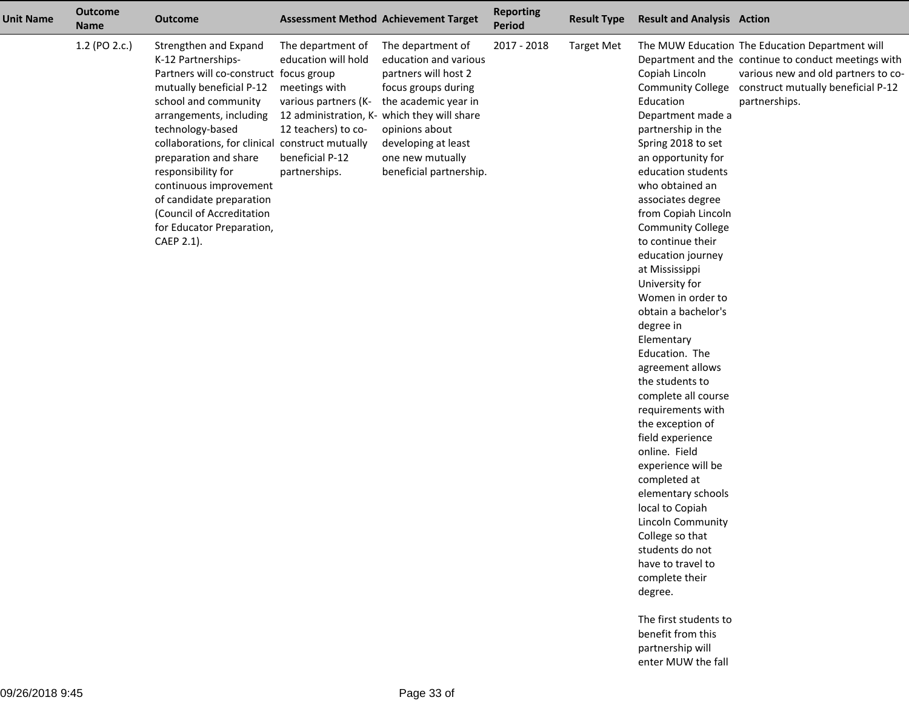| <b>Unit Name</b> | <b>Outcome</b><br><b>Name</b> | <b>Outcome</b>                                                                                                                                                                                                                                                                                                                                                                                                           |                                                                                                                                              | <b>Assessment Method Achievement Target</b>                                                                                                                                                                                                              | <b>Reporting</b><br><b>Period</b> | <b>Result Type</b> | <b>Result and Analysis Action</b>                                                                                                                                                                                                                                                                                                                                                                                                                                                                                                                                                                                                                                                                                                                                           |                                                                                                                                                                                                                         |
|------------------|-------------------------------|--------------------------------------------------------------------------------------------------------------------------------------------------------------------------------------------------------------------------------------------------------------------------------------------------------------------------------------------------------------------------------------------------------------------------|----------------------------------------------------------------------------------------------------------------------------------------------|----------------------------------------------------------------------------------------------------------------------------------------------------------------------------------------------------------------------------------------------------------|-----------------------------------|--------------------|-----------------------------------------------------------------------------------------------------------------------------------------------------------------------------------------------------------------------------------------------------------------------------------------------------------------------------------------------------------------------------------------------------------------------------------------------------------------------------------------------------------------------------------------------------------------------------------------------------------------------------------------------------------------------------------------------------------------------------------------------------------------------------|-------------------------------------------------------------------------------------------------------------------------------------------------------------------------------------------------------------------------|
|                  | 1.2 (PO 2.c.)                 | Strengthen and Expand<br>K-12 Partnerships-<br>Partners will co-construct focus group<br>mutually beneficial P-12<br>school and community<br>arrangements, including<br>technology-based<br>collaborations, for clinical construct mutually<br>preparation and share<br>responsibility for<br>continuous improvement<br>of candidate preparation<br>(Council of Accreditation<br>for Educator Preparation,<br>CAEP 2.1). | The department of<br>education will hold<br>meetings with<br>various partners (K-<br>12 teachers) to co-<br>beneficial P-12<br>partnerships. | The department of<br>education and various<br>partners will host 2<br>focus groups during<br>the academic year in<br>12 administration, K- which they will share<br>opinions about<br>developing at least<br>one new mutually<br>beneficial partnership. | 2017 - 2018                       | <b>Target Met</b>  | Copiah Lincoln<br>Education<br>Department made a<br>partnership in the<br>Spring 2018 to set<br>an opportunity for<br>education students<br>who obtained an<br>associates degree<br>from Copiah Lincoln<br><b>Community College</b><br>to continue their<br>education journey<br>at Mississippi<br>University for<br>Women in order to<br>obtain a bachelor's<br>degree in<br>Elementary<br>Education. The<br>agreement allows<br>the students to<br>complete all course<br>requirements with<br>the exception of<br>field experience<br>online. Field<br>experience will be<br>completed at<br>elementary schools<br>local to Copiah<br>Lincoln Community<br>College so that<br>students do not<br>have to travel to<br>complete their<br>degree.<br>The first students to | The MUW Education The Education Department will<br>Department and the continue to conduct meetings with<br>various new and old partners to co-<br>Community College construct mutually beneficial P-12<br>partnerships. |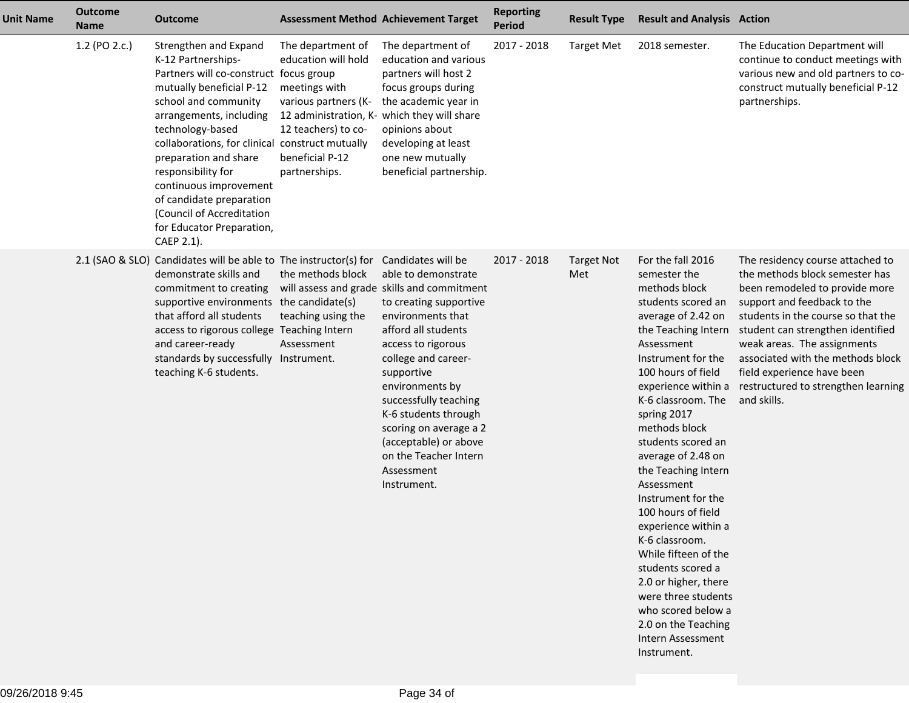| <b>Unit Name</b> | <b>Outcome</b><br><b>Name</b> | <b>Outcome</b>                                                                                                                                                                                                                                                                                                                                                                                                           |                                                                                                                                                                                             | <b>Assessment Method Achievement Target</b>                                                                                                                                                                                                                                                                                                                                                            | <b>Reporting</b><br>Period | <b>Result Type</b>       | <b>Result and Analysis Action</b>                                                                                                                                                                                                                                                                                                                                                                                                                                                                                                                                                                               |                                                                                                                                                                                                                                                                                                                                                                        |
|------------------|-------------------------------|--------------------------------------------------------------------------------------------------------------------------------------------------------------------------------------------------------------------------------------------------------------------------------------------------------------------------------------------------------------------------------------------------------------------------|---------------------------------------------------------------------------------------------------------------------------------------------------------------------------------------------|--------------------------------------------------------------------------------------------------------------------------------------------------------------------------------------------------------------------------------------------------------------------------------------------------------------------------------------------------------------------------------------------------------|----------------------------|--------------------------|-----------------------------------------------------------------------------------------------------------------------------------------------------------------------------------------------------------------------------------------------------------------------------------------------------------------------------------------------------------------------------------------------------------------------------------------------------------------------------------------------------------------------------------------------------------------------------------------------------------------|------------------------------------------------------------------------------------------------------------------------------------------------------------------------------------------------------------------------------------------------------------------------------------------------------------------------------------------------------------------------|
|                  | 1.2 (PO 2.c.)                 | Strengthen and Expand<br>K-12 Partnerships-<br>Partners will co-construct focus group<br>mutually beneficial P-12<br>school and community<br>arrangements, including<br>technology-based<br>collaborations, for clinical construct mutually<br>preparation and share<br>responsibility for<br>continuous improvement<br>of candidate preparation<br>(Council of Accreditation<br>for Educator Preparation,<br>CAEP 2.1). | The department of<br>education will hold<br>meetings with<br>various partners (K-<br>12 administration, K- which they will share<br>12 teachers) to co-<br>beneficial P-12<br>partnerships. | The department of<br>education and various<br>partners will host 2<br>focus groups during<br>the academic year in<br>opinions about<br>developing at least<br>one new mutually<br>beneficial partnership.                                                                                                                                                                                              | 2017 - 2018                | <b>Target Met</b>        | 2018 semester.                                                                                                                                                                                                                                                                                                                                                                                                                                                                                                                                                                                                  | The Education Department will<br>continue to conduct meetings with<br>various new and old partners to co-<br>construct mutually beneficial P-12<br>partnerships.                                                                                                                                                                                                       |
|                  |                               | 2.1 (SAO & SLO) Candidates will be able to The instructor(s) for<br>demonstrate skills and<br>commitment to creating<br>supportive environments the candidate(s)<br>that afford all students<br>access to rigorous college Teaching Intern<br>and career-ready<br>standards by successfully Instrument.<br>teaching K-6 students.                                                                                        | the methods block<br>teaching using the<br>Assessment                                                                                                                                       | Candidates will be<br>able to demonstrate<br>will assess and grade skills and commitment<br>to creating supportive<br>environments that<br>afford all students<br>access to rigorous<br>college and career-<br>supportive<br>environments by<br>successfully teaching<br>K-6 students through<br>scoring on average a 2<br>(acceptable) or above<br>on the Teacher Intern<br>Assessment<br>Instrument. | 2017 - 2018                | <b>Target Not</b><br>Met | For the fall 2016<br>semester the<br>methods block<br>students scored an<br>average of 2.42 on<br>the Teaching Intern<br>Assessment<br>Instrument for the<br>100 hours of field<br>experience within a<br>K-6 classroom. The<br>spring 2017<br>methods block<br>students scored an<br>average of 2.48 on<br>the Teaching Intern<br>Assessment<br>Instrument for the<br>100 hours of field<br>experience within a<br>K-6 classroom.<br>While fifteen of the<br>students scored a<br>2.0 or higher, there<br>were three students<br>who scored below a<br>2.0 on the Teaching<br>Intern Assessment<br>Instrument. | The residency course attached to<br>the methods block semester has<br>been remodeled to provide more<br>support and feedback to the<br>students in the course so that the<br>student can strengthen identified<br>weak areas. The assignments<br>associated with the methods block<br>field experience have been<br>restructured to strengthen learning<br>and skills. |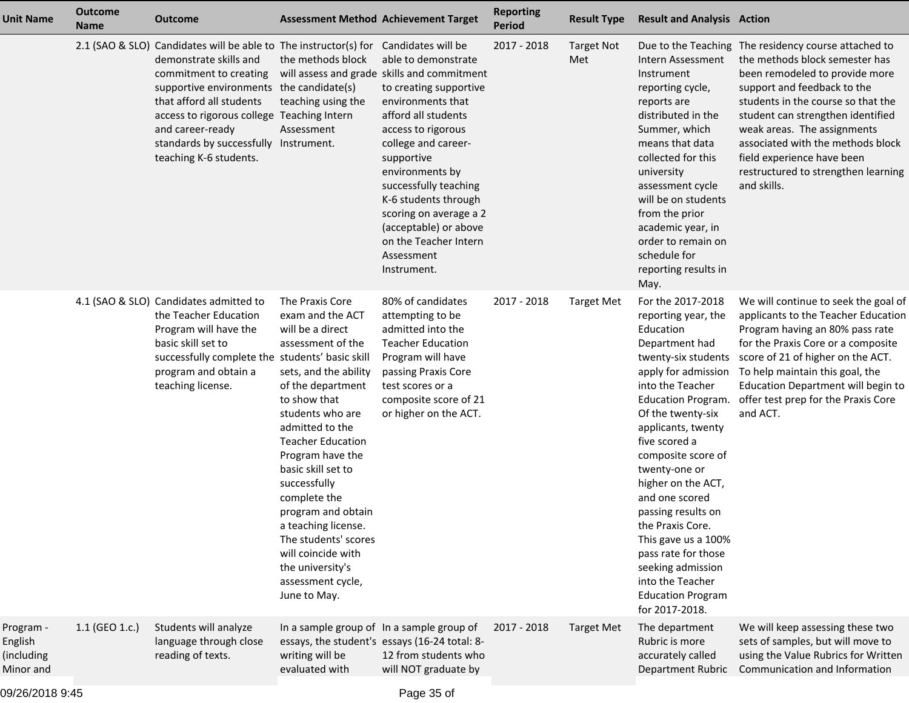| <b>Unit Name</b>                                | <b>Outcome</b><br><b>Name</b> | <b>Outcome</b>                                                                                                                                                                                                                                                                                                                    |                                                                                                                                                                                                                                                                                                                                                                                                                                             | <b>Assessment Method Achievement Target</b>                                                                                                                                                                                                                                                                                                                                                            | <b>Reporting</b><br><b>Period</b> | <b>Result Type</b>       | <b>Result and Analysis Action</b>                                                                                                                                                                                                                                                                                                                                                                                                                                                                |                                                                                                                                                                                                                                                                                                                                                                                            |
|-------------------------------------------------|-------------------------------|-----------------------------------------------------------------------------------------------------------------------------------------------------------------------------------------------------------------------------------------------------------------------------------------------------------------------------------|---------------------------------------------------------------------------------------------------------------------------------------------------------------------------------------------------------------------------------------------------------------------------------------------------------------------------------------------------------------------------------------------------------------------------------------------|--------------------------------------------------------------------------------------------------------------------------------------------------------------------------------------------------------------------------------------------------------------------------------------------------------------------------------------------------------------------------------------------------------|-----------------------------------|--------------------------|--------------------------------------------------------------------------------------------------------------------------------------------------------------------------------------------------------------------------------------------------------------------------------------------------------------------------------------------------------------------------------------------------------------------------------------------------------------------------------------------------|--------------------------------------------------------------------------------------------------------------------------------------------------------------------------------------------------------------------------------------------------------------------------------------------------------------------------------------------------------------------------------------------|
|                                                 |                               | 2.1 (SAO & SLO) Candidates will be able to The instructor(s) for<br>demonstrate skills and<br>commitment to creating<br>supportive environments the candidate(s)<br>that afford all students<br>access to rigorous college Teaching Intern<br>and career-ready<br>standards by successfully Instrument.<br>teaching K-6 students. | the methods block<br>teaching using the<br>Assessment                                                                                                                                                                                                                                                                                                                                                                                       | Candidates will be<br>able to demonstrate<br>will assess and grade skills and commitment<br>to creating supportive<br>environments that<br>afford all students<br>access to rigorous<br>college and career-<br>supportive<br>environments by<br>successfully teaching<br>K-6 students through<br>scoring on average a 2<br>(acceptable) or above<br>on the Teacher Intern<br>Assessment<br>Instrument. | 2017 - 2018                       | <b>Target Not</b><br>Met | Intern Assessment<br>Instrument<br>reporting cycle,<br>reports are<br>distributed in the<br>Summer, which<br>means that data<br>collected for this<br>university<br>assessment cycle<br>will be on students<br>from the prior<br>academic year, in<br>order to remain on<br>schedule for<br>reporting results in<br>May.                                                                                                                                                                         | Due to the Teaching The residency course attached to<br>the methods block semester has<br>been remodeled to provide more<br>support and feedback to the<br>students in the course so that the<br>student can strengthen identified<br>weak areas. The assignments<br>associated with the methods block<br>field experience have been<br>restructured to strengthen learning<br>and skills. |
|                                                 |                               | 4.1 (SAO & SLO) Candidates admitted to<br>the Teacher Education<br>Program will have the<br>basic skill set to<br>successfully complete the students' basic skill<br>program and obtain a<br>teaching license.                                                                                                                    | The Praxis Core<br>exam and the ACT<br>will be a direct<br>assessment of the<br>sets, and the ability<br>of the department<br>to show that<br>students who are<br>admitted to the<br><b>Teacher Education</b><br>Program have the<br>basic skill set to<br>successfully<br>complete the<br>program and obtain<br>a teaching license.<br>The students' scores<br>will coincide with<br>the university's<br>assessment cycle,<br>June to May. | 80% of candidates<br>attempting to be<br>admitted into the<br><b>Teacher Education</b><br>Program will have<br>passing Praxis Core<br>test scores or a<br>composite score of 21<br>or higher on the ACT.                                                                                                                                                                                               | 2017 - 2018                       | <b>Target Met</b>        | For the 2017-2018<br>reporting year, the<br>Education<br>Department had<br>twenty-six students<br>apply for admission<br>into the Teacher<br><b>Education Program.</b><br>Of the twenty-six<br>applicants, twenty<br>five scored a<br>composite score of<br>twenty-one or<br>higher on the ACT,<br>and one scored<br>passing results on<br>the Praxis Core.<br>This gave us a 100%<br>pass rate for those<br>seeking admission<br>into the Teacher<br><b>Education Program</b><br>for 2017-2018. | We will continue to seek the goal of<br>applicants to the Teacher Education<br>Program having an 80% pass rate<br>for the Praxis Core or a composite<br>score of 21 of higher on the ACT.<br>To help maintain this goal, the<br>Education Department will begin to<br>offer test prep for the Praxis Core<br>and ACT.                                                                      |
| Program -<br>English<br>(including<br>Minor and | 1.1 (GEO 1.c.)                | Students will analyze<br>language through close<br>reading of texts.                                                                                                                                                                                                                                                              | writing will be<br>evaluated with                                                                                                                                                                                                                                                                                                                                                                                                           | In a sample group of In a sample group of<br>essays, the student's essays (16-24 total: 8-<br>12 from students who<br>will NOT graduate by                                                                                                                                                                                                                                                             | 2017 - 2018                       | <b>Target Met</b>        | The department<br>Rubric is more<br>accurately called<br>Department Rubric                                                                                                                                                                                                                                                                                                                                                                                                                       | We will keep assessing these two<br>sets of samples, but will move to<br>using the Value Rubrics for Written<br>Communication and Information                                                                                                                                                                                                                                              |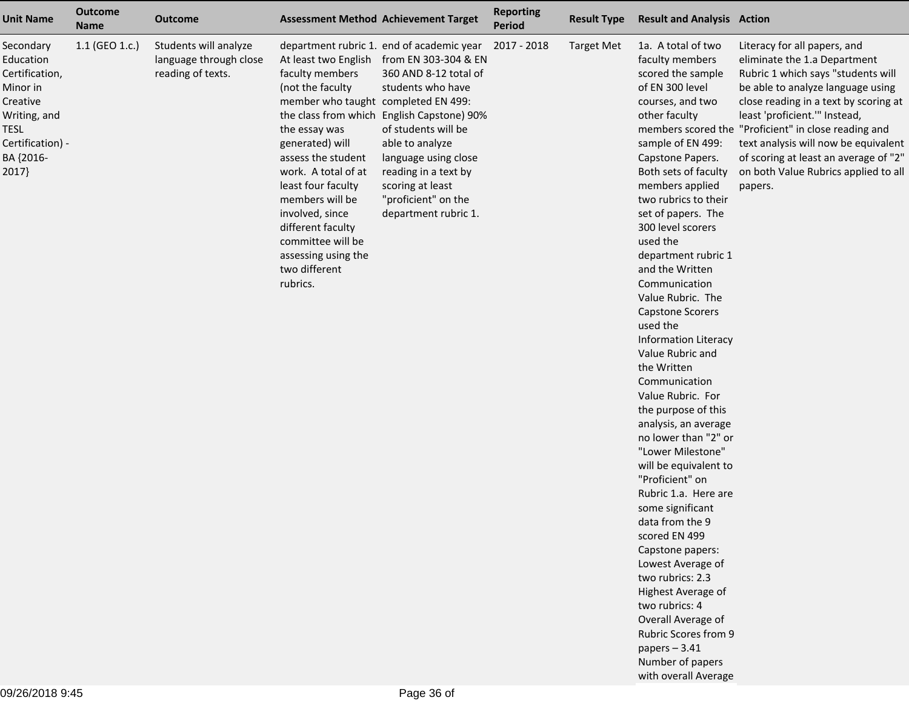| <b>Unit Name</b>                                                                                                                          | <b>Outcome</b><br><b>Name</b> | <b>Outcome</b>                                                       |                                                                                                                                                                                                                                                                                                                                               | <b>Assessment Method Achievement Target</b>                                                                                                                                                                                                                                                                                | <b>Reporting</b><br>Period | <b>Result Type</b> | <b>Result and Analysis Action</b>                                                                                                                                                                                                                                                                                                                                                                                                                                                                                                                                                                                                                                                                                                                                                                                                                                                                                                     |                                                                                                                                                                                                                                                                                                                                                                                                               |
|-------------------------------------------------------------------------------------------------------------------------------------------|-------------------------------|----------------------------------------------------------------------|-----------------------------------------------------------------------------------------------------------------------------------------------------------------------------------------------------------------------------------------------------------------------------------------------------------------------------------------------|----------------------------------------------------------------------------------------------------------------------------------------------------------------------------------------------------------------------------------------------------------------------------------------------------------------------------|----------------------------|--------------------|---------------------------------------------------------------------------------------------------------------------------------------------------------------------------------------------------------------------------------------------------------------------------------------------------------------------------------------------------------------------------------------------------------------------------------------------------------------------------------------------------------------------------------------------------------------------------------------------------------------------------------------------------------------------------------------------------------------------------------------------------------------------------------------------------------------------------------------------------------------------------------------------------------------------------------------|---------------------------------------------------------------------------------------------------------------------------------------------------------------------------------------------------------------------------------------------------------------------------------------------------------------------------------------------------------------------------------------------------------------|
| Secondary<br>Education<br>Certification,<br>Minor in<br>Creative<br>Writing, and<br><b>TESL</b><br>Certification) -<br>BA {2016-<br>2017} | $1.1$ (GEO 1.c.)              | Students will analyze<br>language through close<br>reading of texts. | At least two English<br>faculty members<br>(not the faculty<br>member who taught completed EN 499:<br>the essay was<br>generated) will<br>assess the student<br>work. A total of at<br>least four faculty<br>members will be<br>involved, since<br>different faculty<br>committee will be<br>assessing using the<br>two different<br>rubrics. | department rubric 1. end of academic year<br>from EN 303-304 & EN<br>360 AND 8-12 total of<br>students who have<br>the class from which English Capstone) 90%<br>of students will be<br>able to analyze<br>language using close<br>reading in a text by<br>scoring at least<br>"proficient" on the<br>department rubric 1. | 2017 - 2018                | <b>Target Met</b>  | 1a. A total of two<br>faculty members<br>scored the sample<br>of EN 300 level<br>courses, and two<br>other faculty<br>sample of EN 499:<br>Capstone Papers.<br>Both sets of faculty<br>members applied<br>two rubrics to their<br>set of papers. The<br>300 level scorers<br>used the<br>department rubric 1<br>and the Written<br>Communication<br>Value Rubric. The<br><b>Capstone Scorers</b><br>used the<br><b>Information Literacy</b><br>Value Rubric and<br>the Written<br>Communication<br>Value Rubric. For<br>the purpose of this<br>analysis, an average<br>no lower than "2" or<br>"Lower Milestone"<br>will be equivalent to<br>"Proficient" on<br>Rubric 1.a. Here are<br>some significant<br>data from the 9<br>scored EN 499<br>Capstone papers:<br>Lowest Average of<br>two rubrics: 2.3<br>Highest Average of<br>two rubrics: 4<br>Overall Average of<br>Rubric Scores from 9<br>papers $-3.41$<br>Number of papers | Literacy for all papers, and<br>eliminate the 1.a Department<br>Rubric 1 which says "students will<br>be able to analyze language using<br>close reading in a text by scoring at<br>least 'proficient.'" Instead,<br>members scored the "Proficient" in close reading and<br>text analysis will now be equivalent<br>of scoring at least an average of "2"<br>on both Value Rubrics applied to all<br>papers. |

with overall Average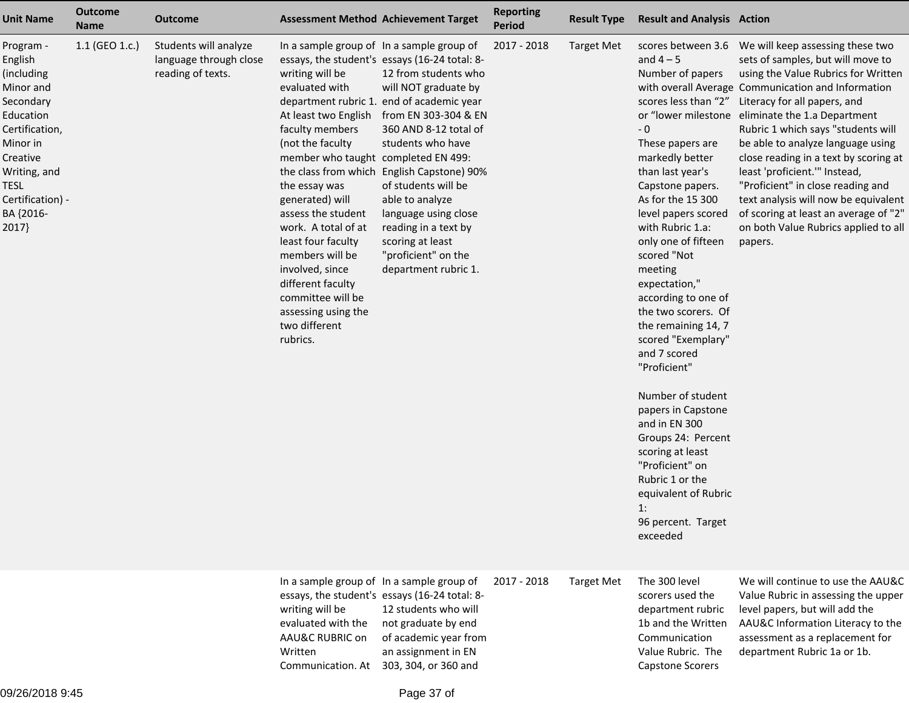| <b>Unit Name</b>                                                                                                                                                                      | <b>Outcome</b><br><b>Name</b> | <b>Outcome</b>                                                       | <b>Assessment Method Achievement Target</b>                                                                                                                                                                                                                                                                                                                                                             |                                                                                                                                                                                                                                                                                                                                                                                                                                                  | <b>Reporting</b><br><b>Period</b> | <b>Result Type</b> | <b>Result and Analysis Action</b>                                                                                                                                                                                                                                                                                                                                                                                                                                                                                                                                                                                                           |                                                                                                                                                                                                                                                                                                                                                                                                                                                                                                                                                                                      |
|---------------------------------------------------------------------------------------------------------------------------------------------------------------------------------------|-------------------------------|----------------------------------------------------------------------|---------------------------------------------------------------------------------------------------------------------------------------------------------------------------------------------------------------------------------------------------------------------------------------------------------------------------------------------------------------------------------------------------------|--------------------------------------------------------------------------------------------------------------------------------------------------------------------------------------------------------------------------------------------------------------------------------------------------------------------------------------------------------------------------------------------------------------------------------------------------|-----------------------------------|--------------------|---------------------------------------------------------------------------------------------------------------------------------------------------------------------------------------------------------------------------------------------------------------------------------------------------------------------------------------------------------------------------------------------------------------------------------------------------------------------------------------------------------------------------------------------------------------------------------------------------------------------------------------------|--------------------------------------------------------------------------------------------------------------------------------------------------------------------------------------------------------------------------------------------------------------------------------------------------------------------------------------------------------------------------------------------------------------------------------------------------------------------------------------------------------------------------------------------------------------------------------------|
| Program -<br>English<br>(including<br>Minor and<br>Secondary<br>Education<br>Certification,<br>Minor in<br>Creative<br>Writing, and<br>TESL<br>Certification) -<br>BA {2016-<br>2017} | 1.1 (GEO 1.c.)                | Students will analyze<br>language through close<br>reading of texts. | In a sample group of In a sample group of<br>writing will be<br>evaluated with<br>faculty members<br>(not the faculty<br>member who taught completed EN 499:<br>the essay was<br>generated) will<br>assess the student<br>work. A total of at<br>least four faculty<br>members will be<br>involved, since<br>different faculty<br>committee will be<br>assessing using the<br>two different<br>rubrics. | essays, the student's essays (16-24 total: 8-<br>12 from students who<br>will NOT graduate by<br>department rubric 1. end of academic year<br>At least two English from EN 303-304 & EN<br>360 AND 8-12 total of<br>students who have<br>the class from which English Capstone) 90%<br>of students will be<br>able to analyze<br>language using close<br>reading in a text by<br>scoring at least<br>"proficient" on the<br>department rubric 1. | 2017 - 2018                       | <b>Target Met</b>  | scores between 3.6<br>and $4-5$<br>Number of papers<br>scores less than "2"<br>$-0$<br>These papers are<br>markedly better<br>than last year's<br>Capstone papers.<br>As for the 15 300<br>level papers scored<br>with Rubric 1.a:<br>only one of fifteen<br>scored "Not<br>meeting<br>expectation,"<br>according to one of<br>the two scorers. Of<br>the remaining 14, 7<br>scored "Exemplary"<br>and 7 scored<br>"Proficient"<br>Number of student<br>papers in Capstone<br>and in EN 300<br>Groups 24: Percent<br>scoring at least<br>"Proficient" on<br>Rubric 1 or the<br>equivalent of Rubric<br>1:<br>96 percent. Target<br>exceeded | We will keep assessing these two<br>sets of samples, but will move to<br>using the Value Rubrics for Written<br>with overall Average Communication and Information<br>Literacy for all papers, and<br>or "lower milestone eliminate the 1.a Department<br>Rubric 1 which says "students will<br>be able to analyze language using<br>close reading in a text by scoring at<br>least 'proficient.'" Instead,<br>"Proficient" in close reading and<br>text analysis will now be equivalent<br>of scoring at least an average of "2"<br>on both Value Rubrics applied to all<br>papers. |
|                                                                                                                                                                                       |                               |                                                                      | In a sample group of In a sample group of<br>writing will be<br>evaluated with the<br>AAU&C RUBRIC on<br>Written<br>Communication. At 303, 304, or 360 and                                                                                                                                                                                                                                              | essays, the student's essays (16-24 total: 8-<br>12 students who will<br>not graduate by end<br>of academic year from<br>an assignment in EN                                                                                                                                                                                                                                                                                                     | 2017 - 2018                       | <b>Target Met</b>  | The 300 level<br>scorers used the<br>department rubric<br>1b and the Written<br>Communication<br>Value Rubric. The<br><b>Capstone Scorers</b>                                                                                                                                                                                                                                                                                                                                                                                                                                                                                               | We will continue to use the AAU&C<br>Value Rubric in assessing the upper<br>level papers, but will add the<br>AAU&C Information Literacy to the<br>assessment as a replacement for<br>department Rubric 1a or 1b.                                                                                                                                                                                                                                                                                                                                                                    |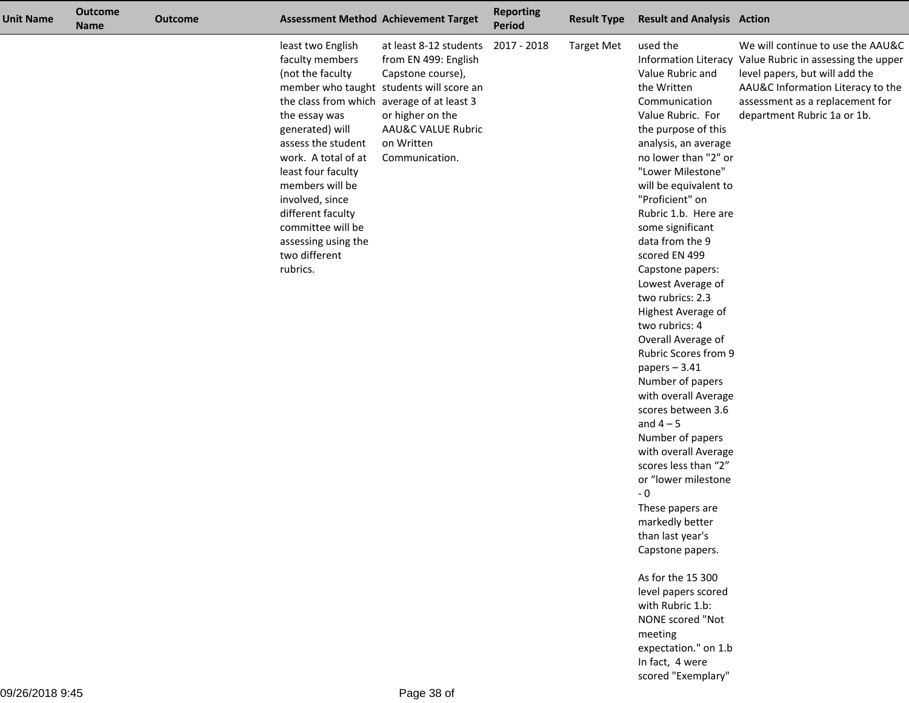| <b>Unit Name</b> | <b>Outcome</b><br><b>Name</b> | <b>Outcome</b> |                                                                                                                                                                                                                                                                                                                                                   | <b>Assessment Method Achievement Target</b>                                                                                                                                                          | <b>Reporting</b><br><b>Period</b> | <b>Result Type</b> | <b>Result and Analysis Action</b>                                                                                                                                                                                                                                                                                                                                                                                                                                                                                                                                                                                                                                                                                                                                                                                                                                                         |                                                                                                                                                                                                                                        |
|------------------|-------------------------------|----------------|---------------------------------------------------------------------------------------------------------------------------------------------------------------------------------------------------------------------------------------------------------------------------------------------------------------------------------------------------|------------------------------------------------------------------------------------------------------------------------------------------------------------------------------------------------------|-----------------------------------|--------------------|-------------------------------------------------------------------------------------------------------------------------------------------------------------------------------------------------------------------------------------------------------------------------------------------------------------------------------------------------------------------------------------------------------------------------------------------------------------------------------------------------------------------------------------------------------------------------------------------------------------------------------------------------------------------------------------------------------------------------------------------------------------------------------------------------------------------------------------------------------------------------------------------|----------------------------------------------------------------------------------------------------------------------------------------------------------------------------------------------------------------------------------------|
|                  |                               |                | least two English<br>faculty members<br>(not the faculty<br>the class from which average of at least 3<br>the essay was<br>generated) will<br>assess the student<br>work. A total of at<br>least four faculty<br>members will be<br>involved, since<br>different faculty<br>committee will be<br>assessing using the<br>two different<br>rubrics. | at least 8-12 students<br>from EN 499: English<br>Capstone course),<br>member who taught students will score an<br>or higher on the<br><b>AAU&amp;C VALUE Rubric</b><br>on Written<br>Communication. | 2017 - 2018                       | <b>Target Met</b>  | used the<br>Value Rubric and<br>the Written<br>Communication<br>Value Rubric. For<br>the purpose of this<br>analysis, an average<br>no lower than "2" or<br>"Lower Milestone"<br>will be equivalent to<br>"Proficient" on<br>Rubric 1.b. Here are<br>some significant<br>data from the 9<br>scored EN 499<br>Capstone papers:<br>Lowest Average of<br>two rubrics: 2.3<br>Highest Average of<br>two rubrics: 4<br>Overall Average of<br>Rubric Scores from 9<br>papers $-3.41$<br>Number of papers<br>with overall Average<br>scores between 3.6<br>and $4-5$<br>Number of papers<br>with overall Average<br>scores less than "2"<br>or "lower milestone<br>$-0$<br>These papers are<br>markedly better<br>than last year's<br>Capstone papers.<br>As for the 15 300<br>level papers scored<br>with Rubric 1.b:<br>NONE scored "Not<br>meeting<br>expectation." on 1.b<br>In fact, 4 were | We will continue to use the AAU&C<br>Information Literacy Value Rubric in assessing the upper<br>level papers, but will add the<br>AAU&C Information Literacy to the<br>assessment as a replacement for<br>department Rubric 1a or 1b. |

scored "Exemplary"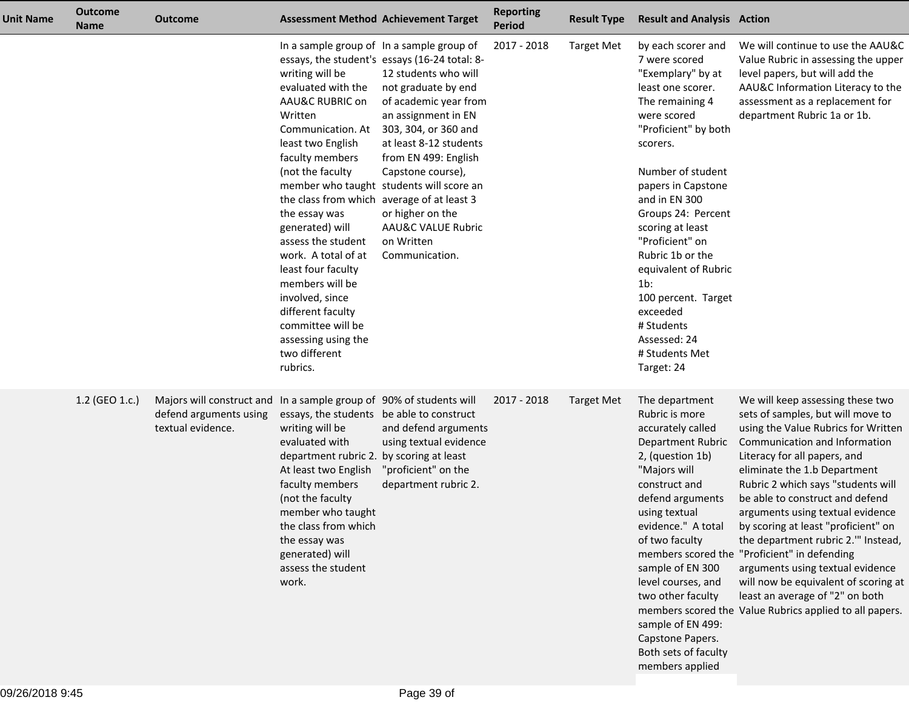| <b>Unit Name</b> | <b>Outcome</b><br><b>Name</b> | <b>Outcome</b>                                                           |                                                                                                                                                                                                                                                                                                                                                                                                                                               | <b>Assessment Method Achievement Target</b>                                                                                                                                                                                                                                                                                                                                                                               | <b>Reporting</b><br><b>Period</b> | <b>Result Type</b> | <b>Result and Analysis Action</b>                                                                                                                                                                                                                                                                                                                                                                                                |                                                                                                                                                                                                                                                                                                                                                                                                                                                                                                                                                                                                                                   |
|------------------|-------------------------------|--------------------------------------------------------------------------|-----------------------------------------------------------------------------------------------------------------------------------------------------------------------------------------------------------------------------------------------------------------------------------------------------------------------------------------------------------------------------------------------------------------------------------------------|---------------------------------------------------------------------------------------------------------------------------------------------------------------------------------------------------------------------------------------------------------------------------------------------------------------------------------------------------------------------------------------------------------------------------|-----------------------------------|--------------------|----------------------------------------------------------------------------------------------------------------------------------------------------------------------------------------------------------------------------------------------------------------------------------------------------------------------------------------------------------------------------------------------------------------------------------|-----------------------------------------------------------------------------------------------------------------------------------------------------------------------------------------------------------------------------------------------------------------------------------------------------------------------------------------------------------------------------------------------------------------------------------------------------------------------------------------------------------------------------------------------------------------------------------------------------------------------------------|
|                  |                               |                                                                          | writing will be<br>evaluated with the<br>AAU&C RUBRIC on<br>Written<br>Communication. At<br>least two English<br>faculty members<br>(not the faculty<br>the class from which average of at least 3<br>the essay was<br>generated) will<br>assess the student<br>work. A total of at<br>least four faculty<br>members will be<br>involved, since<br>different faculty<br>committee will be<br>assessing using the<br>two different<br>rubrics. | In a sample group of In a sample group of<br>essays, the student's essays (16-24 total: 8-<br>12 students who will<br>not graduate by end<br>of academic year from<br>an assignment in EN<br>303, 304, or 360 and<br>at least 8-12 students<br>from EN 499: English<br>Capstone course),<br>member who taught students will score an<br>or higher on the<br><b>AAU&amp;C VALUE Rubric</b><br>on Written<br>Communication. | 2017 - 2018                       | Target Met         | by each scorer and<br>7 were scored<br>"Exemplary" by at<br>least one scorer.<br>The remaining 4<br>were scored<br>"Proficient" by both<br>scorers.<br>Number of student<br>papers in Capstone<br>and in EN 300<br>Groups 24: Percent<br>scoring at least<br>"Proficient" on<br>Rubric 1b or the<br>equivalent of Rubric<br>1b:<br>100 percent. Target<br>exceeded<br># Students<br>Assessed: 24<br># Students Met<br>Target: 24 | We will continue to use the AAU&C<br>Value Rubric in assessing the upper<br>level papers, but will add the<br>AAU&C Information Literacy to the<br>assessment as a replacement for<br>department Rubric 1a or 1b.                                                                                                                                                                                                                                                                                                                                                                                                                 |
|                  | 1.2 (GEO 1.c.)                | Majors will construct and<br>defend arguments using<br>textual evidence. | In a sample group of 90% of students will<br>essays, the students be able to construct<br>writing will be<br>evaluated with<br>department rubric 2. by scoring at least<br>At least two English<br>faculty members<br>(not the faculty<br>member who taught<br>the class from which<br>the essay was<br>generated) will<br>assess the student<br>work.                                                                                        | and defend arguments<br>using textual evidence<br>"proficient" on the<br>department rubric 2.                                                                                                                                                                                                                                                                                                                             | 2017 - 2018                       | Target Met         | The department<br>Rubric is more<br>accurately called<br>Department Rubric<br>2, (question 1b)<br>"Majors will<br>construct and<br>defend arguments<br>using textual<br>evidence." A total<br>of two faculty<br>sample of EN 300<br>level courses, and<br>two other faculty<br>sample of EN 499:<br>Capstone Papers.<br>Both sets of faculty<br>members applied                                                                  | We will keep assessing these two<br>sets of samples, but will move to<br>using the Value Rubrics for Written<br>Communication and Information<br>Literacy for all papers, and<br>eliminate the 1.b Department<br>Rubric 2 which says "students will<br>be able to construct and defend<br>arguments using textual evidence<br>by scoring at least "proficient" on<br>the department rubric 2." Instead,<br>members scored the "Proficient" in defending<br>arguments using textual evidence<br>will now be equivalent of scoring at<br>least an average of "2" on both<br>members scored the Value Rubrics applied to all papers. |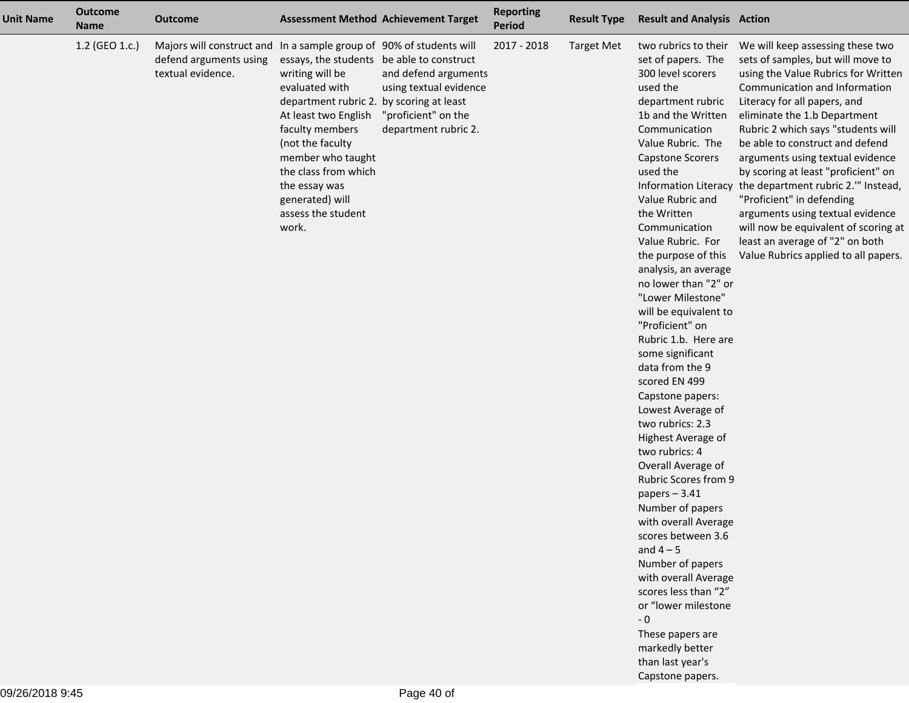| <b>Unit Name</b> | <b>Outcome</b><br><b>Name</b> | Outcome                                                                                                            |                                                                                                                                                                                                                                                                                                           | <b>Assessment Method Achievement Target</b>                                                   | <b>Reporting</b><br><b>Period</b> | <b>Result Type</b> | <b>Result and Analysis Action</b>                                                                                                                                                                                                                                                                                                                                                                                                                                                                                                                                                                                                                                                                                                                                                                                                                                                                                                                 |                                                                                                                                                                                                                                                                                                                                                                                                                                                                                                                                                                                                                  |
|------------------|-------------------------------|--------------------------------------------------------------------------------------------------------------------|-----------------------------------------------------------------------------------------------------------------------------------------------------------------------------------------------------------------------------------------------------------------------------------------------------------|-----------------------------------------------------------------------------------------------|-----------------------------------|--------------------|---------------------------------------------------------------------------------------------------------------------------------------------------------------------------------------------------------------------------------------------------------------------------------------------------------------------------------------------------------------------------------------------------------------------------------------------------------------------------------------------------------------------------------------------------------------------------------------------------------------------------------------------------------------------------------------------------------------------------------------------------------------------------------------------------------------------------------------------------------------------------------------------------------------------------------------------------|------------------------------------------------------------------------------------------------------------------------------------------------------------------------------------------------------------------------------------------------------------------------------------------------------------------------------------------------------------------------------------------------------------------------------------------------------------------------------------------------------------------------------------------------------------------------------------------------------------------|
|                  | 1.2 (GEO 1.c.)                | Majors will construct and In a sample group of 90% of students will<br>defend arguments using<br>textual evidence. | essays, the students be able to construct<br>writing will be<br>evaluated with<br>department rubric 2. by scoring at least<br>At least two English<br>faculty members<br>(not the faculty<br>member who taught<br>the class from which<br>the essay was<br>generated) will<br>assess the student<br>work. | and defend arguments<br>using textual evidence<br>"proficient" on the<br>department rubric 2. | 2017 - 2018                       | <b>Target Met</b>  | two rubrics to their<br>set of papers. The<br>300 level scorers<br>used the<br>department rubric<br>1b and the Written<br>Communication<br>Value Rubric. The<br><b>Capstone Scorers</b><br>used the<br>Value Rubric and<br>the Written<br>Communication<br>Value Rubric. For<br>the purpose of this<br>analysis, an average<br>no lower than "2" or<br>"Lower Milestone"<br>will be equivalent to<br>"Proficient" on<br>Rubric 1.b. Here are<br>some significant<br>data from the 9<br>scored EN 499<br>Capstone papers:<br>Lowest Average of<br>two rubrics: 2.3<br>Highest Average of<br>two rubrics: 4<br>Overall Average of<br><b>Rubric Scores from 9</b><br>papers $-3.41$<br>Number of papers<br>with overall Average<br>scores between 3.6<br>and $4-5$<br>Number of papers<br>with overall Average<br>scores less than "2"<br>or "lower milestone<br>$-0$<br>These papers are<br>markedly better<br>than last year's<br>Capstone papers. | We will keep assessing these two<br>sets of samples, but will move to<br>using the Value Rubrics for Written<br>Communication and Information<br>Literacy for all papers, and<br>eliminate the 1.b Department<br>Rubric 2 which says "students will<br>be able to construct and defend<br>arguments using textual evidence<br>by scoring at least "proficient" on<br>Information Literacy the department rubric 2." Instead,<br>"Proficient" in defending<br>arguments using textual evidence<br>will now be equivalent of scoring at<br>least an average of "2" on both<br>Value Rubrics applied to all papers. |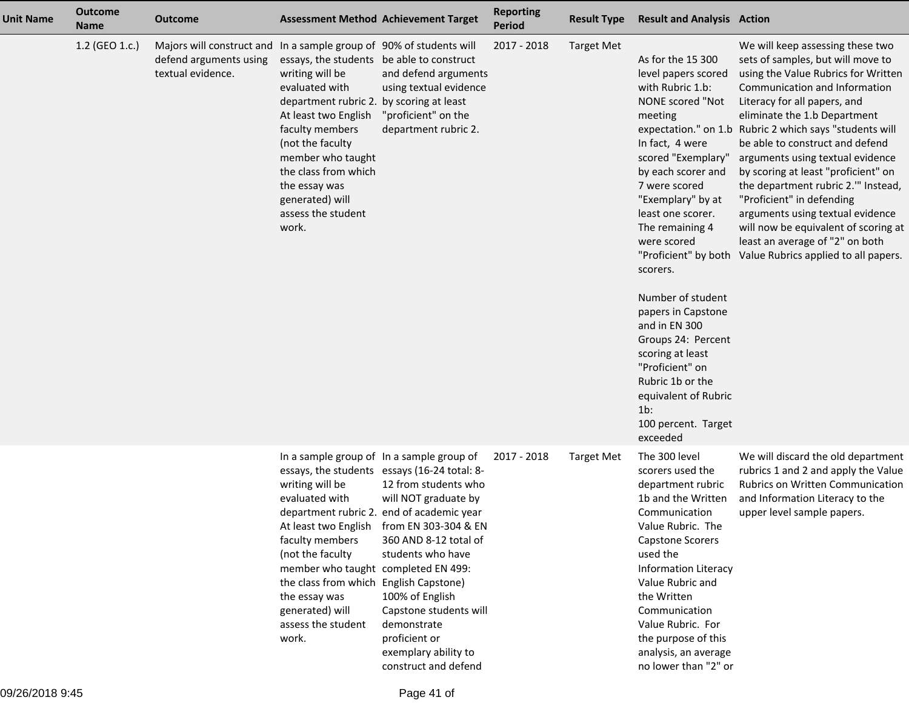| <b>Unit Name</b> | <b>Outcome</b><br><b>Name</b> | <b>Outcome</b>                                                                                                     |                                                                                                                                                                                                                                                                                                           | <b>Assessment Method Achievement Target</b>                                                                                                                                                                                                                                                                                                                                               | <b>Reporting</b><br><b>Period</b> | <b>Result Type</b> | <b>Result and Analysis Action</b>                                                                                                                                                                                                                                                                                                                                                                                                                                                                             |                                                                                                                                                                                                                                                                                                                                                                                                                                                                                                                                                                                                                  |
|------------------|-------------------------------|--------------------------------------------------------------------------------------------------------------------|-----------------------------------------------------------------------------------------------------------------------------------------------------------------------------------------------------------------------------------------------------------------------------------------------------------|-------------------------------------------------------------------------------------------------------------------------------------------------------------------------------------------------------------------------------------------------------------------------------------------------------------------------------------------------------------------------------------------|-----------------------------------|--------------------|---------------------------------------------------------------------------------------------------------------------------------------------------------------------------------------------------------------------------------------------------------------------------------------------------------------------------------------------------------------------------------------------------------------------------------------------------------------------------------------------------------------|------------------------------------------------------------------------------------------------------------------------------------------------------------------------------------------------------------------------------------------------------------------------------------------------------------------------------------------------------------------------------------------------------------------------------------------------------------------------------------------------------------------------------------------------------------------------------------------------------------------|
|                  | 1.2 (GEO 1.c.)                | Majors will construct and In a sample group of 90% of students will<br>defend arguments using<br>textual evidence. | essays, the students be able to construct<br>writing will be<br>evaluated with<br>department rubric 2. by scoring at least<br>At least two English<br>faculty members<br>(not the faculty<br>member who taught<br>the class from which<br>the essay was<br>generated) will<br>assess the student<br>work. | and defend arguments<br>using textual evidence<br>"proficient" on the<br>department rubric 2.                                                                                                                                                                                                                                                                                             | 2017 - 2018                       | <b>Target Met</b>  | As for the 15 300<br>level papers scored<br>with Rubric 1.b:<br>NONE scored "Not<br>meeting<br>In fact, 4 were<br>scored "Exemplary"<br>by each scorer and<br>7 were scored<br>"Exemplary" by at<br>least one scorer.<br>The remaining 4<br>were scored<br>"Proficient" by both<br>scorers.<br>Number of student<br>papers in Capstone<br>and in EN 300<br>Groups 24: Percent<br>scoring at least<br>"Proficient" on<br>Rubric 1b or the<br>equivalent of Rubric<br>$1b$ :<br>100 percent. Target<br>exceeded | We will keep assessing these two<br>sets of samples, but will move to<br>using the Value Rubrics for Written<br>Communication and Information<br>Literacy for all papers, and<br>eliminate the 1.b Department<br>expectation." on 1.b Rubric 2 which says "students will<br>be able to construct and defend<br>arguments using textual evidence<br>by scoring at least "proficient" on<br>the department rubric 2." Instead,<br>"Proficient" in defending<br>arguments using textual evidence<br>will now be equivalent of scoring at<br>least an average of "2" on both<br>Value Rubrics applied to all papers. |
|                  |                               |                                                                                                                    | writing will be<br>evaluated with<br>At least two English<br>faculty members<br>(not the faculty<br>member who taught completed EN 499:<br>the class from which English Capstone)<br>the essay was<br>generated) will<br>assess the student<br>work.                                                      | In a sample group of In a sample group of<br>essays, the students essays (16-24 total: 8-<br>12 from students who<br>will NOT graduate by<br>department rubric 2. end of academic year<br>from EN 303-304 & EN<br>360 AND 8-12 total of<br>students who have<br>100% of English<br>Capstone students will<br>demonstrate<br>proficient or<br>exemplary ability to<br>construct and defend | 2017 - 2018                       | <b>Target Met</b>  | The 300 level<br>scorers used the<br>department rubric<br>1b and the Written<br>Communication<br>Value Rubric. The<br>Capstone Scorers<br>used the<br><b>Information Literacy</b><br>Value Rubric and<br>the Written<br>Communication<br>Value Rubric. For<br>the purpose of this<br>analysis, an average<br>no lower than "2" or                                                                                                                                                                             | We will discard the old department<br>rubrics 1 and 2 and apply the Value<br>Rubrics on Written Communication<br>and Information Literacy to the<br>upper level sample papers.                                                                                                                                                                                                                                                                                                                                                                                                                                   |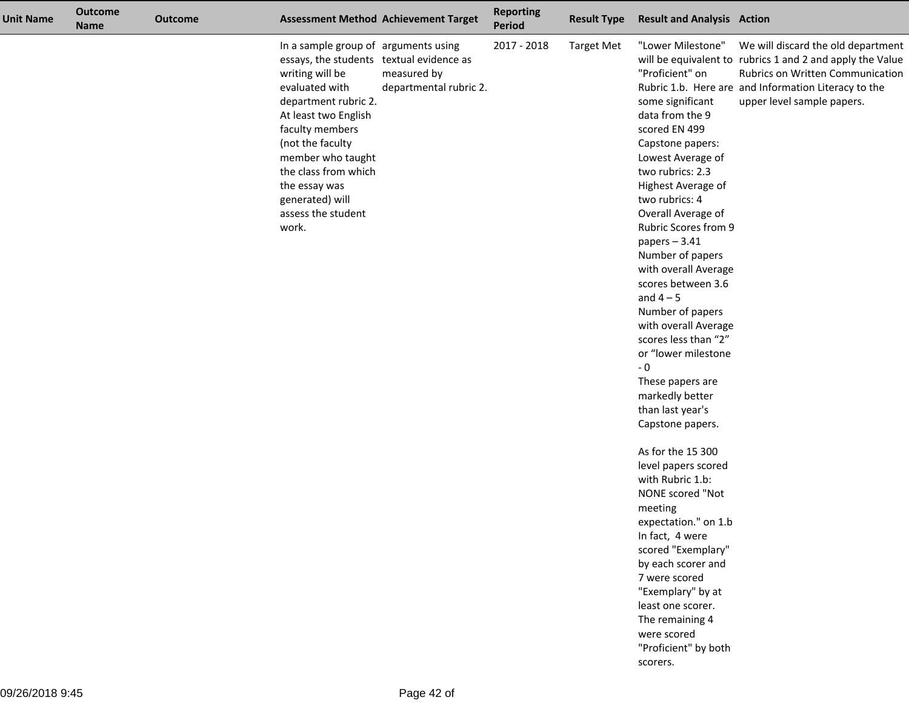| <b>Unit Name</b> | <b>Outcome</b><br><b>Name</b> | <b>Outcome</b> |                                                                                                                                                                                                                                                                                                                              | <b>Assessment Method Achievement Target</b> | <b>Reporting</b><br>Period | <b>Result Type</b> | <b>Result and Analysis Action</b>                                                                                                                                                                                                                                                                                                                                                                                                                                                                                                                                                                                                                                                                                                         |                                                                                                                                                                                                                           |
|------------------|-------------------------------|----------------|------------------------------------------------------------------------------------------------------------------------------------------------------------------------------------------------------------------------------------------------------------------------------------------------------------------------------|---------------------------------------------|----------------------------|--------------------|-------------------------------------------------------------------------------------------------------------------------------------------------------------------------------------------------------------------------------------------------------------------------------------------------------------------------------------------------------------------------------------------------------------------------------------------------------------------------------------------------------------------------------------------------------------------------------------------------------------------------------------------------------------------------------------------------------------------------------------------|---------------------------------------------------------------------------------------------------------------------------------------------------------------------------------------------------------------------------|
|                  |                               |                | In a sample group of arguments using<br>essays, the students textual evidence as<br>writing will be<br>evaluated with<br>department rubric 2.<br>At least two English<br>faculty members<br>(not the faculty<br>member who taught<br>the class from which<br>the essay was<br>generated) will<br>assess the student<br>work. | measured by<br>departmental rubric 2.       | 2017 - 2018                | <b>Target Met</b>  | "Lower Milestone"<br>"Proficient" on<br>some significant<br>data from the 9<br>scored EN 499<br>Capstone papers:<br>Lowest Average of<br>two rubrics: 2.3<br>Highest Average of<br>two rubrics: 4<br>Overall Average of<br>Rubric Scores from 9<br>papers $-3.41$<br>Number of papers<br>with overall Average<br>scores between 3.6<br>and $4-5$<br>Number of papers<br>with overall Average<br>scores less than "2"<br>or "lower milestone<br>$-0$<br>These papers are<br>markedly better<br>than last year's<br>Capstone papers.<br>As for the 15 300<br>level papers scored<br>with Rubric 1.b:<br>NONE scored "Not<br>meeting<br>expectation." on 1.b<br>In fact, 4 were<br>scored "Exemplary"<br>by each scorer and<br>7 were scored | We will discard the old department<br>will be equivalent to rubrics 1 and 2 and apply the Value<br>Rubrics on Written Communication<br>Rubric 1.b. Here are and Information Literacy to the<br>upper level sample papers. |
|                  |                               |                |                                                                                                                                                                                                                                                                                                                              |                                             |                            |                    | "Exemplary" by at<br>least one scorer.<br>The remaining 4<br>were scored                                                                                                                                                                                                                                                                                                                                                                                                                                                                                                                                                                                                                                                                  |                                                                                                                                                                                                                           |
|                  |                               |                |                                                                                                                                                                                                                                                                                                                              |                                             |                            |                    | "Proficient" by both<br>scorers.                                                                                                                                                                                                                                                                                                                                                                                                                                                                                                                                                                                                                                                                                                          |                                                                                                                                                                                                                           |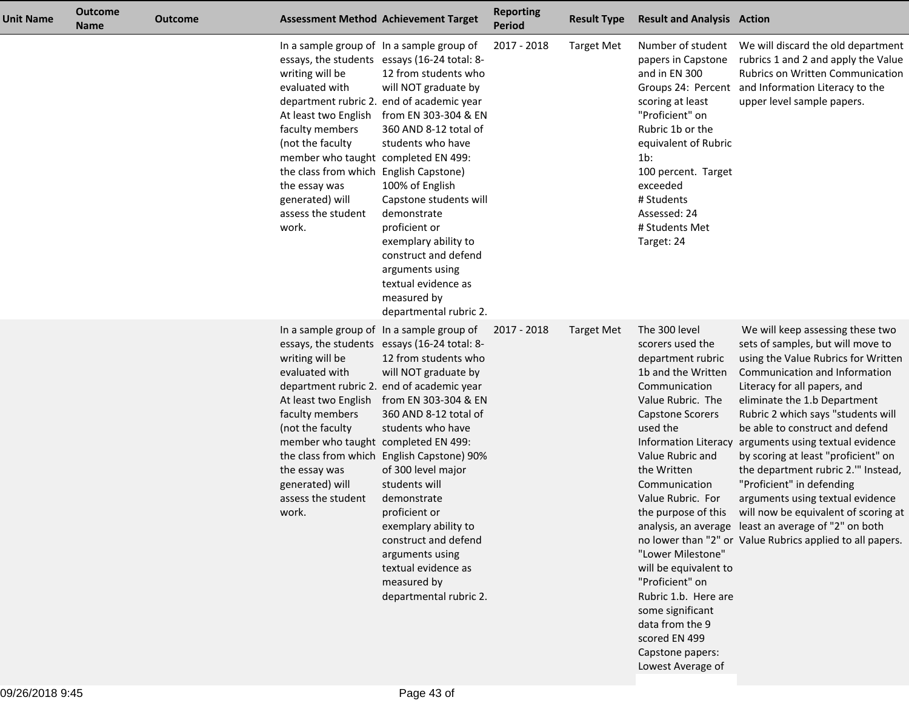| <b>Unit Name</b> | <b>Outcome</b><br><b>Name</b> | <b>Outcome</b> |                                                                                                                                                                                                                                                      | <b>Assessment Method Achievement Target</b>                                                                                                                                                                                                                                                                                                                                                                                                                                                                          | <b>Reporting</b><br><b>Period</b> | <b>Result Type</b> | <b>Result and Analysis Action</b>                                                                                                                                                                                                                                                                                                                                                                                                                   |                                                                                                                                                                                                                                                                                                                                                                                                                                                                                                                                                                                                                                                            |
|------------------|-------------------------------|----------------|------------------------------------------------------------------------------------------------------------------------------------------------------------------------------------------------------------------------------------------------------|----------------------------------------------------------------------------------------------------------------------------------------------------------------------------------------------------------------------------------------------------------------------------------------------------------------------------------------------------------------------------------------------------------------------------------------------------------------------------------------------------------------------|-----------------------------------|--------------------|-----------------------------------------------------------------------------------------------------------------------------------------------------------------------------------------------------------------------------------------------------------------------------------------------------------------------------------------------------------------------------------------------------------------------------------------------------|------------------------------------------------------------------------------------------------------------------------------------------------------------------------------------------------------------------------------------------------------------------------------------------------------------------------------------------------------------------------------------------------------------------------------------------------------------------------------------------------------------------------------------------------------------------------------------------------------------------------------------------------------------|
|                  |                               |                | writing will be<br>evaluated with<br>At least two English<br>faculty members<br>(not the faculty<br>member who taught completed EN 499:<br>the class from which English Capstone)<br>the essay was<br>generated) will<br>assess the student<br>work. | In a sample group of In a sample group of<br>essays, the students essays (16-24 total: 8-<br>12 from students who<br>will NOT graduate by<br>department rubric 2. end of academic year<br>from EN 303-304 & EN<br>360 AND 8-12 total of<br>students who have<br>100% of English<br>Capstone students will<br>demonstrate<br>proficient or<br>exemplary ability to<br>construct and defend<br>arguments using<br>textual evidence as<br>measured by<br>departmental rubric 2.                                         | 2017 - 2018                       | <b>Target Met</b>  | papers in Capstone<br>and in EN 300<br>scoring at least<br>"Proficient" on<br>Rubric 1b or the<br>equivalent of Rubric<br>$1b$ :<br>100 percent. Target<br>exceeded<br># Students<br>Assessed: 24<br># Students Met<br>Target: 24                                                                                                                                                                                                                   | rubrics 1 and 2 and apply the Value<br>Rubrics on Written Communication<br>Groups 24: Percent and Information Literacy to the<br>upper level sample papers.                                                                                                                                                                                                                                                                                                                                                                                                                                                                                                |
|                  |                               |                | writing will be<br>evaluated with<br>At least two English<br>faculty members<br>(not the faculty<br>member who taught completed EN 499:<br>the essay was<br>generated) will<br>assess the student<br>work.                                           | In a sample group of In a sample group of<br>essays, the students essays (16-24 total: 8-<br>12 from students who<br>will NOT graduate by<br>department rubric 2. end of academic year<br>from EN 303-304 & EN<br>360 AND 8-12 total of<br>students who have<br>the class from which English Capstone) 90%<br>of 300 level major<br>students will<br>demonstrate<br>proficient or<br>exemplary ability to<br>construct and defend<br>arguments using<br>textual evidence as<br>measured by<br>departmental rubric 2. | 2017 - 2018                       | <b>Target Met</b>  | The 300 level<br>scorers used the<br>department rubric<br>1b and the Written<br>Communication<br>Value Rubric. The<br><b>Capstone Scorers</b><br>used the<br>Value Rubric and<br>the Written<br>Communication<br>Value Rubric. For<br>the purpose of this<br>"Lower Milestone"<br>will be equivalent to<br>"Proficient" on<br>Rubric 1.b. Here are<br>some significant<br>data from the 9<br>scored EN 499<br>Capstone papers:<br>Lowest Average of | We will keep assessing these two<br>sets of samples, but will move to<br>using the Value Rubrics for Written<br>Communication and Information<br>Literacy for all papers, and<br>eliminate the 1.b Department<br>Rubric 2 which says "students will<br>be able to construct and defend<br>Information Literacy arguments using textual evidence<br>by scoring at least "proficient" on<br>the department rubric 2." Instead,<br>"Proficient" in defending<br>arguments using textual evidence<br>will now be equivalent of scoring at<br>analysis, an average least an average of "2" on both<br>no lower than "2" or Value Rubrics applied to all papers. |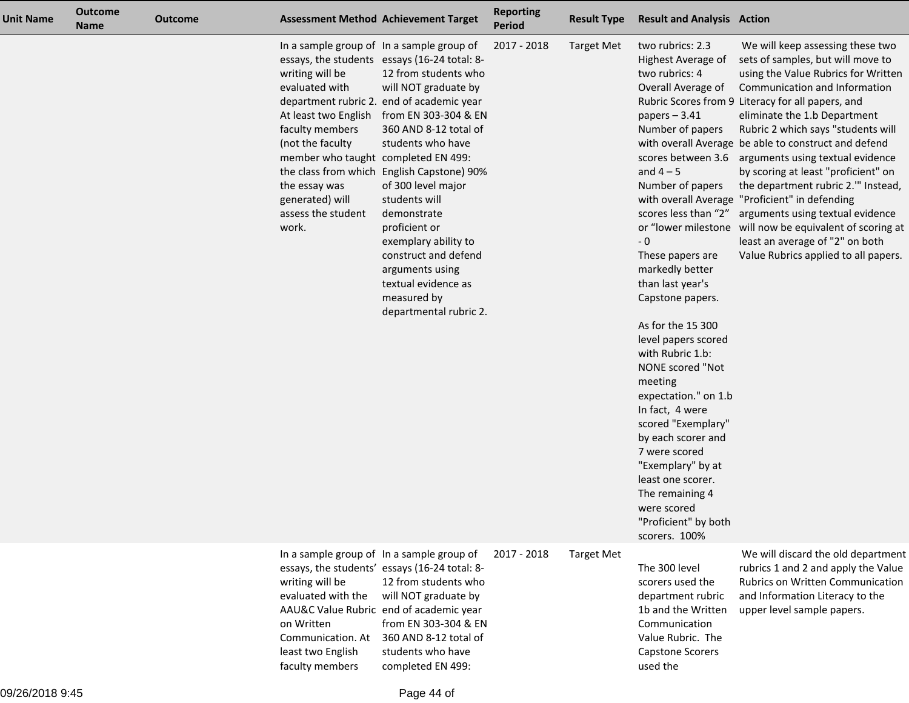| <b>Unit Name</b> | <b>Outcome</b><br><b>Name</b> | <b>Outcome</b> |                                                                                                                                                                                    | <b>Assessment Method Achievement Target</b>                                                                                                                                                                                                                                                                                                                                                                                                                                                                                               | <b>Reporting</b><br><b>Period</b> | <b>Result Type</b> | <b>Result and Analysis Action</b>                                                                                                                                                                                                                                                                                                                                                                                                                                                                                                                                                               |                                                                                                                                                                                                                                                                                                                                                                                                                                                                                                                                                                                                                                                                                                   |
|------------------|-------------------------------|----------------|------------------------------------------------------------------------------------------------------------------------------------------------------------------------------------|-------------------------------------------------------------------------------------------------------------------------------------------------------------------------------------------------------------------------------------------------------------------------------------------------------------------------------------------------------------------------------------------------------------------------------------------------------------------------------------------------------------------------------------------|-----------------------------------|--------------------|-------------------------------------------------------------------------------------------------------------------------------------------------------------------------------------------------------------------------------------------------------------------------------------------------------------------------------------------------------------------------------------------------------------------------------------------------------------------------------------------------------------------------------------------------------------------------------------------------|---------------------------------------------------------------------------------------------------------------------------------------------------------------------------------------------------------------------------------------------------------------------------------------------------------------------------------------------------------------------------------------------------------------------------------------------------------------------------------------------------------------------------------------------------------------------------------------------------------------------------------------------------------------------------------------------------|
|                  |                               |                | writing will be<br>evaluated with<br>faculty members<br>(not the faculty<br>member who taught completed EN 499:<br>the essay was<br>generated) will<br>assess the student<br>work. | In a sample group of In a sample group of<br>essays, the students essays (16-24 total: 8-<br>12 from students who<br>will NOT graduate by<br>department rubric 2. end of academic year<br>At least two English from EN 303-304 & EN<br>360 AND 8-12 total of<br>students who have<br>the class from which English Capstone) 90%<br>of 300 level major<br>students will<br>demonstrate<br>proficient or<br>exemplary ability to<br>construct and defend<br>arguments using<br>textual evidence as<br>measured by<br>departmental rubric 2. | 2017 - 2018                       | <b>Target Met</b>  | two rubrics: 2.3<br>Highest Average of<br>two rubrics: 4<br>Overall Average of<br>papers $-3.41$<br>Number of papers<br>and $4-5$<br>Number of papers<br>scores less than "2"<br>- 0<br>These papers are<br>markedly better<br>than last year's<br>Capstone papers.<br>As for the 15 300<br>level papers scored<br>with Rubric 1.b:<br>NONE scored "Not<br>meeting<br>expectation." on 1.b<br>In fact, 4 were<br>scored "Exemplary"<br>by each scorer and<br>7 were scored<br>"Exemplary" by at<br>least one scorer.<br>The remaining 4<br>were scored<br>"Proficient" by both<br>scorers. 100% | We will keep assessing these two<br>sets of samples, but will move to<br>using the Value Rubrics for Written<br>Communication and Information<br>Rubric Scores from 9 Literacy for all papers, and<br>eliminate the 1.b Department<br>Rubric 2 which says "students will<br>with overall Average be able to construct and defend<br>scores between 3.6 arguments using textual evidence<br>by scoring at least "proficient" on<br>the department rubric 2." Instead,<br>with overall Average "Proficient" in defending<br>arguments using textual evidence<br>or "lower milestone will now be equivalent of scoring at<br>least an average of "2" on both<br>Value Rubrics applied to all papers. |
|                  |                               |                | writing will be<br>evaluated with the<br>on Written<br>Communication. At<br>least two English<br>faculty members                                                                   | In a sample group of In a sample group of<br>essays, the students' essays (16-24 total: 8-<br>12 from students who<br>will NOT graduate by<br>AAU&C Value Rubric end of academic year<br>from EN 303-304 & EN<br>360 AND 8-12 total of<br>students who have<br>completed EN 499:                                                                                                                                                                                                                                                          | 2017 - 2018                       | <b>Target Met</b>  | The 300 level<br>scorers used the<br>department rubric<br>1b and the Written<br>Communication<br>Value Rubric. The<br><b>Capstone Scorers</b><br>used the                                                                                                                                                                                                                                                                                                                                                                                                                                       | We will discard the old department<br>rubrics 1 and 2 and apply the Value<br>Rubrics on Written Communication<br>and Information Literacy to the<br>upper level sample papers.                                                                                                                                                                                                                                                                                                                                                                                                                                                                                                                    |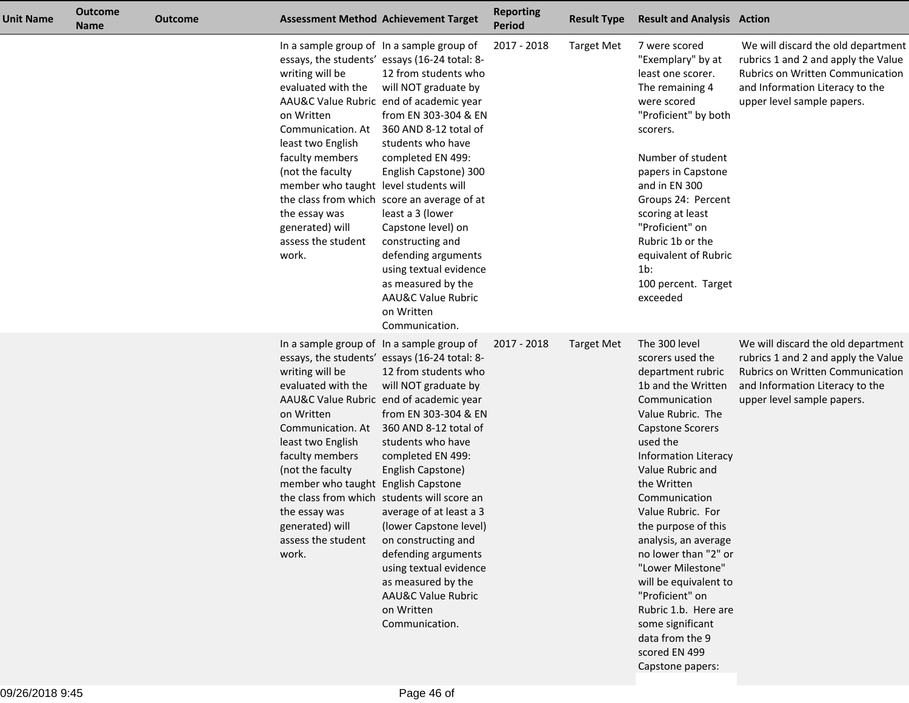| <b>Unit Name</b> | <b>Outcome</b><br><b>Name</b> | <b>Outcome</b> |                                                                                                                                                                                                                                                  | <b>Assessment Method Achievement Target</b>                                                                                                                                                                                                                                                                                                                                                                                                                                                                                                                              | <b>Reporting</b><br><b>Period</b> | <b>Result Type</b> | <b>Result and Analysis Action</b>                                                                                                                                                                                                                                                                                                                                                                                                                                                                             |                                                                                                                                                                                |
|------------------|-------------------------------|----------------|--------------------------------------------------------------------------------------------------------------------------------------------------------------------------------------------------------------------------------------------------|--------------------------------------------------------------------------------------------------------------------------------------------------------------------------------------------------------------------------------------------------------------------------------------------------------------------------------------------------------------------------------------------------------------------------------------------------------------------------------------------------------------------------------------------------------------------------|-----------------------------------|--------------------|---------------------------------------------------------------------------------------------------------------------------------------------------------------------------------------------------------------------------------------------------------------------------------------------------------------------------------------------------------------------------------------------------------------------------------------------------------------------------------------------------------------|--------------------------------------------------------------------------------------------------------------------------------------------------------------------------------|
|                  |                               |                | writing will be<br>evaluated with the<br>on Written<br>Communication. At<br>least two English<br>faculty members<br>(not the faculty<br>member who taught level students will<br>the essay was<br>generated) will<br>assess the student<br>work. | In a sample group of In a sample group of<br>essays, the students' essays (16-24 total: 8-<br>12 from students who<br>will NOT graduate by<br>AAU&C Value Rubric end of academic year<br>from EN 303-304 & EN<br>360 AND 8-12 total of<br>students who have<br>completed EN 499:<br>English Capstone) 300<br>the class from which score an average of at<br>least a 3 (lower<br>Capstone level) on<br>constructing and<br>defending arguments<br>using textual evidence<br>as measured by the<br><b>AAU&amp;C Value Rubric</b><br>on Written<br>Communication.           | 2017 - 2018                       | <b>Target Met</b>  | 7 were scored<br>"Exemplary" by at<br>least one scorer.<br>The remaining 4<br>were scored<br>"Proficient" by both<br>scorers.<br>Number of student<br>papers in Capstone<br>and in EN 300<br>Groups 24: Percent<br>scoring at least<br>"Proficient" on<br>Rubric 1b or the<br>equivalent of Rubric<br>$1b$ :<br>100 percent. Target<br>exceeded                                                                                                                                                               | We will discard the old department<br>rubrics 1 and 2 and apply the Value<br>Rubrics on Written Communication<br>and Information Literacy to the<br>upper level sample papers. |
|                  |                               |                | writing will be<br>evaluated with the<br>on Written<br>Communication. At<br>least two English<br>faculty members<br>(not the faculty<br>member who taught English Capstone<br>the essay was<br>generated) will<br>assess the student<br>work.    | In a sample group of In a sample group of<br>essays, the students' essays (16-24 total: 8-<br>12 from students who<br>will NOT graduate by<br>AAU&C Value Rubric end of academic year<br>from EN 303-304 & EN<br>360 AND 8-12 total of<br>students who have<br>completed EN 499:<br>English Capstone)<br>the class from which students will score an<br>average of at least a 3<br>(lower Capstone level)<br>on constructing and<br>defending arguments<br>using textual evidence<br>as measured by the<br><b>AAU&amp;C Value Rubric</b><br>on Written<br>Communication. | 2017 - 2018                       | Target Met         | The 300 level<br>scorers used the<br>department rubric<br>1b and the Written<br>Communication<br>Value Rubric. The<br><b>Capstone Scorers</b><br>used the<br><b>Information Literacy</b><br>Value Rubric and<br>the Written<br>Communication<br>Value Rubric. For<br>the purpose of this<br>analysis, an average<br>no lower than "2" or<br>"Lower Milestone"<br>will be equivalent to<br>"Proficient" on<br>Rubric 1.b. Here are<br>some significant<br>data from the 9<br>scored EN 499<br>Capstone papers: | We will discard the old department<br>rubrics 1 and 2 and apply the Value<br>Rubrics on Written Communication<br>and Information Literacy to the<br>upper level sample papers. |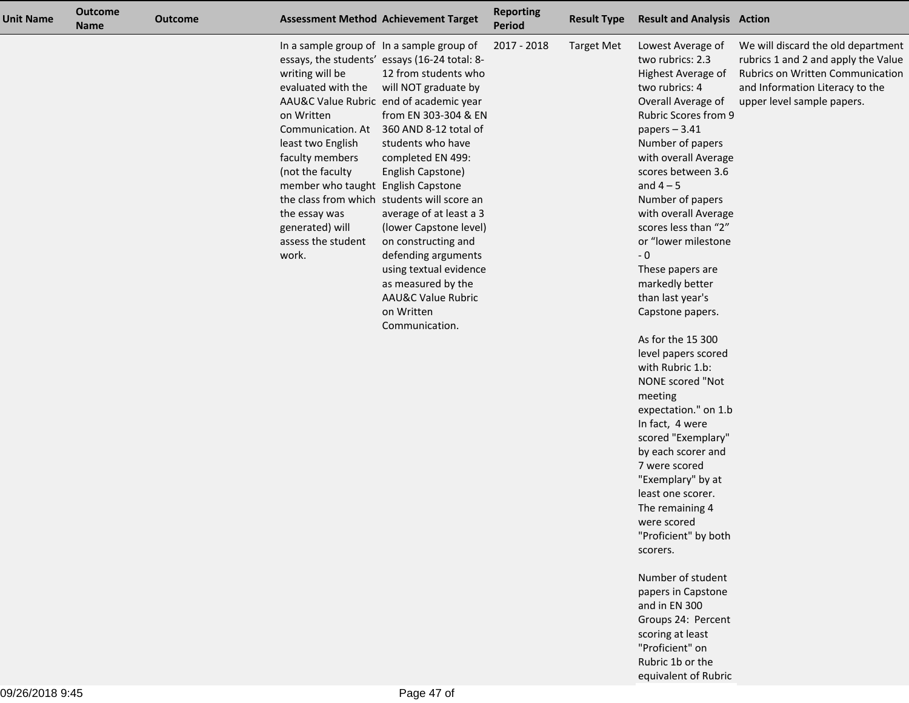| <b>Unit Name</b> | <b>Outcome</b><br><b>Name</b> | <b>Outcome</b> |                                                                                                                                                                                                                                               | <b>Assessment Method Achievement Target</b>                                                                                                                                                                                                                                                                                                                                                                                                                                                                                                                              | <b>Reporting</b><br><b>Period</b> | <b>Result Type</b> | <b>Result and Analysis Action</b>                                                                                                                                                                                                                                                                                                                                                                                                                                                                                                                                                                                                                                                                                                                                                                                                                                                             |                                                                                                                                                                                |
|------------------|-------------------------------|----------------|-----------------------------------------------------------------------------------------------------------------------------------------------------------------------------------------------------------------------------------------------|--------------------------------------------------------------------------------------------------------------------------------------------------------------------------------------------------------------------------------------------------------------------------------------------------------------------------------------------------------------------------------------------------------------------------------------------------------------------------------------------------------------------------------------------------------------------------|-----------------------------------|--------------------|-----------------------------------------------------------------------------------------------------------------------------------------------------------------------------------------------------------------------------------------------------------------------------------------------------------------------------------------------------------------------------------------------------------------------------------------------------------------------------------------------------------------------------------------------------------------------------------------------------------------------------------------------------------------------------------------------------------------------------------------------------------------------------------------------------------------------------------------------------------------------------------------------|--------------------------------------------------------------------------------------------------------------------------------------------------------------------------------|
|                  |                               |                | writing will be<br>evaluated with the<br>on Written<br>Communication. At<br>least two English<br>faculty members<br>(not the faculty<br>member who taught English Capstone<br>the essay was<br>generated) will<br>assess the student<br>work. | In a sample group of In a sample group of<br>essays, the students' essays (16-24 total: 8-<br>12 from students who<br>will NOT graduate by<br>AAU&C Value Rubric end of academic year<br>from EN 303-304 & EN<br>360 AND 8-12 total of<br>students who have<br>completed EN 499:<br>English Capstone)<br>the class from which students will score an<br>average of at least a 3<br>(lower Capstone level)<br>on constructing and<br>defending arguments<br>using textual evidence<br>as measured by the<br><b>AAU&amp;C Value Rubric</b><br>on Written<br>Communication. | 2017 - 2018                       | <b>Target Met</b>  | Lowest Average of<br>two rubrics: 2.3<br>Highest Average of<br>two rubrics: 4<br>Overall Average of<br><b>Rubric Scores from 9</b><br>papers $-3.41$<br>Number of papers<br>with overall Average<br>scores between 3.6<br>and $4-5$<br>Number of papers<br>with overall Average<br>scores less than "2"<br>or "lower milestone<br>$\sim 0$<br>These papers are<br>markedly better<br>than last year's<br>Capstone papers.<br>As for the 15 300<br>level papers scored<br>with Rubric 1.b:<br>NONE scored "Not<br>meeting<br>expectation." on 1.b<br>In fact, 4 were<br>scored "Exemplary"<br>by each scorer and<br>7 were scored<br>"Exemplary" by at<br>least one scorer.<br>The remaining 4<br>were scored<br>"Proficient" by both<br>scorers.<br>Number of student<br>papers in Capstone<br>and in EN 300<br>Groups 24: Percent<br>scoring at least<br>"Proficient" on<br>Rubric 1b or the | We will discard the old department<br>rubrics 1 and 2 and apply the Value<br>Rubrics on Written Communication<br>and Information Literacy to the<br>upper level sample papers. |

equivalent of Rubric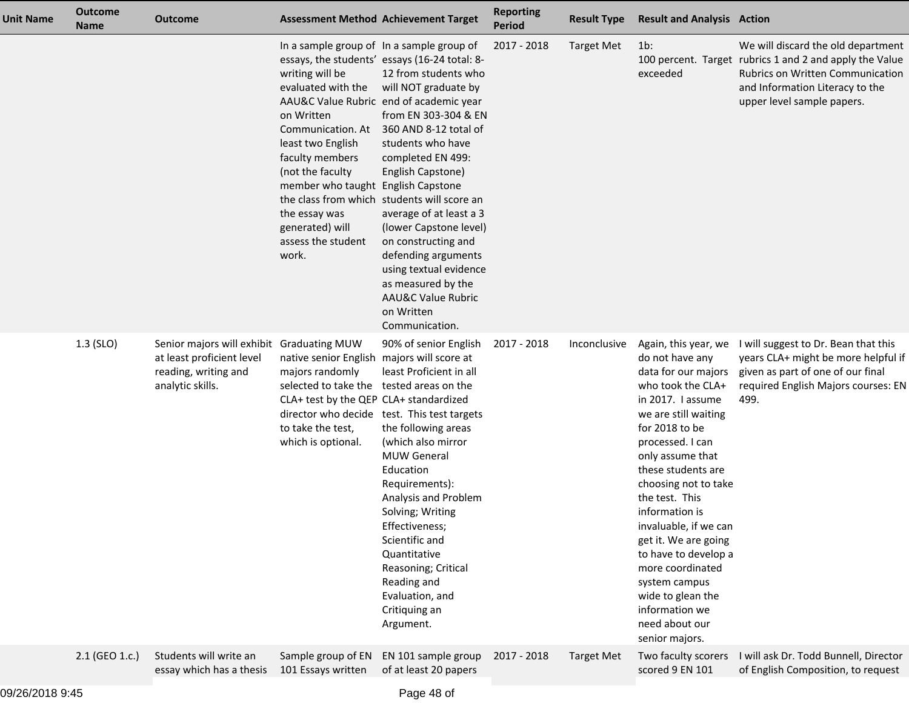| <b>Unit Name</b> | <b>Outcome</b><br><b>Name</b> | <b>Outcome</b>                                                                                                     |                                                                                                                                                                                                                                                                                            | <b>Assessment Method Achievement Target</b>                                                                                                                                                                                                                                                                                                                                                                                                                                                                                 | <b>Reporting</b><br><b>Period</b> | <b>Result Type</b> | <b>Result and Analysis Action</b>                                                                                                                                                                                                                                                                                                                                                                                                                                     |                                                                                                                                                                                                    |
|------------------|-------------------------------|--------------------------------------------------------------------------------------------------------------------|--------------------------------------------------------------------------------------------------------------------------------------------------------------------------------------------------------------------------------------------------------------------------------------------|-----------------------------------------------------------------------------------------------------------------------------------------------------------------------------------------------------------------------------------------------------------------------------------------------------------------------------------------------------------------------------------------------------------------------------------------------------------------------------------------------------------------------------|-----------------------------------|--------------------|-----------------------------------------------------------------------------------------------------------------------------------------------------------------------------------------------------------------------------------------------------------------------------------------------------------------------------------------------------------------------------------------------------------------------------------------------------------------------|----------------------------------------------------------------------------------------------------------------------------------------------------------------------------------------------------|
|                  |                               |                                                                                                                    | In a sample group of In a sample group of<br>writing will be<br>evaluated with the<br>on Written<br>Communication. At<br>least two English<br>faculty members<br>(not the faculty<br>member who taught English Capstone<br>the essay was<br>generated) will<br>assess the student<br>work. | essays, the students' essays (16-24 total: 8-<br>12 from students who<br>will NOT graduate by<br>AAU&C Value Rubric end of academic year<br>from EN 303-304 & EN<br>360 AND 8-12 total of<br>students who have<br>completed EN 499:<br>English Capstone)<br>the class from which students will score an<br>average of at least a 3<br>(lower Capstone level)<br>on constructing and<br>defending arguments<br>using textual evidence<br>as measured by the<br><b>AAU&amp;C Value Rubric</b><br>on Written<br>Communication. | 2017 - 2018                       | <b>Target Met</b>  | $1b$ :<br>exceeded                                                                                                                                                                                                                                                                                                                                                                                                                                                    | We will discard the old department<br>100 percent. Target rubrics 1 and 2 and apply the Value<br>Rubrics on Written Communication<br>and Information Literacy to the<br>upper level sample papers. |
|                  | $1.3$ (SLO)                   | Senior majors will exhibit Graduating MUW<br>at least proficient level<br>reading, writing and<br>analytic skills. | native senior English majors will score at<br>majors randomly<br>selected to take the tested areas on the<br>CLA+ test by the QEP CLA+ standardized<br>to take the test,<br>which is optional.                                                                                             | 90% of senior English<br>least Proficient in all<br>director who decide test. This test targets<br>the following areas<br>(which also mirror<br><b>MUW General</b><br>Education<br>Requirements):<br>Analysis and Problem<br>Solving; Writing<br>Effectiveness;<br>Scientific and<br>Quantitative<br>Reasoning; Critical<br>Reading and<br>Evaluation, and<br>Critiquing an<br>Argument.                                                                                                                                    | 2017 - 2018                       | Inconclusive       | Again, this year, we<br>do not have any<br>data for our majors<br>who took the CLA+<br>in 2017. I assume<br>we are still waiting<br>for 2018 to be<br>processed. I can<br>only assume that<br>these students are<br>choosing not to take<br>the test. This<br>information is<br>invaluable, if we can<br>get it. We are going<br>to have to develop a<br>more coordinated<br>system campus<br>wide to glean the<br>information we<br>need about our<br>senior majors. | I will suggest to Dr. Bean that this<br>years CLA+ might be more helpful if<br>given as part of one of our final<br>required English Majors courses: EN<br>499.                                    |
|                  | 2.1 (GEO 1.c.)                | Students will write an<br>essay which has a thesis                                                                 | Sample group of EN<br>101 Essays written                                                                                                                                                                                                                                                   | EN 101 sample group<br>of at least 20 papers                                                                                                                                                                                                                                                                                                                                                                                                                                                                                | 2017 - 2018                       | <b>Target Met</b>  | Two faculty scorers<br>scored 9 EN 101                                                                                                                                                                                                                                                                                                                                                                                                                                | I will ask Dr. Todd Bunnell, Director<br>of English Composition, to request                                                                                                                        |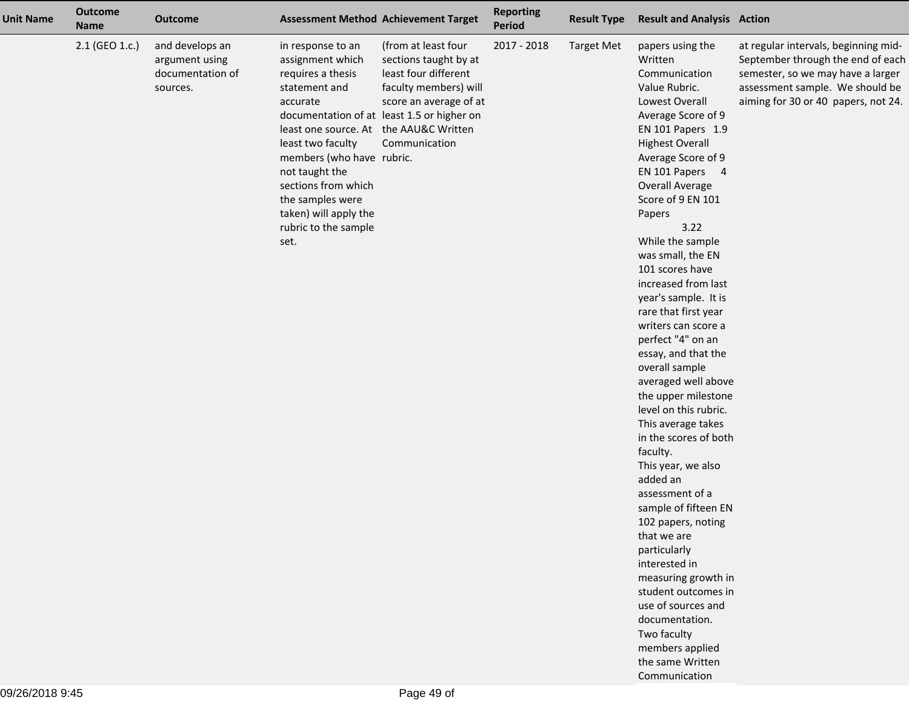| <b>Unit Name</b> | <b>Outcome</b><br><b>Name</b> | <b>Outcome</b>                                                    |                                                                                                                                                                                                                                                                                                           | <b>Assessment Method Achievement Target</b>                                                                                                                                            | <b>Reporting</b><br><b>Period</b> | <b>Result Type</b> | <b>Result and Analysis Action</b>                                                                                                                                                                                                                                                                                                                                                                                                                                                                                                                                                                                                                                                                                                                                                                                                                                                                                                        |                                                                                                                                                                                          |
|------------------|-------------------------------|-------------------------------------------------------------------|-----------------------------------------------------------------------------------------------------------------------------------------------------------------------------------------------------------------------------------------------------------------------------------------------------------|----------------------------------------------------------------------------------------------------------------------------------------------------------------------------------------|-----------------------------------|--------------------|------------------------------------------------------------------------------------------------------------------------------------------------------------------------------------------------------------------------------------------------------------------------------------------------------------------------------------------------------------------------------------------------------------------------------------------------------------------------------------------------------------------------------------------------------------------------------------------------------------------------------------------------------------------------------------------------------------------------------------------------------------------------------------------------------------------------------------------------------------------------------------------------------------------------------------------|------------------------------------------------------------------------------------------------------------------------------------------------------------------------------------------|
|                  | 2.1 (GEO 1.c.)                | and develops an<br>argument using<br>documentation of<br>sources. | in response to an<br>assignment which<br>requires a thesis<br>statement and<br>accurate<br>least one source. At the AAU&C Written<br>least two faculty<br>members (who have rubric.<br>not taught the<br>sections from which<br>the samples were<br>taken) will apply the<br>rubric to the sample<br>set. | (from at least four<br>sections taught by at<br>least four different<br>faculty members) will<br>score an average of at<br>documentation of at least 1.5 or higher on<br>Communication | 2017 - 2018                       | <b>Target Met</b>  | papers using the<br>Written<br>Communication<br>Value Rubric.<br>Lowest Overall<br>Average Score of 9<br>EN 101 Papers 1.9<br><b>Highest Overall</b><br>Average Score of 9<br>EN 101 Papers 4<br><b>Overall Average</b><br>Score of 9 EN 101<br>Papers<br>3.22<br>While the sample<br>was small, the EN<br>101 scores have<br>increased from last<br>year's sample. It is<br>rare that first year<br>writers can score a<br>perfect "4" on an<br>essay, and that the<br>overall sample<br>averaged well above<br>the upper milestone<br>level on this rubric.<br>This average takes<br>in the scores of both<br>faculty.<br>This year, we also<br>added an<br>assessment of a<br>sample of fifteen EN<br>102 papers, noting<br>that we are<br>particularly<br>interested in<br>measuring growth in<br>student outcomes in<br>use of sources and<br>documentation.<br>Two faculty<br>members applied<br>the same Written<br>Communication | at regular intervals, beginning mid-<br>September through the end of each<br>semester, so we may have a larger<br>assessment sample. We should be<br>aiming for 30 or 40 papers, not 24. |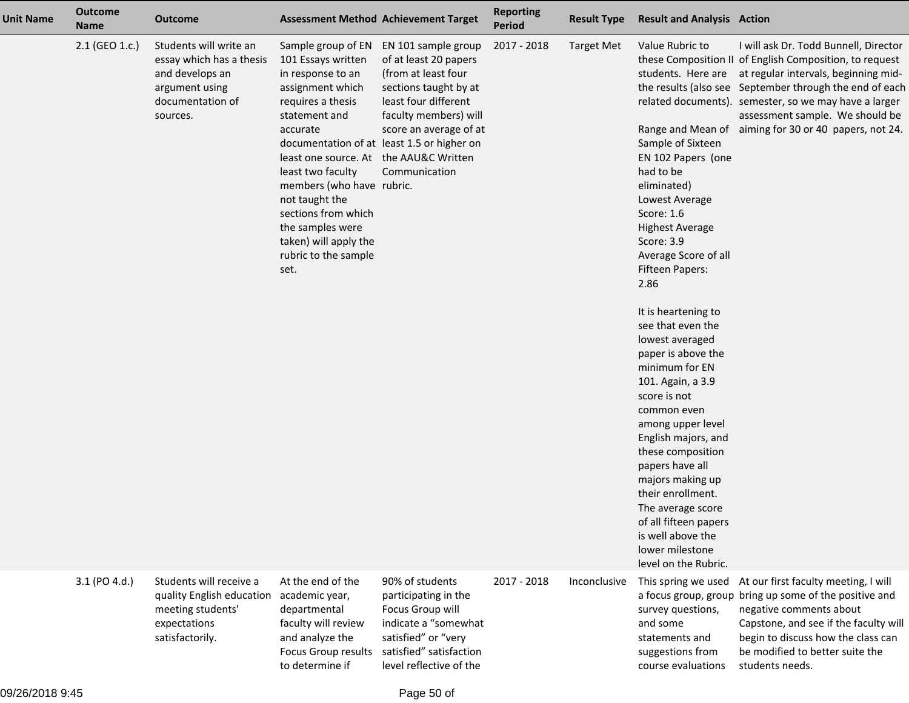| <b>Unit Name</b> | <b>Outcome</b><br><b>Name</b> | <b>Outcome</b>                                                                                                          |                                                                                                                                                                                                                                                                                                                                                       | <b>Assessment Method Achievement Target</b>                                                                                                                                                                                            | <b>Reporting</b><br><b>Period</b> | <b>Result Type</b> | <b>Result and Analysis Action</b>                                                                                                                                                                                                                                                                                                                                                                                                                                                                                                                                                                                              |                                                                                                                                                                                                                                                                                                                                                                             |
|------------------|-------------------------------|-------------------------------------------------------------------------------------------------------------------------|-------------------------------------------------------------------------------------------------------------------------------------------------------------------------------------------------------------------------------------------------------------------------------------------------------------------------------------------------------|----------------------------------------------------------------------------------------------------------------------------------------------------------------------------------------------------------------------------------------|-----------------------------------|--------------------|--------------------------------------------------------------------------------------------------------------------------------------------------------------------------------------------------------------------------------------------------------------------------------------------------------------------------------------------------------------------------------------------------------------------------------------------------------------------------------------------------------------------------------------------------------------------------------------------------------------------------------|-----------------------------------------------------------------------------------------------------------------------------------------------------------------------------------------------------------------------------------------------------------------------------------------------------------------------------------------------------------------------------|
|                  | 2.1 (GEO 1.c.)                | Students will write an<br>essay which has a thesis<br>and develops an<br>argument using<br>documentation of<br>sources. | Sample group of EN<br>101 Essays written<br>in response to an<br>assignment which<br>requires a thesis<br>statement and<br>accurate<br>least one source. At the AAU&C Written<br>least two faculty<br>members (who have rubric.<br>not taught the<br>sections from which<br>the samples were<br>taken) will apply the<br>rubric to the sample<br>set. | EN 101 sample group<br>of at least 20 papers<br>(from at least four<br>sections taught by at<br>least four different<br>faculty members) will<br>score an average of at<br>documentation of at least 1.5 or higher on<br>Communication | 2017 - 2018                       | <b>Target Met</b>  | Value Rubric to<br>Sample of Sixteen<br>EN 102 Papers (one<br>had to be<br>eliminated)<br>Lowest Average<br>Score: 1.6<br><b>Highest Average</b><br>Score: 3.9<br>Average Score of all<br><b>Fifteen Papers:</b><br>2.86<br>It is heartening to<br>see that even the<br>lowest averaged<br>paper is above the<br>minimum for EN<br>101. Again, a 3.9<br>score is not<br>common even<br>among upper level<br>English majors, and<br>these composition<br>papers have all<br>majors making up<br>their enrollment.<br>The average score<br>of all fifteen papers<br>is well above the<br>lower milestone<br>level on the Rubric. | I will ask Dr. Todd Bunnell, Director<br>these Composition II of English Composition, to request<br>students. Here are at regular intervals, beginning mid-<br>the results (also see September through the end of each<br>related documents). semester, so we may have a larger<br>assessment sample. We should be<br>Range and Mean of aiming for 30 or 40 papers, not 24. |
|                  | 3.1 (PO 4.d.)                 | Students will receive a<br>quality English education<br>meeting students'<br>expectations<br>satisfactorily.            | At the end of the<br>academic year,<br>departmental<br>faculty will review<br>and analyze the<br>Focus Group results<br>to determine if                                                                                                                                                                                                               | 90% of students<br>participating in the<br>Focus Group will<br>indicate a "somewhat<br>satisfied" or "very<br>satisfied" satisfaction<br>level reflective of the                                                                       | 2017 - 2018                       | Inconclusive       | This spring we used<br>survey questions,<br>and some<br>statements and<br>suggestions from<br>course evaluations                                                                                                                                                                                                                                                                                                                                                                                                                                                                                                               | At our first faculty meeting, I will<br>a focus group, group bring up some of the positive and<br>negative comments about<br>Capstone, and see if the faculty will<br>begin to discuss how the class can<br>be modified to better suite the<br>students needs.                                                                                                              |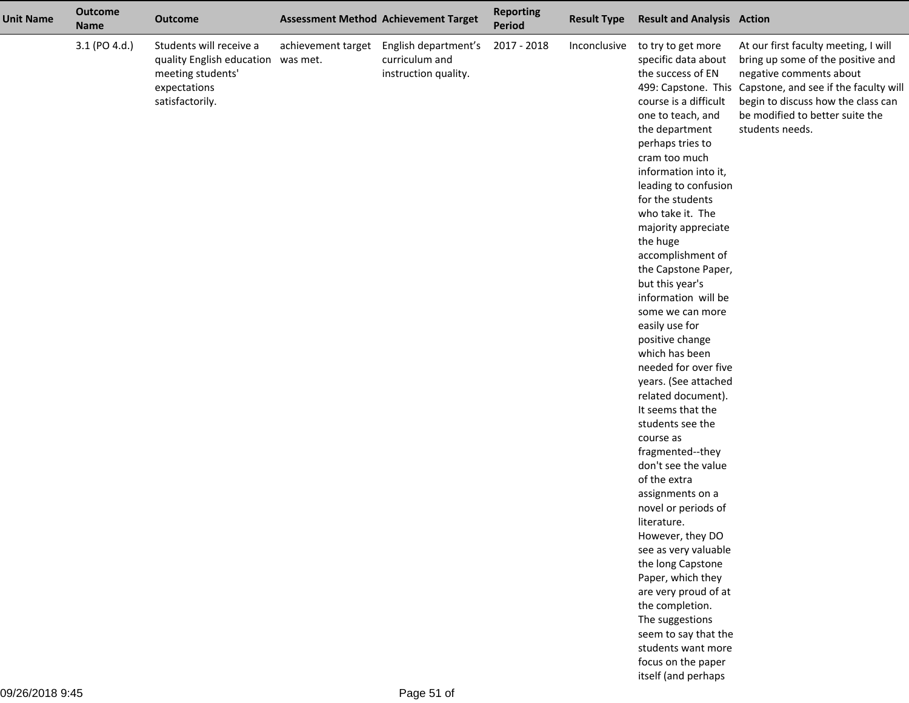| <b>Unit Name</b> | <b>Outcome</b><br><b>Name</b> | <b>Outcome</b>                                                                                                        | <b>Assessment Method Achievement Target</b>                                       | <b>Reporting</b><br><b>Period</b> | <b>Result Type</b> | <b>Result and Analysis Action</b>                                                                                                                                                                                                                                                                                                                                                                                                                                                                                                                                                                                                                                                                                                                                                                                                                                                                                                                               |                                                                                                                                                                                                                                                              |
|------------------|-------------------------------|-----------------------------------------------------------------------------------------------------------------------|-----------------------------------------------------------------------------------|-----------------------------------|--------------------|-----------------------------------------------------------------------------------------------------------------------------------------------------------------------------------------------------------------------------------------------------------------------------------------------------------------------------------------------------------------------------------------------------------------------------------------------------------------------------------------------------------------------------------------------------------------------------------------------------------------------------------------------------------------------------------------------------------------------------------------------------------------------------------------------------------------------------------------------------------------------------------------------------------------------------------------------------------------|--------------------------------------------------------------------------------------------------------------------------------------------------------------------------------------------------------------------------------------------------------------|
|                  | 3.1 (PO 4.d.)                 | Students will receive a<br>quality English education was met.<br>meeting students'<br>expectations<br>satisfactorily. | achievement target English department's<br>curriculum and<br>instruction quality. | 2017 - 2018                       | Inconclusive       | to try to get more<br>specific data about<br>the success of EN<br>course is a difficult<br>one to teach, and<br>the department<br>perhaps tries to<br>cram too much<br>information into it,<br>leading to confusion<br>for the students<br>who take it. The<br>majority appreciate<br>the huge<br>accomplishment of<br>the Capstone Paper,<br>but this year's<br>information will be<br>some we can more<br>easily use for<br>positive change<br>which has been<br>needed for over five<br>years. (See attached<br>related document).<br>It seems that the<br>students see the<br>course as<br>fragmented--they<br>don't see the value<br>of the extra<br>assignments on a<br>novel or periods of<br>literature.<br>However, they DO<br>see as very valuable<br>the long Capstone<br>Paper, which they<br>are very proud of at<br>the completion.<br>The suggestions<br>seem to say that the<br>students want more<br>focus on the paper<br>itself (and perhaps | At our first faculty meeting, I will<br>bring up some of the positive and<br>negative comments about<br>499: Capstone. This Capstone, and see if the faculty wil<br>begin to discuss how the class can<br>be modified to better suite the<br>students needs. |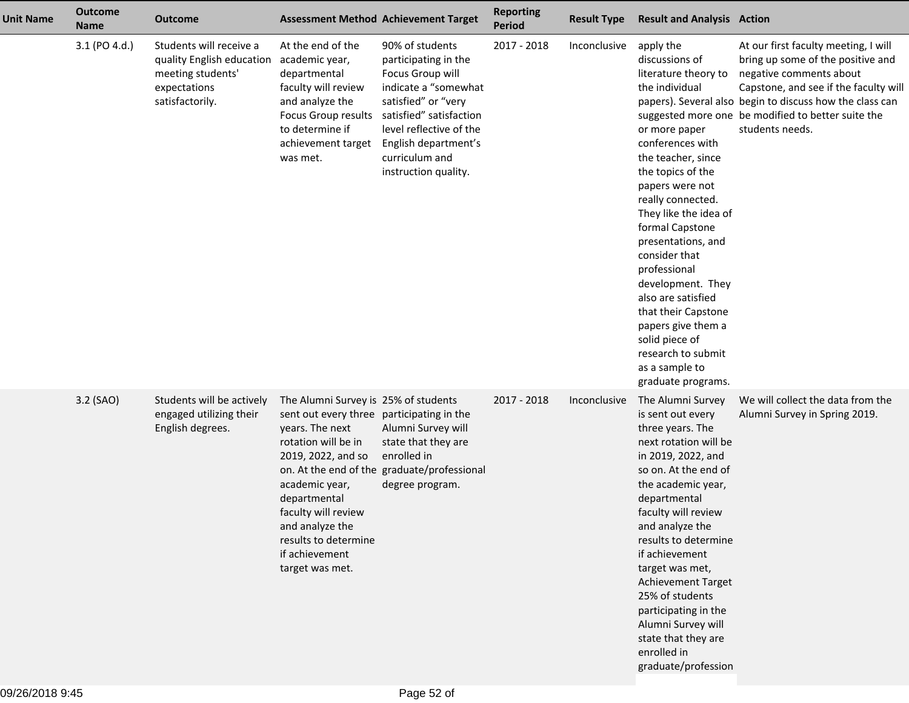| <b>Unit Name</b> | <b>Outcome</b><br><b>Name</b> | <b>Outcome</b>                                                                                               |                                                                                                                                                                                                                                                                                            | <b>Assessment Method Achievement Target</b>                                                                                                                                                                                        | <b>Reporting</b><br><b>Period</b> | <b>Result Type</b> | <b>Result and Analysis Action</b>                                                                                                                                                                                                                                                                                                                                                                                                                                        |                                                                                                                                                                                                                                                                                   |
|------------------|-------------------------------|--------------------------------------------------------------------------------------------------------------|--------------------------------------------------------------------------------------------------------------------------------------------------------------------------------------------------------------------------------------------------------------------------------------------|------------------------------------------------------------------------------------------------------------------------------------------------------------------------------------------------------------------------------------|-----------------------------------|--------------------|--------------------------------------------------------------------------------------------------------------------------------------------------------------------------------------------------------------------------------------------------------------------------------------------------------------------------------------------------------------------------------------------------------------------------------------------------------------------------|-----------------------------------------------------------------------------------------------------------------------------------------------------------------------------------------------------------------------------------------------------------------------------------|
|                  | 3.1 (PO 4.d.)                 | Students will receive a<br>quality English education<br>meeting students'<br>expectations<br>satisfactorily. | At the end of the<br>academic year,<br>departmental<br>faculty will review<br>and analyze the<br>Focus Group results<br>to determine if<br>achievement target<br>was met.                                                                                                                  | 90% of students<br>participating in the<br>Focus Group will<br>indicate a "somewhat<br>satisfied" or "very<br>satisfied" satisfaction<br>level reflective of the<br>English department's<br>curriculum and<br>instruction quality. | 2017 - 2018                       | Inconclusive       | apply the<br>discussions of<br>literature theory to<br>the individual<br>or more paper<br>conferences with<br>the teacher, since<br>the topics of the<br>papers were not<br>really connected.<br>They like the idea of<br>formal Capstone<br>presentations, and<br>consider that<br>professional<br>development. They<br>also are satisfied<br>that their Capstone<br>papers give them a<br>solid piece of<br>research to submit<br>as a sample to<br>graduate programs. | At our first faculty meeting, I will<br>bring up some of the positive and<br>negative comments about<br>Capstone, and see if the faculty wil<br>papers). Several also begin to discuss how the class can<br>suggested more one be modified to better suite the<br>students needs. |
|                  | 3.2 (SAO)                     | Students will be actively<br>engaged utilizing their<br>English degrees.                                     | The Alumni Survey is 25% of students<br>sent out every three participating in the<br>years. The next<br>rotation will be in<br>2019, 2022, and so<br>academic year,<br>departmental<br>faculty will review<br>and analyze the<br>results to determine<br>if achievement<br>target was met. | Alumni Survey will<br>state that they are<br>enrolled in<br>on. At the end of the graduate/professional<br>degree program.                                                                                                         | 2017 - 2018                       | Inconclusive       | The Alumni Survey<br>is sent out every<br>three years. The<br>next rotation will be<br>in 2019, 2022, and<br>so on. At the end of<br>the academic year,<br>departmental<br>faculty will review<br>and analyze the<br>results to determine<br>if achievement<br>target was met,<br><b>Achievement Target</b><br>25% of students<br>participating in the<br>Alumni Survey will<br>state that they are<br>enrolled in<br>graduate/profession                                | We will collect the data from the<br>Alumni Survey in Spring 2019.                                                                                                                                                                                                                |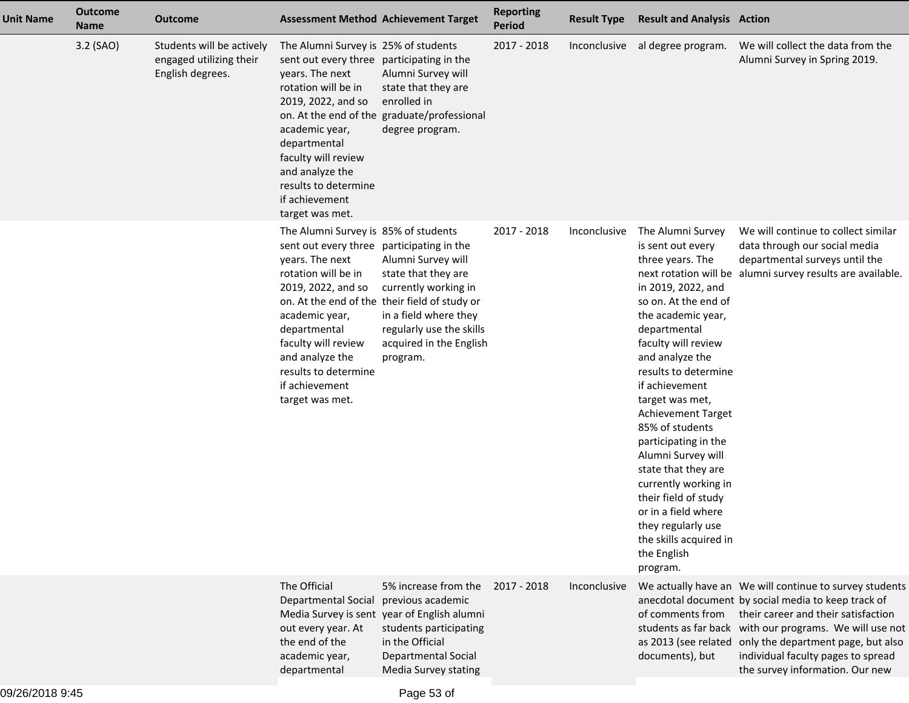| <b>Unit Name</b> | <b>Outcome</b><br><b>Name</b> | <b>Outcome</b>                                                           | <b>Assessment Method Achievement Target</b>                                                                                                                                                                                                                                                |                                                                                                                                                                                                                | <b>Reporting</b><br><b>Period</b> | <b>Result Type</b> | <b>Result and Analysis Action</b>                                                                                                                                                                                                                                                                                                                                                                                                                                                                                            |                                                                                                                                                                                                                                                                                                                                                      |
|------------------|-------------------------------|--------------------------------------------------------------------------|--------------------------------------------------------------------------------------------------------------------------------------------------------------------------------------------------------------------------------------------------------------------------------------------|----------------------------------------------------------------------------------------------------------------------------------------------------------------------------------------------------------------|-----------------------------------|--------------------|------------------------------------------------------------------------------------------------------------------------------------------------------------------------------------------------------------------------------------------------------------------------------------------------------------------------------------------------------------------------------------------------------------------------------------------------------------------------------------------------------------------------------|------------------------------------------------------------------------------------------------------------------------------------------------------------------------------------------------------------------------------------------------------------------------------------------------------------------------------------------------------|
|                  | 3.2 (SAO)                     | Students will be actively<br>engaged utilizing their<br>English degrees. | The Alumni Survey is 25% of students<br>sent out every three participating in the<br>years. The next<br>rotation will be in<br>2019, 2022, and so<br>academic year,<br>departmental<br>faculty will review<br>and analyze the<br>results to determine<br>if achievement<br>target was met. | Alumni Survey will<br>state that they are<br>enrolled in<br>on. At the end of the graduate/professional<br>degree program.                                                                                     | 2017 - 2018                       | Inconclusive       | al degree program.                                                                                                                                                                                                                                                                                                                                                                                                                                                                                                           | We will collect the data from the<br>Alumni Survey in Spring 2019.                                                                                                                                                                                                                                                                                   |
|                  |                               |                                                                          | The Alumni Survey is 85% of students<br>sent out every three participating in the<br>years. The next<br>rotation will be in<br>2019, 2022, and so<br>academic year,<br>departmental<br>faculty will review<br>and analyze the<br>results to determine<br>if achievement<br>target was met. | Alumni Survey will<br>state that they are<br>currently working in<br>on. At the end of the their field of study or<br>in a field where they<br>regularly use the skills<br>acquired in the English<br>program. | 2017 - 2018                       | Inconclusive       | The Alumni Survey<br>is sent out every<br>three years. The<br>in 2019, 2022, and<br>so on. At the end of<br>the academic year,<br>departmental<br>faculty will review<br>and analyze the<br>results to determine<br>if achievement<br>target was met,<br><b>Achievement Target</b><br>85% of students<br>participating in the<br>Alumni Survey will<br>state that they are<br>currently working in<br>their field of study<br>or in a field where<br>they regularly use<br>the skills acquired in<br>the English<br>program. | We will continue to collect similar<br>data through our social media<br>departmental surveys until the<br>next rotation will be alumni survey results are available.                                                                                                                                                                                 |
|                  |                               |                                                                          | The Official<br>Departmental Social previous academic<br>out every year. At<br>the end of the<br>academic year,<br>departmental                                                                                                                                                            | 5% increase from the<br>Media Survey is sent year of English alumni<br>students participating<br>in the Official<br><b>Departmental Social</b><br>Media Survey stating                                         | 2017 - 2018                       | Inconclusive       | of comments from<br>documents), but                                                                                                                                                                                                                                                                                                                                                                                                                                                                                          | We actually have an We will continue to survey students<br>anecdotal document by social media to keep track of<br>their career and their satisfaction<br>students as far back with our programs. We will use not<br>as 2013 (see related only the department page, but also<br>individual faculty pages to spread<br>the survey information. Our new |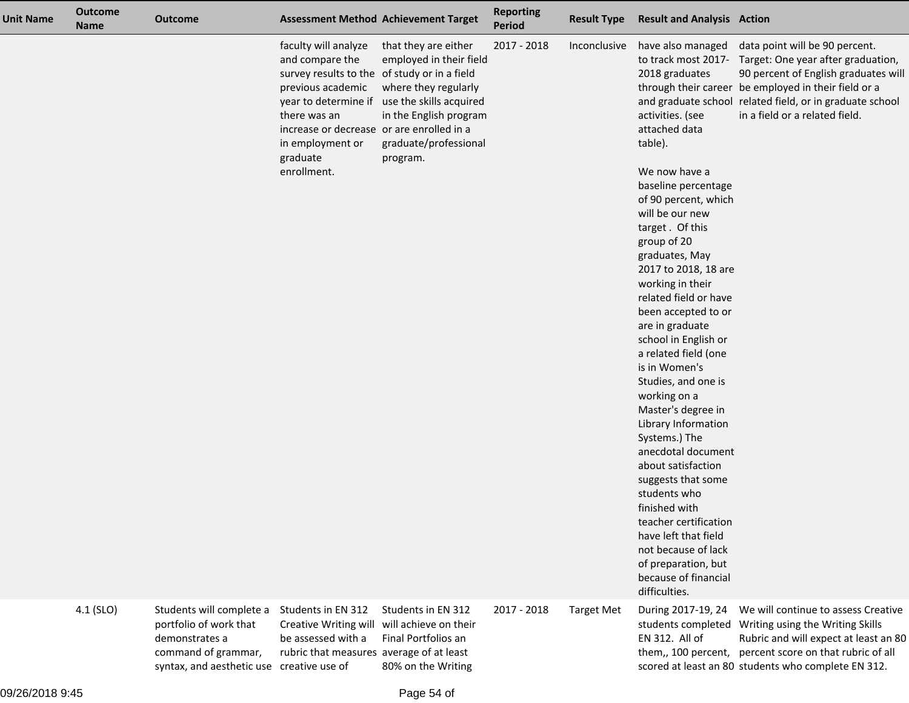| <b>Unit Name</b> | <b>Outcome</b><br><b>Name</b> | <b>Outcome</b>                                                                                                                           | <b>Assessment Method Achievement Target</b>                                                                                                                                                                              |                                                                                                                                                                                        | <b>Reporting</b><br><b>Period</b> | <b>Result Type</b> | <b>Result and Analysis Action</b>                                                                                                                                                                                                                                                                                                                                                                                                                                                                                                                                                                                                                                                                                                                                                 |                                                                                                                                                                                                                                                                    |
|------------------|-------------------------------|------------------------------------------------------------------------------------------------------------------------------------------|--------------------------------------------------------------------------------------------------------------------------------------------------------------------------------------------------------------------------|----------------------------------------------------------------------------------------------------------------------------------------------------------------------------------------|-----------------------------------|--------------------|-----------------------------------------------------------------------------------------------------------------------------------------------------------------------------------------------------------------------------------------------------------------------------------------------------------------------------------------------------------------------------------------------------------------------------------------------------------------------------------------------------------------------------------------------------------------------------------------------------------------------------------------------------------------------------------------------------------------------------------------------------------------------------------|--------------------------------------------------------------------------------------------------------------------------------------------------------------------------------------------------------------------------------------------------------------------|
|                  |                               |                                                                                                                                          | faculty will analyze<br>and compare the<br>survey results to the of study or in a field<br>previous academic<br>there was an<br>increase or decrease or are enrolled in a<br>in employment or<br>graduate<br>enrollment. | that they are either<br>employed in their field<br>where they regularly<br>year to determine if use the skills acquired<br>in the English program<br>graduate/professional<br>program. | 2017 - 2018                       | Inconclusive       | have also managed<br>to track most 2017-<br>2018 graduates<br>activities. (see<br>attached data<br>table).<br>We now have a<br>baseline percentage<br>of 90 percent, which<br>will be our new<br>target. Of this<br>group of 20<br>graduates, May<br>2017 to 2018, 18 are<br>working in their<br>related field or have<br>been accepted to or<br>are in graduate<br>school in English or<br>a related field (one<br>is in Women's<br>Studies, and one is<br>working on a<br>Master's degree in<br>Library Information<br>Systems.) The<br>anecdotal document<br>about satisfaction<br>suggests that some<br>students who<br>finished with<br>teacher certification<br>have left that field<br>not because of lack<br>of preparation, but<br>because of financial<br>difficulties. | data point will be 90 percent.<br>Target: One year after graduation,<br>90 percent of English graduates will<br>through their career be employed in their field or a<br>and graduate school related field, or in graduate school<br>in a field or a related field. |
|                  | 4.1 (SLO)                     | Students will complete a<br>portfolio of work that<br>demonstrates a<br>command of grammar,<br>syntax, and aesthetic use creative use of | Students in EN 312<br><b>Creative Writing will</b><br>be assessed with a<br>rubric that measures average of at least                                                                                                     | Students in EN 312<br>will achieve on their<br>Final Portfolios an<br>80% on the Writing                                                                                               | 2017 - 2018                       | <b>Target Met</b>  | During 2017-19, 24<br>students completed<br>EN 312. All of                                                                                                                                                                                                                                                                                                                                                                                                                                                                                                                                                                                                                                                                                                                        | We will continue to assess Creative<br>Writing using the Writing Skills<br>Rubric and will expect at least an 80<br>them,, 100 percent, percent score on that rubric of all<br>scored at least an 80 students who complete EN 312.                                 |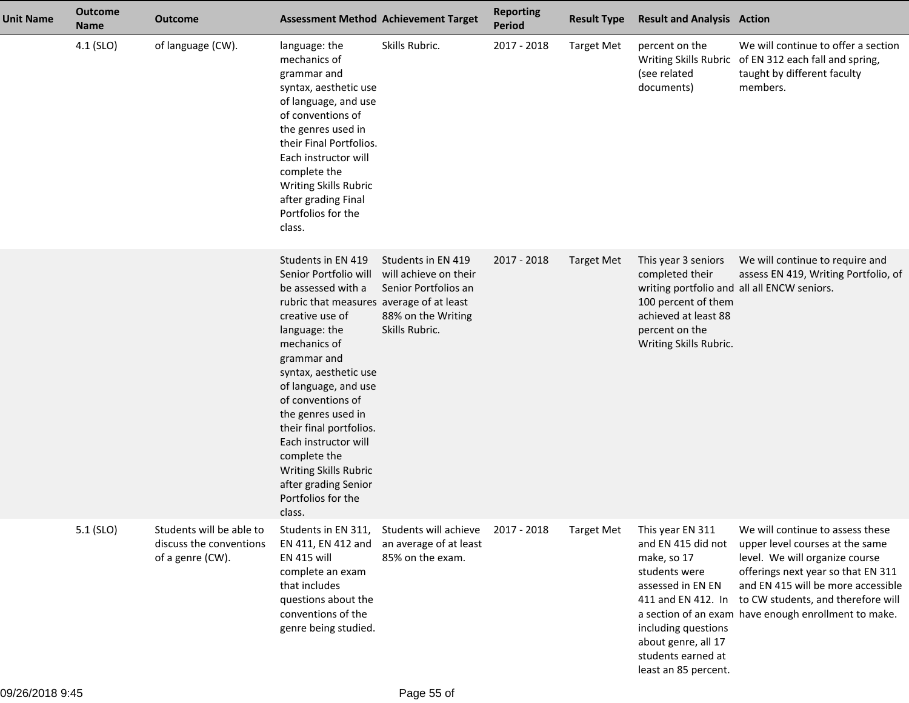| <b>Unit Name</b> | <b>Outcome</b><br><b>Name</b> | <b>Outcome</b>                                                          |                                                                                                                                                                                                                                                                                                                                                                                                                                  | <b>Assessment Method Achievement Target</b>                                                                 | <b>Reporting</b><br><b>Period</b> | <b>Result Type</b> | <b>Result and Analysis Action</b>                                                                                                                                                       |                                                                                                                                                                                                                                                                                                    |
|------------------|-------------------------------|-------------------------------------------------------------------------|----------------------------------------------------------------------------------------------------------------------------------------------------------------------------------------------------------------------------------------------------------------------------------------------------------------------------------------------------------------------------------------------------------------------------------|-------------------------------------------------------------------------------------------------------------|-----------------------------------|--------------------|-----------------------------------------------------------------------------------------------------------------------------------------------------------------------------------------|----------------------------------------------------------------------------------------------------------------------------------------------------------------------------------------------------------------------------------------------------------------------------------------------------|
|                  | 4.1 (SLO)                     | of language (CW).                                                       | language: the<br>mechanics of<br>grammar and<br>syntax, aesthetic use<br>of language, and use<br>of conventions of<br>the genres used in<br>their Final Portfolios.<br>Each instructor will<br>complete the<br>Writing Skills Rubric<br>after grading Final<br>Portfolios for the<br>class.                                                                                                                                      | Skills Rubric.                                                                                              | 2017 - 2018                       | <b>Target Met</b>  | percent on the<br>(see related<br>documents)                                                                                                                                            | We will continue to offer a section<br>Writing Skills Rubric of EN 312 each fall and spring,<br>taught by different faculty<br>members.                                                                                                                                                            |
|                  |                               |                                                                         | Students in EN 419<br>Senior Portfolio will<br>be assessed with a<br>rubric that measures average of at least<br>creative use of<br>language: the<br>mechanics of<br>grammar and<br>syntax, aesthetic use<br>of language, and use<br>of conventions of<br>the genres used in<br>their final portfolios.<br>Each instructor will<br>complete the<br>Writing Skills Rubric<br>after grading Senior<br>Portfolios for the<br>class. | Students in EN 419<br>will achieve on their<br>Senior Portfolios an<br>88% on the Writing<br>Skills Rubric. | 2017 - 2018                       | <b>Target Met</b>  | This year 3 seniors<br>completed their<br>writing portfolio and all all ENCW seniors.<br>100 percent of them<br>achieved at least 88<br>percent on the<br>Writing Skills Rubric.        | We will continue to require and<br>assess EN 419, Writing Portfolio, of                                                                                                                                                                                                                            |
|                  | $5.1$ (SLO)                   | Students will be able to<br>discuss the conventions<br>of a genre (CW). | Students in EN 311,<br>EN 411, EN 412 and<br><b>EN 415 will</b><br>complete an exam<br>that includes<br>questions about the<br>conventions of the<br>genre being studied.                                                                                                                                                                                                                                                        | Students will achieve<br>an average of at least<br>85% on the exam.                                         | 2017 - 2018                       | <b>Target Met</b>  | This year EN 311<br>and EN 415 did not<br>make, so 17<br>students were<br>assessed in EN EN<br>including questions<br>about genre, all 17<br>students earned at<br>least an 85 percent. | We will continue to assess these<br>upper level courses at the same<br>level. We will organize course<br>offerings next year so that EN 311<br>and EN 415 will be more accessible<br>411 and EN 412. In to CW students, and therefore will<br>a section of an exam have enough enrollment to make. |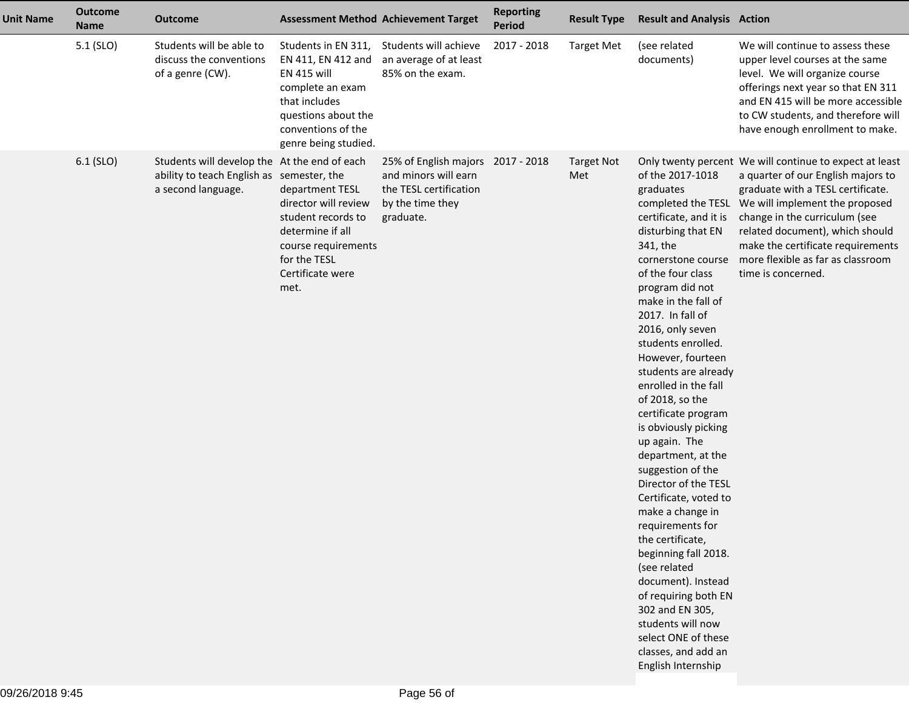| <b>Unit Name</b> | <b>Outcome</b><br><b>Name</b> | Outcome                                                                                                         |                                                                                                                                                                           | <b>Assessment Method Achievement Target</b>                                                                          | <b>Reporting</b><br><b>Period</b> | <b>Result Type</b>       | <b>Result and Analysis Action</b>                                                                                                                                                                                                                                                                                                                                                                                                                                                                                                                                                                                                                                                                                                                              |                                                                                                                                                                                                                                                                                                                                                             |
|------------------|-------------------------------|-----------------------------------------------------------------------------------------------------------------|---------------------------------------------------------------------------------------------------------------------------------------------------------------------------|----------------------------------------------------------------------------------------------------------------------|-----------------------------------|--------------------------|----------------------------------------------------------------------------------------------------------------------------------------------------------------------------------------------------------------------------------------------------------------------------------------------------------------------------------------------------------------------------------------------------------------------------------------------------------------------------------------------------------------------------------------------------------------------------------------------------------------------------------------------------------------------------------------------------------------------------------------------------------------|-------------------------------------------------------------------------------------------------------------------------------------------------------------------------------------------------------------------------------------------------------------------------------------------------------------------------------------------------------------|
|                  | 5.1 (SLO)                     | Students will be able to<br>discuss the conventions<br>of a genre (CW).                                         | Students in EN 311,<br>EN 411, EN 412 and<br><b>EN 415 will</b><br>complete an exam<br>that includes<br>questions about the<br>conventions of the<br>genre being studied. | Students will achieve<br>an average of at least<br>85% on the exam.                                                  | 2017 - 2018                       | <b>Target Met</b>        | (see related<br>documents)                                                                                                                                                                                                                                                                                                                                                                                                                                                                                                                                                                                                                                                                                                                                     | We will continue to assess these<br>upper level courses at the same<br>level. We will organize course<br>offerings next year so that EN 311<br>and EN 415 will be more accessible<br>to CW students, and therefore will<br>have enough enrollment to make.                                                                                                  |
|                  | 6.1 (SLO)                     | Students will develop the At the end of each<br>ability to teach English as semester, the<br>a second language. | department TESL<br>director will review<br>student records to<br>determine if all<br>course requirements<br>for the TESL<br>Certificate were<br>met.                      | 25% of English majors 2017 - 2018<br>and minors will earn<br>the TESL certification<br>by the time they<br>graduate. |                                   | <b>Target Not</b><br>Met | of the 2017-1018<br>graduates<br>certificate, and it is<br>disturbing that EN<br>341, the<br>cornerstone course<br>of the four class<br>program did not<br>make in the fall of<br>2017. In fall of<br>2016, only seven<br>students enrolled.<br>However, fourteen<br>students are already<br>enrolled in the fall<br>of 2018, so the<br>certificate program<br>is obviously picking<br>up again. The<br>department, at the<br>suggestion of the<br>Director of the TESL<br>Certificate, voted to<br>make a change in<br>requirements for<br>the certificate,<br>beginning fall 2018.<br>(see related<br>document). Instead<br>of requiring both EN<br>302 and EN 305,<br>students will now<br>select ONE of these<br>classes, and add an<br>English Internship | Only twenty percent We will continue to expect at least<br>a quarter of our English majors to<br>graduate with a TESL certificate.<br>completed the TESL We will implement the proposed<br>change in the curriculum (see<br>related document), which should<br>make the certificate requirements<br>more flexible as far as classroom<br>time is concerned. |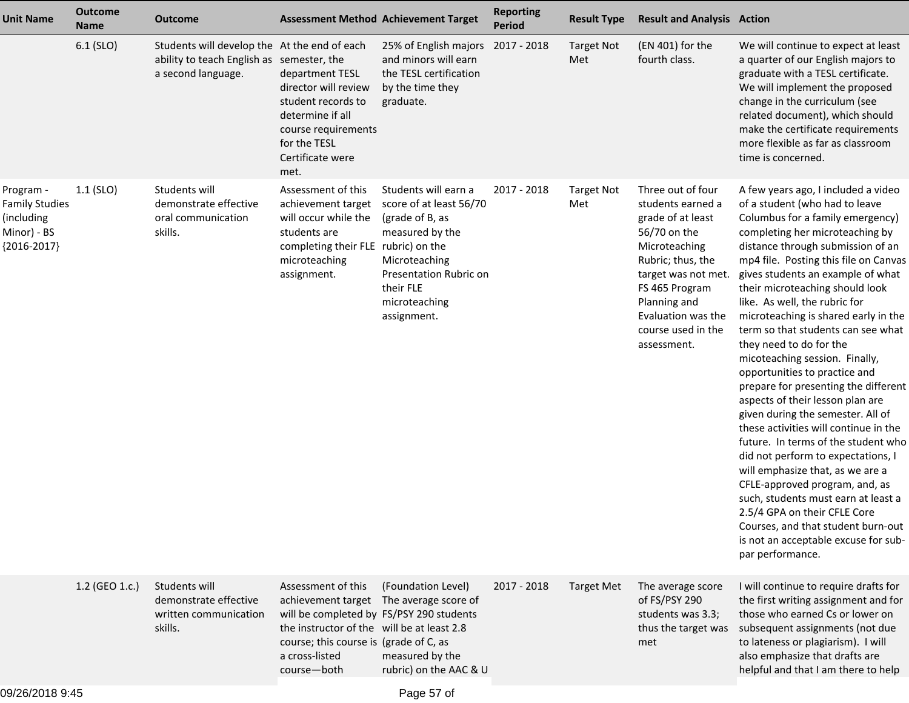| <b>Unit Name</b>                                                                 | <b>Outcome</b><br><b>Name</b> | <b>Outcome</b>                                                                                                  | <b>Assessment Method Achievement Target</b>                                                                                                                                                                                        |                                                                                                                                                                               | <b>Reporting</b><br><b>Period</b> | <b>Result Type</b>       | <b>Result and Analysis Action</b>                                                                                                                                                                                                     |                                                                                                                                                                                                                                                                                                                                                                                                                                                                                                                                                                                                                                                                                                                                                                                                                                                                                                                                                                                                       |
|----------------------------------------------------------------------------------|-------------------------------|-----------------------------------------------------------------------------------------------------------------|------------------------------------------------------------------------------------------------------------------------------------------------------------------------------------------------------------------------------------|-------------------------------------------------------------------------------------------------------------------------------------------------------------------------------|-----------------------------------|--------------------------|---------------------------------------------------------------------------------------------------------------------------------------------------------------------------------------------------------------------------------------|-------------------------------------------------------------------------------------------------------------------------------------------------------------------------------------------------------------------------------------------------------------------------------------------------------------------------------------------------------------------------------------------------------------------------------------------------------------------------------------------------------------------------------------------------------------------------------------------------------------------------------------------------------------------------------------------------------------------------------------------------------------------------------------------------------------------------------------------------------------------------------------------------------------------------------------------------------------------------------------------------------|
|                                                                                  | $6.1$ (SLO)                   | Students will develop the At the end of each<br>ability to teach English as semester, the<br>a second language. | department TESL<br>director will review<br>student records to<br>determine if all<br>course requirements<br>for the TESL<br>Certificate were<br>met.                                                                               | 25% of English majors 2017 - 2018<br>and minors will earn<br>the TESL certification<br>by the time they<br>graduate.                                                          |                                   | <b>Target Not</b><br>Met | (EN 401) for the<br>fourth class.                                                                                                                                                                                                     | We will continue to expect at least<br>a quarter of our English majors to<br>graduate with a TESL certificate.<br>We will implement the proposed<br>change in the curriculum (see<br>related document), which should<br>make the certificate requirements<br>more flexible as far as classroom<br>time is concerned.                                                                                                                                                                                                                                                                                                                                                                                                                                                                                                                                                                                                                                                                                  |
| Program -<br><b>Family Studies</b><br>(including<br>Minor) - BS<br>${2016-2017}$ | $1.1$ (SLO)                   | Students will<br>demonstrate effective<br>oral communication<br>skills.                                         | Assessment of this<br>achievement target<br>will occur while the<br>students are<br>completing their FLE rubric) on the<br>microteaching<br>assignment.                                                                            | Students will earn a<br>score of at least 56/70<br>(grade of B, as<br>measured by the<br>Microteaching<br>Presentation Rubric on<br>their FLE<br>microteaching<br>assignment. | 2017 - 2018                       | <b>Target Not</b><br>Met | Three out of four<br>students earned a<br>grade of at least<br>56/70 on the<br>Microteaching<br>Rubric; thus, the<br>target was not met.<br>FS 465 Program<br>Planning and<br>Evaluation was the<br>course used in the<br>assessment. | A few years ago, I included a video<br>of a student (who had to leave<br>Columbus for a family emergency)<br>completing her microteaching by<br>distance through submission of an<br>mp4 file. Posting this file on Canvas<br>gives students an example of what<br>their microteaching should look<br>like. As well, the rubric for<br>microteaching is shared early in the<br>term so that students can see what<br>they need to do for the<br>micoteaching session. Finally,<br>opportunities to practice and<br>prepare for presenting the different<br>aspects of their lesson plan are<br>given during the semester. All of<br>these activities will continue in the<br>future. In terms of the student who<br>did not perform to expectations, I<br>will emphasize that, as we are a<br>CFLE-approved program, and, as<br>such, students must earn at least a<br>2.5/4 GPA on their CFLE Core<br>Courses, and that student burn-out<br>is not an acceptable excuse for sub-<br>par performance. |
|                                                                                  | 1.2 (GEO 1.c.)                | Students will<br>demonstrate effective<br>written communication<br>skills.                                      | Assessment of this<br>achievement target The average score of<br>will be completed by FS/PSY 290 students<br>the instructor of the will be at least 2.8<br>course; this course is (grade of C, as<br>a cross-listed<br>course-both | (Foundation Level)<br>measured by the<br>rubric) on the AAC & U                                                                                                               | 2017 - 2018                       | <b>Target Met</b>        | The average score<br>of FS/PSY 290<br>students was 3.3;<br>thus the target was<br>met                                                                                                                                                 | I will continue to require drafts for<br>the first writing assignment and for<br>those who earned Cs or lower on<br>subsequent assignments (not due<br>to lateness or plagiarism). I will<br>also emphasize that drafts are<br>helpful and that I am there to help                                                                                                                                                                                                                                                                                                                                                                                                                                                                                                                                                                                                                                                                                                                                    |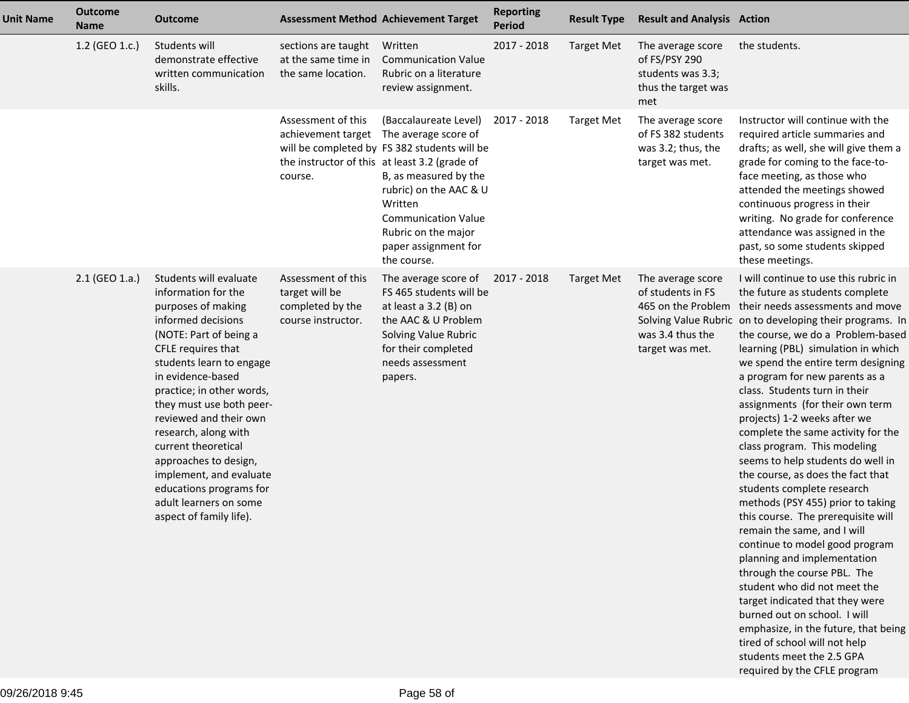| <b>Unit Name</b> | <b>Outcome</b><br><b>Name</b> | <b>Outcome</b>                                                                                                                                                                                                                                                                                                                                                                                                                                                   | <b>Assessment Method Achievement Target</b>                                    |                                                                                                                                                                                                                                                                            | <b>Reporting</b><br><b>Period</b> | <b>Result Type</b> | <b>Result and Analysis Action</b>                                                                   |                                                                                                                                                                                                                                                                                                                                                                                                                                                                                                                                                                                                                                                                                                                                                                                                                                                                                                                                                                                                                                                                  |
|------------------|-------------------------------|------------------------------------------------------------------------------------------------------------------------------------------------------------------------------------------------------------------------------------------------------------------------------------------------------------------------------------------------------------------------------------------------------------------------------------------------------------------|--------------------------------------------------------------------------------|----------------------------------------------------------------------------------------------------------------------------------------------------------------------------------------------------------------------------------------------------------------------------|-----------------------------------|--------------------|-----------------------------------------------------------------------------------------------------|------------------------------------------------------------------------------------------------------------------------------------------------------------------------------------------------------------------------------------------------------------------------------------------------------------------------------------------------------------------------------------------------------------------------------------------------------------------------------------------------------------------------------------------------------------------------------------------------------------------------------------------------------------------------------------------------------------------------------------------------------------------------------------------------------------------------------------------------------------------------------------------------------------------------------------------------------------------------------------------------------------------------------------------------------------------|
|                  | 1.2 (GEO 1.c.)                | Students will<br>demonstrate effective<br>written communication<br>skills.                                                                                                                                                                                                                                                                                                                                                                                       | sections are taught<br>at the same time in<br>the same location.               | Written<br><b>Communication Value</b><br>Rubric on a literature<br>review assignment.                                                                                                                                                                                      | 2017 - 2018                       | <b>Target Met</b>  | The average score<br>of FS/PSY 290<br>students was 3.3;<br>thus the target was<br>met               | the students.                                                                                                                                                                                                                                                                                                                                                                                                                                                                                                                                                                                                                                                                                                                                                                                                                                                                                                                                                                                                                                                    |
|                  |                               |                                                                                                                                                                                                                                                                                                                                                                                                                                                                  | Assessment of this<br>the instructor of this at least 3.2 (grade of<br>course. | (Baccalaureate Level)<br>achievement target The average score of<br>will be completed by FS 382 students will be<br>B, as measured by the<br>rubric) on the AAC & U<br>Written<br><b>Communication Value</b><br>Rubric on the major<br>paper assignment for<br>the course. | 2017 - 2018                       | <b>Target Met</b>  | The average score<br>of FS 382 students<br>was 3.2; thus, the<br>target was met.                    | Instructor will continue with the<br>required article summaries and<br>drafts; as well, she will give them a<br>grade for coming to the face-to-<br>face meeting, as those who<br>attended the meetings showed<br>continuous progress in their<br>writing. No grade for conference<br>attendance was assigned in the<br>past, so some students skipped<br>these meetings.                                                                                                                                                                                                                                                                                                                                                                                                                                                                                                                                                                                                                                                                                        |
|                  | 2.1 (GEO 1.a.)                | Students will evaluate<br>information for the<br>purposes of making<br>informed decisions<br>(NOTE: Part of being a<br>CFLE requires that<br>students learn to engage<br>in evidence-based<br>practice; in other words,<br>they must use both peer-<br>reviewed and their own<br>research, along with<br>current theoretical<br>approaches to design,<br>implement, and evaluate<br>educations programs for<br>adult learners on some<br>aspect of family life). | Assessment of this<br>target will be<br>completed by the<br>course instructor. | The average score of 2017 - 2018<br>FS 465 students will be<br>at least a 3.2 (B) on<br>the AAC & U Problem<br>Solving Value Rubric<br>for their completed<br>needs assessment<br>papers.                                                                                  |                                   | Target Met         | The average score<br>of students in FS<br>465 on the Problem<br>was 3.4 thus the<br>target was met. | I will continue to use this rubric in<br>the future as students complete<br>their needs assessments and move<br>Solving Value Rubric on to developing their programs. In<br>the course, we do a Problem-based<br>learning (PBL) simulation in which<br>we spend the entire term designing<br>a program for new parents as a<br>class. Students turn in their<br>assignments (for their own term<br>projects) 1-2 weeks after we<br>complete the same activity for the<br>class program. This modeling<br>seems to help students do well in<br>the course, as does the fact that<br>students complete research<br>methods (PSY 455) prior to taking<br>this course. The prerequisite will<br>remain the same, and I will<br>continue to model good program<br>planning and implementation<br>through the course PBL. The<br>student who did not meet the<br>target indicated that they were<br>burned out on school. I will<br>emphasize, in the future, that being<br>tired of school will not help<br>students meet the 2.5 GPA<br>required by the CFLE program |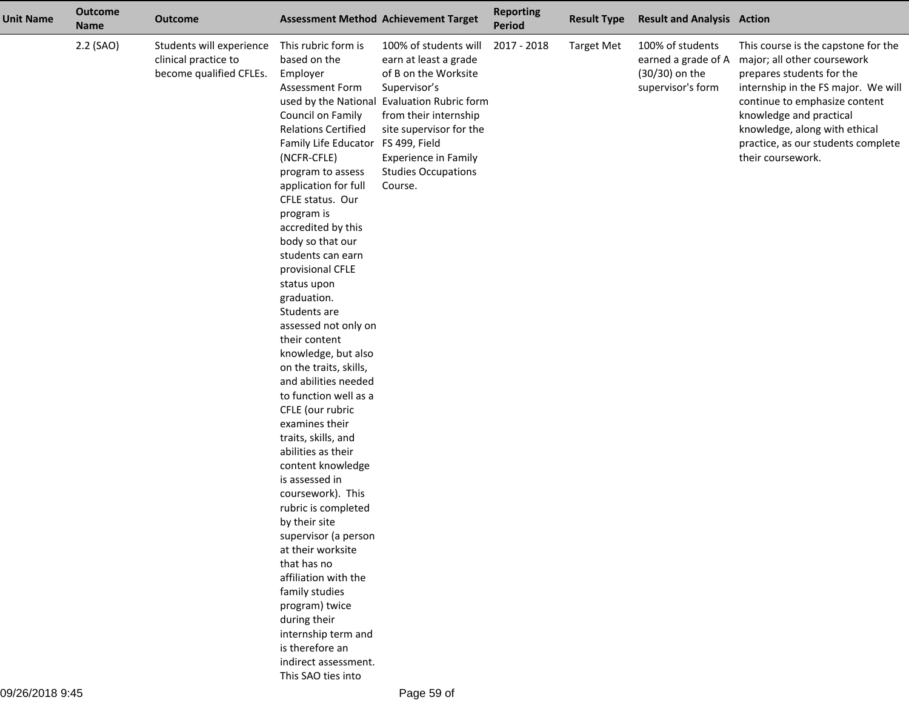| <b>Unit Name</b> | <b>Outcome</b><br><b>Name</b> | <b>Outcome</b>                                                              |                                                                                                                                                                                                                                                                                                                                                                                                                                                                                                                                                                                                                                                                                                                                                                                                                                                                                                                                                                        | <b>Assessment Method Achievement Target</b>                                                                                                                                                                                                                          | <b>Reporting</b><br>Period | <b>Result Type</b> | <b>Result and Analysis Action</b>                                              |                                                                                                                                                                                                                                                                                                |
|------------------|-------------------------------|-----------------------------------------------------------------------------|------------------------------------------------------------------------------------------------------------------------------------------------------------------------------------------------------------------------------------------------------------------------------------------------------------------------------------------------------------------------------------------------------------------------------------------------------------------------------------------------------------------------------------------------------------------------------------------------------------------------------------------------------------------------------------------------------------------------------------------------------------------------------------------------------------------------------------------------------------------------------------------------------------------------------------------------------------------------|----------------------------------------------------------------------------------------------------------------------------------------------------------------------------------------------------------------------------------------------------------------------|----------------------------|--------------------|--------------------------------------------------------------------------------|------------------------------------------------------------------------------------------------------------------------------------------------------------------------------------------------------------------------------------------------------------------------------------------------|
|                  | 2.2 (SAO)                     | Students will experience<br>clinical practice to<br>become qualified CFLEs. | This rubric form is<br>based on the<br>Employer<br>Assessment Form<br>used by the National<br>Council on Family<br><b>Relations Certified</b><br>Family Life Educator<br>(NCFR-CFLE)<br>program to assess<br>application for full<br>CFLE status. Our<br>program is<br>accredited by this<br>body so that our<br>students can earn<br>provisional CFLE<br>status upon<br>graduation.<br>Students are<br>assessed not only on<br>their content<br>knowledge, but also<br>on the traits, skills,<br>and abilities needed<br>to function well as a<br>CFLE (our rubric<br>examines their<br>traits, skills, and<br>abilities as their<br>content knowledge<br>is assessed in<br>coursework). This<br>rubric is completed<br>by their site<br>supervisor (a person<br>at their worksite<br>that has no<br>affiliation with the<br>family studies<br>program) twice<br>during their<br>internship term and<br>is therefore an<br>indirect assessment.<br>This SAO ties into | 100% of students will<br>earn at least a grade<br>of B on the Worksite<br>Supervisor's<br><b>Evaluation Rubric form</b><br>from their internship<br>site supervisor for the<br>FS 499, Field<br><b>Experience in Family</b><br><b>Studies Occupations</b><br>Course. | 2017 - 2018                | <b>Target Met</b>  | 100% of students<br>earned a grade of A<br>(30/30) on the<br>supervisor's form | This course is the capstone for the<br>major; all other coursework<br>prepares students for the<br>internship in the FS major. We will<br>continue to emphasize content<br>knowledge and practical<br>knowledge, along with ethical<br>practice, as our students complete<br>their coursework. |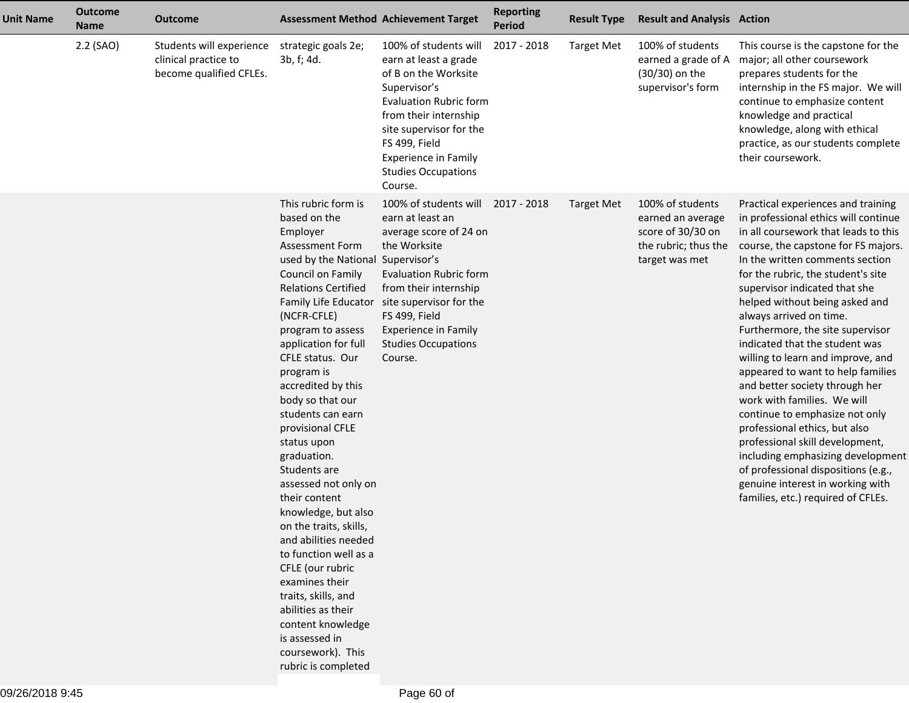| <b>Unit Name</b> | <b>Outcome</b><br><b>Name</b> | <b>Outcome</b>                                                              | <b>Assessment Method Achievement Target</b>                                                                                                                                                                                                                                                                                                                                                                                                                                                                                                                                                                                                                                                                       |                                                                                                                                                                                                                                                                                        | <b>Reporting</b><br><b>Period</b> | <b>Result Type</b> | <b>Result and Analysis Action</b>                                                                    |                                                                                                                                                                                                                                                                                                                                                                                                                                                                                                                                                                                                                                                                                                                                                                                                               |
|------------------|-------------------------------|-----------------------------------------------------------------------------|-------------------------------------------------------------------------------------------------------------------------------------------------------------------------------------------------------------------------------------------------------------------------------------------------------------------------------------------------------------------------------------------------------------------------------------------------------------------------------------------------------------------------------------------------------------------------------------------------------------------------------------------------------------------------------------------------------------------|----------------------------------------------------------------------------------------------------------------------------------------------------------------------------------------------------------------------------------------------------------------------------------------|-----------------------------------|--------------------|------------------------------------------------------------------------------------------------------|---------------------------------------------------------------------------------------------------------------------------------------------------------------------------------------------------------------------------------------------------------------------------------------------------------------------------------------------------------------------------------------------------------------------------------------------------------------------------------------------------------------------------------------------------------------------------------------------------------------------------------------------------------------------------------------------------------------------------------------------------------------------------------------------------------------|
|                  | 2.2 (SAO)                     | Students will experience<br>clinical practice to<br>become qualified CFLEs. | strategic goals 2e;<br>3b, f; 4d.                                                                                                                                                                                                                                                                                                                                                                                                                                                                                                                                                                                                                                                                                 | 100% of students will<br>earn at least a grade<br>of B on the Worksite<br>Supervisor's<br><b>Evaluation Rubric form</b><br>from their internship<br>site supervisor for the<br>FS 499, Field<br><b>Experience in Family</b><br><b>Studies Occupations</b><br>Course.                   | 2017 - 2018                       | <b>Target Met</b>  | 100% of students<br>earned a grade of A<br>(30/30) on the<br>supervisor's form                       | This course is the capstone for the<br>major; all other coursework<br>prepares students for the<br>internship in the FS major. We will<br>continue to emphasize content<br>knowledge and practical<br>knowledge, along with ethical<br>practice, as our students complete<br>their coursework.                                                                                                                                                                                                                                                                                                                                                                                                                                                                                                                |
|                  |                               |                                                                             | This rubric form is<br>based on the<br>Employer<br><b>Assessment Form</b><br>used by the National Supervisor's<br>Council on Family<br><b>Relations Certified</b><br>(NCFR-CFLE)<br>program to assess<br>application for full<br>CFLE status. Our<br>program is<br>accredited by this<br>body so that our<br>students can earn<br>provisional CFLE<br>status upon<br>graduation.<br>Students are<br>assessed not only on<br>their content<br>knowledge, but also<br>on the traits, skills,<br>and abilities needed<br>to function well as a<br>CFLE (our rubric<br>examines their<br>traits, skills, and<br>abilities as their<br>content knowledge<br>is assessed in<br>coursework). This<br>rubric is completed | 100% of students will<br>earn at least an<br>average score of 24 on<br>the Worksite<br><b>Evaluation Rubric form</b><br>from their internship<br>Family Life Educator site supervisor for the<br>FS 499, Field<br><b>Experience in Family</b><br><b>Studies Occupations</b><br>Course. | 2017 - 2018                       | Target Met         | 100% of students<br>earned an average<br>score of 30/30 on<br>the rubric; thus the<br>target was met | Practical experiences and training<br>in professional ethics will continue<br>in all coursework that leads to this<br>course, the capstone for FS majors.<br>In the written comments section<br>for the rubric, the student's site<br>supervisor indicated that she<br>helped without being asked and<br>always arrived on time.<br>Furthermore, the site supervisor<br>indicated that the student was<br>willing to learn and improve, and<br>appeared to want to help families<br>and better society through her<br>work with families. We will<br>continue to emphasize not only<br>professional ethics, but also<br>professional skill development,<br>including emphasizing development<br>of professional dispositions (e.g.,<br>genuine interest in working with<br>families, etc.) required of CFLEs. |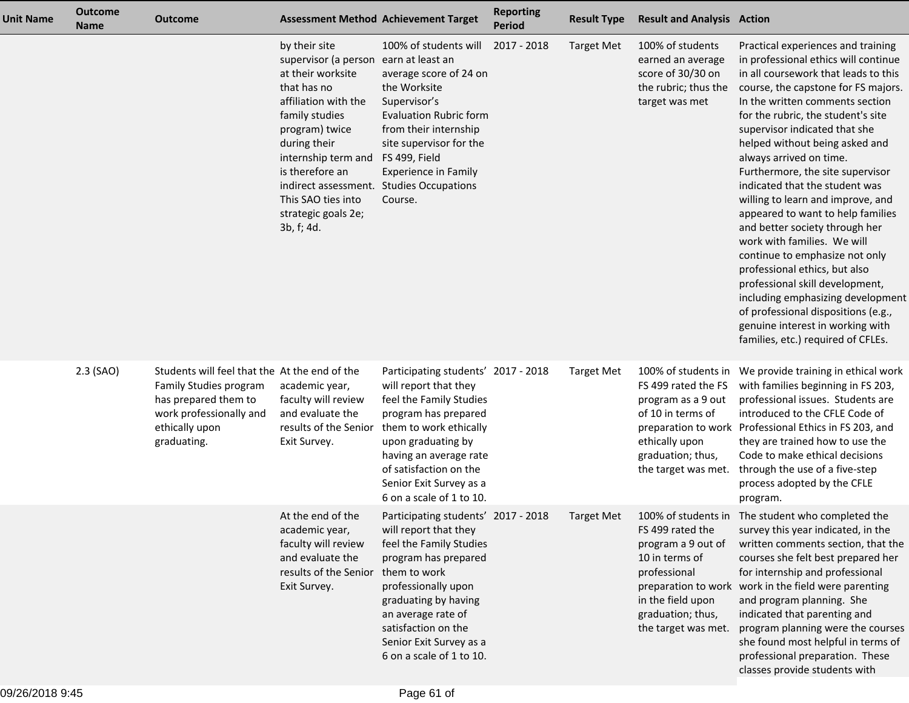| <b>Unit Name</b> | <b>Outcome</b><br><b>Name</b> | <b>Outcome</b>                                                                                                                                              | <b>Assessment Method Achievement Target</b>                                                                                                                                                                                                                                                                             |                                                                                                                                                                                                                                                                            | <b>Reporting</b><br><b>Period</b> | <b>Result Type</b> | <b>Result and Analysis Action</b>                                                                                                                   |                                                                                                                                                                                                                                                                                                                                                                                                                                                                                                                                                                                                                                                                                                                                                                                                               |
|------------------|-------------------------------|-------------------------------------------------------------------------------------------------------------------------------------------------------------|-------------------------------------------------------------------------------------------------------------------------------------------------------------------------------------------------------------------------------------------------------------------------------------------------------------------------|----------------------------------------------------------------------------------------------------------------------------------------------------------------------------------------------------------------------------------------------------------------------------|-----------------------------------|--------------------|-----------------------------------------------------------------------------------------------------------------------------------------------------|---------------------------------------------------------------------------------------------------------------------------------------------------------------------------------------------------------------------------------------------------------------------------------------------------------------------------------------------------------------------------------------------------------------------------------------------------------------------------------------------------------------------------------------------------------------------------------------------------------------------------------------------------------------------------------------------------------------------------------------------------------------------------------------------------------------|
|                  |                               |                                                                                                                                                             | by their site<br>supervisor (a person earn at least an<br>at their worksite<br>that has no<br>affiliation with the<br>family studies<br>program) twice<br>during their<br>internship term and<br>is therefore an<br>indirect assessment. Studies Occupations<br>This SAO ties into<br>strategic goals 2e;<br>3b, f; 4d. | 100% of students will<br>average score of 24 on<br>the Worksite<br>Supervisor's<br><b>Evaluation Rubric form</b><br>from their internship<br>site supervisor for the<br>FS 499, Field<br><b>Experience in Family</b><br>Course.                                            | 2017 - 2018                       | <b>Target Met</b>  | 100% of students<br>earned an average<br>score of 30/30 on<br>the rubric; thus the<br>target was met                                                | Practical experiences and training<br>in professional ethics will continue<br>in all coursework that leads to this<br>course, the capstone for FS majors.<br>In the written comments section<br>for the rubric, the student's site<br>supervisor indicated that she<br>helped without being asked and<br>always arrived on time.<br>Furthermore, the site supervisor<br>indicated that the student was<br>willing to learn and improve, and<br>appeared to want to help families<br>and better society through her<br>work with families. We will<br>continue to emphasize not only<br>professional ethics, but also<br>professional skill development,<br>including emphasizing development<br>of professional dispositions (e.g.,<br>genuine interest in working with<br>families, etc.) required of CFLEs. |
|                  | $2.3$ (SAO)                   | Students will feel that the At the end of the<br>Family Studies program<br>has prepared them to<br>work professionally and<br>ethically upon<br>graduating. | academic year,<br>faculty will review<br>and evaluate the<br>results of the Senior<br>Exit Survey.                                                                                                                                                                                                                      | Participating students' 2017 - 2018<br>will report that they<br>feel the Family Studies<br>program has prepared<br>them to work ethically<br>upon graduating by<br>having an average rate<br>of satisfaction on the<br>Senior Exit Survey as a<br>6 on a scale of 1 to 10. |                                   | <b>Target Met</b>  | 100% of students in<br>FS 499 rated the FS<br>program as a 9 out<br>of 10 in terms of<br>ethically upon<br>graduation; thus,<br>the target was met. | We provide training in ethical work<br>with families beginning in FS 203,<br>professional issues. Students are<br>introduced to the CFLE Code of<br>preparation to work Professional Ethics in FS 203, and<br>they are trained how to use the<br>Code to make ethical decisions<br>through the use of a five-step<br>process adopted by the CFLE<br>program.                                                                                                                                                                                                                                                                                                                                                                                                                                                  |
|                  |                               |                                                                                                                                                             | At the end of the<br>academic year,<br>faculty will review<br>and evaluate the<br>results of the Senior them to work<br>Exit Survey.                                                                                                                                                                                    | Participating students' 2017 - 2018<br>will report that they<br>feel the Family Studies<br>program has prepared<br>professionally upon<br>graduating by having<br>an average rate of<br>satisfaction on the<br>Senior Exit Survey as a<br>6 on a scale of 1 to 10.         |                                   | Target Met         | FS 499 rated the<br>program a 9 out of<br>10 in terms of<br>professional<br>in the field upon<br>graduation; thus,<br>the target was met.           | 100% of students in The student who completed the<br>survey this year indicated, in the<br>written comments section, that the<br>courses she felt best prepared her<br>for internship and professional<br>preparation to work work in the field were parenting<br>and program planning. She<br>indicated that parenting and<br>program planning were the courses<br>she found most helpful in terms of<br>professional preparation. These<br>classes provide students with                                                                                                                                                                                                                                                                                                                                    |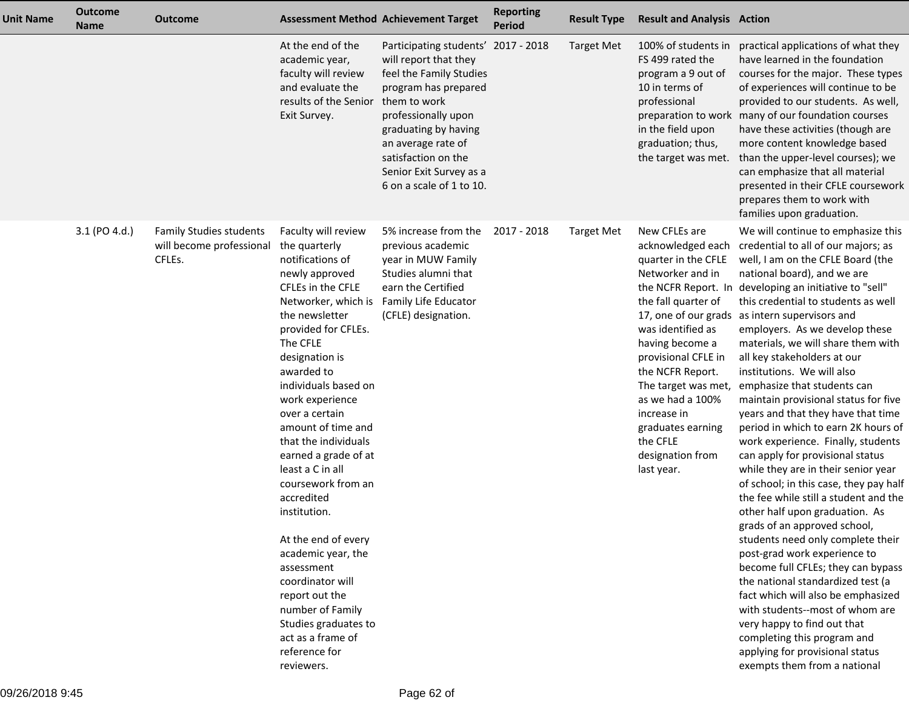| <b>Unit Name</b> | <b>Outcome</b><br><b>Name</b> | <b>Outcome</b>                                                       | <b>Assessment Method Achievement Target</b>                                                                                                                                                                                                                                                                                                                                                                                                                                                                                                                                                                             |                                                                                                                                                                                                                                                                                    | <b>Reporting</b><br><b>Period</b> | <b>Result Type</b> | <b>Result and Analysis Action</b>                                                                                                                                                                                                                                                                                    |                                                                                                                                                                                                                                                                                                                                                                                                                                                                                                                                                                                                                                                                                                                                                                                                                                                                                                                                                                                                                                                                                                                                                                                                                           |
|------------------|-------------------------------|----------------------------------------------------------------------|-------------------------------------------------------------------------------------------------------------------------------------------------------------------------------------------------------------------------------------------------------------------------------------------------------------------------------------------------------------------------------------------------------------------------------------------------------------------------------------------------------------------------------------------------------------------------------------------------------------------------|------------------------------------------------------------------------------------------------------------------------------------------------------------------------------------------------------------------------------------------------------------------------------------|-----------------------------------|--------------------|----------------------------------------------------------------------------------------------------------------------------------------------------------------------------------------------------------------------------------------------------------------------------------------------------------------------|---------------------------------------------------------------------------------------------------------------------------------------------------------------------------------------------------------------------------------------------------------------------------------------------------------------------------------------------------------------------------------------------------------------------------------------------------------------------------------------------------------------------------------------------------------------------------------------------------------------------------------------------------------------------------------------------------------------------------------------------------------------------------------------------------------------------------------------------------------------------------------------------------------------------------------------------------------------------------------------------------------------------------------------------------------------------------------------------------------------------------------------------------------------------------------------------------------------------------|
|                  |                               |                                                                      | At the end of the<br>academic year,<br>faculty will review<br>and evaluate the<br>results of the Senior<br>Exit Survey.                                                                                                                                                                                                                                                                                                                                                                                                                                                                                                 | Participating students' 2017 - 2018<br>will report that they<br>feel the Family Studies<br>program has prepared<br>them to work<br>professionally upon<br>graduating by having<br>an average rate of<br>satisfaction on the<br>Senior Exit Survey as a<br>6 on a scale of 1 to 10. |                                   | Target Met         | 100% of students in<br>FS 499 rated the<br>program a 9 out of<br>10 in terms of<br>professional<br>in the field upon<br>graduation; thus,<br>the target was met.                                                                                                                                                     | practical applications of what they<br>have learned in the foundation<br>courses for the major. These types<br>of experiences will continue to be<br>provided to our students. As well,<br>preparation to work many of our foundation courses<br>have these activities (though are<br>more content knowledge based<br>than the upper-level courses); we<br>can emphasize that all material<br>presented in their CFLE coursework<br>prepares them to work with<br>families upon graduation.                                                                                                                                                                                                                                                                                                                                                                                                                                                                                                                                                                                                                                                                                                                               |
|                  | 3.1 (PO 4.d.)                 | <b>Family Studies students</b><br>will become professional<br>CFLEs. | Faculty will review<br>the quarterly<br>notifications of<br>newly approved<br>CFLEs in the CFLE<br>Networker, which is<br>the newsletter<br>provided for CFLEs.<br>The CFLE<br>designation is<br>awarded to<br>individuals based on<br>work experience<br>over a certain<br>amount of time and<br>that the individuals<br>earned a grade of at<br>least a C in all<br>coursework from an<br>accredited<br>institution.<br>At the end of every<br>academic year, the<br>assessment<br>coordinator will<br>report out the<br>number of Family<br>Studies graduates to<br>act as a frame of<br>reference for<br>reviewers. | 5% increase from the<br>previous academic<br>year in MUW Family<br>Studies alumni that<br>earn the Certified<br>Family Life Educator<br>(CFLE) designation.                                                                                                                        | 2017 - 2018                       | <b>Target Met</b>  | New CFLEs are<br>acknowledged each<br>quarter in the CFLE<br>Networker and in<br>the fall quarter of<br>was identified as<br>having become a<br>provisional CFLE in<br>the NCFR Report.<br>The target was met,<br>as we had a 100%<br>increase in<br>graduates earning<br>the CFLE<br>designation from<br>last year. | We will continue to emphasize this<br>credential to all of our majors; as<br>well, I am on the CFLE Board (the<br>national board), and we are<br>the NCFR Report. In developing an initiative to "sell"<br>this credential to students as well<br>17, one of our grads as intern supervisors and<br>employers. As we develop these<br>materials, we will share them with<br>all key stakeholders at our<br>institutions. We will also<br>emphasize that students can<br>maintain provisional status for five<br>years and that they have that time<br>period in which to earn 2K hours of<br>work experience. Finally, students<br>can apply for provisional status<br>while they are in their senior year<br>of school; in this case, they pay half<br>the fee while still a student and the<br>other half upon graduation. As<br>grads of an approved school,<br>students need only complete their<br>post-grad work experience to<br>become full CFLEs; they can bypass<br>the national standardized test (a<br>fact which will also be emphasized<br>with students--most of whom are<br>very happy to find out that<br>completing this program and<br>applying for provisional status<br>exempts them from a national |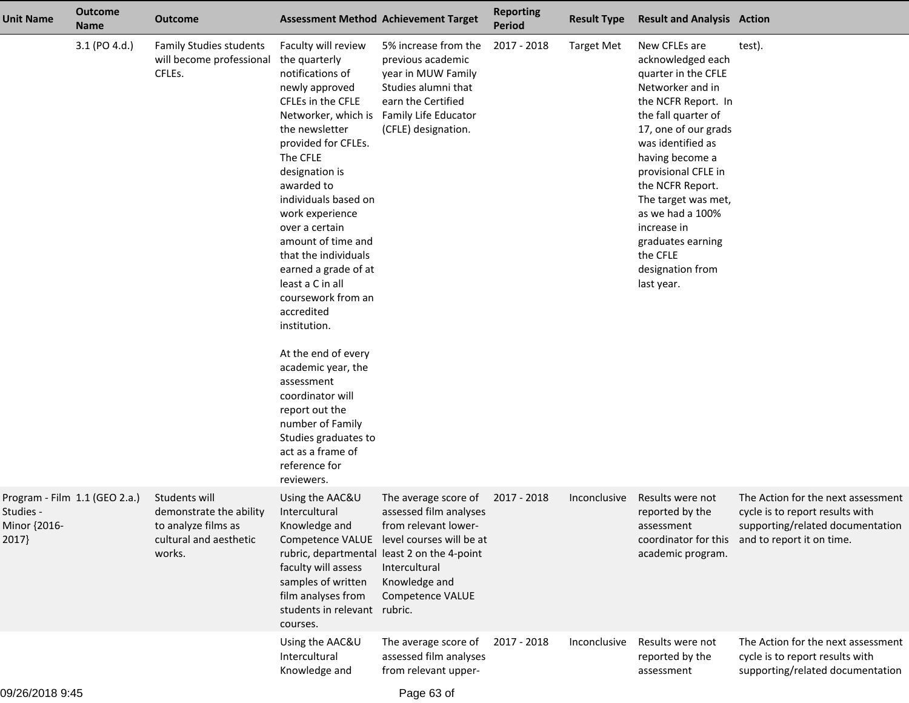| <b>Unit Name</b>                                                    | <b>Outcome</b><br><b>Name</b> | <b>Outcome</b>                                                                                      |                                                                                                                                                                                                                                                                                                                                                                                                                                                                                                                                                                                                                         | <b>Assessment Method Achievement Target</b>                                                                                                                                                                              | <b>Reporting</b><br><b>Period</b> | <b>Result Type</b> | <b>Result and Analysis Action</b>                                                                                                                                                                                                                                                                                                                                   |                                                                                                                                                             |
|---------------------------------------------------------------------|-------------------------------|-----------------------------------------------------------------------------------------------------|-------------------------------------------------------------------------------------------------------------------------------------------------------------------------------------------------------------------------------------------------------------------------------------------------------------------------------------------------------------------------------------------------------------------------------------------------------------------------------------------------------------------------------------------------------------------------------------------------------------------------|--------------------------------------------------------------------------------------------------------------------------------------------------------------------------------------------------------------------------|-----------------------------------|--------------------|---------------------------------------------------------------------------------------------------------------------------------------------------------------------------------------------------------------------------------------------------------------------------------------------------------------------------------------------------------------------|-------------------------------------------------------------------------------------------------------------------------------------------------------------|
|                                                                     | 3.1 (PO 4.d.)                 | <b>Family Studies students</b><br>will become professional<br>CFLEs.                                | Faculty will review<br>the quarterly<br>notifications of<br>newly approved<br>CFLEs in the CFLE<br>Networker, which is<br>the newsletter<br>provided for CFLEs.<br>The CFLE<br>designation is<br>awarded to<br>individuals based on<br>work experience<br>over a certain<br>amount of time and<br>that the individuals<br>earned a grade of at<br>least a C in all<br>coursework from an<br>accredited<br>institution.<br>At the end of every<br>academic year, the<br>assessment<br>coordinator will<br>report out the<br>number of Family<br>Studies graduates to<br>act as a frame of<br>reference for<br>reviewers. | 5% increase from the<br>previous academic<br>year in MUW Family<br>Studies alumni that<br>earn the Certified<br>Family Life Educator<br>(CFLE) designation.                                                              | 2017 - 2018                       | <b>Target Met</b>  | New CFLEs are<br>acknowledged each<br>quarter in the CFLE<br>Networker and in<br>the NCFR Report. In<br>the fall quarter of<br>17, one of our grads<br>was identified as<br>having become a<br>provisional CFLE in<br>the NCFR Report.<br>The target was met,<br>as we had a 100%<br>increase in<br>graduates earning<br>the CFLE<br>designation from<br>last year. | test).                                                                                                                                                      |
| Program - Film 1.1 (GEO 2.a.)<br>Studies -<br>Minor {2016-<br>2017} |                               | Students will<br>demonstrate the ability<br>to analyze films as<br>cultural and aesthetic<br>works. | Using the AAC&U<br>Intercultural<br>Knowledge and<br>faculty will assess<br>samples of written<br>film analyses from<br>students in relevant rubric.<br>courses.                                                                                                                                                                                                                                                                                                                                                                                                                                                        | The average score of<br>assessed film analyses<br>from relevant lower-<br>Competence VALUE level courses will be at<br>rubric, departmental least 2 on the 4-point<br>Intercultural<br>Knowledge and<br>Competence VALUE | 2017 - 2018                       | Inconclusive       | Results were not<br>reported by the<br>assessment<br>academic program.                                                                                                                                                                                                                                                                                              | The Action for the next assessment<br>cycle is to report results with<br>supporting/related documentation<br>coordinator for this and to report it on time. |
|                                                                     |                               |                                                                                                     | Using the AAC&U<br>Intercultural<br>Knowledge and                                                                                                                                                                                                                                                                                                                                                                                                                                                                                                                                                                       | The average score of<br>assessed film analyses<br>from relevant upper-                                                                                                                                                   | 2017 - 2018                       | Inconclusive       | Results were not<br>reported by the<br>assessment                                                                                                                                                                                                                                                                                                                   | The Action for the next assessment<br>cycle is to report results with<br>supporting/related documentation                                                   |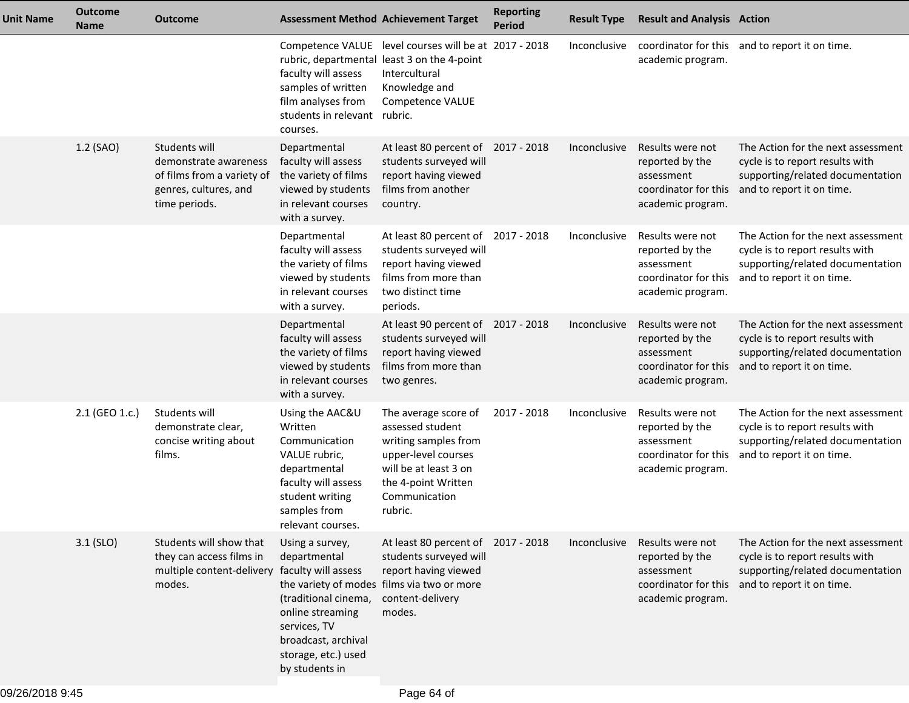| <b>Unit Name</b> | <b>Outcome</b><br><b>Name</b> | <b>Outcome</b>                                                                                                 |                                                                                                                                                             | <b>Assessment Method Achievement Target</b>                                                                                                                         | <b>Reporting</b><br><b>Period</b> | <b>Result Type</b> | <b>Result and Analysis Action</b>                                                              |                                                                                                                                                             |
|------------------|-------------------------------|----------------------------------------------------------------------------------------------------------------|-------------------------------------------------------------------------------------------------------------------------------------------------------------|---------------------------------------------------------------------------------------------------------------------------------------------------------------------|-----------------------------------|--------------------|------------------------------------------------------------------------------------------------|-------------------------------------------------------------------------------------------------------------------------------------------------------------|
|                  |                               |                                                                                                                | faculty will assess<br>samples of written<br>film analyses from<br>students in relevant rubric.<br>courses.                                                 | Competence VALUE level courses will be at 2017 - 2018<br>rubric, departmental least 3 on the 4-point<br>Intercultural<br>Knowledge and<br>Competence VALUE          |                                   | Inconclusive       | academic program.                                                                              | coordinator for this and to report it on time.                                                                                                              |
|                  | 1.2 (SAO)                     | Students will<br>demonstrate awareness<br>of films from a variety of<br>genres, cultures, and<br>time periods. | Departmental<br>faculty will assess<br>the variety of films<br>viewed by students<br>in relevant courses<br>with a survey.                                  | At least 80 percent of 2017 - 2018<br>students surveyed will<br>report having viewed<br>films from another<br>country.                                              |                                   | Inconclusive       | Results were not<br>reported by the<br>assessment<br>coordinator for this<br>academic program. | The Action for the next assessment<br>cycle is to report results with<br>supporting/related documentation<br>and to report it on time.                      |
|                  |                               |                                                                                                                | Departmental<br>faculty will assess<br>the variety of films<br>viewed by students<br>in relevant courses<br>with a survey.                                  | At least 80 percent of 2017 - 2018<br>students surveyed will<br>report having viewed<br>films from more than<br>two distinct time<br>periods.                       |                                   | Inconclusive       | Results were not<br>reported by the<br>assessment<br>coordinator for this<br>academic program. | The Action for the next assessment<br>cycle is to report results with<br>supporting/related documentation<br>and to report it on time.                      |
|                  |                               |                                                                                                                | Departmental<br>faculty will assess<br>the variety of films<br>viewed by students<br>in relevant courses<br>with a survey.                                  | At least 90 percent of 2017 - 2018<br>students surveyed will<br>report having viewed<br>films from more than<br>two genres.                                         |                                   | Inconclusive       | Results were not<br>reported by the<br>assessment<br>coordinator for this<br>academic program. | The Action for the next assessment<br>cycle is to report results with<br>supporting/related documentation<br>and to report it on time.                      |
|                  | 2.1 (GEO 1.c.)                | Students will<br>demonstrate clear,<br>concise writing about<br>films.                                         | Using the AAC&U<br>Written<br>Communication<br>VALUE rubric,<br>departmental<br>faculty will assess<br>student writing<br>samples from<br>relevant courses. | The average score of<br>assessed student<br>writing samples from<br>upper-level courses<br>will be at least 3 on<br>the 4-point Written<br>Communication<br>rubric. | 2017 - 2018                       | Inconclusive       | Results were not<br>reported by the<br>assessment<br>coordinator for this<br>academic program. | The Action for the next assessment<br>cycle is to report results with<br>supporting/related documentation<br>and to report it on time.                      |
|                  | $3.1$ (SLO)                   | Students will show that<br>they can access films in<br>multiple content-delivery faculty will assess<br>modes. | Using a survey,<br>departmental<br>(traditional cinema,<br>online streaming<br>services, TV<br>broadcast, archival<br>storage, etc.) used<br>by students in | At least 80 percent of 2017 - 2018<br>students surveyed will<br>report having viewed<br>the variety of modes films via two or more<br>content-delivery<br>modes.    |                                   | Inconclusive       | Results were not<br>reported by the<br>assessment<br>academic program.                         | The Action for the next assessment<br>cycle is to report results with<br>supporting/related documentation<br>coordinator for this and to report it on time. |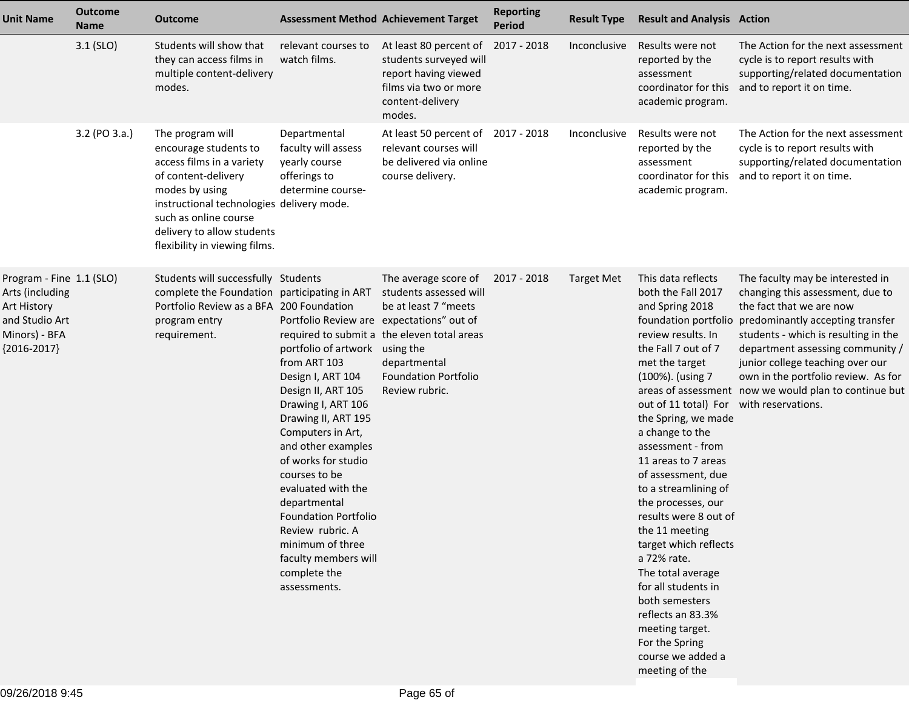| <b>Unit Name</b>                                                                                               | <b>Outcome</b><br><b>Name</b> | <b>Outcome</b>                                                                                                                                                                                                                                       |                                                                                                                                                                                                                                                                                                                                                                                                                                             | <b>Assessment Method Achievement Target</b>                                                                                                                  | <b>Reporting</b><br><b>Period</b> | <b>Result Type</b> | <b>Result and Analysis Action</b>                                                                                                                                                                                                                                                                                                                                                                                                                                                                                                                                                                     |                                                                                                                                                                                                                                                                                                                                                                           |
|----------------------------------------------------------------------------------------------------------------|-------------------------------|------------------------------------------------------------------------------------------------------------------------------------------------------------------------------------------------------------------------------------------------------|---------------------------------------------------------------------------------------------------------------------------------------------------------------------------------------------------------------------------------------------------------------------------------------------------------------------------------------------------------------------------------------------------------------------------------------------|--------------------------------------------------------------------------------------------------------------------------------------------------------------|-----------------------------------|--------------------|-------------------------------------------------------------------------------------------------------------------------------------------------------------------------------------------------------------------------------------------------------------------------------------------------------------------------------------------------------------------------------------------------------------------------------------------------------------------------------------------------------------------------------------------------------------------------------------------------------|---------------------------------------------------------------------------------------------------------------------------------------------------------------------------------------------------------------------------------------------------------------------------------------------------------------------------------------------------------------------------|
|                                                                                                                | $3.1$ (SLO)                   | Students will show that<br>they can access films in<br>multiple content-delivery<br>modes.                                                                                                                                                           | relevant courses to<br>watch films.                                                                                                                                                                                                                                                                                                                                                                                                         | At least 80 percent of<br>students surveyed will<br>report having viewed<br>films via two or more<br>content-delivery<br>modes.                              | 2017 - 2018                       | Inconclusive       | Results were not<br>reported by the<br>assessment<br>coordinator for this<br>academic program.                                                                                                                                                                                                                                                                                                                                                                                                                                                                                                        | The Action for the next assessment<br>cycle is to report results with<br>supporting/related documentation<br>and to report it on time.                                                                                                                                                                                                                                    |
|                                                                                                                | 3.2 (PO 3.a.)                 | The program will<br>encourage students to<br>access films in a variety<br>of content-delivery<br>modes by using<br>instructional technologies delivery mode.<br>such as online course<br>delivery to allow students<br>flexibility in viewing films. | Departmental<br>faculty will assess<br>yearly course<br>offerings to<br>determine course-                                                                                                                                                                                                                                                                                                                                                   | At least 50 percent of 2017 - 2018<br>relevant courses will<br>be delivered via online<br>course delivery.                                                   |                                   | Inconclusive       | Results were not<br>reported by the<br>assessment<br>coordinator for this<br>academic program.                                                                                                                                                                                                                                                                                                                                                                                                                                                                                                        | The Action for the next assessment<br>cycle is to report results with<br>supporting/related documentation<br>and to report it on time.                                                                                                                                                                                                                                    |
| Program - Fine 1.1 (SLO)<br>Arts (including<br>Art History<br>and Studio Art<br>Minors) - BFA<br>${2016-2017}$ |                               | Students will successfully Students<br>complete the Foundation participating in ART students assessed will<br>Portfolio Review as a BFA 200 Foundation<br>program entry<br>requirement.                                                              | Portfolio Review are expectations" out of<br>portfolio of artwork using the<br>from ART 103<br>Design I, ART 104<br>Design II, ART 105<br>Drawing I, ART 106<br>Drawing II, ART 195<br>Computers in Art,<br>and other examples<br>of works for studio<br>courses to be<br>evaluated with the<br>departmental<br><b>Foundation Portfolio</b><br>Review rubric. A<br>minimum of three<br>faculty members will<br>complete the<br>assessments. | The average score of<br>be at least 7 "meets<br>required to submit a the eleven total areas<br>departmental<br><b>Foundation Portfolio</b><br>Review rubric. | 2017 - 2018                       | Target Met         | This data reflects<br>both the Fall 2017<br>and Spring 2018<br>review results. In<br>the Fall 7 out of 7<br>met the target<br>(100%). (using 7<br>out of 11 total) For with reservations.<br>the Spring, we made<br>a change to the<br>assessment - from<br>11 areas to 7 areas<br>of assessment, due<br>to a streamlining of<br>the processes, our<br>results were 8 out of<br>the 11 meeting<br>target which reflects<br>a 72% rate.<br>The total average<br>for all students in<br>both semesters<br>reflects an 83.3%<br>meeting target.<br>For the Spring<br>course we added a<br>meeting of the | The faculty may be interested in<br>changing this assessment, due to<br>the fact that we are now<br>foundation portfolio predominantly accepting transfer<br>students - which is resulting in the<br>department assessing community /<br>junior college teaching over our<br>own in the portfolio review. As for<br>areas of assessment now we would plan to continue but |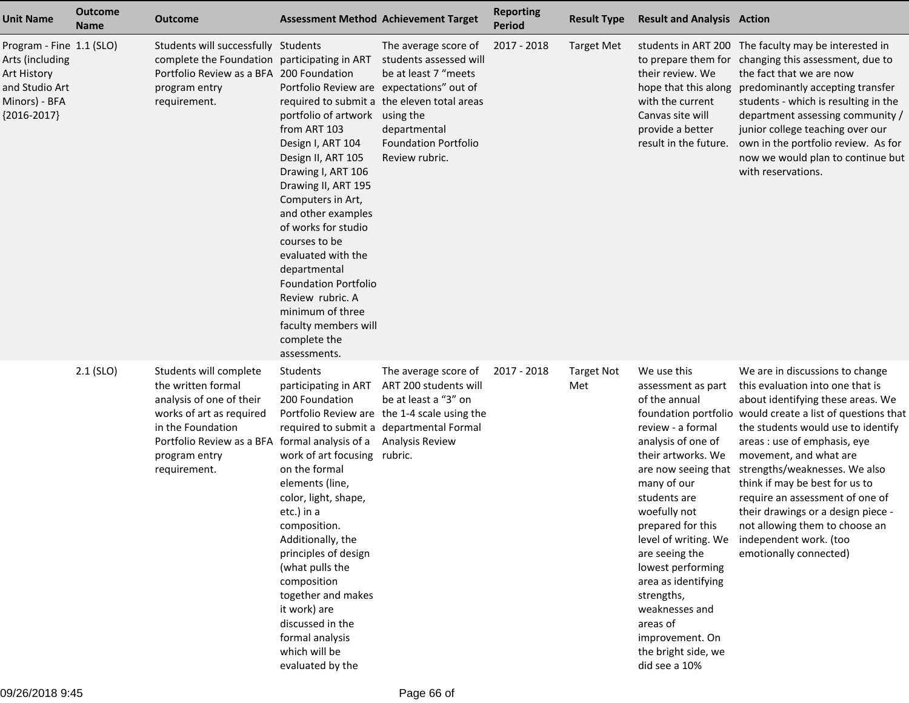| <b>Unit Name</b>                                                                                               | <b>Outcome</b><br><b>Name</b> | <b>Outcome</b>                                                                                                                                                                          | <b>Assessment Method Achievement Target</b>                                                                                                                                                                                                                                                                                                                                                                                                 |                                                                                                                                                                                             | <b>Reporting</b><br><b>Period</b> | <b>Result Type</b>       | <b>Result and Analysis Action</b>                                                                                                                                                                                                                                                                                                                                                                           |                                                                                                                                                                                                                                                                                                                                                                                                                                                                                                          |
|----------------------------------------------------------------------------------------------------------------|-------------------------------|-----------------------------------------------------------------------------------------------------------------------------------------------------------------------------------------|---------------------------------------------------------------------------------------------------------------------------------------------------------------------------------------------------------------------------------------------------------------------------------------------------------------------------------------------------------------------------------------------------------------------------------------------|---------------------------------------------------------------------------------------------------------------------------------------------------------------------------------------------|-----------------------------------|--------------------------|-------------------------------------------------------------------------------------------------------------------------------------------------------------------------------------------------------------------------------------------------------------------------------------------------------------------------------------------------------------------------------------------------------------|----------------------------------------------------------------------------------------------------------------------------------------------------------------------------------------------------------------------------------------------------------------------------------------------------------------------------------------------------------------------------------------------------------------------------------------------------------------------------------------------------------|
| Program - Fine 1.1 (SLO)<br>Arts (including<br>Art History<br>and Studio Art<br>Minors) - BFA<br>${2016-2017}$ |                               | Students will successfully Students<br>complete the Foundation participating in ART students assessed will<br>Portfolio Review as a BFA 200 Foundation<br>program entry<br>requirement. | Portfolio Review are expectations" out of<br>portfolio of artwork using the<br>from ART 103<br>Design I, ART 104<br>Design II, ART 105<br>Drawing I, ART 106<br>Drawing II, ART 195<br>Computers in Art,<br>and other examples<br>of works for studio<br>courses to be<br>evaluated with the<br>departmental<br><b>Foundation Portfolio</b><br>Review rubric. A<br>minimum of three<br>faculty members will<br>complete the<br>assessments. | The average score of<br>be at least 7 "meets<br>required to submit a the eleven total areas<br>departmental<br><b>Foundation Portfolio</b><br>Review rubric.                                | 2017 - 2018                       | <b>Target Met</b>        | their review. We<br>with the current<br>Canvas site will<br>provide a better<br>result in the future.                                                                                                                                                                                                                                                                                                       | students in ART 200 The faculty may be interested in<br>to prepare them for changing this assessment, due to<br>the fact that we are now<br>hope that this along predominantly accepting transfer<br>students - which is resulting in the<br>department assessing community /<br>junior college teaching over our<br>own in the portfolio review. As for<br>now we would plan to continue but<br>with reservations.                                                                                      |
|                                                                                                                | $2.1$ (SLO)                   | Students will complete<br>the written formal<br>analysis of one of their<br>works of art as required<br>in the Foundation<br>Portfolio Review as a BFA<br>program entry<br>requirement. | Students<br>participating in ART<br>200 Foundation<br>formal analysis of a<br>work of art focusing rubric.<br>on the formal<br>elements (line,<br>color, light, shape,<br>etc.) in a<br>composition.<br>Additionally, the<br>principles of design<br>(what pulls the<br>composition<br>together and makes<br>it work) are<br>discussed in the<br>formal analysis<br>which will be<br>evaluated by the                                       | The average score of<br>ART 200 students will<br>be at least a "3" on<br>Portfolio Review are the 1-4 scale using the<br>required to submit a departmental Formal<br><b>Analysis Review</b> | 2017 - 2018                       | <b>Target Not</b><br>Met | We use this<br>assessment as part<br>of the annual<br>review - a formal<br>analysis of one of<br>their artworks. We<br>are now seeing that<br>many of our<br>students are<br>woefully not<br>prepared for this<br>level of writing. We<br>are seeing the<br>lowest performing<br>area as identifying<br>strengths,<br>weaknesses and<br>areas of<br>improvement. On<br>the bright side, we<br>did see a 10% | We are in discussions to change<br>this evaluation into one that is<br>about identifying these areas. We<br>foundation portfolio would create a list of questions that<br>the students would use to identify<br>areas : use of emphasis, eye<br>movement, and what are<br>strengths/weaknesses. We also<br>think if may be best for us to<br>require an assessment of one of<br>their drawings or a design piece -<br>not allowing them to choose an<br>independent work. (too<br>emotionally connected) |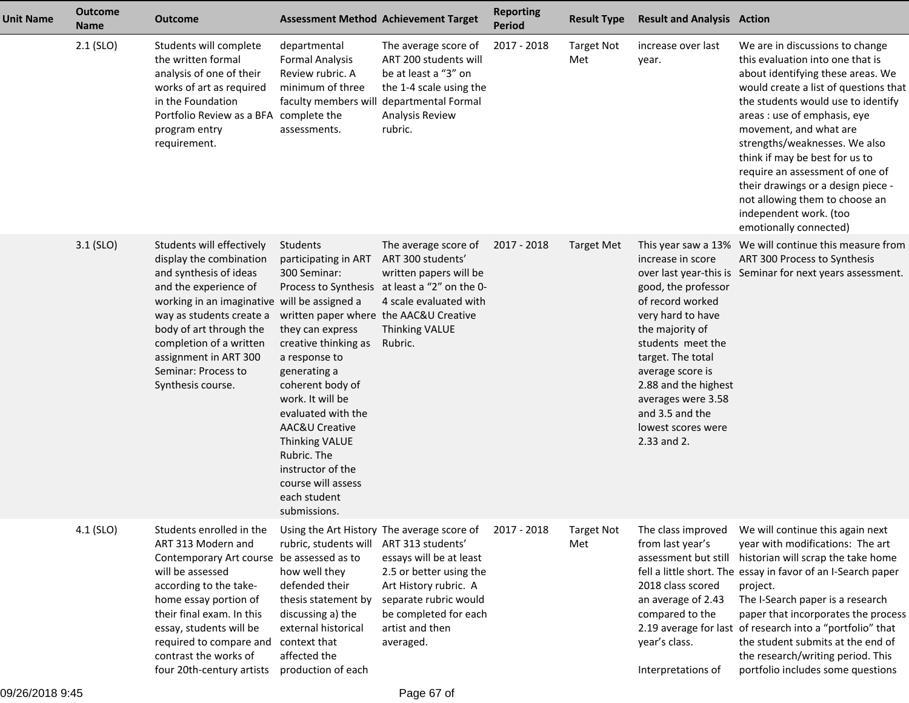| <b>Unit Name</b> | <b>Outcome</b><br><b>Name</b> | <b>Outcome</b>                                                                                                                                                                                                                                                                                                 | <b>Assessment Method Achievement Target</b>                                                                                                                                                                                                                                                                                                                                |                                                                                                                                                                                                                                  | <b>Reporting</b><br><b>Period</b> | <b>Result Type</b>       | <b>Result and Analysis Action</b>                                                                                                                                                                                                                                        |                                                                                                                                                                                                                                                                                                                                                                                                                                                                                     |
|------------------|-------------------------------|----------------------------------------------------------------------------------------------------------------------------------------------------------------------------------------------------------------------------------------------------------------------------------------------------------------|----------------------------------------------------------------------------------------------------------------------------------------------------------------------------------------------------------------------------------------------------------------------------------------------------------------------------------------------------------------------------|----------------------------------------------------------------------------------------------------------------------------------------------------------------------------------------------------------------------------------|-----------------------------------|--------------------------|--------------------------------------------------------------------------------------------------------------------------------------------------------------------------------------------------------------------------------------------------------------------------|-------------------------------------------------------------------------------------------------------------------------------------------------------------------------------------------------------------------------------------------------------------------------------------------------------------------------------------------------------------------------------------------------------------------------------------------------------------------------------------|
|                  | $2.1$ (SLO)                   | Students will complete<br>the written formal<br>analysis of one of their<br>works of art as required<br>in the Foundation<br>Portfolio Review as a BFA complete the<br>program entry<br>requirement.                                                                                                           | departmental<br><b>Formal Analysis</b><br>Review rubric. A<br>minimum of three<br>assessments.                                                                                                                                                                                                                                                                             | The average score of<br>ART 200 students will<br>be at least a "3" on<br>the 1-4 scale using the<br>faculty members will departmental Formal<br>Analysis Review<br>rubric.                                                       | 2017 - 2018                       | <b>Target Not</b><br>Met | increase over last<br>year.                                                                                                                                                                                                                                              | We are in discussions to change<br>this evaluation into one that is<br>about identifying these areas. We<br>would create a list of questions that<br>the students would use to identify<br>areas : use of emphasis, eye<br>movement, and what are<br>strengths/weaknesses. We also<br>think if may be best for us to<br>require an assessment of one of<br>their drawings or a design piece -<br>not allowing them to choose an<br>independent work. (too<br>emotionally connected) |
|                  | $3.1$ (SLO)                   | Students will effectively<br>display the combination<br>and synthesis of ideas<br>and the experience of<br>working in an imaginative will be assigned a<br>way as students create a<br>body of art through the<br>completion of a written<br>assignment in ART 300<br>Seminar: Process to<br>Synthesis course. | Students<br>participating in ART<br>300 Seminar:<br>written paper where the AAC&U Creative<br>they can express<br>creative thinking as<br>a response to<br>generating a<br>coherent body of<br>work. It will be<br>evaluated with the<br>AAC&U Creative<br><b>Thinking VALUE</b><br>Rubric. The<br>instructor of the<br>course will assess<br>each student<br>submissions. | The average score of<br>ART 300 students'<br>written papers will be<br>Process to Synthesis at least a "2" on the 0-<br>4 scale evaluated with<br>Thinking VALUE<br>Rubric.                                                      | 2017 - 2018                       | <b>Target Met</b>        | increase in score<br>good, the professor<br>of record worked<br>very hard to have<br>the majority of<br>students meet the<br>target. The total<br>average score is<br>2.88 and the highest<br>averages were 3.58<br>and 3.5 and the<br>lowest scores were<br>2.33 and 2. | This year saw a 13% We will continue this measure from<br>ART 300 Process to Synthesis<br>over last year-this is Seminar for next years assessment.                                                                                                                                                                                                                                                                                                                                 |
|                  | 4.1 (SLO)                     | Students enrolled in the<br>ART 313 Modern and<br>Contemporary Art course<br>will be assessed<br>according to the take-<br>home essay portion of<br>their final exam. In this<br>essay, students will be<br>required to compare and<br>contrast the works of<br>four 20th-century artists                      | rubric, students will<br>be assessed as to<br>how well they<br>defended their<br>thesis statement by<br>discussing a) the<br>external historical<br>context that<br>affected the<br>production of each                                                                                                                                                                     | Using the Art History The average score of<br>ART 313 students'<br>essays will be at least<br>2.5 or better using the<br>Art History rubric. A<br>separate rubric would<br>be completed for each<br>artist and then<br>averaged. | 2017 - 2018                       | <b>Target Not</b><br>Met | The class improved<br>from last year's<br>assessment but still<br>2018 class scored<br>an average of 2.43<br>compared to the<br>year's class.<br>Interpretations of                                                                                                      | We will continue this again next<br>year with modifications: The art<br>historian will scrap the take home<br>fell a little short. The essay in favor of an I-Search paper<br>project.<br>The I-Search paper is a research<br>paper that incorporates the process<br>2.19 average for last of research into a "portfolio" that<br>the student submits at the end of<br>the research/writing period. This<br>portfolio includes some questions                                       |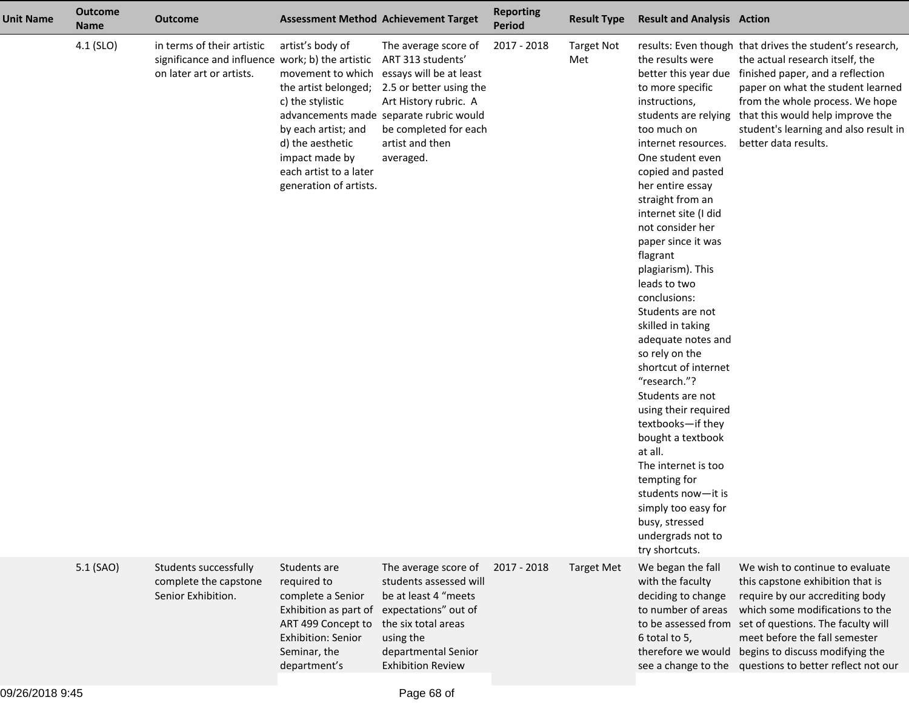| <b>Unit Name</b> | <b>Outcome</b><br><b>Name</b> | <b>Outcome</b>                                                                                             |                                                                                                                                                                                                    | <b>Assessment Method Achievement Target</b>                                                                                                                                                                                  | <b>Reporting</b><br><b>Period</b> | <b>Result Type</b>       | <b>Result and Analysis Action</b>                                                                                                                                                                                                                                                                                                                                                                                                                                                                                                                                                                                                                                                                              |                                                                                                                                                                                                                                                                                                                                                       |
|------------------|-------------------------------|------------------------------------------------------------------------------------------------------------|----------------------------------------------------------------------------------------------------------------------------------------------------------------------------------------------------|------------------------------------------------------------------------------------------------------------------------------------------------------------------------------------------------------------------------------|-----------------------------------|--------------------------|----------------------------------------------------------------------------------------------------------------------------------------------------------------------------------------------------------------------------------------------------------------------------------------------------------------------------------------------------------------------------------------------------------------------------------------------------------------------------------------------------------------------------------------------------------------------------------------------------------------------------------------------------------------------------------------------------------------|-------------------------------------------------------------------------------------------------------------------------------------------------------------------------------------------------------------------------------------------------------------------------------------------------------------------------------------------------------|
|                  | 4.1 (SLO)                     | in terms of their artistic<br>significance and influence work; b) the artistic<br>on later art or artists. | artist's body of<br>movement to which<br>the artist belonged;<br>c) the stylistic<br>by each artist; and<br>d) the aesthetic<br>impact made by<br>each artist to a later<br>generation of artists. | The average score of<br>ART 313 students'<br>essays will be at least<br>2.5 or better using the<br>Art History rubric. A<br>advancements made separate rubric would<br>be completed for each<br>artist and then<br>averaged. | 2017 - 2018                       | <b>Target Not</b><br>Met | the results were<br>to more specific<br>instructions,<br>students are relying<br>too much on<br>internet resources.<br>One student even<br>copied and pasted<br>her entire essay<br>straight from an<br>internet site (I did<br>not consider her<br>paper since it was<br>flagrant<br>plagiarism). This<br>leads to two<br>conclusions:<br>Students are not<br>skilled in taking<br>adequate notes and<br>so rely on the<br>shortcut of internet<br>"research."?<br>Students are not<br>using their required<br>textbooks-if they<br>bought a textbook<br>at all.<br>The internet is too<br>tempting for<br>students now-it is<br>simply too easy for<br>busy, stressed<br>undergrads not to<br>try shortcuts. | results: Even though that drives the student's research,<br>the actual research itself, the<br>better this year due finished paper, and a reflection<br>paper on what the student learned<br>from the whole process. We hope<br>that this would help improve the<br>student's learning and also result in<br>better data results.                     |
|                  | 5.1 (SAO)                     | Students successfully<br>complete the capstone<br>Senior Exhibition.                                       | Students are<br>required to<br>complete a Senior<br>Exhibition as part of<br>ART 499 Concept to<br>Exhibition: Senior<br>Seminar, the<br>department's                                              | The average score of<br>students assessed will<br>be at least 4 "meets<br>expectations" out of<br>the six total areas<br>using the<br>departmental Senior<br><b>Exhibition Review</b>                                        | 2017 - 2018                       | <b>Target Met</b>        | We began the fall<br>with the faculty<br>deciding to change<br>to number of areas<br>6 total to 5,                                                                                                                                                                                                                                                                                                                                                                                                                                                                                                                                                                                                             | We wish to continue to evaluate<br>this capstone exhibition that is<br>require by our accrediting body<br>which some modifications to the<br>to be assessed from set of questions. The faculty will<br>meet before the fall semester<br>therefore we would begins to discuss modifying the<br>see a change to the questions to better reflect not our |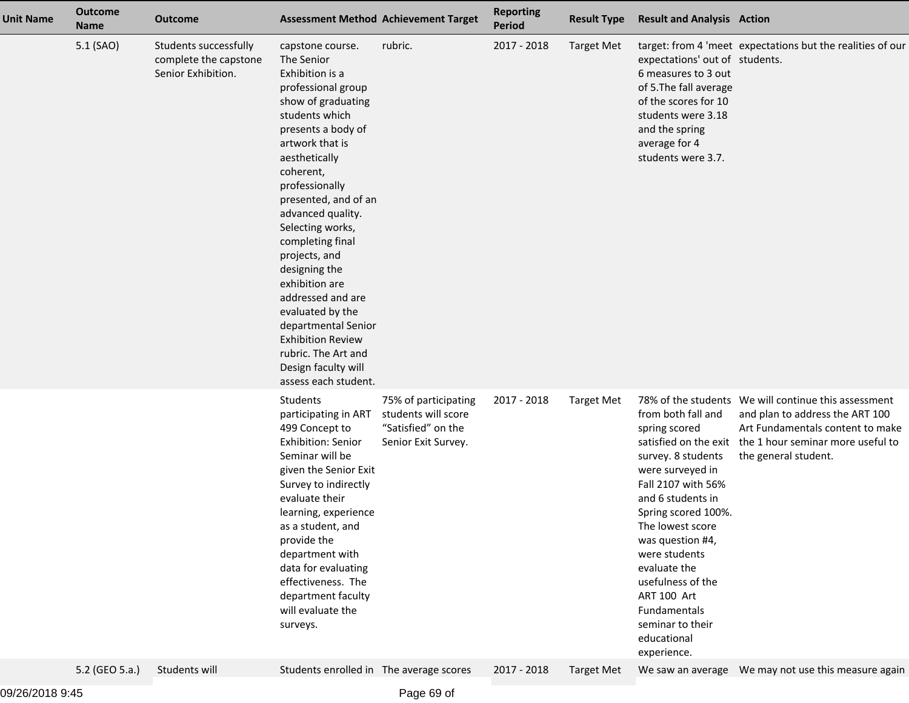| <b>Unit Name</b> | <b>Outcome</b><br><b>Name</b> | <b>Outcome</b>                                                       |                                                                                                                                                                                                                                                                                                                                                                                                                                                                                                                     | <b>Assessment Method Achievement Target</b>                       | <b>Reporting</b><br><b>Period</b> | <b>Result Type</b> | <b>Result and Analysis Action</b>                                                                                                                                                                                                                                                                                              |                                                                                                                                                                                                                 |
|------------------|-------------------------------|----------------------------------------------------------------------|---------------------------------------------------------------------------------------------------------------------------------------------------------------------------------------------------------------------------------------------------------------------------------------------------------------------------------------------------------------------------------------------------------------------------------------------------------------------------------------------------------------------|-------------------------------------------------------------------|-----------------------------------|--------------------|--------------------------------------------------------------------------------------------------------------------------------------------------------------------------------------------------------------------------------------------------------------------------------------------------------------------------------|-----------------------------------------------------------------------------------------------------------------------------------------------------------------------------------------------------------------|
|                  | 5.1 (SAO)                     | Students successfully<br>complete the capstone<br>Senior Exhibition. | capstone course.<br>The Senior<br>Exhibition is a<br>professional group<br>show of graduating<br>students which<br>presents a body of<br>artwork that is<br>aesthetically<br>coherent,<br>professionally<br>presented, and of an<br>advanced quality.<br>Selecting works,<br>completing final<br>projects, and<br>designing the<br>exhibition are<br>addressed and are<br>evaluated by the<br>departmental Senior<br><b>Exhibition Review</b><br>rubric. The Art and<br>Design faculty will<br>assess each student. | rubric.                                                           | 2017 - 2018                       | <b>Target Met</b>  | expectations' out of students.<br>6 measures to 3 out<br>of 5. The fall average<br>of the scores for 10<br>students were 3.18<br>and the spring<br>average for 4<br>students were 3.7.                                                                                                                                         | target: from 4 'meet expectations but the realities of our                                                                                                                                                      |
|                  |                               |                                                                      | Students<br>participating in ART students will score<br>499 Concept to<br><b>Exhibition: Senior</b><br>Seminar will be<br>given the Senior Exit<br>Survey to indirectly<br>evaluate their<br>learning, experience<br>as a student, and<br>provide the<br>department with<br>data for evaluating<br>effectiveness. The<br>department faculty<br>will evaluate the<br>surveys.                                                                                                                                        | 75% of participating<br>"Satisfied" on the<br>Senior Exit Survey. | 2017 - 2018                       | <b>Target Met</b>  | from both fall and<br>spring scored<br>survey. 8 students<br>were surveyed in<br>Fall 2107 with 56%<br>and 6 students in<br>Spring scored 100%.<br>The lowest score<br>was question #4,<br>were students<br>evaluate the<br>usefulness of the<br>ART 100 Art<br>Fundamentals<br>seminar to their<br>educational<br>experience. | 78% of the students  We will continue this assessment<br>and plan to address the ART 100<br>Art Fundamentals content to make<br>satisfied on the exit the 1 hour seminar more useful to<br>the general student. |
|                  | 5.2 (GEO 5.a.)                | Students will                                                        | Students enrolled in The average scores                                                                                                                                                                                                                                                                                                                                                                                                                                                                             |                                                                   | 2017 - 2018                       | <b>Target Met</b>  |                                                                                                                                                                                                                                                                                                                                |                                                                                                                                                                                                                 |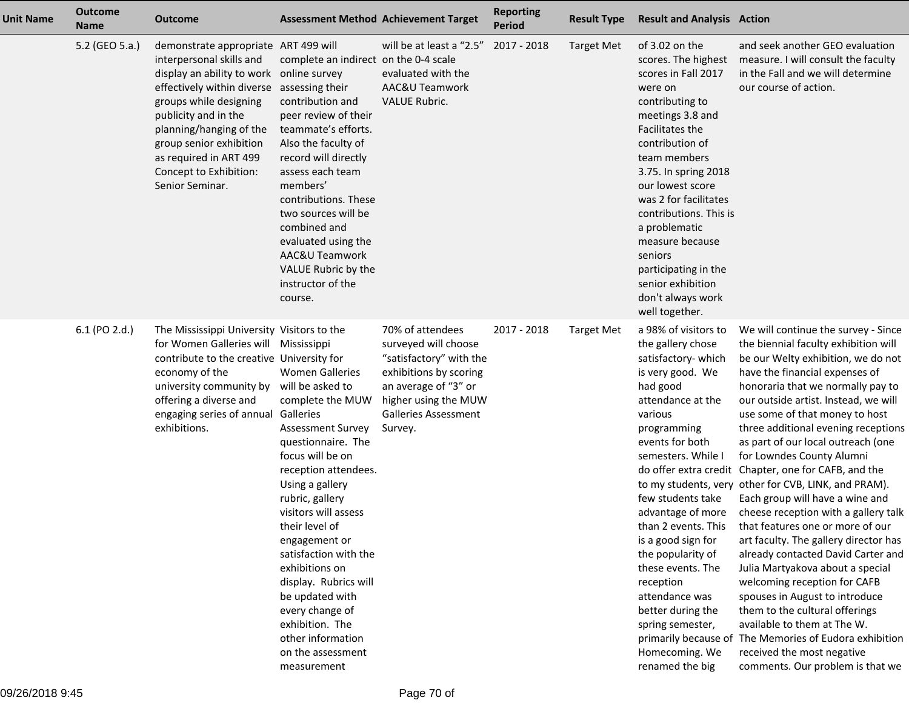| <b>Unit Name</b> | <b>Outcome</b><br><b>Name</b> | <b>Outcome</b>                                                                                                                                                                                                                                                                                              |                                                                                                                                                                                                                                                                                                                                                                                                                                                                  | <b>Assessment Method Achievement Target</b>                                                                                                                                             | <b>Reporting</b><br><b>Period</b> | <b>Result Type</b> | <b>Result and Analysis Action</b>                                                                                                                                                                                                                                                                                                                                                                                                     |                                                                                                                                                                                                                                                                                                                                                                                                                                                                                                                                                                                                                                                                                                                                                                                                                                                                                                                                                                                               |
|------------------|-------------------------------|-------------------------------------------------------------------------------------------------------------------------------------------------------------------------------------------------------------------------------------------------------------------------------------------------------------|------------------------------------------------------------------------------------------------------------------------------------------------------------------------------------------------------------------------------------------------------------------------------------------------------------------------------------------------------------------------------------------------------------------------------------------------------------------|-----------------------------------------------------------------------------------------------------------------------------------------------------------------------------------------|-----------------------------------|--------------------|---------------------------------------------------------------------------------------------------------------------------------------------------------------------------------------------------------------------------------------------------------------------------------------------------------------------------------------------------------------------------------------------------------------------------------------|-----------------------------------------------------------------------------------------------------------------------------------------------------------------------------------------------------------------------------------------------------------------------------------------------------------------------------------------------------------------------------------------------------------------------------------------------------------------------------------------------------------------------------------------------------------------------------------------------------------------------------------------------------------------------------------------------------------------------------------------------------------------------------------------------------------------------------------------------------------------------------------------------------------------------------------------------------------------------------------------------|
|                  | 5.2 (GEO 5.a.)                | demonstrate appropriate ART 499 will<br>interpersonal skills and<br>display an ability to work<br>effectively within diverse<br>groups while designing<br>publicity and in the<br>planning/hanging of the<br>group senior exhibition<br>as required in ART 499<br>Concept to Exhibition:<br>Senior Seminar. | complete an indirect on the 0-4 scale<br>online survey<br>assessing their<br>contribution and<br>peer review of their<br>teammate's efforts.<br>Also the faculty of<br>record will directly<br>assess each team<br>members'<br>contributions. These<br>two sources will be<br>combined and<br>evaluated using the<br>AAC&U Teamwork<br>VALUE Rubric by the<br>instructor of the<br>course.                                                                       | will be at least a "2.5"<br>evaluated with the<br>AAC&U Teamwork<br><b>VALUE Rubric.</b>                                                                                                | 2017 - 2018                       | <b>Target Met</b>  | of 3.02 on the<br>scores. The highest<br>scores in Fall 2017<br>were on<br>contributing to<br>meetings 3.8 and<br>Facilitates the<br>contribution of<br>team members<br>3.75. In spring 2018<br>our lowest score<br>was 2 for facilitates<br>contributions. This is<br>a problematic<br>measure because<br>seniors<br>participating in the<br>senior exhibition<br>don't always work<br>well together.                                | and seek another GEO evaluation<br>measure. I will consult the faculty<br>in the Fall and we will determine<br>our course of action.                                                                                                                                                                                                                                                                                                                                                                                                                                                                                                                                                                                                                                                                                                                                                                                                                                                          |
|                  | 6.1 (PO 2.d.)                 | The Mississippi University Visitors to the<br>for Women Galleries will Mississippi<br>contribute to the creative University for<br>economy of the<br>university community by<br>offering a diverse and<br>engaging series of annual<br>exhibitions.                                                         | <b>Women Galleries</b><br>will be asked to<br>complete the MUW<br>Galleries<br><b>Assessment Survey</b><br>questionnaire. The<br>focus will be on<br>reception attendees.<br>Using a gallery<br>rubric, gallery<br>visitors will assess<br>their level of<br>engagement or<br>satisfaction with the<br>exhibitions on<br>display. Rubrics will<br>be updated with<br>every change of<br>exhibition. The<br>other information<br>on the assessment<br>measurement | 70% of attendees<br>surveyed will choose<br>"satisfactory" with the<br>exhibitions by scoring<br>an average of "3" or<br>higher using the MUW<br><b>Galleries Assessment</b><br>Survey. | 2017 - 2018                       | <b>Target Met</b>  | a 98% of visitors to<br>the gallery chose<br>satisfactory-which<br>is very good. We<br>had good<br>attendance at the<br>various<br>programming<br>events for both<br>semesters. While I<br>few students take<br>advantage of more<br>than 2 events. This<br>is a good sign for<br>the popularity of<br>these events. The<br>reception<br>attendance was<br>better during the<br>spring semester,<br>Homecoming. We<br>renamed the big | We will continue the survey - Since<br>the biennial faculty exhibition will<br>be our Welty exhibition, we do not<br>have the financial expenses of<br>honoraria that we normally pay to<br>our outside artist. Instead, we will<br>use some of that money to host<br>three additional evening receptions<br>as part of our local outreach (one<br>for Lowndes County Alumni<br>do offer extra credit Chapter, one for CAFB, and the<br>to my students, very other for CVB, LINK, and PRAM).<br>Each group will have a wine and<br>cheese reception with a gallery talk<br>that features one or more of our<br>art faculty. The gallery director has<br>already contacted David Carter and<br>Julia Martyakova about a special<br>welcoming reception for CAFB<br>spouses in August to introduce<br>them to the cultural offerings<br>available to them at The W.<br>primarily because of The Memories of Eudora exhibition<br>received the most negative<br>comments. Our problem is that we |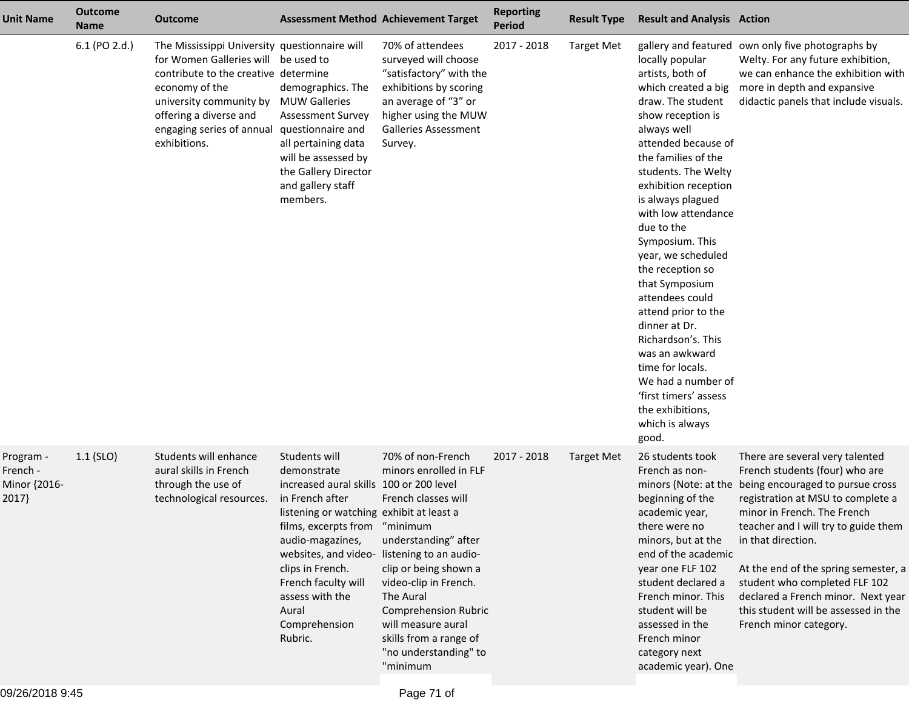| <b>Unit Name</b>                               | <b>Outcome</b><br><b>Name</b> | <b>Outcome</b>                                                                                                                                                                                                                                   |                                                                                                                                                                                                                                                                                       | <b>Assessment Method Achievement Target</b>                                                                                                                                                                                                                                                                                              | <b>Reporting</b><br><b>Period</b> | <b>Result Type</b> | <b>Result and Analysis Action</b>                                                                                                                                                                                                                                                                                                                                                                                                                                                                                                                                               |                                                                                                                                                                                                                                                                                                                                                                                                                                               |
|------------------------------------------------|-------------------------------|--------------------------------------------------------------------------------------------------------------------------------------------------------------------------------------------------------------------------------------------------|---------------------------------------------------------------------------------------------------------------------------------------------------------------------------------------------------------------------------------------------------------------------------------------|------------------------------------------------------------------------------------------------------------------------------------------------------------------------------------------------------------------------------------------------------------------------------------------------------------------------------------------|-----------------------------------|--------------------|---------------------------------------------------------------------------------------------------------------------------------------------------------------------------------------------------------------------------------------------------------------------------------------------------------------------------------------------------------------------------------------------------------------------------------------------------------------------------------------------------------------------------------------------------------------------------------|-----------------------------------------------------------------------------------------------------------------------------------------------------------------------------------------------------------------------------------------------------------------------------------------------------------------------------------------------------------------------------------------------------------------------------------------------|
|                                                | 6.1 (PO 2.d.)                 | The Mississippi University questionnaire will<br>for Women Galleries will be used to<br>contribute to the creative determine<br>economy of the<br>university community by<br>offering a diverse and<br>engaging series of annual<br>exhibitions. | demographics. The<br><b>MUW Galleries</b><br><b>Assessment Survey</b><br>questionnaire and<br>all pertaining data<br>will be assessed by<br>the Gallery Director<br>and gallery staff<br>members.                                                                                     | 70% of attendees<br>surveyed will choose<br>"satisfactory" with the<br>exhibitions by scoring<br>an average of "3" or<br>higher using the MUW<br><b>Galleries Assessment</b><br>Survey.                                                                                                                                                  | 2017 - 2018                       | <b>Target Met</b>  | locally popular<br>artists, both of<br>which created a big<br>draw. The student<br>show reception is<br>always well<br>attended because of<br>the families of the<br>students. The Welty<br>exhibition reception<br>is always plagued<br>with low attendance<br>due to the<br>Symposium. This<br>year, we scheduled<br>the reception so<br>that Symposium<br>attendees could<br>attend prior to the<br>dinner at Dr.<br>Richardson's. This<br>was an awkward<br>time for locals.<br>We had a number of<br>'first timers' assess<br>the exhibitions,<br>which is always<br>good. | gallery and featured own only five photographs by<br>Welty. For any future exhibition,<br>we can enhance the exhibition with<br>more in depth and expansive<br>didactic panels that include visuals.                                                                                                                                                                                                                                          |
| Program -<br>French -<br>Minor {2016-<br>2017} | $1.1$ (SLO)                   | Students will enhance<br>aural skills in French<br>through the use of<br>technological resources.                                                                                                                                                | Students will<br>demonstrate<br>increased aural skills 100 or 200 level<br>in French after<br>listening or watching exhibit at least a<br>films, excerpts from<br>audio-magazines,<br>clips in French.<br>French faculty will<br>assess with the<br>Aural<br>Comprehension<br>Rubric. | 70% of non-French<br>minors enrolled in FLF<br>French classes will<br>"minimum<br>understanding" after<br>websites, and video- listening to an audio-<br>clip or being shown a<br>video-clip in French.<br>The Aural<br><b>Comprehension Rubric</b><br>will measure aural<br>skills from a range of<br>"no understanding" to<br>"minimum | 2017 - 2018                       | Target Met         | 26 students took<br>French as non-<br>beginning of the<br>academic year,<br>there were no<br>minors, but at the<br>end of the academic<br>year one FLF 102<br>student declared a<br>French minor. This<br>student will be<br>assessed in the<br>French minor<br>category next<br>academic year). One                                                                                                                                                                                                                                                                            | There are several very talented<br>French students (four) who are<br>minors (Note: at the being encouraged to pursue cross<br>registration at MSU to complete a<br>minor in French. The French<br>teacher and I will try to guide them<br>in that direction.<br>At the end of the spring semester, a<br>student who completed FLF 102<br>declared a French minor. Next year<br>this student will be assessed in the<br>French minor category. |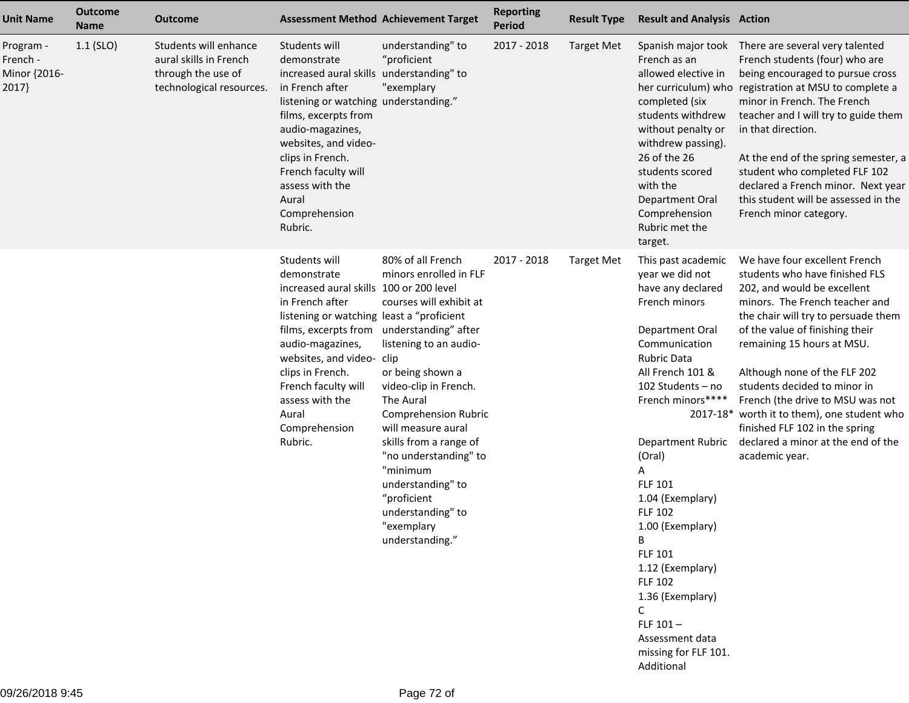| <b>Unit Name</b>                              | <b>Outcome</b><br><b>Name</b> | <b>Outcome</b>                                                                                    |                                                                                                                                                                                                                                                                                                                | <b>Assessment Method Achievement Target</b>                                                                                                                                                                                                                                                                                                                                                              | <b>Reporting</b><br><b>Period</b> | <b>Result Type</b> | <b>Result and Analysis Action</b>                                                                                                                                                                                                                                                                                                                                                                                                                                                |                                                                                                                                                                                                                                                                                                                                                                                                                                                                                       |
|-----------------------------------------------|-------------------------------|---------------------------------------------------------------------------------------------------|----------------------------------------------------------------------------------------------------------------------------------------------------------------------------------------------------------------------------------------------------------------------------------------------------------------|----------------------------------------------------------------------------------------------------------------------------------------------------------------------------------------------------------------------------------------------------------------------------------------------------------------------------------------------------------------------------------------------------------|-----------------------------------|--------------------|----------------------------------------------------------------------------------------------------------------------------------------------------------------------------------------------------------------------------------------------------------------------------------------------------------------------------------------------------------------------------------------------------------------------------------------------------------------------------------|---------------------------------------------------------------------------------------------------------------------------------------------------------------------------------------------------------------------------------------------------------------------------------------------------------------------------------------------------------------------------------------------------------------------------------------------------------------------------------------|
| Program -<br>French -<br>Minor {2016-<br>2017 | $1.1$ (SLO)                   | Students will enhance<br>aural skills in French<br>through the use of<br>technological resources. | Students will<br>demonstrate<br>increased aural skills understanding" to<br>in French after<br>listening or watching understanding."<br>films, excerpts from<br>audio-magazines,<br>websites, and video-<br>clips in French.<br>French faculty will<br>assess with the<br>Aural<br>Comprehension<br>Rubric.    | understanding" to<br>"proficient<br>"exemplary                                                                                                                                                                                                                                                                                                                                                           | 2017 - 2018                       | <b>Target Met</b>  | Spanish major took<br>French as an<br>allowed elective in<br>completed (six<br>students withdrew<br>without penalty or<br>withdrew passing).<br>26 of the 26<br>students scored<br>with the<br>Department Oral<br>Comprehension<br>Rubric met the<br>target.                                                                                                                                                                                                                     | There are several very talented<br>French students (four) who are<br>being encouraged to pursue cross<br>her curriculum) who registration at MSU to complete a<br>minor in French. The French<br>teacher and I will try to guide them<br>in that direction.<br>At the end of the spring semester, a<br>student who completed FLF 102<br>declared a French minor. Next year<br>this student will be assessed in the<br>French minor category.                                          |
|                                               |                               |                                                                                                   | Students will<br>demonstrate<br>increased aural skills 100 or 200 level<br>in French after<br>listening or watching least a "proficient<br>films, excerpts from<br>audio-magazines,<br>websites, and video-<br>clips in French.<br>French faculty will<br>assess with the<br>Aural<br>Comprehension<br>Rubric. | 80% of all French<br>minors enrolled in FLF<br>courses will exhibit at<br>understanding" after<br>listening to an audio-<br>clip<br>or being shown a<br>video-clip in French.<br>The Aural<br><b>Comprehension Rubric</b><br>will measure aural<br>skills from a range of<br>"no understanding" to<br>"minimum<br>understanding" to<br>"proficient<br>understanding" to<br>"exemplary<br>understanding." | 2017 - 2018                       | <b>Target Met</b>  | This past academic<br>year we did not<br>have any declared<br>French minors<br>Department Oral<br>Communication<br><b>Rubric Data</b><br>All French 101 &<br>102 Students - no<br>French minors****<br>Department Rubric<br>(Oral)<br>Α<br><b>FLF 101</b><br>1.04 (Exemplary)<br><b>FLF 102</b><br>1.00 (Exemplary)<br>B<br><b>FLF 101</b><br>1.12 (Exemplary)<br><b>FLF 102</b><br>1.36 (Exemplary)<br>C<br>FLF $101-$<br>Assessment data<br>missing for FLF 101.<br>Additional | We have four excellent French<br>students who have finished FLS<br>202, and would be excellent<br>minors. The French teacher and<br>the chair will try to persuade them<br>of the value of finishing their<br>remaining 15 hours at MSU.<br>Although none of the FLF 202<br>students decided to minor in<br>French (the drive to MSU was not<br>2017-18* worth it to them), one student who<br>finished FLF 102 in the spring<br>declared a minor at the end of the<br>academic year. |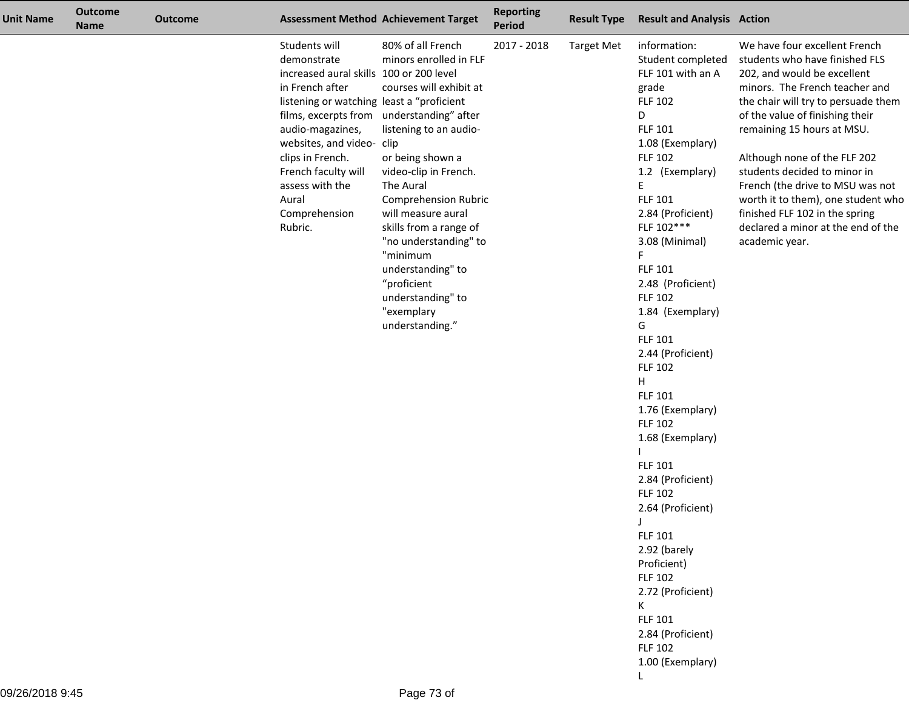| <b>Unit Name</b> | <b>Outcome</b><br><b>Name</b> | <b>Outcome</b> |                                                                                                                                                                                                                                                                                             | <b>Assessment Method Achievement Target</b>                                                                                                                                                                                                                                                                                                                                                                           | <b>Reporting</b><br><b>Period</b> | <b>Result Type</b> | <b>Result and Analysis Action</b>                                                                                                                                                                                                                                                                                                                                                                                                                                                                                                                                                                                                                                                                                         |                                                                                                                                                                                                                                                                                                                                                                                                                                                                              |
|------------------|-------------------------------|----------------|---------------------------------------------------------------------------------------------------------------------------------------------------------------------------------------------------------------------------------------------------------------------------------------------|-----------------------------------------------------------------------------------------------------------------------------------------------------------------------------------------------------------------------------------------------------------------------------------------------------------------------------------------------------------------------------------------------------------------------|-----------------------------------|--------------------|---------------------------------------------------------------------------------------------------------------------------------------------------------------------------------------------------------------------------------------------------------------------------------------------------------------------------------------------------------------------------------------------------------------------------------------------------------------------------------------------------------------------------------------------------------------------------------------------------------------------------------------------------------------------------------------------------------------------------|------------------------------------------------------------------------------------------------------------------------------------------------------------------------------------------------------------------------------------------------------------------------------------------------------------------------------------------------------------------------------------------------------------------------------------------------------------------------------|
|                  |                               |                | Students will<br>demonstrate<br>increased aural skills 100 or 200 level<br>in French after<br>listening or watching least a "proficient<br>audio-magazines,<br>websites, and video- clip<br>clips in French.<br>French faculty will<br>assess with the<br>Aural<br>Comprehension<br>Rubric. | 80% of all French<br>minors enrolled in FLF<br>courses will exhibit at<br>films, excerpts from understanding" after<br>listening to an audio-<br>or being shown a<br>video-clip in French.<br>The Aural<br><b>Comprehension Rubric</b><br>will measure aural<br>skills from a range of<br>"no understanding" to<br>"minimum<br>understanding" to<br>"proficient<br>understanding" to<br>"exemplary<br>understanding." | 2017 - 2018                       | <b>Target Met</b>  | information:<br>Student completed<br>FLF 101 with an A<br>grade<br><b>FLF 102</b><br>D<br><b>FLF 101</b><br>1.08 (Exemplary)<br><b>FLF 102</b><br>1.2 (Exemplary)<br>E<br>FLF 101<br>2.84 (Proficient)<br>FLF 102***<br>3.08 (Minimal)<br>F.<br>FLF 101<br>2.48 (Proficient)<br><b>FLF 102</b><br>1.84 (Exemplary)<br>G<br><b>FLF 101</b><br>2.44 (Proficient)<br><b>FLF 102</b><br>H<br><b>FLF 101</b><br>1.76 (Exemplary)<br><b>FLF 102</b><br>1.68 (Exemplary)<br><b>FLF 101</b><br>2.84 (Proficient)<br><b>FLF 102</b><br>2.64 (Proficient)<br><b>FLF 101</b><br>2.92 (barely<br>Proficient)<br><b>FLF 102</b><br>2.72 (Proficient)<br>K<br><b>FLF 101</b><br>2.84 (Proficient)<br><b>FLF 102</b><br>1.00 (Exemplary) | We have four excellent French<br>students who have finished FLS<br>202, and would be excellent<br>minors. The French teacher and<br>the chair will try to persuade them<br>of the value of finishing their<br>remaining 15 hours at MSU.<br>Although none of the FLF 202<br>students decided to minor in<br>French (the drive to MSU was not<br>worth it to them), one student who<br>finished FLF 102 in the spring<br>declared a minor at the end of the<br>academic year. |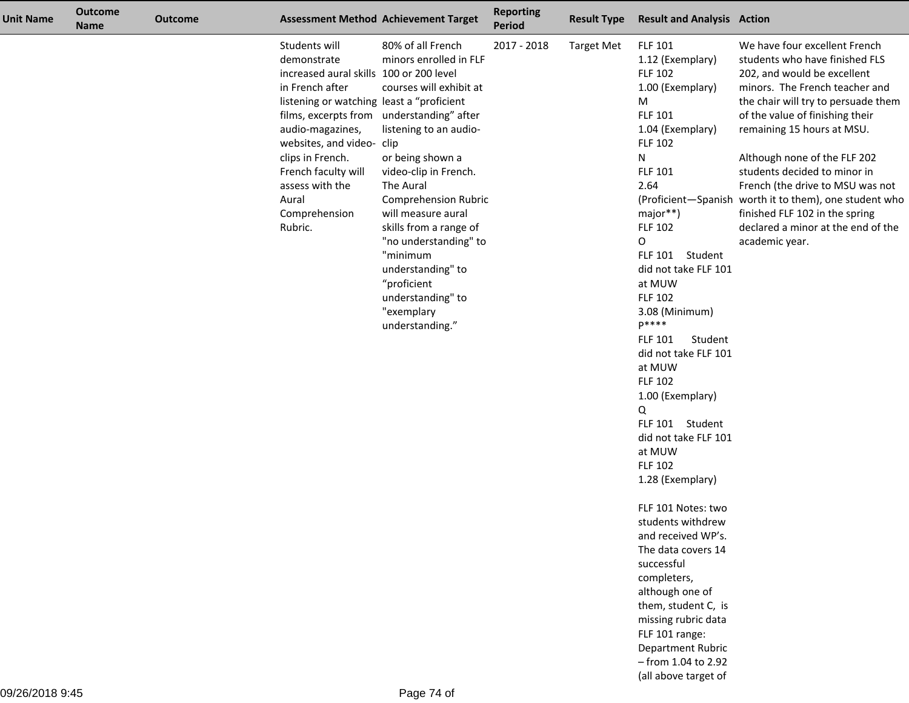| <b>Unit Name</b> | <b>Outcome</b><br><b>Name</b> | <b>Outcome</b> |                                                                                                                                                                                                                                                                                             | <b>Assessment Method Achievement Target</b>                                                                                                                                                                                                                                                                                                                                                                           | <b>Reporting</b><br><b>Period</b> | <b>Result Type</b> | <b>Result and Analysis Action</b>                                                                                                                                                                                                                                                                                                                                                                                                                                                                                                                                                                                                                                                                                                                                                    |                                                                                                                                                                                                                                                                                                                                                                                                                                                                                                  |
|------------------|-------------------------------|----------------|---------------------------------------------------------------------------------------------------------------------------------------------------------------------------------------------------------------------------------------------------------------------------------------------|-----------------------------------------------------------------------------------------------------------------------------------------------------------------------------------------------------------------------------------------------------------------------------------------------------------------------------------------------------------------------------------------------------------------------|-----------------------------------|--------------------|--------------------------------------------------------------------------------------------------------------------------------------------------------------------------------------------------------------------------------------------------------------------------------------------------------------------------------------------------------------------------------------------------------------------------------------------------------------------------------------------------------------------------------------------------------------------------------------------------------------------------------------------------------------------------------------------------------------------------------------------------------------------------------------|--------------------------------------------------------------------------------------------------------------------------------------------------------------------------------------------------------------------------------------------------------------------------------------------------------------------------------------------------------------------------------------------------------------------------------------------------------------------------------------------------|
|                  |                               |                | Students will<br>demonstrate<br>increased aural skills 100 or 200 level<br>in French after<br>listening or watching least a "proficient<br>audio-magazines,<br>websites, and video- clip<br>clips in French.<br>French faculty will<br>assess with the<br>Aural<br>Comprehension<br>Rubric. | 80% of all French<br>minors enrolled in FLF<br>courses will exhibit at<br>films, excerpts from understanding" after<br>listening to an audio-<br>or being shown a<br>video-clip in French.<br>The Aural<br><b>Comprehension Rubric</b><br>will measure aural<br>skills from a range of<br>"no understanding" to<br>"minimum<br>understanding" to<br>"proficient<br>understanding" to<br>"exemplary<br>understanding." | 2017 - 2018                       | <b>Target Met</b>  | <b>FLF 101</b><br>1.12 (Exemplary)<br><b>FLF 102</b><br>1.00 (Exemplary)<br>M<br><b>FLF 101</b><br>1.04 (Exemplary)<br><b>FLF 102</b><br>N<br>FLF 101<br>2.64<br>major**)<br><b>FLF 102</b><br>0<br>FLF 101 Student<br>did not take FLF 101<br>at MUW<br><b>FLF 102</b><br>3.08 (Minimum)<br>$p****$<br><b>FLF 101</b><br>Student<br>did not take FLF 101<br>at MUW<br><b>FLF 102</b><br>1.00 (Exemplary)<br>Q<br>FLF 101 Student<br>did not take FLF 101<br>at MUW<br><b>FLF 102</b><br>1.28 (Exemplary)<br>FLF 101 Notes: two<br>students withdrew<br>and received WP's.<br>The data covers 14<br>successful<br>completers,<br>although one of<br>them, student C, is<br>missing rubric data<br>FLF 101 range:<br>Department Rubric<br>- from 1.04 to 2.92<br>(all above target of | We have four excellent French<br>students who have finished FLS<br>202, and would be excellent<br>minors. The French teacher and<br>the chair will try to persuade them<br>of the value of finishing their<br>remaining 15 hours at MSU.<br>Although none of the FLF 202<br>students decided to minor in<br>French (the drive to MSU was not<br>(Proficient-Spanish worth it to them), one student who<br>finished FLF 102 in the spring<br>declared a minor at the end of the<br>academic year. |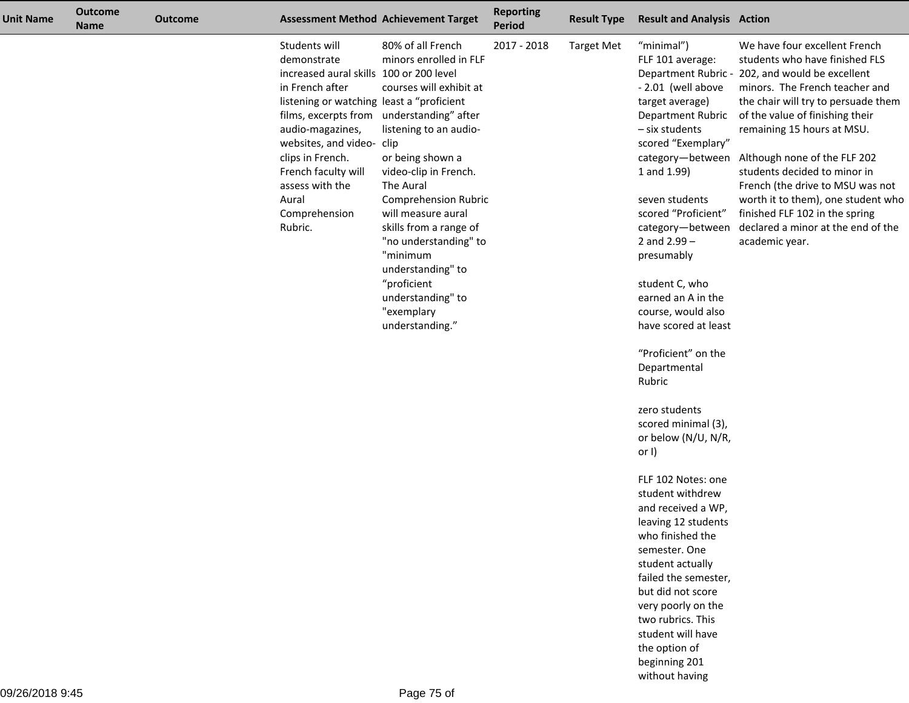| Unit Name | <b>Outcome</b><br><b>Name</b> | <b>Outcome</b> |                                                                                                                                                                                                                                                                                                                     | <b>Assessment Method Achievement Target</b>                                                                                                                                                                                                                                                                                                                                                      | <b>Reporting</b><br>Period | <b>Result Type</b> | <b>Result and Analysis Action</b>                                                                                                                                                                                                                                                                                                                                                                           |                                                                                                                                                                                                                                                                                                                                                                                                                                                                                                  |
|-----------|-------------------------------|----------------|---------------------------------------------------------------------------------------------------------------------------------------------------------------------------------------------------------------------------------------------------------------------------------------------------------------------|--------------------------------------------------------------------------------------------------------------------------------------------------------------------------------------------------------------------------------------------------------------------------------------------------------------------------------------------------------------------------------------------------|----------------------------|--------------------|-------------------------------------------------------------------------------------------------------------------------------------------------------------------------------------------------------------------------------------------------------------------------------------------------------------------------------------------------------------------------------------------------------------|--------------------------------------------------------------------------------------------------------------------------------------------------------------------------------------------------------------------------------------------------------------------------------------------------------------------------------------------------------------------------------------------------------------------------------------------------------------------------------------------------|
|           |                               |                | Students will<br>demonstrate<br>increased aural skills 100 or 200 level<br>in French after<br>listening or watching least a "proficient<br>films, excerpts from<br>audio-magazines,<br>websites, and video- clip<br>clips in French.<br>French faculty will<br>assess with the<br>Aural<br>Comprehension<br>Rubric. | 80% of all French<br>minors enrolled in FLF<br>courses will exhibit at<br>understanding" after<br>listening to an audio-<br>or being shown a<br>video-clip in French.<br>The Aural<br><b>Comprehension Rubric</b><br>will measure aural<br>skills from a range of<br>"no understanding" to<br>"minimum<br>understanding" to<br>"proficient<br>understanding" to<br>"exemplary<br>understanding." | 2017 - 2018                | <b>Target Met</b>  | "minimal")<br>FLF 101 average:<br>- 2.01 (well above<br>target average)<br>Department Rubric<br>- six students<br>scored "Exemplary"<br>category-between<br>1 and 1.99)<br>seven students<br>scored "Proficient"<br>category-between<br>2 and $2.99 -$<br>presumably<br>student C, who<br>earned an A in the<br>course, would also<br>have scored at least<br>"Proficient" on the<br>Departmental<br>Rubric | We have four excellent French<br>students who have finished FLS<br>Department Rubric - 202, and would be excellent<br>minors. The French teacher and<br>the chair will try to persuade them<br>of the value of finishing their<br>remaining 15 hours at MSU.<br>Although none of the FLF 202<br>students decided to minor in<br>French (the drive to MSU was not<br>worth it to them), one student who<br>finished FLF 102 in the spring<br>declared a minor at the end of the<br>academic year. |
|           |                               |                |                                                                                                                                                                                                                                                                                                                     |                                                                                                                                                                                                                                                                                                                                                                                                  |                            |                    | zero students<br>scored minimal (3),<br>or below (N/U, N/R,<br>or $I$ )                                                                                                                                                                                                                                                                                                                                     |                                                                                                                                                                                                                                                                                                                                                                                                                                                                                                  |
|           |                               |                |                                                                                                                                                                                                                                                                                                                     |                                                                                                                                                                                                                                                                                                                                                                                                  |                            |                    | FLF 102 Notes: one<br>student withdrew<br>and received a WP,<br>leaving 12 students<br>who finished the<br>semester. One<br>student actually<br>failed the semester,<br>but did not score<br>very poorly on the<br>two rubrics. This<br>student will have<br>the option of<br>beginning 201                                                                                                                 |                                                                                                                                                                                                                                                                                                                                                                                                                                                                                                  |

without having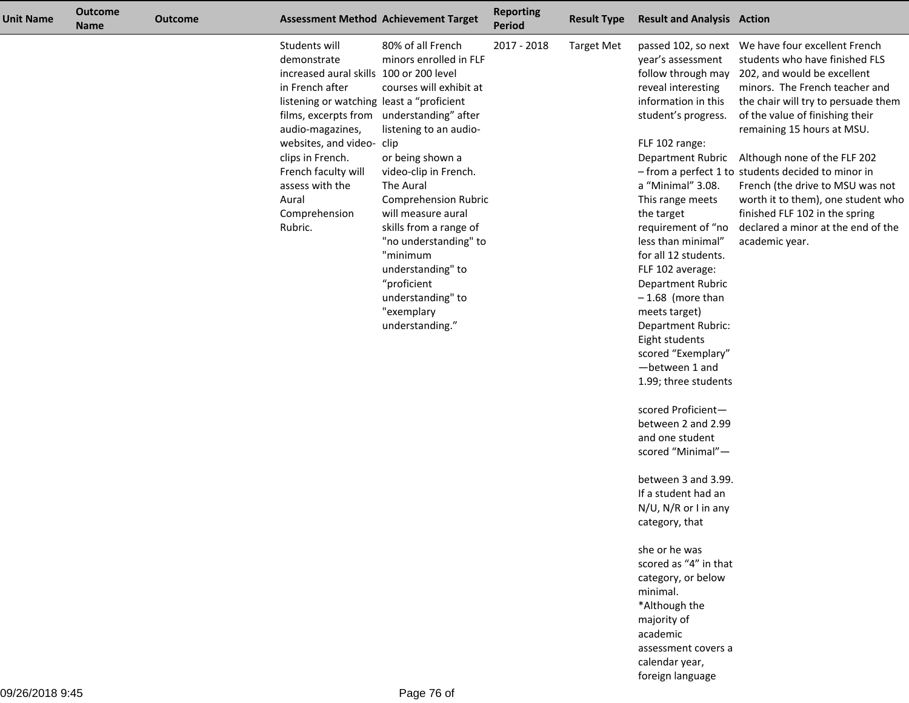| Unit Name | <b>Outcome</b><br><b>Name</b> | <b>Outcome</b> |                                                                                                                                                                                                                                                                                             | <b>Assessment Method Achievement Target</b>                                                                                                                                                                                                                                                                                                                                                                           | <b>Reporting</b><br><b>Period</b> | <b>Result Type</b> | <b>Result and Analysis Action</b>                                                                                                                                                                                                                                                                                                                                                                                                                                                                                                                                                                                                                                                                                                                                                           |                                                                                                                                                                                                                                                                                                                                                                                                                                                                                                                                                             |
|-----------|-------------------------------|----------------|---------------------------------------------------------------------------------------------------------------------------------------------------------------------------------------------------------------------------------------------------------------------------------------------|-----------------------------------------------------------------------------------------------------------------------------------------------------------------------------------------------------------------------------------------------------------------------------------------------------------------------------------------------------------------------------------------------------------------------|-----------------------------------|--------------------|---------------------------------------------------------------------------------------------------------------------------------------------------------------------------------------------------------------------------------------------------------------------------------------------------------------------------------------------------------------------------------------------------------------------------------------------------------------------------------------------------------------------------------------------------------------------------------------------------------------------------------------------------------------------------------------------------------------------------------------------------------------------------------------------|-------------------------------------------------------------------------------------------------------------------------------------------------------------------------------------------------------------------------------------------------------------------------------------------------------------------------------------------------------------------------------------------------------------------------------------------------------------------------------------------------------------------------------------------------------------|
|           |                               |                | Students will<br>demonstrate<br>increased aural skills 100 or 200 level<br>in French after<br>listening or watching least a "proficient<br>audio-magazines,<br>websites, and video- clip<br>clips in French.<br>French faculty will<br>assess with the<br>Aural<br>Comprehension<br>Rubric. | 80% of all French<br>minors enrolled in FLF<br>courses will exhibit at<br>films, excerpts from understanding" after<br>listening to an audio-<br>or being shown a<br>video-clip in French.<br>The Aural<br><b>Comprehension Rubric</b><br>will measure aural<br>skills from a range of<br>"no understanding" to<br>"minimum<br>understanding" to<br>"proficient<br>understanding" to<br>"exemplary<br>understanding." | 2017 - 2018                       | <b>Target Met</b>  | year's assessment<br>reveal interesting<br>information in this<br>student's progress.<br>FLF 102 range:<br>a "Minimal" 3.08.<br>This range meets<br>the target<br>requirement of "no<br>less than minimal"<br>for all 12 students.<br>FLF 102 average:<br>Department Rubric<br>$-1.68$ (more than<br>meets target)<br>Department Rubric:<br>Eight students<br>scored "Exemplary"<br>-between 1 and<br>1.99; three students<br>scored Proficient-<br>between 2 and 2.99<br>and one student<br>scored "Minimal"-<br>between 3 and 3.99.<br>If a student had an<br>N/U, N/R or I in any<br>category, that<br>she or he was<br>scored as "4" in that<br>category, or below<br>minimal.<br>*Although the<br>majority of<br>academic<br>assessment covers a<br>calendar year,<br>foreign language | passed 102, so next We have four excellent French<br>students who have finished FLS<br>follow through may 202, and would be excellent<br>minors. The French teacher and<br>the chair will try to persuade them<br>of the value of finishing their<br>remaining 15 hours at MSU.<br>Department Rubric Although none of the FLF 202<br>- from a perfect 1 to students decided to minor in<br>French (the drive to MSU was not<br>worth it to them), one student who<br>finished FLF 102 in the spring<br>declared a minor at the end of the<br>academic year. |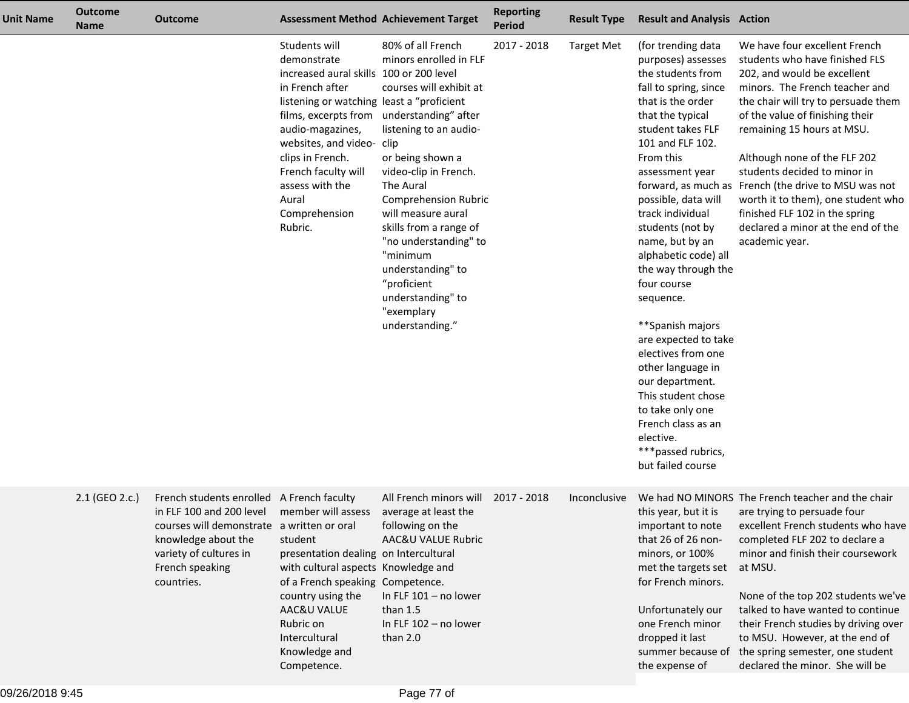| <b>Unit Name</b> | <b>Outcome</b><br>Name | <b>Outcome</b>                                                                                                                                                                                        |                                                                                                                                                                                                                                                                                             | <b>Assessment Method Achievement Target</b>                                                                                                                                                                                                                                                                                                                                                                           | <b>Reporting</b><br><b>Period</b> | <b>Result Type</b> | <b>Result and Analysis Action</b>                                                                                                                                                                                                                                                                                                                                                                                                                                                                                                                                                                       |                                                                                                                                                                                                                                                                                                                                                                                                                                                                                                  |
|------------------|------------------------|-------------------------------------------------------------------------------------------------------------------------------------------------------------------------------------------------------|---------------------------------------------------------------------------------------------------------------------------------------------------------------------------------------------------------------------------------------------------------------------------------------------|-----------------------------------------------------------------------------------------------------------------------------------------------------------------------------------------------------------------------------------------------------------------------------------------------------------------------------------------------------------------------------------------------------------------------|-----------------------------------|--------------------|---------------------------------------------------------------------------------------------------------------------------------------------------------------------------------------------------------------------------------------------------------------------------------------------------------------------------------------------------------------------------------------------------------------------------------------------------------------------------------------------------------------------------------------------------------------------------------------------------------|--------------------------------------------------------------------------------------------------------------------------------------------------------------------------------------------------------------------------------------------------------------------------------------------------------------------------------------------------------------------------------------------------------------------------------------------------------------------------------------------------|
|                  |                        |                                                                                                                                                                                                       | Students will<br>demonstrate<br>increased aural skills 100 or 200 level<br>in French after<br>listening or watching least a "proficient<br>audio-magazines,<br>websites, and video- clip<br>clips in French.<br>French faculty will<br>assess with the<br>Aural<br>Comprehension<br>Rubric. | 80% of all French<br>minors enrolled in FLF<br>courses will exhibit at<br>films, excerpts from understanding" after<br>listening to an audio-<br>or being shown a<br>video-clip in French.<br>The Aural<br><b>Comprehension Rubric</b><br>will measure aural<br>skills from a range of<br>"no understanding" to<br>"minimum<br>understanding" to<br>"proficient<br>understanding" to<br>"exemplary<br>understanding." | 2017 - 2018                       | <b>Target Met</b>  | (for trending data<br>purposes) assesses<br>the students from<br>fall to spring, since<br>that is the order<br>that the typical<br>student takes FLF<br>101 and FLF 102.<br>From this<br>assessment year<br>possible, data will<br>track individual<br>students (not by<br>name, but by an<br>alphabetic code) all<br>the way through the<br>four course<br>sequence.<br>**Spanish majors<br>are expected to take<br>electives from one<br>other language in<br>our department.<br>This student chose<br>to take only one<br>French class as an<br>elective.<br>***passed rubrics,<br>but failed course | We have four excellent French<br>students who have finished FLS<br>202, and would be excellent<br>minors. The French teacher and<br>the chair will try to persuade them<br>of the value of finishing their<br>remaining 15 hours at MSU.<br>Although none of the FLF 202<br>students decided to minor in<br>forward, as much as French (the drive to MSU was not<br>worth it to them), one student who<br>finished FLF 102 in the spring<br>declared a minor at the end of the<br>academic year. |
|                  | 2.1 (GEO 2.c.)         | French students enrolled A French faculty<br>in FLF 100 and 200 level<br>courses will demonstrate a written or oral<br>knowledge about the<br>variety of cultures in<br>French speaking<br>countries. | member will assess<br>student<br>presentation dealing on Intercultural<br>with cultural aspects Knowledge and<br>of a French speaking Competence.<br>country using the<br>AAC&U VALUE<br>Rubric on<br>Intercultural<br>Knowledge and<br>Competence.                                         | All French minors will<br>average at least the<br>following on the<br>AAC&U VALUE Rubric<br>In FLF 101 - no lower<br>than $1.5$<br>In FLF 102 - no lower<br>than 2.0                                                                                                                                                                                                                                                  | 2017 - 2018                       | Inconclusive       | this year, but it is<br>important to note<br>that 26 of 26 non-<br>minors, or 100%<br>met the targets set<br>for French minors.<br>Unfortunately our<br>one French minor<br>dropped it last<br>summer because of<br>the expense of                                                                                                                                                                                                                                                                                                                                                                      | We had NO MINORS The French teacher and the chair<br>are trying to persuade four<br>excellent French students who have<br>completed FLF 202 to declare a<br>minor and finish their coursework<br>at MSU.<br>None of the top 202 students we've<br>talked to have wanted to continue<br>their French studies by driving over<br>to MSU. However, at the end of<br>the spring semester, one student<br>declared the minor. She will be                                                             |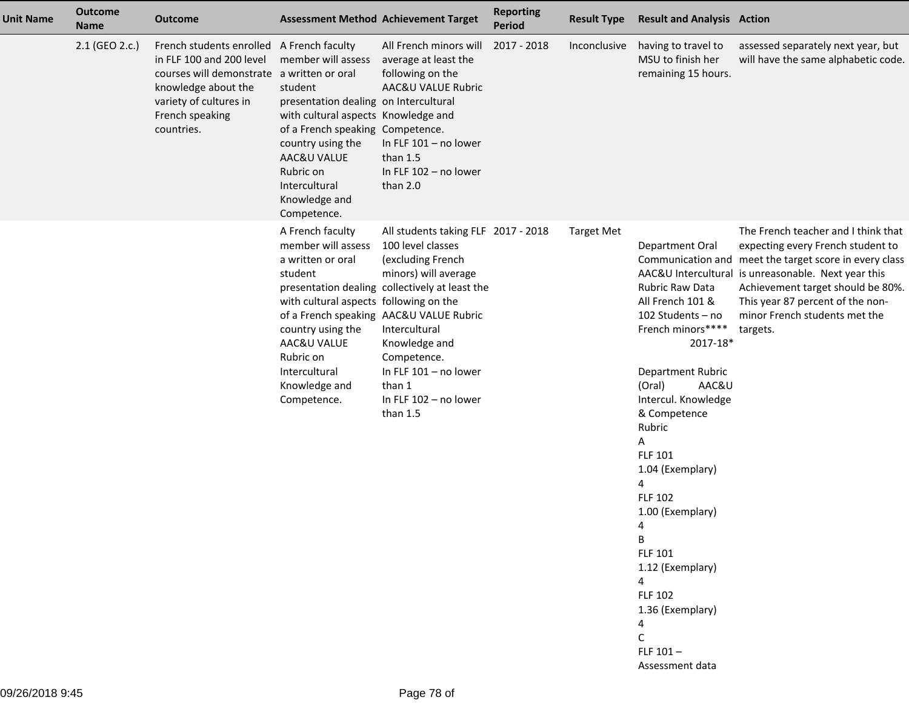| <b>Unit Name</b> | <b>Outcome</b><br><b>Name</b> | <b>Outcome</b>                                                                                                                                                                                        |                                                                                                                                                                                                                                                     | <b>Assessment Method Achievement Target</b>                                                                                                                                                                                                                                                                                 | <b>Reporting</b><br><b>Period</b> | <b>Result Type</b> | <b>Result and Analysis Action</b>                                                                                                                                                                                                                                                                                                                                                                                                       |                                                                                                                                                                                                                                                                                                                 |
|------------------|-------------------------------|-------------------------------------------------------------------------------------------------------------------------------------------------------------------------------------------------------|-----------------------------------------------------------------------------------------------------------------------------------------------------------------------------------------------------------------------------------------------------|-----------------------------------------------------------------------------------------------------------------------------------------------------------------------------------------------------------------------------------------------------------------------------------------------------------------------------|-----------------------------------|--------------------|-----------------------------------------------------------------------------------------------------------------------------------------------------------------------------------------------------------------------------------------------------------------------------------------------------------------------------------------------------------------------------------------------------------------------------------------|-----------------------------------------------------------------------------------------------------------------------------------------------------------------------------------------------------------------------------------------------------------------------------------------------------------------|
|                  | 2.1 (GEO 2.c.)                | French students enrolled A French faculty<br>in FLF 100 and 200 level<br>courses will demonstrate a written or oral<br>knowledge about the<br>variety of cultures in<br>French speaking<br>countries. | member will assess<br>student<br>presentation dealing on Intercultural<br>with cultural aspects Knowledge and<br>of a French speaking Competence.<br>country using the<br>AAC&U VALUE<br>Rubric on<br>Intercultural<br>Knowledge and<br>Competence. | All French minors will<br>average at least the<br>following on the<br>AAC&U VALUE Rubric<br>In FLF 101 - no lower<br>than $1.5$<br>In FLF 102 - no lower<br>than 2.0                                                                                                                                                        | 2017 - 2018                       | Inconclusive       | having to travel to<br>MSU to finish her<br>remaining 15 hours.                                                                                                                                                                                                                                                                                                                                                                         | assessed separately next year, but<br>will have the same alphabetic code.                                                                                                                                                                                                                                       |
|                  |                               |                                                                                                                                                                                                       | A French faculty<br>member will assess<br>a written or oral<br>student<br>with cultural aspects following on the<br>country using the<br>AAC&U VALUE<br>Rubric on<br>Intercultural<br>Knowledge and<br>Competence.                                  | All students taking FLF 2017 - 2018<br>100 level classes<br>(excluding French<br>minors) will average<br>presentation dealing collectively at least the<br>of a French speaking AAC&U VALUE Rubric<br>Intercultural<br>Knowledge and<br>Competence.<br>In FLF 101 - no lower<br>than 1<br>In FLF 102 - no lower<br>than 1.5 |                                   | <b>Target Met</b>  | Department Oral<br>Rubric Raw Data<br>All French 101 &<br>102 Students - no<br>French minors****<br>2017-18*<br>Department Rubric<br>AAC&U<br>(Oral)<br>Intercul. Knowledge<br>& Competence<br>Rubric<br>А<br><b>FLF 101</b><br>1.04 (Exemplary)<br>4<br><b>FLF 102</b><br>1.00 (Exemplary)<br>4<br>B<br>FLF 101<br>1.12 (Exemplary)<br>$\overline{4}$<br><b>FLF 102</b><br>1.36 (Exemplary)<br>4<br>C<br>FLF $101-$<br>Assessment data | The French teacher and I think that<br>expecting every French student to<br>Communication and meet the target score in every class<br>AAC&U Intercultural is unreasonable. Next year this<br>Achievement target should be 80%.<br>This year 87 percent of the non-<br>minor French students met the<br>targets. |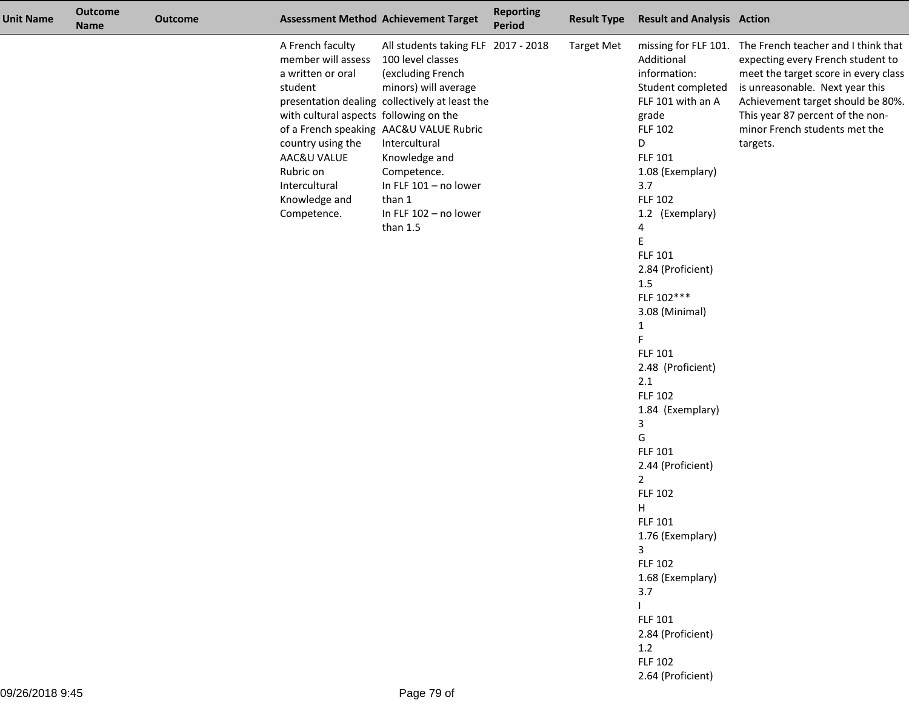| <b>Unit Name</b> | <b>Outcome</b><br><b>Name</b> | <b>Outcome</b> |                                                                                                                                                                                                                    | <b>Assessment Method Achievement Target</b>                                                                                                                                                                                                                                                                                   | <b>Reporting</b><br><b>Period</b> | <b>Result Type</b> | <b>Result and Analysis Action</b>                                                                                                                                                                                                                                                                                                                                                                                                                                                                                                                                                                                           |                                                                                                                                                                                                                                                                                                |
|------------------|-------------------------------|----------------|--------------------------------------------------------------------------------------------------------------------------------------------------------------------------------------------------------------------|-------------------------------------------------------------------------------------------------------------------------------------------------------------------------------------------------------------------------------------------------------------------------------------------------------------------------------|-----------------------------------|--------------------|-----------------------------------------------------------------------------------------------------------------------------------------------------------------------------------------------------------------------------------------------------------------------------------------------------------------------------------------------------------------------------------------------------------------------------------------------------------------------------------------------------------------------------------------------------------------------------------------------------------------------------|------------------------------------------------------------------------------------------------------------------------------------------------------------------------------------------------------------------------------------------------------------------------------------------------|
|                  |                               |                | A French faculty<br>member will assess<br>a written or oral<br>student<br>with cultural aspects following on the<br>country using the<br>AAC&U VALUE<br>Rubric on<br>Intercultural<br>Knowledge and<br>Competence. | All students taking FLF 2017 - 2018<br>100 level classes<br>(excluding French<br>minors) will average<br>presentation dealing collectively at least the<br>of a French speaking AAC&U VALUE Rubric<br>Intercultural<br>Knowledge and<br>Competence.<br>In FLF 101 - no lower<br>than 1<br>In FLF 102 - no lower<br>than $1.5$ |                                   | <b>Target Met</b>  | Additional<br>information:<br>Student completed<br>FLF 101 with an A<br>grade<br><b>FLF 102</b><br>D<br>FLF 101<br>1.08 (Exemplary)<br>3.7<br><b>FLF 102</b><br>1.2 (Exemplary)<br>4<br>Ε<br>FLF 101<br>2.84 (Proficient)<br>1.5<br>FLF 102***<br>3.08 (Minimal)<br>$\mathbf{1}$<br>F<br>FLF 101<br>2.48 (Proficient)<br>2.1<br><b>FLF 102</b><br>1.84 (Exemplary)<br>3<br>G<br>FLF 101<br>2.44 (Proficient)<br>$\overline{2}$<br><b>FLF 102</b><br>Н<br><b>FLF 101</b><br>1.76 (Exemplary)<br>3<br><b>FLF 102</b><br>1.68 (Exemplary)<br>3.7<br>FLF 101<br>2.84 (Proficient)<br>1.2<br><b>FLF 102</b><br>2.64 (Proficient) | missing for FLF 101. The French teacher and I think that<br>expecting every French student to<br>meet the target score in every class<br>is unreasonable. Next year this<br>Achievement target should be 80%.<br>This year 87 percent of the non-<br>minor French students met the<br>targets. |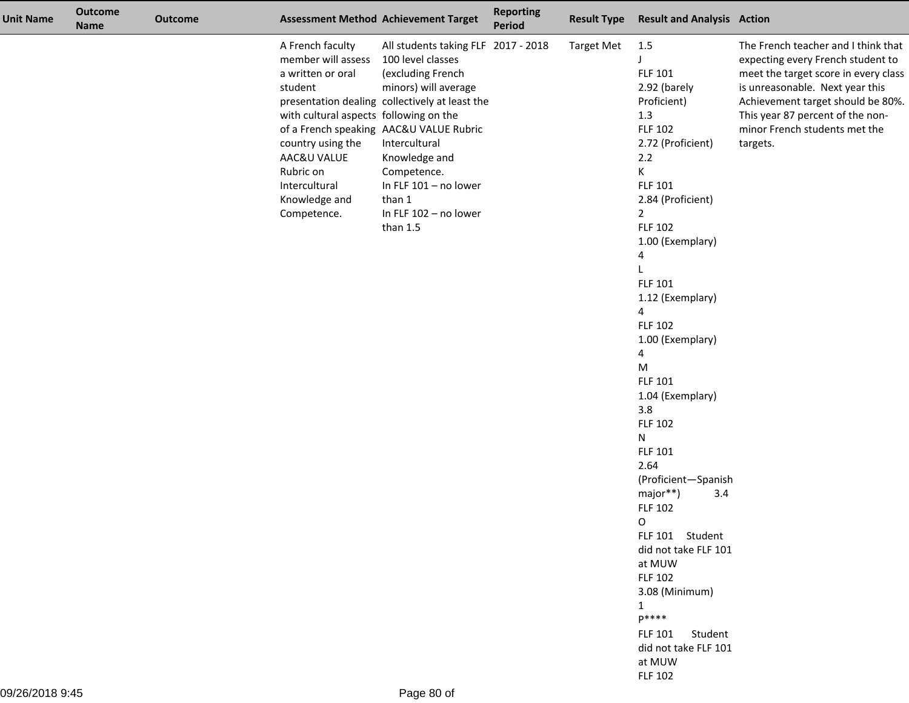| <b>Unit Name</b> | <b>Outcome</b><br><b>Name</b> | <b>Outcome</b> | <b>Assessment Method Achievement Target</b>                                                                                                                                                                        |                                                                                                                                                                                                                                                                                                                               | <b>Reporting</b><br><b>Period</b> | <b>Result Type</b> | <b>Result and Analysis Action</b>                                                                                                                                                                                                                                                                                                                                                                                                                                                                                                                                                                                                                                                         |                                                                                                                                                                                                                                                                          |
|------------------|-------------------------------|----------------|--------------------------------------------------------------------------------------------------------------------------------------------------------------------------------------------------------------------|-------------------------------------------------------------------------------------------------------------------------------------------------------------------------------------------------------------------------------------------------------------------------------------------------------------------------------|-----------------------------------|--------------------|-------------------------------------------------------------------------------------------------------------------------------------------------------------------------------------------------------------------------------------------------------------------------------------------------------------------------------------------------------------------------------------------------------------------------------------------------------------------------------------------------------------------------------------------------------------------------------------------------------------------------------------------------------------------------------------------|--------------------------------------------------------------------------------------------------------------------------------------------------------------------------------------------------------------------------------------------------------------------------|
|                  |                               |                | A French faculty<br>member will assess<br>a written or oral<br>student<br>with cultural aspects following on the<br>country using the<br>AAC&U VALUE<br>Rubric on<br>Intercultural<br>Knowledge and<br>Competence. | All students taking FLF 2017 - 2018<br>100 level classes<br>(excluding French<br>minors) will average<br>presentation dealing collectively at least the<br>of a French speaking AAC&U VALUE Rubric<br>Intercultural<br>Knowledge and<br>Competence.<br>In FLF 101 - no lower<br>than 1<br>In FLF 102 - no lower<br>than $1.5$ |                                   | <b>Target Met</b>  | 1.5<br>J<br><b>FLF 101</b><br>2.92 (barely<br>Proficient)<br>1.3<br><b>FLF 102</b><br>2.72 (Proficient)<br>2.2<br>K.<br><b>FLF 101</b><br>2.84 (Proficient)<br>$\mathbf{2}$<br><b>FLF 102</b><br>1.00 (Exemplary)<br>4<br><b>FLF 101</b><br>1.12 (Exemplary)<br>4<br><b>FLF 102</b><br>1.00 (Exemplary)<br>4<br>M<br><b>FLF 101</b><br>1.04 (Exemplary)<br>3.8<br><b>FLF 102</b><br>N<br><b>FLF 101</b><br>2.64<br>(Proficient-Spanish<br>major**)<br>3.4<br><b>FLF 102</b><br>$\circ$<br>FLF 101 Student<br>did not take FLF 101<br>at MUW<br><b>FLF 102</b><br>3.08 (Minimum)<br>$\mathbf{1}$<br>p****<br><b>FLF 101</b><br>Student<br>did not take FLF 101<br>at MUW<br><b>FLF 102</b> | The French teacher and I think that<br>expecting every French student to<br>meet the target score in every class<br>is unreasonable. Next year this<br>Achievement target should be 80%<br>This year 87 percent of the non-<br>minor French students met the<br>targets. |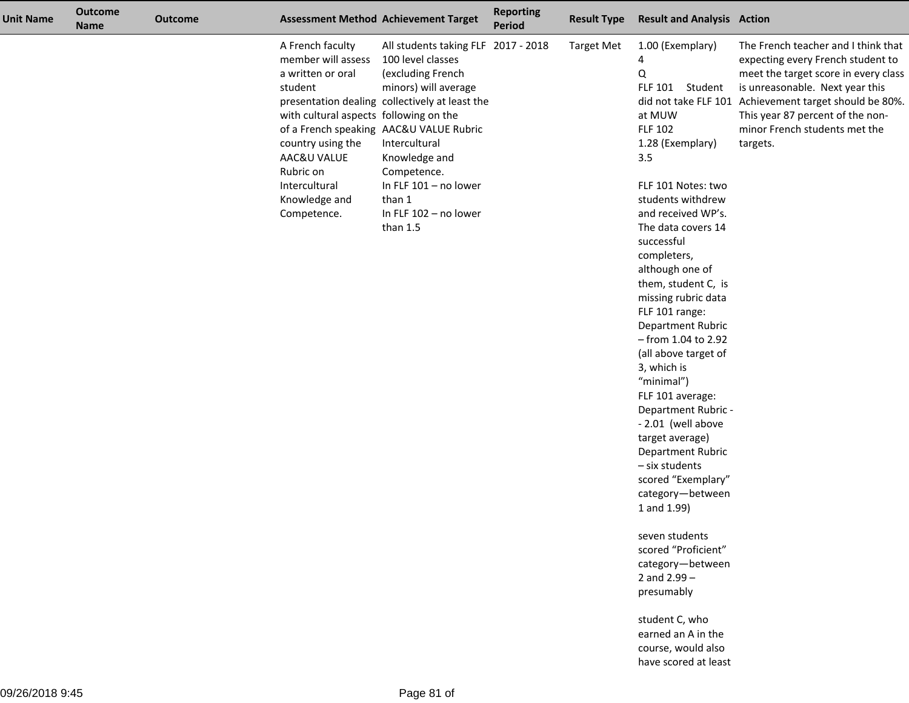| <b>Unit Name</b> | <b>Outcome</b><br><b>Name</b> | <b>Outcome</b> | <b>Assessment Method Achievement Target</b>                                                                                                                                                                        |                                                                                                                                                                                                                                                                                                                               | <b>Reporting</b><br><b>Period</b> | <b>Result Type</b> | <b>Result and Analysis Action</b>                                                                                                                                                                                                                                                                                                                                                                                                                                                                                                                                                                                                                                                                                 |                                                                                                                                                                                                                                                                                               |
|------------------|-------------------------------|----------------|--------------------------------------------------------------------------------------------------------------------------------------------------------------------------------------------------------------------|-------------------------------------------------------------------------------------------------------------------------------------------------------------------------------------------------------------------------------------------------------------------------------------------------------------------------------|-----------------------------------|--------------------|-------------------------------------------------------------------------------------------------------------------------------------------------------------------------------------------------------------------------------------------------------------------------------------------------------------------------------------------------------------------------------------------------------------------------------------------------------------------------------------------------------------------------------------------------------------------------------------------------------------------------------------------------------------------------------------------------------------------|-----------------------------------------------------------------------------------------------------------------------------------------------------------------------------------------------------------------------------------------------------------------------------------------------|
|                  |                               |                | A French faculty<br>member will assess<br>a written or oral<br>student<br>with cultural aspects following on the<br>country using the<br>AAC&U VALUE<br>Rubric on<br>Intercultural<br>Knowledge and<br>Competence. | All students taking FLF 2017 - 2018<br>100 level classes<br>(excluding French<br>minors) will average<br>presentation dealing collectively at least the<br>of a French speaking AAC&U VALUE Rubric<br>Intercultural<br>Knowledge and<br>Competence.<br>In FLF $101 - no lower$<br>than 1<br>In FLF 102 - no lower<br>than 1.5 |                                   | <b>Target Met</b>  | 1.00 (Exemplary)<br>4<br>Q<br>FLF 101 Student<br>at MUW<br><b>FLF 102</b><br>1.28 (Exemplary)<br>3.5<br>FLF 101 Notes: two<br>students withdrew<br>and received WP's.<br>The data covers 14<br>successful<br>completers,<br>although one of<br>them, student C, is<br>missing rubric data<br>FLF 101 range:<br>Department Rubric<br>$-$ from 1.04 to 2.92<br>(all above target of<br>3, which is<br>"minimal")<br>FLF 101 average:<br>Department Rubric -<br>- 2.01 (well above<br>target average)<br>Department Rubric<br>- six students<br>scored "Exemplary"<br>category-between<br>1 and 1.99)<br>seven students<br>scored "Proficient"<br>category-between<br>2 and $2.99 -$<br>presumably<br>student C, who | The French teacher and I think that<br>expecting every French student to<br>meet the target score in every class<br>is unreasonable. Next year this<br>did not take FLF 101 Achievement target should be 80%<br>This year 87 percent of the non-<br>minor French students met the<br>targets. |
|                  |                               |                |                                                                                                                                                                                                                    |                                                                                                                                                                                                                                                                                                                               |                                   |                    | earned an A in the<br>course, would also<br>have scored at least                                                                                                                                                                                                                                                                                                                                                                                                                                                                                                                                                                                                                                                  |                                                                                                                                                                                                                                                                                               |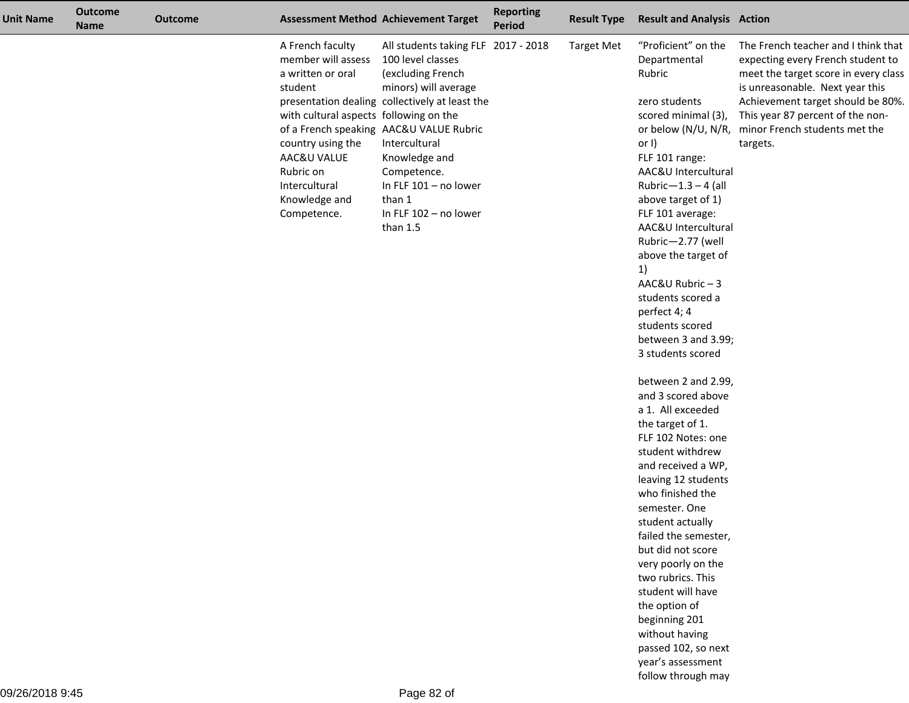| <b>Unit Name</b> | <b>Outcome</b><br><b>Name</b> | <b>Outcome</b> |                                                                                                                                                                                                                    | <b>Assessment Method Achievement Target</b>                                                                                                                                                                                                                                                                                     | <b>Reporting</b><br><b>Period</b> | <b>Result Type</b> | <b>Result and Analysis Action</b>                                                                                                                                                                                                                                                                                                                                                                                                                                                                                                                                                                                                                                                                                                                                                                                                                                                      |                                                                                                                                                                                                                                                                                              |
|------------------|-------------------------------|----------------|--------------------------------------------------------------------------------------------------------------------------------------------------------------------------------------------------------------------|---------------------------------------------------------------------------------------------------------------------------------------------------------------------------------------------------------------------------------------------------------------------------------------------------------------------------------|-----------------------------------|--------------------|----------------------------------------------------------------------------------------------------------------------------------------------------------------------------------------------------------------------------------------------------------------------------------------------------------------------------------------------------------------------------------------------------------------------------------------------------------------------------------------------------------------------------------------------------------------------------------------------------------------------------------------------------------------------------------------------------------------------------------------------------------------------------------------------------------------------------------------------------------------------------------------|----------------------------------------------------------------------------------------------------------------------------------------------------------------------------------------------------------------------------------------------------------------------------------------------|
|                  |                               |                | A French faculty<br>member will assess<br>a written or oral<br>student<br>with cultural aspects following on the<br>country using the<br>AAC&U VALUE<br>Rubric on<br>Intercultural<br>Knowledge and<br>Competence. | All students taking FLF 2017 - 2018<br>100 level classes<br>(excluding French<br>minors) will average<br>presentation dealing collectively at least the<br>of a French speaking AAC&U VALUE Rubric<br>Intercultural<br>Knowledge and<br>Competence.<br>In FLF $101 - no lower$<br>than 1<br>In FLF 102 - no lower<br>than $1.5$ |                                   | <b>Target Met</b>  | "Proficient" on the<br>Departmental<br>Rubric<br>zero students<br>scored minimal (3),<br>or $I$ )<br>FLF 101 range:<br>AAC&U Intercultural<br>Rubric- $1.3 - 4$ (all<br>above target of 1)<br>FLF 101 average:<br>AAC&U Intercultural<br>Rubric-2.77 (well<br>above the target of<br>1)<br>AAC&U Rubric-3<br>students scored a<br>perfect 4; 4<br>students scored<br>between 3 and 3.99;<br>3 students scored<br>between 2 and 2.99,<br>and 3 scored above<br>a 1. All exceeded<br>the target of 1.<br>FLF 102 Notes: one<br>student withdrew<br>and received a WP,<br>leaving 12 students<br>who finished the<br>semester. One<br>student actually<br>failed the semester,<br>but did not score<br>very poorly on the<br>two rubrics. This<br>student will have<br>the option of<br>beginning 201<br>without having<br>passed 102, so next<br>year's assessment<br>follow through may | The French teacher and I think that<br>expecting every French student to<br>meet the target score in every class<br>is unreasonable. Next year this<br>Achievement target should be 80%<br>This year 87 percent of the non-<br>or below (N/U, N/R, minor French students met the<br>targets. |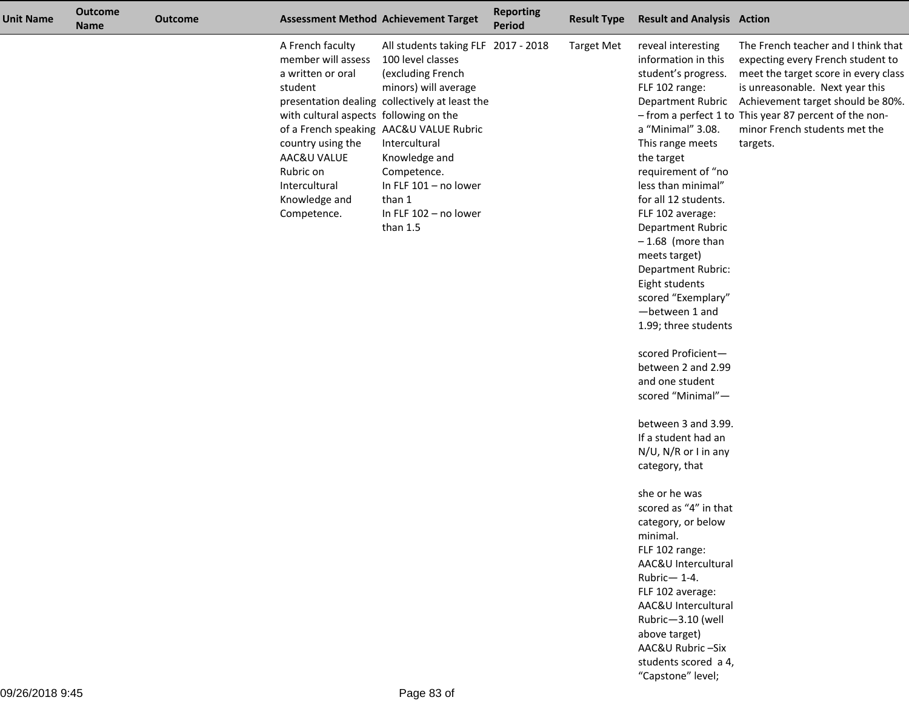| <b>Unit Name</b> | <b>Outcome</b><br><b>Name</b> | <b>Outcome</b> |                                                                                                                                                                                                                    | <b>Assessment Method Achievement Target</b>                                                                                                                                                                                                                                                                                   | <b>Reporting</b><br><b>Period</b> | <b>Result Type</b> | <b>Result and Analysis Action</b>                                                                                                                                                                                                                                                                                                                                                                                                                                                                                                                                                                                                                                                                                                                                                                                                                                        |                                                                                                                                                                                                                                                                                                                  |
|------------------|-------------------------------|----------------|--------------------------------------------------------------------------------------------------------------------------------------------------------------------------------------------------------------------|-------------------------------------------------------------------------------------------------------------------------------------------------------------------------------------------------------------------------------------------------------------------------------------------------------------------------------|-----------------------------------|--------------------|--------------------------------------------------------------------------------------------------------------------------------------------------------------------------------------------------------------------------------------------------------------------------------------------------------------------------------------------------------------------------------------------------------------------------------------------------------------------------------------------------------------------------------------------------------------------------------------------------------------------------------------------------------------------------------------------------------------------------------------------------------------------------------------------------------------------------------------------------------------------------|------------------------------------------------------------------------------------------------------------------------------------------------------------------------------------------------------------------------------------------------------------------------------------------------------------------|
|                  |                               |                | A French faculty<br>member will assess<br>a written or oral<br>student<br>with cultural aspects following on the<br>country using the<br>AAC&U VALUE<br>Rubric on<br>Intercultural<br>Knowledge and<br>Competence. | All students taking FLF 2017 - 2018<br>100 level classes<br>(excluding French<br>minors) will average<br>presentation dealing collectively at least the<br>of a French speaking AAC&U VALUE Rubric<br>Intercultural<br>Knowledge and<br>Competence.<br>In FLF $101 - no lower$<br>than 1<br>In FLF 102 - no lower<br>than 1.5 |                                   | <b>Target Met</b>  | reveal interesting<br>information in this<br>student's progress.<br>FLF 102 range:<br>a "Minimal" 3.08.<br>This range meets<br>the target<br>requirement of "no<br>less than minimal"<br>for all 12 students.<br>FLF 102 average:<br>Department Rubric<br>$-1.68$ (more than<br>meets target)<br>Department Rubric:<br>Eight students<br>scored "Exemplary"<br>-between 1 and<br>1.99; three students<br>scored Proficient-<br>between 2 and 2.99<br>and one student<br>scored "Minimal"-<br>between 3 and 3.99.<br>If a student had an<br>N/U, N/R or I in any<br>category, that<br>she or he was<br>scored as "4" in that<br>category, or below<br>minimal.<br>FLF 102 range:<br>AAC&U Intercultural<br>Rubric-1-4.<br>FLF 102 average:<br>AAC&U Intercultural<br>Rubric-3.10 (well<br>above target)<br>AAC&U Rubric -Six<br>students scored a 4,<br>"Capstone" level; | The French teacher and I think that<br>expecting every French student to<br>meet the target score in every class<br>is unreasonable. Next year this<br>Department Rubric Achievement target should be 80%<br>- from a perfect 1 to This year 87 percent of the non-<br>minor French students met the<br>targets. |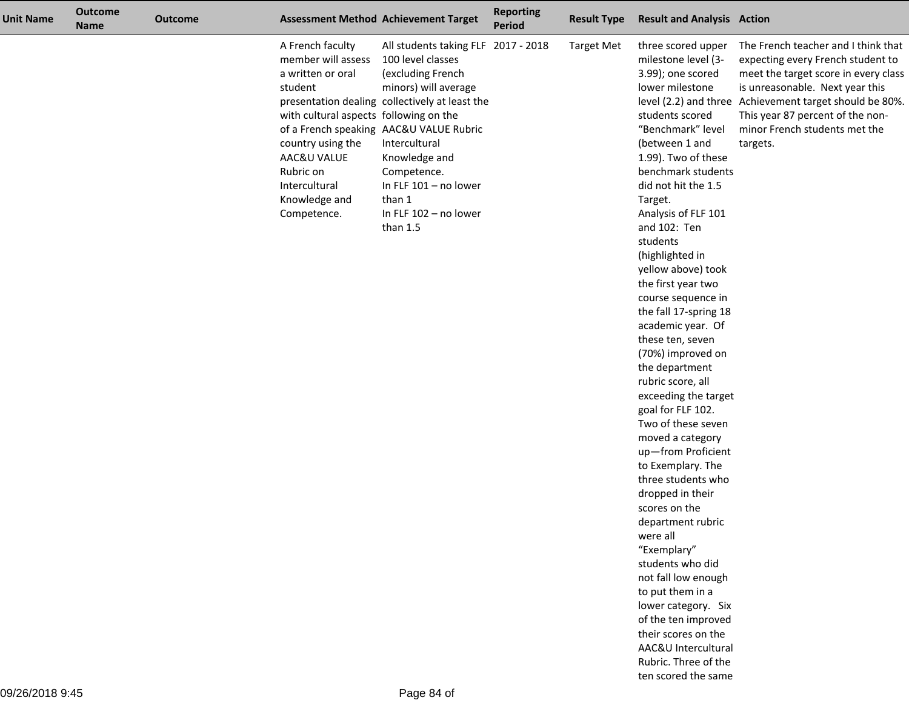| <b>Unit Name</b> | <b>Outcome</b><br><b>Name</b> | <b>Outcome</b> |                                                                                                                                                                                                                    | <b>Assessment Method Achievement Target</b>                                                                                                                                                                                                                                                                                 | <b>Reporting</b><br><b>Period</b> | <b>Result Type</b> | <b>Result and Analysis Action</b>                                                                                                                                                                                                                                                                                                                                                                                                                                                                                                                                                                                                                                                                                                                                                                                                                                                                                                                       |                                                                                                                                                                                                                                                                                                |
|------------------|-------------------------------|----------------|--------------------------------------------------------------------------------------------------------------------------------------------------------------------------------------------------------------------|-----------------------------------------------------------------------------------------------------------------------------------------------------------------------------------------------------------------------------------------------------------------------------------------------------------------------------|-----------------------------------|--------------------|---------------------------------------------------------------------------------------------------------------------------------------------------------------------------------------------------------------------------------------------------------------------------------------------------------------------------------------------------------------------------------------------------------------------------------------------------------------------------------------------------------------------------------------------------------------------------------------------------------------------------------------------------------------------------------------------------------------------------------------------------------------------------------------------------------------------------------------------------------------------------------------------------------------------------------------------------------|------------------------------------------------------------------------------------------------------------------------------------------------------------------------------------------------------------------------------------------------------------------------------------------------|
|                  |                               |                | A French faculty<br>member will assess<br>a written or oral<br>student<br>with cultural aspects following on the<br>country using the<br>AAC&U VALUE<br>Rubric on<br>Intercultural<br>Knowledge and<br>Competence. | All students taking FLF 2017 - 2018<br>100 level classes<br>(excluding French<br>minors) will average<br>presentation dealing collectively at least the<br>of a French speaking AAC&U VALUE Rubric<br>Intercultural<br>Knowledge and<br>Competence.<br>In FLF 101 - no lower<br>than 1<br>In FLF 102 - no lower<br>than 1.5 |                                   | <b>Target Met</b>  | three scored upper<br>milestone level (3-<br>3.99); one scored<br>lower milestone<br>students scored<br>"Benchmark" level<br>(between 1 and<br>1.99). Two of these<br>benchmark students<br>did not hit the 1.5<br>Target.<br>Analysis of FLF 101<br>and 102: Ten<br>students<br>(highlighted in<br>yellow above) took<br>the first year two<br>course sequence in<br>the fall 17-spring 18<br>academic year. Of<br>these ten, seven<br>(70%) improved on<br>the department<br>rubric score, all<br>exceeding the target<br>goal for FLF 102.<br>Two of these seven<br>moved a category<br>up-from Proficient<br>to Exemplary. The<br>three students who<br>dropped in their<br>scores on the<br>department rubric<br>were all<br>"Exemplary"<br>students who did<br>not fall low enough<br>to put them in a<br>lower category. Six<br>of the ten improved<br>their scores on the<br>AAC&U Intercultural<br>Rubric. Three of the<br>ten scored the same | The French teacher and I think that<br>expecting every French student to<br>meet the target score in every class<br>is unreasonable. Next year this<br>level (2.2) and three Achievement target should be 80%<br>This year 87 percent of the non-<br>minor French students met the<br>targets. |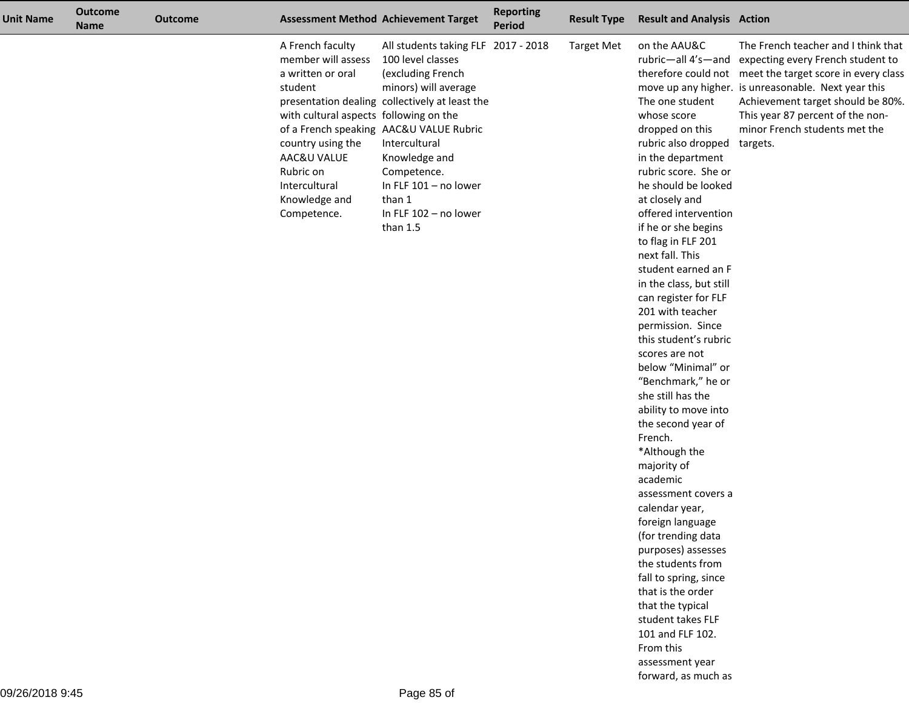| <b>Unit Name</b> | <b>Outcome</b><br>Name | <b>Outcome</b> |                                                                                                                                                                                                                    | <b>Assessment Method Achievement Target</b>                                                                                                                                                                                                                                                                                     | <b>Reporting</b><br><b>Period</b> | <b>Result Type</b> | <b>Result and Analysis Action</b>                                                                                                                                                                                                                                                                                                                                                                                                                                                                                                                                                                                                                                                                                                                                                                                                                                                                                   |                                                                                                                                                                                                                                                                                                                         |
|------------------|------------------------|----------------|--------------------------------------------------------------------------------------------------------------------------------------------------------------------------------------------------------------------|---------------------------------------------------------------------------------------------------------------------------------------------------------------------------------------------------------------------------------------------------------------------------------------------------------------------------------|-----------------------------------|--------------------|---------------------------------------------------------------------------------------------------------------------------------------------------------------------------------------------------------------------------------------------------------------------------------------------------------------------------------------------------------------------------------------------------------------------------------------------------------------------------------------------------------------------------------------------------------------------------------------------------------------------------------------------------------------------------------------------------------------------------------------------------------------------------------------------------------------------------------------------------------------------------------------------------------------------|-------------------------------------------------------------------------------------------------------------------------------------------------------------------------------------------------------------------------------------------------------------------------------------------------------------------------|
|                  |                        |                | A French faculty<br>member will assess<br>a written or oral<br>student<br>with cultural aspects following on the<br>country using the<br>AAC&U VALUE<br>Rubric on<br>Intercultural<br>Knowledge and<br>Competence. | All students taking FLF 2017 - 2018<br>100 level classes<br>(excluding French<br>minors) will average<br>presentation dealing collectively at least the<br>of a French speaking AAC&U VALUE Rubric<br>Intercultural<br>Knowledge and<br>Competence.<br>In FLF $101 - no lower$<br>than 1<br>In FLF 102 - no lower<br>than $1.5$ |                                   | <b>Target Met</b>  | on the AAU&C<br>The one student<br>whose score<br>dropped on this<br>rubric also dropped targets.<br>in the department<br>rubric score. She or<br>he should be looked<br>at closely and<br>offered intervention<br>if he or she begins<br>to flag in FLF 201<br>next fall. This<br>student earned an F<br>in the class, but still<br>can register for FLF<br>201 with teacher<br>permission. Since<br>this student's rubric<br>scores are not<br>below "Minimal" or<br>"Benchmark," he or<br>she still has the<br>ability to move into<br>the second year of<br>French.<br>*Although the<br>majority of<br>academic<br>assessment covers a<br>calendar year,<br>foreign language<br>(for trending data<br>purposes) assesses<br>the students from<br>fall to spring, since<br>that is the order<br>that the typical<br>student takes FLF<br>101 and FLF 102.<br>From this<br>assessment year<br>forward, as much as | The French teacher and I think that<br>rubric-all 4's-and expecting every French student to<br>therefore could not meet the target score in every class<br>move up any higher. is unreasonable. Next year this<br>Achievement target should be 80%<br>This year 87 percent of the non-<br>minor French students met the |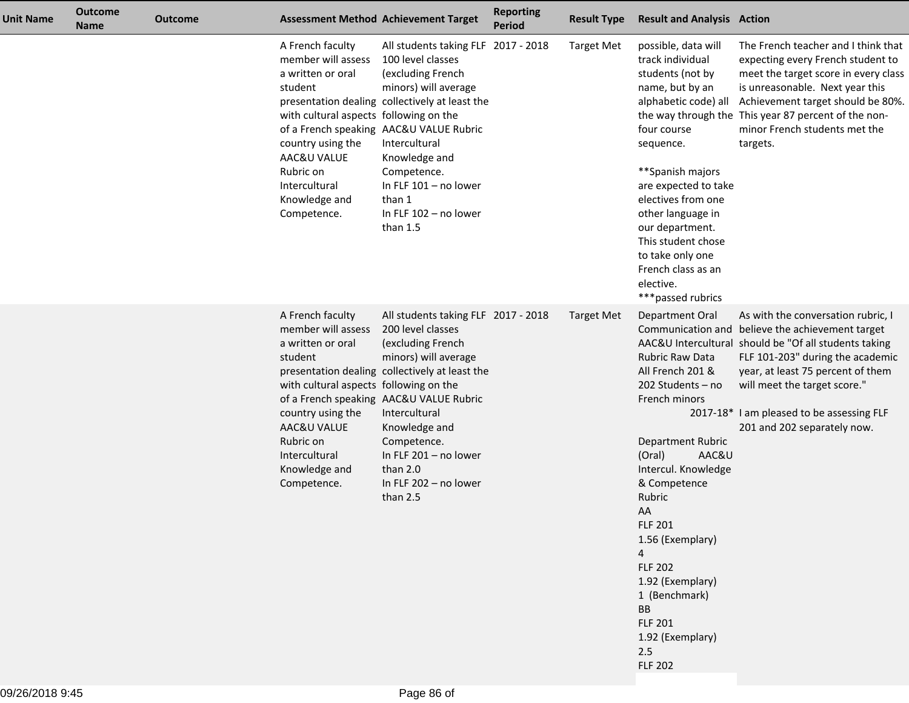| Unit Name | <b>Outcome</b><br><b>Name</b> | <b>Outcome</b> |                                                                                                                                                                                                                    | <b>Assessment Method Achievement Target</b>                                                                                                                                                                                                                                                                                   | <b>Reporting</b><br><b>Period</b> | <b>Result Type</b> | <b>Result and Analysis Action</b>                                                                                                                                                                                                                                                                                                                                                      |                                                                                                                                                                                                                                                                                                                                      |
|-----------|-------------------------------|----------------|--------------------------------------------------------------------------------------------------------------------------------------------------------------------------------------------------------------------|-------------------------------------------------------------------------------------------------------------------------------------------------------------------------------------------------------------------------------------------------------------------------------------------------------------------------------|-----------------------------------|--------------------|----------------------------------------------------------------------------------------------------------------------------------------------------------------------------------------------------------------------------------------------------------------------------------------------------------------------------------------------------------------------------------------|--------------------------------------------------------------------------------------------------------------------------------------------------------------------------------------------------------------------------------------------------------------------------------------------------------------------------------------|
|           |                               |                | A French faculty<br>member will assess<br>a written or oral<br>student<br>with cultural aspects following on the<br>country using the<br>AAC&U VALUE<br>Rubric on<br>Intercultural<br>Knowledge and<br>Competence. | All students taking FLF 2017 - 2018<br>100 level classes<br>(excluding French<br>minors) will average<br>presentation dealing collectively at least the<br>of a French speaking AAC&U VALUE Rubric<br>Intercultural<br>Knowledge and<br>Competence.<br>In FLF 101 - no lower<br>than 1<br>In FLF 102 - no lower<br>than $1.5$ |                                   | <b>Target Met</b>  | possible, data will<br>track individual<br>students (not by<br>name, but by an<br>four course<br>sequence.<br>**Spanish majors<br>are expected to take<br>electives from one<br>other language in<br>our department.<br>This student chose<br>to take only one<br>French class as an<br>elective.<br>***passed rubrics                                                                 | The French teacher and I think that<br>expecting every French student to<br>meet the target score in every class<br>is unreasonable. Next year this<br>alphabetic code) all Achievement target should be 80%.<br>the way through the This year 87 percent of the non-<br>minor French students met the<br>targets.                   |
|           |                               |                | A French faculty<br>member will assess<br>a written or oral<br>student<br>with cultural aspects following on the<br>country using the<br>AAC&U VALUE<br>Rubric on<br>Intercultural<br>Knowledge and<br>Competence. | All students taking FLF 2017 - 2018<br>200 level classes<br>(excluding French<br>minors) will average<br>presentation dealing collectively at least the<br>of a French speaking AAC&U VALUE Rubric<br>Intercultural<br>Knowledge and<br>Competence.<br>In FLF 201 - no lower<br>than 2.0<br>In FLF 202 - no lower<br>than 2.5 |                                   | <b>Target Met</b>  | Department Oral<br><b>Rubric Raw Data</b><br>All French 201 &<br>202 Students - no<br>French minors<br>Department Rubric<br>AAC&U<br>(Oral)<br>Intercul. Knowledge<br>& Competence<br>Rubric<br>AA<br><b>FLF 201</b><br>1.56 (Exemplary)<br>$\overline{4}$<br><b>FLF 202</b><br>1.92 (Exemplary)<br>1 (Benchmark)<br>BB<br><b>FLF 201</b><br>1.92 (Exemplary)<br>2.5<br><b>FLF 202</b> | As with the conversation rubric, I<br>Communication and believe the achievement target<br>AAC&U Intercultural should be "Of all students taking<br>FLF 101-203" during the academic<br>year, at least 75 percent of them<br>will meet the target score."<br>2017-18* I am pleased to be assessing FLF<br>201 and 202 separately now. |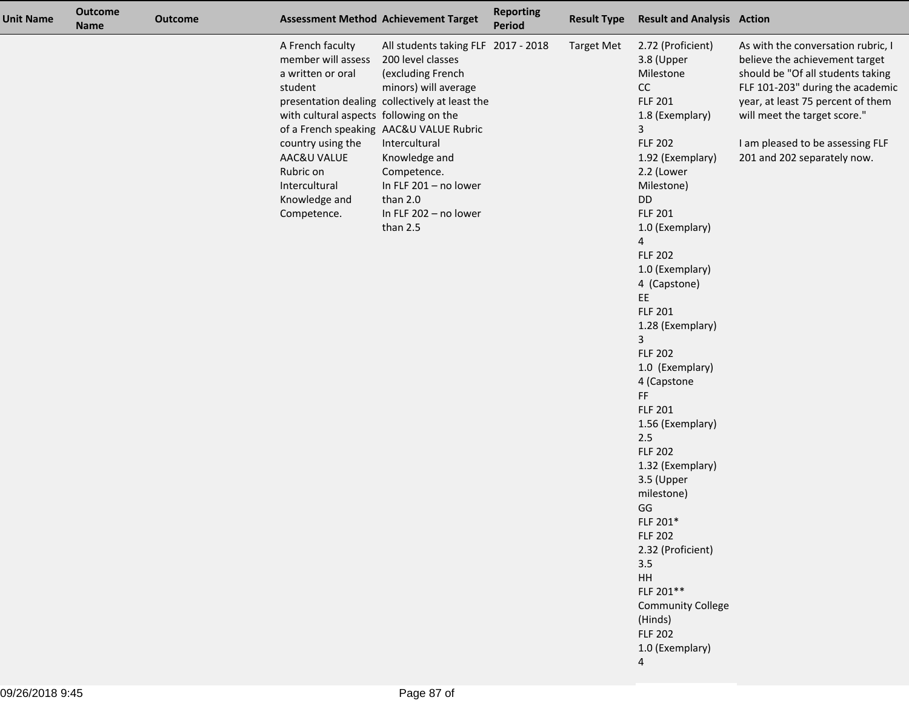| <b>Unit Name</b> | <b>Outcome</b><br><b>Name</b> | <b>Outcome</b> |                                                                                                                                                                                                                    | <b>Assessment Method Achievement Target</b>                                                                                                                                                                                                                                                                                   | <b>Reporting</b><br><b>Period</b> | <b>Result Type</b> | <b>Result and Analysis Action</b>                                                                                                                                                                                                                                                                                                                                                                                                                                                                                                                                                                                                                                                 |                                                                                                                                                                                                                                                                                       |
|------------------|-------------------------------|----------------|--------------------------------------------------------------------------------------------------------------------------------------------------------------------------------------------------------------------|-------------------------------------------------------------------------------------------------------------------------------------------------------------------------------------------------------------------------------------------------------------------------------------------------------------------------------|-----------------------------------|--------------------|-----------------------------------------------------------------------------------------------------------------------------------------------------------------------------------------------------------------------------------------------------------------------------------------------------------------------------------------------------------------------------------------------------------------------------------------------------------------------------------------------------------------------------------------------------------------------------------------------------------------------------------------------------------------------------------|---------------------------------------------------------------------------------------------------------------------------------------------------------------------------------------------------------------------------------------------------------------------------------------|
|                  |                               |                | A French faculty<br>member will assess<br>a written or oral<br>student<br>with cultural aspects following on the<br>country using the<br>AAC&U VALUE<br>Rubric on<br>Intercultural<br>Knowledge and<br>Competence. | All students taking FLF 2017 - 2018<br>200 level classes<br>(excluding French<br>minors) will average<br>presentation dealing collectively at least the<br>of a French speaking AAC&U VALUE Rubric<br>Intercultural<br>Knowledge and<br>Competence.<br>In FLF 201 - no lower<br>than 2.0<br>In FLF 202 - no lower<br>than 2.5 |                                   | <b>Target Met</b>  | 2.72 (Proficient)<br>3.8 (Upper<br>Milestone<br>CC<br><b>FLF 201</b><br>1.8 (Exemplary)<br>3<br><b>FLF 202</b><br>1.92 (Exemplary)<br>2.2 (Lower<br>Milestone)<br>DD<br><b>FLF 201</b><br>1.0 (Exemplary)<br>4<br><b>FLF 202</b><br>1.0 (Exemplary)<br>4 (Capstone)<br>EE.<br><b>FLF 201</b><br>1.28 (Exemplary)<br>3<br><b>FLF 202</b><br>1.0 (Exemplary)<br>4 (Capstone<br>FF<br><b>FLF 201</b><br>1.56 (Exemplary)<br>$2.5\,$<br><b>FLF 202</b><br>1.32 (Exemplary)<br>3.5 (Upper<br>milestone)<br>GG<br>FLF 201*<br><b>FLF 202</b><br>2.32 (Proficient)<br>3.5<br>$\mathsf{HH}$<br>FLF 201**<br><b>Community College</b><br>(Hinds)<br><b>FLF 202</b><br>1.0 (Exemplary)<br>4 | As with the conversation rubric, I<br>believe the achievement target<br>should be "Of all students taking<br>FLF 101-203" during the academic<br>year, at least 75 percent of them<br>will meet the target score."<br>I am pleased to be assessing FLF<br>201 and 202 separately now. |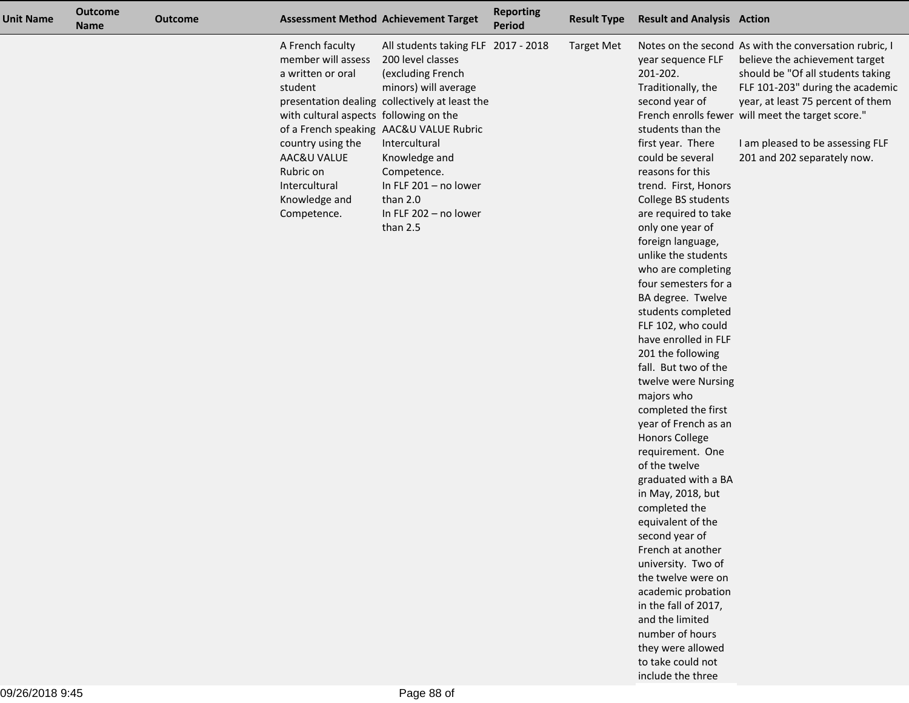| <b>Unit Name</b> | <b>Outcome</b><br><b>Name</b> | <b>Outcome</b> |                                                                                                                                                                                                                    | <b>Assessment Method Achievement Target</b>                                                                                                                                                                                                                                                                                   | <b>Reporting</b><br><b>Period</b> | <b>Result Type</b> | <b>Result and Analysis Action</b>                                                                                                                                                                                                                                                                                                                                                                                                                                                                                                                                                                                                                                                                                                                                                                                                                                                                                                                            |                                                                                                                                                                                                                                                                                                                                |
|------------------|-------------------------------|----------------|--------------------------------------------------------------------------------------------------------------------------------------------------------------------------------------------------------------------|-------------------------------------------------------------------------------------------------------------------------------------------------------------------------------------------------------------------------------------------------------------------------------------------------------------------------------|-----------------------------------|--------------------|--------------------------------------------------------------------------------------------------------------------------------------------------------------------------------------------------------------------------------------------------------------------------------------------------------------------------------------------------------------------------------------------------------------------------------------------------------------------------------------------------------------------------------------------------------------------------------------------------------------------------------------------------------------------------------------------------------------------------------------------------------------------------------------------------------------------------------------------------------------------------------------------------------------------------------------------------------------|--------------------------------------------------------------------------------------------------------------------------------------------------------------------------------------------------------------------------------------------------------------------------------------------------------------------------------|
|                  |                               |                | A French faculty<br>member will assess<br>a written or oral<br>student<br>with cultural aspects following on the<br>country using the<br>AAC&U VALUE<br>Rubric on<br>Intercultural<br>Knowledge and<br>Competence. | All students taking FLF 2017 - 2018<br>200 level classes<br>(excluding French<br>minors) will average<br>presentation dealing collectively at least the<br>of a French speaking AAC&U VALUE Rubric<br>Intercultural<br>Knowledge and<br>Competence.<br>In FLF 201 - no lower<br>than 2.0<br>In FLF 202 - no lower<br>than 2.5 |                                   | <b>Target Met</b>  | year sequence FLF<br>201-202.<br>Traditionally, the<br>second year of<br>students than the<br>first year. There<br>could be several<br>reasons for this<br>trend. First, Honors<br>College BS students<br>are required to take<br>only one year of<br>foreign language,<br>unlike the students<br>who are completing<br>four semesters for a<br>BA degree. Twelve<br>students completed<br>FLF 102, who could<br>have enrolled in FLF<br>201 the following<br>fall. But two of the<br>twelve were Nursing<br>majors who<br>completed the first<br>year of French as an<br><b>Honors College</b><br>requirement. One<br>of the twelve<br>graduated with a BA<br>in May, 2018, but<br>completed the<br>equivalent of the<br>second year of<br>French at another<br>university. Two of<br>the twelve were on<br>academic probation<br>in the fall of 2017,<br>and the limited<br>number of hours<br>they were allowed<br>to take could not<br>include the three | Notes on the second As with the conversation rubric, I<br>believe the achievement target<br>should be "Of all students taking<br>FLF 101-203" during the academic<br>year, at least 75 percent of them<br>French enrolls fewer will meet the target score."<br>I am pleased to be assessing FLF<br>201 and 202 separately now. |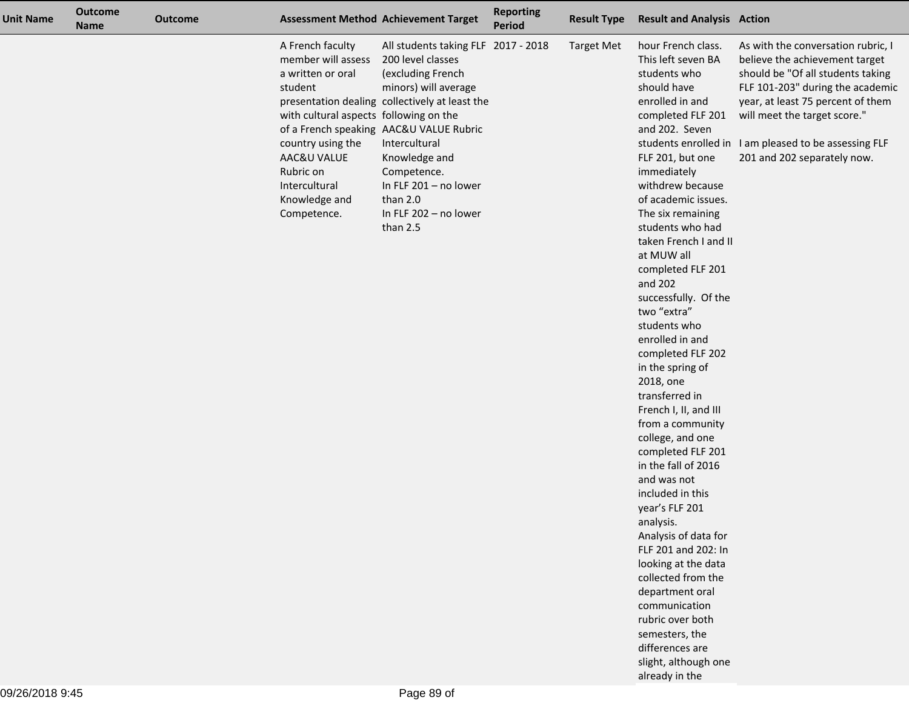| <b>Unit Name</b> | <b>Outcome</b><br><b>Name</b> | <b>Outcome</b> |                                                                                                                                                                                                                    | <b>Assessment Method Achievement Target</b>                                                                                                                                                                                                                                                                                   | <b>Reporting</b><br><b>Period</b> | <b>Result Type</b> | <b>Result and Analysis Action</b>                                                                                                                                                                                                                                                                                                                                                                                                                                                                                                                                                                                                                                                                                                                                                                                                                                                                   |                                                                                                                                                                                                                                                                                                            |
|------------------|-------------------------------|----------------|--------------------------------------------------------------------------------------------------------------------------------------------------------------------------------------------------------------------|-------------------------------------------------------------------------------------------------------------------------------------------------------------------------------------------------------------------------------------------------------------------------------------------------------------------------------|-----------------------------------|--------------------|-----------------------------------------------------------------------------------------------------------------------------------------------------------------------------------------------------------------------------------------------------------------------------------------------------------------------------------------------------------------------------------------------------------------------------------------------------------------------------------------------------------------------------------------------------------------------------------------------------------------------------------------------------------------------------------------------------------------------------------------------------------------------------------------------------------------------------------------------------------------------------------------------------|------------------------------------------------------------------------------------------------------------------------------------------------------------------------------------------------------------------------------------------------------------------------------------------------------------|
|                  |                               |                | A French faculty<br>member will assess<br>a written or oral<br>student<br>with cultural aspects following on the<br>country using the<br>AAC&U VALUE<br>Rubric on<br>Intercultural<br>Knowledge and<br>Competence. | All students taking FLF 2017 - 2018<br>200 level classes<br>(excluding French<br>minors) will average<br>presentation dealing collectively at least the<br>of a French speaking AAC&U VALUE Rubric<br>Intercultural<br>Knowledge and<br>Competence.<br>In FLF 201 - no lower<br>than 2.0<br>In FLF 202 - no lower<br>than 2.5 |                                   | <b>Target Met</b>  | hour French class.<br>This left seven BA<br>students who<br>should have<br>enrolled in and<br>completed FLF 201<br>and 202. Seven<br>FLF 201, but one<br>immediately<br>withdrew because<br>of academic issues.<br>The six remaining<br>students who had<br>taken French I and II<br>at MUW all<br>completed FLF 201<br>and 202<br>successfully. Of the<br>two "extra"<br>students who<br>enrolled in and<br>completed FLF 202<br>in the spring of<br>2018, one<br>transferred in<br>French I, II, and III<br>from a community<br>college, and one<br>completed FLF 201<br>in the fall of 2016<br>and was not<br>included in this<br>year's FLF 201<br>analysis.<br>Analysis of data for<br>FLF 201 and 202: In<br>looking at the data<br>collected from the<br>department oral<br>communication<br>rubric over both<br>semesters, the<br>differences are<br>slight, although one<br>already in the | As with the conversation rubric, I<br>believe the achievement target<br>should be "Of all students taking<br>FLF 101-203" during the academic<br>year, at least 75 percent of them<br>will meet the target score."<br>students enrolled in I am pleased to be assessing FLF<br>201 and 202 separately now. |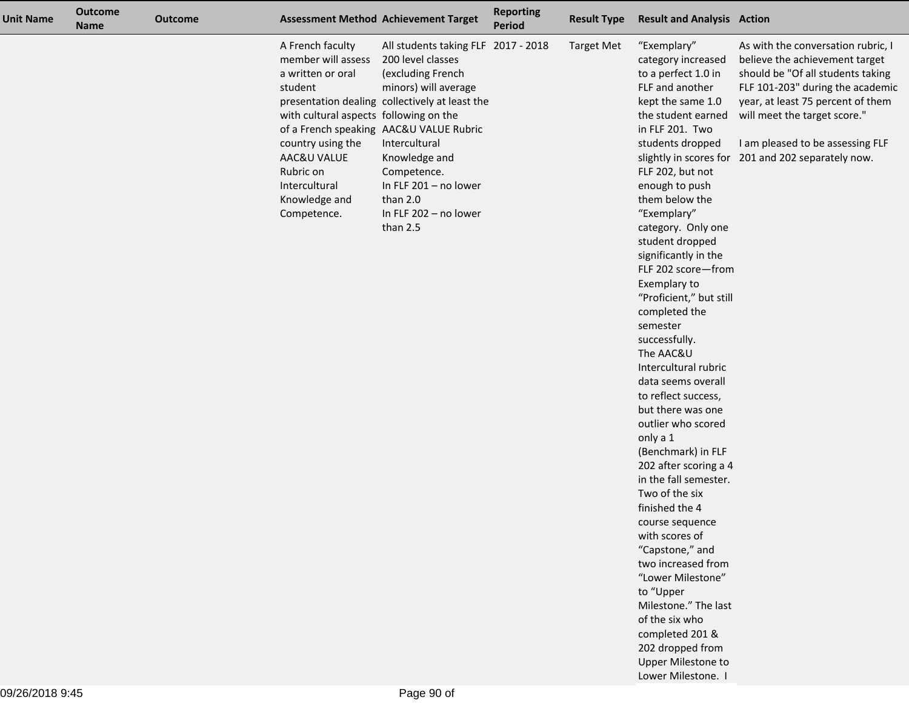| <b>Unit Name</b> | <b>Outcome</b><br><b>Name</b> | <b>Outcome</b> |                                                                                                                                                                                                                    | <b>Assessment Method Achievement Target</b>                                                                                                                                                                                                                                                                                   | <b>Reporting</b><br><b>Period</b> | <b>Result Type</b> | <b>Result and Analysis Action</b>                                                                                                                                                                                                                                                                                                                                                                                                                                                                                                                                                                                                                                                                                                                                                                                                                                                                                                                     |                                                                                                                                                                                                                                                                                       |
|------------------|-------------------------------|----------------|--------------------------------------------------------------------------------------------------------------------------------------------------------------------------------------------------------------------|-------------------------------------------------------------------------------------------------------------------------------------------------------------------------------------------------------------------------------------------------------------------------------------------------------------------------------|-----------------------------------|--------------------|-------------------------------------------------------------------------------------------------------------------------------------------------------------------------------------------------------------------------------------------------------------------------------------------------------------------------------------------------------------------------------------------------------------------------------------------------------------------------------------------------------------------------------------------------------------------------------------------------------------------------------------------------------------------------------------------------------------------------------------------------------------------------------------------------------------------------------------------------------------------------------------------------------------------------------------------------------|---------------------------------------------------------------------------------------------------------------------------------------------------------------------------------------------------------------------------------------------------------------------------------------|
|                  |                               |                | A French faculty<br>member will assess<br>a written or oral<br>student<br>with cultural aspects following on the<br>country using the<br>AAC&U VALUE<br>Rubric on<br>Intercultural<br>Knowledge and<br>Competence. | All students taking FLF 2017 - 2018<br>200 level classes<br>(excluding French<br>minors) will average<br>presentation dealing collectively at least the<br>of a French speaking AAC&U VALUE Rubric<br>Intercultural<br>Knowledge and<br>Competence.<br>In FLF 201 - no lower<br>than 2.0<br>In FLF 202 - no lower<br>than 2.5 |                                   | <b>Target Met</b>  | "Exemplary"<br>category increased<br>to a perfect 1.0 in<br>FLF and another<br>kept the same 1.0<br>the student earned<br>in FLF 201. Two<br>students dropped<br>slightly in scores for<br>FLF 202, but not<br>enough to push<br>them below the<br>"Exemplary"<br>category. Only one<br>student dropped<br>significantly in the<br>FLF 202 score-from<br>Exemplary to<br>"Proficient," but still<br>completed the<br>semester<br>successfully.<br>The AAC&U<br>Intercultural rubric<br>data seems overall<br>to reflect success,<br>but there was one<br>outlier who scored<br>only a 1<br>(Benchmark) in FLF<br>202 after scoring a 4<br>in the fall semester.<br>Two of the six<br>finished the 4<br>course sequence<br>with scores of<br>"Capstone," and<br>two increased from<br>"Lower Milestone"<br>to "Upper<br>Milestone." The last<br>of the six who<br>completed 201 &<br>202 dropped from<br><b>Upper Milestone to</b><br>Lower Milestone. | As with the conversation rubric, I<br>believe the achievement target<br>should be "Of all students taking<br>FLF 101-203" during the academic<br>year, at least 75 percent of them<br>will meet the target score."<br>I am pleased to be assessing FLF<br>201 and 202 separately now. |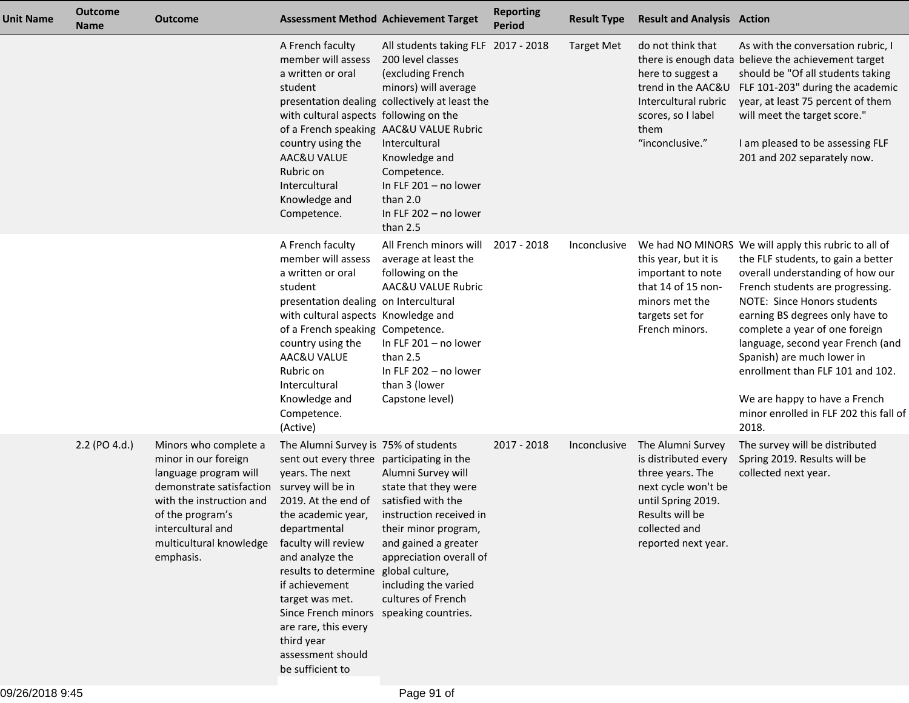| <b>Unit Name</b> | <b>Outcome</b><br><b>Name</b> | <b>Outcome</b>                                                                                                                                                                                                  | <b>Assessment Method Achievement Target</b>                                                                                                                                                                                                                                                                                                                                                                                             |                                                                                                                                                                                                                                                                                                                                 | <b>Reporting</b><br><b>Period</b> | <b>Result Type</b> | <b>Result and Analysis Action</b>                                                                                                                                     |                                                                                                                                                                                                                                                                                                                                                                                                                                                                   |
|------------------|-------------------------------|-----------------------------------------------------------------------------------------------------------------------------------------------------------------------------------------------------------------|-----------------------------------------------------------------------------------------------------------------------------------------------------------------------------------------------------------------------------------------------------------------------------------------------------------------------------------------------------------------------------------------------------------------------------------------|---------------------------------------------------------------------------------------------------------------------------------------------------------------------------------------------------------------------------------------------------------------------------------------------------------------------------------|-----------------------------------|--------------------|-----------------------------------------------------------------------------------------------------------------------------------------------------------------------|-------------------------------------------------------------------------------------------------------------------------------------------------------------------------------------------------------------------------------------------------------------------------------------------------------------------------------------------------------------------------------------------------------------------------------------------------------------------|
|                  |                               |                                                                                                                                                                                                                 | A French faculty<br>member will assess<br>a written or oral<br>student<br>with cultural aspects following on the<br>country using the<br>AAC&U VALUE<br>Rubric on<br>Intercultural<br>Knowledge and<br>Competence.                                                                                                                                                                                                                      | All students taking FLF 2017 - 2018<br>200 level classes<br>(excluding French<br>minors) will average<br>presentation dealing collectively at least the<br>of a French speaking AAC&U VALUE Rubric<br>Intercultural<br>Knowledge and<br>Competence.<br>In FLF $201 - no$ lower<br>than 2.0<br>In FLF 202 - no lower<br>than 2.5 |                                   | <b>Target Met</b>  | do not think that<br>here to suggest a<br>trend in the AAC&U<br>Intercultural rubric<br>scores, so I label<br>them<br>"inconclusive."                                 | As with the conversation rubric, I<br>there is enough data believe the achievement target<br>should be "Of all students taking<br>FLF 101-203" during the academic<br>year, at least 75 percent of them<br>will meet the target score."<br>I am pleased to be assessing FLF<br>201 and 202 separately now.                                                                                                                                                        |
|                  |                               |                                                                                                                                                                                                                 | A French faculty<br>member will assess<br>a written or oral<br>student<br>presentation dealing on Intercultural<br>with cultural aspects Knowledge and<br>of a French speaking Competence.<br>country using the<br>AAC&U VALUE<br>Rubric on<br>Intercultural<br>Knowledge and<br>Competence.<br>(Active)                                                                                                                                | All French minors will<br>average at least the<br>following on the<br>AAC&U VALUE Rubric<br>In FLF 201 - no lower<br>than 2.5<br>In FLF 202 - no lower<br>than 3 (lower<br>Capstone level)                                                                                                                                      | 2017 - 2018                       | Inconclusive       | this year, but it is<br>important to note<br>that 14 of 15 non-<br>minors met the<br>targets set for<br>French minors.                                                | We had NO MINORS We will apply this rubric to all of<br>the FLF students, to gain a better<br>overall understanding of how our<br>French students are progressing.<br>NOTE: Since Honors students<br>earning BS degrees only have to<br>complete a year of one foreign<br>language, second year French (and<br>Spanish) are much lower in<br>enrollment than FLF 101 and 102.<br>We are happy to have a French<br>minor enrolled in FLF 202 this fall of<br>2018. |
|                  | 2.2 (PO 4.d.)                 | Minors who complete a<br>minor in our foreign<br>language program will<br>demonstrate satisfaction<br>with the instruction and<br>of the program's<br>intercultural and<br>multicultural knowledge<br>emphasis. | The Alumni Survey is 75% of students<br>sent out every three participating in the<br>years. The next<br>survey will be in<br>2019. At the end of<br>the academic year,<br>departmental<br>faculty will review<br>and analyze the<br>results to determine global culture,<br>if achievement<br>target was met.<br>Since French minors speaking countries.<br>are rare, this every<br>third year<br>assessment should<br>be sufficient to | Alumni Survey will<br>state that they were<br>satisfied with the<br>instruction received in<br>their minor program,<br>and gained a greater<br>appreciation overall of<br>including the varied<br>cultures of French                                                                                                            | 2017 - 2018                       | Inconclusive       | The Alumni Survey<br>is distributed every<br>three years. The<br>next cycle won't be<br>until Spring 2019.<br>Results will be<br>collected and<br>reported next year. | The survey will be distributed<br>Spring 2019. Results will be<br>collected next year.                                                                                                                                                                                                                                                                                                                                                                            |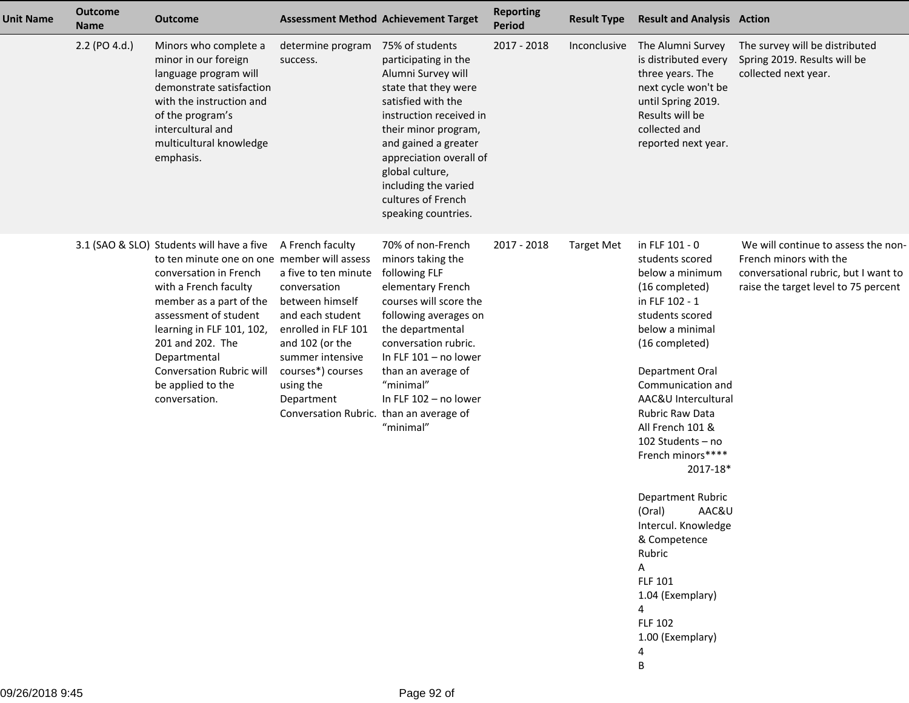| <b>Unit Name</b> | <b>Outcome</b><br><b>Name</b> | <b>Outcome</b>                                                                                                                                                                                                                                                                                                                            |                                                                                                                                                                                                                                                          | <b>Assessment Method Achievement Target</b>                                                                                                                                                                                                                                                               | <b>Reporting</b><br><b>Period</b> | <b>Result Type</b> | <b>Result and Analysis Action</b>                                                                                                                                                                                                                                                                                                                                                                                                                                                                |                                                                                                                                               |
|------------------|-------------------------------|-------------------------------------------------------------------------------------------------------------------------------------------------------------------------------------------------------------------------------------------------------------------------------------------------------------------------------------------|----------------------------------------------------------------------------------------------------------------------------------------------------------------------------------------------------------------------------------------------------------|-----------------------------------------------------------------------------------------------------------------------------------------------------------------------------------------------------------------------------------------------------------------------------------------------------------|-----------------------------------|--------------------|--------------------------------------------------------------------------------------------------------------------------------------------------------------------------------------------------------------------------------------------------------------------------------------------------------------------------------------------------------------------------------------------------------------------------------------------------------------------------------------------------|-----------------------------------------------------------------------------------------------------------------------------------------------|
|                  | 2.2 (PO 4.d.)                 | Minors who complete a<br>minor in our foreign<br>language program will<br>demonstrate satisfaction<br>with the instruction and<br>of the program's<br>intercultural and<br>multicultural knowledge<br>emphasis.                                                                                                                           | determine program<br>success.                                                                                                                                                                                                                            | 75% of students<br>participating in the<br>Alumni Survey will<br>state that they were<br>satisfied with the<br>instruction received in<br>their minor program,<br>and gained a greater<br>appreciation overall of<br>global culture,<br>including the varied<br>cultures of French<br>speaking countries. | 2017 - 2018                       | Inconclusive       | The Alumni Survey<br>is distributed every<br>three years. The<br>next cycle won't be<br>until Spring 2019.<br>Results will be<br>collected and<br>reported next year.                                                                                                                                                                                                                                                                                                                            | The survey will be distributed<br>Spring 2019. Results will be<br>collected next year.                                                        |
|                  |                               | 3.1 (SAO & SLO) Students will have a five<br>to ten minute one on one member will assess<br>conversation in French<br>with a French faculty<br>member as a part of the<br>assessment of student<br>learning in FLF 101, 102,<br>201 and 202. The<br>Departmental<br><b>Conversation Rubric will</b><br>be applied to the<br>conversation. | A French faculty<br>a five to ten minute<br>conversation<br>between himself<br>and each student<br>enrolled in FLF 101<br>and 102 (or the<br>summer intensive<br>courses*) courses<br>using the<br>Department<br>Conversation Rubric. than an average of | 70% of non-French<br>minors taking the<br>following FLF<br>elementary French<br>courses will score the<br>following averages on<br>the departmental<br>conversation rubric.<br>In FLF $101 - no lower$<br>than an average of<br>"minimal"<br>In FLF 102 - no lower<br>"minimal"                           | 2017 - 2018                       | <b>Target Met</b>  | in FLF 101 - 0<br>students scored<br>below a minimum<br>(16 completed)<br>in FLF 102 - 1<br>students scored<br>below a minimal<br>(16 completed)<br>Department Oral<br>Communication and<br>AAC&U Intercultural<br>Rubric Raw Data<br>All French 101 &<br>102 Students - no<br>French minors****<br>2017-18*<br>Department Rubric<br>AAC&U<br>(Oral)<br>Intercul. Knowledge<br>& Competence<br>Rubric<br>A<br><b>FLF 101</b><br>1.04 (Exemplary)<br>4<br><b>FLF 102</b><br>1.00 (Exemplary)<br>В | We will continue to assess the non-<br>French minors with the<br>conversational rubric, but I want to<br>raise the target level to 75 percent |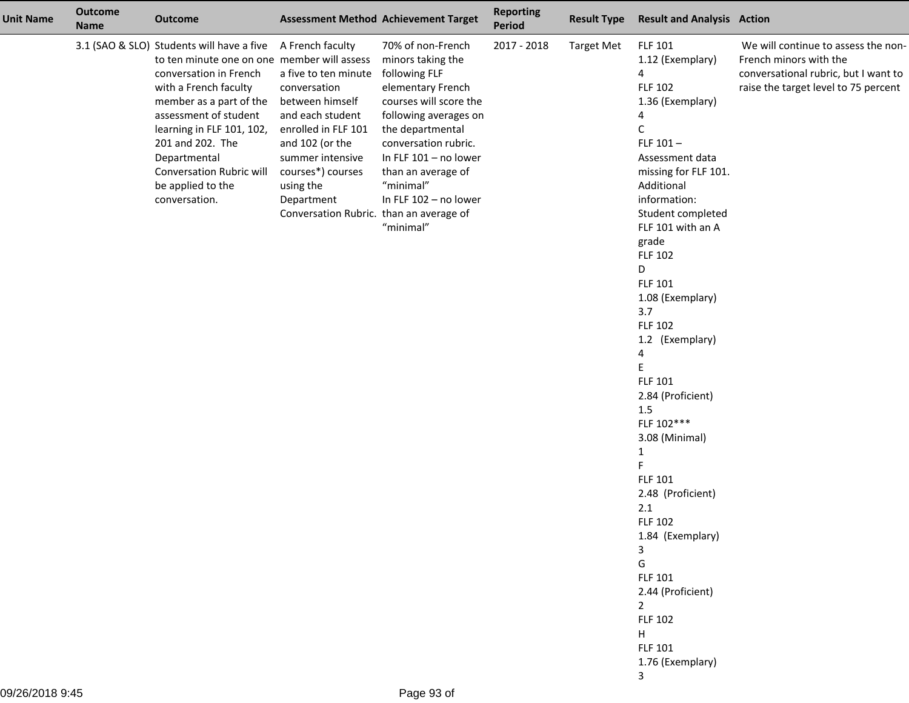| <b>Unit Name</b> | <b>Outcome</b><br><b>Name</b> | <b>Outcome</b>                                                                                                                                                                                                                                                                                                                                       |                                                                                                                                                                                                                                                          | <b>Assessment Method Achievement Target</b>                                                                                                                                                                                                                | <b>Reporting</b><br>Period | <b>Result Type</b> | <b>Result and Analysis Action</b>                                                                                                                                                                                                                                                                                                                                                                                                                                                                                                                                                                                                           |                                                                                                                                               |
|------------------|-------------------------------|------------------------------------------------------------------------------------------------------------------------------------------------------------------------------------------------------------------------------------------------------------------------------------------------------------------------------------------------------|----------------------------------------------------------------------------------------------------------------------------------------------------------------------------------------------------------------------------------------------------------|------------------------------------------------------------------------------------------------------------------------------------------------------------------------------------------------------------------------------------------------------------|----------------------------|--------------------|---------------------------------------------------------------------------------------------------------------------------------------------------------------------------------------------------------------------------------------------------------------------------------------------------------------------------------------------------------------------------------------------------------------------------------------------------------------------------------------------------------------------------------------------------------------------------------------------------------------------------------------------|-----------------------------------------------------------------------------------------------------------------------------------------------|
|                  |                               | 3.1 (SAO & SLO) Students will have a five<br>to ten minute one on one member will assess minors taking the<br>conversation in French<br>with a French faculty<br>member as a part of the<br>assessment of student<br>learning in FLF 101, 102,<br>201 and 202. The<br>Departmental<br>Conversation Rubric will<br>be applied to the<br>conversation. | A French faculty<br>a five to ten minute<br>conversation<br>between himself<br>and each student<br>enrolled in FLF 101<br>and 102 (or the<br>summer intensive<br>courses*) courses<br>using the<br>Department<br>Conversation Rubric. than an average of | 70% of non-French<br>following FLF<br>elementary French<br>courses will score the<br>following averages on<br>the departmental<br>conversation rubric.<br>In FLF $101 - no$ lower<br>than an average of<br>"minimal"<br>In FLF 102 - no lower<br>"minimal" | 2017 - 2018                | <b>Target Met</b>  | <b>FLF 101</b><br>1.12 (Exemplary)<br>4<br><b>FLF 102</b><br>1.36 (Exemplary)<br>4<br>C<br>FLF $101-$<br>Assessment data<br>missing for FLF 101.<br>Additional<br>information:<br>Student completed<br>FLF 101 with an A<br>grade<br><b>FLF 102</b><br>D<br><b>FLF 101</b><br>1.08 (Exemplary)<br>3.7<br><b>FLF 102</b><br>1.2 (Exemplary)<br>4<br>E<br>FLF 101<br>2.84 (Proficient)<br>1.5<br>FLF 102***<br>3.08 (Minimal)<br>1<br>FLF 101<br>2.48 (Proficient)<br>2.1<br><b>FLF 102</b><br>1.84 (Exemplary)<br>3<br>G<br>FLF 101<br>2.44 (Proficient)<br>$\overline{2}$<br><b>FLF 102</b><br>H<br><b>FLF 101</b><br>1.76 (Exemplary)<br>3 | We will continue to assess the non-<br>French minors with the<br>conversational rubric, but I want to<br>raise the target level to 75 percent |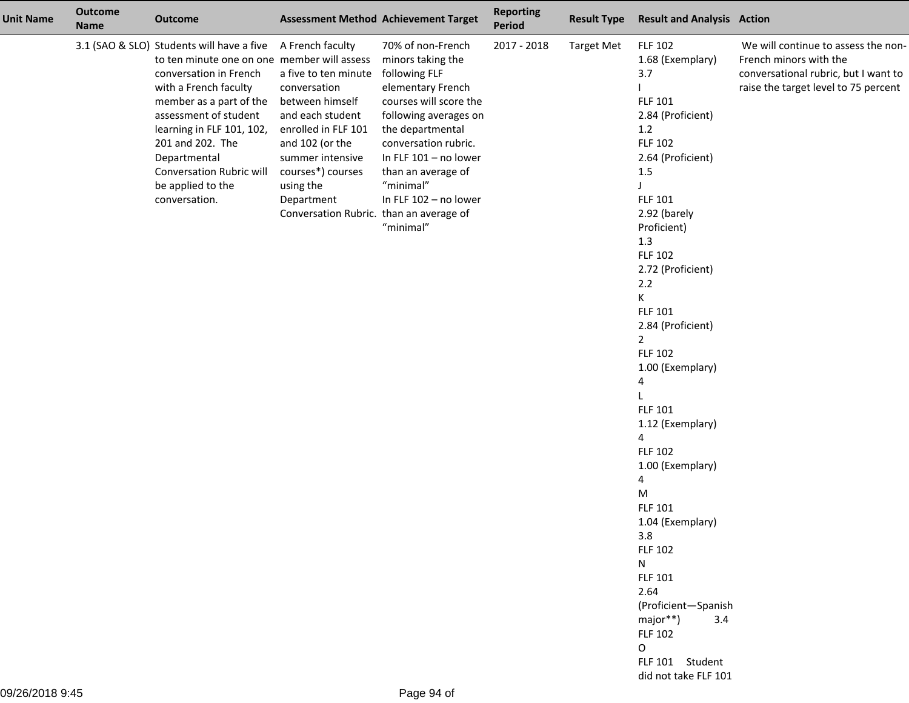| <b>Unit Name</b> | <b>Outcome</b><br><b>Name</b> | <b>Outcome</b>                                                                                                                                                                                                                                                                                                                     |                                                                                                                                                                                                                                                          | <b>Assessment Method Achievement Target</b>                                                                                                                                                                                                                                   | <b>Reporting</b><br><b>Period</b> | <b>Result Type</b> | <b>Result and Analysis Action</b>                                                                                                                                                                                                                                                                                                                                                                                                                                                                                                                                                                                 |                                                                                                                                               |
|------------------|-------------------------------|------------------------------------------------------------------------------------------------------------------------------------------------------------------------------------------------------------------------------------------------------------------------------------------------------------------------------------|----------------------------------------------------------------------------------------------------------------------------------------------------------------------------------------------------------------------------------------------------------|-------------------------------------------------------------------------------------------------------------------------------------------------------------------------------------------------------------------------------------------------------------------------------|-----------------------------------|--------------------|-------------------------------------------------------------------------------------------------------------------------------------------------------------------------------------------------------------------------------------------------------------------------------------------------------------------------------------------------------------------------------------------------------------------------------------------------------------------------------------------------------------------------------------------------------------------------------------------------------------------|-----------------------------------------------------------------------------------------------------------------------------------------------|
|                  |                               | 3.1 (SAO & SLO) Students will have a five<br>to ten minute one on one member will assess<br>conversation in French<br>with a French faculty<br>member as a part of the<br>assessment of student<br>learning in FLF 101, 102,<br>201 and 202. The<br>Departmental<br>Conversation Rubric will<br>be applied to the<br>conversation. | A French faculty<br>a five to ten minute<br>conversation<br>between himself<br>and each student<br>enrolled in FLF 101<br>and 102 (or the<br>summer intensive<br>courses*) courses<br>using the<br>Department<br>Conversation Rubric. than an average of | 70% of non-French<br>minors taking the<br>following FLF<br>elementary French<br>courses will score the<br>following averages on<br>the departmental<br>conversation rubric.<br>In FLF 101 - no lower<br>than an average of<br>"minimal"<br>In FLF 102 - no lower<br>"minimal" | 2017 - 2018                       | <b>Target Met</b>  | <b>FLF 102</b><br>1.68 (Exemplary)<br>3.7<br><b>FLF 101</b><br>2.84 (Proficient)<br>1.2<br><b>FLF 102</b><br>2.64 (Proficient)<br>1.5<br>FLF 101<br>2.92 (barely<br>Proficient)<br>1.3<br>FLF 102<br>2.72 (Proficient)<br>$2.2$<br>K<br>FLF 101<br>2.84 (Proficient)<br>$\overline{2}$<br><b>FLF 102</b><br>1.00 (Exemplary)<br>4<br>FLF 101<br>1.12 (Exemplary)<br>4<br><b>FLF 102</b><br>1.00 (Exemplary)<br>4<br>M<br>FLF 101<br>1.04 (Exemplary)<br>3.8<br><b>FLF 102</b><br>N<br>FLF 101<br>2.64<br>(Proficient-Spanish<br>major**)<br>3.4<br><b>FLF 102</b><br>0<br>FLF 101 Student<br>did not take FLF 101 | We will continue to assess the non-<br>French minors with the<br>conversational rubric, but I want to<br>raise the target level to 75 percent |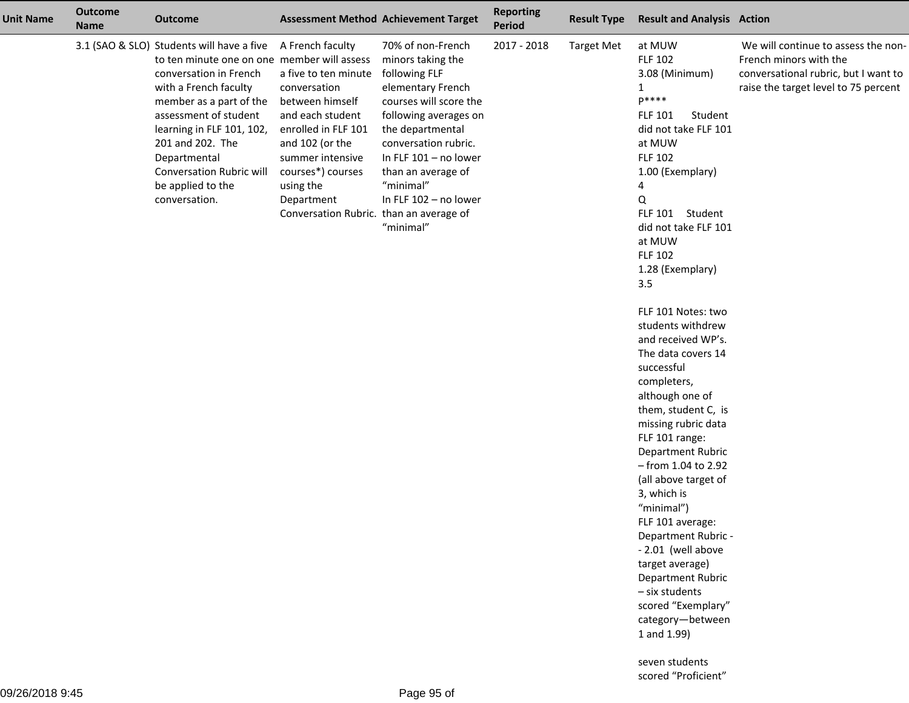| <b>Unit Name</b> | <b>Outcome</b><br><b>Name</b> | <b>Outcome</b>                                                                                                                                                                                                                                                                                                                     |                                                                                                                                                                                                                                                          | <b>Assessment Method Achievement Target</b>                                                                                                                                                                                                                                     | <b>Reporting</b><br>Period | <b>Result Type</b> | <b>Result and Analysis Action</b>                                                                                                                                                                                                                                                                                                                                                                                                                                                                                                                                                                                                                                                                                                                                                                   |                                                                                                                                               |
|------------------|-------------------------------|------------------------------------------------------------------------------------------------------------------------------------------------------------------------------------------------------------------------------------------------------------------------------------------------------------------------------------|----------------------------------------------------------------------------------------------------------------------------------------------------------------------------------------------------------------------------------------------------------|---------------------------------------------------------------------------------------------------------------------------------------------------------------------------------------------------------------------------------------------------------------------------------|----------------------------|--------------------|-----------------------------------------------------------------------------------------------------------------------------------------------------------------------------------------------------------------------------------------------------------------------------------------------------------------------------------------------------------------------------------------------------------------------------------------------------------------------------------------------------------------------------------------------------------------------------------------------------------------------------------------------------------------------------------------------------------------------------------------------------------------------------------------------------|-----------------------------------------------------------------------------------------------------------------------------------------------|
|                  |                               | 3.1 (SAO & SLO) Students will have a five<br>to ten minute one on one member will assess<br>conversation in French<br>with a French faculty<br>member as a part of the<br>assessment of student<br>learning in FLF 101, 102,<br>201 and 202. The<br>Departmental<br>Conversation Rubric will<br>be applied to the<br>conversation. | A French faculty<br>a five to ten minute<br>conversation<br>between himself<br>and each student<br>enrolled in FLF 101<br>and 102 (or the<br>summer intensive<br>courses*) courses<br>using the<br>Department<br>Conversation Rubric. than an average of | 70% of non-French<br>minors taking the<br>following FLF<br>elementary French<br>courses will score the<br>following averages on<br>the departmental<br>conversation rubric.<br>In FLF $101 - no lower$<br>than an average of<br>"minimal"<br>In FLF 102 - no lower<br>"minimal" | 2017 - 2018                | Target Met         | at MUW<br><b>FLF 102</b><br>3.08 (Minimum)<br>$\mathbf{1}$<br>$P***$<br><b>FLF 101</b><br>Student<br>did not take FLF 101<br>at MUW<br><b>FLF 102</b><br>1.00 (Exemplary)<br>4<br>Q<br>FLF 101 Student<br>did not take FLF 101<br>at MUW<br><b>FLF 102</b><br>1.28 (Exemplary)<br>3.5<br>FLF 101 Notes: two<br>students withdrew<br>and received WP's.<br>The data covers 14<br>successful<br>completers,<br>although one of<br>them, student C, is<br>missing rubric data<br>FLF 101 range:<br>Department Rubric<br>- from 1.04 to 2.92<br>(all above target of<br>3, which is<br>"minimal")<br>FLF 101 average:<br>Department Rubric -<br>- 2.01 (well above<br>target average)<br>Department Rubric<br>- six students<br>scored "Exemplary"<br>category-between<br>1 and 1.99)<br>seven students | We will continue to assess the non-<br>French minors with the<br>conversational rubric, but I want to<br>raise the target level to 75 percent |
|                  |                               |                                                                                                                                                                                                                                                                                                                                    |                                                                                                                                                                                                                                                          |                                                                                                                                                                                                                                                                                 |                            |                    | scored "Proficient"                                                                                                                                                                                                                                                                                                                                                                                                                                                                                                                                                                                                                                                                                                                                                                                 |                                                                                                                                               |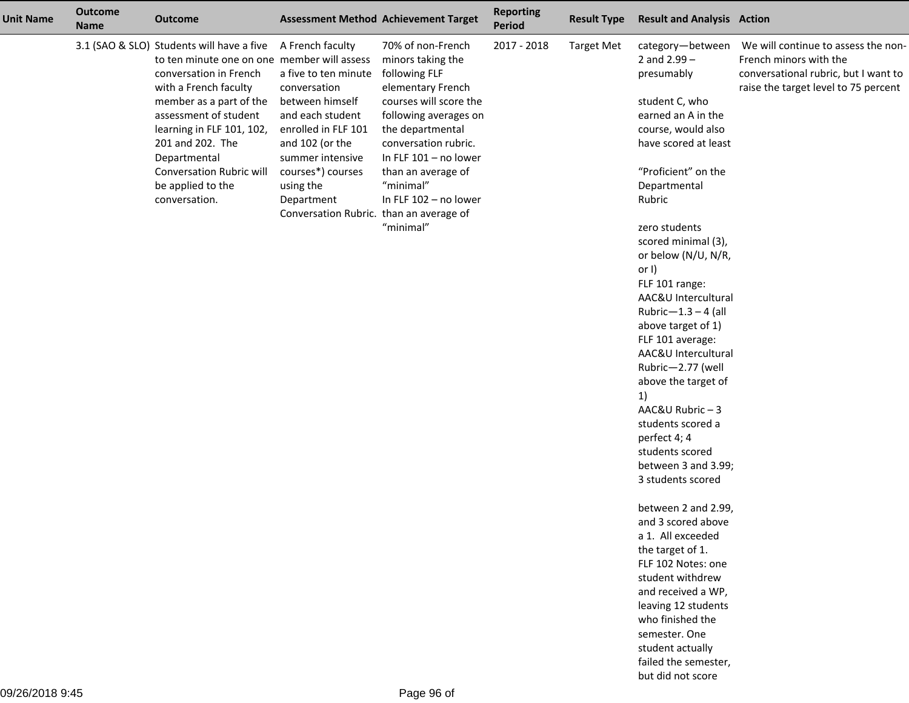| <b>Unit Name</b> | <b>Outcome</b><br><b>Name</b> | <b>Outcome</b>                                                                                                                                                                                                                                                                                                                            |                                                                                                                                                                                                                                                          | <b>Assessment Method Achievement Target</b>                                                                                                                                                                                                                                   | <b>Reporting</b><br><b>Period</b> | <b>Result Type</b> | <b>Result and Analysis Action</b>                                                                                                                                                                                                                                                                                                                                                                                           |                                                                                                                                               |
|------------------|-------------------------------|-------------------------------------------------------------------------------------------------------------------------------------------------------------------------------------------------------------------------------------------------------------------------------------------------------------------------------------------|----------------------------------------------------------------------------------------------------------------------------------------------------------------------------------------------------------------------------------------------------------|-------------------------------------------------------------------------------------------------------------------------------------------------------------------------------------------------------------------------------------------------------------------------------|-----------------------------------|--------------------|-----------------------------------------------------------------------------------------------------------------------------------------------------------------------------------------------------------------------------------------------------------------------------------------------------------------------------------------------------------------------------------------------------------------------------|-----------------------------------------------------------------------------------------------------------------------------------------------|
|                  |                               | 3.1 (SAO & SLO) Students will have a five<br>to ten minute one on one member will assess<br>conversation in French<br>with a French faculty<br>member as a part of the<br>assessment of student<br>learning in FLF 101, 102,<br>201 and 202. The<br>Departmental<br><b>Conversation Rubric will</b><br>be applied to the<br>conversation. | A French faculty<br>a five to ten minute<br>conversation<br>between himself<br>and each student<br>enrolled in FLF 101<br>and 102 (or the<br>summer intensive<br>courses*) courses<br>using the<br>Department<br>Conversation Rubric. than an average of | 70% of non-French<br>minors taking the<br>following FLF<br>elementary French<br>courses will score the<br>following averages on<br>the departmental<br>conversation rubric.<br>In FLF 101 - no lower<br>than an average of<br>"minimal"<br>In FLF 102 - no lower<br>"minimal" | 2017 - 2018                       | <b>Target Met</b>  | category-between<br>2 and $2.99 -$<br>presumably<br>student C, who<br>earned an A in the<br>course, would also<br>have scored at least<br>"Proficient" on the<br>Departmental<br>Rubric<br>zero students<br>scored minimal (3),<br>or below (N/U, N/R,<br>or $I$ )<br>FLF 101 range:<br>AAC&U Intercultural<br>Rubric- $1.3 - 4$ (all<br>above target of 1)<br>FLF 101 average:<br>AAC&U Intercultural<br>Rubric-2.77 (well | We will continue to assess the non-<br>French minors with the<br>conversational rubric, but I want to<br>raise the target level to 75 percent |
|                  |                               |                                                                                                                                                                                                                                                                                                                                           |                                                                                                                                                                                                                                                          |                                                                                                                                                                                                                                                                               |                                   |                    | above the target of<br>1)<br>AAC&U Rubric-3<br>students scored a<br>perfect 4; 4<br>students scored                                                                                                                                                                                                                                                                                                                         |                                                                                                                                               |
|                  |                               |                                                                                                                                                                                                                                                                                                                                           |                                                                                                                                                                                                                                                          |                                                                                                                                                                                                                                                                               |                                   |                    | between 3 and 3.99;<br>3 students scored                                                                                                                                                                                                                                                                                                                                                                                    |                                                                                                                                               |
|                  |                               |                                                                                                                                                                                                                                                                                                                                           |                                                                                                                                                                                                                                                          |                                                                                                                                                                                                                                                                               |                                   |                    | between 2 and 2.99,<br>and 3 scored above<br>a 1. All exceeded<br>the target of 1.<br>FLF 102 Notes: one                                                                                                                                                                                                                                                                                                                    |                                                                                                                                               |
|                  |                               |                                                                                                                                                                                                                                                                                                                                           |                                                                                                                                                                                                                                                          |                                                                                                                                                                                                                                                                               |                                   |                    | student withdrew<br>and received a WP,<br>leaving 12 students<br>who finished the<br>semester. One<br>student actually                                                                                                                                                                                                                                                                                                      |                                                                                                                                               |
|                  |                               |                                                                                                                                                                                                                                                                                                                                           |                                                                                                                                                                                                                                                          |                                                                                                                                                                                                                                                                               |                                   |                    | failed the semester,<br>but did not score                                                                                                                                                                                                                                                                                                                                                                                   |                                                                                                                                               |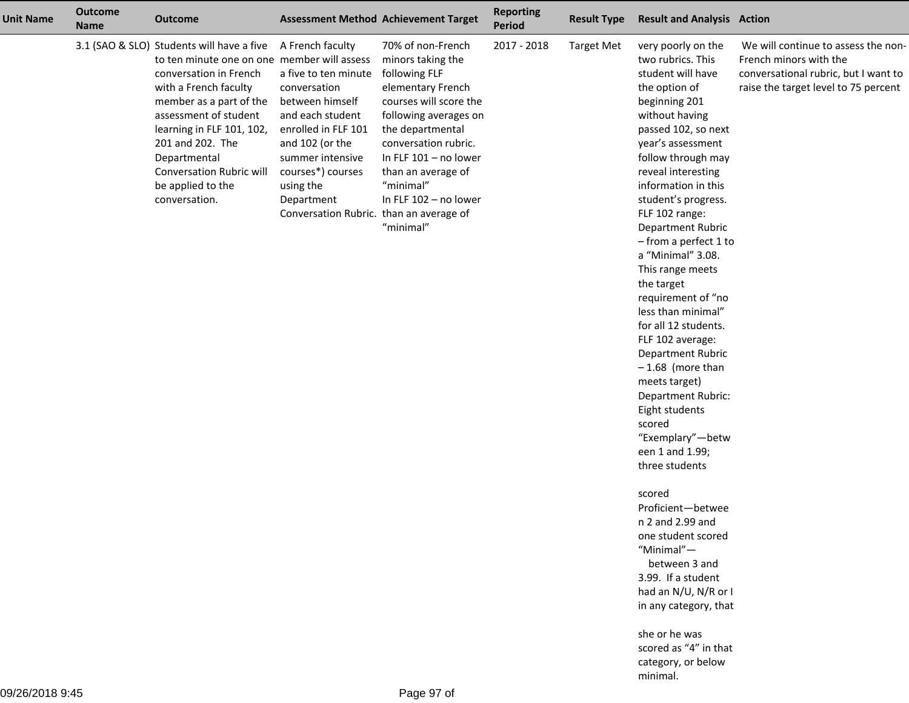| <b>Unit Name</b> | <b>Outcome</b><br><b>Name</b> | <b>Outcome</b>                                                                                                                                                                                                                                                                                                                            | <b>Assessment Method Achievement Target</b>                                                                                                                                                                                                              |                                                                                                                                                                                                                                                                               | <b>Reporting</b><br><b>Period</b> | <b>Result Type</b> | <b>Result and Analysis Action</b>                                                                                                                                                                                                                                                                                                                                                                                                                                                                                                                                                                                                                                                                                                                                                                                           |                                                                                                                                               |
|------------------|-------------------------------|-------------------------------------------------------------------------------------------------------------------------------------------------------------------------------------------------------------------------------------------------------------------------------------------------------------------------------------------|----------------------------------------------------------------------------------------------------------------------------------------------------------------------------------------------------------------------------------------------------------|-------------------------------------------------------------------------------------------------------------------------------------------------------------------------------------------------------------------------------------------------------------------------------|-----------------------------------|--------------------|-----------------------------------------------------------------------------------------------------------------------------------------------------------------------------------------------------------------------------------------------------------------------------------------------------------------------------------------------------------------------------------------------------------------------------------------------------------------------------------------------------------------------------------------------------------------------------------------------------------------------------------------------------------------------------------------------------------------------------------------------------------------------------------------------------------------------------|-----------------------------------------------------------------------------------------------------------------------------------------------|
|                  |                               | 3.1 (SAO & SLO) Students will have a five<br>to ten minute one on one member will assess<br>conversation in French<br>with a French faculty<br>member as a part of the<br>assessment of student<br>learning in FLF 101, 102,<br>201 and 202. The<br>Departmental<br><b>Conversation Rubric will</b><br>be applied to the<br>conversation. | A French faculty<br>a five to ten minute<br>conversation<br>between himself<br>and each student<br>enrolled in FLF 101<br>and 102 (or the<br>summer intensive<br>courses*) courses<br>using the<br>Department<br>Conversation Rubric. than an average of | 70% of non-French<br>minors taking the<br>following FLF<br>elementary French<br>courses will score the<br>following averages on<br>the departmental<br>conversation rubric.<br>In FLF 101 - no lower<br>than an average of<br>"minimal"<br>In FLF 102 - no lower<br>"minimal" | 2017 - 2018                       | <b>Target Met</b>  | very poorly on the<br>two rubrics. This<br>student will have<br>the option of<br>beginning 201<br>without having<br>passed 102, so next<br>year's assessment<br>follow through may<br>reveal interesting<br>information in this<br>student's progress.<br>FLF 102 range:<br>Department Rubric<br>- from a perfect 1 to<br>a "Minimal" 3.08.<br>This range meets<br>the target<br>requirement of "no<br>less than minimal"<br>for all 12 students.<br>FLF 102 average:<br>Department Rubric<br>$-1.68$ (more than<br>meets target)<br>Department Rubric:<br>Eight students<br>scored<br>"Exemplary"-betw<br>een 1 and 1.99;<br>three students<br>scored<br>Proficient-betwee<br>n 2 and 2.99 and<br>one student scored<br>"Minimal"-<br>between 3 and<br>3.99. If a student<br>had an N/U, N/R or I<br>in any category, that | We will continue to assess the non-<br>French minors with the<br>conversational rubric, but I want to<br>raise the target level to 75 percent |

she or he was scored as "4" in thatcategory, or belowminimal.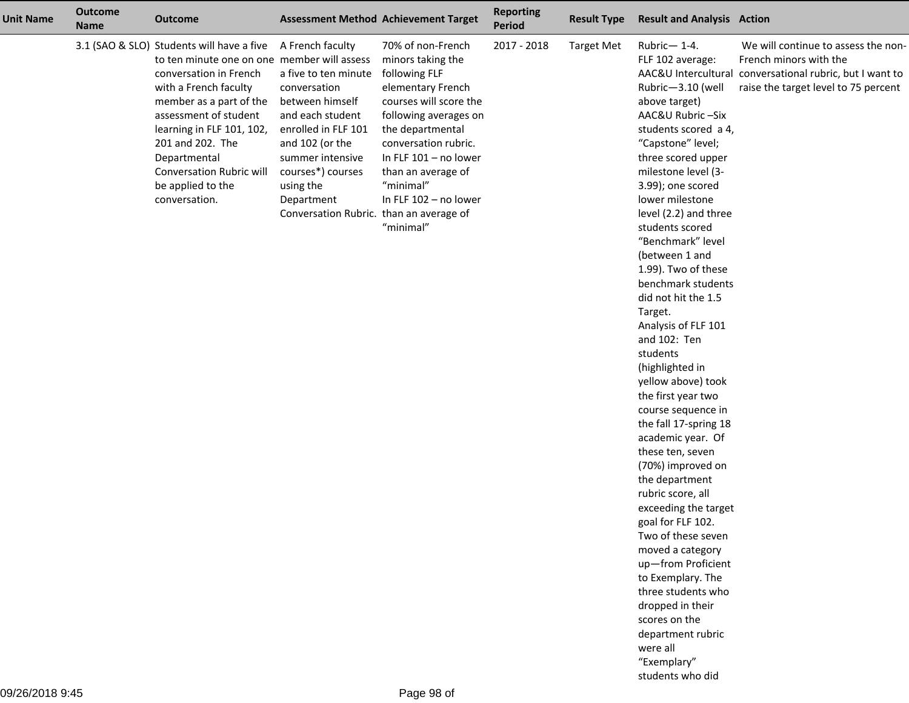| <b>Unit Name</b> | <b>Outcome</b><br><b>Name</b> | <b>Outcome</b>                                                                                                                                                                                                                                                                                                                            |                                                                                                                                                                                                                                                          | <b>Assessment Method Achievement Target</b>                                                                                                                                                                                                                                   | <b>Reporting</b><br><b>Period</b> | <b>Result Type</b> | <b>Result and Analysis Action</b>                                                                                                                                                                                                                                                                                                                                                                                                                                                                                                                                                                                                                                                                                                                                                                                                                                                                                |                                                                                                                                                                   |
|------------------|-------------------------------|-------------------------------------------------------------------------------------------------------------------------------------------------------------------------------------------------------------------------------------------------------------------------------------------------------------------------------------------|----------------------------------------------------------------------------------------------------------------------------------------------------------------------------------------------------------------------------------------------------------|-------------------------------------------------------------------------------------------------------------------------------------------------------------------------------------------------------------------------------------------------------------------------------|-----------------------------------|--------------------|------------------------------------------------------------------------------------------------------------------------------------------------------------------------------------------------------------------------------------------------------------------------------------------------------------------------------------------------------------------------------------------------------------------------------------------------------------------------------------------------------------------------------------------------------------------------------------------------------------------------------------------------------------------------------------------------------------------------------------------------------------------------------------------------------------------------------------------------------------------------------------------------------------------|-------------------------------------------------------------------------------------------------------------------------------------------------------------------|
|                  |                               | 3.1 (SAO & SLO) Students will have a five<br>to ten minute one on one member will assess<br>conversation in French<br>with a French faculty<br>member as a part of the<br>assessment of student<br>learning in FLF 101, 102,<br>201 and 202. The<br>Departmental<br><b>Conversation Rubric will</b><br>be applied to the<br>conversation. | A French faculty<br>a five to ten minute<br>conversation<br>between himself<br>and each student<br>enrolled in FLF 101<br>and 102 (or the<br>summer intensive<br>courses*) courses<br>using the<br>Department<br>Conversation Rubric. than an average of | 70% of non-French<br>minors taking the<br>following FLF<br>elementary French<br>courses will score the<br>following averages on<br>the departmental<br>conversation rubric.<br>In FLF 101 - no lower<br>than an average of<br>"minimal"<br>In FLF 102 - no lower<br>"minimal" | 2017 - 2018                       | <b>Target Met</b>  | Rubric-1-4.<br>FLF 102 average:<br>Rubric-3.10 (well<br>above target)<br>AAC&U Rubric-Six<br>students scored a 4,<br>"Capstone" level;<br>three scored upper<br>milestone level (3-<br>3.99); one scored<br>lower milestone<br>level (2.2) and three<br>students scored<br>"Benchmark" level<br>(between 1 and<br>1.99). Two of these<br>benchmark students<br>did not hit the 1.5<br>Target.<br>Analysis of FLF 101<br>and 102: Ten<br>students<br>(highlighted in<br>yellow above) took<br>the first year two<br>course sequence in<br>the fall 17-spring 18<br>academic year. Of<br>these ten, seven<br>(70%) improved on<br>the department<br>rubric score, all<br>exceeding the target<br>goal for FLF 102.<br>Two of these seven<br>moved a category<br>up-from Proficient<br>to Exemplary. The<br>three students who<br>dropped in their<br>scores on the<br>department rubric<br>were all<br>"Exemplary" | We will continue to assess the non-<br>French minors with the<br>AAC&U Intercultural conversational rubric, but I want to<br>raise the target level to 75 percent |

students who did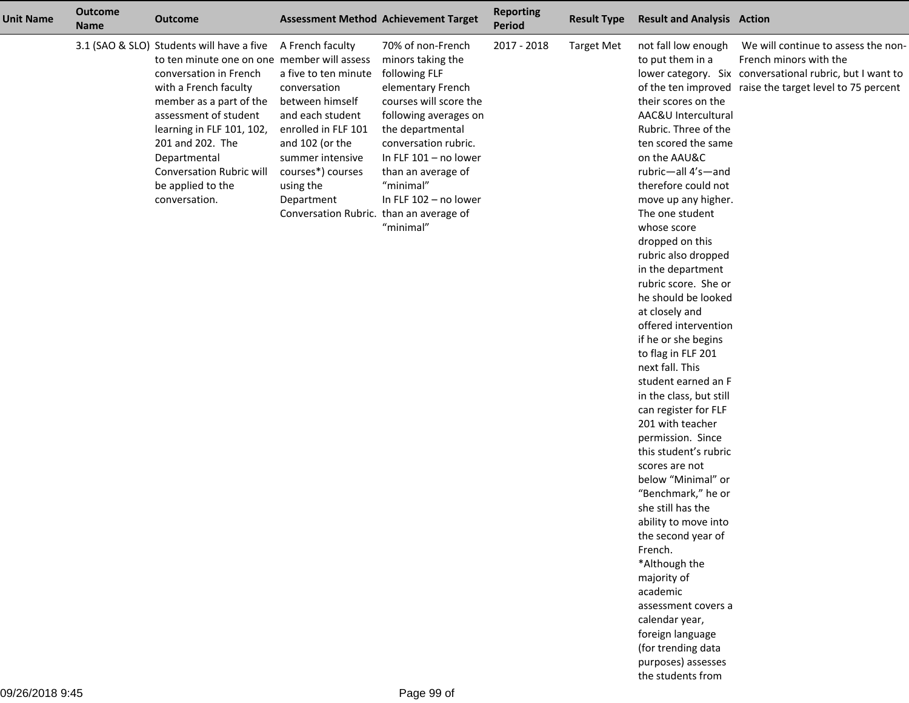| <b>Unit Name</b> | <b>Outcome</b><br><b>Name</b> | <b>Outcome</b>                                                                                                                                                                                                                                                                                                                     |                                                                                                                                                                                                                                                          | <b>Assessment Method Achievement Target</b>                                                                                                                                                                                                                                     | <b>Reporting</b><br><b>Period</b> | <b>Result Type</b> | <b>Result and Analysis Action</b>                                                                                                                                                                                                                                                                                                                                                                                                                                                                                                                                                                                                                                                                                                                                                                                                                                                                                                                    |                                                                                                                                                                                       |
|------------------|-------------------------------|------------------------------------------------------------------------------------------------------------------------------------------------------------------------------------------------------------------------------------------------------------------------------------------------------------------------------------|----------------------------------------------------------------------------------------------------------------------------------------------------------------------------------------------------------------------------------------------------------|---------------------------------------------------------------------------------------------------------------------------------------------------------------------------------------------------------------------------------------------------------------------------------|-----------------------------------|--------------------|------------------------------------------------------------------------------------------------------------------------------------------------------------------------------------------------------------------------------------------------------------------------------------------------------------------------------------------------------------------------------------------------------------------------------------------------------------------------------------------------------------------------------------------------------------------------------------------------------------------------------------------------------------------------------------------------------------------------------------------------------------------------------------------------------------------------------------------------------------------------------------------------------------------------------------------------------|---------------------------------------------------------------------------------------------------------------------------------------------------------------------------------------|
|                  |                               | 3.1 (SAO & SLO) Students will have a five<br>to ten minute one on one member will assess<br>conversation in French<br>with a French faculty<br>member as a part of the<br>assessment of student<br>learning in FLF 101, 102,<br>201 and 202. The<br>Departmental<br>Conversation Rubric will<br>be applied to the<br>conversation. | A French faculty<br>a five to ten minute<br>conversation<br>between himself<br>and each student<br>enrolled in FLF 101<br>and 102 (or the<br>summer intensive<br>courses*) courses<br>using the<br>Department<br>Conversation Rubric. than an average of | 70% of non-French<br>minors taking the<br>following FLF<br>elementary French<br>courses will score the<br>following averages on<br>the departmental<br>conversation rubric.<br>In FLF $101 - no lower$<br>than an average of<br>"minimal"<br>In FLF 102 - no lower<br>"minimal" | 2017 - 2018                       | <b>Target Met</b>  | not fall low enough<br>to put them in a<br>their scores on the<br>AAC&U Intercultural<br>Rubric. Three of the<br>ten scored the same<br>on the AAU&C<br>rubric-all 4's-and<br>therefore could not<br>move up any higher.<br>The one student<br>whose score<br>dropped on this<br>rubric also dropped<br>in the department<br>rubric score. She or<br>he should be looked<br>at closely and<br>offered intervention<br>if he or she begins<br>to flag in FLF 201<br>next fall. This<br>student earned an F<br>in the class, but still<br>can register for FLF<br>201 with teacher<br>permission. Since<br>this student's rubric<br>scores are not<br>below "Minimal" or<br>"Benchmark," he or<br>she still has the<br>ability to move into<br>the second year of<br>French.<br>*Although the<br>majority of<br>academic<br>assessment covers a<br>calendar year,<br>foreign language<br>(for trending data<br>purposes) assesses<br>the students from | We will continue to assess the non-<br>French minors with the<br>lower category. Six conversational rubric, but I want to<br>of the ten improved raise the target level to 75 percent |

L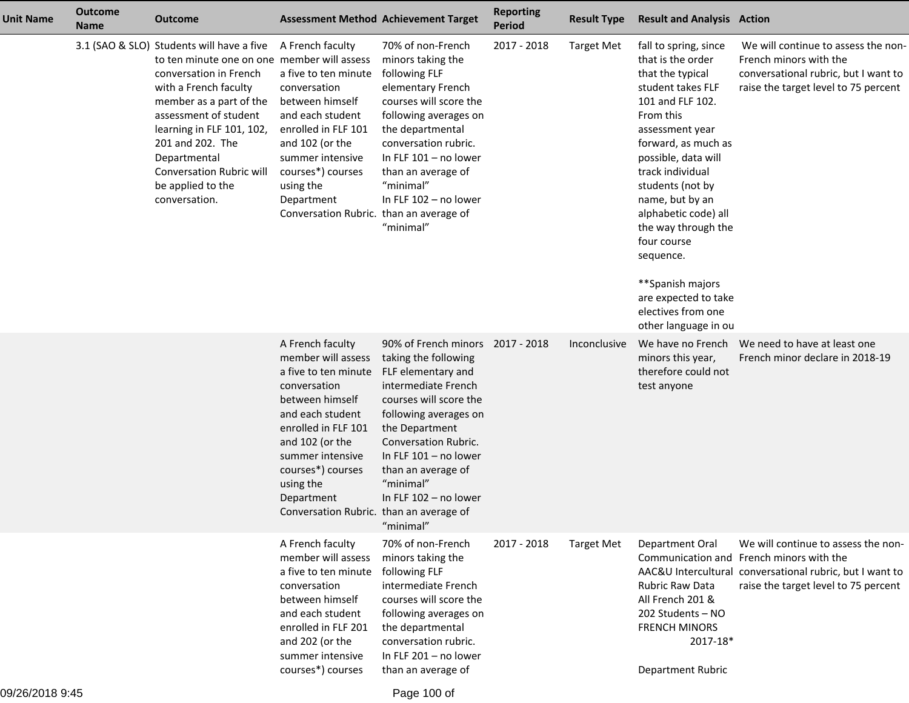| <b>Unit Name</b> | <b>Outcome</b><br><b>Name</b> | <b>Outcome</b>                                                                                                                                                                                                                                                                                                                            | <b>Assessment Method Achievement Target</b>                                                                                                                                                                                                                                    |                                                                                                                                                                                                                                                                                                        | <b>Reporting</b><br><b>Period</b> | <b>Result Type</b> | <b>Result and Analysis Action</b>                                                                                                                                                                                                                                                                                                                                                                                     |                                                                                                                                                                                     |
|------------------|-------------------------------|-------------------------------------------------------------------------------------------------------------------------------------------------------------------------------------------------------------------------------------------------------------------------------------------------------------------------------------------|--------------------------------------------------------------------------------------------------------------------------------------------------------------------------------------------------------------------------------------------------------------------------------|--------------------------------------------------------------------------------------------------------------------------------------------------------------------------------------------------------------------------------------------------------------------------------------------------------|-----------------------------------|--------------------|-----------------------------------------------------------------------------------------------------------------------------------------------------------------------------------------------------------------------------------------------------------------------------------------------------------------------------------------------------------------------------------------------------------------------|-------------------------------------------------------------------------------------------------------------------------------------------------------------------------------------|
|                  |                               | 3.1 (SAO & SLO) Students will have a five<br>to ten minute one on one member will assess<br>conversation in French<br>with a French faculty<br>member as a part of the<br>assessment of student<br>learning in FLF 101, 102,<br>201 and 202. The<br>Departmental<br><b>Conversation Rubric will</b><br>be applied to the<br>conversation. | A French faculty<br>a five to ten minute<br>conversation<br>between himself<br>and each student<br>enrolled in FLF 101<br>and 102 (or the<br>summer intensive<br>courses*) courses<br>using the<br>Department<br>Conversation Rubric. than an average of                       | 70% of non-French<br>minors taking the<br>following FLF<br>elementary French<br>courses will score the<br>following averages on<br>the departmental<br>conversation rubric.<br>In FLF $101 - no$ lower<br>than an average of<br>"minimal"<br>In FLF 102 - no lower<br>"minimal"                        | 2017 - 2018                       | <b>Target Met</b>  | fall to spring, since<br>that is the order<br>that the typical<br>student takes FLF<br>101 and FLF 102.<br>From this<br>assessment year<br>forward, as much as<br>possible, data will<br>track individual<br>students (not by<br>name, but by an<br>alphabetic code) all<br>the way through the<br>four course<br>sequence.<br>**Spanish majors<br>are expected to take<br>electives from one<br>other language in ou | We will continue to assess the non-<br>French minors with the<br>conversational rubric, but I want to<br>raise the target level to 75 percent                                       |
|                  |                               |                                                                                                                                                                                                                                                                                                                                           | A French faculty<br>member will assess<br>a five to ten minute<br>conversation<br>between himself<br>and each student<br>enrolled in FLF 101<br>and 102 (or the<br>summer intensive<br>courses*) courses<br>using the<br>Department<br>Conversation Rubric. than an average of | 90% of French minors 2017 - 2018<br>taking the following<br>FLF elementary and<br>intermediate French<br>courses will score the<br>following averages on<br>the Department<br>Conversation Rubric.<br>In FLF $101 - no$ lower<br>than an average of<br>"minimal"<br>In FLF 102 - no lower<br>"minimal" |                                   | Inconclusive       | We have no French<br>minors this year,<br>therefore could not<br>test anyone                                                                                                                                                                                                                                                                                                                                          | We need to have at least one<br>French minor declare in 2018-19                                                                                                                     |
|                  |                               |                                                                                                                                                                                                                                                                                                                                           | A French faculty<br>member will assess<br>a five to ten minute<br>conversation<br>between himself<br>and each student<br>enrolled in FLF 201<br>and 202 (or the<br>summer intensive<br>courses*) courses                                                                       | 70% of non-French<br>minors taking the<br>following FLF<br>intermediate French<br>courses will score the<br>following averages on<br>the departmental<br>conversation rubric.<br>In FLF 201 - no lower<br>than an average of                                                                           | 2017 - 2018                       | <b>Target Met</b>  | Department Oral<br><b>Rubric Raw Data</b><br>All French 201 &<br>202 Students - NO<br><b>FRENCH MINORS</b><br>2017-18*<br>Department Rubric                                                                                                                                                                                                                                                                           | We will continue to assess the non-<br>Communication and French minors with the<br>AAC&U Intercultural conversational rubric, but I want to<br>raise the target level to 75 percent |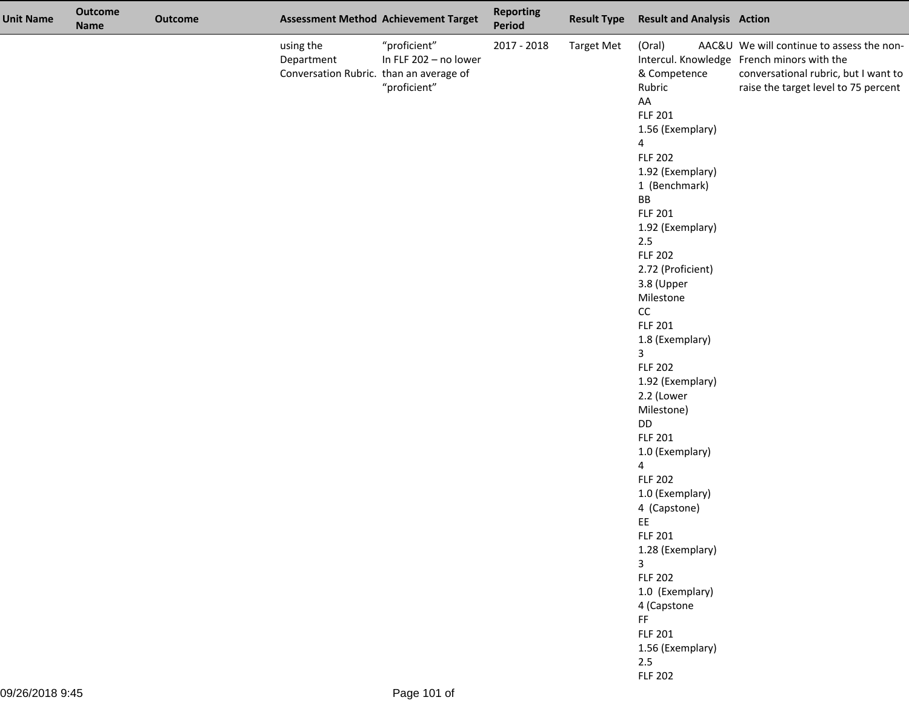| <b>Unit Name</b> | <b>Outcome</b><br><b>Name</b> | <b>Outcome</b> |                                                                    | <b>Assessment Method Achievement Target</b>           | <b>Reporting</b><br>Period | <b>Result Type</b> | <b>Result and Analysis Action</b>                                                                                                                                                                                                                                                                                                                                                                                                                                                                                                                                                                                                                                                                              |                                                                                                                                                                         |
|------------------|-------------------------------|----------------|--------------------------------------------------------------------|-------------------------------------------------------|----------------------------|--------------------|----------------------------------------------------------------------------------------------------------------------------------------------------------------------------------------------------------------------------------------------------------------------------------------------------------------------------------------------------------------------------------------------------------------------------------------------------------------------------------------------------------------------------------------------------------------------------------------------------------------------------------------------------------------------------------------------------------------|-------------------------------------------------------------------------------------------------------------------------------------------------------------------------|
|                  |                               |                | using the<br>Department<br>Conversation Rubric. than an average of | "proficient"<br>In FLF 202 - no lower<br>"proficient" | 2017 - 2018                | <b>Target Met</b>  | (Oral)<br>& Competence<br>Rubric<br>AA<br><b>FLF 201</b><br>1.56 (Exemplary)<br>4<br><b>FLF 202</b><br>1.92 (Exemplary)<br>1 (Benchmark)<br>BB<br><b>FLF 201</b><br>1.92 (Exemplary)<br>2.5<br><b>FLF 202</b><br>2.72 (Proficient)<br>3.8 (Upper<br>Milestone<br>cc<br><b>FLF 201</b><br>1.8 (Exemplary)<br>$\overline{3}$<br><b>FLF 202</b><br>1.92 (Exemplary)<br>2.2 (Lower<br>Milestone)<br>DD<br><b>FLF 201</b><br>1.0 (Exemplary)<br>$\overline{4}$<br><b>FLF 202</b><br>1.0 (Exemplary)<br>4 (Capstone)<br>EE<br><b>FLF 201</b><br>1.28 (Exemplary)<br>$\overline{\mathbf{3}}$<br><b>FLF 202</b><br>1.0 (Exemplary)<br>4 (Capstone<br>FF<br><b>FLF 201</b><br>1.56 (Exemplary)<br>2.5<br><b>FLF 202</b> | AAC&U We will continue to assess the non-<br>Intercul. Knowledge French minors with the<br>conversational rubric, but I want to<br>raise the target level to 75 percent |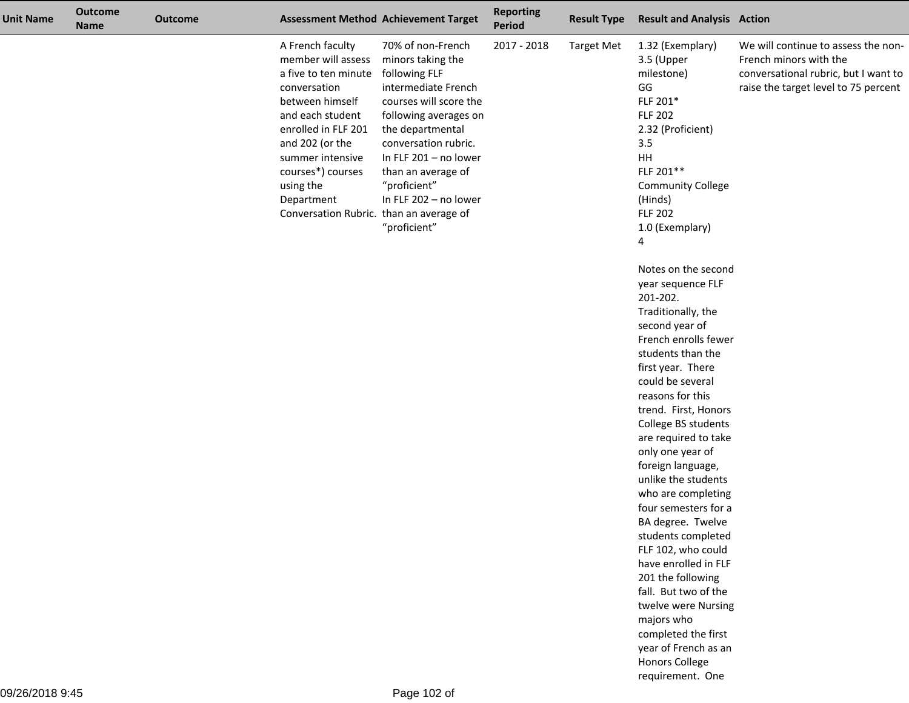| <b>Unit Name</b> | <b>Outcome</b><br><b>Name</b> | <b>Outcome</b> |                                                                                                                                                                                                                                                                                | <b>Assessment Method Achievement Target</b>                                                                                                                                                                                                                                           | <b>Reporting</b><br>Period | <b>Result Type</b> | <b>Result and Analysis Action</b>                                                                                                                                                                                                                                                                                                                                                                                                                                                                                                                                                                                                                                                                                                                                                                                                                                                      |                                                                                                                                               |
|------------------|-------------------------------|----------------|--------------------------------------------------------------------------------------------------------------------------------------------------------------------------------------------------------------------------------------------------------------------------------|---------------------------------------------------------------------------------------------------------------------------------------------------------------------------------------------------------------------------------------------------------------------------------------|----------------------------|--------------------|----------------------------------------------------------------------------------------------------------------------------------------------------------------------------------------------------------------------------------------------------------------------------------------------------------------------------------------------------------------------------------------------------------------------------------------------------------------------------------------------------------------------------------------------------------------------------------------------------------------------------------------------------------------------------------------------------------------------------------------------------------------------------------------------------------------------------------------------------------------------------------------|-----------------------------------------------------------------------------------------------------------------------------------------------|
|                  |                               |                | A French faculty<br>member will assess<br>a five to ten minute<br>conversation<br>between himself<br>and each student<br>enrolled in FLF 201<br>and 202 (or the<br>summer intensive<br>courses*) courses<br>using the<br>Department<br>Conversation Rubric. than an average of | 70% of non-French<br>minors taking the<br>following FLF<br>intermediate French<br>courses will score the<br>following averages on<br>the departmental<br>conversation rubric.<br>In FLF 201 - no lower<br>than an average of<br>"proficient"<br>In FLF 202 - no lower<br>"proficient" | 2017 - 2018                | <b>Target Met</b>  | 1.32 (Exemplary)<br>3.5 (Upper<br>milestone)<br>GG<br>FLF 201*<br><b>FLF 202</b><br>2.32 (Proficient)<br>3.5<br><b>HH</b><br>FLF 201**<br><b>Community College</b><br>(Hinds)<br><b>FLF 202</b><br>1.0 (Exemplary)<br>4<br>Notes on the second<br>year sequence FLF<br>201-202.<br>Traditionally, the<br>second year of<br>French enrolls fewer<br>students than the<br>first year. There<br>could be several<br>reasons for this<br>trend. First, Honors<br>College BS students<br>are required to take<br>only one year of<br>foreign language,<br>unlike the students<br>who are completing<br>four semesters for a<br>BA degree. Twelve<br>students completed<br>FLF 102, who could<br>have enrolled in FLF<br>201 the following<br>fall. But two of the<br>twelve were Nursing<br>majors who<br>completed the first<br>year of French as an<br>Honors College<br>requirement. One | We will continue to assess the non-<br>French minors with the<br>conversational rubric, but I want to<br>raise the target level to 75 percent |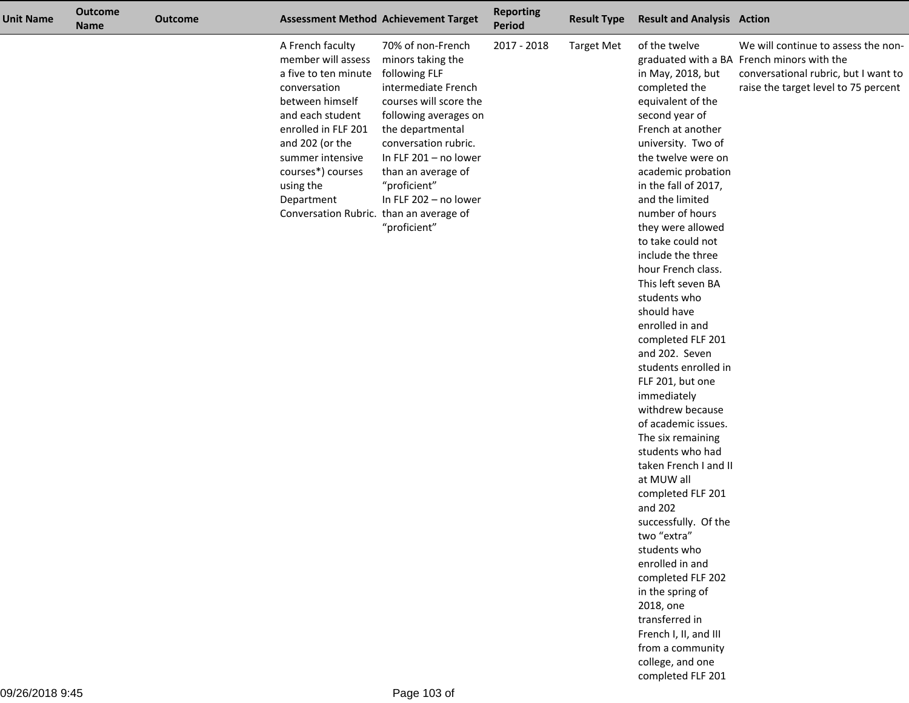| <b>Unit Name</b> | <b>Outcome</b><br><b>Name</b> | <b>Outcome</b> |                                                                                                                                                                                                                                                                                | <b>Assessment Method Achievement Target</b>                                                                                                                                                                                                                                           | <b>Reporting</b><br>Period | <b>Result Type</b> | <b>Result and Analysis Action</b>                                                                                                                                                                                                                                                                                                                                                                                                                                                                                                                                                                                                                                                                                                                                                                                                                                                                                 |                                                                                                                                                                   |
|------------------|-------------------------------|----------------|--------------------------------------------------------------------------------------------------------------------------------------------------------------------------------------------------------------------------------------------------------------------------------|---------------------------------------------------------------------------------------------------------------------------------------------------------------------------------------------------------------------------------------------------------------------------------------|----------------------------|--------------------|-------------------------------------------------------------------------------------------------------------------------------------------------------------------------------------------------------------------------------------------------------------------------------------------------------------------------------------------------------------------------------------------------------------------------------------------------------------------------------------------------------------------------------------------------------------------------------------------------------------------------------------------------------------------------------------------------------------------------------------------------------------------------------------------------------------------------------------------------------------------------------------------------------------------|-------------------------------------------------------------------------------------------------------------------------------------------------------------------|
|                  |                               |                | A French faculty<br>member will assess<br>a five to ten minute<br>conversation<br>between himself<br>and each student<br>enrolled in FLF 201<br>and 202 (or the<br>summer intensive<br>courses*) courses<br>using the<br>Department<br>Conversation Rubric. than an average of | 70% of non-French<br>minors taking the<br>following FLF<br>intermediate French<br>courses will score the<br>following averages on<br>the departmental<br>conversation rubric.<br>In FLF 201 - no lower<br>than an average of<br>"proficient"<br>In FLF 202 - no lower<br>"proficient" | 2017 - 2018                | <b>Target Met</b>  | of the twelve<br>in May, 2018, but<br>completed the<br>equivalent of the<br>second year of<br>French at another<br>university. Two of<br>the twelve were on<br>academic probation<br>in the fall of 2017,<br>and the limited<br>number of hours<br>they were allowed<br>to take could not<br>include the three<br>hour French class.<br>This left seven BA<br>students who<br>should have<br>enrolled in and<br>completed FLF 201<br>and 202. Seven<br>students enrolled in<br>FLF 201, but one<br>immediately<br>withdrew because<br>of academic issues.<br>The six remaining<br>students who had<br>taken French I and II<br>at MUW all<br>completed FLF 201<br>and 202<br>successfully. Of the<br>two "extra"<br>students who<br>enrolled in and<br>completed FLF 202<br>in the spring of<br>2018, one<br>transferred in<br>French I, II, and III<br>from a community<br>college, and one<br>completed FLF 201 | We will continue to assess the non-<br>graduated with a BA French minors with the<br>conversational rubric, but I want to<br>raise the target level to 75 percent |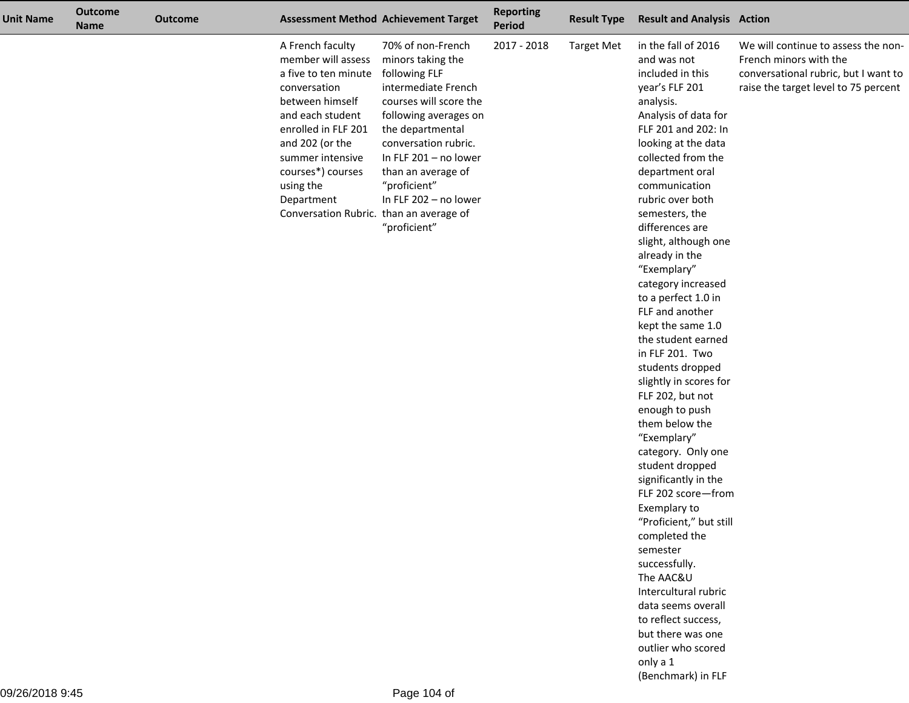| <b>Unit Name</b> | <b>Outcome</b><br><b>Name</b> | <b>Outcome</b> |                                                                                                                                                                                                                                                                                | <b>Assessment Method Achievement Target</b>                                                                                                                                                                                                                                           | <b>Reporting</b><br><b>Period</b> | <b>Result Type</b> | <b>Result and Analysis Action</b>                                                                                                                                                                                                                                                                                                                                                                                                                                                                                                                                                                                                                                                                                                                                                                                                                                                                                                         |                                                                                                                                               |
|------------------|-------------------------------|----------------|--------------------------------------------------------------------------------------------------------------------------------------------------------------------------------------------------------------------------------------------------------------------------------|---------------------------------------------------------------------------------------------------------------------------------------------------------------------------------------------------------------------------------------------------------------------------------------|-----------------------------------|--------------------|-------------------------------------------------------------------------------------------------------------------------------------------------------------------------------------------------------------------------------------------------------------------------------------------------------------------------------------------------------------------------------------------------------------------------------------------------------------------------------------------------------------------------------------------------------------------------------------------------------------------------------------------------------------------------------------------------------------------------------------------------------------------------------------------------------------------------------------------------------------------------------------------------------------------------------------------|-----------------------------------------------------------------------------------------------------------------------------------------------|
|                  |                               |                | A French faculty<br>member will assess<br>a five to ten minute<br>conversation<br>between himself<br>and each student<br>enrolled in FLF 201<br>and 202 (or the<br>summer intensive<br>courses*) courses<br>using the<br>Department<br>Conversation Rubric. than an average of | 70% of non-French<br>minors taking the<br>following FLF<br>intermediate French<br>courses will score the<br>following averages on<br>the departmental<br>conversation rubric.<br>In FLF 201 - no lower<br>than an average of<br>"proficient"<br>In FLF 202 - no lower<br>"proficient" | 2017 - 2018                       | <b>Target Met</b>  | in the fall of 2016<br>and was not<br>included in this<br>year's FLF 201<br>analysis.<br>Analysis of data for<br>FLF 201 and 202: In<br>looking at the data<br>collected from the<br>department oral<br>communication<br>rubric over both<br>semesters, the<br>differences are<br>slight, although one<br>already in the<br>"Exemplary"<br>category increased<br>to a perfect 1.0 in<br>FLF and another<br>kept the same 1.0<br>the student earned<br>in FLF 201. Two<br>students dropped<br>slightly in scores for<br>FLF 202, but not<br>enough to push<br>them below the<br>"Exemplary"<br>category. Only one<br>student dropped<br>significantly in the<br>FLF 202 score-from<br>Exemplary to<br>"Proficient," but still<br>completed the<br>semester<br>successfully.<br>The AAC&U<br>Intercultural rubric<br>data seems overall<br>to reflect success,<br>but there was one<br>outlier who scored<br>only a 1<br>(Benchmark) in FLF | We will continue to assess the non-<br>French minors with the<br>conversational rubric, but I want to<br>raise the target level to 75 percent |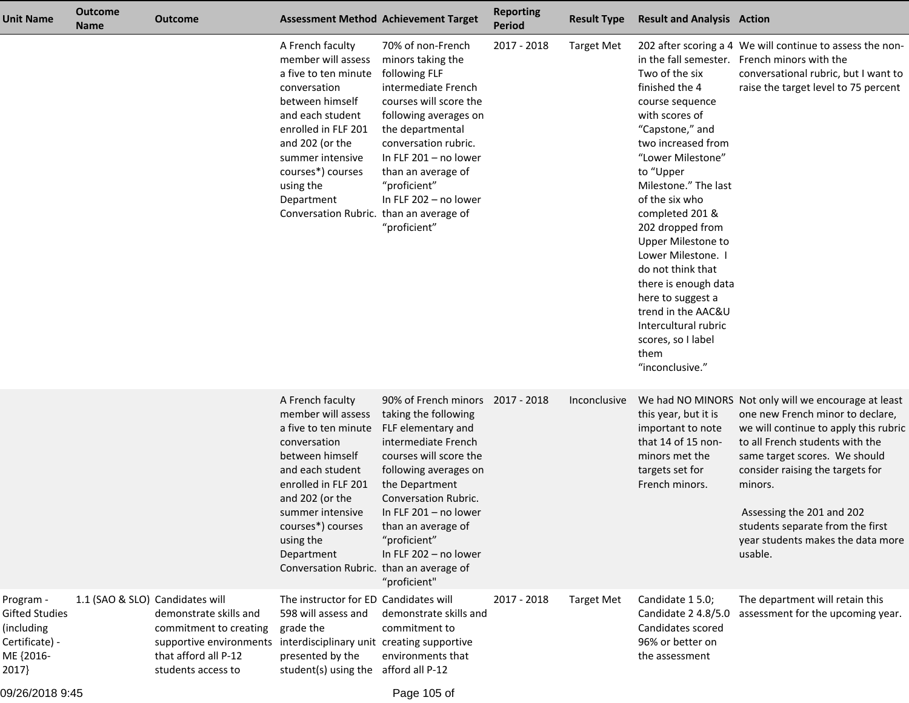| Unit Name                                                                                | <b>Outcome</b><br><b>Name</b>   | <b>Outcome</b>                                                                                                            | <b>Assessment Method Achievement Target</b>                                                                                                                                                                                                                                    |                                                                                                                                                                                                                                                                                                              | <b>Reporting</b><br><b>Period</b> | <b>Result Type</b> | <b>Result and Analysis Action</b>                                                                                                                                                                                                                                                                                                                                                                                                              |                                                                                                                                                                                                                                                                                                                                                                       |
|------------------------------------------------------------------------------------------|---------------------------------|---------------------------------------------------------------------------------------------------------------------------|--------------------------------------------------------------------------------------------------------------------------------------------------------------------------------------------------------------------------------------------------------------------------------|--------------------------------------------------------------------------------------------------------------------------------------------------------------------------------------------------------------------------------------------------------------------------------------------------------------|-----------------------------------|--------------------|------------------------------------------------------------------------------------------------------------------------------------------------------------------------------------------------------------------------------------------------------------------------------------------------------------------------------------------------------------------------------------------------------------------------------------------------|-----------------------------------------------------------------------------------------------------------------------------------------------------------------------------------------------------------------------------------------------------------------------------------------------------------------------------------------------------------------------|
|                                                                                          |                                 |                                                                                                                           | A French faculty<br>member will assess<br>a five to ten minute<br>conversation<br>between himself<br>and each student<br>enrolled in FLF 201<br>and 202 (or the<br>summer intensive<br>courses*) courses<br>using the<br>Department<br>Conversation Rubric. than an average of | 70% of non-French<br>minors taking the<br>following FLF<br>intermediate French<br>courses will score the<br>following averages on<br>the departmental<br>conversation rubric.<br>In FLF 201 - no lower<br>than an average of<br>"proficient"<br>In FLF 202 - no lower<br>"proficient"                        | 2017 - 2018                       | <b>Target Met</b>  | Two of the six<br>finished the 4<br>course sequence<br>with scores of<br>"Capstone," and<br>two increased from<br>"Lower Milestone"<br>to "Upper<br>Milestone." The last<br>of the six who<br>completed 201 &<br>202 dropped from<br>Upper Milestone to<br>Lower Milestone. I<br>do not think that<br>there is enough data<br>here to suggest a<br>trend in the AAC&U<br>Intercultural rubric<br>scores, so I label<br>them<br>"inconclusive." | 202 after scoring a 4 We will continue to assess the non-<br>in the fall semester. French minors with the<br>conversational rubric, but I want to<br>raise the target level to 75 percent                                                                                                                                                                             |
|                                                                                          |                                 |                                                                                                                           | A French faculty<br>member will assess<br>a five to ten minute<br>conversation<br>between himself<br>and each student<br>enrolled in FLF 201<br>and 202 (or the<br>summer intensive<br>courses*) courses<br>using the<br>Department<br>Conversation Rubric. than an average of | 90% of French minors 2017 - 2018<br>taking the following<br>FLF elementary and<br>intermediate French<br>courses will score the<br>following averages on<br>the Department<br>Conversation Rubric.<br>In FLF $201 - no$ lower<br>than an average of<br>"proficient"<br>In FLF 202 - no lower<br>"proficient" |                                   | Inconclusive       | this year, but it is<br>important to note<br>that 14 of 15 non-<br>minors met the<br>targets set for<br>French minors.                                                                                                                                                                                                                                                                                                                         | We had NO MINORS Not only will we encourage at least<br>one new French minor to declare,<br>we will continue to apply this rubric<br>to all French students with the<br>same target scores. We should<br>consider raising the targets for<br>minors.<br>Assessing the 201 and 202<br>students separate from the first<br>year students makes the data more<br>usable. |
| Program -<br><b>Gifted Studies</b><br>(including<br>Certificate) -<br>ME {2016-<br>2017} | 1.1 (SAO & SLO) Candidates will | demonstrate skills and<br>commitment to creating<br>supportive environments<br>that afford all P-12<br>students access to | The instructor for ED Candidates will<br>598 will assess and<br>grade the<br>interdisciplinary unit creating supportive<br>presented by the<br>student(s) using the afford all P-12                                                                                            | demonstrate skills and<br>commitment to<br>environments that                                                                                                                                                                                                                                                 | 2017 - 2018                       | <b>Target Met</b>  | Candidate 1 5.0;<br>Candidate 2 4.8/5.0<br>Candidates scored<br>96% or better on<br>the assessment                                                                                                                                                                                                                                                                                                                                             | The department will retain this<br>assessment for the upcoming year.                                                                                                                                                                                                                                                                                                  |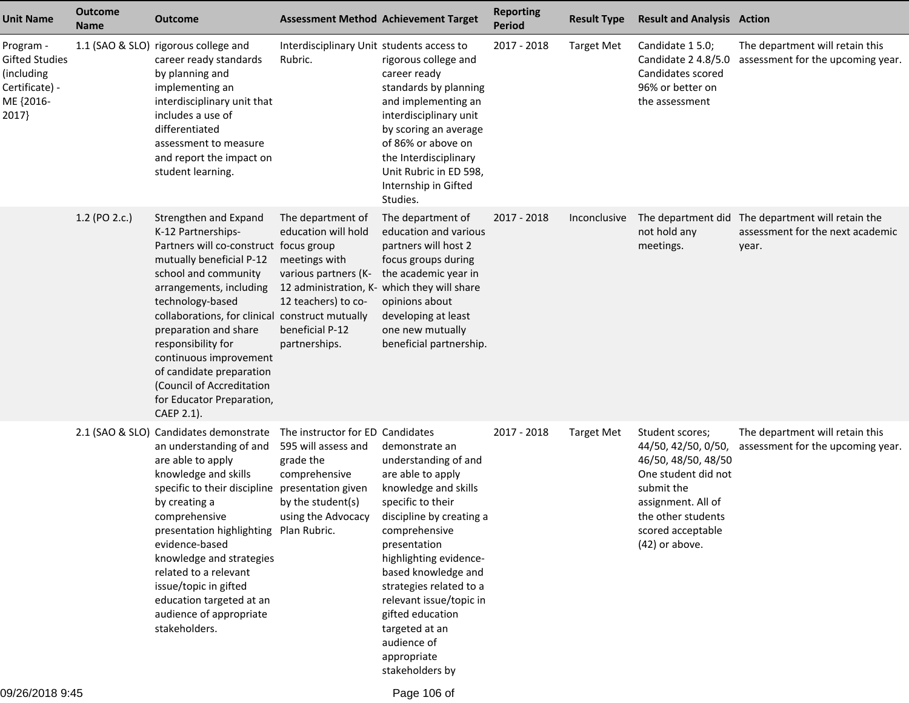| <b>Unit Name</b>                                                                  | <b>Outcome</b><br><b>Name</b> | <b>Outcome</b>                                                                                                                                                                                                                                                                                                                                                                                                           | <b>Assessment Method Achievement Target</b>                                                                                                                                                 |                                                                                                                                                                                                                                                                                                                                                                     | <b>Reporting</b><br><b>Period</b> | <b>Result Type</b> | <b>Result and Analysis Action</b>                                                                                                                                                     |                                                                                                |
|-----------------------------------------------------------------------------------|-------------------------------|--------------------------------------------------------------------------------------------------------------------------------------------------------------------------------------------------------------------------------------------------------------------------------------------------------------------------------------------------------------------------------------------------------------------------|---------------------------------------------------------------------------------------------------------------------------------------------------------------------------------------------|---------------------------------------------------------------------------------------------------------------------------------------------------------------------------------------------------------------------------------------------------------------------------------------------------------------------------------------------------------------------|-----------------------------------|--------------------|---------------------------------------------------------------------------------------------------------------------------------------------------------------------------------------|------------------------------------------------------------------------------------------------|
| Program -<br>Gifted Studies<br>(including<br>Certificate) -<br>ME {2016-<br>2017} |                               | 1.1 (SAO & SLO) rigorous college and<br>career ready standards<br>by planning and<br>implementing an<br>interdisciplinary unit that<br>includes a use of<br>differentiated<br>assessment to measure<br>and report the impact on<br>student learning.                                                                                                                                                                     | Interdisciplinary Unit students access to<br>Rubric.                                                                                                                                        | rigorous college and<br>career ready<br>standards by planning<br>and implementing an<br>interdisciplinary unit<br>by scoring an average<br>of 86% or above on<br>the Interdisciplinary<br>Unit Rubric in ED 598,<br>Internship in Gifted<br>Studies.                                                                                                                | 2017 - 2018                       | <b>Target Met</b>  | Candidate 1 5.0;<br>Candidate 2 4.8/5.0<br>Candidates scored<br>96% or better on<br>the assessment                                                                                    | The department will retain this<br>assessment for the upcoming year.                           |
|                                                                                   | 1.2 (PO 2.c.)                 | Strengthen and Expand<br>K-12 Partnerships-<br>Partners will co-construct focus group<br>mutually beneficial P-12<br>school and community<br>arrangements, including<br>technology-based<br>collaborations, for clinical construct mutually<br>preparation and share<br>responsibility for<br>continuous improvement<br>of candidate preparation<br>(Council of Accreditation<br>for Educator Preparation,<br>CAEP 2.1). | The department of<br>education will hold<br>meetings with<br>various partners (K-<br>12 administration, K- which they will share<br>12 teachers) to co-<br>beneficial P-12<br>partnerships. | The department of<br>education and various<br>partners will host 2<br>focus groups during<br>the academic year in<br>opinions about<br>developing at least<br>one new mutually<br>beneficial partnership.                                                                                                                                                           | 2017 - 2018                       | Inconclusive       | not hold any<br>meetings.                                                                                                                                                             | The department did The department will retain the<br>assessment for the next academic<br>year. |
|                                                                                   |                               | 2.1 (SAO & SLO) Candidates demonstrate<br>an understanding of and<br>are able to apply<br>knowledge and skills<br>specific to their discipline presentation given<br>by creating a<br>comprehensive<br>presentation highlighting Plan Rubric.<br>evidence-based<br>knowledge and strategies<br>related to a relevant<br>issue/topic in gifted<br>education targeted at an<br>audience of appropriate<br>stakeholders.    | The instructor for ED Candidates<br>595 will assess and<br>grade the<br>comprehensive<br>by the student(s)<br>using the Advocacy                                                            | demonstrate an<br>understanding of and<br>are able to apply<br>knowledge and skills<br>specific to their<br>discipline by creating a<br>comprehensive<br>presentation<br>highlighting evidence-<br>based knowledge and<br>strategies related to a<br>relevant issue/topic in<br>gifted education<br>targeted at an<br>audience of<br>appropriate<br>stakeholders by | 2017 - 2018                       | <b>Target Met</b>  | Student scores;<br>44/50, 42/50, 0/50,<br>46/50, 48/50, 48/50<br>One student did not<br>submit the<br>assignment. All of<br>the other students<br>scored acceptable<br>(42) or above. | The department will retain this<br>assessment for the upcoming year.                           |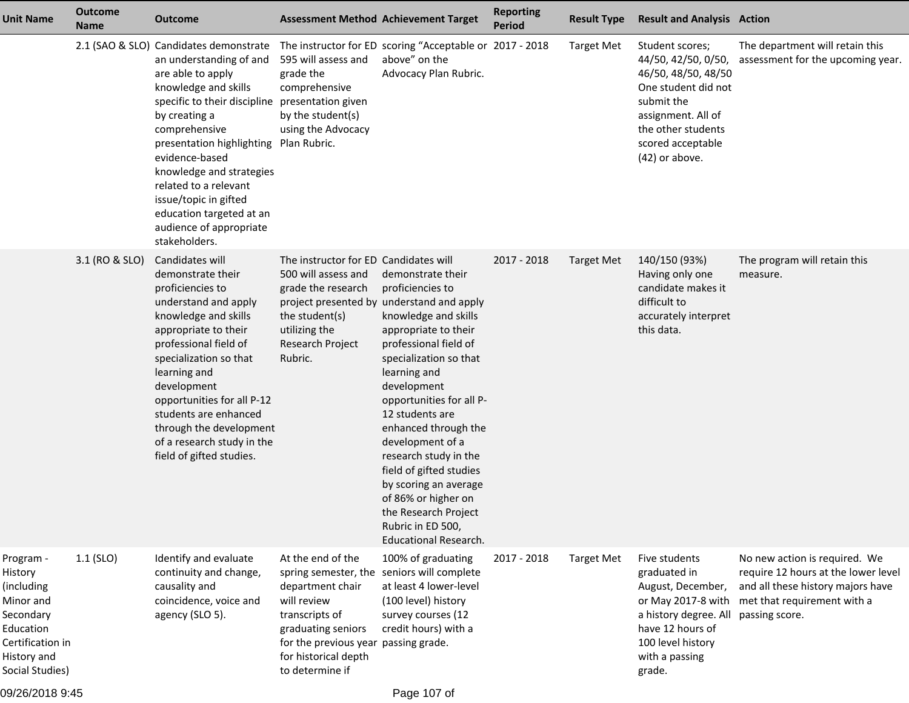| <b>Unit Name</b>                                                                                                                | <b>Outcome</b><br><b>Name</b> | <b>Outcome</b>                                                                                                                                                                                                                                                                                                                                                                                           |                                                                                                                                                                                                         | <b>Assessment Method Achievement Target</b>                                                                                                                                                                                                                                                                                                                                                                                                                                                      | <b>Reporting</b><br><b>Period</b> | <b>Result Type</b> | <b>Result and Analysis Action</b>                                                                                                                                                       |                                                                                                                                                            |
|---------------------------------------------------------------------------------------------------------------------------------|-------------------------------|----------------------------------------------------------------------------------------------------------------------------------------------------------------------------------------------------------------------------------------------------------------------------------------------------------------------------------------------------------------------------------------------------------|---------------------------------------------------------------------------------------------------------------------------------------------------------------------------------------------------------|--------------------------------------------------------------------------------------------------------------------------------------------------------------------------------------------------------------------------------------------------------------------------------------------------------------------------------------------------------------------------------------------------------------------------------------------------------------------------------------------------|-----------------------------------|--------------------|-----------------------------------------------------------------------------------------------------------------------------------------------------------------------------------------|------------------------------------------------------------------------------------------------------------------------------------------------------------|
|                                                                                                                                 |                               | 2.1 (SAO & SLO) Candidates demonstrate<br>an understanding of and<br>are able to apply<br>knowledge and skills<br>specific to their discipline presentation given<br>by creating a<br>comprehensive<br>presentation highlighting<br>evidence-based<br>knowledge and strategies<br>related to a relevant<br>issue/topic in gifted<br>education targeted at an<br>audience of appropriate<br>stakeholders. | 595 will assess and<br>grade the<br>comprehensive<br>by the student(s)<br>using the Advocacy<br>Plan Rubric.                                                                                            | The instructor for ED scoring "Acceptable or 2017 - 2018<br>above" on the<br>Advocacy Plan Rubric.                                                                                                                                                                                                                                                                                                                                                                                               |                                   | <b>Target Met</b>  | Student scores;<br>44/50, 42/50, 0/50,<br>46/50, 48/50, 48/50<br>One student did not<br>submit the<br>assignment. All of<br>the other students<br>scored acceptable<br>$(42)$ or above. | The department will retain this<br>assessment for the upcoming year.                                                                                       |
|                                                                                                                                 | 3.1 (RO & SLO)                | Candidates will<br>demonstrate their<br>proficiencies to<br>understand and apply<br>knowledge and skills<br>appropriate to their<br>professional field of<br>specialization so that<br>learning and<br>development<br>opportunities for all P-12<br>students are enhanced<br>through the development<br>of a research study in the<br>field of gifted studies.                                           | The instructor for ED Candidates will<br>500 will assess and<br>grade the research<br>the student(s)<br>utilizing the<br>Research Project<br>Rubric.                                                    | demonstrate their<br>proficiencies to<br>project presented by understand and apply<br>knowledge and skills<br>appropriate to their<br>professional field of<br>specialization so that<br>learning and<br>development<br>opportunities for all P-<br>12 students are<br>enhanced through the<br>development of a<br>research study in the<br>field of gifted studies<br>by scoring an average<br>of 86% or higher on<br>the Research Project<br>Rubric in ED 500,<br><b>Educational Research.</b> | 2017 - 2018                       | <b>Target Met</b>  | 140/150 (93%)<br>Having only one<br>candidate makes it<br>difficult to<br>accurately interpret<br>this data.                                                                            | The program will retain this<br>measure.                                                                                                                   |
| Program -<br>History<br>(including<br>Minor and<br>Secondary<br>Education<br>Certification in<br>History and<br>Social Studies) | $1.1$ (SLO)                   | Identify and evaluate<br>continuity and change,<br>causality and<br>coincidence, voice and<br>agency (SLO 5).                                                                                                                                                                                                                                                                                            | At the end of the<br>spring semester, the<br>department chair<br>will review<br>transcripts of<br>graduating seniors<br>for the previous year passing grade.<br>for historical depth<br>to determine if | 100% of graduating<br>seniors will complete<br>at least 4 lower-level<br>(100 level) history<br>survey courses (12<br>credit hours) with a                                                                                                                                                                                                                                                                                                                                                       | 2017 - 2018                       | <b>Target Met</b>  | Five students<br>graduated in<br>August, December,<br>or May 2017-8 with<br>a history degree. All<br>have 12 hours of<br>100 level history<br>with a passing<br>grade.                  | No new action is required. We<br>require 12 hours at the lower level<br>and all these history majors have<br>met that requirement with a<br>passing score. |

09/26/2018 9:45

Page 107 of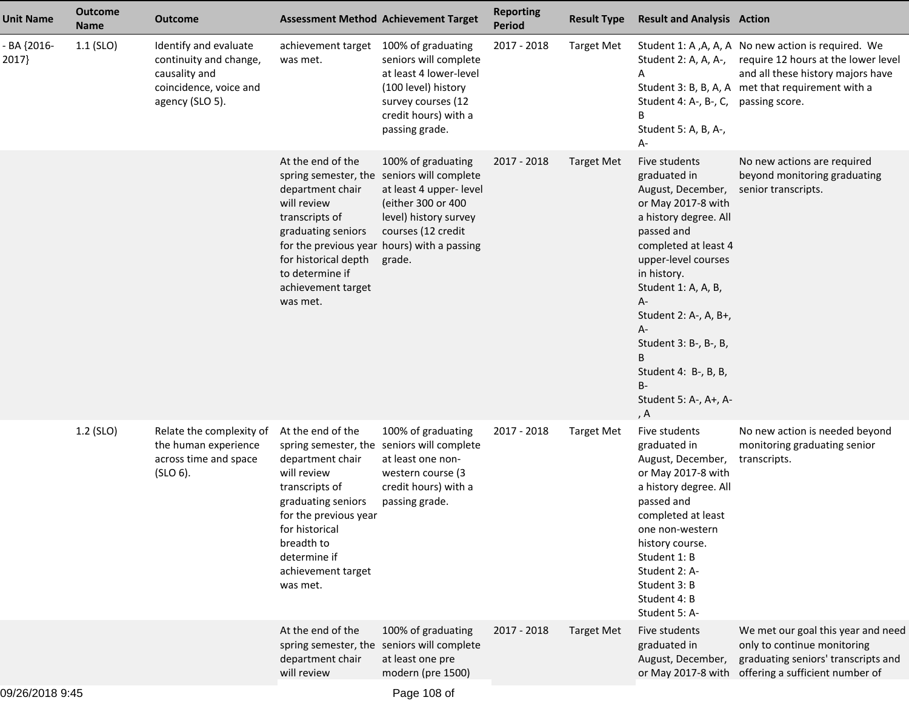| <b>Unit Name</b>     | <b>Outcome</b><br><b>Name</b> | <b>Outcome</b>                                                                                                |                                                                                                                                                                                                         | <b>Assessment Method Achievement Target</b>                                                                                                                                                                               | <b>Reporting</b><br><b>Period</b> | <b>Result Type</b> | <b>Result and Analysis Action</b>                                                                                                                                                                                                                                                                                                     |                                                                                                                                                                                                           |
|----------------------|-------------------------------|---------------------------------------------------------------------------------------------------------------|---------------------------------------------------------------------------------------------------------------------------------------------------------------------------------------------------------|---------------------------------------------------------------------------------------------------------------------------------------------------------------------------------------------------------------------------|-----------------------------------|--------------------|---------------------------------------------------------------------------------------------------------------------------------------------------------------------------------------------------------------------------------------------------------------------------------------------------------------------------------------|-----------------------------------------------------------------------------------------------------------------------------------------------------------------------------------------------------------|
| - BA {2016-<br>2017} | $1.1$ (SLO)                   | Identify and evaluate<br>continuity and change,<br>causality and<br>coincidence, voice and<br>agency (SLO 5). | achievement target 100% of graduating<br>was met.                                                                                                                                                       | seniors will complete<br>at least 4 lower-level<br>(100 level) history<br>survey courses (12<br>credit hours) with a<br>passing grade.                                                                                    | 2017 - 2018                       | <b>Target Met</b>  | A<br>Student 4: A-, B-, C, passing score.<br>В<br>Student 5: A, B, A-,<br>A-                                                                                                                                                                                                                                                          | Student 1: A, A, A, A No new action is required. We<br>Student 2: A, A, A-, require 12 hours at the lower level<br>and all these history majors have<br>Student 3: B, B, A, A met that requirement with a |
|                      |                               |                                                                                                               | At the end of the<br>department chair<br>will review<br>transcripts of<br>graduating seniors<br>for historical depth<br>to determine if<br>achievement target<br>was met.                               | 100% of graduating<br>spring semester, the seniors will complete<br>at least 4 upper- level<br>(either 300 or 400<br>level) history survey<br>courses (12 credit<br>for the previous year hours) with a passing<br>grade. | 2017 - 2018                       | <b>Target Met</b>  | Five students<br>graduated in<br>August, December,<br>or May 2017-8 with<br>a history degree. All<br>passed and<br>completed at least 4<br>upper-level courses<br>in history.<br>Student 1: A, A, B,<br>A-<br>Student 2: A-, A, B+,<br>A-<br>Student 3: B-, B-, B,<br>B<br>Student 4: B-, B, B,<br>B-<br>Student 5: A-, A+, A-<br>, A | No new actions are required<br>beyond monitoring graduating<br>senior transcripts.                                                                                                                        |
|                      | 1.2 (SLO)                     | Relate the complexity of<br>the human experience<br>across time and space<br>$(SLO 6)$ .                      | At the end of the<br>department chair<br>will review<br>transcripts of<br>graduating seniors<br>for the previous year<br>for historical<br>breadth to<br>determine if<br>achievement target<br>was met. | 100% of graduating<br>spring semester, the seniors will complete<br>at least one non-<br>western course (3<br>credit hours) with a<br>passing grade.                                                                      | 2017 - 2018                       | <b>Target Met</b>  | Five students<br>graduated in<br>August, December,<br>or May 2017-8 with<br>a history degree. All<br>passed and<br>completed at least<br>one non-western<br>history course.<br>Student 1: B<br>Student 2: A-<br>Student 3: B<br>Student 4: B<br>Student 5: A-                                                                         | No new action is needed beyond<br>monitoring graduating senior<br>transcripts.                                                                                                                            |
|                      |                               |                                                                                                               | At the end of the<br>department chair<br>will review                                                                                                                                                    | 100% of graduating<br>spring semester, the seniors will complete<br>at least one pre<br>modern (pre 1500)                                                                                                                 | 2017 - 2018                       | Target Met         | Five students<br>graduated in<br>August, December,                                                                                                                                                                                                                                                                                    | We met our goal this year and need<br>only to continue monitoring<br>graduating seniors' transcripts and<br>or May 2017-8 with offering a sufficient number of                                            |
|                      |                               |                                                                                                               |                                                                                                                                                                                                         |                                                                                                                                                                                                                           |                                   |                    |                                                                                                                                                                                                                                                                                                                                       |                                                                                                                                                                                                           |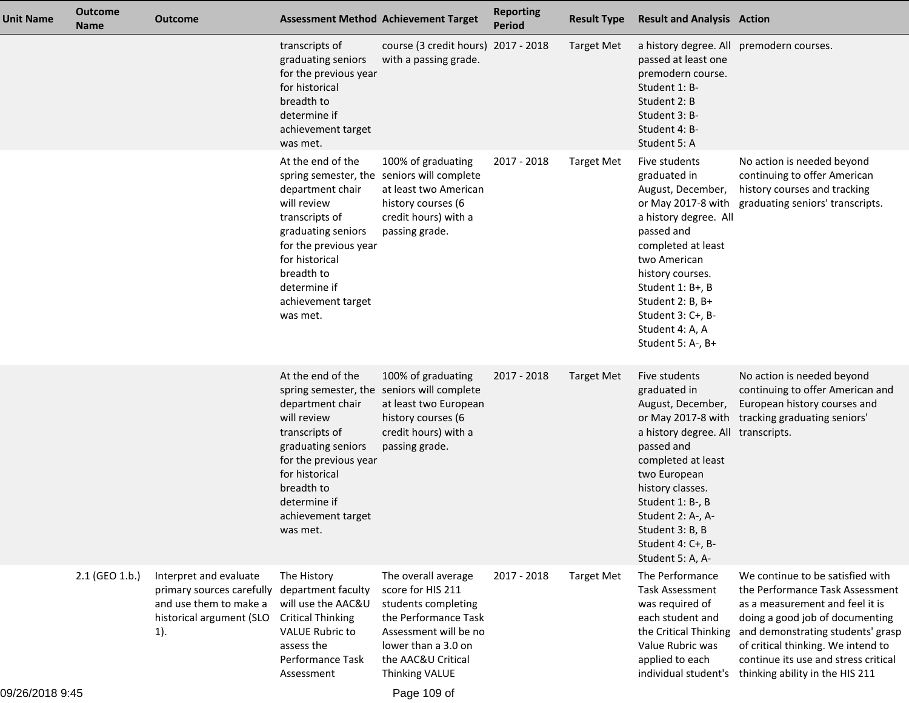| Unit Name       | <b>Outcome</b><br><b>Name</b> | <b>Outcome</b>                                                                                                                      | <b>Assessment Method Achievement Target</b>                                                                                                                                                             |                                                                                                                                                                                                | <b>Reporting</b><br><b>Period</b> | <b>Result Type</b> | <b>Result and Analysis Action</b>                                                                                                                                                                                                                                              |                                                                                                                                                                                                                                                                                                                      |
|-----------------|-------------------------------|-------------------------------------------------------------------------------------------------------------------------------------|---------------------------------------------------------------------------------------------------------------------------------------------------------------------------------------------------------|------------------------------------------------------------------------------------------------------------------------------------------------------------------------------------------------|-----------------------------------|--------------------|--------------------------------------------------------------------------------------------------------------------------------------------------------------------------------------------------------------------------------------------------------------------------------|----------------------------------------------------------------------------------------------------------------------------------------------------------------------------------------------------------------------------------------------------------------------------------------------------------------------|
|                 |                               |                                                                                                                                     | transcripts of<br>graduating seniors<br>for the previous year<br>for historical<br>breadth to<br>determine if<br>achievement target<br>was met.                                                         | course (3 credit hours) 2017 - 2018<br>with a passing grade.                                                                                                                                   |                                   | <b>Target Met</b>  | a history degree. All premodern courses.<br>passed at least one<br>premodern course.<br>Student 1: B-<br>Student 2: B<br>Student 3: B-<br>Student 4: B-<br>Student 5: A                                                                                                        |                                                                                                                                                                                                                                                                                                                      |
|                 |                               |                                                                                                                                     | At the end of the<br>department chair<br>will review<br>transcripts of<br>graduating seniors<br>for the previous year<br>for historical<br>breadth to<br>determine if<br>achievement target<br>was met. | 100% of graduating<br>spring semester, the seniors will complete<br>at least two American<br>history courses (6<br>credit hours) with a<br>passing grade.                                      | 2017 - 2018                       | <b>Target Met</b>  | Five students<br>graduated in<br>August, December,<br>or May 2017-8 with<br>a history degree. All<br>passed and<br>completed at least<br>two American<br>history courses.<br>Student 1: B+, B<br>Student 2: B, B+<br>Student 3: C+, B-<br>Student 4: A, A<br>Student 5: A-, B+ | No action is needed beyond<br>continuing to offer American<br>history courses and tracking<br>graduating seniors' transcripts.                                                                                                                                                                                       |
|                 |                               |                                                                                                                                     | At the end of the<br>department chair<br>will review<br>transcripts of<br>graduating seniors<br>for the previous year<br>for historical<br>breadth to<br>determine if<br>achievement target<br>was met. | 100% of graduating<br>spring semester, the seniors will complete<br>at least two European<br>history courses (6<br>credit hours) with a<br>passing grade.                                      | 2017 - 2018                       | Target Met         | Five students<br>graduated in<br>August, December,<br>a history degree. All transcripts.<br>passed and<br>completed at least<br>two European<br>history classes.<br>Student 1: B-, B<br>Student 2: A-, A-<br>Student 3: B, B<br>Student 4: C+, B-<br>Student 5: A, A-          | No action is needed beyond<br>continuing to offer American and<br>European history courses and<br>or May 2017-8 with tracking graduating seniors'                                                                                                                                                                    |
| 09/26/2018 9:45 | 2.1 (GEO 1.b.)                | Interpret and evaluate<br>primary sources carefully department faculty<br>and use them to make a<br>historical argument (SLO<br>1). | The History<br>will use the AAC&U<br><b>Critical Thinking</b><br><b>VALUE Rubric to</b><br>assess the<br>Performance Task<br>Assessment                                                                 | The overall average<br>score for HIS 211<br>students completing<br>the Performance Task<br>Assessment will be no<br>lower than a 3.0 on<br>the AAC&U Critical<br>Thinking VALUE<br>Page 109 of | 2017 - 2018                       | <b>Target Met</b>  | The Performance<br><b>Task Assessment</b><br>was required of<br>each student and<br>the Critical Thinking<br>Value Rubric was<br>applied to each                                                                                                                               | We continue to be satisfied with<br>the Performance Task Assessment<br>as a measurement and feel it is<br>doing a good job of documenting<br>and demonstrating students' grasp<br>of critical thinking. We intend to<br>continue its use and stress critical<br>individual student's thinking ability in the HIS 211 |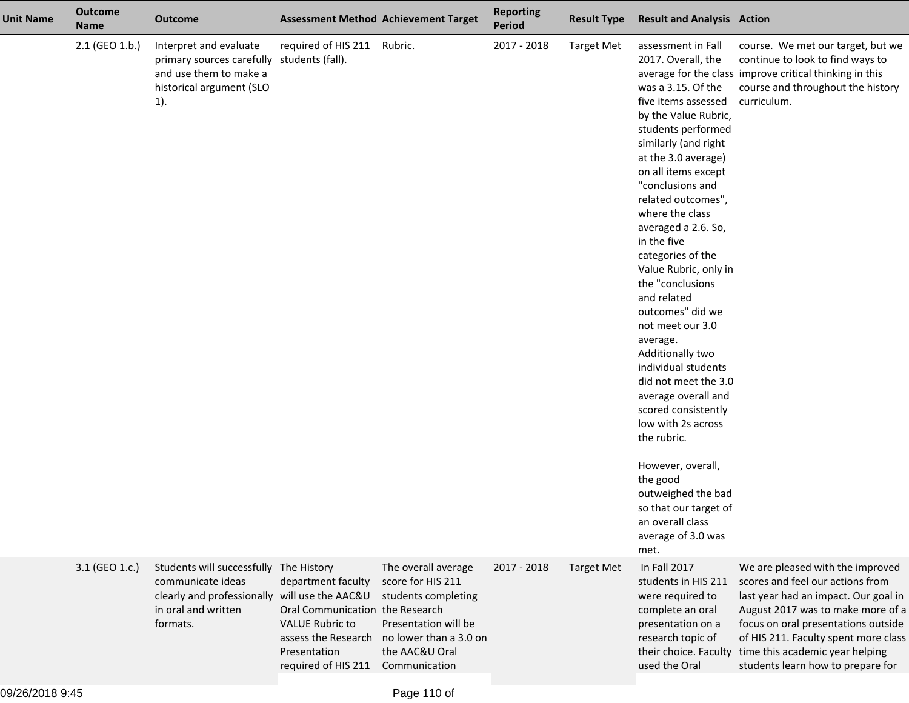| <b>Unit Name</b> | <b>Outcome</b><br><b>Name</b> | <b>Outcome</b>                                                                                                                    | <b>Assessment Method Achievement Target</b>                                                                                                                                        |                                                                                                                                                      | <b>Reporting</b><br><b>Period</b> | <b>Result Type</b> | <b>Result and Analysis Action</b>                                                                                                                                                                                                                                                                                                                                                                                                                                                                                                                                                                                                                                                                                                         |                                                                                                                                                                                                                                                                                                          |
|------------------|-------------------------------|-----------------------------------------------------------------------------------------------------------------------------------|------------------------------------------------------------------------------------------------------------------------------------------------------------------------------------|------------------------------------------------------------------------------------------------------------------------------------------------------|-----------------------------------|--------------------|-------------------------------------------------------------------------------------------------------------------------------------------------------------------------------------------------------------------------------------------------------------------------------------------------------------------------------------------------------------------------------------------------------------------------------------------------------------------------------------------------------------------------------------------------------------------------------------------------------------------------------------------------------------------------------------------------------------------------------------------|----------------------------------------------------------------------------------------------------------------------------------------------------------------------------------------------------------------------------------------------------------------------------------------------------------|
|                  | 2.1 (GEO 1.b.)                | Interpret and evaluate<br>primary sources carefully students (fall).<br>and use them to make a<br>historical argument (SLO<br>1). | required of HIS 211                                                                                                                                                                | Rubric.                                                                                                                                              | 2017 - 2018                       | <b>Target Met</b>  | assessment in Fall<br>2017. Overall, the<br>was a 3.15. Of the<br>five items assessed<br>by the Value Rubric,<br>students performed<br>similarly (and right<br>at the 3.0 average)<br>on all items except<br>"conclusions and<br>related outcomes",<br>where the class<br>averaged a 2.6. So,<br>in the five<br>categories of the<br>Value Rubric, only in<br>the "conclusions<br>and related<br>outcomes" did we<br>not meet our 3.0<br>average.<br>Additionally two<br>individual students<br>did not meet the 3.0<br>average overall and<br>scored consistently<br>low with 2s across<br>the rubric.<br>However, overall,<br>the good<br>outweighed the bad<br>so that our target of<br>an overall class<br>average of 3.0 was<br>met. | course. We met our target, but we<br>continue to look to find ways to<br>average for the class improve critical thinking in this<br>course and throughout the history<br>curriculum.                                                                                                                     |
|                  | 3.1 (GEO 1.c.)                | Students will successfully<br>communicate ideas<br>clearly and professionally<br>in oral and written<br>formats.                  | The History<br>department faculty<br>will use the AAC&U<br>Oral Communication the Research<br><b>VALUE Rubric to</b><br>assess the Research<br>Presentation<br>required of HIS 211 | The overall average<br>score for HIS 211<br>students completing<br>Presentation will be<br>no lower than a 3.0 on<br>the AAC&U Oral<br>Communication | 2017 - 2018                       | <b>Target Met</b>  | In Fall 2017<br>students in HIS 211<br>were required to<br>complete an oral<br>presentation on a<br>research topic of<br>their choice. Faculty<br>used the Oral                                                                                                                                                                                                                                                                                                                                                                                                                                                                                                                                                                           | We are pleased with the improved<br>scores and feel our actions from<br>last year had an impact. Our goal in<br>August 2017 was to make more of a<br>focus on oral presentations outside<br>of HIS 211. Faculty spent more class<br>time this academic year helping<br>students learn how to prepare for |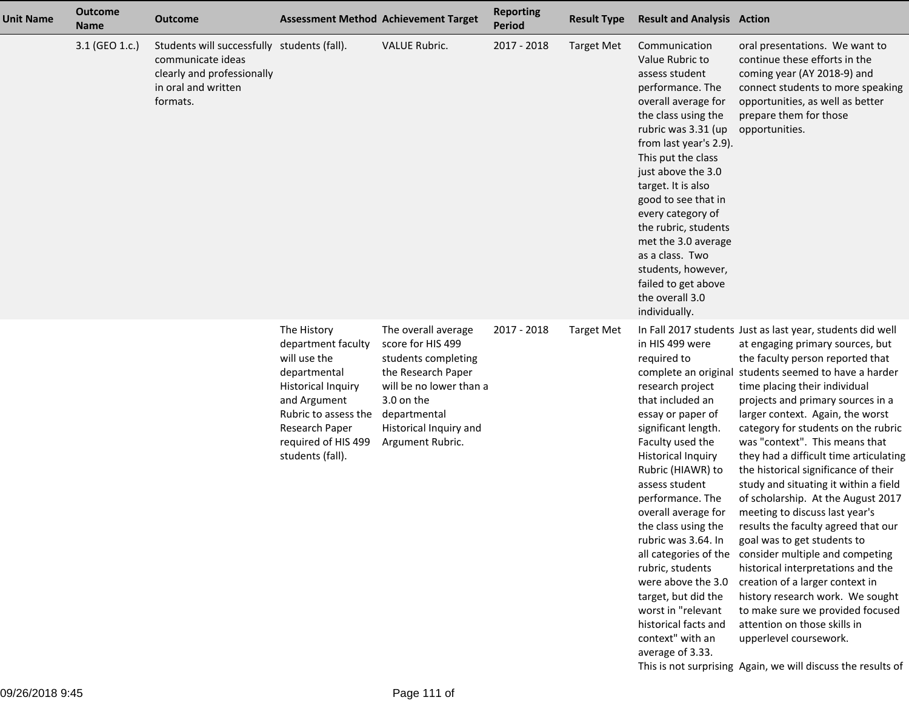| <b>Unit Name</b> | <b>Outcome</b><br><b>Name</b> | <b>Outcome</b>                                                                                                                    | <b>Assessment Method Achievement Target</b>                                                                                                                                                         |                                                                                                                                                                                              | <b>Reporting</b><br><b>Period</b> | <b>Result Type</b> | <b>Result and Analysis Action</b>                                                                                                                                                                                                                                                                                                                                                                                                                          |                                                                                                                                                                                                                                                                                                                                                                                                                                                                                                                                                                                                                                                                                                                                                                                                                                                                                                                                                                                             |
|------------------|-------------------------------|-----------------------------------------------------------------------------------------------------------------------------------|-----------------------------------------------------------------------------------------------------------------------------------------------------------------------------------------------------|----------------------------------------------------------------------------------------------------------------------------------------------------------------------------------------------|-----------------------------------|--------------------|------------------------------------------------------------------------------------------------------------------------------------------------------------------------------------------------------------------------------------------------------------------------------------------------------------------------------------------------------------------------------------------------------------------------------------------------------------|---------------------------------------------------------------------------------------------------------------------------------------------------------------------------------------------------------------------------------------------------------------------------------------------------------------------------------------------------------------------------------------------------------------------------------------------------------------------------------------------------------------------------------------------------------------------------------------------------------------------------------------------------------------------------------------------------------------------------------------------------------------------------------------------------------------------------------------------------------------------------------------------------------------------------------------------------------------------------------------------|
|                  | 3.1 (GEO 1.c.)                | Students will successfully students (fall).<br>communicate ideas<br>clearly and professionally<br>in oral and written<br>formats. |                                                                                                                                                                                                     | VALUE Rubric.                                                                                                                                                                                | 2017 - 2018                       | <b>Target Met</b>  | Communication<br>Value Rubric to<br>assess student<br>performance. The<br>overall average for<br>the class using the<br>rubric was 3.31 (up<br>from last year's 2.9).<br>This put the class<br>just above the 3.0<br>target. It is also<br>good to see that in<br>every category of<br>the rubric, students<br>met the 3.0 average<br>as a class. Two<br>students, however,<br>failed to get above<br>the overall 3.0<br>individually.                     | oral presentations. We want to<br>continue these efforts in the<br>coming year (AY 2018-9) and<br>connect students to more speaking<br>opportunities, as well as better<br>prepare them for those<br>opportunities.                                                                                                                                                                                                                                                                                                                                                                                                                                                                                                                                                                                                                                                                                                                                                                         |
|                  |                               |                                                                                                                                   | The History<br>department faculty<br>will use the<br>departmental<br><b>Historical Inquiry</b><br>and Argument<br>Rubric to assess the<br>Research Paper<br>required of HIS 499<br>students (fall). | The overall average<br>score for HIS 499<br>students completing<br>the Research Paper<br>will be no lower than a<br>3.0 on the<br>departmental<br>Historical Inquiry and<br>Argument Rubric. | 2017 - 2018                       | <b>Target Met</b>  | in HIS 499 were<br>required to<br>research project<br>that included an<br>essay or paper of<br>significant length.<br>Faculty used the<br><b>Historical Inquiry</b><br>Rubric (HIAWR) to<br>assess student<br>performance. The<br>overall average for<br>the class using the<br>rubric was 3.64. In<br>rubric, students<br>were above the 3.0<br>target, but did the<br>worst in "relevant<br>historical facts and<br>context" with an<br>average of 3.33. | In Fall 2017 students Just as last year, students did well<br>at engaging primary sources, but<br>the faculty person reported that<br>complete an original students seemed to have a harder<br>time placing their individual<br>projects and primary sources in a<br>larger context. Again, the worst<br>category for students on the rubric<br>was "context". This means that<br>they had a difficult time articulating<br>the historical significance of their<br>study and situating it within a field<br>of scholarship. At the August 2017<br>meeting to discuss last year's<br>results the faculty agreed that our<br>goal was to get students to<br>all categories of the consider multiple and competing<br>historical interpretations and the<br>creation of a larger context in<br>history research work. We sought<br>to make sure we provided focused<br>attention on those skills in<br>upperlevel coursework.<br>This is not surprising Again, we will discuss the results of |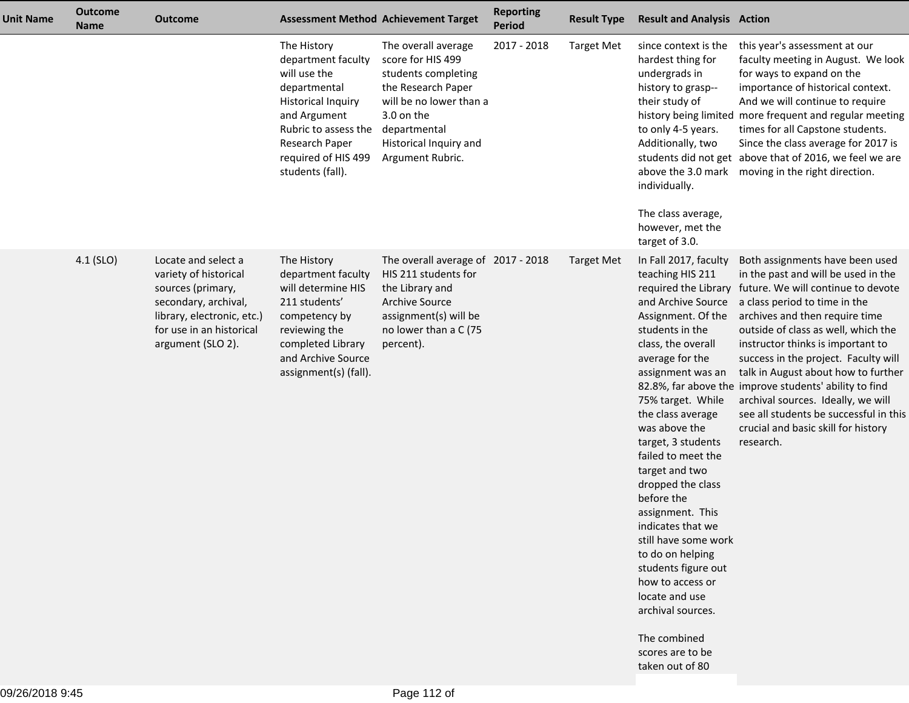| <b>Unit Name</b> | <b>Outcome</b><br><b>Name</b> | <b>Outcome</b>                                                                                                                                                           |                                                                                                                                                                                                     | <b>Assessment Method Achievement Target</b>                                                                                                                                                  | <b>Reporting</b><br><b>Period</b> | <b>Result Type</b> | <b>Result and Analysis Action</b>                                                                                                                                                                                                                                                                                                                                                                                                                                                                                                                                |                                                                                                                                                                                                                                                                                                                                                                                                                                                                                                                                                               |
|------------------|-------------------------------|--------------------------------------------------------------------------------------------------------------------------------------------------------------------------|-----------------------------------------------------------------------------------------------------------------------------------------------------------------------------------------------------|----------------------------------------------------------------------------------------------------------------------------------------------------------------------------------------------|-----------------------------------|--------------------|------------------------------------------------------------------------------------------------------------------------------------------------------------------------------------------------------------------------------------------------------------------------------------------------------------------------------------------------------------------------------------------------------------------------------------------------------------------------------------------------------------------------------------------------------------------|---------------------------------------------------------------------------------------------------------------------------------------------------------------------------------------------------------------------------------------------------------------------------------------------------------------------------------------------------------------------------------------------------------------------------------------------------------------------------------------------------------------------------------------------------------------|
|                  |                               |                                                                                                                                                                          | The History<br>department faculty<br>will use the<br>departmental<br><b>Historical Inquiry</b><br>and Argument<br>Rubric to assess the<br>Research Paper<br>required of HIS 499<br>students (fall). | The overall average<br>score for HIS 499<br>students completing<br>the Research Paper<br>will be no lower than a<br>3.0 on the<br>departmental<br>Historical Inquiry and<br>Argument Rubric. | 2017 - 2018                       | <b>Target Met</b>  | since context is the<br>hardest thing for<br>undergrads in<br>history to grasp--<br>their study of<br>history being limited<br>to only 4-5 years.<br>Additionally, two<br>above the 3.0 mark<br>individually.<br>The class average,<br>however, met the<br>target of 3.0.                                                                                                                                                                                                                                                                                        | this year's assessment at our<br>faculty meeting in August. We look<br>for ways to expand on the<br>importance of historical context.<br>And we will continue to require<br>more frequent and regular meeting<br>times for all Capstone students.<br>Since the class average for 2017 is<br>students did not get above that of 2016, we feel we are<br>moving in the right direction.                                                                                                                                                                         |
|                  | $4.1$ (SLO)                   | Locate and select a<br>variety of historical<br>sources (primary,<br>secondary, archival,<br>library, electronic, etc.)<br>for use in an historical<br>argument (SLO 2). | The History<br>department faculty<br>will determine HIS<br>211 students'<br>competency by<br>reviewing the<br>completed Library<br>and Archive Source<br>assignment(s) (fall).                      | The overall average of 2017 - 2018<br>HIS 211 students for<br>the Library and<br>Archive Source<br>assignment(s) will be<br>no lower than a C (75<br>percent).                               |                                   | <b>Target Met</b>  | In Fall 2017, faculty<br>teaching HIS 211<br>and Archive Source<br>Assignment. Of the<br>students in the<br>class, the overall<br>average for the<br>assignment was an<br>75% target. While<br>the class average<br>was above the<br>target, 3 students<br>failed to meet the<br>target and two<br>dropped the class<br>before the<br>assignment. This<br>indicates that we<br>still have some work<br>to do on helping<br>students figure out<br>how to access or<br>locate and use<br>archival sources.<br>The combined<br>scores are to be<br>taken out of 80 | Both assignments have been used<br>in the past and will be used in the<br>required the Library future. We will continue to devote<br>a class period to time in the<br>archives and then require time<br>outside of class as well, which the<br>instructor thinks is important to<br>success in the project. Faculty will<br>talk in August about how to further<br>82.8%, far above the improve students' ability to find<br>archival sources. Ideally, we will<br>see all students be successful in this<br>crucial and basic skill for history<br>research. |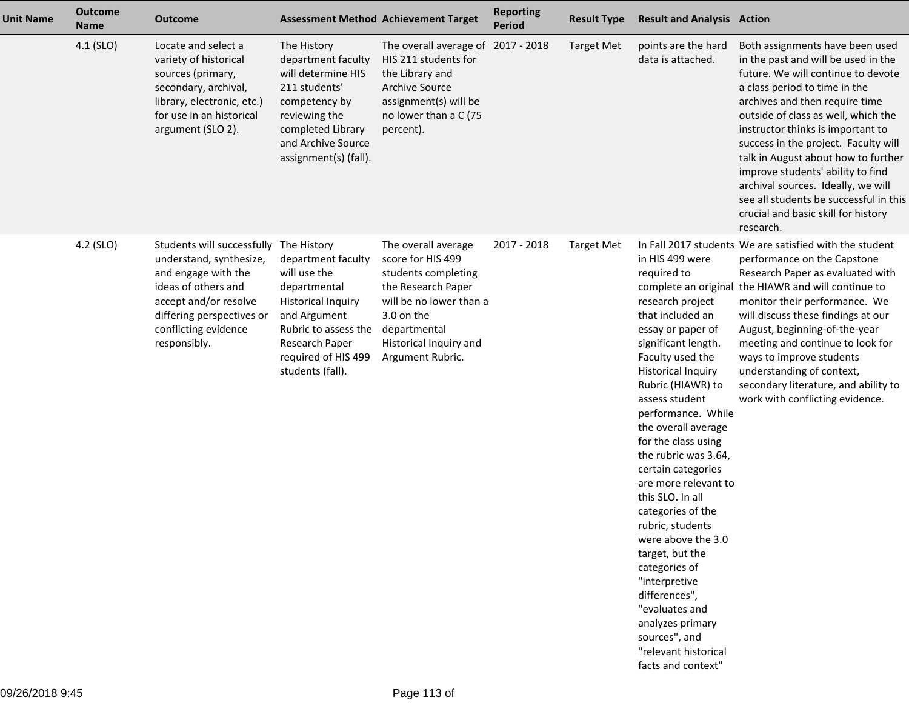| <b>Unit Name</b> | <b>Outcome</b><br><b>Name</b> | <b>Outcome</b>                                                                                                                                                                                                |                                                                                                                                                                                      | <b>Assessment Method Achievement Target</b>                                                                                                                                                  | <b>Reporting</b><br><b>Period</b> | <b>Result Type</b> | <b>Result and Analysis Action</b>                                                                                                                                                                                                                                                                                                                                                                                                                                                                                                                                                                                  |                                                                                                                                                                                                                                                                                                                                                                                                                                                                                                                     |
|------------------|-------------------------------|---------------------------------------------------------------------------------------------------------------------------------------------------------------------------------------------------------------|--------------------------------------------------------------------------------------------------------------------------------------------------------------------------------------|----------------------------------------------------------------------------------------------------------------------------------------------------------------------------------------------|-----------------------------------|--------------------|--------------------------------------------------------------------------------------------------------------------------------------------------------------------------------------------------------------------------------------------------------------------------------------------------------------------------------------------------------------------------------------------------------------------------------------------------------------------------------------------------------------------------------------------------------------------------------------------------------------------|---------------------------------------------------------------------------------------------------------------------------------------------------------------------------------------------------------------------------------------------------------------------------------------------------------------------------------------------------------------------------------------------------------------------------------------------------------------------------------------------------------------------|
|                  | 4.1 (SLO)                     | Locate and select a<br>variety of historical<br>sources (primary,<br>secondary, archival,<br>library, electronic, etc.)<br>for use in an historical<br>argument (SLO 2).                                      | The History<br>department faculty<br>will determine HIS<br>211 students'<br>competency by<br>reviewing the<br>completed Library<br>and Archive Source<br>assignment(s) (fall).       | The overall average of 2017 - 2018<br>HIS 211 students for<br>the Library and<br><b>Archive Source</b><br>assignment(s) will be<br>no lower than a C (75<br>percent).                        |                                   | <b>Target Met</b>  | points are the hard<br>data is attached.                                                                                                                                                                                                                                                                                                                                                                                                                                                                                                                                                                           | Both assignments have been used<br>in the past and will be used in the<br>future. We will continue to devote<br>a class period to time in the<br>archives and then require time<br>outside of class as well, which the<br>instructor thinks is important to<br>success in the project. Faculty will<br>talk in August about how to further<br>improve students' ability to find<br>archival sources. Ideally, we will<br>see all students be successful in this<br>crucial and basic skill for history<br>research. |
|                  | 4.2 (SLO)                     | Students will successfully The History<br>understand, synthesize,<br>and engage with the<br>ideas of others and<br>accept and/or resolve<br>differing perspectives or<br>conflicting evidence<br>responsibly. | department faculty<br>will use the<br>departmental<br><b>Historical Inquiry</b><br>and Argument<br>Rubric to assess the<br>Research Paper<br>required of HIS 499<br>students (fall). | The overall average<br>score for HIS 499<br>students completing<br>the Research Paper<br>will be no lower than a<br>3.0 on the<br>departmental<br>Historical Inquiry and<br>Argument Rubric. | 2017 - 2018                       | <b>Target Met</b>  | in HIS 499 were<br>required to<br>research project<br>that included an<br>essay or paper of<br>significant length.<br>Faculty used the<br><b>Historical Inquiry</b><br>Rubric (HIAWR) to<br>assess student<br>performance. While<br>the overall average<br>for the class using<br>the rubric was 3.64,<br>certain categories<br>are more relevant to<br>this SLO. In all<br>categories of the<br>rubric, students<br>were above the 3.0<br>target, but the<br>categories of<br>"interpretive<br>differences",<br>"evaluates and<br>analyzes primary<br>sources", and<br>"relevant historical<br>facts and context" | In Fall 2017 students We are satisfied with the student<br>performance on the Capstone<br>Research Paper as evaluated with<br>complete an original the HIAWR and will continue to<br>monitor their performance. We<br>will discuss these findings at our<br>August, beginning-of-the-year<br>meeting and continue to look for<br>ways to improve students<br>understanding of context,<br>secondary literature, and ability to<br>work with conflicting evidence.                                                   |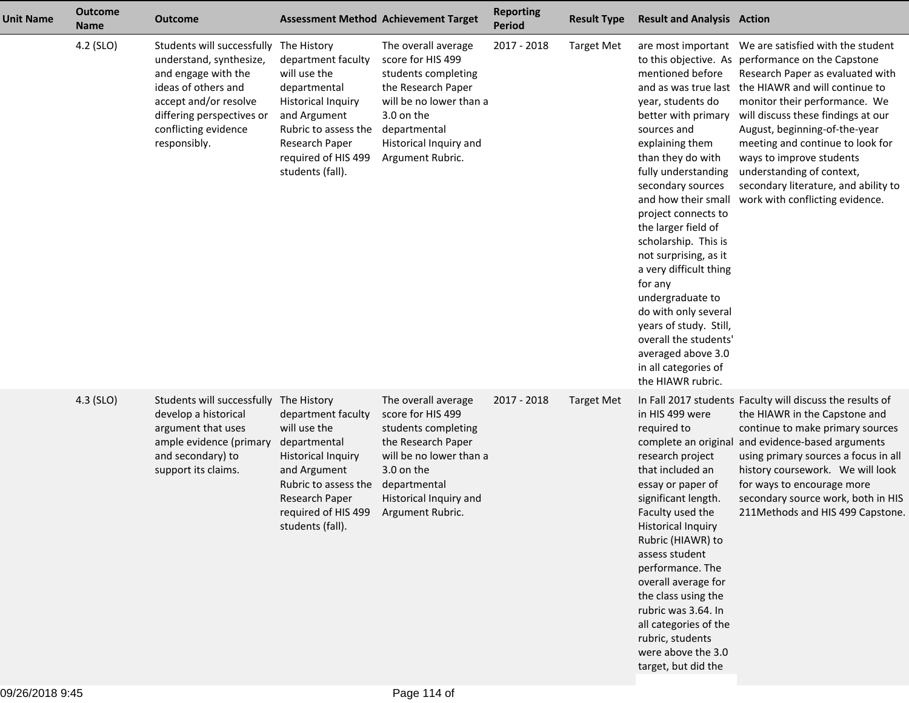| <b>Unit Name</b> | <b>Outcome</b><br><b>Name</b> | <b>Outcome</b>                                                                                                                                                                                    |                                                                                                                                                                                                     | <b>Assessment Method Achievement Target</b>                                                                                                                                                  | <b>Reporting</b><br><b>Period</b> | <b>Result Type</b> | <b>Result and Analysis Action</b>                                                                                                                                                                                                                                                                                                                                                                                                                                                            |                                                                                                                                                                                                                                                                                                                                                                                                                              |
|------------------|-------------------------------|---------------------------------------------------------------------------------------------------------------------------------------------------------------------------------------------------|-----------------------------------------------------------------------------------------------------------------------------------------------------------------------------------------------------|----------------------------------------------------------------------------------------------------------------------------------------------------------------------------------------------|-----------------------------------|--------------------|----------------------------------------------------------------------------------------------------------------------------------------------------------------------------------------------------------------------------------------------------------------------------------------------------------------------------------------------------------------------------------------------------------------------------------------------------------------------------------------------|------------------------------------------------------------------------------------------------------------------------------------------------------------------------------------------------------------------------------------------------------------------------------------------------------------------------------------------------------------------------------------------------------------------------------|
|                  | 4.2 (SLO)                     | Students will successfully<br>understand, synthesize,<br>and engage with the<br>ideas of others and<br>accept and/or resolve<br>differing perspectives or<br>conflicting evidence<br>responsibly. | The History<br>department faculty<br>will use the<br>departmental<br><b>Historical Inquiry</b><br>and Argument<br>Rubric to assess the<br>Research Paper<br>required of HIS 499<br>students (fall). | The overall average<br>score for HIS 499<br>students completing<br>the Research Paper<br>will be no lower than a<br>3.0 on the<br>departmental<br>Historical Inquiry and<br>Argument Rubric. | 2017 - 2018                       | <b>Target Met</b>  | mentioned before<br>year, students do<br>better with primary<br>sources and<br>explaining them<br>than they do with<br>fully understanding<br>secondary sources<br>and how their small<br>project connects to<br>the larger field of<br>scholarship. This is<br>not surprising, as it<br>a very difficult thing<br>for any<br>undergraduate to<br>do with only several<br>years of study. Still,<br>overall the students'<br>averaged above 3.0<br>in all categories of<br>the HIAWR rubric. | to this objective. As performance on the Capstone<br>Research Paper as evaluated with<br>and as was true last the HIAWR and will continue to<br>monitor their performance. We<br>will discuss these findings at our<br>August, beginning-of-the-year<br>meeting and continue to look for<br>ways to improve students<br>understanding of context,<br>secondary literature, and ability to<br>work with conflicting evidence. |
|                  | 4.3 (SLO)                     | Students will successfully<br>develop a historical<br>argument that uses<br>ample evidence (primary<br>and secondary) to<br>support its claims.                                                   | The History<br>department faculty<br>will use the<br>departmental<br><b>Historical Inquiry</b><br>and Argument<br>Rubric to assess the<br>Research Paper<br>required of HIS 499<br>students (fall). | The overall average<br>score for HIS 499<br>students completing<br>the Research Paper<br>will be no lower than a<br>3.0 on the<br>departmental<br>Historical Inquiry and<br>Argument Rubric. | 2017 - 2018                       | <b>Target Met</b>  | in HIS 499 were<br>required to<br>research project<br>that included an<br>essay or paper of<br>significant length.<br>Faculty used the<br><b>Historical Inquiry</b><br>Rubric (HIAWR) to<br>assess student<br>performance. The<br>overall average for<br>the class using the<br>rubric was 3.64. In<br>all categories of the<br>rubric, students<br>were above the 3.0<br>target, but did the                                                                                                | In Fall 2017 students Faculty will discuss the results of<br>the HIAWR in the Capstone and<br>continue to make primary sources<br>complete an original and evidence-based arguments<br>using primary sources a focus in all<br>history coursework. We will look<br>for ways to encourage more<br>secondary source work, both in HIS<br>211Methods and HIS 499 Capstone.                                                      |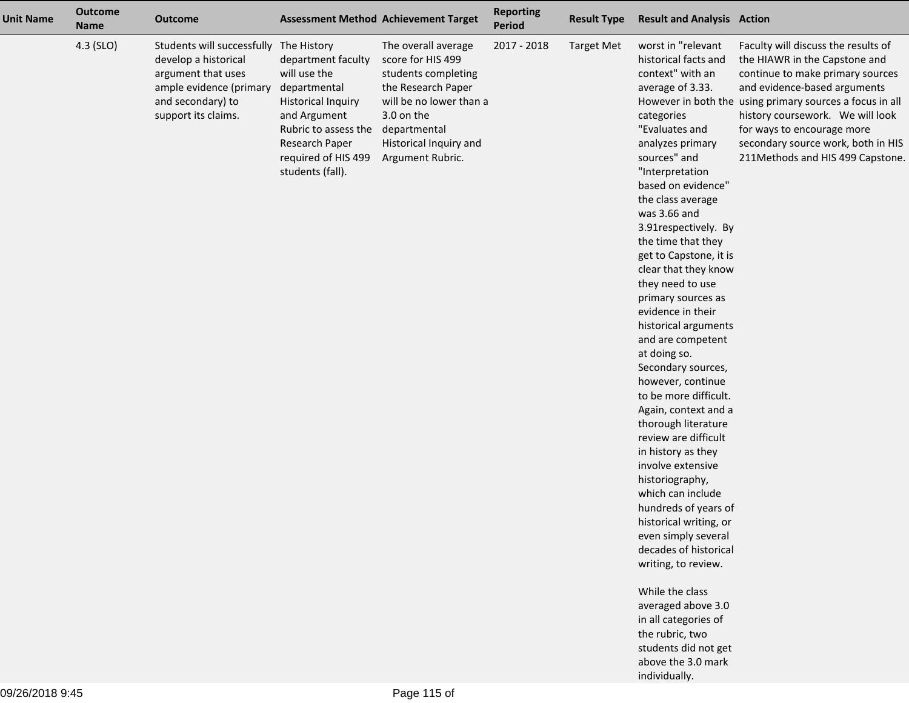| <b>Unit Name</b> | <b>Outcome</b><br><b>Name</b> | <b>Outcome</b>                                                                                                                                              | <b>Assessment Method Achievement Target</b>                                                                                                                                          |                                                                                                                                                                                              | <b>Reporting</b><br>Period | <b>Result Type</b> | <b>Result and Analysis Action</b>                                                                                                                                                                                                                                                                                                                                                                                                                                                                                                                                                                                                                                                                                                                                                                                                                                                                                                                                          |                                                                                                                                                                                                                                                                                                                                                  |
|------------------|-------------------------------|-------------------------------------------------------------------------------------------------------------------------------------------------------------|--------------------------------------------------------------------------------------------------------------------------------------------------------------------------------------|----------------------------------------------------------------------------------------------------------------------------------------------------------------------------------------------|----------------------------|--------------------|----------------------------------------------------------------------------------------------------------------------------------------------------------------------------------------------------------------------------------------------------------------------------------------------------------------------------------------------------------------------------------------------------------------------------------------------------------------------------------------------------------------------------------------------------------------------------------------------------------------------------------------------------------------------------------------------------------------------------------------------------------------------------------------------------------------------------------------------------------------------------------------------------------------------------------------------------------------------------|--------------------------------------------------------------------------------------------------------------------------------------------------------------------------------------------------------------------------------------------------------------------------------------------------------------------------------------------------|
|                  | 4.3 (SLO)                     | Students will successfully The History<br>develop a historical<br>argument that uses<br>ample evidence (primary<br>and secondary) to<br>support its claims. | department faculty<br>will use the<br>departmental<br><b>Historical Inquiry</b><br>and Argument<br>Rubric to assess the<br>Research Paper<br>required of HIS 499<br>students (fall). | The overall average<br>score for HIS 499<br>students completing<br>the Research Paper<br>will be no lower than a<br>3.0 on the<br>departmental<br>Historical Inquiry and<br>Argument Rubric. | 2017 - 2018                | <b>Target Met</b>  | worst in "relevant<br>historical facts and<br>context" with an<br>average of 3.33.<br>categories<br>"Evaluates and<br>analyzes primary<br>sources" and<br>"Interpretation<br>based on evidence"<br>the class average<br>was 3.66 and<br>3.91respectively. By<br>the time that they<br>get to Capstone, it is<br>clear that they know<br>they need to use<br>primary sources as<br>evidence in their<br>historical arguments<br>and are competent<br>at doing so.<br>Secondary sources,<br>however, continue<br>to be more difficult.<br>Again, context and a<br>thorough literature<br>review are difficult<br>in history as they<br>involve extensive<br>historiography,<br>which can include<br>hundreds of years of<br>historical writing, or<br>even simply several<br>decades of historical<br>writing, to review.<br>While the class<br>averaged above 3.0<br>in all categories of<br>the rubric, two<br>students did not get<br>above the 3.0 mark<br>individually. | Faculty will discuss the results of<br>the HIAWR in the Capstone and<br>continue to make primary sources<br>and evidence-based arguments<br>However in both the using primary sources a focus in all<br>history coursework. We will look<br>for ways to encourage more<br>secondary source work, both in HIS<br>211Methods and HIS 499 Capstone. |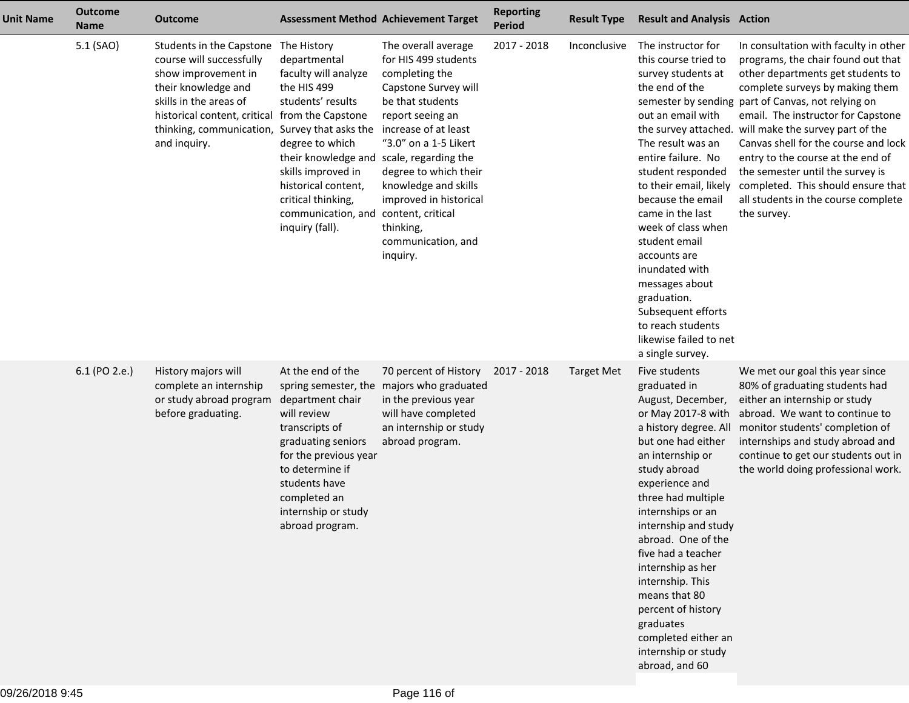| <b>Unit Name</b> | <b>Outcome</b><br><b>Name</b> | <b>Outcome</b>                                                                                                                                                                                           | <b>Assessment Method Achievement Target</b>                                                                                                                                                                                                                                                                                       |                                                                                                                                                                                                                                                                                                          | <b>Reporting</b><br><b>Period</b> | <b>Result Type</b> | <b>Result and Analysis Action</b>                                                                                                                                                                                                                                                                                                                                                                                                                         |                                                                                                                                                                                                                                                                                                                                                                                                                                                                                                                       |
|------------------|-------------------------------|----------------------------------------------------------------------------------------------------------------------------------------------------------------------------------------------------------|-----------------------------------------------------------------------------------------------------------------------------------------------------------------------------------------------------------------------------------------------------------------------------------------------------------------------------------|----------------------------------------------------------------------------------------------------------------------------------------------------------------------------------------------------------------------------------------------------------------------------------------------------------|-----------------------------------|--------------------|-----------------------------------------------------------------------------------------------------------------------------------------------------------------------------------------------------------------------------------------------------------------------------------------------------------------------------------------------------------------------------------------------------------------------------------------------------------|-----------------------------------------------------------------------------------------------------------------------------------------------------------------------------------------------------------------------------------------------------------------------------------------------------------------------------------------------------------------------------------------------------------------------------------------------------------------------------------------------------------------------|
|                  | 5.1 (SAO)                     | Students in the Capstone<br>course will successfully<br>show improvement in<br>their knowledge and<br>skills in the areas of<br>historical content, critical<br>thinking, communication,<br>and inquiry. | The History<br>departmental<br>faculty will analyze<br>the HIS 499<br>students' results<br>from the Capstone<br>Survey that asks the<br>degree to which<br>their knowledge and scale, regarding the<br>skills improved in<br>historical content,<br>critical thinking,<br>communication, and content, critical<br>inquiry (fall). | The overall average<br>for HIS 499 students<br>completing the<br>Capstone Survey will<br>be that students<br>report seeing an<br>increase of at least<br>"3.0" on a 1-5 Likert<br>degree to which their<br>knowledge and skills<br>improved in historical<br>thinking,<br>communication, and<br>inquiry. | 2017 - 2018                       | Inconclusive       | The instructor for<br>this course tried to<br>survey students at<br>the end of the<br>out an email with<br>The result was an<br>entire failure. No<br>student responded<br>to their email, likely<br>because the email<br>came in the last<br>week of class when<br>student email<br>accounts are<br>inundated with<br>messages about<br>graduation.<br>Subsequent efforts<br>to reach students<br>likewise failed to net<br>a single survey.             | In consultation with faculty in other<br>programs, the chair found out that<br>other departments get students to<br>complete surveys by making them<br>semester by sending part of Canvas, not relying on<br>email. The instructor for Capstone<br>the survey attached. will make the survey part of the<br>Canvas shell for the course and lock<br>entry to the course at the end of<br>the semester until the survey is<br>completed. This should ensure that<br>all students in the course complete<br>the survey. |
|                  | 6.1 (PO 2.e.)                 | History majors will<br>complete an internship<br>or study abroad program<br>before graduating.                                                                                                           | At the end of the<br>department chair<br>will review<br>transcripts of<br>graduating seniors<br>for the previous year<br>to determine if<br>students have<br>completed an<br>internship or study<br>abroad program.                                                                                                               | 70 percent of History<br>spring semester, the majors who graduated<br>in the previous year<br>will have completed<br>an internship or study<br>abroad program.                                                                                                                                           | 2017 - 2018                       | <b>Target Met</b>  | Five students<br>graduated in<br>August, December,<br>or May 2017-8 with<br>a history degree. All<br>but one had either<br>an internship or<br>study abroad<br>experience and<br>three had multiple<br>internships or an<br>internship and study<br>abroad. One of the<br>five had a teacher<br>internship as her<br>internship. This<br>means that 80<br>percent of history<br>graduates<br>completed either an<br>internship or study<br>abroad, and 60 | We met our goal this year since<br>80% of graduating students had<br>either an internship or study<br>abroad. We want to continue to<br>monitor students' completion of<br>internships and study abroad and<br>continue to get our students out in<br>the world doing professional work.                                                                                                                                                                                                                              |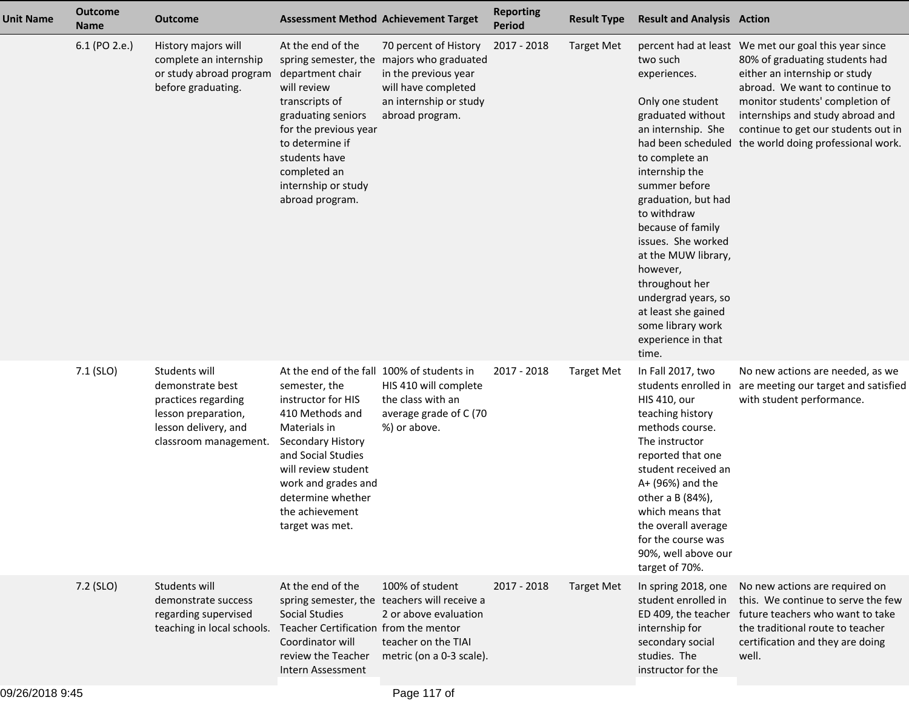| <b>Unit Name</b> | <b>Outcome</b><br><b>Name</b> | <b>Outcome</b>                                                                                                                   | <b>Assessment Method Achievement Target</b>                                                                                                                                                                                                                              |                                                                                                                                                                | <b>Reporting</b><br><b>Period</b> | <b>Result Type</b> | <b>Result and Analysis Action</b>                                                                                                                                                                                                                                                                                                                                                    |                                                                                                                                                                                                                                                                                                                                  |
|------------------|-------------------------------|----------------------------------------------------------------------------------------------------------------------------------|--------------------------------------------------------------------------------------------------------------------------------------------------------------------------------------------------------------------------------------------------------------------------|----------------------------------------------------------------------------------------------------------------------------------------------------------------|-----------------------------------|--------------------|--------------------------------------------------------------------------------------------------------------------------------------------------------------------------------------------------------------------------------------------------------------------------------------------------------------------------------------------------------------------------------------|----------------------------------------------------------------------------------------------------------------------------------------------------------------------------------------------------------------------------------------------------------------------------------------------------------------------------------|
|                  | 6.1 (PO 2.e.)                 | History majors will<br>complete an internship<br>or study abroad program<br>before graduating.                                   | At the end of the<br>department chair<br>will review<br>transcripts of<br>graduating seniors<br>for the previous year<br>to determine if<br>students have<br>completed an<br>internship or study<br>abroad program.                                                      | 70 percent of History<br>spring semester, the majors who graduated<br>in the previous year<br>will have completed<br>an internship or study<br>abroad program. | 2017 - 2018                       | <b>Target Met</b>  | two such<br>experiences.<br>Only one student<br>graduated without<br>an internship. She<br>to complete an<br>internship the<br>summer before<br>graduation, but had<br>to withdraw<br>because of family<br>issues. She worked<br>at the MUW library,<br>however,<br>throughout her<br>undergrad years, so<br>at least she gained<br>some library work<br>experience in that<br>time. | percent had at least We met our goal this year since<br>80% of graduating students had<br>either an internship or study<br>abroad. We want to continue to<br>monitor students' completion of<br>internships and study abroad and<br>continue to get our students out in<br>had been scheduled the world doing professional work. |
|                  | $7.1$ (SLO)                   | Students will<br>demonstrate best<br>practices regarding<br>lesson preparation,<br>lesson delivery, and<br>classroom management. | At the end of the fall 100% of students in<br>semester, the<br>instructor for HIS<br>410 Methods and<br>Materials in<br>Secondary History<br>and Social Studies<br>will review student<br>work and grades and<br>determine whether<br>the achievement<br>target was met. | HIS 410 will complete<br>the class with an<br>average grade of C (70<br>%) or above.                                                                           | 2017 - 2018                       | <b>Target Met</b>  | In Fall 2017, two<br><b>HIS 410, our</b><br>teaching history<br>methods course.<br>The instructor<br>reported that one<br>student received an<br>A+ (96%) and the<br>other a B (84%),<br>which means that<br>the overall average<br>for the course was<br>90%, well above our<br>target of 70%.                                                                                      | No new actions are needed, as we<br>students enrolled in are meeting our target and satisfied<br>with student performance.                                                                                                                                                                                                       |
|                  | 7.2 (SLO)                     | Students will<br>demonstrate success<br>regarding supervised<br>teaching in local schools.                                       | At the end of the<br>Social Studies<br>Teacher Certification from the mentor<br>Coordinator will<br>review the Teacher<br>Intern Assessment                                                                                                                              | 100% of student<br>spring semester, the teachers will receive a<br>2 or above evaluation<br>teacher on the TIAI<br>metric (on a 0-3 scale).                    | 2017 - 2018                       | <b>Target Met</b>  | In spring 2018, one<br>student enrolled in<br>ED 409, the teacher<br>internship for<br>secondary social<br>studies. The<br>instructor for the                                                                                                                                                                                                                                        | No new actions are required on<br>this. We continue to serve the few<br>future teachers who want to take<br>the traditional route to teacher<br>certification and they are doing<br>well.                                                                                                                                        |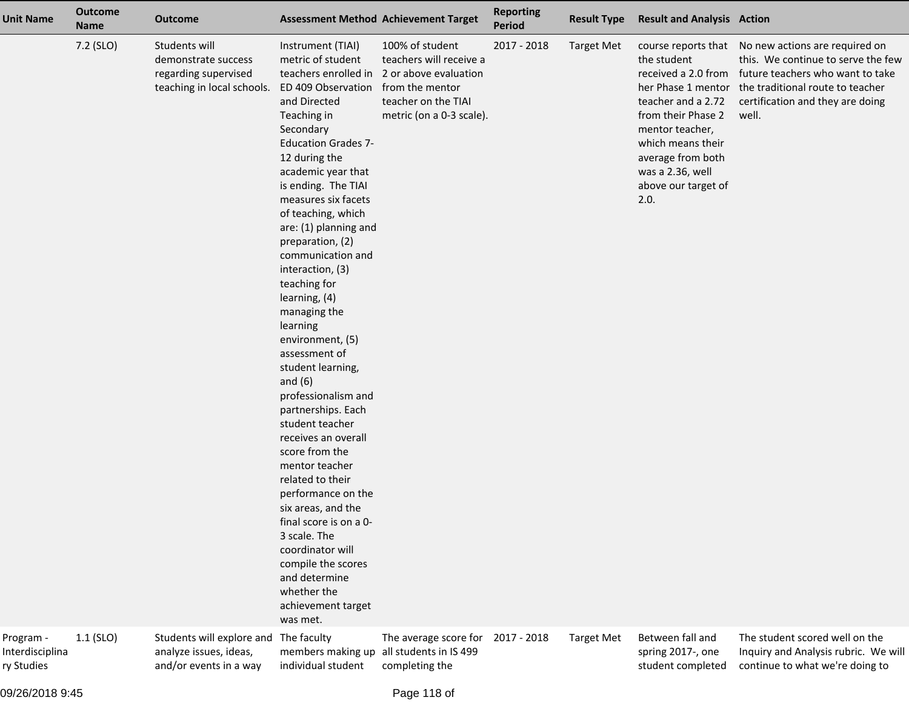| <b>Unit Name</b>                           | <b>Outcome</b><br><b>Name</b> | <b>Outcome</b>                                                                             |                                                                                                                                                                                                                                                                                                                                                                                                                                                                                                                                                                                                                                                                                                                                                                                                                              | <b>Assessment Method Achievement Target</b>                                                                                                                    | <b>Reporting</b><br>Period | <b>Result Type</b> | <b>Result and Analysis Action</b>                                                                                                                                                              |                                                                                                                                                                                                                                  |
|--------------------------------------------|-------------------------------|--------------------------------------------------------------------------------------------|------------------------------------------------------------------------------------------------------------------------------------------------------------------------------------------------------------------------------------------------------------------------------------------------------------------------------------------------------------------------------------------------------------------------------------------------------------------------------------------------------------------------------------------------------------------------------------------------------------------------------------------------------------------------------------------------------------------------------------------------------------------------------------------------------------------------------|----------------------------------------------------------------------------------------------------------------------------------------------------------------|----------------------------|--------------------|------------------------------------------------------------------------------------------------------------------------------------------------------------------------------------------------|----------------------------------------------------------------------------------------------------------------------------------------------------------------------------------------------------------------------------------|
|                                            | 7.2 (SLO)                     | Students will<br>demonstrate success<br>regarding supervised<br>teaching in local schools. | Instrument (TIAI)<br>metric of student<br>ED 409 Observation<br>and Directed<br>Teaching in<br>Secondary<br><b>Education Grades 7-</b><br>12 during the<br>academic year that<br>is ending. The TIAI<br>measures six facets<br>of teaching, which<br>are: (1) planning and<br>preparation, (2)<br>communication and<br>interaction, (3)<br>teaching for<br>learning, (4)<br>managing the<br>learning<br>environment, (5)<br>assessment of<br>student learning,<br>and $(6)$<br>professionalism and<br>partnerships. Each<br>student teacher<br>receives an overall<br>score from the<br>mentor teacher<br>related to their<br>performance on the<br>six areas, and the<br>final score is on a 0-<br>3 scale. The<br>coordinator will<br>compile the scores<br>and determine<br>whether the<br>achievement target<br>was met. | 100% of student<br>teachers will receive a<br>teachers enrolled in 2 or above evaluation<br>from the mentor<br>teacher on the TIAI<br>metric (on a 0-3 scale). | 2017 - 2018                | <b>Target Met</b>  | the student<br>received a 2.0 from<br>teacher and a 2.72<br>from their Phase 2<br>mentor teacher,<br>which means their<br>average from both<br>was a 2.36, well<br>above our target of<br>2.0. | course reports that No new actions are required on<br>this. We continue to serve the few<br>future teachers who want to take<br>her Phase 1 mentor the traditional route to teacher<br>certification and they are doing<br>well. |
| Program -<br>Interdisciplina<br>ry Studies | $1.1$ (SLO)                   | Students will explore and The faculty<br>analyze issues, ideas,<br>and/or events in a way  | members making up<br>individual student                                                                                                                                                                                                                                                                                                                                                                                                                                                                                                                                                                                                                                                                                                                                                                                      | The average score for<br>all students in IS 499<br>completing the                                                                                              | 2017 - 2018                | <b>Target Met</b>  | Between fall and<br>spring 2017-, one<br>student completed                                                                                                                                     | The student scored well on the<br>Inquiry and Analysis rubric. We will<br>continue to what we're doing to                                                                                                                        |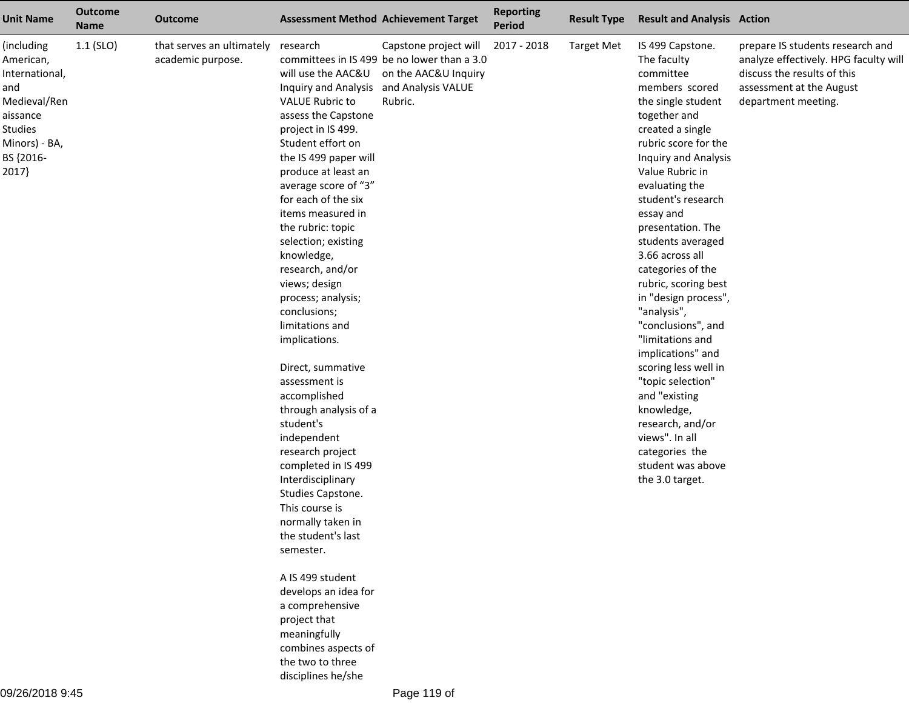| <b>Unit Name</b>                                                                                                                      | <b>Outcome</b><br><b>Name</b> | <b>Outcome</b>                                 | <b>Assessment Method Achievement Target</b>                                                                                                                                                                                                                                                                                                                                                                                                                                                                                                                                                                                                                                                                                                                                                                                                                        |                                                                                                         | <b>Reporting</b><br><b>Period</b> | <b>Result Type</b> | <b>Result and Analysis Action</b>                                                                                                                                                                                                                                                                                                                                                                                                                                                                                                                                                                                                                   |                                                                                                                                                             |
|---------------------------------------------------------------------------------------------------------------------------------------|-------------------------------|------------------------------------------------|--------------------------------------------------------------------------------------------------------------------------------------------------------------------------------------------------------------------------------------------------------------------------------------------------------------------------------------------------------------------------------------------------------------------------------------------------------------------------------------------------------------------------------------------------------------------------------------------------------------------------------------------------------------------------------------------------------------------------------------------------------------------------------------------------------------------------------------------------------------------|---------------------------------------------------------------------------------------------------------|-----------------------------------|--------------------|-----------------------------------------------------------------------------------------------------------------------------------------------------------------------------------------------------------------------------------------------------------------------------------------------------------------------------------------------------------------------------------------------------------------------------------------------------------------------------------------------------------------------------------------------------------------------------------------------------------------------------------------------------|-------------------------------------------------------------------------------------------------------------------------------------------------------------|
| (including<br>American,<br>International,<br>and<br>Medieval/Ren<br>aissance<br><b>Studies</b><br>Minors) - BA,<br>BS {2016-<br>2017} | $1.1$ (SLO)                   | that serves an ultimately<br>academic purpose. | research<br>will use the AAC&U<br>Inquiry and Analysis and Analysis VALUE<br><b>VALUE Rubric to</b><br>assess the Capstone<br>project in IS 499.<br>Student effort on<br>the IS 499 paper will<br>produce at least an<br>average score of "3"<br>for each of the six<br>items measured in<br>the rubric: topic<br>selection; existing<br>knowledge,<br>research, and/or<br>views; design<br>process; analysis;<br>conclusions;<br>limitations and<br>implications.<br>Direct, summative<br>assessment is<br>accomplished<br>through analysis of a<br>student's<br>independent<br>research project<br>completed in IS 499<br>Interdisciplinary<br>Studies Capstone.<br>This course is<br>normally taken in<br>the student's last<br>semester.<br>A IS 499 student<br>develops an idea for<br>a comprehensive<br>project that<br>meaningfully<br>combines aspects of | Capstone project will<br>committees in IS 499 be no lower than a 3.0<br>on the AAC&U Inquiry<br>Rubric. | 2017 - 2018                       | <b>Target Met</b>  | IS 499 Capstone.<br>The faculty<br>committee<br>members scored<br>the single student<br>together and<br>created a single<br>rubric score for the<br><b>Inquiry and Analysis</b><br>Value Rubric in<br>evaluating the<br>student's research<br>essay and<br>presentation. The<br>students averaged<br>3.66 across all<br>categories of the<br>rubric, scoring best<br>in "design process",<br>"analysis",<br>"conclusions", and<br>"limitations and<br>implications" and<br>scoring less well in<br>"topic selection"<br>and "existing<br>knowledge,<br>research, and/or<br>views". In all<br>categories the<br>student was above<br>the 3.0 target. | prepare IS students research and<br>analyze effectively. HPG faculty will<br>discuss the results of this<br>assessment at the August<br>department meeting. |
|                                                                                                                                       |                               |                                                | the two to three                                                                                                                                                                                                                                                                                                                                                                                                                                                                                                                                                                                                                                                                                                                                                                                                                                                   |                                                                                                         |                                   |                    |                                                                                                                                                                                                                                                                                                                                                                                                                                                                                                                                                                                                                                                     |                                                                                                                                                             |

disciplines he/she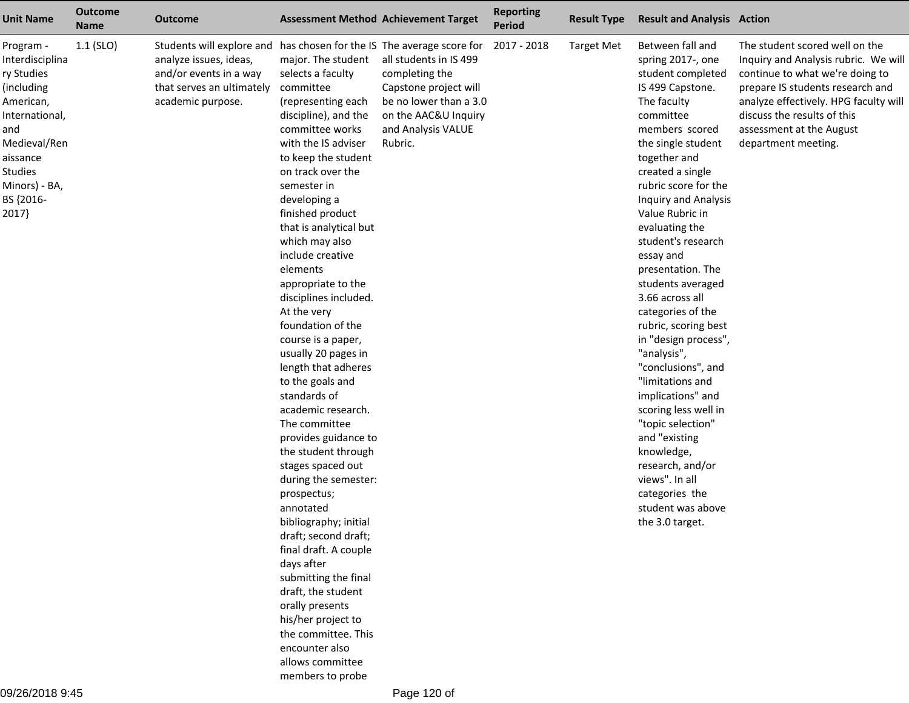| <b>Unit Name</b>                                                                                                                                                                    | <b>Outcome</b><br><b>Name</b> | <b>Outcome</b>                                                                                                                                                              |                                                                                                                                                                                                                                                                                                                                                                                                                                                                                                                                                                                                                                                                                                                                                                                                                                                                                                                                                   | <b>Assessment Method Achievement Target</b>                                                                                                          | <b>Reporting</b><br><b>Period</b> | <b>Result Type</b> | <b>Result and Analysis Action</b>                                                                                                                                                                                                                                                                                                                                                                                                                                                                                                                                                                                                                                                                                 |                                                                                                                                                                                                                                                                          |
|-------------------------------------------------------------------------------------------------------------------------------------------------------------------------------------|-------------------------------|-----------------------------------------------------------------------------------------------------------------------------------------------------------------------------|---------------------------------------------------------------------------------------------------------------------------------------------------------------------------------------------------------------------------------------------------------------------------------------------------------------------------------------------------------------------------------------------------------------------------------------------------------------------------------------------------------------------------------------------------------------------------------------------------------------------------------------------------------------------------------------------------------------------------------------------------------------------------------------------------------------------------------------------------------------------------------------------------------------------------------------------------|------------------------------------------------------------------------------------------------------------------------------------------------------|-----------------------------------|--------------------|-------------------------------------------------------------------------------------------------------------------------------------------------------------------------------------------------------------------------------------------------------------------------------------------------------------------------------------------------------------------------------------------------------------------------------------------------------------------------------------------------------------------------------------------------------------------------------------------------------------------------------------------------------------------------------------------------------------------|--------------------------------------------------------------------------------------------------------------------------------------------------------------------------------------------------------------------------------------------------------------------------|
| Program -<br>Interdisciplina<br>ry Studies<br>(including<br>American,<br>International,<br>and<br>Medieval/Ren<br>aissance<br><b>Studies</b><br>Minors) - BA,<br>BS {2016-<br>2017} | $1.1$ (SLO)                   | Students will explore and has chosen for the IS The average score for<br>analyze issues, ideas,<br>and/or events in a way<br>that serves an ultimately<br>academic purpose. | major. The student<br>selects a faculty<br>committee<br>(representing each<br>discipline), and the<br>committee works<br>with the IS adviser<br>to keep the student<br>on track over the<br>semester in<br>developing a<br>finished product<br>that is analytical but<br>which may also<br>include creative<br>elements<br>appropriate to the<br>disciplines included.<br>At the very<br>foundation of the<br>course is a paper,<br>usually 20 pages in<br>length that adheres<br>to the goals and<br>standards of<br>academic research.<br>The committee<br>provides guidance to<br>the student through<br>stages spaced out<br>during the semester:<br>prospectus;<br>annotated<br>bibliography; initial<br>draft; second draft;<br>final draft. A couple<br>days after<br>submitting the final<br>draft, the student<br>orally presents<br>his/her project to<br>the committee. This<br>encounter also<br>allows committee<br>members to probe | all students in IS 499<br>completing the<br>Capstone project will<br>be no lower than a 3.0<br>on the AAC&U Inquiry<br>and Analysis VALUE<br>Rubric. | 2017 - 2018                       | <b>Target Met</b>  | Between fall and<br>spring 2017-, one<br>student completed<br>IS 499 Capstone.<br>The faculty<br>committee<br>members scored<br>the single student<br>together and<br>created a single<br>rubric score for the<br><b>Inquiry and Analysis</b><br>Value Rubric in<br>evaluating the<br>student's research<br>essay and<br>presentation. The<br>students averaged<br>3.66 across all<br>categories of the<br>rubric, scoring best<br>in "design process",<br>"analysis",<br>"conclusions", and<br>"limitations and<br>implications" and<br>scoring less well in<br>"topic selection"<br>and "existing<br>knowledge,<br>research, and/or<br>views". In all<br>categories the<br>student was above<br>the 3.0 target. | The student scored well on the<br>Inquiry and Analysis rubric. We will<br>continue to what we're doing to<br>prepare IS students research and<br>analyze effectively. HPG faculty will<br>discuss the results of this<br>assessment at the August<br>department meeting. |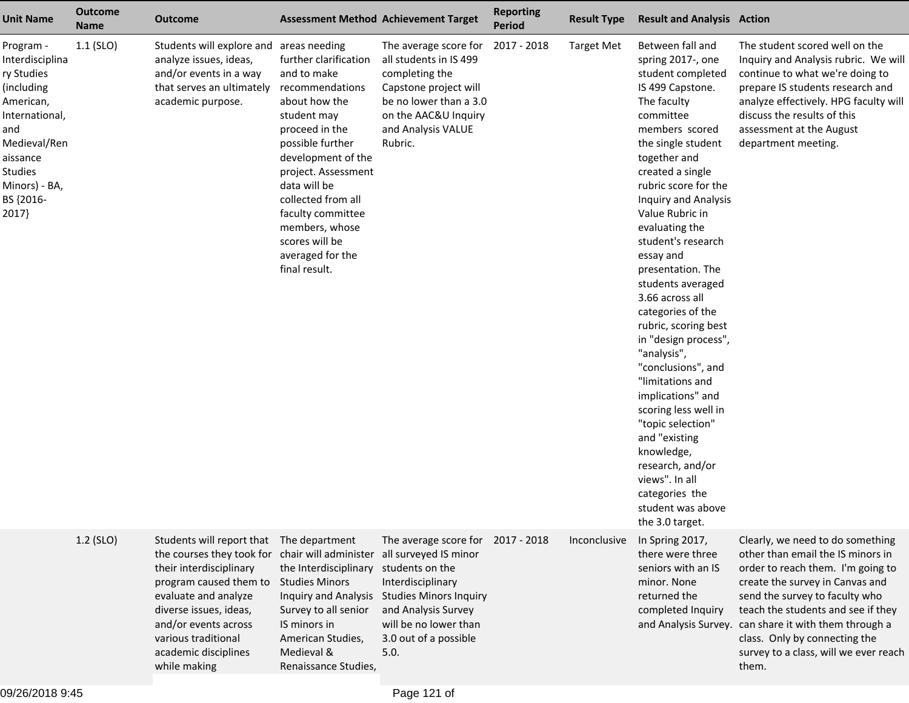| <b>Unit Name</b>                                                                                                                                                                   | <b>Outcome</b><br><b>Name</b> | <b>Outcome</b>                                                                                                                                                                                                                                       | <b>Assessment Method Achievement Target</b>                                                                                                                                                                                                                                                                    |                                                                                                                                                                                                                      | <b>Reporting</b><br><b>Period</b> | <b>Result Type</b> | <b>Result and Analysis Action</b>                                                                                                                                                                                                                                                                                                                                                                                                                                                                                                                                                                                                                                                                          |                                                                                                                                                                                                                                                                                                                                                                   |
|------------------------------------------------------------------------------------------------------------------------------------------------------------------------------------|-------------------------------|------------------------------------------------------------------------------------------------------------------------------------------------------------------------------------------------------------------------------------------------------|----------------------------------------------------------------------------------------------------------------------------------------------------------------------------------------------------------------------------------------------------------------------------------------------------------------|----------------------------------------------------------------------------------------------------------------------------------------------------------------------------------------------------------------------|-----------------------------------|--------------------|------------------------------------------------------------------------------------------------------------------------------------------------------------------------------------------------------------------------------------------------------------------------------------------------------------------------------------------------------------------------------------------------------------------------------------------------------------------------------------------------------------------------------------------------------------------------------------------------------------------------------------------------------------------------------------------------------------|-------------------------------------------------------------------------------------------------------------------------------------------------------------------------------------------------------------------------------------------------------------------------------------------------------------------------------------------------------------------|
| Program -<br>Interdisciplina<br>ry Studies<br>(including<br>American,<br>International,<br>and<br>Medieval/Ren<br>aissance<br><b>Studies</b><br>Minors) - BA,<br>BS {2016-<br>2017 | $1.1$ (SLO)                   | Students will explore and areas needing<br>analyze issues, ideas,<br>and/or events in a way<br>that serves an ultimately<br>academic purpose.                                                                                                        | further clarification<br>and to make<br>recommendations<br>about how the<br>student may<br>proceed in the<br>possible further<br>development of the<br>project. Assessment<br>data will be<br>collected from all<br>faculty committee<br>members, whose<br>scores will be<br>averaged for the<br>final result. | The average score for<br>all students in IS 499<br>completing the<br>Capstone project will<br>be no lower than a 3.0<br>on the AAC&U Inquiry<br>and Analysis VALUE<br>Rubric.                                        | 2017 - 2018                       | <b>Target Met</b>  | Between fall and<br>spring 2017-, one<br>student completed<br>IS 499 Capstone.<br>The faculty<br>committee<br>members scored<br>the single student<br>together and<br>created a single<br>rubric score for the<br>Inquiry and Analysis<br>Value Rubric in<br>evaluating the<br>student's research<br>essay and<br>presentation. The<br>students averaged<br>3.66 across all<br>categories of the<br>rubric, scoring best<br>in "design process",<br>"analysis",<br>"conclusions", and<br>"limitations and<br>implications" and<br>scoring less well in<br>"topic selection"<br>and "existing<br>knowledge,<br>research, and/or<br>views". In all<br>categories the<br>student was above<br>the 3.0 target. | The student scored well on the<br>Inquiry and Analysis rubric. We will<br>continue to what we're doing to<br>prepare IS students research and<br>analyze effectively. HPG faculty will<br>discuss the results of this<br>assessment at the August<br>department meeting.                                                                                          |
|                                                                                                                                                                                    | 1.2 (SLO)                     | Students will report that<br>the courses they took for<br>their interdisciplinary<br>program caused them to<br>evaluate and analyze<br>diverse issues, ideas,<br>and/or events across<br>various traditional<br>academic disciplines<br>while making | The department<br>chair will administer<br>the Interdisciplinary<br><b>Studies Minors</b><br>Inquiry and Analysis<br>Survey to all senior<br>IS minors in<br>American Studies,<br>Medieval &<br>Renaissance Studies,                                                                                           | The average score for 2017 - 2018<br>all surveyed IS minor<br>students on the<br>Interdisciplinary<br><b>Studies Minors Inquiry</b><br>and Analysis Survey<br>will be no lower than<br>3.0 out of a possible<br>5.0. |                                   | Inconclusive       | In Spring 2017,<br>there were three<br>seniors with an IS<br>minor. None<br>returned the<br>completed Inquiry                                                                                                                                                                                                                                                                                                                                                                                                                                                                                                                                                                                              | Clearly, we need to do something<br>other than email the IS minors in<br>order to reach them. I'm going to<br>create the survey in Canvas and<br>send the survey to faculty who<br>teach the students and see if they<br>and Analysis Survey. can share it with them through a<br>class. Only by connecting the<br>survey to a class, will we ever reach<br>them. |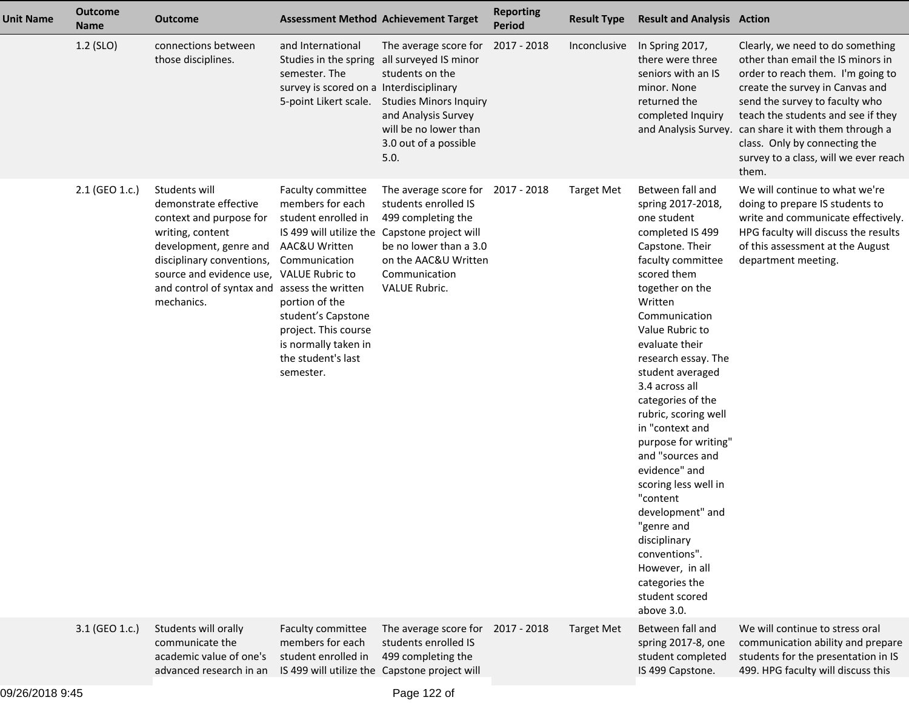| <b>Unit Name</b> | <b>Outcome</b><br><b>Name</b> | <b>Outcome</b>                                                                                                                                                                                                                                         |                                                                                                                                                                                                                                                      | <b>Assessment Method Achievement Target</b>                                                                                                                                         | <b>Reporting</b><br><b>Period</b> | <b>Result Type</b> | <b>Result and Analysis Action</b>                                                                                                                                                                                                                                                                                                                                                                                                                                                                                                                                                         |                                                                                                                                                                                                                                                                                                                                                                   |
|------------------|-------------------------------|--------------------------------------------------------------------------------------------------------------------------------------------------------------------------------------------------------------------------------------------------------|------------------------------------------------------------------------------------------------------------------------------------------------------------------------------------------------------------------------------------------------------|-------------------------------------------------------------------------------------------------------------------------------------------------------------------------------------|-----------------------------------|--------------------|-------------------------------------------------------------------------------------------------------------------------------------------------------------------------------------------------------------------------------------------------------------------------------------------------------------------------------------------------------------------------------------------------------------------------------------------------------------------------------------------------------------------------------------------------------------------------------------------|-------------------------------------------------------------------------------------------------------------------------------------------------------------------------------------------------------------------------------------------------------------------------------------------------------------------------------------------------------------------|
|                  | 1.2 (SLO)                     | connections between<br>those disciplines.                                                                                                                                                                                                              | and International<br>Studies in the spring<br>semester. The<br>survey is scored on a Interdisciplinary<br>5-point Likert scale.                                                                                                                      | The average score for<br>all surveyed IS minor<br>students on the<br><b>Studies Minors Inquiry</b><br>and Analysis Survey<br>will be no lower than<br>3.0 out of a possible<br>5.0. | 2017 - 2018                       | Inconclusive       | In Spring 2017,<br>there were three<br>seniors with an IS<br>minor. None<br>returned the<br>completed Inquiry                                                                                                                                                                                                                                                                                                                                                                                                                                                                             | Clearly, we need to do something<br>other than email the IS minors in<br>order to reach them. I'm going to<br>create the survey in Canvas and<br>send the survey to faculty who<br>teach the students and see if they<br>and Analysis Survey. can share it with them through a<br>class. Only by connecting the<br>survey to a class, will we ever reach<br>them. |
|                  | 2.1 (GEO 1.c.)                | Students will<br>demonstrate effective<br>context and purpose for<br>writing, content<br>development, genre and<br>disciplinary conventions,<br>source and evidence use, VALUE Rubric to<br>and control of syntax and assess the written<br>mechanics. | Faculty committee<br>members for each<br>student enrolled in<br>IS 499 will utilize the<br>AAC&U Written<br>Communication<br>portion of the<br>student's Capstone<br>project. This course<br>is normally taken in<br>the student's last<br>semester. | The average score for<br>students enrolled IS<br>499 completing the<br>Capstone project will<br>be no lower than a 3.0<br>on the AAC&U Written<br>Communication<br>VALUE Rubric.    | 2017 - 2018                       | <b>Target Met</b>  | Between fall and<br>spring 2017-2018,<br>one student<br>completed IS 499<br>Capstone. Their<br>faculty committee<br>scored them<br>together on the<br>Written<br>Communication<br>Value Rubric to<br>evaluate their<br>research essay. The<br>student averaged<br>3.4 across all<br>categories of the<br>rubric, scoring well<br>in "context and<br>purpose for writing"<br>and "sources and<br>evidence" and<br>scoring less well in<br>"content<br>development" and<br>"genre and<br>disciplinary<br>conventions".<br>However, in all<br>categories the<br>student scored<br>above 3.0. | We will continue to what we're<br>doing to prepare IS students to<br>write and communicate effectively.<br>HPG faculty will discuss the results<br>of this assessment at the August<br>department meeting.                                                                                                                                                        |
|                  | 3.1 (GEO 1.c.)                | Students will orally<br>communicate the<br>academic value of one's<br>advanced research in an                                                                                                                                                          | Faculty committee<br>members for each<br>student enrolled in                                                                                                                                                                                         | The average score for<br>students enrolled IS<br>499 completing the<br>IS 499 will utilize the Capstone project will                                                                | 2017 - 2018                       | <b>Target Met</b>  | Between fall and<br>spring 2017-8, one<br>student completed<br>IS 499 Capstone.                                                                                                                                                                                                                                                                                                                                                                                                                                                                                                           | We will continue to stress oral<br>communication ability and prepare<br>students for the presentation in IS<br>499. HPG faculty will discuss this                                                                                                                                                                                                                 |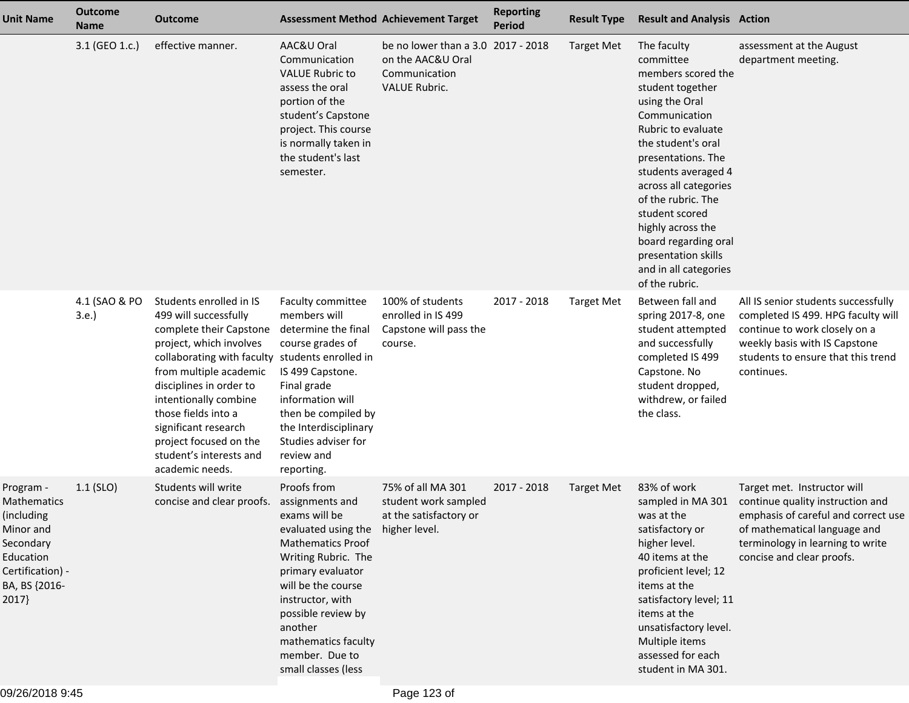| <b>Unit Name</b>                                                                                                           | <b>Outcome</b><br><b>Name</b> | <b>Outcome</b>                                                                                                                                                                                                                                                                                                                                                 |                                                                                                                                                                                                                                                                                                         | <b>Assessment Method Achievement Target</b>                                                      | <b>Reporting</b><br><b>Period</b> | <b>Result Type</b> | <b>Result and Analysis Action</b>                                                                                                                                                                                                                                                                                                                                              |                                                                                                                                                                                                         |
|----------------------------------------------------------------------------------------------------------------------------|-------------------------------|----------------------------------------------------------------------------------------------------------------------------------------------------------------------------------------------------------------------------------------------------------------------------------------------------------------------------------------------------------------|---------------------------------------------------------------------------------------------------------------------------------------------------------------------------------------------------------------------------------------------------------------------------------------------------------|--------------------------------------------------------------------------------------------------|-----------------------------------|--------------------|--------------------------------------------------------------------------------------------------------------------------------------------------------------------------------------------------------------------------------------------------------------------------------------------------------------------------------------------------------------------------------|---------------------------------------------------------------------------------------------------------------------------------------------------------------------------------------------------------|
|                                                                                                                            | 3.1 (GEO 1.c.)                | effective manner.                                                                                                                                                                                                                                                                                                                                              | AAC&U Oral<br>Communication<br><b>VALUE Rubric to</b><br>assess the oral<br>portion of the<br>student's Capstone<br>project. This course<br>is normally taken in<br>the student's last<br>semester.                                                                                                     | be no lower than a 3.0 2017 - 2018<br>on the AAC&U Oral<br>Communication<br><b>VALUE Rubric.</b> |                                   | <b>Target Met</b>  | The faculty<br>committee<br>members scored the<br>student together<br>using the Oral<br>Communication<br>Rubric to evaluate<br>the student's oral<br>presentations. The<br>students averaged 4<br>across all categories<br>of the rubric. The<br>student scored<br>highly across the<br>board regarding oral<br>presentation skills<br>and in all categories<br>of the rubric. | assessment at the August<br>department meeting.                                                                                                                                                         |
|                                                                                                                            | 4.1 (SAO & PO<br>3.e.         | Students enrolled in IS<br>499 will successfully<br>complete their Capstone<br>project, which involves<br>collaborating with faculty students enrolled in<br>from multiple academic<br>disciplines in order to<br>intentionally combine<br>those fields into a<br>significant research<br>project focused on the<br>student's interests and<br>academic needs. | Faculty committee<br>members will<br>determine the final<br>course grades of<br>IS 499 Capstone.<br>Final grade<br>information will<br>then be compiled by<br>the Interdisciplinary<br>Studies adviser for<br>review and<br>reporting.                                                                  | 100% of students<br>enrolled in IS 499<br>Capstone will pass the<br>course.                      | 2017 - 2018                       | <b>Target Met</b>  | Between fall and<br>spring 2017-8, one<br>student attempted<br>and successfully<br>completed IS 499<br>Capstone. No<br>student dropped,<br>withdrew, or failed<br>the class.                                                                                                                                                                                                   | All IS senior students successfully<br>completed IS 499. HPG faculty will<br>continue to work closely on a<br>weekly basis with IS Capstone<br>students to ensure that this trend<br>continues.         |
| Program -<br>Mathematics<br>(including<br>Minor and<br>Secondary<br>Education<br>Certification) -<br>BA, BS {2016-<br>2017 | $1.1$ (SLO)                   | Students will write<br>concise and clear proofs.                                                                                                                                                                                                                                                                                                               | Proofs from<br>assignments and<br>exams will be<br>evaluated using the higher level.<br><b>Mathematics Proof</b><br>Writing Rubric. The<br>primary evaluator<br>will be the course<br>instructor, with<br>possible review by<br>another<br>mathematics faculty<br>member. Due to<br>small classes (less | 75% of all MA 301<br>student work sampled<br>at the satisfactory or                              | 2017 - 2018                       | <b>Target Met</b>  | 83% of work<br>sampled in MA 301<br>was at the<br>satisfactory or<br>higher level.<br>40 items at the<br>proficient level; 12<br>items at the<br>satisfactory level; 11<br>items at the<br>unsatisfactory level.<br>Multiple items<br>assessed for each<br>student in MA 301.                                                                                                  | Target met. Instructor will<br>continue quality instruction and<br>emphasis of careful and correct use<br>of mathematical language and<br>terminology in learning to write<br>concise and clear proofs. |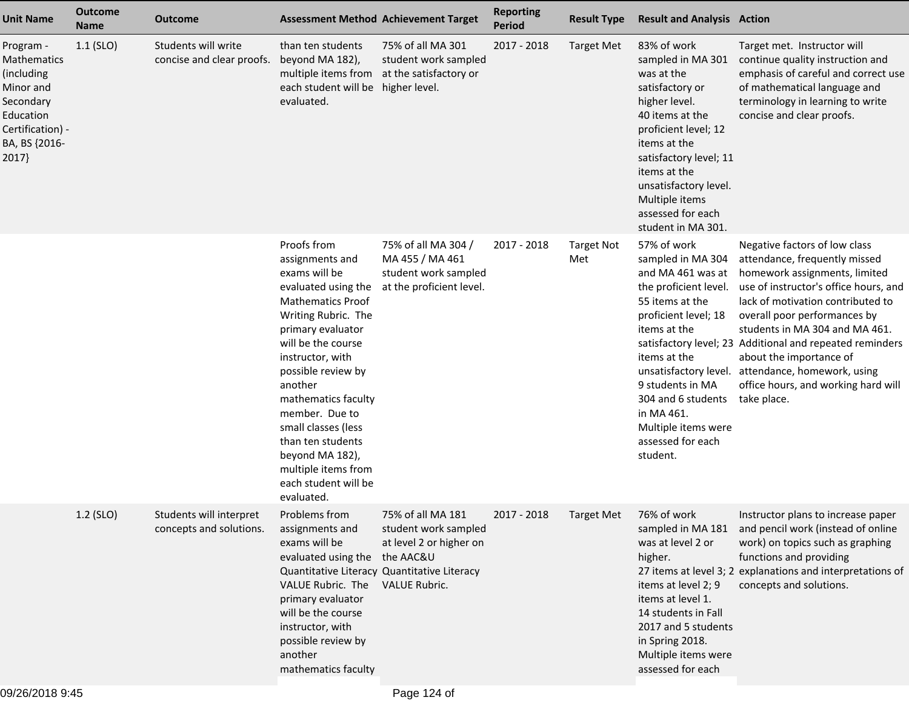| <b>Unit Name</b>                                                                                                            | <b>Outcome</b><br><b>Name</b> | <b>Outcome</b>                                     | <b>Assessment Method Achievement Target</b>                                                                                                                                                                                                                                                                                                                                                    |                                                                                              | <b>Reporting</b><br><b>Period</b> | <b>Result Type</b>       | <b>Result and Analysis Action</b>                                                                                                                                                                                                                                             |                                                                                                                                                                                                                                                                                                                                                                                                                                                   |
|-----------------------------------------------------------------------------------------------------------------------------|-------------------------------|----------------------------------------------------|------------------------------------------------------------------------------------------------------------------------------------------------------------------------------------------------------------------------------------------------------------------------------------------------------------------------------------------------------------------------------------------------|----------------------------------------------------------------------------------------------|-----------------------------------|--------------------------|-------------------------------------------------------------------------------------------------------------------------------------------------------------------------------------------------------------------------------------------------------------------------------|---------------------------------------------------------------------------------------------------------------------------------------------------------------------------------------------------------------------------------------------------------------------------------------------------------------------------------------------------------------------------------------------------------------------------------------------------|
| Program -<br>Mathematics<br>(including<br>Minor and<br>Secondary<br>Education<br>Certification) -<br>BA, BS {2016-<br>2017} | $1.1$ (SLO)                   | Students will write<br>concise and clear proofs.   | than ten students<br>beyond MA 182),<br>multiple items from<br>each student will be higher level.<br>evaluated.                                                                                                                                                                                                                                                                                | 75% of all MA 301<br>student work sampled<br>at the satisfactory or                          | 2017 - 2018                       | <b>Target Met</b>        | 83% of work<br>sampled in MA 301<br>was at the<br>satisfactory or<br>higher level.<br>40 items at the<br>proficient level; 12<br>items at the<br>satisfactory level; 11<br>items at the<br>unsatisfactory level.<br>Multiple items<br>assessed for each<br>student in MA 301. | Target met. Instructor will<br>continue quality instruction and<br>emphasis of careful and correct use<br>of mathematical language and<br>terminology in learning to write<br>concise and clear proofs.                                                                                                                                                                                                                                           |
|                                                                                                                             |                               |                                                    | Proofs from<br>assignments and<br>exams will be<br>evaluated using the<br><b>Mathematics Proof</b><br>Writing Rubric. The<br>primary evaluator<br>will be the course<br>instructor, with<br>possible review by<br>another<br>mathematics faculty<br>member. Due to<br>small classes (less<br>than ten students<br>beyond MA 182),<br>multiple items from<br>each student will be<br>evaluated. | 75% of all MA 304 /<br>MA 455 / MA 461<br>student work sampled<br>at the proficient level.   | 2017 - 2018                       | <b>Target Not</b><br>Met | 57% of work<br>sampled in MA 304<br>and MA 461 was at<br>the proficient level.<br>55 items at the<br>proficient level; 18<br>items at the<br>items at the<br>9 students in MA<br>304 and 6 students<br>in MA 461.<br>Multiple items were<br>assessed for each<br>student.     | Negative factors of low class<br>attendance, frequently missed<br>homework assignments, limited<br>use of instructor's office hours, and<br>lack of motivation contributed to<br>overall poor performances by<br>students in MA 304 and MA 461.<br>satisfactory level; 23 Additional and repeated reminders<br>about the importance of<br>unsatisfactory level. attendance, homework, using<br>office hours, and working hard will<br>take place. |
|                                                                                                                             | 1.2 (SLO)                     | Students will interpret<br>concepts and solutions. | Problems from<br>assignments and<br>exams will be<br>evaluated using the the AAC&U<br>Quantitative Literacy Quantitative Literacy<br>VALUE Rubric. The<br>primary evaluator<br>will be the course<br>instructor, with<br>possible review by<br>another<br>mathematics faculty                                                                                                                  | 75% of all MA 181<br>student work sampled<br>at level 2 or higher on<br><b>VALUE Rubric.</b> | 2017 - 2018                       | <b>Target Met</b>        | 76% of work<br>was at level 2 or<br>higher.<br>items at level 2; 9<br>items at level 1.<br>14 students in Fall<br>2017 and 5 students<br>in Spring 2018.<br>Multiple items were<br>assessed for each                                                                          | Instructor plans to increase paper<br>sampled in MA 181 and pencil work (instead of online<br>work) on topics such as graphing<br>functions and providing<br>27 items at level 3; 2 explanations and interpretations of<br>concepts and solutions.                                                                                                                                                                                                |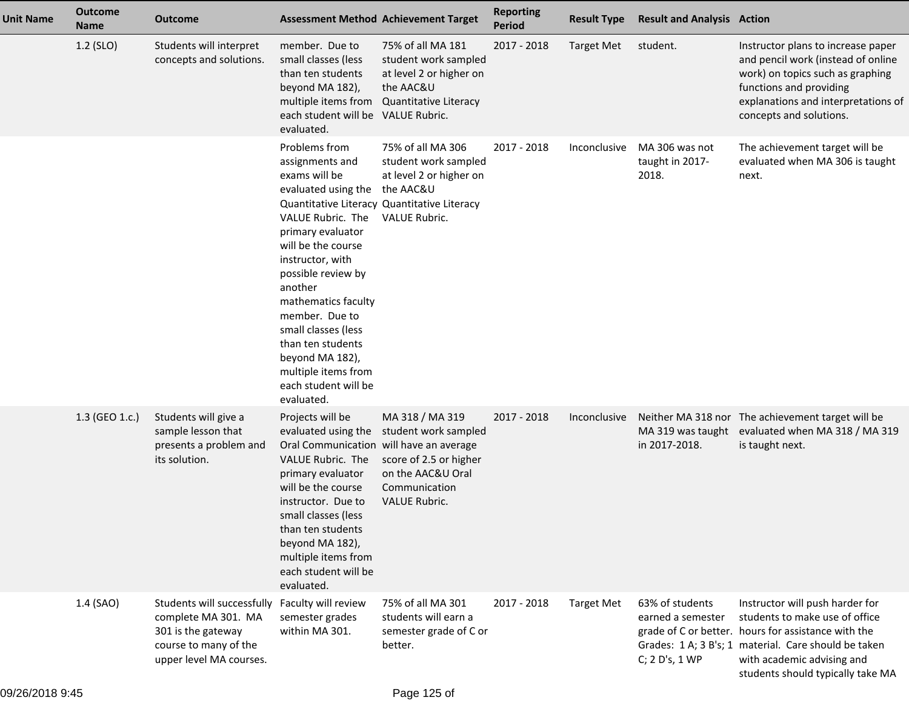| <b>Unit Name</b> | <b>Outcome</b><br><b>Name</b> | <b>Outcome</b>                                                                                                                                  |                                                                                                                                                                                                                                                                                                                                                                    | <b>Assessment Method Achievement Target</b>                                                                                                              | <b>Reporting</b><br><b>Period</b> | <b>Result Type</b> | <b>Result and Analysis Action</b>                      |                                                                                                                                                                                                                                                     |
|------------------|-------------------------------|-------------------------------------------------------------------------------------------------------------------------------------------------|--------------------------------------------------------------------------------------------------------------------------------------------------------------------------------------------------------------------------------------------------------------------------------------------------------------------------------------------------------------------|----------------------------------------------------------------------------------------------------------------------------------------------------------|-----------------------------------|--------------------|--------------------------------------------------------|-----------------------------------------------------------------------------------------------------------------------------------------------------------------------------------------------------------------------------------------------------|
|                  | $1.2$ (SLO)                   | Students will interpret<br>concepts and solutions.                                                                                              | member. Due to<br>small classes (less<br>than ten students<br>beyond MA 182),<br>multiple items from<br>each student will be VALUE Rubric.<br>evaluated.                                                                                                                                                                                                           | 75% of all MA 181<br>student work sampled<br>at level 2 or higher on<br>the AAC&U<br>Quantitative Literacy                                               | 2017 - 2018                       | <b>Target Met</b>  | student.                                               | Instructor plans to increase paper<br>and pencil work (instead of online<br>work) on topics such as graphing<br>functions and providing<br>explanations and interpretations of<br>concepts and solutions.                                           |
|                  |                               |                                                                                                                                                 | Problems from<br>assignments and<br>exams will be<br>evaluated using the<br>VALUE Rubric. The<br>primary evaluator<br>will be the course<br>instructor, with<br>possible review by<br>another<br>mathematics faculty<br>member. Due to<br>small classes (less<br>than ten students<br>beyond MA 182),<br>multiple items from<br>each student will be<br>evaluated. | 75% of all MA 306<br>student work sampled<br>at level 2 or higher on<br>the AAC&U<br>Quantitative Literacy Quantitative Literacy<br><b>VALUE Rubric.</b> | 2017 - 2018                       | Inconclusive       | MA 306 was not<br>taught in 2017-<br>2018.             | The achievement target will be<br>evaluated when MA 306 is taught<br>next.                                                                                                                                                                          |
|                  | 1.3 (GEO 1.c.)                | Students will give a<br>sample lesson that<br>presents a problem and<br>its solution.                                                           | Projects will be<br>evaluated using the<br>Oral Communication will have an average<br>VALUE Rubric. The<br>primary evaluator<br>will be the course<br>instructor. Due to<br>small classes (less<br>than ten students<br>beyond MA 182),<br>multiple items from<br>each student will be<br>evaluated.                                                               | MA 318 / MA 319<br>student work sampled<br>score of 2.5 or higher<br>on the AAC&U Oral<br>Communication<br><b>VALUE Rubric.</b>                          | 2017 - 2018                       | Inconclusive       | in 2017-2018.                                          | Neither MA 318 nor The achievement target will be<br>MA 319 was taught evaluated when MA 318 / MA 319<br>is taught next.                                                                                                                            |
|                  | 1.4 (SAO)                     | Students will successfully Faculty will review<br>complete MA 301. MA<br>301 is the gateway<br>course to many of the<br>upper level MA courses. | semester grades<br>within MA 301.                                                                                                                                                                                                                                                                                                                                  | 75% of all MA 301<br>students will earn a<br>semester grade of C or<br>better.                                                                           | 2017 - 2018                       | <b>Target Met</b>  | 63% of students<br>earned a semester<br>C; 2 D's, 1 WP | Instructor will push harder for<br>students to make use of office<br>grade of C or better. hours for assistance with the<br>Grades: 1 A; 3 B's; 1 material. Care should be taken<br>with academic advising and<br>students should typically take MA |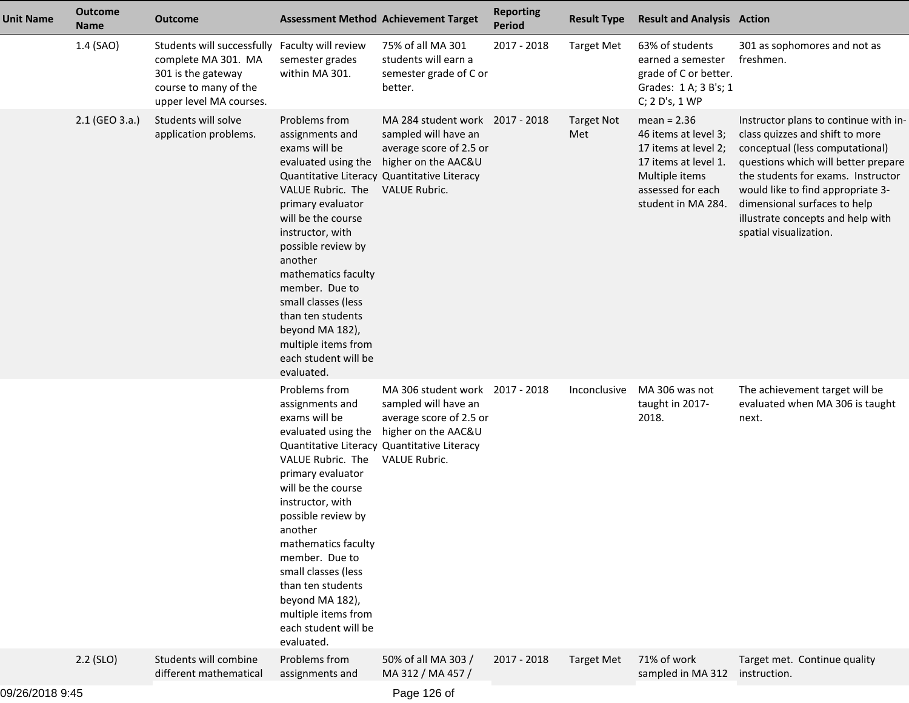| <b>Unit Name</b> | <b>Outcome</b><br><b>Name</b> | <b>Outcome</b>                                                                                                              | <b>Assessment Method Achievement Target</b>                                                                                                                                                                                                                                                                                                                        |                                                                                                                                                                                                      | <b>Reporting</b><br><b>Period</b> | <b>Result Type</b>       | <b>Result and Analysis Action</b>                                                                                                                  |                                                                                                                                                                                                                                                                                                                              |
|------------------|-------------------------------|-----------------------------------------------------------------------------------------------------------------------------|--------------------------------------------------------------------------------------------------------------------------------------------------------------------------------------------------------------------------------------------------------------------------------------------------------------------------------------------------------------------|------------------------------------------------------------------------------------------------------------------------------------------------------------------------------------------------------|-----------------------------------|--------------------------|----------------------------------------------------------------------------------------------------------------------------------------------------|------------------------------------------------------------------------------------------------------------------------------------------------------------------------------------------------------------------------------------------------------------------------------------------------------------------------------|
|                  | 1.4 (SAO)                     | Students will successfully<br>complete MA 301. MA<br>301 is the gateway<br>course to many of the<br>upper level MA courses. | Faculty will review<br>semester grades<br>within MA 301.                                                                                                                                                                                                                                                                                                           | 75% of all MA 301<br>students will earn a<br>semester grade of C or<br>better.                                                                                                                       | 2017 - 2018                       | <b>Target Met</b>        | 63% of students<br>earned a semester<br>grade of C or better.<br>Grades: 1 A; 3 B's; 1<br>C; 2 D's, 1 WP                                           | 301 as sophomores and not as<br>freshmen.                                                                                                                                                                                                                                                                                    |
|                  | 2.1 (GEO 3.a.)                | Students will solve<br>application problems.                                                                                | Problems from<br>assignments and<br>exams will be<br>evaluated using the<br>VALUE Rubric. The<br>primary evaluator<br>will be the course<br>instructor, with<br>possible review by<br>another<br>mathematics faculty<br>member. Due to<br>small classes (less<br>than ten students<br>beyond MA 182),<br>multiple items from<br>each student will be<br>evaluated. | MA 284 student work 2017 - 2018<br>sampled will have an<br>average score of 2.5 or<br>higher on the AAC&U<br>Quantitative Literacy Quantitative Literacy<br>VALUE Rubric.                            |                                   | <b>Target Not</b><br>Met | mean = $2.36$<br>46 items at level 3;<br>17 items at level 2;<br>17 items at level 1.<br>Multiple items<br>assessed for each<br>student in MA 284. | Instructor plans to continue with in-<br>class quizzes and shift to more<br>conceptual (less computational)<br>questions which will better prepare<br>the students for exams. Instructor<br>would like to find appropriate 3-<br>dimensional surfaces to help<br>illustrate concepts and help with<br>spatial visualization. |
|                  |                               |                                                                                                                             | Problems from<br>assignments and<br>exams will be<br>VALUE Rubric. The<br>primary evaluator<br>will be the course<br>instructor, with<br>possible review by<br>another<br>mathematics faculty<br>member. Due to<br>small classes (less<br>than ten students<br>beyond MA 182),<br>multiple items from<br>each student will be<br>evaluated.                        | MA 306 student work 2017 - 2018<br>sampled will have an<br>average score of 2.5 or<br>evaluated using the higher on the AAC&U<br>Quantitative Literacy Quantitative Literacy<br><b>VALUE Rubric.</b> |                                   | Inconclusive             | MA 306 was not<br>taught in 2017-<br>2018.                                                                                                         | The achievement target will be<br>evaluated when MA 306 is taught<br>next.                                                                                                                                                                                                                                                   |
|                  | $2.2$ (SLO)                   | Students will combine<br>different mathematical                                                                             | Problems from<br>assignments and                                                                                                                                                                                                                                                                                                                                   | 50% of all MA 303 /<br>MA 312 / MA 457 /                                                                                                                                                             | 2017 - 2018                       | <b>Target Met</b>        | 71% of work<br>sampled in MA 312                                                                                                                   | Target met. Continue quality<br>instruction.                                                                                                                                                                                                                                                                                 |

Page 126 of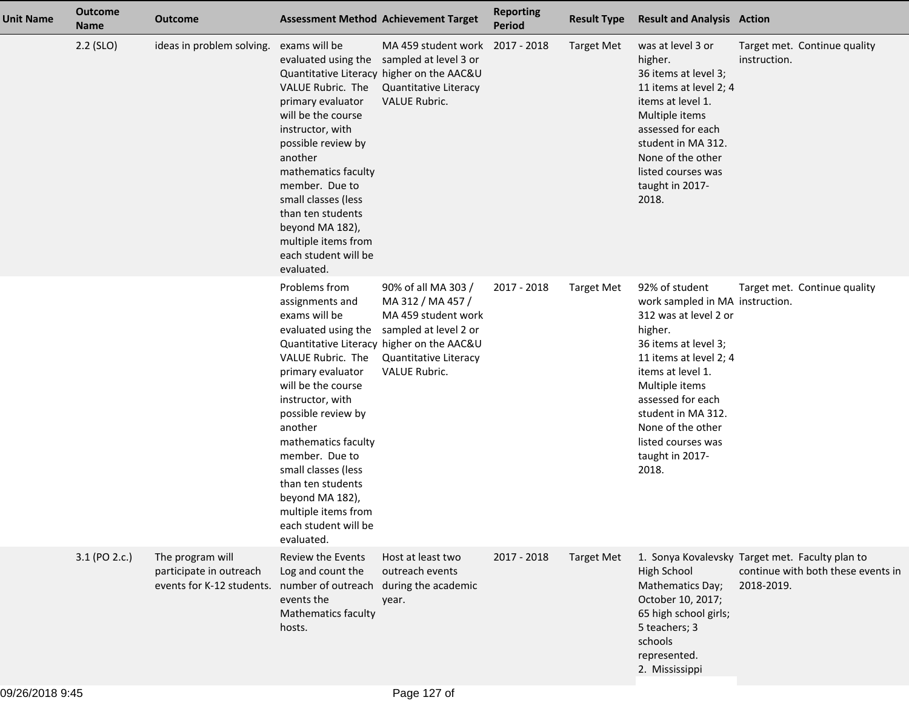| <b>Unit Name</b> | <b>Outcome</b><br><b>Name</b> | <b>Outcome</b>                                                                              |                                                                                                                                                                                                                                                                                                                                                                    | <b>Assessment Method Achievement Target</b>                                                                                                                                            | <b>Reporting</b><br><b>Period</b> | <b>Result Type</b> | <b>Result and Analysis Action</b>                                                                                                                                                                                                                                                                |                                                                                                     |
|------------------|-------------------------------|---------------------------------------------------------------------------------------------|--------------------------------------------------------------------------------------------------------------------------------------------------------------------------------------------------------------------------------------------------------------------------------------------------------------------------------------------------------------------|----------------------------------------------------------------------------------------------------------------------------------------------------------------------------------------|-----------------------------------|--------------------|--------------------------------------------------------------------------------------------------------------------------------------------------------------------------------------------------------------------------------------------------------------------------------------------------|-----------------------------------------------------------------------------------------------------|
|                  | $2.2$ (SLO)                   | ideas in problem solving.                                                                   | exams will be<br>VALUE Rubric. The<br>primary evaluator<br>will be the course<br>instructor, with<br>possible review by<br>another<br>mathematics faculty<br>member. Due to<br>small classes (less<br>than ten students<br>beyond MA 182),<br>multiple items from<br>each student will be<br>evaluated.                                                            | MA 459 student work<br>evaluated using the sampled at level 3 or<br>Quantitative Literacy higher on the AAC&U<br>Quantitative Literacy<br><b>VALUE Rubric.</b>                         | 2017 - 2018                       | <b>Target Met</b>  | was at level 3 or<br>higher.<br>36 items at level 3;<br>11 items at level 2; 4<br>items at level 1.<br>Multiple items<br>assessed for each<br>student in MA 312.<br>None of the other<br>listed courses was<br>taught in 2017-<br>2018.                                                          | Target met. Continue quality<br>instruction.                                                        |
|                  |                               |                                                                                             | Problems from<br>assignments and<br>exams will be<br>evaluated using the<br>VALUE Rubric. The<br>primary evaluator<br>will be the course<br>instructor, with<br>possible review by<br>another<br>mathematics faculty<br>member. Due to<br>small classes (less<br>than ten students<br>beyond MA 182),<br>multiple items from<br>each student will be<br>evaluated. | 90% of all MA 303 /<br>MA 312 / MA 457 /<br>MA 459 student work<br>sampled at level 2 or<br>Quantitative Literacy higher on the AAC&U<br><b>Quantitative Literacy</b><br>VALUE Rubric. | 2017 - 2018                       | <b>Target Met</b>  | 92% of student<br>work sampled in MA instruction.<br>312 was at level 2 or<br>higher.<br>36 items at level 3;<br>11 items at level 2; 4<br>items at level 1.<br>Multiple items<br>assessed for each<br>student in MA 312.<br>None of the other<br>listed courses was<br>taught in 2017-<br>2018. | Target met. Continue quality                                                                        |
|                  | 3.1 (PO 2.c.)                 | The program will<br>participate in outreach<br>events for K-12 students. number of outreach | Review the Events<br>Log and count the<br>events the<br>Mathematics faculty<br>hosts.                                                                                                                                                                                                                                                                              | Host at least two<br>outreach events<br>during the academic<br>year.                                                                                                                   | 2017 - 2018                       | <b>Target Met</b>  | <b>High School</b><br>Mathematics Day;<br>October 10, 2017;<br>65 high school girls;<br>5 teachers; 3<br>schools<br>represented.<br>2. Mississippi                                                                                                                                               | 1. Sonya Kovalevsky Target met. Faculty plan to<br>continue with both these events in<br>2018-2019. |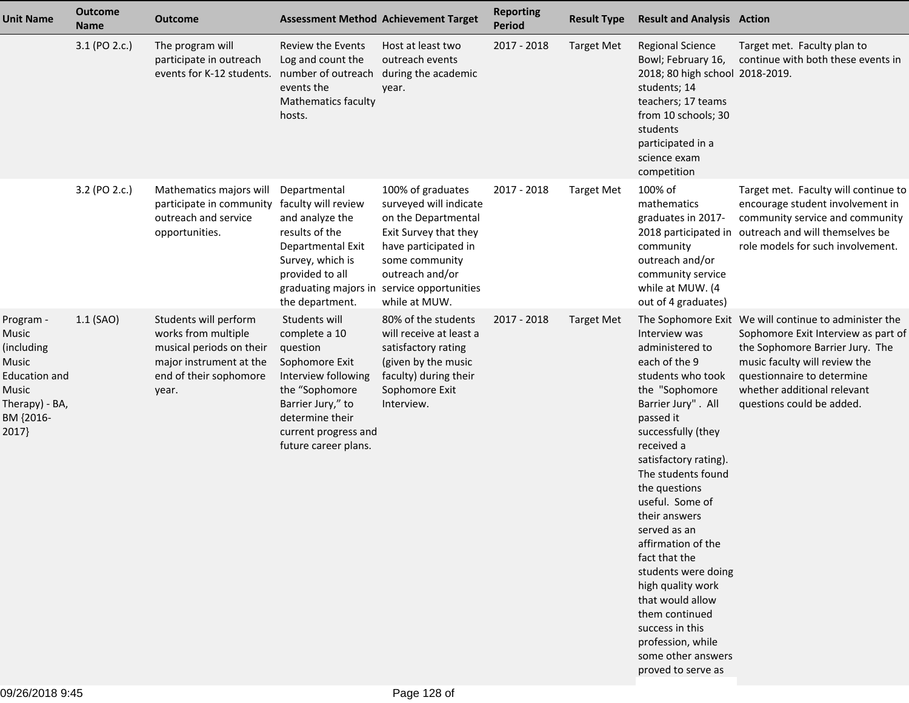| <b>Unit Name</b>                                                                                            | <b>Outcome</b><br><b>Name</b> | <b>Outcome</b>                                                                                                                         | <b>Assessment Method Achievement Target</b>                                                                                                                                                   |                                                                                                                                                                                                                         | <b>Reporting</b><br><b>Period</b> | <b>Result Type</b> | <b>Result and Analysis Action</b>                                                                                                                                                                                                                                                                                                                                                                                                                                                                |                                                                                                                                                                                                                                                            |
|-------------------------------------------------------------------------------------------------------------|-------------------------------|----------------------------------------------------------------------------------------------------------------------------------------|-----------------------------------------------------------------------------------------------------------------------------------------------------------------------------------------------|-------------------------------------------------------------------------------------------------------------------------------------------------------------------------------------------------------------------------|-----------------------------------|--------------------|--------------------------------------------------------------------------------------------------------------------------------------------------------------------------------------------------------------------------------------------------------------------------------------------------------------------------------------------------------------------------------------------------------------------------------------------------------------------------------------------------|------------------------------------------------------------------------------------------------------------------------------------------------------------------------------------------------------------------------------------------------------------|
|                                                                                                             | 3.1 (PO 2.c.)                 | The program will<br>participate in outreach<br>events for K-12 students.                                                               | <b>Review the Events</b><br>Log and count the<br>number of outreach<br>events the<br><b>Mathematics faculty</b><br>hosts.                                                                     | Host at least two<br>outreach events<br>during the academic<br>year.                                                                                                                                                    | 2017 - 2018                       | <b>Target Met</b>  | <b>Regional Science</b><br>Bowl; February 16,<br>2018; 80 high school 2018-2019.<br>students; 14<br>teachers; 17 teams<br>from 10 schools; 30<br>students<br>participated in a<br>science exam<br>competition                                                                                                                                                                                                                                                                                    | Target met. Faculty plan to<br>continue with both these events in                                                                                                                                                                                          |
|                                                                                                             | 3.2 (PO 2.c.)                 | Mathematics majors will<br>participate in community<br>outreach and service<br>opportunities.                                          | Departmental<br>faculty will review<br>and analyze the<br>results of the<br>Departmental Exit<br>Survey, which is<br>provided to all<br>the department.                                       | 100% of graduates<br>surveyed will indicate<br>on the Departmental<br>Exit Survey that they<br>have participated in<br>some community<br>outreach and/or<br>graduating majors in service opportunities<br>while at MUW. | 2017 - 2018                       | <b>Target Met</b>  | 100% of<br>mathematics<br>graduates in 2017-<br>2018 participated in<br>community<br>outreach and/or<br>community service<br>while at MUW. (4<br>out of 4 graduates)                                                                                                                                                                                                                                                                                                                             | Target met. Faculty will continue to<br>encourage student involvement in<br>community service and community<br>outreach and will themselves be<br>role models for such involvement.                                                                        |
| Program -<br>Music<br>(including<br>Music<br>Education and<br>Music<br>Therapy) - BA,<br>BM {2016-<br>2017} | $1.1$ (SAO)                   | Students will perform<br>works from multiple<br>musical periods on their<br>major instrument at the<br>end of their sophomore<br>year. | Students will<br>complete a 10<br>question<br>Sophomore Exit<br>Interview following<br>the "Sophomore<br>Barrier Jury," to<br>determine their<br>current progress and<br>future career plans. | 80% of the students<br>will receive at least a<br>satisfactory rating<br>(given by the music<br>faculty) during their<br>Sophomore Exit<br>Interview.                                                                   | 2017 - 2018                       | <b>Target Met</b>  | Interview was<br>administered to<br>each of the 9<br>students who took<br>the "Sophomore<br>Barrier Jury". All<br>passed it<br>successfully (they<br>received a<br>satisfactory rating).<br>The students found<br>the questions<br>useful. Some of<br>their answers<br>served as an<br>affirmation of the<br>fact that the<br>students were doing<br>high quality work<br>that would allow<br>them continued<br>success in this<br>profession, while<br>some other answers<br>proved to serve as | The Sophomore Exit We will continue to administer the<br>Sophomore Exit Interview as part of<br>the Sophomore Barrier Jury. The<br>music faculty will review the<br>questionnaire to determine<br>whether additional relevant<br>questions could be added. |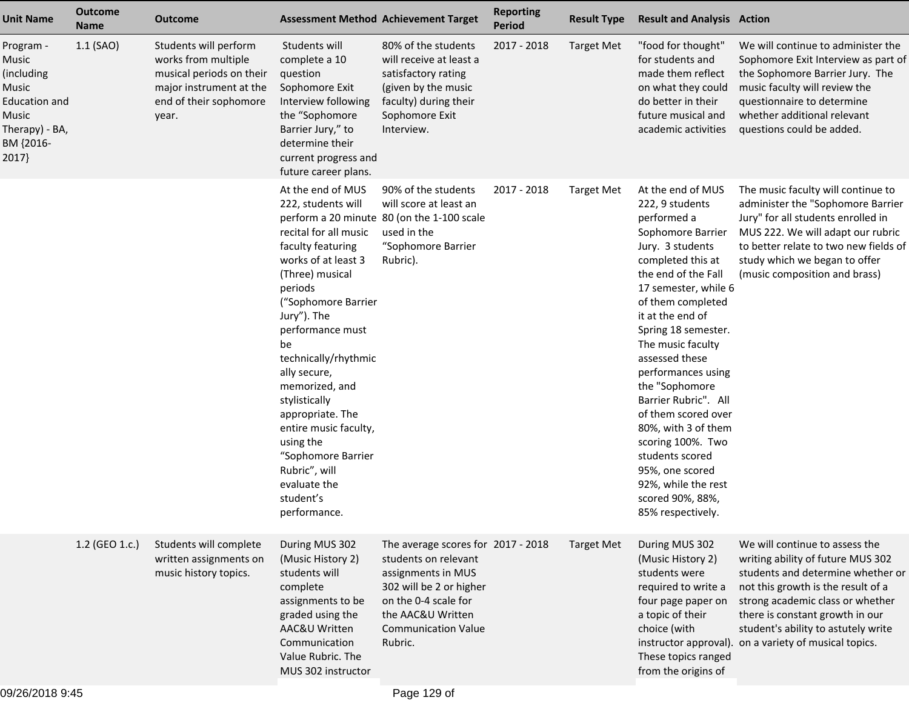| <b>Unit Name</b>                                                                                                    | <b>Outcome</b><br><b>Name</b> | <b>Outcome</b>                                                                                                                         | <b>Assessment Method Achievement Target</b>                                                                                                                                                                                                                                                                                                                                                                                         |                                                                                                                                                                                                   | <b>Reporting</b><br>Period | <b>Result Type</b> | <b>Result and Analysis Action</b>                                                                                                                                                                                                                                                                                                                                                                                                                                                                                |                                                                                                                                                                                                                                                                                                                       |
|---------------------------------------------------------------------------------------------------------------------|-------------------------------|----------------------------------------------------------------------------------------------------------------------------------------|-------------------------------------------------------------------------------------------------------------------------------------------------------------------------------------------------------------------------------------------------------------------------------------------------------------------------------------------------------------------------------------------------------------------------------------|---------------------------------------------------------------------------------------------------------------------------------------------------------------------------------------------------|----------------------------|--------------------|------------------------------------------------------------------------------------------------------------------------------------------------------------------------------------------------------------------------------------------------------------------------------------------------------------------------------------------------------------------------------------------------------------------------------------------------------------------------------------------------------------------|-----------------------------------------------------------------------------------------------------------------------------------------------------------------------------------------------------------------------------------------------------------------------------------------------------------------------|
| Program -<br>Music<br>(including)<br>Music<br><b>Education and</b><br>Music<br>Therapy) - BA,<br>BM {2016-<br>2017} | $1.1$ (SAO)                   | Students will perform<br>works from multiple<br>musical periods on their<br>major instrument at the<br>end of their sophomore<br>year. | Students will<br>complete a 10<br>question<br>Sophomore Exit<br>Interview following<br>the "Sophomore<br>Barrier Jury," to<br>determine their<br>current progress and<br>future career plans.                                                                                                                                                                                                                                       | 80% of the students<br>will receive at least a<br>satisfactory rating<br>(given by the music<br>faculty) during their<br>Sophomore Exit<br>Interview.                                             | 2017 - 2018                | <b>Target Met</b>  | "food for thought"<br>for students and<br>made them reflect<br>on what they could<br>do better in their<br>future musical and<br>academic activities                                                                                                                                                                                                                                                                                                                                                             | We will continue to administer the<br>Sophomore Exit Interview as part of<br>the Sophomore Barrier Jury. The<br>music faculty will review the<br>questionnaire to determine<br>whether additional relevant<br>questions could be added.                                                                               |
|                                                                                                                     |                               |                                                                                                                                        | At the end of MUS<br>222, students will<br>recital for all music<br>faculty featuring<br>works of at least 3<br>(Three) musical<br>periods<br>("Sophomore Barrier<br>Jury"). The<br>performance must<br>be<br>technically/rhythmic<br>ally secure,<br>memorized, and<br>stylistically<br>appropriate. The<br>entire music faculty,<br>using the<br>"Sophomore Barrier<br>Rubric", will<br>evaluate the<br>student's<br>performance. | 90% of the students<br>will score at least an<br>perform a 20 minute 80 (on the 1-100 scale<br>used in the<br>"Sophomore Barrier<br>Rubric).                                                      | 2017 - 2018                | <b>Target Met</b>  | At the end of MUS<br>222, 9 students<br>performed a<br>Sophomore Barrier<br>Jury. 3 students<br>completed this at<br>the end of the Fall<br>17 semester, while 6<br>of them completed<br>it at the end of<br>Spring 18 semester.<br>The music faculty<br>assessed these<br>performances using<br>the "Sophomore<br>Barrier Rubric". All<br>of them scored over<br>80%, with 3 of them<br>scoring 100%. Two<br>students scored<br>95%, one scored<br>92%, while the rest<br>scored 90%, 88%,<br>85% respectively. | The music faculty will continue to<br>administer the "Sophomore Barrier<br>Jury" for all students enrolled in<br>MUS 222. We will adapt our rubric<br>to better relate to two new fields of<br>study which we began to offer<br>(music composition and brass)                                                         |
|                                                                                                                     | 1.2 (GEO 1.c.)                | Students will complete<br>written assignments on<br>music history topics.                                                              | During MUS 302<br>(Music History 2)<br>students will<br>complete<br>assignments to be<br>graded using the<br>AAC&U Written<br>Communication<br>Value Rubric. The<br>MUS 302 instructor                                                                                                                                                                                                                                              | The average scores for 2017 - 2018<br>students on relevant<br>assignments in MUS<br>302 will be 2 or higher<br>on the 0-4 scale for<br>the AAC&U Written<br><b>Communication Value</b><br>Rubric. |                            | <b>Target Met</b>  | During MUS 302<br>(Music History 2)<br>students were<br>required to write a<br>four page paper on<br>a topic of their<br>choice (with<br>These topics ranged<br>from the origins of                                                                                                                                                                                                                                                                                                                              | We will continue to assess the<br>writing ability of future MUS 302<br>students and determine whether or<br>not this growth is the result of a<br>strong academic class or whether<br>there is constant growth in our<br>student's ability to astutely write<br>instructor approval). on a variety of musical topics. |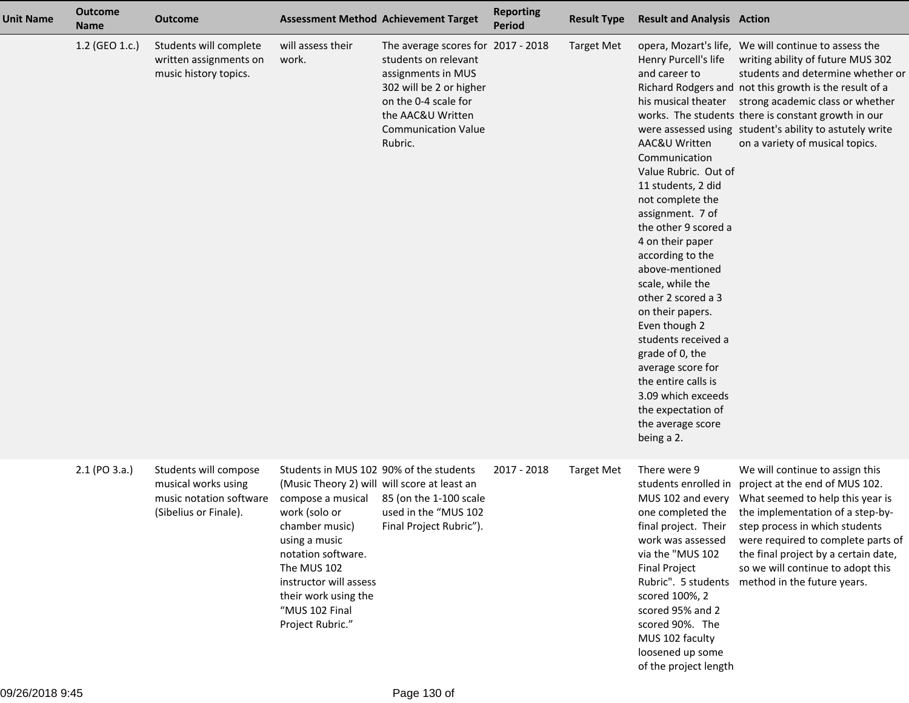| <b>Unit Name</b> | <b>Outcome</b><br><b>Name</b> | <b>Outcome</b>                                                                                   | <b>Assessment Method Achievement Target</b>                                                                                                                                                                                                                                                   |                                                                                                                                                                                                   | <b>Reporting</b><br><b>Period</b> | <b>Result Type</b> | <b>Result and Analysis Action</b>                                                                                                                                                                                                                                                                                                                                                                                                                                                                               |                                                                                                                                                                                                                                                                                                                                                                                                       |
|------------------|-------------------------------|--------------------------------------------------------------------------------------------------|-----------------------------------------------------------------------------------------------------------------------------------------------------------------------------------------------------------------------------------------------------------------------------------------------|---------------------------------------------------------------------------------------------------------------------------------------------------------------------------------------------------|-----------------------------------|--------------------|-----------------------------------------------------------------------------------------------------------------------------------------------------------------------------------------------------------------------------------------------------------------------------------------------------------------------------------------------------------------------------------------------------------------------------------------------------------------------------------------------------------------|-------------------------------------------------------------------------------------------------------------------------------------------------------------------------------------------------------------------------------------------------------------------------------------------------------------------------------------------------------------------------------------------------------|
|                  | 1.2 (GEO 1.c.)                | Students will complete<br>written assignments on<br>music history topics.                        | will assess their<br>work.                                                                                                                                                                                                                                                                    | The average scores for 2017 - 2018<br>students on relevant<br>assignments in MUS<br>302 will be 2 or higher<br>on the 0-4 scale for<br>the AAC&U Written<br><b>Communication Value</b><br>Rubric. |                                   | <b>Target Met</b>  | Henry Purcell's life<br>and career to<br><b>AAC&amp;U Written</b><br>Communication<br>Value Rubric. Out of<br>11 students, 2 did<br>not complete the<br>assignment. 7 of<br>the other 9 scored a<br>4 on their paper<br>according to the<br>above-mentioned<br>scale, while the<br>other 2 scored a 3<br>on their papers.<br>Even though 2<br>students received a<br>grade of 0, the<br>average score for<br>the entire calls is<br>3.09 which exceeds<br>the expectation of<br>the average score<br>being a 2. | opera, Mozart's life, We will continue to assess the<br>writing ability of future MUS 302<br>students and determine whether or<br>Richard Rodgers and not this growth is the result of a<br>his musical theater strong academic class or whether<br>works. The students there is constant growth in our<br>were assessed using student's ability to astutely write<br>on a variety of musical topics. |
|                  | 2.1 (PO 3.a.)                 | Students will compose<br>musical works using<br>music notation software<br>(Sibelius or Finale). | Students in MUS 102 90% of the students<br>(Music Theory 2) will will score at least an<br>compose a musical<br>work (solo or<br>chamber music)<br>using a music<br>notation software.<br>The MUS 102<br>instructor will assess<br>their work using the<br>"MUS 102 Final<br>Project Rubric." | 85 (on the 1-100 scale<br>used in the "MUS 102<br>Final Project Rubric").                                                                                                                         | 2017 - 2018                       | <b>Target Met</b>  | There were 9<br>MUS 102 and every<br>one completed the<br>final project. Their<br>work was assessed<br>via the "MUS 102<br><b>Final Project</b><br>Rubric". 5 students<br>scored 100%, 2<br>scored 95% and 2<br>scored 90%. The<br>MUS 102 faculty<br>loosened up some<br>of the project length                                                                                                                                                                                                                 | We will continue to assign this<br>students enrolled in project at the end of MUS 102.<br>What seemed to help this year is<br>the implementation of a step-by-<br>step process in which students<br>were required to complete parts of<br>the final project by a certain date,<br>so we will continue to adopt this<br>method in the future years.                                                    |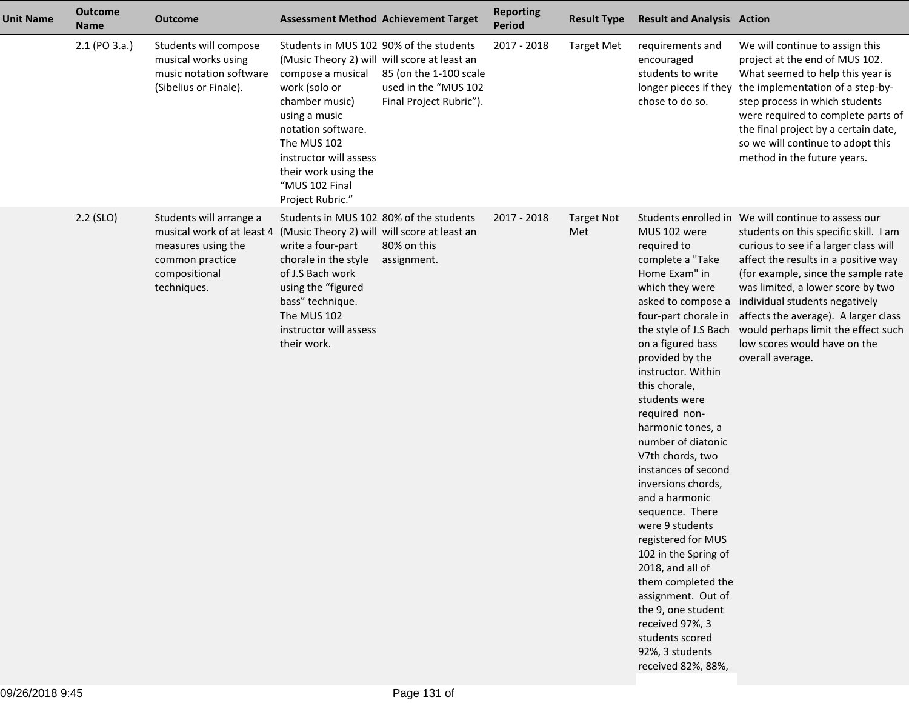| <b>Unit Name</b> | <b>Outcome</b><br><b>Name</b> | <b>Outcome</b>                                                                                                                 |                                                                                                                                                                                                                                                                                               | <b>Assessment Method Achievement Target</b>                               | <b>Reporting</b><br>Period | <b>Result Type</b>       | <b>Result and Analysis Action</b>                                                                                                                                                                                                                                                                                                                                                                                                                                                                                                                                                                                    |                                                                                                                                                                                                                                                                                                                                                                                                                                                                        |
|------------------|-------------------------------|--------------------------------------------------------------------------------------------------------------------------------|-----------------------------------------------------------------------------------------------------------------------------------------------------------------------------------------------------------------------------------------------------------------------------------------------|---------------------------------------------------------------------------|----------------------------|--------------------------|----------------------------------------------------------------------------------------------------------------------------------------------------------------------------------------------------------------------------------------------------------------------------------------------------------------------------------------------------------------------------------------------------------------------------------------------------------------------------------------------------------------------------------------------------------------------------------------------------------------------|------------------------------------------------------------------------------------------------------------------------------------------------------------------------------------------------------------------------------------------------------------------------------------------------------------------------------------------------------------------------------------------------------------------------------------------------------------------------|
|                  | 2.1 (PO 3.a.)                 | Students will compose<br>musical works using<br>music notation software<br>(Sibelius or Finale).                               | Students in MUS 102 90% of the students<br>(Music Theory 2) will will score at least an<br>compose a musical<br>work (solo or<br>chamber music)<br>using a music<br>notation software.<br>The MUS 102<br>instructor will assess<br>their work using the<br>"MUS 102 Final<br>Project Rubric." | 85 (on the 1-100 scale<br>used in the "MUS 102<br>Final Project Rubric"). | 2017 - 2018                | <b>Target Met</b>        | requirements and<br>encouraged<br>students to write<br>longer pieces if they<br>chose to do so.                                                                                                                                                                                                                                                                                                                                                                                                                                                                                                                      | We will continue to assign this<br>project at the end of MUS 102.<br>What seemed to help this year is<br>the implementation of a step-by-<br>step process in which students<br>were required to complete parts of<br>the final project by a certain date,<br>so we will continue to adopt this<br>method in the future years.                                                                                                                                          |
|                  | $2.2$ (SLO)                   | Students will arrange a<br>musical work of at least 4<br>measures using the<br>common practice<br>compositional<br>techniques. | Students in MUS 102 80% of the students<br>(Music Theory 2) will will score at least an<br>write a four-part<br>chorale in the style<br>of J.S Bach work<br>using the "figured<br>bass" technique.<br>The MUS 102<br>instructor will assess<br>their work.                                    | 80% on this<br>assignment.                                                | 2017 - 2018                | <b>Target Not</b><br>Met | MUS 102 were<br>required to<br>complete a "Take<br>Home Exam" in<br>which they were<br>the style of J.S Bach<br>on a figured bass<br>provided by the<br>instructor. Within<br>this chorale,<br>students were<br>required non-<br>harmonic tones, a<br>number of diatonic<br>V7th chords, two<br>instances of second<br>inversions chords,<br>and a harmonic<br>sequence. There<br>were 9 students<br>registered for MUS<br>102 in the Spring of<br>2018, and all of<br>them completed the<br>assignment. Out of<br>the 9, one student<br>received 97%, 3<br>students scored<br>92%, 3 students<br>received 82%, 88%, | Students enrolled in We will continue to assess our<br>students on this specific skill. I am<br>curious to see if a larger class will<br>affect the results in a positive way<br>(for example, since the sample rate<br>was limited, a lower score by two<br>asked to compose a individual students negatively<br>four-part chorale in affects the average). A larger class<br>would perhaps limit the effect such<br>low scores would have on the<br>overall average. |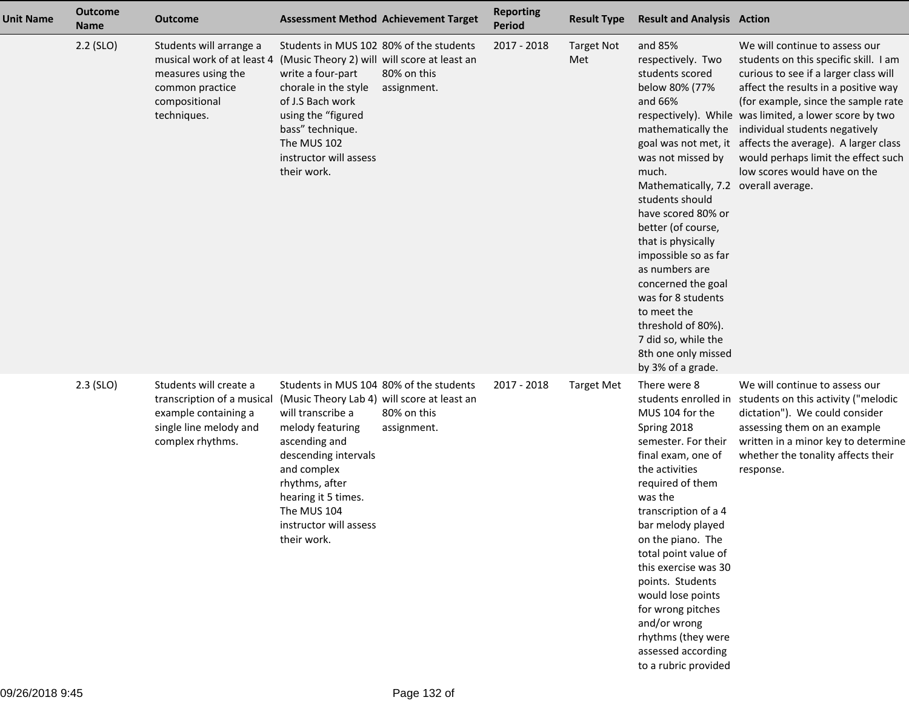| <b>Unit Name</b> | <b>Outcome</b><br><b>Name</b> | <b>Outcome</b>                                                                                                                 | <b>Assessment Method Achievement Target</b>                                                                                                                                                                                                                                              |                            | <b>Reporting</b><br><b>Period</b> | <b>Result Type</b>       | <b>Result and Analysis Action</b>                                                                                                                                                                                                                                                                                                                                                                                                                           |                                                                                                                                                                                                                                                                                                                                                                                                                                 |
|------------------|-------------------------------|--------------------------------------------------------------------------------------------------------------------------------|------------------------------------------------------------------------------------------------------------------------------------------------------------------------------------------------------------------------------------------------------------------------------------------|----------------------------|-----------------------------------|--------------------------|-------------------------------------------------------------------------------------------------------------------------------------------------------------------------------------------------------------------------------------------------------------------------------------------------------------------------------------------------------------------------------------------------------------------------------------------------------------|---------------------------------------------------------------------------------------------------------------------------------------------------------------------------------------------------------------------------------------------------------------------------------------------------------------------------------------------------------------------------------------------------------------------------------|
|                  | $2.2$ (SLO)                   | Students will arrange a<br>musical work of at least 4<br>measures using the<br>common practice<br>compositional<br>techniques. | Students in MUS 102 80% of the students<br>(Music Theory 2) will will score at least an<br>write a four-part<br>chorale in the style<br>of J.S Bach work<br>using the "figured<br>bass" technique.<br>The MUS 102<br>instructor will assess<br>their work.                               | 80% on this<br>assignment. | 2017 - 2018                       | <b>Target Not</b><br>Met | and 85%<br>respectively. Two<br>students scored<br>below 80% (77%<br>and 66%<br>mathematically the<br>was not missed by<br>much.<br>Mathematically, 7.2 overall average.<br>students should<br>have scored 80% or<br>better (of course,<br>that is physically<br>impossible so as far<br>as numbers are<br>concerned the goal<br>was for 8 students<br>to meet the<br>threshold of 80%).<br>7 did so, while the<br>8th one only missed<br>by 3% of a grade. | We will continue to assess our<br>students on this specific skill. I am<br>curious to see if a larger class will<br>affect the results in a positive way<br>(for example, since the sample rate<br>respectively). While was limited, a lower score by two<br>individual students negatively<br>goal was not met, it affects the average). A larger class<br>would perhaps limit the effect such<br>low scores would have on the |
|                  | $2.3$ (SLO)                   | Students will create a<br>transcription of a musical<br>example containing a<br>single line melody and<br>complex rhythms.     | Students in MUS 104 80% of the students<br>(Music Theory Lab 4) will score at least an<br>will transcribe a<br>melody featuring<br>ascending and<br>descending intervals<br>and complex<br>rhythms, after<br>hearing it 5 times.<br>The MUS 104<br>instructor will assess<br>their work. | 80% on this<br>assignment. | 2017 - 2018                       | <b>Target Met</b>        | There were 8<br>MUS 104 for the<br>Spring 2018<br>semester. For their<br>final exam, one of<br>the activities<br>required of them<br>was the<br>transcription of a 4<br>bar melody played<br>on the piano. The<br>total point value of<br>this exercise was 30<br>points. Students<br>would lose points<br>for wrong pitches<br>and/or wrong<br>rhythms (they were<br>assessed according<br>to a rubric provided                                            | We will continue to assess our<br>students enrolled in students on this activity ("melodic<br>dictation"). We could consider<br>assessing them on an example<br>written in a minor key to determine<br>whether the tonality affects their<br>response.                                                                                                                                                                          |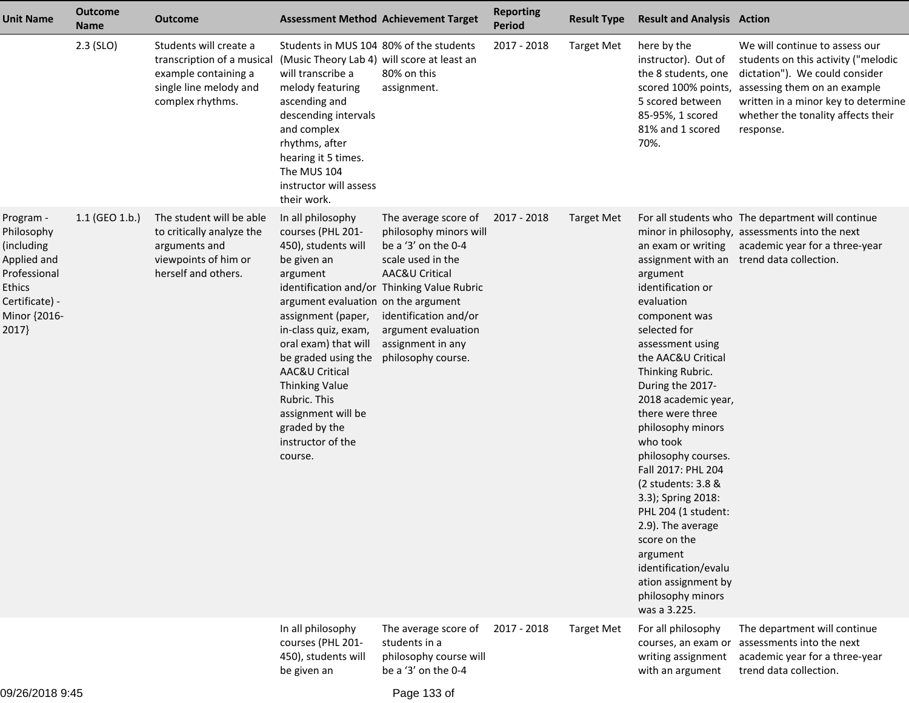| <b>Unit Name</b>                                                                                                                | <b>Outcome</b><br><b>Name</b> | Outcome                                                                                                                    | <b>Assessment Method Achievement Target</b>                                                                                                                                                                                                                                                                                                                    |                                                                                                                                                                                                                                                        | <b>Reporting</b><br><b>Period</b> | <b>Result Type</b> | <b>Result and Analysis Action</b>                                                                                                                                                                                                                                                                                                                                                                                                                                                                                     |                                                                                                                                                                                                                                                       |
|---------------------------------------------------------------------------------------------------------------------------------|-------------------------------|----------------------------------------------------------------------------------------------------------------------------|----------------------------------------------------------------------------------------------------------------------------------------------------------------------------------------------------------------------------------------------------------------------------------------------------------------------------------------------------------------|--------------------------------------------------------------------------------------------------------------------------------------------------------------------------------------------------------------------------------------------------------|-----------------------------------|--------------------|-----------------------------------------------------------------------------------------------------------------------------------------------------------------------------------------------------------------------------------------------------------------------------------------------------------------------------------------------------------------------------------------------------------------------------------------------------------------------------------------------------------------------|-------------------------------------------------------------------------------------------------------------------------------------------------------------------------------------------------------------------------------------------------------|
|                                                                                                                                 | $2.3$ (SLO)                   | Students will create a<br>transcription of a musical<br>example containing a<br>single line melody and<br>complex rhythms. | Students in MUS 104 80% of the students<br>(Music Theory Lab 4) will score at least an<br>will transcribe a<br>melody featuring<br>ascending and<br>descending intervals<br>and complex<br>rhythms, after<br>hearing it 5 times.<br>The MUS 104<br>instructor will assess<br>their work.                                                                       | 80% on this<br>assignment.                                                                                                                                                                                                                             | 2017 - 2018                       | <b>Target Met</b>  | here by the<br>instructor). Out of<br>the 8 students, one<br>5 scored between<br>85-95%, 1 scored<br>81% and 1 scored<br>70%.                                                                                                                                                                                                                                                                                                                                                                                         | We will continue to assess our<br>students on this activity ("melodic<br>dictation"). We could consider<br>scored 100% points, assessing them on an example<br>written in a minor key to determine<br>whether the tonality affects their<br>response. |
| Program -<br>Philosophy<br>(including<br>Applied and<br>Professional<br><b>Ethics</b><br>Certificate) -<br>Minor {2016-<br>2017 | 1.1 (GEO 1.b.)                | The student will be able<br>to critically analyze the<br>arguments and<br>viewpoints of him or<br>herself and others.      | In all philosophy<br>courses (PHL 201-<br>450), students will<br>be given an<br>argument<br>argument evaluation on the argument<br>assignment (paper,<br>in-class quiz, exam,<br>oral exam) that will<br>be graded using the<br>AAC&U Critical<br><b>Thinking Value</b><br>Rubric. This<br>assignment will be<br>graded by the<br>instructor of the<br>course. | The average score of<br>philosophy minors will<br>be a '3' on the 0-4<br>scale used in the<br>AAC&U Critical<br>identification and/or Thinking Value Rubric<br>identification and/or<br>argument evaluation<br>assignment in any<br>philosophy course. | 2017 - 2018                       | Target Met         | an exam or writing<br>argument<br>identification or<br>evaluation<br>component was<br>selected for<br>assessment using<br>the AAC&U Critical<br>Thinking Rubric.<br>During the 2017-<br>2018 academic year,<br>there were three<br>philosophy minors<br>who took<br>philosophy courses.<br>Fall 2017: PHL 204<br>(2 students: 3.8 &<br>3.3); Spring 2018:<br>PHL 204 (1 student:<br>2.9). The average<br>score on the<br>argument<br>identification/evalu<br>ation assignment by<br>philosophy minors<br>was a 3.225. | For all students who The department will continue<br>minor in philosophy, assessments into the next<br>academic year for a three-year<br>assignment with an trend data collection.                                                                    |
|                                                                                                                                 |                               |                                                                                                                            | In all philosophy<br>courses (PHL 201-<br>450), students will<br>be given an                                                                                                                                                                                                                                                                                   | The average score of<br>students in a<br>philosophy course will<br>be a '3' on the 0-4                                                                                                                                                                 | 2017 - 2018                       | <b>Target Met</b>  | For all philosophy<br>courses, an exam or<br>writing assignment<br>with an argument                                                                                                                                                                                                                                                                                                                                                                                                                                   | The department will continue<br>assessments into the next<br>academic year for a three-year<br>trend data collection.                                                                                                                                 |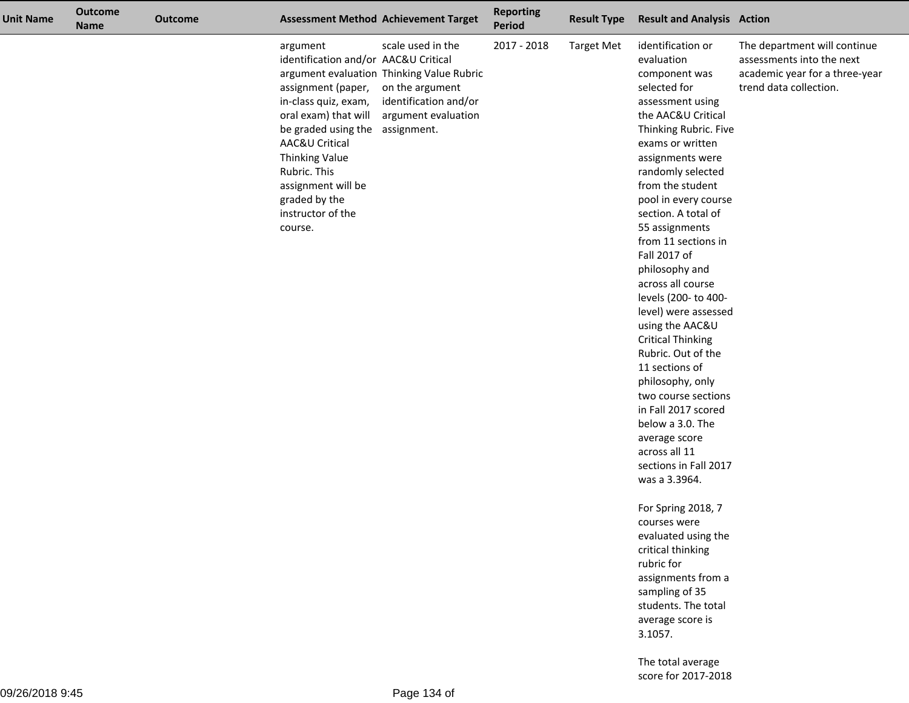| <b>Unit Name</b> | <b>Outcome</b><br><b>Name</b> | <b>Outcome</b> | <b>Assessment Method Achievement Target</b>                                                                                                                                                                                                                                                 |                                                                                                                                   | <b>Reporting</b><br>Period | <b>Result Type</b> | <b>Result and Analysis Action</b>                                                                                                                                                                                                                                                                                                                                                                                                                                                                                                                                                                                                                                                                                                                                                                                                                                                               |                                                                                                                       |
|------------------|-------------------------------|----------------|---------------------------------------------------------------------------------------------------------------------------------------------------------------------------------------------------------------------------------------------------------------------------------------------|-----------------------------------------------------------------------------------------------------------------------------------|----------------------------|--------------------|-------------------------------------------------------------------------------------------------------------------------------------------------------------------------------------------------------------------------------------------------------------------------------------------------------------------------------------------------------------------------------------------------------------------------------------------------------------------------------------------------------------------------------------------------------------------------------------------------------------------------------------------------------------------------------------------------------------------------------------------------------------------------------------------------------------------------------------------------------------------------------------------------|-----------------------------------------------------------------------------------------------------------------------|
|                  |                               |                | argument<br>identification and/or AAC&U Critical<br>assignment (paper,<br>in-class quiz, exam,<br>oral exam) that will<br>be graded using the assignment.<br>AAC&U Critical<br><b>Thinking Value</b><br>Rubric. This<br>assignment will be<br>graded by the<br>instructor of the<br>course. | scale used in the<br>argument evaluation Thinking Value Rubric<br>on the argument<br>identification and/or<br>argument evaluation | 2017 - 2018                | <b>Target Met</b>  | identification or<br>evaluation<br>component was<br>selected for<br>assessment using<br>the AAC&U Critical<br>Thinking Rubric. Five<br>exams or written<br>assignments were<br>randomly selected<br>from the student<br>pool in every course<br>section. A total of<br>55 assignments<br>from 11 sections in<br>Fall 2017 of<br>philosophy and<br>across all course<br>levels (200- to 400-<br>level) were assessed<br>using the AAC&U<br><b>Critical Thinking</b><br>Rubric. Out of the<br>11 sections of<br>philosophy, only<br>two course sections<br>in Fall 2017 scored<br>below a 3.0. The<br>average score<br>across all 11<br>sections in Fall 2017<br>was a 3.3964.<br>For Spring 2018, 7<br>courses were<br>evaluated using the<br>critical thinking<br>rubric for<br>assignments from a<br>sampling of 35<br>students. The total<br>average score is<br>3.1057.<br>The total average | The department will continue<br>assessments into the next<br>academic year for a three-year<br>trend data collection. |

score for 2017-2018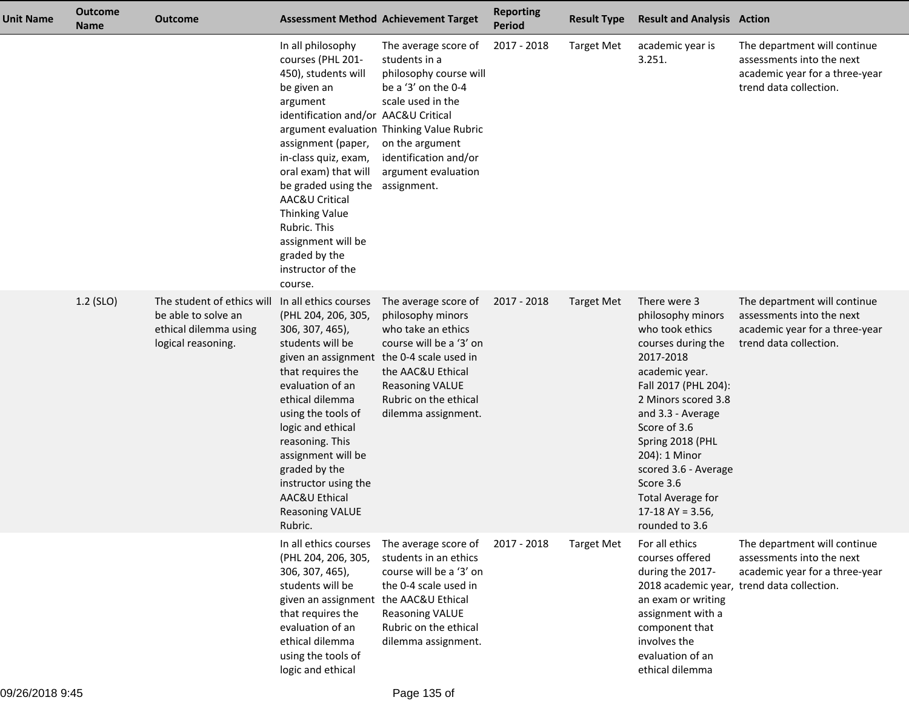| Unit Name | <b>Outcome</b><br><b>Name</b> | <b>Outcome</b>                                                                                   | <b>Assessment Method Achievement Target</b>                                                                                                                                                                                                                                                                                                                     |                                                                                                                                                                                                                                            | <b>Reporting</b><br><b>Period</b> | <b>Result Type</b> | <b>Result and Analysis Action</b>                                                                                                                                                                                                                                                                                                            |                                                                                                                                           |
|-----------|-------------------------------|--------------------------------------------------------------------------------------------------|-----------------------------------------------------------------------------------------------------------------------------------------------------------------------------------------------------------------------------------------------------------------------------------------------------------------------------------------------------------------|--------------------------------------------------------------------------------------------------------------------------------------------------------------------------------------------------------------------------------------------|-----------------------------------|--------------------|----------------------------------------------------------------------------------------------------------------------------------------------------------------------------------------------------------------------------------------------------------------------------------------------------------------------------------------------|-------------------------------------------------------------------------------------------------------------------------------------------|
|           |                               |                                                                                                  | In all philosophy<br>courses (PHL 201-<br>450), students will<br>be given an<br>argument<br>identification and/or AAC&U Critical<br>assignment (paper,<br>in-class quiz, exam,<br>oral exam) that will<br>be graded using the<br>AAC&U Critical<br><b>Thinking Value</b><br>Rubric. This<br>assignment will be<br>graded by the<br>instructor of the<br>course. | The average score of<br>students in a<br>philosophy course will<br>be a '3' on the 0-4<br>scale used in the<br>argument evaluation Thinking Value Rubric<br>on the argument<br>identification and/or<br>argument evaluation<br>assignment. | 2017 - 2018                       | <b>Target Met</b>  | academic year is<br>3.251.                                                                                                                                                                                                                                                                                                                   | The department will continue<br>assessments into the next<br>academic year for a three-year<br>trend data collection.                     |
|           | $1.2$ (SLO)                   | The student of ethics will<br>be able to solve an<br>ethical dilemma using<br>logical reasoning. | In all ethics courses<br>(PHL 204, 206, 305,<br>306, 307, 465),<br>students will be<br>given an assignment<br>that requires the<br>evaluation of an<br>ethical dilemma<br>using the tools of<br>logic and ethical<br>reasoning. This<br>assignment will be<br>graded by the<br>instructor using the<br>AAC&U Ethical<br><b>Reasoning VALUE</b><br>Rubric.       | The average score of<br>philosophy minors<br>who take an ethics<br>course will be a '3' on<br>the 0-4 scale used in<br>the AAC&U Ethical<br><b>Reasoning VALUE</b><br>Rubric on the ethical<br>dilemma assignment.                         | 2017 - 2018                       | Target Met         | There were 3<br>philosophy minors<br>who took ethics<br>courses during the<br>2017-2018<br>academic year.<br>Fall 2017 (PHL 204):<br>2 Minors scored 3.8<br>and 3.3 - Average<br>Score of 3.6<br>Spring 2018 (PHL<br>204): 1 Minor<br>scored 3.6 - Average<br>Score 3.6<br><b>Total Average for</b><br>17-18 AY = $3.56$ ,<br>rounded to 3.6 | The department will continue<br>assessments into the next<br>academic year for a three-year<br>trend data collection.                     |
|           |                               |                                                                                                  | In all ethics courses<br>(PHL 204, 206, 305,<br>306, 307, 465),<br>students will be<br>given an assignment<br>that requires the<br>evaluation of an<br>ethical dilemma<br>using the tools of<br>logic and ethical                                                                                                                                               | The average score of<br>students in an ethics<br>course will be a '3' on<br>the 0-4 scale used in<br>the AAC&U Ethical<br><b>Reasoning VALUE</b><br>Rubric on the ethical<br>dilemma assignment.                                           | 2017 - 2018                       | <b>Target Met</b>  | For all ethics<br>courses offered<br>during the 2017-<br>an exam or writing<br>assignment with a<br>component that<br>involves the<br>evaluation of an<br>ethical dilemma                                                                                                                                                                    | The department will continue<br>assessments into the next<br>academic year for a three-year<br>2018 academic year, trend data collection. |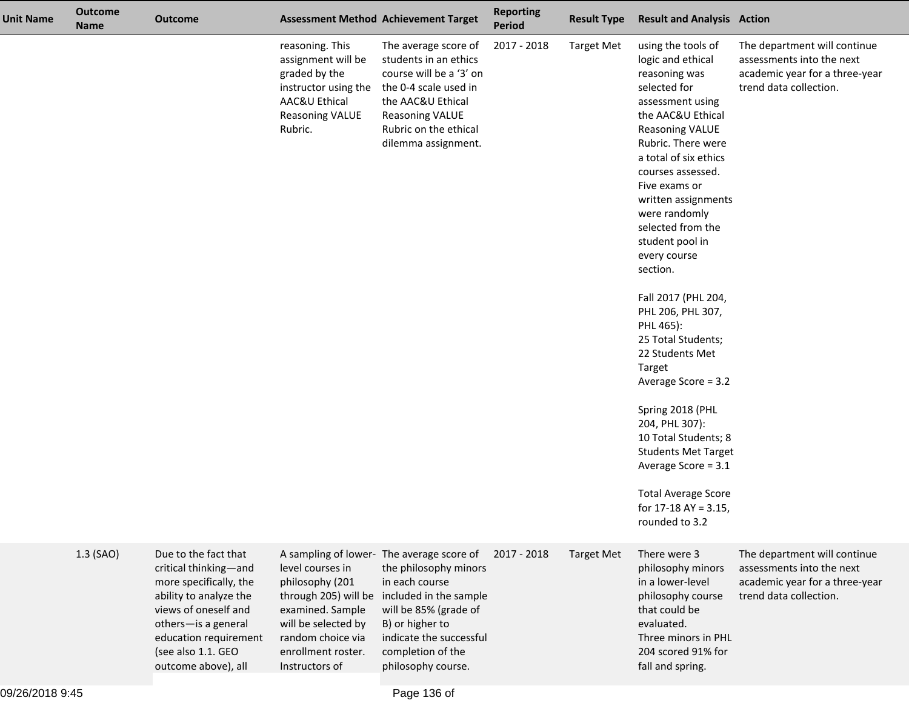| <b>Unit Name</b> | <b>Outcome</b><br><b>Name</b> | <b>Outcome</b>                                                                                                                                                                                                         |                                                                                                                                                                     | <b>Assessment Method Achievement Target</b>                                                                                                                                                                                      | <b>Reporting</b><br><b>Period</b> | <b>Result Type</b> | <b>Result and Analysis Action</b>                                                                                                                                                                                                                                                                                                                                                                                                                                                                                                                                                                                                                                            |                                                                                                                       |
|------------------|-------------------------------|------------------------------------------------------------------------------------------------------------------------------------------------------------------------------------------------------------------------|---------------------------------------------------------------------------------------------------------------------------------------------------------------------|----------------------------------------------------------------------------------------------------------------------------------------------------------------------------------------------------------------------------------|-----------------------------------|--------------------|------------------------------------------------------------------------------------------------------------------------------------------------------------------------------------------------------------------------------------------------------------------------------------------------------------------------------------------------------------------------------------------------------------------------------------------------------------------------------------------------------------------------------------------------------------------------------------------------------------------------------------------------------------------------------|-----------------------------------------------------------------------------------------------------------------------|
|                  |                               |                                                                                                                                                                                                                        | reasoning. This<br>assignment will be<br>graded by the<br>instructor using the<br>AAC&U Ethical<br><b>Reasoning VALUE</b><br>Rubric.                                | The average score of<br>students in an ethics<br>course will be a '3' on<br>the 0-4 scale used in<br>the AAC&U Ethical<br><b>Reasoning VALUE</b><br>Rubric on the ethical<br>dilemma assignment.                                 | 2017 - 2018                       | <b>Target Met</b>  | using the tools of<br>logic and ethical<br>reasoning was<br>selected for<br>assessment using<br>the AAC&U Ethical<br><b>Reasoning VALUE</b><br>Rubric. There were<br>a total of six ethics<br>courses assessed.<br>Five exams or<br>written assignments<br>were randomly<br>selected from the<br>student pool in<br>every course<br>section.<br>Fall 2017 (PHL 204,<br>PHL 206, PHL 307,<br>PHL 465):<br>25 Total Students;<br>22 Students Met<br>Target<br>Average Score = 3.2<br>Spring 2018 (PHL<br>204, PHL 307):<br>10 Total Students; 8<br><b>Students Met Target</b><br>Average Score = 3.1<br><b>Total Average Score</b><br>for $17-18$ AY = 3.15,<br>rounded to 3.2 | The department will continue<br>assessments into the next<br>academic year for a three-year<br>trend data collection. |
|                  | 1.3 (SAO)                     | Due to the fact that<br>critical thinking-and<br>more specifically, the<br>ability to analyze the<br>views of oneself and<br>others-is a general<br>education requirement<br>(see also 1.1. GEO<br>outcome above), all | level courses in<br>philosophy (201<br>through 205) will be<br>examined. Sample<br>will be selected by<br>random choice via<br>enrollment roster.<br>Instructors of | A sampling of lower- The average score of<br>the philosophy minors<br>in each course<br>included in the sample<br>will be 85% (grade of<br>B) or higher to<br>indicate the successful<br>completion of the<br>philosophy course. | 2017 - 2018                       | <b>Target Met</b>  | There were 3<br>philosophy minors<br>in a lower-level<br>philosophy course<br>that could be<br>evaluated.<br>Three minors in PHL<br>204 scored 91% for<br>fall and spring.                                                                                                                                                                                                                                                                                                                                                                                                                                                                                                   | The department will continue<br>assessments into the next<br>academic year for a three-year<br>trend data collection. |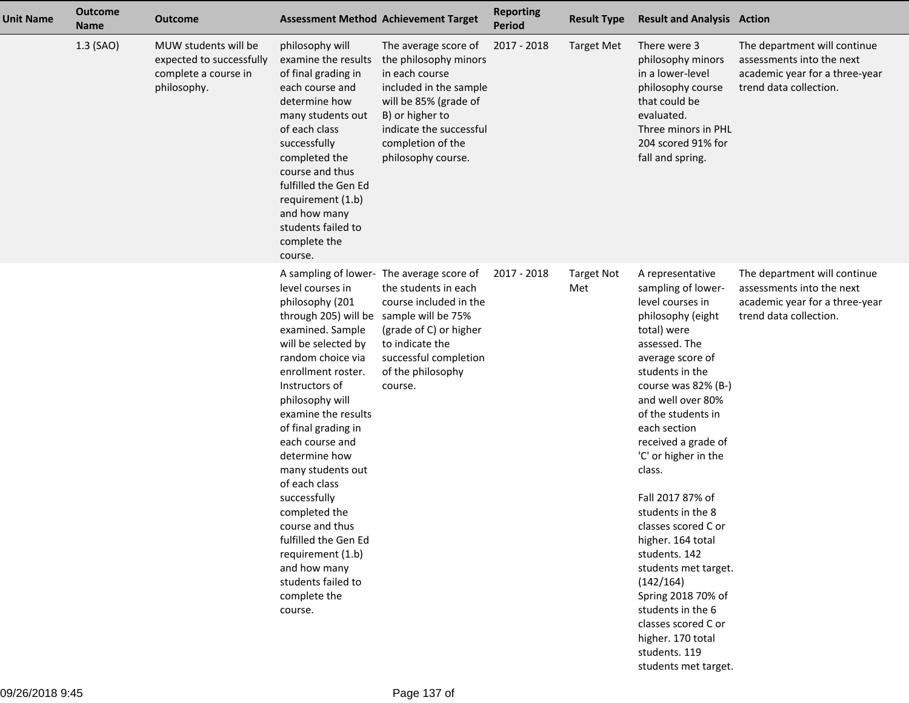| <b>Unit Name</b> | <b>Outcome</b><br><b>Name</b> | <b>Outcome</b>                                                                          | <b>Assessment Method Achievement Target</b>                                                                                                                                                                                                                                                                                                                                                                                                                                                         |                                                                                                                                                                                                             | <b>Reporting</b><br><b>Period</b> | <b>Result Type</b>       | <b>Result and Analysis Action</b>                                                                                                                                                                                                                                                                                                                                                                                                                                                                                                                    |                                                                                                                       |
|------------------|-------------------------------|-----------------------------------------------------------------------------------------|-----------------------------------------------------------------------------------------------------------------------------------------------------------------------------------------------------------------------------------------------------------------------------------------------------------------------------------------------------------------------------------------------------------------------------------------------------------------------------------------------------|-------------------------------------------------------------------------------------------------------------------------------------------------------------------------------------------------------------|-----------------------------------|--------------------------|------------------------------------------------------------------------------------------------------------------------------------------------------------------------------------------------------------------------------------------------------------------------------------------------------------------------------------------------------------------------------------------------------------------------------------------------------------------------------------------------------------------------------------------------------|-----------------------------------------------------------------------------------------------------------------------|
|                  | 1.3 (SAO)                     | MUW students will be<br>expected to successfully<br>complete a course in<br>philosophy. | philosophy will<br>examine the results<br>of final grading in<br>each course and<br>determine how<br>many students out<br>of each class<br>successfully<br>completed the<br>course and thus<br>fulfilled the Gen Ed<br>requirement (1.b)<br>and how many<br>students failed to<br>complete the<br>course.                                                                                                                                                                                           | The average score of<br>the philosophy minors<br>in each course<br>included in the sample<br>will be 85% (grade of<br>B) or higher to<br>indicate the successful<br>completion of the<br>philosophy course. | 2017 - 2018                       | <b>Target Met</b>        | There were 3<br>philosophy minors<br>in a lower-level<br>philosophy course<br>that could be<br>evaluated.<br>Three minors in PHL<br>204 scored 91% for<br>fall and spring.                                                                                                                                                                                                                                                                                                                                                                           | The department will continue<br>assessments into the next<br>academic year for a three-year<br>trend data collection. |
|                  |                               |                                                                                         | level courses in<br>philosophy (201<br>through 205) will be sample will be 75%<br>examined. Sample<br>will be selected by<br>random choice via<br>enrollment roster.<br>Instructors of<br>philosophy will<br>examine the results<br>of final grading in<br>each course and<br>determine how<br>many students out<br>of each class<br>successfully<br>completed the<br>course and thus<br>fulfilled the Gen Ed<br>requirement (1.b)<br>and how many<br>students failed to<br>complete the<br>course. | A sampling of lower- The average score of<br>the students in each<br>course included in the<br>(grade of C) or higher<br>to indicate the<br>successful completion<br>of the philosophy<br>course.           | 2017 - 2018                       | <b>Target Not</b><br>Met | A representative<br>sampling of lower-<br>level courses in<br>philosophy (eight<br>total) were<br>assessed. The<br>average score of<br>students in the<br>course was 82% (B-)<br>and well over 80%<br>of the students in<br>each section<br>received a grade of<br>'C' or higher in the<br>class.<br>Fall 2017 87% of<br>students in the 8<br>classes scored C or<br>higher. 164 total<br>students. 142<br>students met target.<br>(142/164)<br>Spring 2018 70% of<br>students in the 6<br>classes scored C or<br>higher. 170 total<br>students. 119 | The department will continue<br>assessments into the next<br>academic year for a three-year<br>trend data collection. |

students met target.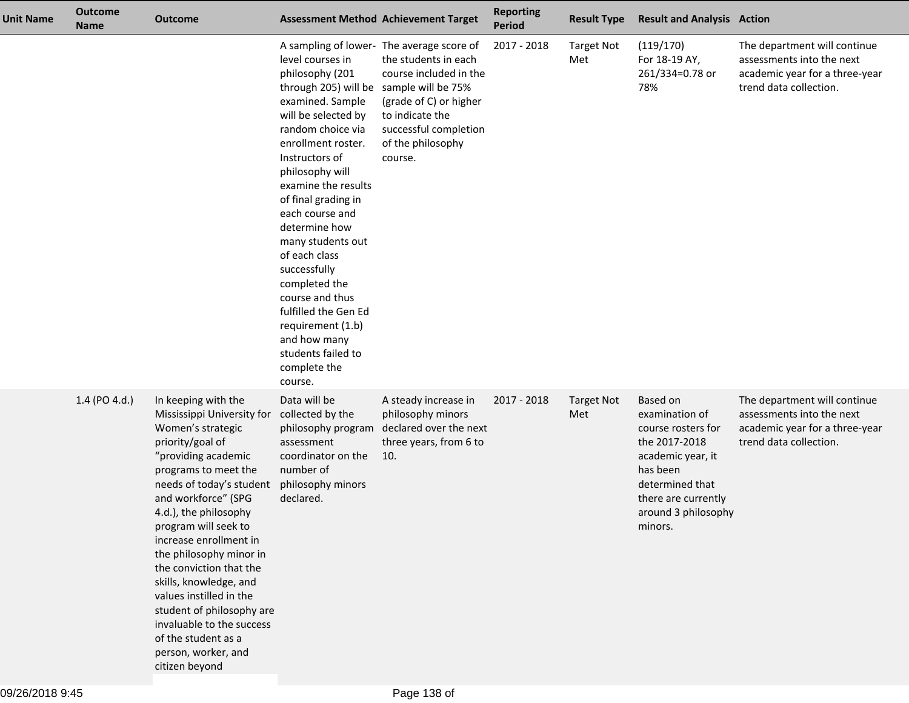| <b>Unit Name</b> | <b>Outcome</b><br><b>Name</b> | <b>Outcome</b>                                                                                                                                                                                                                                                                                                                                                                                                                                                                                                                 |                                                                                                                                                                                                                                                                                                                                                                                                                                                                                  | <b>Assessment Method Achievement Target</b>                                                                                                                                                                             | <b>Reporting</b><br><b>Period</b> | <b>Result Type</b>       | <b>Result and Analysis Action</b>                                                                                                                                              |                                                                                                                       |
|------------------|-------------------------------|--------------------------------------------------------------------------------------------------------------------------------------------------------------------------------------------------------------------------------------------------------------------------------------------------------------------------------------------------------------------------------------------------------------------------------------------------------------------------------------------------------------------------------|----------------------------------------------------------------------------------------------------------------------------------------------------------------------------------------------------------------------------------------------------------------------------------------------------------------------------------------------------------------------------------------------------------------------------------------------------------------------------------|-------------------------------------------------------------------------------------------------------------------------------------------------------------------------------------------------------------------------|-----------------------------------|--------------------------|--------------------------------------------------------------------------------------------------------------------------------------------------------------------------------|-----------------------------------------------------------------------------------------------------------------------|
|                  |                               |                                                                                                                                                                                                                                                                                                                                                                                                                                                                                                                                | level courses in<br>philosophy (201<br>through 205) will be<br>examined. Sample<br>will be selected by<br>random choice via<br>enrollment roster.<br>Instructors of<br>philosophy will<br>examine the results<br>of final grading in<br>each course and<br>determine how<br>many students out<br>of each class<br>successfully<br>completed the<br>course and thus<br>fulfilled the Gen Ed<br>requirement (1.b)<br>and how many<br>students failed to<br>complete the<br>course. | A sampling of lower- The average score of<br>the students in each<br>course included in the<br>sample will be 75%<br>(grade of C) or higher<br>to indicate the<br>successful completion<br>of the philosophy<br>course. | 2017 - 2018                       | <b>Target Not</b><br>Met | (119/170)<br>For 18-19 AY,<br>261/334=0.78 or<br>78%                                                                                                                           | The department will continue<br>assessments into the next<br>academic year for a three-year<br>trend data collection. |
|                  | 1.4 (PO 4.d.)                 | In keeping with the<br>Mississippi University for<br>Women's strategic<br>priority/goal of<br>"providing academic<br>programs to meet the<br>needs of today's student philosophy minors<br>and workforce" (SPG<br>4.d.), the philosophy<br>program will seek to<br>increase enrollment in<br>the philosophy minor in<br>the conviction that the<br>skills, knowledge, and<br>values instilled in the<br>student of philosophy are<br>invaluable to the success<br>of the student as a<br>person, worker, and<br>citizen beyond | Data will be<br>collected by the<br>philosophy program<br>assessment<br>coordinator on the<br>number of<br>declared.                                                                                                                                                                                                                                                                                                                                                             | A steady increase in<br>philosophy minors<br>declared over the next<br>three years, from 6 to<br>10.                                                                                                                    | 2017 - 2018                       | <b>Target Not</b><br>Met | Based on<br>examination of<br>course rosters for<br>the 2017-2018<br>academic year, it<br>has been<br>determined that<br>there are currently<br>around 3 philosophy<br>minors. | The department will continue<br>assessments into the next<br>academic year for a three-year<br>trend data collection. |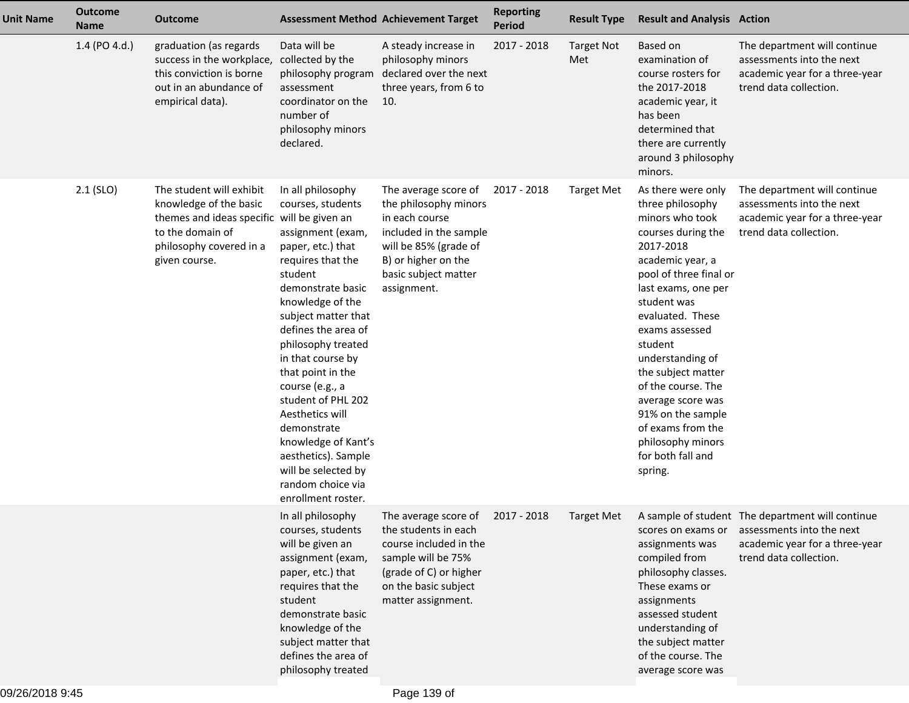| <b>Unit Name</b> | <b>Outcome</b><br><b>Name</b> | <b>Outcome</b>                                                                                                                                                   | <b>Assessment Method Achievement Target</b>                                                                                                                                                                                                                                                                                                                                                                                                                        |                                                                                                                                                                                  | <b>Reporting</b><br><b>Period</b> | <b>Result Type</b>       | <b>Result and Analysis Action</b>                                                                                                                                                                                                                                                                                                                                                                                     |                                                                                                                                           |
|------------------|-------------------------------|------------------------------------------------------------------------------------------------------------------------------------------------------------------|--------------------------------------------------------------------------------------------------------------------------------------------------------------------------------------------------------------------------------------------------------------------------------------------------------------------------------------------------------------------------------------------------------------------------------------------------------------------|----------------------------------------------------------------------------------------------------------------------------------------------------------------------------------|-----------------------------------|--------------------------|-----------------------------------------------------------------------------------------------------------------------------------------------------------------------------------------------------------------------------------------------------------------------------------------------------------------------------------------------------------------------------------------------------------------------|-------------------------------------------------------------------------------------------------------------------------------------------|
|                  | 1.4 (PO 4.d.)                 | graduation (as regards<br>success in the workplace,<br>this conviction is borne<br>out in an abundance of<br>empirical data).                                    | Data will be<br>collected by the<br>philosophy program<br>assessment<br>coordinator on the<br>number of<br>philosophy minors<br>declared.                                                                                                                                                                                                                                                                                                                          | A steady increase in<br>philosophy minors<br>declared over the next<br>three years, from 6 to<br>10.                                                                             | 2017 - 2018                       | <b>Target Not</b><br>Met | Based on<br>examination of<br>course rosters for<br>the 2017-2018<br>academic year, it<br>has been<br>determined that<br>there are currently<br>around 3 philosophy<br>minors.                                                                                                                                                                                                                                        | The department will continue<br>assessments into the next<br>academic year for a three-year<br>trend data collection.                     |
|                  | $2.1$ (SLO)                   | The student will exhibit<br>knowledge of the basic<br>themes and ideas specific will be given an<br>to the domain of<br>philosophy covered in a<br>given course. | In all philosophy<br>courses, students<br>assignment (exam,<br>paper, etc.) that<br>requires that the<br>student<br>demonstrate basic<br>knowledge of the<br>subject matter that<br>defines the area of<br>philosophy treated<br>in that course by<br>that point in the<br>course (e.g., a<br>student of PHL 202<br>Aesthetics will<br>demonstrate<br>knowledge of Kant's<br>aesthetics). Sample<br>will be selected by<br>random choice via<br>enrollment roster. | The average score of<br>the philosophy minors<br>in each course<br>included in the sample<br>will be 85% (grade of<br>B) or higher on the<br>basic subject matter<br>assignment. | 2017 - 2018                       | <b>Target Met</b>        | As there were only<br>three philosophy<br>minors who took<br>courses during the<br>2017-2018<br>academic year, a<br>pool of three final or<br>last exams, one per<br>student was<br>evaluated. These<br>exams assessed<br>student<br>understanding of<br>the subject matter<br>of the course. The<br>average score was<br>91% on the sample<br>of exams from the<br>philosophy minors<br>for both fall and<br>spring. | The department will continue<br>assessments into the next<br>academic year for a three-year<br>trend data collection.                     |
|                  |                               |                                                                                                                                                                  | In all philosophy<br>courses, students<br>will be given an<br>assignment (exam,<br>paper, etc.) that<br>requires that the<br>student<br>demonstrate basic<br>knowledge of the<br>subject matter that<br>defines the area of<br>philosophy treated                                                                                                                                                                                                                  | The average score of<br>the students in each<br>course included in the<br>sample will be 75%<br>(grade of C) or higher<br>on the basic subject<br>matter assignment.             | 2017 - 2018                       | <b>Target Met</b>        | scores on exams or<br>assignments was<br>compiled from<br>philosophy classes.<br>These exams or<br>assignments<br>assessed student<br>understanding of<br>the subject matter<br>of the course. The<br>average score was                                                                                                                                                                                               | A sample of student The department will continue<br>assessments into the next<br>academic year for a three-year<br>trend data collection. |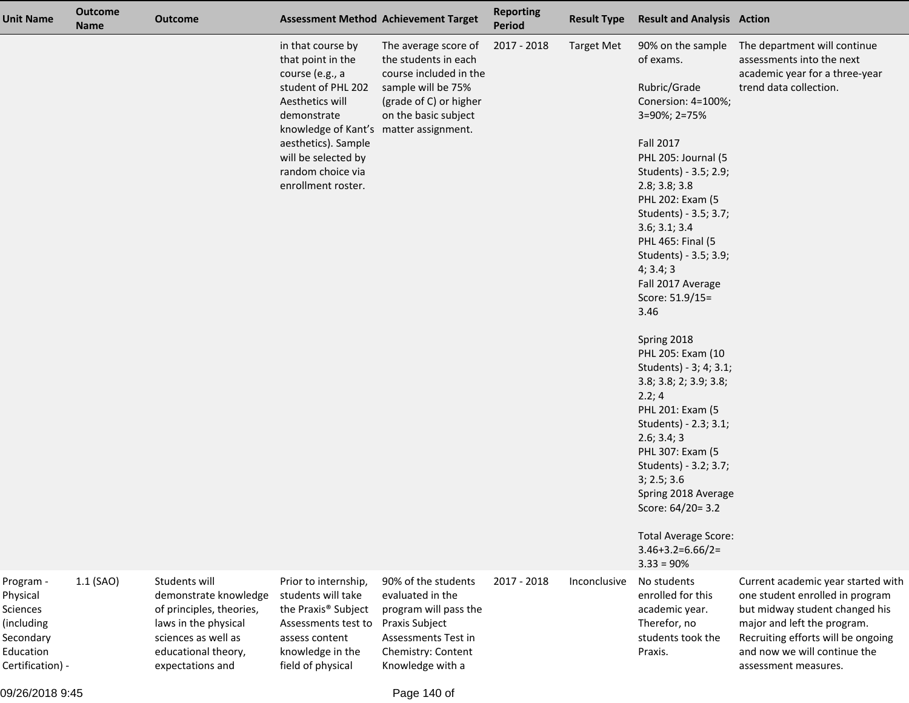| <b>Unit Name</b>                                                                              | <b>Outcome</b><br><b>Name</b> | <b>Outcome</b>                                                                                                                              |                                                                                                                                                                                                                                   | <b>Assessment Method Achievement Target</b>                                                                                                                                                 | <b>Reporting</b><br>Period | <b>Result Type</b>                | <b>Result and Analysis Action</b>                                                                                                                                                                                                                                                                                                                                                                                                                                                                                                                                                                                                                                                                                 |                                                                                                                                                                                                |
|-----------------------------------------------------------------------------------------------|-------------------------------|---------------------------------------------------------------------------------------------------------------------------------------------|-----------------------------------------------------------------------------------------------------------------------------------------------------------------------------------------------------------------------------------|---------------------------------------------------------------------------------------------------------------------------------------------------------------------------------------------|----------------------------|-----------------------------------|-------------------------------------------------------------------------------------------------------------------------------------------------------------------------------------------------------------------------------------------------------------------------------------------------------------------------------------------------------------------------------------------------------------------------------------------------------------------------------------------------------------------------------------------------------------------------------------------------------------------------------------------------------------------------------------------------------------------|------------------------------------------------------------------------------------------------------------------------------------------------------------------------------------------------|
|                                                                                               | 1.1 (SAO)                     | Students will                                                                                                                               | in that course by<br>that point in the<br>course (e.g., a<br>student of PHL 202<br>Aesthetics will<br>demonstrate<br>knowledge of Kant's<br>aesthetics). Sample<br>will be selected by<br>random choice via<br>enrollment roster. | The average score of<br>the students in each<br>course included in the<br>sample will be 75%<br>(grade of C) or higher<br>on the basic subject<br>matter assignment.<br>90% of the students | 2017 - 2018<br>2017 - 2018 | <b>Target Met</b><br>Inconclusive | 90% on the sample<br>of exams.<br>Rubric/Grade<br>Conersion: 4=100%;<br>3=90%; 2=75%<br><b>Fall 2017</b><br>PHL 205: Journal (5<br>Students) - 3.5; 2.9;<br>2.8; 3.8; 3.8<br>PHL 202: Exam (5<br>Students) - 3.5; 3.7;<br>3.6; 3.1; 3.4<br>PHL 465: Final (5<br>Students) - 3.5; 3.9;<br>4; 3.4; 3<br>Fall 2017 Average<br>Score: 51.9/15=<br>3.46<br>Spring 2018<br>PHL 205: Exam (10<br>Students) - 3; 4; 3.1;<br>3.8; 3.8; 2; 3.9; 3.8;<br>2.2; 4<br>PHL 201: Exam (5<br>Students) - 2.3; 3.1;<br>2.6; 3.4; 3<br>PHL 307: Exam (5<br>Students) - 3.2; 3.7;<br>3; 2.5; 3.6<br>Spring 2018 Average<br>Score: 64/20= 3.2<br><b>Total Average Score:</b><br>$3.46 + 3.2 = 6.66/2 =$<br>$3.33 = 90%$<br>No students | The department will continue<br>assessments into the next<br>academic year for a three-year<br>trend data collection.<br>Current academic year started with                                    |
| Program -<br>Physical<br>Sciences<br>(including<br>Secondary<br>Education<br>Certification) - |                               | demonstrate knowledge<br>of principles, theories,<br>laws in the physical<br>sciences as well as<br>educational theory,<br>expectations and | Prior to internship,<br>students will take<br>the Praxis <sup>®</sup> Subject<br>Assessments test to<br>assess content<br>knowledge in the<br>field of physical                                                                   | evaluated in the<br>program will pass the<br>Praxis Subject<br>Assessments Test in<br>Chemistry: Content<br>Knowledge with a                                                                |                            |                                   | enrolled for this<br>academic year.<br>Therefor, no<br>students took the<br>Praxis.                                                                                                                                                                                                                                                                                                                                                                                                                                                                                                                                                                                                                               | one student enrolled in program<br>but midway student changed his<br>major and left the program.<br>Recruiting efforts will be ongoing<br>and now we will continue the<br>assessment measures. |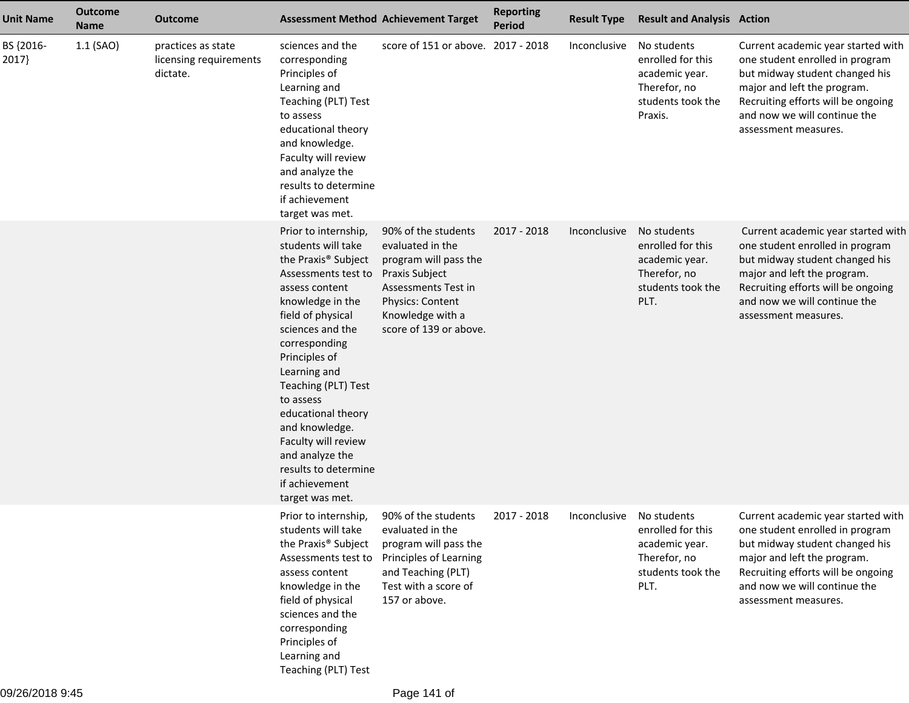| <b>Unit Name</b>   | <b>Outcome</b><br><b>Name</b> | <b>Outcome</b>                                           |                                                                                                                                                                                                                                                                                                                                                                                                                                         | <b>Assessment Method Achievement Target</b>                                                                                                               | <b>Reporting</b><br><b>Period</b> | <b>Result Type</b> | <b>Result and Analysis Action</b>                                                                  |                                                                                                                                                                                                                                      |
|--------------------|-------------------------------|----------------------------------------------------------|-----------------------------------------------------------------------------------------------------------------------------------------------------------------------------------------------------------------------------------------------------------------------------------------------------------------------------------------------------------------------------------------------------------------------------------------|-----------------------------------------------------------------------------------------------------------------------------------------------------------|-----------------------------------|--------------------|----------------------------------------------------------------------------------------------------|--------------------------------------------------------------------------------------------------------------------------------------------------------------------------------------------------------------------------------------|
| BS {2016-<br>2017} | $1.1$ (SAO)                   | practices as state<br>licensing requirements<br>dictate. | sciences and the<br>corresponding<br>Principles of<br>Learning and<br>Teaching (PLT) Test<br>to assess<br>educational theory<br>and knowledge.<br>Faculty will review<br>and analyze the<br>results to determine<br>if achievement<br>target was met.                                                                                                                                                                                   | score of 151 or above. 2017 - 2018                                                                                                                        |                                   | Inconclusive       | No students<br>enrolled for this<br>academic year.<br>Therefor, no<br>students took the<br>Praxis. | Current academic year started with<br>one student enrolled in program<br>but midway student changed his<br>major and left the program.<br>Recruiting efforts will be ongoing<br>and now we will continue the<br>assessment measures. |
|                    |                               |                                                          | Prior to internship,<br>students will take<br>the Praxis <sup>®</sup> Subject<br>Assessments test to Praxis Subject<br>assess content<br>knowledge in the<br>field of physical<br>sciences and the<br>corresponding<br>Principles of<br>Learning and<br>Teaching (PLT) Test<br>to assess<br>educational theory<br>and knowledge.<br>Faculty will review<br>and analyze the<br>results to determine<br>if achievement<br>target was met. | 90% of the students<br>evaluated in the<br>program will pass the<br>Assessments Test in<br>Physics: Content<br>Knowledge with a<br>score of 139 or above. | 2017 - 2018                       | Inconclusive       | No students<br>enrolled for this<br>academic year.<br>Therefor, no<br>students took the<br>PLT.    | Current academic year started with<br>one student enrolled in program<br>but midway student changed his<br>major and left the program.<br>Recruiting efforts will be ongoing<br>and now we will continue the<br>assessment measures. |
|                    |                               |                                                          | Prior to internship,<br>students will take<br>the Praxis <sup>®</sup> Subject<br>Assessments test to<br>assess content<br>knowledge in the<br>field of physical<br>sciences and the<br>corresponding<br>Principles of<br>Learning and<br>Teaching (PLT) Test                                                                                                                                                                            | 90% of the students<br>evaluated in the<br>program will pass the<br>Principles of Learning<br>and Teaching (PLT)<br>Test with a score of<br>157 or above. | 2017 - 2018                       | Inconclusive       | No students<br>enrolled for this<br>academic year.<br>Therefor, no<br>students took the<br>PLT.    | Current academic year started with<br>one student enrolled in program<br>but midway student changed his<br>major and left the program.<br>Recruiting efforts will be ongoing<br>and now we will continue the<br>assessment measures. |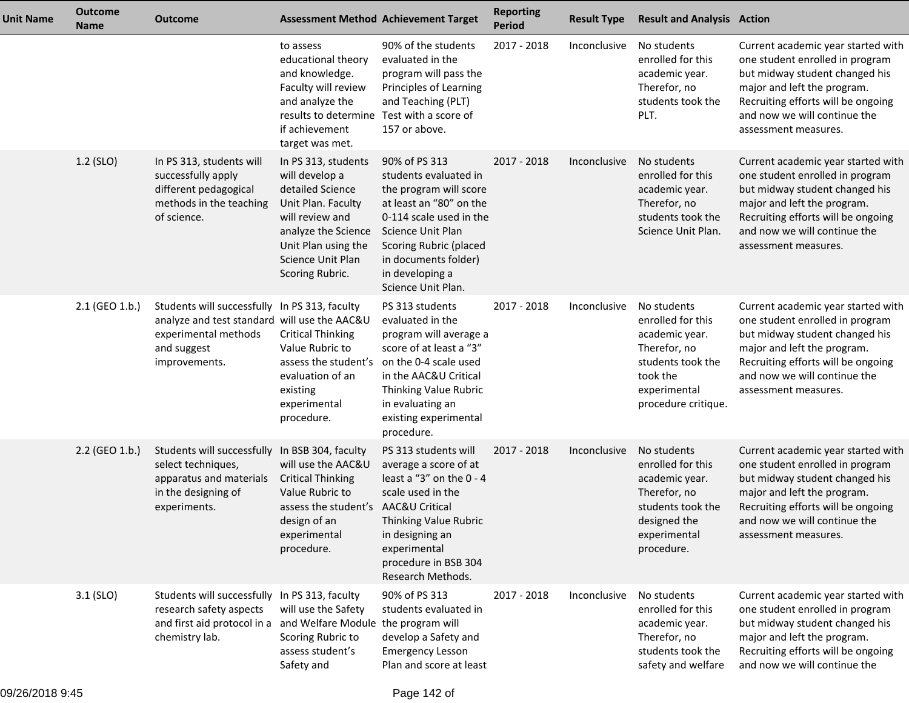| <b>Unit Name</b> | <b>Outcome</b><br><b>Name</b> | <b>Outcome</b>                                                                                                                                                |                                                                                                                                                                                          | <b>Assessment Method Achievement Target</b>                                                                                                                                                                                                   | <b>Reporting</b><br><b>Period</b> | <b>Result Type</b> | <b>Result and Analysis Action</b>                                                                                                          |                                                                                                                                                                                                                                      |
|------------------|-------------------------------|---------------------------------------------------------------------------------------------------------------------------------------------------------------|------------------------------------------------------------------------------------------------------------------------------------------------------------------------------------------|-----------------------------------------------------------------------------------------------------------------------------------------------------------------------------------------------------------------------------------------------|-----------------------------------|--------------------|--------------------------------------------------------------------------------------------------------------------------------------------|--------------------------------------------------------------------------------------------------------------------------------------------------------------------------------------------------------------------------------------|
|                  |                               |                                                                                                                                                               | to assess<br>educational theory<br>and knowledge.<br>Faculty will review<br>and analyze the<br>results to determine<br>if achievement<br>target was met.                                 | 90% of the students<br>evaluated in the<br>program will pass the<br>Principles of Learning<br>and Teaching (PLT)<br>Test with a score of<br>157 or above.                                                                                     | 2017 - 2018                       | Inconclusive       | No students<br>enrolled for this<br>academic year.<br>Therefor, no<br>students took the<br>PLT.                                            | Current academic year started with<br>one student enrolled in program<br>but midway student changed his<br>major and left the program.<br>Recruiting efforts will be ongoing<br>and now we will continue the<br>assessment measures. |
|                  | $1.2$ (SLO)                   | In PS 313, students will<br>successfully apply<br>different pedagogical<br>methods in the teaching<br>of science.                                             | In PS 313, students<br>will develop a<br>detailed Science<br>Unit Plan. Faculty<br>will review and<br>analyze the Science<br>Unit Plan using the<br>Science Unit Plan<br>Scoring Rubric. | 90% of PS 313<br>students evaluated in<br>the program will score<br>at least an "80" on the<br>0-114 scale used in the<br>Science Unit Plan<br><b>Scoring Rubric (placed</b><br>in documents folder)<br>in developing a<br>Science Unit Plan. | 2017 - 2018                       | Inconclusive       | No students<br>enrolled for this<br>academic year.<br>Therefor, no<br>students took the<br>Science Unit Plan.                              | Current academic year started with<br>one student enrolled in program<br>but midway student changed his<br>major and left the program.<br>Recruiting efforts will be ongoing<br>and now we will continue the<br>assessment measures. |
|                  | 2.1 (GEO 1.b.)                | Students will successfully In PS 313, faculty<br>analyze and test standard will use the AAC&U<br>experimental methods<br>and suggest<br>improvements.         | <b>Critical Thinking</b><br>Value Rubric to<br>assess the student's<br>evaluation of an<br>existing<br>experimental<br>procedure.                                                        | PS 313 students<br>evaluated in the<br>program will average a<br>score of at least a "3"<br>on the 0-4 scale used<br>in the AAC&U Critical<br>Thinking Value Rubric<br>in evaluating an<br>existing experimental<br>procedure.                | 2017 - 2018                       | Inconclusive       | No students<br>enrolled for this<br>academic year.<br>Therefor, no<br>students took the<br>took the<br>experimental<br>procedure critique. | Current academic year started with<br>one student enrolled in program<br>but midway student changed his<br>major and left the program.<br>Recruiting efforts will be ongoing<br>and now we will continue the<br>assessment measures. |
|                  | 2.2 (GEO 1.b.)                | Students will successfully In BSB 304, faculty<br>select techniques,<br>apparatus and materials<br>in the designing of<br>experiments.                        | will use the AAC&U<br><b>Critical Thinking</b><br>Value Rubric to<br>assess the student's AAC&U Critical<br>design of an<br>experimental<br>procedure.                                   | PS 313 students will<br>average a score of at<br>least a "3" on the 0 - 4<br>scale used in the<br>Thinking Value Rubric<br>in designing an<br>experimental<br>procedure in BSB 304<br>Research Methods.                                       | 2017 - 2018                       | Inconclusive       | No students<br>enrolled for this<br>academic year.<br>Therefor, no<br>students took the<br>designed the<br>experimental<br>procedure.      | Current academic year started with<br>one student enrolled in program<br>but midway student changed his<br>major and left the program.<br>Recruiting efforts will be ongoing<br>and now we will continue the<br>assessment measures. |
|                  | 3.1 (SLO)                     | Students will successfully In PS 313, faculty<br>research safety aspects<br>and first aid protocol in a and Welfare Module the program will<br>chemistry lab. | will use the Safety<br>Scoring Rubric to<br>assess student's<br>Safety and                                                                                                               | 90% of PS 313<br>students evaluated in<br>develop a Safety and<br><b>Emergency Lesson</b><br>Plan and score at least                                                                                                                          | 2017 - 2018                       | Inconclusive       | No students<br>enrolled for this<br>academic year.<br>Therefor, no<br>students took the<br>safety and welfare                              | Current academic year started with<br>one student enrolled in program<br>but midway student changed his<br>major and left the program.<br>Recruiting efforts will be ongoing<br>and now we will continue the                         |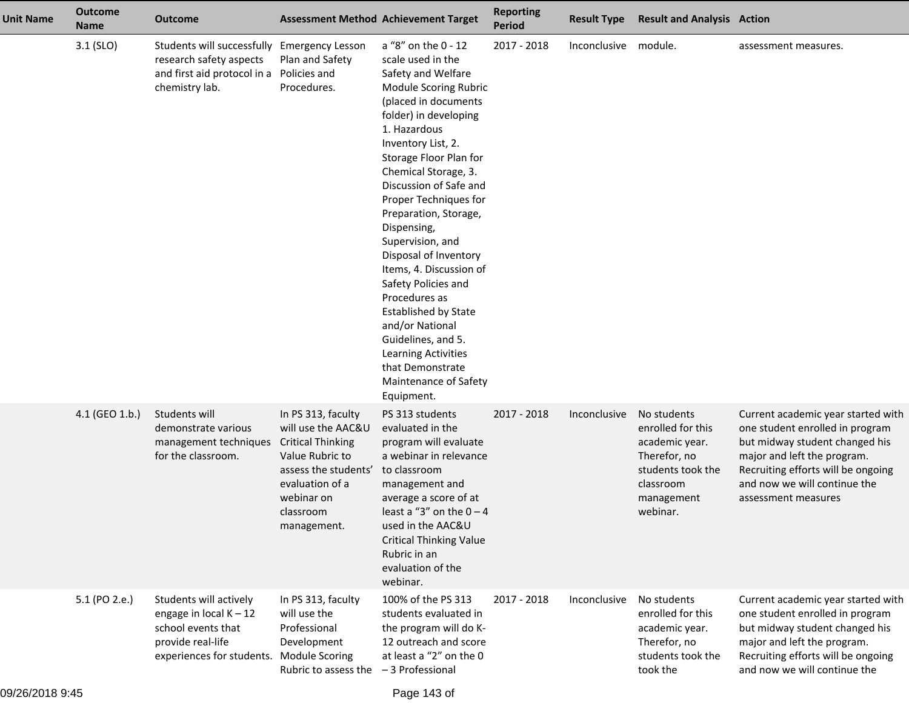| <b>Unit Name</b> | <b>Outcome</b><br><b>Name</b> | <b>Outcome</b>                                                                                                                            |                                                                                                                                                                              | <b>Assessment Method Achievement Target</b>                                                                                                                                                                                                                                                                                                                                                                                                                                                                                                                                                           | <b>Reporting</b><br><b>Period</b> | <b>Result Type</b> | <b>Result and Analysis Action</b>                                                                                              |                                                                                                                                                                                                                                     |
|------------------|-------------------------------|-------------------------------------------------------------------------------------------------------------------------------------------|------------------------------------------------------------------------------------------------------------------------------------------------------------------------------|-------------------------------------------------------------------------------------------------------------------------------------------------------------------------------------------------------------------------------------------------------------------------------------------------------------------------------------------------------------------------------------------------------------------------------------------------------------------------------------------------------------------------------------------------------------------------------------------------------|-----------------------------------|--------------------|--------------------------------------------------------------------------------------------------------------------------------|-------------------------------------------------------------------------------------------------------------------------------------------------------------------------------------------------------------------------------------|
|                  | $3.1$ (SLO)                   | Students will successfully<br>research safety aspects<br>and first aid protocol in a<br>chemistry lab.                                    | <b>Emergency Lesson</b><br>Plan and Safety<br>Policies and<br>Procedures.                                                                                                    | a "8" on the 0 - 12<br>scale used in the<br>Safety and Welfare<br>Module Scoring Rubric<br>(placed in documents<br>folder) in developing<br>1. Hazardous<br>Inventory List, 2.<br>Storage Floor Plan for<br>Chemical Storage, 3.<br>Discussion of Safe and<br>Proper Techniques for<br>Preparation, Storage,<br>Dispensing,<br>Supervision, and<br>Disposal of Inventory<br>Items, 4. Discussion of<br>Safety Policies and<br>Procedures as<br><b>Established by State</b><br>and/or National<br>Guidelines, and 5.<br>Learning Activities<br>that Demonstrate<br>Maintenance of Safety<br>Equipment. | 2017 - 2018                       | Inconclusive       | module.                                                                                                                        | assessment measures.                                                                                                                                                                                                                |
|                  | 4.1 (GEO 1.b.)                | Students will<br>demonstrate various<br>management techniques<br>for the classroom.                                                       | In PS 313, faculty<br>will use the AAC&U<br><b>Critical Thinking</b><br>Value Rubric to<br>assess the students'<br>evaluation of a<br>webinar on<br>classroom<br>management. | PS 313 students<br>evaluated in the<br>program will evaluate<br>a webinar in relevance<br>to classroom<br>management and<br>average a score of at<br>least a "3" on the $0 - 4$<br>used in the AAC&U<br><b>Critical Thinking Value</b><br>Rubric in an<br>evaluation of the<br>webinar.                                                                                                                                                                                                                                                                                                               | 2017 - 2018                       | Inconclusive       | No students<br>enrolled for this<br>academic year.<br>Therefor, no<br>students took the<br>classroom<br>management<br>webinar. | Current academic year started with<br>one student enrolled in program<br>but midway student changed his<br>major and left the program.<br>Recruiting efforts will be ongoing<br>and now we will continue the<br>assessment measures |
|                  | 5.1 (PO 2.e.)                 | Students will actively<br>engage in local $K - 12$<br>school events that<br>provide real-life<br>experiences for students. Module Scoring | In PS 313, faculty<br>will use the<br>Professional<br>Development<br>Rubric to assess the $-3$ Professional                                                                  | 100% of the PS 313<br>students evaluated in<br>the program will do K-<br>12 outreach and score<br>at least a "2" on the 0                                                                                                                                                                                                                                                                                                                                                                                                                                                                             | 2017 - 2018                       | Inconclusive       | No students<br>enrolled for this<br>academic year.<br>Therefor, no<br>students took the<br>took the                            | Current academic year started with<br>one student enrolled in program<br>but midway student changed his<br>major and left the program.<br>Recruiting efforts will be ongoing<br>and now we will continue the                        |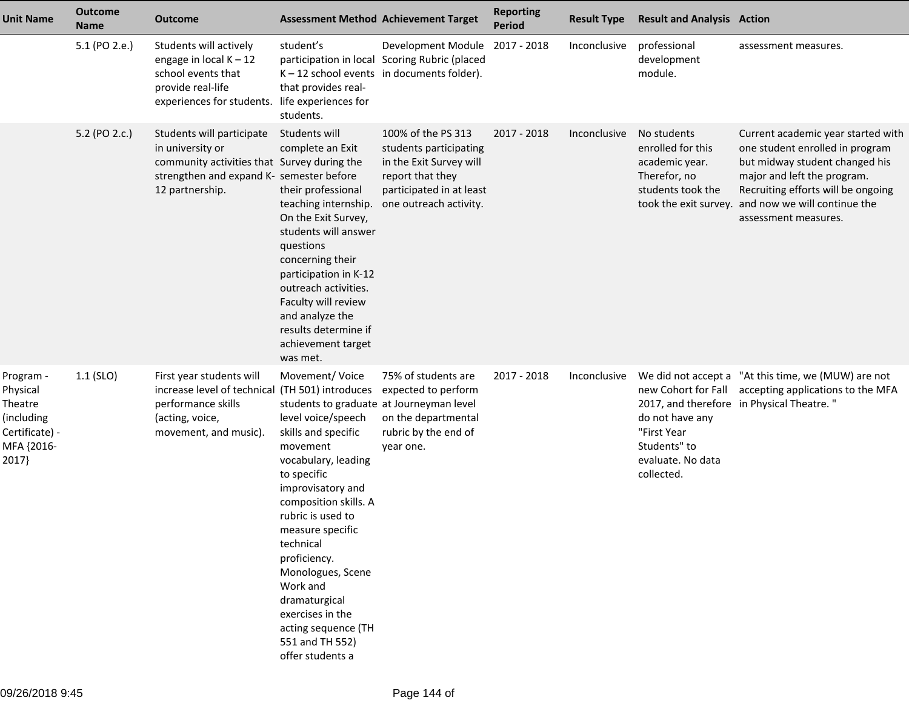| <b>Unit Name</b>                                                                        | <b>Outcome</b><br><b>Name</b> | <b>Outcome</b>                                                                                                                                              | <b>Assessment Method Achievement Target</b>                                                                                                                                                                                                                                                                                                                                                                       |                                                                                                                                                   | <b>Reporting</b><br><b>Period</b> | <b>Result Type</b> | <b>Result and Analysis Action</b>                                                       |                                                                                                                                                                                                                                                            |
|-----------------------------------------------------------------------------------------|-------------------------------|-------------------------------------------------------------------------------------------------------------------------------------------------------------|-------------------------------------------------------------------------------------------------------------------------------------------------------------------------------------------------------------------------------------------------------------------------------------------------------------------------------------------------------------------------------------------------------------------|---------------------------------------------------------------------------------------------------------------------------------------------------|-----------------------------------|--------------------|-----------------------------------------------------------------------------------------|------------------------------------------------------------------------------------------------------------------------------------------------------------------------------------------------------------------------------------------------------------|
|                                                                                         | 5.1 (PO 2.e.)                 | Students will actively<br>engage in local $K - 12$<br>school events that<br>provide real-life<br>experiences for students.                                  | student's<br>that provides real-<br>life experiences for<br>students.                                                                                                                                                                                                                                                                                                                                             | Development Module 2017 - 2018<br>participation in local Scoring Rubric (placed<br>$K - 12$ school events in documents folder).                   |                                   | Inconclusive       | professional<br>development<br>module.                                                  | assessment measures.                                                                                                                                                                                                                                       |
|                                                                                         | 5.2 (PO 2.c.)                 | Students will participate<br>in university or<br>community activities that Survey during the<br>strengthen and expand K- semester before<br>12 partnership. | Students will<br>complete an Exit<br>their professional<br>teaching internship.<br>On the Exit Survey,<br>students will answer<br>questions<br>concerning their<br>participation in K-12<br>outreach activities.<br>Faculty will review<br>and analyze the<br>results determine if<br>achievement target<br>was met.                                                                                              | 100% of the PS 313<br>students participating<br>in the Exit Survey will<br>report that they<br>participated in at least<br>one outreach activity. | 2017 - 2018                       | Inconclusive       | No students<br>enrolled for this<br>academic year.<br>Therefor, no<br>students took the | Current academic year started with<br>one student enrolled in program<br>but midway student changed his<br>major and left the program.<br>Recruiting efforts will be ongoing<br>took the exit survey. and now we will continue the<br>assessment measures. |
| Program -<br>Physical<br>Theatre<br>(including<br>Certificate) -<br>MFA {2016-<br>2017} | $1.1$ (SLO)                   | First year students will<br>increase level of technical (TH 501) introduces<br>performance skills<br>(acting, voice,<br>movement, and music).               | Movement/Voice<br>students to graduate at Journeyman level<br>level voice/speech<br>skills and specific<br>movement<br>vocabulary, leading<br>to specific<br>improvisatory and<br>composition skills. A<br>rubric is used to<br>measure specific<br>technical<br>proficiency.<br>Monologues, Scene<br>Work and<br>dramaturgical<br>exercises in the<br>acting sequence (TH<br>551 and TH 552)<br>offer students a | 75% of students are<br>expected to perform<br>on the departmental<br>rubric by the end of<br>year one.                                            | 2017 - 2018                       | Inconclusive       | do not have any<br>"First Year<br>Students" to<br>evaluate. No data<br>collected.       | We did not accept a "At this time, we (MUW) are not<br>new Cohort for Fall accepting applications to the MFA<br>2017, and therefore in Physical Theatre."                                                                                                  |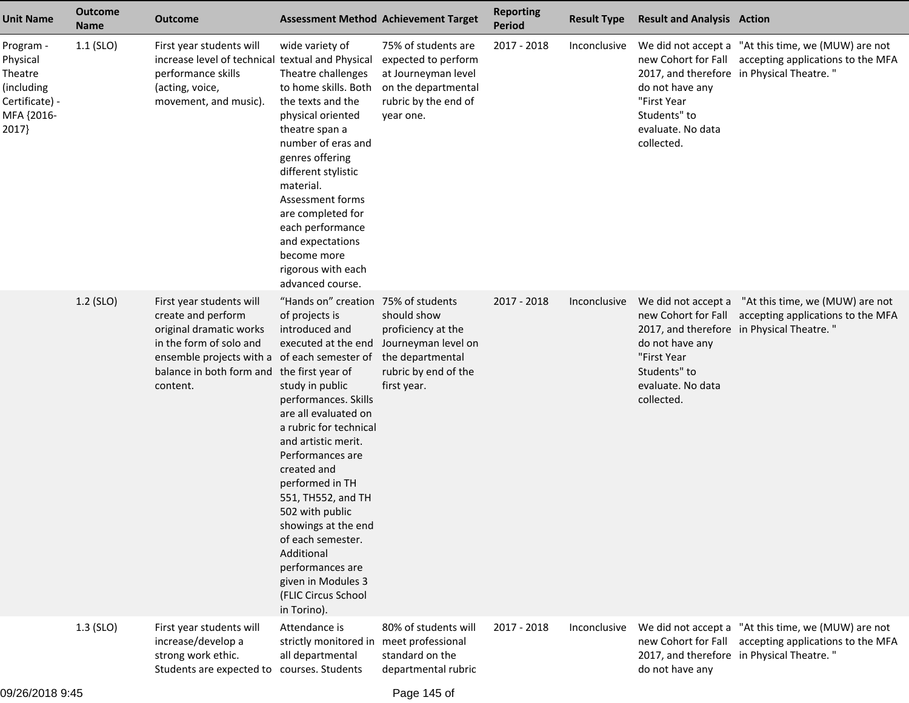| <b>Unit Name</b>                                                                        | <b>Outcome</b><br><b>Name</b> | Outcome                                                                                                                                                                                      |                                                                                                                                                                                                                                                                                                                                                                                                                                                                                  | <b>Assessment Method Achievement Target</b>                                                                                   | <b>Reporting</b><br><b>Period</b> | <b>Result Type</b> | <b>Result and Analysis Action</b>                                                 |                                                                                                                                                           |
|-----------------------------------------------------------------------------------------|-------------------------------|----------------------------------------------------------------------------------------------------------------------------------------------------------------------------------------------|----------------------------------------------------------------------------------------------------------------------------------------------------------------------------------------------------------------------------------------------------------------------------------------------------------------------------------------------------------------------------------------------------------------------------------------------------------------------------------|-------------------------------------------------------------------------------------------------------------------------------|-----------------------------------|--------------------|-----------------------------------------------------------------------------------|-----------------------------------------------------------------------------------------------------------------------------------------------------------|
| Program -<br>Physical<br>Theatre<br>(including<br>Certificate) -<br>MFA {2016-<br>2017} | $1.1$ (SLO)                   | First year students will<br>increase level of technical textual and Physical<br>performance skills<br>(acting, voice,<br>movement, and music).                                               | wide variety of<br>Theatre challenges<br>to home skills. Both<br>the texts and the<br>physical oriented<br>theatre span a<br>number of eras and<br>genres offering<br>different stylistic<br>material.<br>Assessment forms<br>are completed for<br>each performance<br>and expectations<br>become more<br>rigorous with each<br>advanced course.                                                                                                                                 | 75% of students are<br>expected to perform<br>at Journeyman level<br>on the departmental<br>rubric by the end of<br>year one. | 2017 - 2018                       | Inconclusive       | do not have any<br>"First Year<br>Students" to<br>evaluate. No data<br>collected. | We did not accept a "At this time, we (MUW) are not<br>new Cohort for Fall accepting applications to the MFA<br>2017, and therefore in Physical Theatre." |
|                                                                                         | $1.2$ (SLO)                   | First year students will<br>create and perform<br>original dramatic works<br>in the form of solo and<br>ensemble projects with a of each semester of<br>balance in both form and<br>content. | "Hands on" creation 75% of students<br>of projects is<br>introduced and<br>executed at the end<br>the first year of<br>study in public<br>performances. Skills<br>are all evaluated on<br>a rubric for technical<br>and artistic merit.<br>Performances are<br>created and<br>performed in TH<br>551, TH552, and TH<br>502 with public<br>showings at the end<br>of each semester.<br>Additional<br>performances are<br>given in Modules 3<br>(FLIC Circus School<br>in Torino). | should show<br>proficiency at the<br>Journeyman level on<br>the departmental<br>rubric by end of the<br>first year.           | 2017 - 2018                       | Inconclusive       | do not have any<br>"First Year<br>Students" to<br>evaluate. No data<br>collected. | We did not accept a "At this time, we (MUW) are not<br>new Cohort for Fall accepting applications to the MFA<br>2017, and therefore in Physical Theatre." |
|                                                                                         | $1.3$ (SLO)                   | First year students will<br>increase/develop a<br>strong work ethic.<br>Students are expected to courses. Students                                                                           | Attendance is<br>strictly monitored in<br>all departmental                                                                                                                                                                                                                                                                                                                                                                                                                       | 80% of students will<br>meet professional<br>standard on the<br>departmental rubric                                           | 2017 - 2018                       | Inconclusive       | new Cohort for Fall<br>do not have any                                            | We did not accept a "At this time, we (MUW) are not<br>accepting applications to the MFA<br>2017, and therefore in Physical Theatre."                     |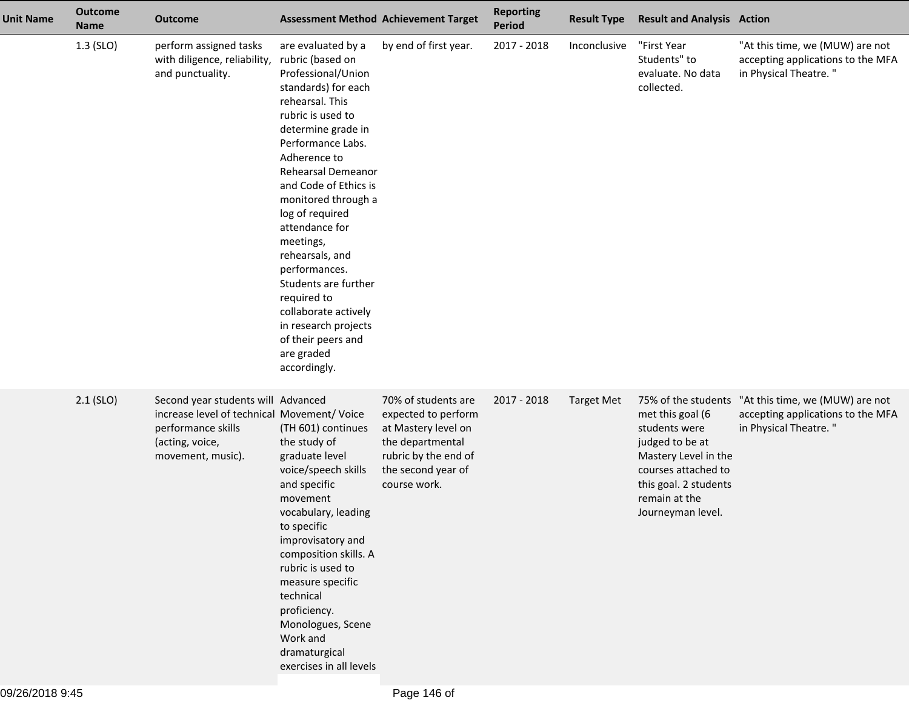| <b>Unit Name</b> | <b>Outcome</b><br><b>Name</b> | <b>Outcome</b>                                                                                                                                  |                                                                                                                                                                                                                                                                                                                                                                                                                                                                                               | <b>Assessment Method Achievement Target</b>                                                                                                         | <b>Reporting</b><br>Period | <b>Result Type</b> | <b>Result and Analysis Action</b>                                                                                                                                  |                                                                                                                   |
|------------------|-------------------------------|-------------------------------------------------------------------------------------------------------------------------------------------------|-----------------------------------------------------------------------------------------------------------------------------------------------------------------------------------------------------------------------------------------------------------------------------------------------------------------------------------------------------------------------------------------------------------------------------------------------------------------------------------------------|-----------------------------------------------------------------------------------------------------------------------------------------------------|----------------------------|--------------------|--------------------------------------------------------------------------------------------------------------------------------------------------------------------|-------------------------------------------------------------------------------------------------------------------|
|                  | $1.3$ (SLO)                   | perform assigned tasks<br>with diligence, reliability,<br>and punctuality.                                                                      | are evaluated by a<br>rubric (based on<br>Professional/Union<br>standards) for each<br>rehearsal. This<br>rubric is used to<br>determine grade in<br>Performance Labs.<br>Adherence to<br>Rehearsal Demeanor<br>and Code of Ethics is<br>monitored through a<br>log of required<br>attendance for<br>meetings,<br>rehearsals, and<br>performances.<br>Students are further<br>required to<br>collaborate actively<br>in research projects<br>of their peers and<br>are graded<br>accordingly. | by end of first year.                                                                                                                               | 2017 - 2018                | Inconclusive       | "First Year<br>Students" to<br>evaluate. No data<br>collected.                                                                                                     | "At this time, we (MUW) are not<br>accepting applications to the MFA<br>in Physical Theatre."                     |
|                  | $2.1$ (SLO)                   | Second year students will Advanced<br>increase level of technical Movement/ Voice<br>performance skills<br>(acting, voice,<br>movement, music). | (TH 601) continues<br>the study of<br>graduate level<br>voice/speech skills<br>and specific<br>movement<br>vocabulary, leading<br>to specific<br>improvisatory and<br>composition skills. A<br>rubric is used to<br>measure specific<br>technical<br>proficiency.<br>Monologues, Scene<br>Work and<br>dramaturgical<br>exercises in all levels                                                                                                                                                | 70% of students are<br>expected to perform<br>at Mastery level on<br>the departmental<br>rubric by the end of<br>the second year of<br>course work. | 2017 - 2018                | <b>Target Met</b>  | met this goal (6<br>students were<br>judged to be at<br>Mastery Level in the<br>courses attached to<br>this goal. 2 students<br>remain at the<br>Journeyman level. | 75% of the students "At this time, we (MUW) are not<br>accepting applications to the MFA<br>in Physical Theatre." |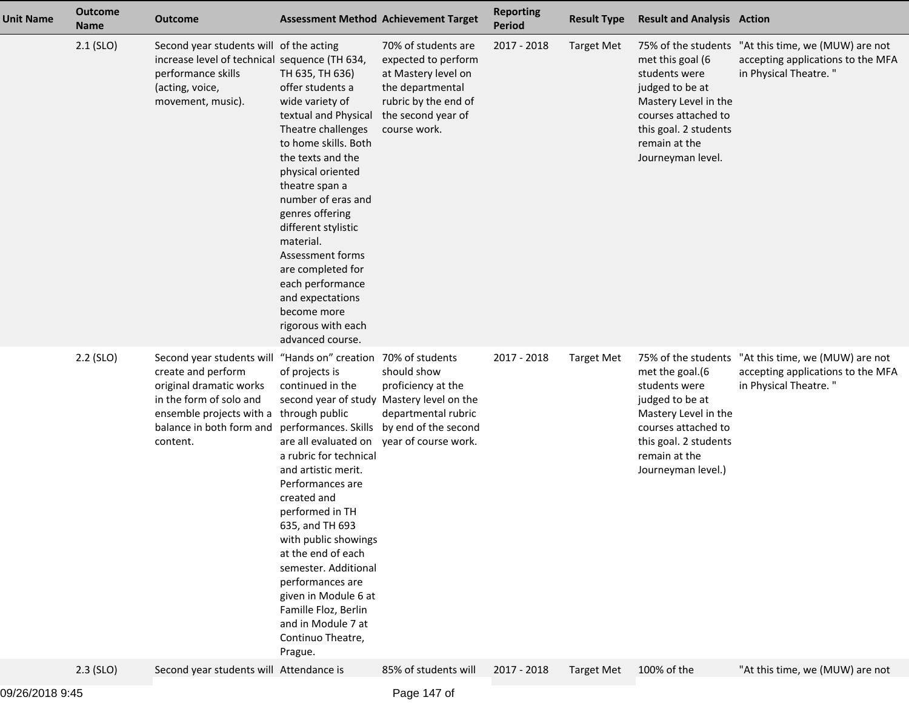| <b>Unit Name</b> | <b>Outcome</b><br><b>Name</b> | <b>Outcome</b>                                                                                                                                                                                                               | <b>Assessment Method Achievement Target</b>                                                                                                                                                                                                                                                                                                                                                                                                                                    |                                                                                                                                                     | <b>Reporting</b><br><b>Period</b> | <b>Result Type</b> | <b>Result and Analysis Action</b>                                                                                                                                  |                                                                                                                   |
|------------------|-------------------------------|------------------------------------------------------------------------------------------------------------------------------------------------------------------------------------------------------------------------------|--------------------------------------------------------------------------------------------------------------------------------------------------------------------------------------------------------------------------------------------------------------------------------------------------------------------------------------------------------------------------------------------------------------------------------------------------------------------------------|-----------------------------------------------------------------------------------------------------------------------------------------------------|-----------------------------------|--------------------|--------------------------------------------------------------------------------------------------------------------------------------------------------------------|-------------------------------------------------------------------------------------------------------------------|
|                  | $2.1$ (SLO)                   | Second year students will of the acting<br>increase level of technical sequence (TH 634,<br>performance skills<br>(acting, voice,<br>movement, music).                                                                       | TH 635, TH 636)<br>offer students a<br>wide variety of<br>textual and Physical<br>Theatre challenges<br>to home skills. Both<br>the texts and the<br>physical oriented<br>theatre span a<br>number of eras and<br>genres offering<br>different stylistic<br>material.<br>Assessment forms<br>are completed for<br>each performance<br>and expectations<br>become more<br>rigorous with each<br>advanced course.                                                                | 70% of students are<br>expected to perform<br>at Mastery level on<br>the departmental<br>rubric by the end of<br>the second year of<br>course work. | 2017 - 2018                       | <b>Target Met</b>  | met this goal (6<br>students were<br>judged to be at<br>Mastery Level in the<br>courses attached to<br>this goal. 2 students<br>remain at the<br>Journeyman level. | 75% of the students "At this time, we (MUW) are not<br>accepting applications to the MFA<br>in Physical Theatre." |
|                  | $2.2$ (SLO)                   | Second year students will "Hands on" creation 70% of students<br>create and perform<br>original dramatic works<br>in the form of solo and<br>ensemble projects with a through public<br>balance in both form and<br>content. | of projects is<br>continued in the<br>second year of study Mastery level on the<br>performances. Skills by end of the second<br>are all evaluated on<br>a rubric for technical<br>and artistic merit.<br>Performances are<br>created and<br>performed in TH<br>635, and TH 693<br>with public showings<br>at the end of each<br>semester. Additional<br>performances are<br>given in Module 6 at<br>Famille Floz, Berlin<br>and in Module 7 at<br>Continuo Theatre,<br>Prague. | should show<br>proficiency at the<br>departmental rubric<br>year of course work.                                                                    | 2017 - 2018                       | <b>Target Met</b>  | met the goal.(6<br>students were<br>judged to be at<br>Mastery Level in the<br>courses attached to<br>this goal. 2 students<br>remain at the<br>Journeyman level.) | 75% of the students "At this time, we (MUW) are not<br>accepting applications to the MFA<br>in Physical Theatre." |
|                  | $2.3$ (SLO)                   | Second year students will Attendance is                                                                                                                                                                                      |                                                                                                                                                                                                                                                                                                                                                                                                                                                                                | 85% of students will                                                                                                                                | 2017 - 2018                       | <b>Target Met</b>  | 100% of the                                                                                                                                                        | "At this time, we (MUW) are not                                                                                   |
|                  |                               |                                                                                                                                                                                                                              |                                                                                                                                                                                                                                                                                                                                                                                                                                                                                |                                                                                                                                                     |                                   |                    |                                                                                                                                                                    |                                                                                                                   |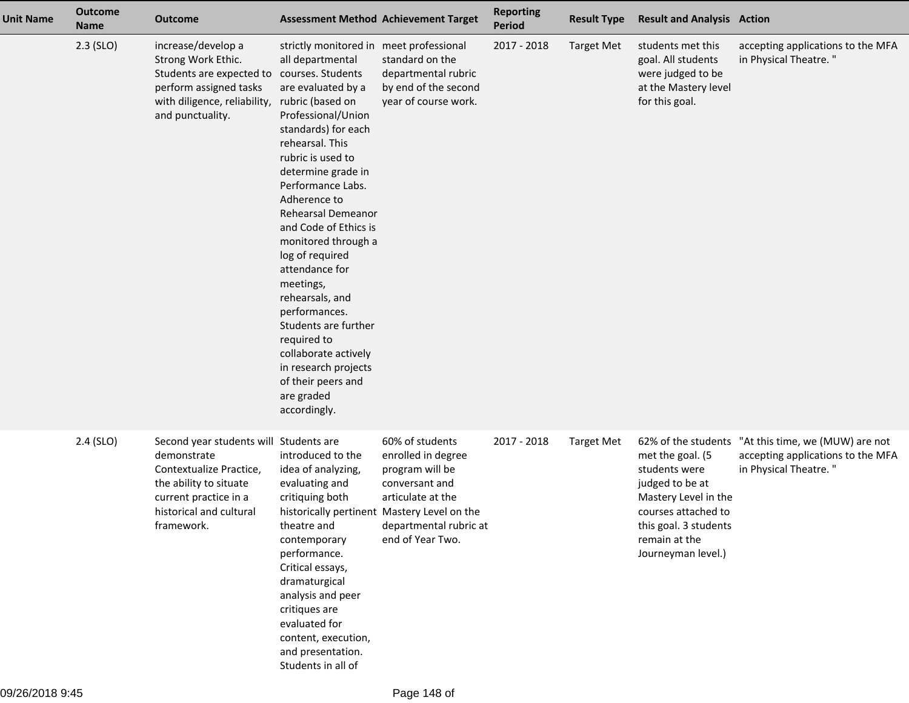| <b>Unit Name</b> | <b>Outcome</b><br><b>Name</b> | <b>Outcome</b>                                                                                                                                                               | <b>Assessment Method Achievement Target</b>                                                                                                                                                                                                                                                                                                                                                                                                                                                                                                                  |                                                                                                                                                                                              | <b>Reporting</b><br>Period | <b>Result Type</b> | <b>Result and Analysis Action</b>                                                                                                                                   |                                                                                                                   |
|------------------|-------------------------------|------------------------------------------------------------------------------------------------------------------------------------------------------------------------------|--------------------------------------------------------------------------------------------------------------------------------------------------------------------------------------------------------------------------------------------------------------------------------------------------------------------------------------------------------------------------------------------------------------------------------------------------------------------------------------------------------------------------------------------------------------|----------------------------------------------------------------------------------------------------------------------------------------------------------------------------------------------|----------------------------|--------------------|---------------------------------------------------------------------------------------------------------------------------------------------------------------------|-------------------------------------------------------------------------------------------------------------------|
|                  | $2.3$ (SLO)                   | increase/develop a<br>Strong Work Ethic.<br>Students are expected to courses. Students<br>perform assigned tasks<br>with diligence, reliability,<br>and punctuality.         | strictly monitored in meet professional<br>all departmental<br>are evaluated by a<br>rubric (based on<br>Professional/Union<br>standards) for each<br>rehearsal. This<br>rubric is used to<br>determine grade in<br>Performance Labs.<br>Adherence to<br>Rehearsal Demeanor<br>and Code of Ethics is<br>monitored through a<br>log of required<br>attendance for<br>meetings,<br>rehearsals, and<br>performances.<br>Students are further<br>required to<br>collaborate actively<br>in research projects<br>of their peers and<br>are graded<br>accordingly. | standard on the<br>departmental rubric<br>by end of the second<br>year of course work.                                                                                                       | 2017 - 2018                | <b>Target Met</b>  | students met this<br>goal. All students<br>were judged to be<br>at the Mastery level<br>for this goal.                                                              | accepting applications to the MFA<br>in Physical Theatre."                                                        |
|                  | $2.4$ (SLO)                   | Second year students will Students are<br>demonstrate<br>Contextualize Practice,<br>the ability to situate<br>current practice in a<br>historical and cultural<br>framework. | introduced to the<br>idea of analyzing,<br>evaluating and<br>critiquing both<br>theatre and<br>contemporary<br>performance.<br>Critical essays,<br>dramaturgical<br>analysis and peer<br>critiques are<br>evaluated for<br>content, execution,<br>and presentation.<br>Students in all of                                                                                                                                                                                                                                                                    | 60% of students<br>enrolled in degree<br>program will be<br>conversant and<br>articulate at the<br>historically pertinent Mastery Level on the<br>departmental rubric at<br>end of Year Two. | 2017 - 2018                | <b>Target Met</b>  | met the goal. (5<br>students were<br>judged to be at<br>Mastery Level in the<br>courses attached to<br>this goal. 3 students<br>remain at the<br>Journeyman level.) | 62% of the students "At this time, we (MUW) are not<br>accepting applications to the MFA<br>in Physical Theatre." |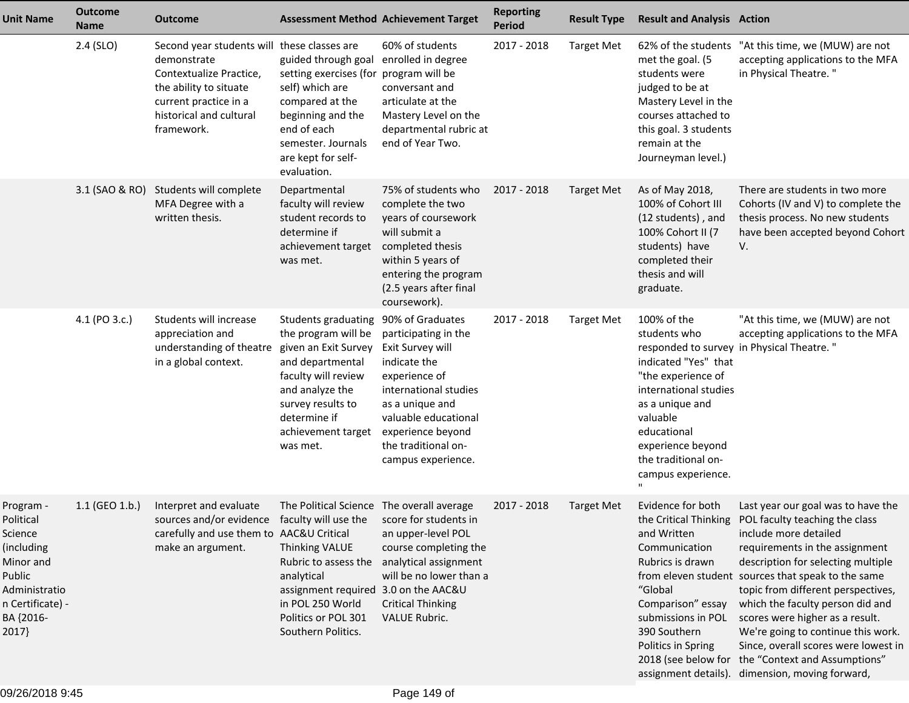| <b>Unit Name</b>                                                                                                                  | <b>Outcome</b><br><b>Name</b> | <b>Outcome</b>                                                                                                                                                                    |                                                                                                                                                                                                            | <b>Assessment Method Achievement Target</b>                                                                                                                                                                                         | <b>Reporting</b><br><b>Period</b> | <b>Result Type</b> | <b>Result and Analysis Action</b>                                                                                                                                                                                                  |                                                                                                                                                                                                                                                                                                                                                                                                                                                                                                                                                      |
|-----------------------------------------------------------------------------------------------------------------------------------|-------------------------------|-----------------------------------------------------------------------------------------------------------------------------------------------------------------------------------|------------------------------------------------------------------------------------------------------------------------------------------------------------------------------------------------------------|-------------------------------------------------------------------------------------------------------------------------------------------------------------------------------------------------------------------------------------|-----------------------------------|--------------------|------------------------------------------------------------------------------------------------------------------------------------------------------------------------------------------------------------------------------------|------------------------------------------------------------------------------------------------------------------------------------------------------------------------------------------------------------------------------------------------------------------------------------------------------------------------------------------------------------------------------------------------------------------------------------------------------------------------------------------------------------------------------------------------------|
|                                                                                                                                   | 2.4 (SLO)                     | Second year students will these classes are<br>demonstrate<br>Contextualize Practice,<br>the ability to situate<br>current practice in a<br>historical and cultural<br>framework. | guided through goal<br>setting exercises (for<br>self) which are<br>compared at the<br>beginning and the<br>end of each<br>semester. Journals<br>are kept for self-<br>evaluation.                         | 60% of students<br>enrolled in degree<br>program will be<br>conversant and<br>articulate at the<br>Mastery Level on the<br>departmental rubric at<br>end of Year Two.                                                               | 2017 - 2018                       | <b>Target Met</b>  | met the goal. (5<br>students were<br>judged to be at<br>Mastery Level in the<br>courses attached to<br>this goal. 3 students<br>remain at the<br>Journeyman level.)                                                                | 62% of the students "At this time, we (MUW) are not<br>accepting applications to the MFA<br>in Physical Theatre."                                                                                                                                                                                                                                                                                                                                                                                                                                    |
|                                                                                                                                   |                               | 3.1 (SAO & RO) Students will complete<br>MFA Degree with a<br>written thesis.                                                                                                     | Departmental<br>faculty will review<br>student records to<br>determine if<br>achievement target<br>was met.                                                                                                | 75% of students who<br>complete the two<br>years of coursework<br>will submit a<br>completed thesis<br>within 5 years of<br>entering the program<br>(2.5 years after final<br>coursework).                                          | 2017 - 2018                       | <b>Target Met</b>  | As of May 2018,<br>100% of Cohort III<br>(12 students), and<br>100% Cohort II (7<br>students) have<br>completed their<br>thesis and will<br>graduate.                                                                              | There are students in two more<br>Cohorts (IV and V) to complete the<br>thesis process. No new students<br>have been accepted beyond Cohort<br>V.                                                                                                                                                                                                                                                                                                                                                                                                    |
|                                                                                                                                   | 4.1 (PO 3.c.)                 | Students will increase<br>appreciation and<br>understanding of theatre<br>in a global context.                                                                                    | Students graduating<br>the program will be<br>given an Exit Survey<br>and departmental<br>faculty will review<br>and analyze the<br>survey results to<br>determine if<br>achievement target<br>was met.    | 90% of Graduates<br>participating in the<br>Exit Survey will<br>indicate the<br>experience of<br>international studies<br>as a unique and<br>valuable educational<br>experience beyond<br>the traditional on-<br>campus experience. | 2017 - 2018                       | <b>Target Met</b>  | 100% of the<br>students who<br>indicated "Yes" that<br>"the experience of<br>international studies<br>as a unique and<br>valuable<br>educational<br>experience beyond<br>the traditional on-<br>campus experience.<br>$\mathbf{H}$ | "At this time, we (MUW) are not<br>accepting applications to the MFA<br>responded to survey in Physical Theatre."                                                                                                                                                                                                                                                                                                                                                                                                                                    |
| Program -<br>Political<br>Science<br>(including<br>Minor and<br>Public<br>Administratio<br>n Certificate) -<br>BA {2016-<br>2017} | $1.1$ (GEO $1.b.$ )           | Interpret and evaluate<br>sources and/or evidence faculty will use the score for students in<br>carefully and use them to AAC&U Critical<br>make an argument.                     | The Political Science The overall average<br>Thinking VALUE<br>Rubric to assess the<br>analytical<br>assignment required 3.0 on the AAC&U<br>in POL 250 World<br>Politics or POL 301<br>Southern Politics. | an upper-level POL<br>course completing the<br>analytical assignment<br>will be no lower than a<br><b>Critical Thinking</b><br><b>VALUE Rubric.</b>                                                                                 | 2017 - 2018                       | Target Met         | Evidence for both<br>and Written<br>Communication<br>Rubrics is drawn<br>"Global<br>Comparison" essay<br>submissions in POL<br>390 Southern<br>Politics in Spring                                                                  | Last year our goal was to have the<br>the Critical Thinking POL faculty teaching the class<br>include more detailed<br>requirements in the assignment<br>description for selecting multiple<br>from eleven student sources that speak to the same<br>topic from different perspectives,<br>which the faculty person did and<br>scores were higher as a result.<br>We're going to continue this work.<br>Since, overall scores were lowest in<br>2018 (see below for the "Context and Assumptions"<br>assignment details). dimension, moving forward, |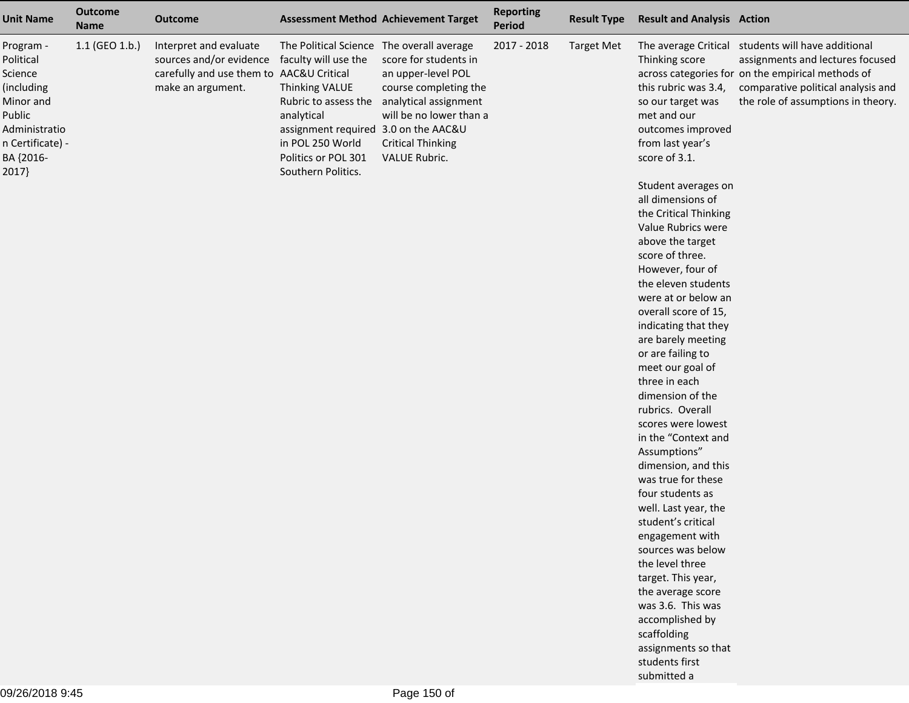| <b>Unit Name</b>                                                                                                                 | <b>Outcome</b><br><b>Name</b> | <b>Outcome</b>                                                                                                     |                                                                                                                                                                                                                                    | <b>Assessment Method Achievement Target</b>                                                                                                                           | <b>Reporting</b><br>Period | <b>Result Type</b> | <b>Result and Analysis Action</b>                                                                                                                                                                                                                                                                                                                                                                                                                                                                                                                                                                                                                                                                                                                                                                                                                                                                  |                                                                                                                                                                                                                         |
|----------------------------------------------------------------------------------------------------------------------------------|-------------------------------|--------------------------------------------------------------------------------------------------------------------|------------------------------------------------------------------------------------------------------------------------------------------------------------------------------------------------------------------------------------|-----------------------------------------------------------------------------------------------------------------------------------------------------------------------|----------------------------|--------------------|----------------------------------------------------------------------------------------------------------------------------------------------------------------------------------------------------------------------------------------------------------------------------------------------------------------------------------------------------------------------------------------------------------------------------------------------------------------------------------------------------------------------------------------------------------------------------------------------------------------------------------------------------------------------------------------------------------------------------------------------------------------------------------------------------------------------------------------------------------------------------------------------------|-------------------------------------------------------------------------------------------------------------------------------------------------------------------------------------------------------------------------|
| Program -<br>Political<br>Science<br>(including<br>Minor and<br>Public<br>Administratio<br>n Certificate) -<br>BA {2016-<br>2017 | 1.1 (GEO 1.b.)                | Interpret and evaluate<br>sources and/or evidence<br>carefully and use them to AAC&U Critical<br>make an argument. | The Political Science The overall average<br>faculty will use the<br>Thinking VALUE<br>Rubric to assess the<br>analytical<br>assignment required 3.0 on the AAC&U<br>in POL 250 World<br>Politics or POL 301<br>Southern Politics. | score for students in<br>an upper-level POL<br>course completing the<br>analytical assignment<br>will be no lower than a<br><b>Critical Thinking</b><br>VALUE Rubric. | 2017 - 2018                | <b>Target Met</b>  | Thinking score<br>this rubric was 3.4,<br>so our target was<br>met and our<br>outcomes improved<br>from last year's<br>score of 3.1.<br>Student averages on<br>all dimensions of<br>the Critical Thinking<br>Value Rubrics were<br>above the target<br>score of three.<br>However, four of<br>the eleven students<br>were at or below an<br>overall score of 15,<br>indicating that they<br>are barely meeting<br>or are failing to<br>meet our goal of<br>three in each<br>dimension of the<br>rubrics. Overall<br>scores were lowest<br>in the "Context and<br>Assumptions"<br>dimension, and this<br>was true for these<br>four students as<br>well. Last year, the<br>student's critical<br>engagement with<br>sources was below<br>the level three<br>target. This year,<br>the average score<br>was 3.6. This was<br>accomplished by<br>scaffolding<br>assignments so that<br>students first | The average Critical students will have additional<br>assignments and lectures focused<br>across categories for on the empirical methods of<br>comparative political analysis and<br>the role of assumptions in theory. |
|                                                                                                                                  |                               |                                                                                                                    |                                                                                                                                                                                                                                    |                                                                                                                                                                       |                            |                    | submitted a                                                                                                                                                                                                                                                                                                                                                                                                                                                                                                                                                                                                                                                                                                                                                                                                                                                                                        |                                                                                                                                                                                                                         |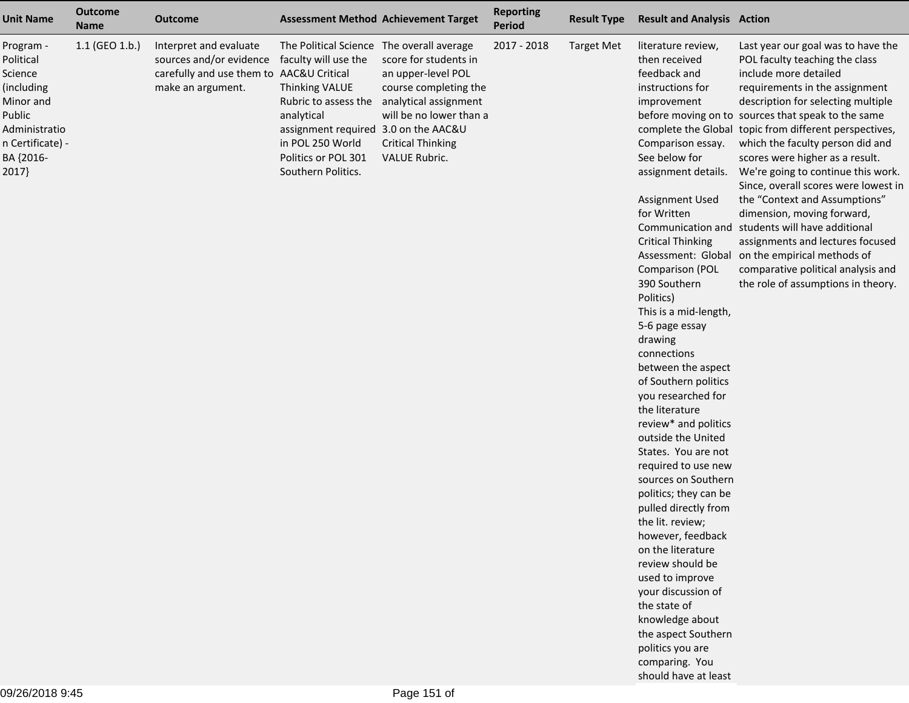| <b>Unit Name</b>                                                                                                                  | <b>Outcome</b><br><b>Name</b> | <b>Outcome</b>                                                                                                     |                                                                                                                                                                                                                                           | <b>Assessment Method Achievement Target</b>                                                                                                                                  | <b>Reporting</b><br>Period | <b>Result Type</b> | <b>Result and Analysis Action</b>                                                                                                                                                                                                                                                                                                                                                                                                                                                                                                                                                                                                                                                                                                                                                                                                                   |                                                                                                                                                                                                                                                                                                                                                                                                                                                                                                                                                                                                                                                                                                                                |
|-----------------------------------------------------------------------------------------------------------------------------------|-------------------------------|--------------------------------------------------------------------------------------------------------------------|-------------------------------------------------------------------------------------------------------------------------------------------------------------------------------------------------------------------------------------------|------------------------------------------------------------------------------------------------------------------------------------------------------------------------------|----------------------------|--------------------|-----------------------------------------------------------------------------------------------------------------------------------------------------------------------------------------------------------------------------------------------------------------------------------------------------------------------------------------------------------------------------------------------------------------------------------------------------------------------------------------------------------------------------------------------------------------------------------------------------------------------------------------------------------------------------------------------------------------------------------------------------------------------------------------------------------------------------------------------------|--------------------------------------------------------------------------------------------------------------------------------------------------------------------------------------------------------------------------------------------------------------------------------------------------------------------------------------------------------------------------------------------------------------------------------------------------------------------------------------------------------------------------------------------------------------------------------------------------------------------------------------------------------------------------------------------------------------------------------|
| Program -<br>Political<br>Science<br>(including<br>Minor and<br>Public<br>Administratio<br>n Certificate) -<br>BA {2016-<br>2017} | 1.1 (GEO 1.b.)                | Interpret and evaluate<br>sources and/or evidence<br>carefully and use them to AAC&U Critical<br>make an argument. | The Political Science The overall average<br>faculty will use the<br><b>Thinking VALUE</b><br>Rubric to assess the<br>analytical<br>assignment required 3.0 on the AAC&U<br>in POL 250 World<br>Politics or POL 301<br>Southern Politics. | score for students in<br>an upper-level POL<br>course completing the<br>analytical assignment<br>will be no lower than a<br><b>Critical Thinking</b><br><b>VALUE Rubric.</b> | 2017 - 2018                | <b>Target Met</b>  | literature review,<br>then received<br>feedback and<br>instructions for<br>improvement<br>Comparison essay.<br>See below for<br>assignment details.<br>Assignment Used<br>for Written<br><b>Critical Thinking</b><br>Comparison (POL<br>390 Southern<br>Politics)<br>This is a mid-length,<br>5-6 page essay<br>drawing<br>connections<br>between the aspect<br>of Southern politics<br>you researched for<br>the literature<br>review* and politics<br>outside the United<br>States. You are not<br>required to use new<br>sources on Southern<br>politics; they can be<br>pulled directly from<br>the lit. review;<br>however, feedback<br>on the literature<br>review should be<br>used to improve<br>your discussion of<br>the state of<br>knowledge about<br>the aspect Southern<br>politics you are<br>comparing. You<br>should have at least | Last year our goal was to have the<br>POL faculty teaching the class<br>include more detailed<br>requirements in the assignment<br>description for selecting multiple<br>before moving on to sources that speak to the same<br>complete the Global topic from different perspectives,<br>which the faculty person did and<br>scores were higher as a result.<br>We're going to continue this work.<br>Since, overall scores were lowest in<br>the "Context and Assumptions"<br>dimension, moving forward,<br>Communication and students will have additional<br>assignments and lectures focused<br>Assessment: Global on the empirical methods of<br>comparative political analysis and<br>the role of assumptions in theory. |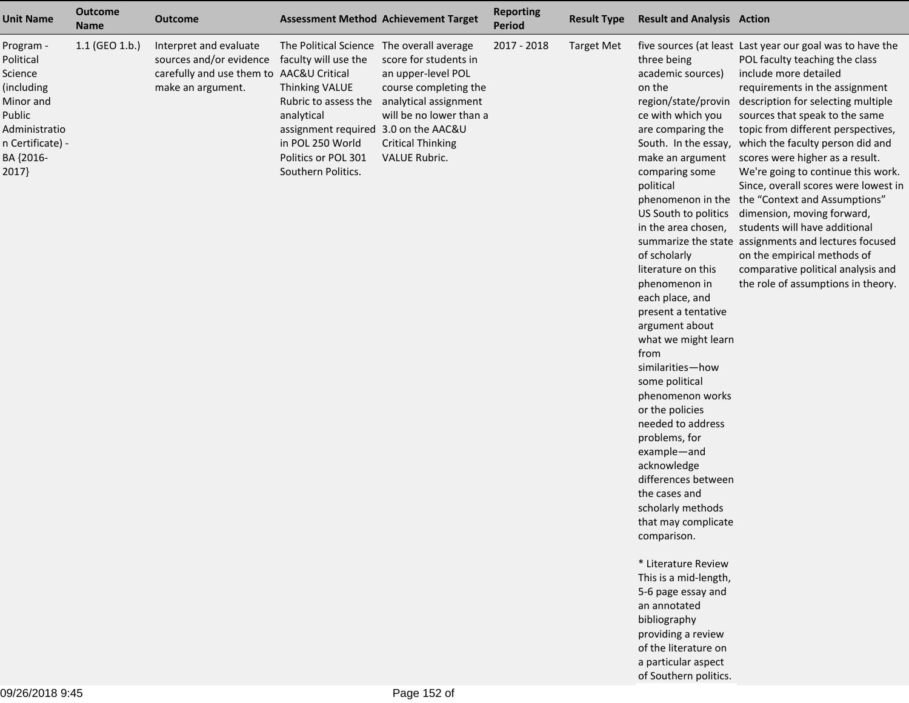| <b>Unit Name</b>                                                                                                                  | <b>Outcome</b><br><b>Name</b> | <b>Outcome</b>                                                                                                     |                                                                                                                                                                                                                                    | <b>Assessment Method Achievement Target</b>                                                                                                                                  | <b>Reporting</b><br><b>Period</b> | <b>Result Type</b> | <b>Result and Analysis Action</b>                                                                                                                                                                                                                                                                                                                                                                                                                                                                                                                                                                                                                                                                                                                                                               |                                                                                                                                                                                                                                                                                                                                                                                                                                                                                                                                                                                                                                                                                                                                                          |
|-----------------------------------------------------------------------------------------------------------------------------------|-------------------------------|--------------------------------------------------------------------------------------------------------------------|------------------------------------------------------------------------------------------------------------------------------------------------------------------------------------------------------------------------------------|------------------------------------------------------------------------------------------------------------------------------------------------------------------------------|-----------------------------------|--------------------|-------------------------------------------------------------------------------------------------------------------------------------------------------------------------------------------------------------------------------------------------------------------------------------------------------------------------------------------------------------------------------------------------------------------------------------------------------------------------------------------------------------------------------------------------------------------------------------------------------------------------------------------------------------------------------------------------------------------------------------------------------------------------------------------------|----------------------------------------------------------------------------------------------------------------------------------------------------------------------------------------------------------------------------------------------------------------------------------------------------------------------------------------------------------------------------------------------------------------------------------------------------------------------------------------------------------------------------------------------------------------------------------------------------------------------------------------------------------------------------------------------------------------------------------------------------------|
| Program -<br>Political<br>Science<br>(including<br>Minor and<br>Public<br>Administratio<br>n Certificate) -<br>BA {2016-<br>2017} | 1.1 (GEO 1.b.)                | Interpret and evaluate<br>sources and/or evidence<br>carefully and use them to AAC&U Critical<br>make an argument. | The Political Science The overall average<br>faculty will use the<br>Thinking VALUE<br>Rubric to assess the<br>analytical<br>assignment required 3.0 on the AAC&U<br>in POL 250 World<br>Politics or POL 301<br>Southern Politics. | score for students in<br>an upper-level POL<br>course completing the<br>analytical assignment<br>will be no lower than a<br><b>Critical Thinking</b><br><b>VALUE Rubric.</b> | 2017 - 2018                       | <b>Target Met</b>  | three being<br>academic sources)<br>on the<br>region/state/provin<br>ce with which you<br>are comparing the<br>make an argument<br>comparing some<br>political<br>in the area chosen,<br>of scholarly<br>literature on this<br>phenomenon in<br>each place, and<br>present a tentative<br>argument about<br>what we might learn<br>from<br>similarities-how<br>some political<br>phenomenon works<br>or the policies<br>needed to address<br>problems, for<br>example-and<br>acknowledge<br>differences between<br>the cases and<br>scholarly methods<br>that may complicate<br>comparison.<br>* Literature Review<br>This is a mid-length,<br>5-6 page essay and<br>an annotated<br>bibliography<br>providing a review<br>of the literature on<br>a particular aspect<br>of Southern politics. | five sources (at least Last year our goal was to have the<br>POL faculty teaching the class<br>include more detailed<br>requirements in the assignment<br>description for selecting multiple<br>sources that speak to the same<br>topic from different perspectives,<br>South. In the essay, which the faculty person did and<br>scores were higher as a result.<br>We're going to continue this work.<br>Since, overall scores were lowest in<br>phenomenon in the the "Context and Assumptions"<br>US South to politics dimension, moving forward,<br>students will have additional<br>summarize the state assignments and lectures focused<br>on the empirical methods of<br>comparative political analysis and<br>the role of assumptions in theory. |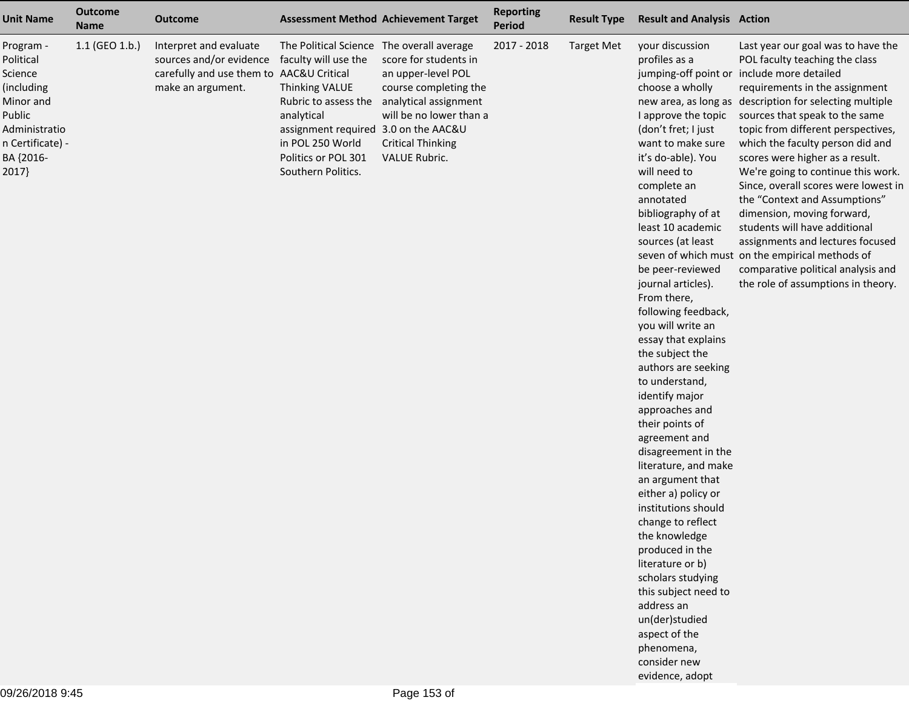| <b>Unit Name</b>                                                                                                                  | <b>Outcome</b><br><b>Name</b> | <b>Outcome</b>                                                                                                     |                                                                                                                                                                                                                                           | <b>Assessment Method Achievement Target</b>                                                                                                                                  | <b>Reporting</b><br><b>Period</b> | <b>Result Type</b> | <b>Result and Analysis Action</b>                                                                                                                                                                                                                                                                                                                                                                                                                                                                                                                                                                                                                                                                                                                                                                                                                                     |                                                                                                                                                                                                                                                                                                                                                                                                                                                                                                                                                                                                                                                                                                                 |
|-----------------------------------------------------------------------------------------------------------------------------------|-------------------------------|--------------------------------------------------------------------------------------------------------------------|-------------------------------------------------------------------------------------------------------------------------------------------------------------------------------------------------------------------------------------------|------------------------------------------------------------------------------------------------------------------------------------------------------------------------------|-----------------------------------|--------------------|-----------------------------------------------------------------------------------------------------------------------------------------------------------------------------------------------------------------------------------------------------------------------------------------------------------------------------------------------------------------------------------------------------------------------------------------------------------------------------------------------------------------------------------------------------------------------------------------------------------------------------------------------------------------------------------------------------------------------------------------------------------------------------------------------------------------------------------------------------------------------|-----------------------------------------------------------------------------------------------------------------------------------------------------------------------------------------------------------------------------------------------------------------------------------------------------------------------------------------------------------------------------------------------------------------------------------------------------------------------------------------------------------------------------------------------------------------------------------------------------------------------------------------------------------------------------------------------------------------|
| Program -<br>Political<br>Science<br>(including<br>Minor and<br>Public<br>Administratio<br>n Certificate) -<br>BA {2016-<br>2017} | 1.1 (GEO 1.b.)                | Interpret and evaluate<br>sources and/or evidence<br>carefully and use them to AAC&U Critical<br>make an argument. | The Political Science The overall average<br>faculty will use the<br><b>Thinking VALUE</b><br>Rubric to assess the<br>analytical<br>assignment required 3.0 on the AAC&U<br>in POL 250 World<br>Politics or POL 301<br>Southern Politics. | score for students in<br>an upper-level POL<br>course completing the<br>analytical assignment<br>will be no lower than a<br><b>Critical Thinking</b><br><b>VALUE Rubric.</b> | 2017 - 2018                       | <b>Target Met</b>  | your discussion<br>profiles as a<br>choose a wholly<br>I approve the topic<br>(don't fret; I just<br>want to make sure<br>it's do-able). You<br>will need to<br>complete an<br>annotated<br>bibliography of at<br>least 10 academic<br>sources (at least<br>be peer-reviewed<br>journal articles).<br>From there,<br>following feedback,<br>you will write an<br>essay that explains<br>the subject the<br>authors are seeking<br>to understand,<br>identify major<br>approaches and<br>their points of<br>agreement and<br>disagreement in the<br>literature, and make<br>an argument that<br>either a) policy or<br>institutions should<br>change to reflect<br>the knowledge<br>produced in the<br>literature or b)<br>scholars studying<br>this subject need to<br>address an<br>un(der)studied<br>aspect of the<br>phenomena,<br>consider new<br>evidence, adopt | Last year our goal was to have the<br>POL faculty teaching the class<br>jumping-off point or include more detailed<br>requirements in the assignment<br>new area, as long as description for selecting multiple<br>sources that speak to the same<br>topic from different perspectives,<br>which the faculty person did and<br>scores were higher as a result.<br>We're going to continue this work.<br>Since, overall scores were lowest in<br>the "Context and Assumptions"<br>dimension, moving forward,<br>students will have additional<br>assignments and lectures focused<br>seven of which must on the empirical methods of<br>comparative political analysis and<br>the role of assumptions in theory. |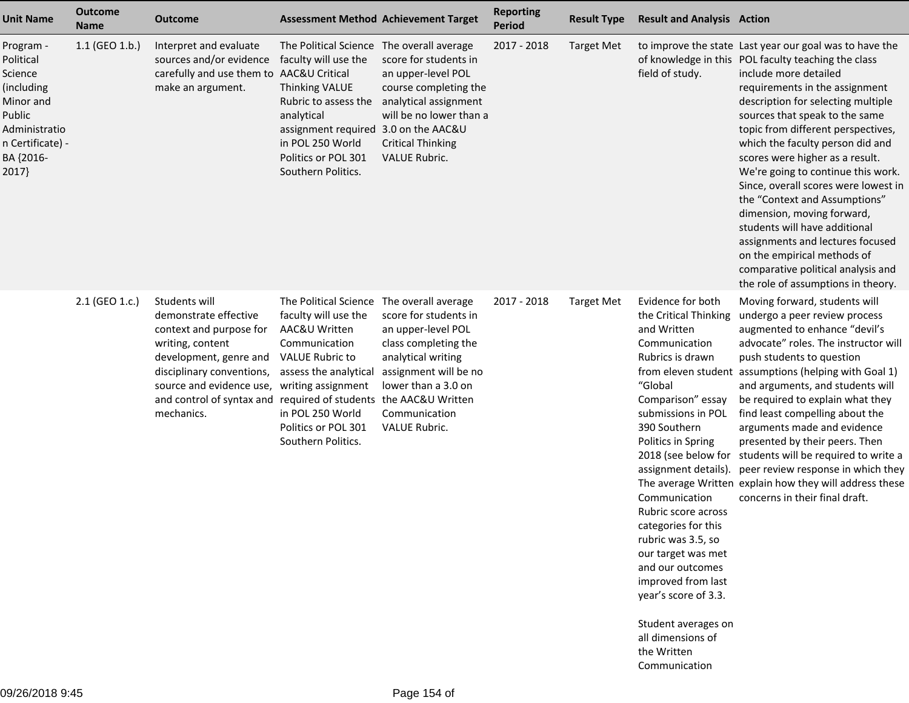| <b>Outcome</b><br><b>Name</b> | <b>Outcome</b>                                                                                                                                                                         |                                                                                                                                                                            | <b>Assessment Method Achievement Target</b>                                                                                                                                        | <b>Reporting</b><br>Period                                                                                                                          | <b>Result Type</b> | <b>Result and Analysis Action</b>                                                                                                                                                                                                                                                                                                                                                                                                                    |                                                                                                                                                                                                                                                                                                                                                                                                                                                                                                                                                                                                                                                                                             |
|-------------------------------|----------------------------------------------------------------------------------------------------------------------------------------------------------------------------------------|----------------------------------------------------------------------------------------------------------------------------------------------------------------------------|------------------------------------------------------------------------------------------------------------------------------------------------------------------------------------|-----------------------------------------------------------------------------------------------------------------------------------------------------|--------------------|------------------------------------------------------------------------------------------------------------------------------------------------------------------------------------------------------------------------------------------------------------------------------------------------------------------------------------------------------------------------------------------------------------------------------------------------------|---------------------------------------------------------------------------------------------------------------------------------------------------------------------------------------------------------------------------------------------------------------------------------------------------------------------------------------------------------------------------------------------------------------------------------------------------------------------------------------------------------------------------------------------------------------------------------------------------------------------------------------------------------------------------------------------|
| $1.1$ (GEO 1.b.)              | Interpret and evaluate<br>sources and/or evidence<br>make an argument.                                                                                                                 | <b>Thinking VALUE</b><br>Rubric to assess the<br>analytical<br>in POL 250 World<br>Politics or POL 301<br>Southern Politics.                                               | score for students in<br>an upper-level POL<br>course completing the<br>analytical assignment<br>will be no lower than a<br><b>Critical Thinking</b><br><b>VALUE Rubric.</b>       | 2017 - 2018                                                                                                                                         | <b>Target Met</b>  | field of study.                                                                                                                                                                                                                                                                                                                                                                                                                                      | to improve the state Last year our goal was to have the<br>of knowledge in this POL faculty teaching the class<br>include more detailed<br>requirements in the assignment<br>description for selecting multiple<br>sources that speak to the same<br>topic from different perspectives,<br>which the faculty person did and<br>scores were higher as a result.<br>We're going to continue this work.<br>Since, overall scores were lowest in<br>the "Context and Assumptions"<br>dimension, moving forward,<br>students will have additional<br>assignments and lectures focused<br>on the empirical methods of<br>comparative political analysis and<br>the role of assumptions in theory. |
| 2.1 (GEO 1.c.)                | Students will<br>demonstrate effective<br>context and purpose for<br>writing, content<br>development, genre and<br>disciplinary conventions,<br>source and evidence use,<br>mechanics. | faculty will use the<br>AAC&U Written<br>Communication<br><b>VALUE Rubric to</b><br>assess the analytical<br>in POL 250 World<br>Politics or POL 301<br>Southern Politics. | score for students in<br>an upper-level POL<br>class completing the<br>analytical writing<br>assignment will be no<br>lower than a 3.0 on<br>Communication<br><b>VALUE Rubric.</b> | 2017 - 2018                                                                                                                                         | <b>Target Met</b>  | Evidence for both<br>the Critical Thinking<br>and Written<br>Communication<br>Rubrics is drawn<br>"Global<br>Comparison" essay<br>submissions in POL<br>390 Southern<br>Politics in Spring<br>assignment details).<br>Communication<br>Rubric score across<br>categories for this<br>rubric was 3.5, so<br>our target was met<br>and our outcomes<br>improved from last<br>year's score of 3.3.<br>all dimensions of<br>the Written<br>Communication | Moving forward, students will<br>undergo a peer review process<br>augmented to enhance "devil's<br>advocate" roles. The instructor will<br>push students to question<br>from eleven student assumptions (helping with Goal 1)<br>and arguments, and students will<br>be required to explain what they<br>find least compelling about the<br>arguments made and evidence<br>presented by their peers. Then<br>2018 (see below for students will be required to write a<br>peer review response in which they<br>The average Written explain how they will address these<br>concerns in their final draft.                                                                                    |
|                               |                                                                                                                                                                                        |                                                                                                                                                                            | faculty will use the<br>carefully and use them to AAC&U Critical<br>writing assignment<br>and control of syntax and required of students                                           | The Political Science The overall average<br>assignment required 3.0 on the AAC&U<br>The Political Science The overall average<br>the AAC&U Written |                    |                                                                                                                                                                                                                                                                                                                                                                                                                                                      | Student averages on                                                                                                                                                                                                                                                                                                                                                                                                                                                                                                                                                                                                                                                                         |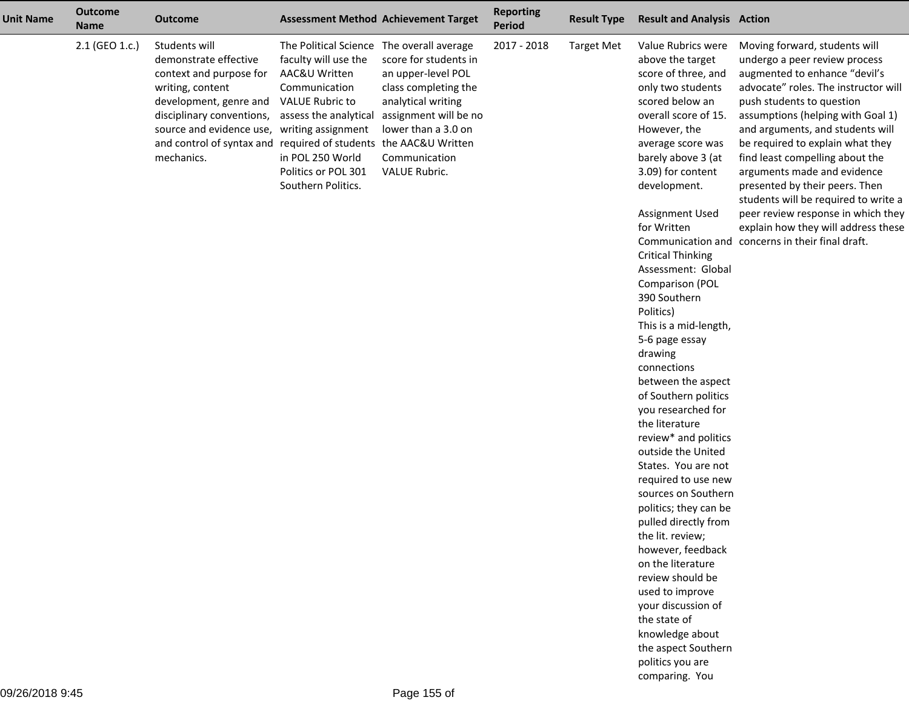| <b>Unit Name</b> | <b>Outcome</b><br><b>Name</b> | <b>Outcome</b>                                                                                                                                                                                                                                                                |                                                                                                                                                                                                                         | <b>Assessment Method Achievement Target</b>                                                                                                                                 | <b>Reporting</b><br><b>Period</b> | <b>Result Type</b> | <b>Result and Analysis Action</b>                                                                                                                                                                                                                                                                                                                                                                                                                                                                                                                                                                                                                                                                                                                                                                                                                                                                                           |                                                                                                                                                                                                                                                                                                                                                                                                                                                                                                                                                                |
|------------------|-------------------------------|-------------------------------------------------------------------------------------------------------------------------------------------------------------------------------------------------------------------------------------------------------------------------------|-------------------------------------------------------------------------------------------------------------------------------------------------------------------------------------------------------------------------|-----------------------------------------------------------------------------------------------------------------------------------------------------------------------------|-----------------------------------|--------------------|-----------------------------------------------------------------------------------------------------------------------------------------------------------------------------------------------------------------------------------------------------------------------------------------------------------------------------------------------------------------------------------------------------------------------------------------------------------------------------------------------------------------------------------------------------------------------------------------------------------------------------------------------------------------------------------------------------------------------------------------------------------------------------------------------------------------------------------------------------------------------------------------------------------------------------|----------------------------------------------------------------------------------------------------------------------------------------------------------------------------------------------------------------------------------------------------------------------------------------------------------------------------------------------------------------------------------------------------------------------------------------------------------------------------------------------------------------------------------------------------------------|
|                  | 2.1 (GEO 1.c.)                | Students will<br>demonstrate effective<br>context and purpose for<br>writing, content<br>development, genre and<br>disciplinary conventions,<br>source and evidence use, writing assignment<br>and control of syntax and required of students the AAC&U Written<br>mechanics. | The Political Science The overall average<br>faculty will use the<br>AAC&U Written<br>Communication<br><b>VALUE Rubric to</b><br>assess the analytical<br>in POL 250 World<br>Politics or POL 301<br>Southern Politics. | score for students in<br>an upper-level POL<br>class completing the<br>analytical writing<br>assignment will be no<br>lower than a 3.0 on<br>Communication<br>VALUE Rubric. | 2017 - 2018                       | <b>Target Met</b>  | Value Rubrics were<br>above the target<br>score of three, and<br>only two students<br>scored below an<br>overall score of 15.<br>However, the<br>average score was<br>barely above 3 (at<br>3.09) for content<br>development.<br>Assignment Used<br>for Written<br><b>Critical Thinking</b><br>Assessment: Global<br>Comparison (POL<br>390 Southern<br>Politics)<br>This is a mid-length,<br>5-6 page essay<br>drawing<br>connections<br>between the aspect<br>of Southern politics<br>you researched for<br>the literature<br>review* and politics<br>outside the United<br>States. You are not<br>required to use new<br>sources on Southern<br>politics; they can be<br>pulled directly from<br>the lit. review;<br>however, feedback<br>on the literature<br>review should be<br>used to improve<br>your discussion of<br>the state of<br>knowledge about<br>the aspect Southern<br>politics you are<br>comparing. You | Moving forward, students will<br>undergo a peer review process<br>augmented to enhance "devil's<br>advocate" roles. The instructor will<br>push students to question<br>assumptions (helping with Goal 1)<br>and arguments, and students will<br>be required to explain what they<br>find least compelling about the<br>arguments made and evidence<br>presented by their peers. Then<br>students will be required to write a<br>peer review response in which they<br>explain how they will address these<br>Communication and concerns in their final draft. |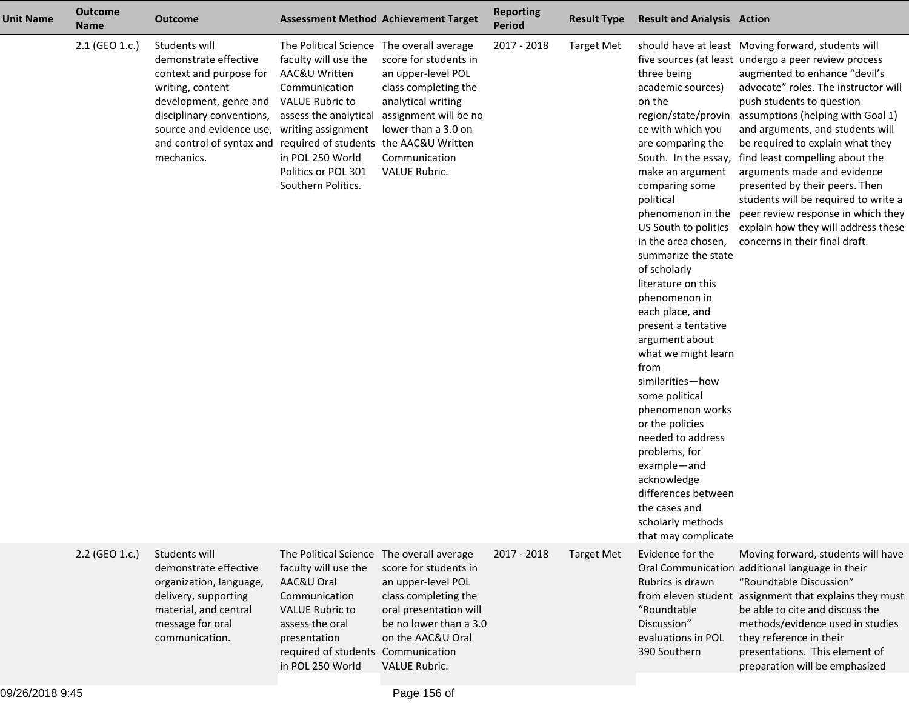| <b>Unit Name</b> | <b>Outcome</b><br><b>Name</b> | <b>Outcome</b>                                                                                                                                                                                                                                             | <b>Assessment Method Achievement Target</b>                                                                                                                                                                                                   |                                                                                                                                                                                    | <b>Reporting</b><br><b>Period</b> | <b>Result Type</b> | <b>Result and Analysis Action</b>                                                                                                                                                                                                                                                                                                                                                                                                                                                                                                                                                                                                                                        |                                                                                                                                                                                                                                                                                                                                                                                                                                                                                                                                                                                          |
|------------------|-------------------------------|------------------------------------------------------------------------------------------------------------------------------------------------------------------------------------------------------------------------------------------------------------|-----------------------------------------------------------------------------------------------------------------------------------------------------------------------------------------------------------------------------------------------|------------------------------------------------------------------------------------------------------------------------------------------------------------------------------------|-----------------------------------|--------------------|--------------------------------------------------------------------------------------------------------------------------------------------------------------------------------------------------------------------------------------------------------------------------------------------------------------------------------------------------------------------------------------------------------------------------------------------------------------------------------------------------------------------------------------------------------------------------------------------------------------------------------------------------------------------------|------------------------------------------------------------------------------------------------------------------------------------------------------------------------------------------------------------------------------------------------------------------------------------------------------------------------------------------------------------------------------------------------------------------------------------------------------------------------------------------------------------------------------------------------------------------------------------------|
|                  | 2.1 (GEO 1.c.)                | Students will<br>demonstrate effective<br>context and purpose for<br>writing, content<br>development, genre and<br>disciplinary conventions,<br>source and evidence use,<br>and control of syntax and required of students the AAC&U Written<br>mechanics. | The Political Science The overall average<br>faculty will use the<br>AAC&U Written<br>Communication<br><b>VALUE Rubric to</b><br>assess the analytical<br>writing assignment<br>in POL 250 World<br>Politics or POL 301<br>Southern Politics. | score for students in<br>an upper-level POL<br>class completing the<br>analytical writing<br>assignment will be no<br>lower than a 3.0 on<br>Communication<br><b>VALUE Rubric.</b> | 2017 - 2018                       | <b>Target Met</b>  | three being<br>academic sources)<br>on the<br>region/state/provin<br>ce with which you<br>are comparing the<br>South. In the essay,<br>make an argument<br>comparing some<br>political<br>phenomenon in the<br>US South to politics<br>in the area chosen,<br>summarize the state<br>of scholarly<br>literature on this<br>phenomenon in<br>each place, and<br>present a tentative<br>argument about<br>what we might learn<br>from<br>similarities-how<br>some political<br>phenomenon works<br>or the policies<br>needed to address<br>problems, for<br>example-and<br>acknowledge<br>differences between<br>the cases and<br>scholarly methods<br>that may complicate | should have at least Moving forward, students will<br>five sources (at least undergo a peer review process<br>augmented to enhance "devil's<br>advocate" roles. The instructor will<br>push students to question<br>assumptions (helping with Goal 1)<br>and arguments, and students will<br>be required to explain what they<br>find least compelling about the<br>arguments made and evidence<br>presented by their peers. Then<br>students will be required to write a<br>peer review response in which they<br>explain how they will address these<br>concerns in their final draft. |
|                  | 2.2 (GEO 1.c.)                | Students will<br>demonstrate effective<br>organization, language,<br>delivery, supporting<br>material, and central<br>message for oral<br>communication.                                                                                                   | The Political Science The overall average<br>faculty will use the<br>AAC&U Oral<br>Communication<br><b>VALUE Rubric to</b><br>assess the oral<br>presentation<br>required of students Communication<br>in POL 250 World                       | score for students in<br>an upper-level POL<br>class completing the<br>oral presentation will<br>be no lower than a 3.0<br>on the AAC&U Oral<br>VALUE Rubric.                      | 2017 - 2018                       | <b>Target Met</b>  | Evidence for the<br>Rubrics is drawn<br>"Roundtable<br>Discussion"<br>evaluations in POL<br>390 Southern                                                                                                                                                                                                                                                                                                                                                                                                                                                                                                                                                                 | Moving forward, students will have<br>Oral Communication additional language in their<br>"Roundtable Discussion"<br>from eleven student assignment that explains they must<br>be able to cite and discuss the<br>methods/evidence used in studies<br>they reference in their<br>presentations. This element of<br>preparation will be emphasized                                                                                                                                                                                                                                         |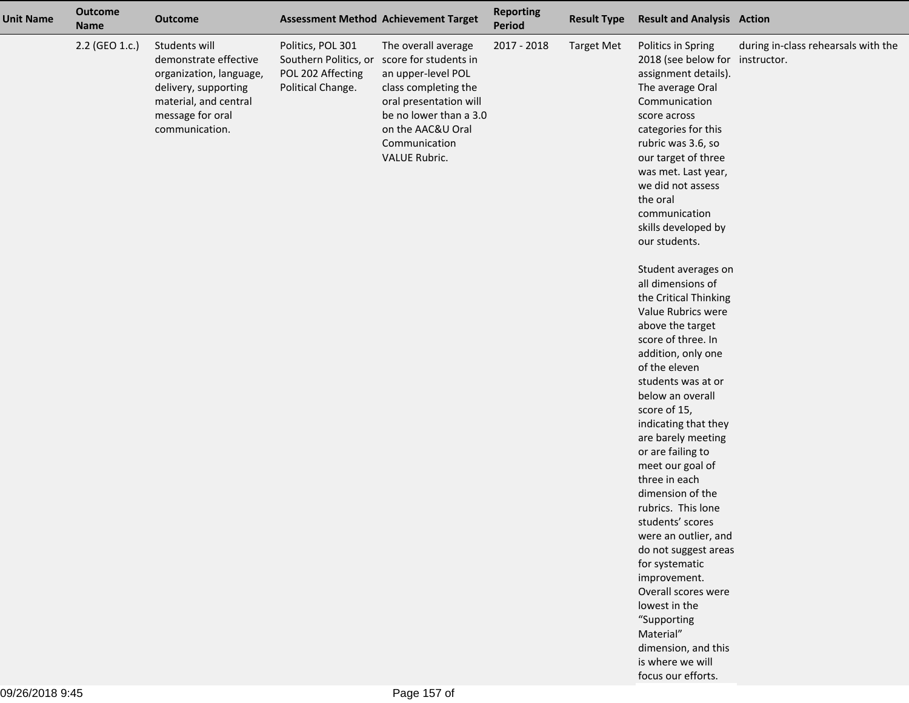| <b>Unit Name</b> | <b>Outcome</b><br><b>Name</b> | <b>Outcome</b>                                                                                                                                           |                                                                                      | <b>Assessment Method Achievement Target</b>                                                                                                                                                                  | <b>Reporting</b><br>Period | <b>Result Type</b> | <b>Result and Analysis Action</b>                                                                                                                                                                                                                                                                                                                                                                                                                                                                                                                                                                                                                                                                                                                                                                                                                                                                                                                          |                                     |
|------------------|-------------------------------|----------------------------------------------------------------------------------------------------------------------------------------------------------|--------------------------------------------------------------------------------------|--------------------------------------------------------------------------------------------------------------------------------------------------------------------------------------------------------------|----------------------------|--------------------|------------------------------------------------------------------------------------------------------------------------------------------------------------------------------------------------------------------------------------------------------------------------------------------------------------------------------------------------------------------------------------------------------------------------------------------------------------------------------------------------------------------------------------------------------------------------------------------------------------------------------------------------------------------------------------------------------------------------------------------------------------------------------------------------------------------------------------------------------------------------------------------------------------------------------------------------------------|-------------------------------------|
|                  | 2.2 (GEO 1.c.)                | Students will<br>demonstrate effective<br>organization, language,<br>delivery, supporting<br>material, and central<br>message for oral<br>communication. | Politics, POL 301<br>Southern Politics, or<br>POL 202 Affecting<br>Political Change. | The overall average<br>score for students in<br>an upper-level POL<br>class completing the<br>oral presentation will<br>be no lower than a 3.0<br>on the AAC&U Oral<br>Communication<br><b>VALUE Rubric.</b> | 2017 - 2018                | <b>Target Met</b>  | Politics in Spring<br>2018 (see below for instructor.<br>assignment details).<br>The average Oral<br>Communication<br>score across<br>categories for this<br>rubric was 3.6, so<br>our target of three<br>was met. Last year,<br>we did not assess<br>the oral<br>communication<br>skills developed by<br>our students.<br>Student averages on<br>all dimensions of<br>the Critical Thinking<br>Value Rubrics were<br>above the target<br>score of three. In<br>addition, only one<br>of the eleven<br>students was at or<br>below an overall<br>score of 15,<br>indicating that they<br>are barely meeting<br>or are failing to<br>meet our goal of<br>three in each<br>dimension of the<br>rubrics. This lone<br>students' scores<br>were an outlier, and<br>do not suggest areas<br>for systematic<br>improvement.<br>Overall scores were<br>lowest in the<br>"Supporting<br>Material"<br>dimension, and this<br>is where we will<br>focus our efforts. | during in-class rehearsals with the |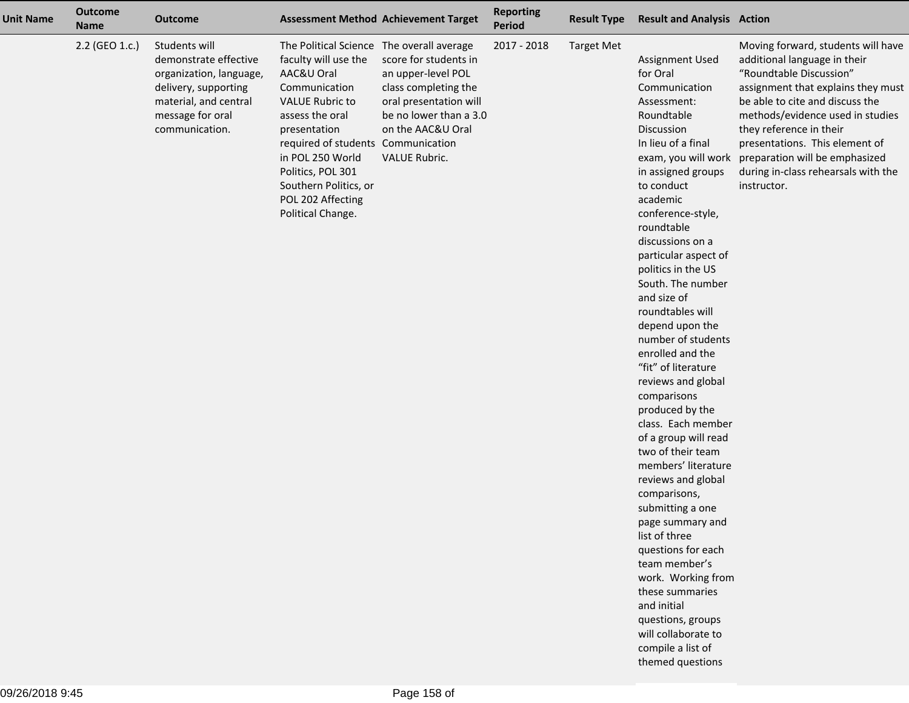| <b>Unit Name</b> | <b>Outcome</b><br><b>Name</b> | <b>Outcome</b>                                                                                                                                           |                                                                                                                                                                                                                                                                                                                 | <b>Assessment Method Achievement Target</b>                                                                                                                   | <b>Reporting</b><br><b>Period</b> | <b>Result Type</b> | <b>Result and Analysis Action</b>                                                                                                                                                                                                                                                                                                                                                                                                                                                                                                                                                                                                                                                                                                                                                                                                                   |                                                                                                                                                                                                                                                                                                                                                                                     |
|------------------|-------------------------------|----------------------------------------------------------------------------------------------------------------------------------------------------------|-----------------------------------------------------------------------------------------------------------------------------------------------------------------------------------------------------------------------------------------------------------------------------------------------------------------|---------------------------------------------------------------------------------------------------------------------------------------------------------------|-----------------------------------|--------------------|-----------------------------------------------------------------------------------------------------------------------------------------------------------------------------------------------------------------------------------------------------------------------------------------------------------------------------------------------------------------------------------------------------------------------------------------------------------------------------------------------------------------------------------------------------------------------------------------------------------------------------------------------------------------------------------------------------------------------------------------------------------------------------------------------------------------------------------------------------|-------------------------------------------------------------------------------------------------------------------------------------------------------------------------------------------------------------------------------------------------------------------------------------------------------------------------------------------------------------------------------------|
|                  | 2.2 (GEO 1.c.)                | Students will<br>demonstrate effective<br>organization, language,<br>delivery, supporting<br>material, and central<br>message for oral<br>communication. | The Political Science The overall average<br>faculty will use the<br>AAC&U Oral<br>Communication<br><b>VALUE Rubric to</b><br>assess the oral<br>presentation<br>required of students Communication<br>in POL 250 World<br>Politics, POL 301<br>Southern Politics, or<br>POL 202 Affecting<br>Political Change. | score for students in<br>an upper-level POL<br>class completing the<br>oral presentation will<br>be no lower than a 3.0<br>on the AAC&U Oral<br>VALUE Rubric. | $2017 - 2018$                     | <b>Target Met</b>  | Assignment Used<br>for Oral<br>Communication<br>Assessment:<br>Roundtable<br>Discussion<br>In lieu of a final<br>in assigned groups<br>to conduct<br>academic<br>conference-style,<br>roundtable<br>discussions on a<br>particular aspect of<br>politics in the US<br>South. The number<br>and size of<br>roundtables will<br>depend upon the<br>number of students<br>enrolled and the<br>"fit" of literature<br>reviews and global<br>comparisons<br>produced by the<br>class. Each member<br>of a group will read<br>two of their team<br>members' literature<br>reviews and global<br>comparisons,<br>submitting a one<br>page summary and<br>list of three<br>questions for each<br>team member's<br>work. Working from<br>these summaries<br>and initial<br>questions, groups<br>will collaborate to<br>compile a list of<br>themed questions | Moving forward, students will have<br>additional language in their<br>"Roundtable Discussion"<br>assignment that explains they must<br>be able to cite and discuss the<br>methods/evidence used in studies<br>they reference in their<br>presentations. This element of<br>exam, you will work preparation will be emphasized<br>during in-class rehearsals with the<br>instructor. |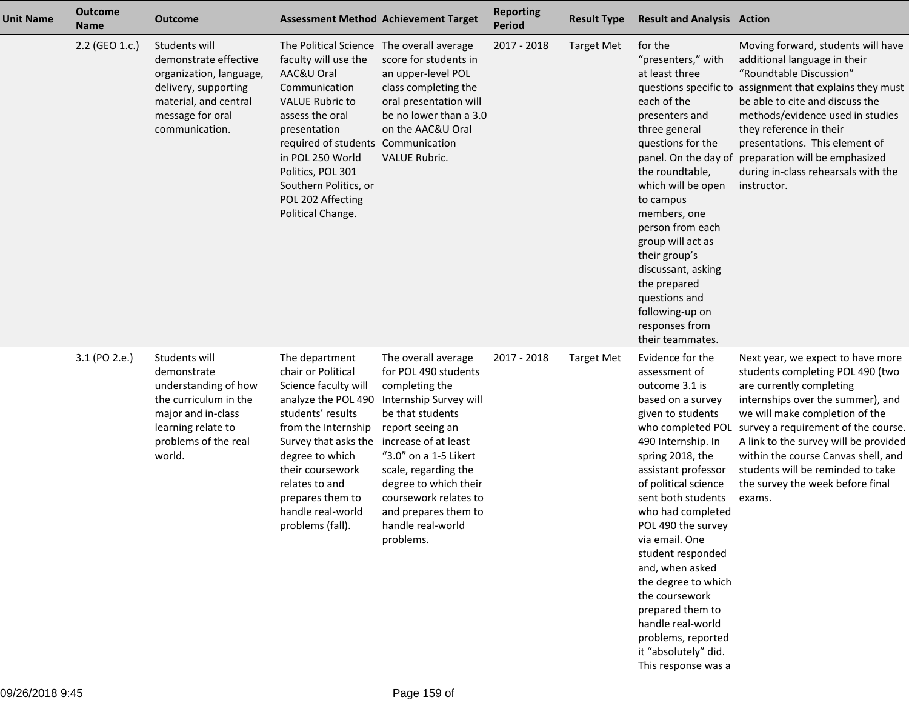| <b>Unit Name</b> | <b>Outcome</b><br><b>Name</b> | <b>Outcome</b>                                                                                                                                              |                                                                                                                                                                                                                                                                                                                 | <b>Assessment Method Achievement Target</b>                                                                                                                                                                                                                                                  | <b>Reporting</b><br><b>Period</b> | <b>Result Type</b> | <b>Result and Analysis Action</b>                                                                                                                                                                                                                                                                                                                                                                                                                                                             |                                                                                                                                                                                                                                                                                                                                                                                    |
|------------------|-------------------------------|-------------------------------------------------------------------------------------------------------------------------------------------------------------|-----------------------------------------------------------------------------------------------------------------------------------------------------------------------------------------------------------------------------------------------------------------------------------------------------------------|----------------------------------------------------------------------------------------------------------------------------------------------------------------------------------------------------------------------------------------------------------------------------------------------|-----------------------------------|--------------------|-----------------------------------------------------------------------------------------------------------------------------------------------------------------------------------------------------------------------------------------------------------------------------------------------------------------------------------------------------------------------------------------------------------------------------------------------------------------------------------------------|------------------------------------------------------------------------------------------------------------------------------------------------------------------------------------------------------------------------------------------------------------------------------------------------------------------------------------------------------------------------------------|
|                  | 2.2 (GEO 1.c.)                | Students will<br>demonstrate effective<br>organization, language,<br>delivery, supporting<br>material, and central<br>message for oral<br>communication.    | The Political Science The overall average<br>faculty will use the<br>AAC&U Oral<br>Communication<br><b>VALUE Rubric to</b><br>assess the oral<br>presentation<br>required of students Communication<br>in POL 250 World<br>Politics, POL 301<br>Southern Politics, or<br>POL 202 Affecting<br>Political Change. | score for students in<br>an upper-level POL<br>class completing the<br>oral presentation will<br>be no lower than a 3.0<br>on the AAC&U Oral<br><b>VALUE Rubric.</b>                                                                                                                         | 2017 - 2018                       | <b>Target Met</b>  | for the<br>"presenters," with<br>at least three<br>questions specific to<br>each of the<br>presenters and<br>three general<br>questions for the<br>panel. On the day of<br>the roundtable,<br>which will be open<br>to campus<br>members, one<br>person from each<br>group will act as<br>their group's<br>discussant, asking<br>the prepared<br>questions and<br>following-up on<br>responses from<br>their teammates.                                                                       | Moving forward, students will have<br>additional language in their<br>"Roundtable Discussion"<br>assignment that explains they must<br>be able to cite and discuss the<br>methods/evidence used in studies<br>they reference in their<br>presentations. This element of<br>preparation will be emphasized<br>during in-class rehearsals with the<br>instructor.                    |
|                  | 3.1 (PO 2.e.)                 | Students will<br>demonstrate<br>understanding of how<br>the curriculum in the<br>major and in-class<br>learning relate to<br>problems of the real<br>world. | The department<br>chair or Political<br>Science faculty will<br>analyze the POL 490<br>students' results<br>from the Internship<br>Survey that asks the increase of at least<br>degree to which<br>their coursework<br>relates to and<br>prepares them to<br>handle real-world<br>problems (fall).              | The overall average<br>for POL 490 students<br>completing the<br>Internship Survey will<br>be that students<br>report seeing an<br>"3.0" on a 1-5 Likert<br>scale, regarding the<br>degree to which their<br>coursework relates to<br>and prepares them to<br>handle real-world<br>problems. | 2017 - 2018                       | <b>Target Met</b>  | Evidence for the<br>assessment of<br>outcome 3.1 is<br>based on a survey<br>given to students<br>who completed POL<br>490 Internship. In<br>spring 2018, the<br>assistant professor<br>of political science<br>sent both students<br>who had completed<br>POL 490 the survey<br>via email. One<br>student responded<br>and, when asked<br>the degree to which<br>the coursework<br>prepared them to<br>handle real-world<br>problems, reported<br>it "absolutely" did.<br>This response was a | Next year, we expect to have more<br>students completing POL 490 (two<br>are currently completing<br>internships over the summer), and<br>we will make completion of the<br>survey a requirement of the course.<br>A link to the survey will be provided<br>within the course Canvas shell, and<br>students will be reminded to take<br>the survey the week before final<br>exams. |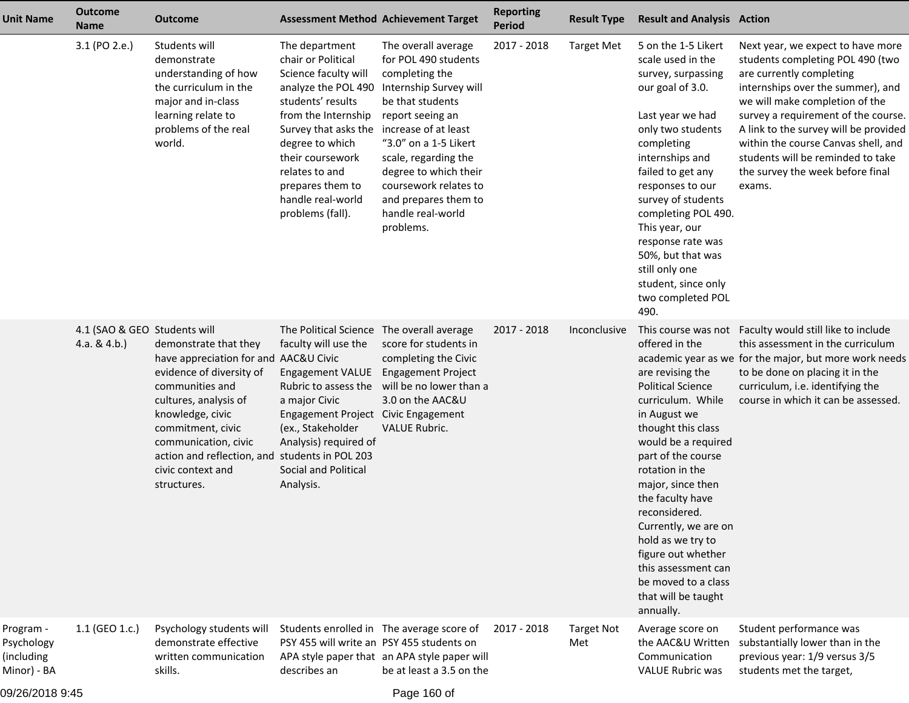| <b>Unit Name</b>                                     | <b>Outcome</b><br><b>Name</b>                   | <b>Outcome</b>                                                                                                                                                                                                                                                                                | <b>Assessment Method Achievement Target</b>                                                                                                                                                                                                                                                        |                                                                                                                                                                                                                                                                                              | <b>Reporting</b><br>Period | <b>Result Type</b>       | <b>Result and Analysis Action</b>                                                                                                                                                                                                                                                                                                                                                                        |                                                                                                                                                                                                                                                                                                                                                                                    |
|------------------------------------------------------|-------------------------------------------------|-----------------------------------------------------------------------------------------------------------------------------------------------------------------------------------------------------------------------------------------------------------------------------------------------|----------------------------------------------------------------------------------------------------------------------------------------------------------------------------------------------------------------------------------------------------------------------------------------------------|----------------------------------------------------------------------------------------------------------------------------------------------------------------------------------------------------------------------------------------------------------------------------------------------|----------------------------|--------------------------|----------------------------------------------------------------------------------------------------------------------------------------------------------------------------------------------------------------------------------------------------------------------------------------------------------------------------------------------------------------------------------------------------------|------------------------------------------------------------------------------------------------------------------------------------------------------------------------------------------------------------------------------------------------------------------------------------------------------------------------------------------------------------------------------------|
|                                                      | 3.1 (PO 2.e.)                                   | Students will<br>demonstrate<br>understanding of how<br>the curriculum in the<br>major and in-class<br>learning relate to<br>problems of the real<br>world.                                                                                                                                   | The department<br>chair or Political<br>Science faculty will<br>analyze the POL 490<br>students' results<br>from the Internship<br>Survey that asks the increase of at least<br>degree to which<br>their coursework<br>relates to and<br>prepares them to<br>handle real-world<br>problems (fall). | The overall average<br>for POL 490 students<br>completing the<br>Internship Survey will<br>be that students<br>report seeing an<br>"3.0" on a 1-5 Likert<br>scale, regarding the<br>degree to which their<br>coursework relates to<br>and prepares them to<br>handle real-world<br>problems. | 2017 - 2018                | <b>Target Met</b>        | 5 on the 1-5 Likert<br>scale used in the<br>survey, surpassing<br>our goal of 3.0.<br>Last year we had<br>only two students<br>completing<br>internships and<br>failed to get any<br>responses to our<br>survey of students<br>completing POL 490.<br>This year, our<br>response rate was<br>50%, but that was<br>still only one<br>student, since only<br>two completed POL<br>490.                     | Next year, we expect to have more<br>students completing POL 490 (two<br>are currently completing<br>internships over the summer), and<br>we will make completion of the<br>survey a requirement of the course.<br>A link to the survey will be provided<br>within the course Canvas shell, and<br>students will be reminded to take<br>the survey the week before final<br>exams. |
|                                                      | 4.1 (SAO & GEO Students will<br>4.a. & $4.b.$ ) | demonstrate that they<br>have appreciation for and AAC&U Civic<br>evidence of diversity of<br>communities and<br>cultures, analysis of<br>knowledge, civic<br>commitment, civic<br>communication, civic<br>action and reflection, and students in POL 203<br>civic context and<br>structures. | The Political Science The overall average<br>faculty will use the<br><b>Engagement VALUE</b><br>Rubric to assess the<br>a major Civic<br>Engagement Project Civic Engagement<br>(ex., Stakeholder<br>Analysis) required of<br><b>Social and Political</b><br>Analysis.                             | score for students in<br>completing the Civic<br><b>Engagement Project</b><br>will be no lower than a<br>3.0 on the AAC&U<br><b>VALUE Rubric.</b>                                                                                                                                            | 2017 - 2018                | Inconclusive             | offered in the<br>are revising the<br><b>Political Science</b><br>curriculum. While<br>in August we<br>thought this class<br>would be a required<br>part of the course<br>rotation in the<br>major, since then<br>the faculty have<br>reconsidered.<br>Currently, we are on<br>hold as we try to<br>figure out whether<br>this assessment can<br>be moved to a class<br>that will be taught<br>annually. | This course was not Faculty would still like to include<br>this assessment in the curriculum<br>academic year as we for the major, but more work needs<br>to be done on placing it in the<br>curriculum, i.e. identifying the<br>course in which it can be assessed.                                                                                                               |
| Program -<br>Psychology<br>(including<br>Minor) - BA | 1.1 (GEO 1.c.)                                  | Psychology students will<br>demonstrate effective<br>written communication<br>skills.                                                                                                                                                                                                         | Students enrolled in The average score of<br>PSY 455 will write an PSY 455 students on<br>describes an                                                                                                                                                                                             | APA style paper that an APA style paper will<br>be at least a 3.5 on the                                                                                                                                                                                                                     | 2017 - 2018                | <b>Target Not</b><br>Met | Average score on<br>the AAC&U Written<br>Communication<br><b>VALUE Rubric was</b>                                                                                                                                                                                                                                                                                                                        | Student performance was<br>substantially lower than in the<br>previous year: 1/9 versus 3/5<br>students met the target,                                                                                                                                                                                                                                                            |

09/26/2018 9:45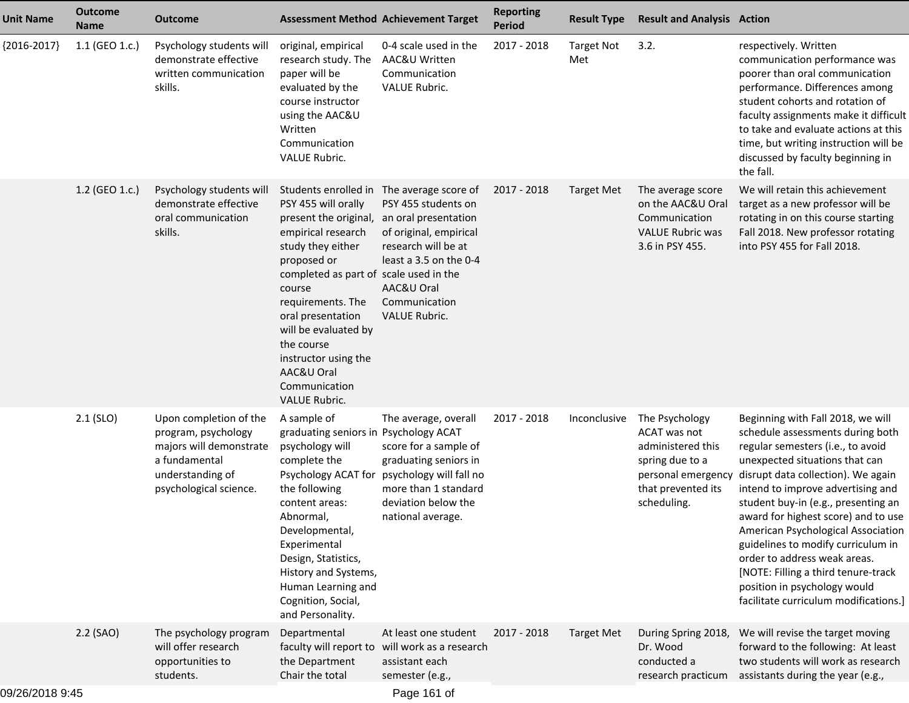| <b>Unit Name</b> | <b>Outcome</b><br><b>Name</b> | <b>Outcome</b>                                                                                                                          |                                                                                                                                                                                                                                                                                                                                                                        | <b>Assessment Method Achievement Target</b>                                                                                                                                   | <b>Reporting</b><br><b>Period</b> | <b>Result Type</b>       | <b>Result and Analysis Action</b>                                                                           |                                                                                                                                                                                                                                                                                                                                                                                                                                                                                                                                                      |
|------------------|-------------------------------|-----------------------------------------------------------------------------------------------------------------------------------------|------------------------------------------------------------------------------------------------------------------------------------------------------------------------------------------------------------------------------------------------------------------------------------------------------------------------------------------------------------------------|-------------------------------------------------------------------------------------------------------------------------------------------------------------------------------|-----------------------------------|--------------------------|-------------------------------------------------------------------------------------------------------------|------------------------------------------------------------------------------------------------------------------------------------------------------------------------------------------------------------------------------------------------------------------------------------------------------------------------------------------------------------------------------------------------------------------------------------------------------------------------------------------------------------------------------------------------------|
| ${2016-2017}$    | 1.1 (GEO 1.c.)                | Psychology students will<br>demonstrate effective<br>written communication<br>skills.                                                   | original, empirical<br>research study. The<br>paper will be<br>evaluated by the<br>course instructor<br>using the AAC&U<br>Written<br>Communication<br><b>VALUE Rubric.</b>                                                                                                                                                                                            | 0-4 scale used in the<br>AAC&U Written<br>Communication<br>VALUE Rubric.                                                                                                      | 2017 - 2018                       | <b>Target Not</b><br>Met | 3.2.                                                                                                        | respectively. Written<br>communication performance was<br>poorer than oral communication<br>performance. Differences among<br>student cohorts and rotation of<br>faculty assignments make it difficult<br>to take and evaluate actions at this<br>time, but writing instruction will be<br>discussed by faculty beginning in<br>the fall.                                                                                                                                                                                                            |
|                  | 1.2 (GEO 1.c.)                | Psychology students will<br>demonstrate effective<br>oral communication<br>skills.                                                      | Students enrolled in The average score of<br>PSY 455 will orally<br>present the original,<br>empirical research<br>study they either<br>proposed or<br>completed as part of scale used in the<br>course<br>requirements. The<br>oral presentation<br>will be evaluated by<br>the course<br>instructor using the<br>AAC&U Oral<br>Communication<br><b>VALUE Rubric.</b> | PSY 455 students on<br>an oral presentation<br>of original, empirical<br>research will be at<br>least a 3.5 on the 0-4<br>AAC&U Oral<br>Communication<br><b>VALUE Rubric.</b> | 2017 - 2018                       | Target Met               | The average score<br>on the AAC&U Oral<br>Communication<br><b>VALUE Rubric was</b><br>3.6 in PSY 455.       | We will retain this achievement<br>target as a new professor will be<br>rotating in on this course starting<br>Fall 2018. New professor rotating<br>into PSY 455 for Fall 2018.                                                                                                                                                                                                                                                                                                                                                                      |
|                  | $2.1$ (SLO)                   | Upon completion of the<br>program, psychology<br>majors will demonstrate<br>a fundamental<br>understanding of<br>psychological science. | A sample of<br>graduating seniors in Psychology ACAT<br>psychology will<br>complete the<br>Psychology ACAT for<br>the following<br>content areas:<br>Abnormal,<br>Developmental,<br>Experimental<br>Design, Statistics,<br>History and Systems,<br>Human Learning and<br>Cognition, Social,<br>and Personality.                                                        | The average, overall<br>score for a sample of<br>graduating seniors in<br>psychology will fall no<br>more than 1 standard<br>deviation below the<br>national average.         | 2017 - 2018                       | Inconclusive             | The Psychology<br>ACAT was not<br>administered this<br>spring due to a<br>that prevented its<br>scheduling. | Beginning with Fall 2018, we will<br>schedule assessments during both<br>regular semesters (i.e., to avoid<br>unexpected situations that can<br>personal emergency disrupt data collection). We again<br>intend to improve advertising and<br>student buy-in (e.g., presenting an<br>award for highest score) and to use<br>American Psychological Association<br>guidelines to modify curriculum in<br>order to address weak areas.<br>[NOTE: Filling a third tenure-track<br>position in psychology would<br>facilitate curriculum modifications.] |
|                  | $2.2$ (SAO)                   | The psychology program<br>will offer research<br>opportunities to<br>students.                                                          | Departmental<br>faculty will report to<br>the Department<br>Chair the total                                                                                                                                                                                                                                                                                            | At least one student<br>will work as a research<br>assistant each<br>semester (e.g.,                                                                                          | 2017 - 2018                       | <b>Target Met</b>        | During Spring 2018,<br>Dr. Wood<br>conducted a<br>research practicum                                        | We will revise the target moving<br>forward to the following: At least<br>two students will work as research<br>assistants during the year (e.g.,                                                                                                                                                                                                                                                                                                                                                                                                    |
| 09/26/2018 9:45  |                               |                                                                                                                                         |                                                                                                                                                                                                                                                                                                                                                                        | Page 161 of                                                                                                                                                                   |                                   |                          |                                                                                                             |                                                                                                                                                                                                                                                                                                                                                                                                                                                                                                                                                      |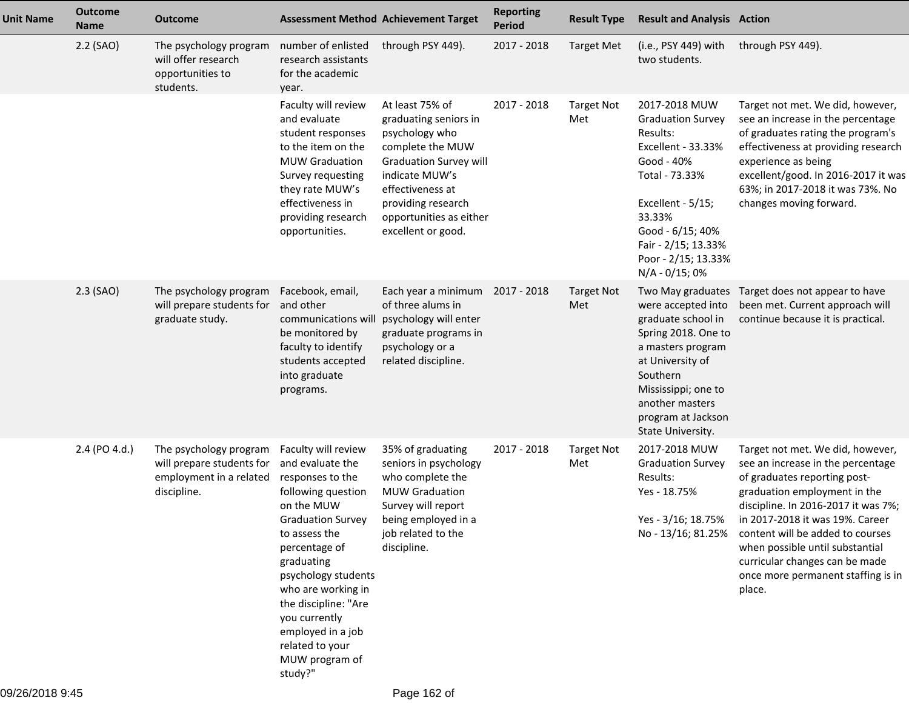| <b>Unit Name</b> | <b>Outcome</b><br><b>Name</b> | <b>Outcome</b>                                                                                | <b>Assessment Method Achievement Target</b>                                                                                                                                                                                                                                                                                            |                                                                                                                                                                                                                              | <b>Reporting</b><br><b>Period</b> | <b>Result Type</b>       | <b>Result and Analysis Action</b>                                                                                                                                                                                              |                                                                                                                                                                                                                                                                                                                                                                                             |
|------------------|-------------------------------|-----------------------------------------------------------------------------------------------|----------------------------------------------------------------------------------------------------------------------------------------------------------------------------------------------------------------------------------------------------------------------------------------------------------------------------------------|------------------------------------------------------------------------------------------------------------------------------------------------------------------------------------------------------------------------------|-----------------------------------|--------------------------|--------------------------------------------------------------------------------------------------------------------------------------------------------------------------------------------------------------------------------|---------------------------------------------------------------------------------------------------------------------------------------------------------------------------------------------------------------------------------------------------------------------------------------------------------------------------------------------------------------------------------------------|
|                  | 2.2 (SAO)                     | The psychology program<br>will offer research<br>opportunities to<br>students.                | number of enlisted<br>research assistants<br>for the academic<br>year.                                                                                                                                                                                                                                                                 | through PSY 449).                                                                                                                                                                                                            | 2017 - 2018                       | <b>Target Met</b>        | (i.e., PSY 449) with<br>two students.                                                                                                                                                                                          | through PSY 449).                                                                                                                                                                                                                                                                                                                                                                           |
|                  |                               |                                                                                               | Faculty will review<br>and evaluate<br>student responses<br>to the item on the<br><b>MUW Graduation</b><br>Survey requesting<br>they rate MUW's<br>effectiveness in<br>providing research<br>opportunities.                                                                                                                            | At least 75% of<br>graduating seniors in<br>psychology who<br>complete the MUW<br><b>Graduation Survey will</b><br>indicate MUW's<br>effectiveness at<br>providing research<br>opportunities as either<br>excellent or good. | 2017 - 2018                       | <b>Target Not</b><br>Met | 2017-2018 MUW<br><b>Graduation Survey</b><br>Results:<br>Excellent - 33.33%<br>Good - 40%<br>Total - 73.33%<br>Excellent - 5/15;<br>33.33%<br>Good - 6/15; 40%<br>Fair - 2/15; 13.33%<br>Poor - 2/15; 13.33%<br>N/A - 0/15; 0% | Target not met. We did, however,<br>see an increase in the percentage<br>of graduates rating the program's<br>effectiveness at providing research<br>experience as being<br>excellent/good. In 2016-2017 it was<br>63%; in 2017-2018 it was 73%. No<br>changes moving forward.                                                                                                              |
|                  | $2.3$ (SAO)                   | The psychology program<br>will prepare students for<br>graduate study.                        | Facebook, email,<br>and other<br>communications will<br>be monitored by<br>faculty to identify<br>students accepted<br>into graduate<br>programs.                                                                                                                                                                                      | Each year a minimum<br>of three alums in<br>psychology will enter<br>graduate programs in<br>psychology or a<br>related discipline.                                                                                          | 2017 - 2018                       | <b>Target Not</b><br>Met | Two May graduates<br>were accepted into<br>graduate school in<br>Spring 2018. One to<br>a masters program<br>at University of<br>Southern<br>Mississippi; one to<br>another masters<br>program at Jackson<br>State University. | Target does not appear to have<br>been met. Current approach will<br>continue because it is practical.                                                                                                                                                                                                                                                                                      |
|                  | 2.4 (PO 4.d.)                 | The psychology program<br>will prepare students for<br>employment in a related<br>discipline. | Faculty will review<br>and evaluate the<br>responses to the<br>following question<br>on the MUW<br><b>Graduation Survey</b><br>to assess the<br>percentage of<br>graduating<br>psychology students<br>who are working in<br>the discipline: "Are<br>you currently<br>employed in a job<br>related to your<br>MUW program of<br>study?" | 35% of graduating<br>seniors in psychology<br>who complete the<br><b>MUW Graduation</b><br>Survey will report<br>being employed in a<br>job related to the<br>discipline.                                                    | 2017 - 2018                       | <b>Target Not</b><br>Met | 2017-2018 MUW<br><b>Graduation Survey</b><br>Results:<br>Yes - 18.75%<br>Yes - 3/16; 18.75%                                                                                                                                    | Target not met. We did, however,<br>see an increase in the percentage<br>of graduates reporting post-<br>graduation employment in the<br>discipline. In 2016-2017 it was 7%;<br>in 2017-2018 it was 19%. Career<br>No - 13/16; 81.25% content will be added to courses<br>when possible until substantial<br>curricular changes can be made<br>once more permanent staffing is in<br>place. |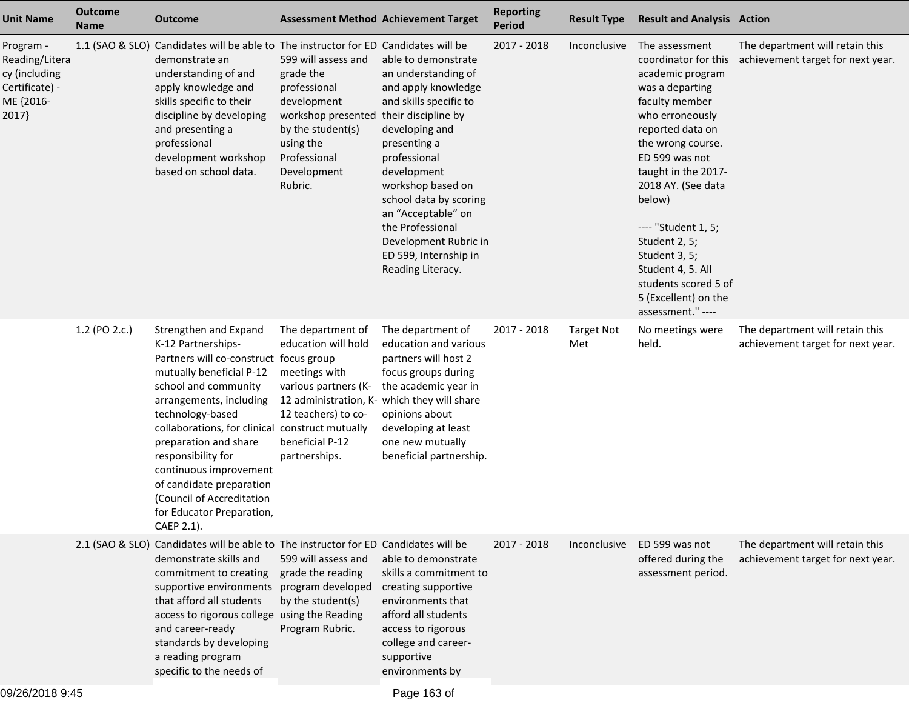| <b>Unit Name</b>                                                                     | <b>Outcome</b><br><b>Name</b> | <b>Outcome</b>                                                                                                                                                                                                                                                                                                                                                                                                           | <b>Assessment Method Achievement Target</b>                                                                                                                       |                                                                                                                                                                                                                                                                                                                                                     | <b>Reporting</b><br><b>Period</b> | <b>Result Type</b>       | <b>Result and Analysis Action</b>                                                                                                                                                                                                                                                                                                                                                       |                                                                      |
|--------------------------------------------------------------------------------------|-------------------------------|--------------------------------------------------------------------------------------------------------------------------------------------------------------------------------------------------------------------------------------------------------------------------------------------------------------------------------------------------------------------------------------------------------------------------|-------------------------------------------------------------------------------------------------------------------------------------------------------------------|-----------------------------------------------------------------------------------------------------------------------------------------------------------------------------------------------------------------------------------------------------------------------------------------------------------------------------------------------------|-----------------------------------|--------------------------|-----------------------------------------------------------------------------------------------------------------------------------------------------------------------------------------------------------------------------------------------------------------------------------------------------------------------------------------------------------------------------------------|----------------------------------------------------------------------|
| Program -<br>Reading/Litera<br>cy (including<br>Certificate) -<br>ME {2016-<br>2017} |                               | 1.1 (SAO & SLO) Candidates will be able to The instructor for ED Candidates will be<br>demonstrate an<br>understanding of and<br>apply knowledge and<br>skills specific to their<br>discipline by developing<br>and presenting a<br>professional<br>development workshop<br>based on school data.                                                                                                                        | 599 will assess and<br>grade the<br>professional<br>development<br>workshop presented<br>by the student(s)<br>using the<br>Professional<br>Development<br>Rubric. | able to demonstrate<br>an understanding of<br>and apply knowledge<br>and skills specific to<br>their discipline by<br>developing and<br>presenting a<br>professional<br>development<br>workshop based on<br>school data by scoring<br>an "Acceptable" on<br>the Professional<br>Development Rubric in<br>ED 599, Internship in<br>Reading Literacy. | 2017 - 2018                       | Inconclusive             | The assessment<br>coordinator for this<br>academic program<br>was a departing<br>faculty member<br>who erroneously<br>reported data on<br>the wrong course.<br>ED 599 was not<br>taught in the 2017-<br>2018 AY. (See data<br>below)<br>---- "Student 1, 5;<br>Student 2, 5;<br>Student 3, 5;<br>Student 4, 5. All<br>students scored 5 of<br>5 (Excellent) on the<br>assessment." ---- | The department will retain this<br>achievement target for next year. |
|                                                                                      | 1.2 (PO 2.c.)                 | Strengthen and Expand<br>K-12 Partnerships-<br>Partners will co-construct focus group<br>mutually beneficial P-12<br>school and community<br>arrangements, including<br>technology-based<br>collaborations, for clinical construct mutually<br>preparation and share<br>responsibility for<br>continuous improvement<br>of candidate preparation<br>(Council of Accreditation<br>for Educator Preparation,<br>CAEP 2.1). | The department of<br>education will hold<br>meetings with<br>various partners (K-<br>12 teachers) to co-<br>beneficial P-12<br>partnerships.                      | The department of<br>education and various<br>partners will host 2<br>focus groups during<br>the academic year in<br>12 administration, K- which they will share<br>opinions about<br>developing at least<br>one new mutually<br>beneficial partnership.                                                                                            | 2017 - 2018                       | <b>Target Not</b><br>Met | No meetings were<br>held.                                                                                                                                                                                                                                                                                                                                                               | The department will retain this<br>achievement target for next year. |
|                                                                                      |                               | 2.1 (SAO & SLO) Candidates will be able to The instructor for ED Candidates will be<br>demonstrate skills and<br>commitment to creating<br>supportive environments<br>that afford all students<br>access to rigorous college using the Reading<br>and career-ready<br>standards by developing<br>a reading program<br>specific to the needs of                                                                           | 599 will assess and<br>grade the reading<br>program developed<br>by the student(s)<br>Program Rubric.                                                             | able to demonstrate<br>skills a commitment to<br>creating supportive<br>environments that<br>afford all students<br>access to rigorous<br>college and career-<br>supportive<br>environments by                                                                                                                                                      | 2017 - 2018                       | Inconclusive             | ED 599 was not<br>offered during the<br>assessment period.                                                                                                                                                                                                                                                                                                                              | The department will retain this<br>achievement target for next year. |
|                                                                                      |                               |                                                                                                                                                                                                                                                                                                                                                                                                                          |                                                                                                                                                                   |                                                                                                                                                                                                                                                                                                                                                     |                                   |                          |                                                                                                                                                                                                                                                                                                                                                                                         |                                                                      |

Page 163 of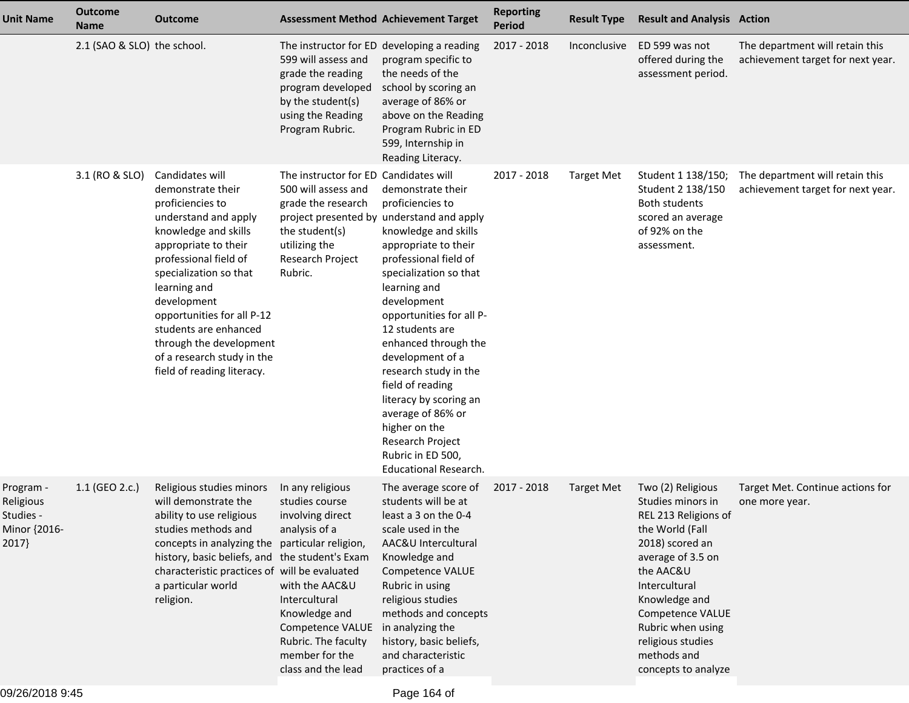| <b>Unit Name</b>                                             | <b>Outcome</b><br><b>Name</b> | <b>Outcome</b>                                                                                                                                                                                                                                                                                                                                                   |                                                                                                                                                                                                                | <b>Assessment Method Achievement Target</b>                                                                                                                                                                                                                                                                                                                                                                                                                                                           | <b>Reporting</b><br><b>Period</b> | <b>Result Type</b> | <b>Result and Analysis Action</b>                                                                                                                                                                                                                                            |                                                                      |
|--------------------------------------------------------------|-------------------------------|------------------------------------------------------------------------------------------------------------------------------------------------------------------------------------------------------------------------------------------------------------------------------------------------------------------------------------------------------------------|----------------------------------------------------------------------------------------------------------------------------------------------------------------------------------------------------------------|-------------------------------------------------------------------------------------------------------------------------------------------------------------------------------------------------------------------------------------------------------------------------------------------------------------------------------------------------------------------------------------------------------------------------------------------------------------------------------------------------------|-----------------------------------|--------------------|------------------------------------------------------------------------------------------------------------------------------------------------------------------------------------------------------------------------------------------------------------------------------|----------------------------------------------------------------------|
|                                                              | 2.1 (SAO & SLO) the school.   |                                                                                                                                                                                                                                                                                                                                                                  | The instructor for ED developing a reading<br>599 will assess and<br>grade the reading<br>program developed<br>by the student(s)<br>using the Reading<br>Program Rubric.                                       | program specific to<br>the needs of the<br>school by scoring an<br>average of 86% or<br>above on the Reading<br>Program Rubric in ED<br>599, Internship in<br>Reading Literacy.                                                                                                                                                                                                                                                                                                                       | 2017 - 2018                       | Inconclusive       | ED 599 was not<br>offered during the<br>assessment period.                                                                                                                                                                                                                   | The department will retain this<br>achievement target for next year. |
|                                                              | 3.1 (RO & SLO)                | Candidates will<br>demonstrate their<br>proficiencies to<br>understand and apply<br>knowledge and skills<br>appropriate to their<br>professional field of<br>specialization so that<br>learning and<br>development<br>opportunities for all P-12<br>students are enhanced<br>through the development<br>of a research study in the<br>field of reading literacy. | The instructor for ED Candidates will<br>500 will assess and<br>grade the research<br>the student(s)<br>utilizing the<br>Research Project<br>Rubric.                                                           | demonstrate their<br>proficiencies to<br>project presented by understand and apply<br>knowledge and skills<br>appropriate to their<br>professional field of<br>specialization so that<br>learning and<br>development<br>opportunities for all P-<br>12 students are<br>enhanced through the<br>development of a<br>research study in the<br>field of reading<br>literacy by scoring an<br>average of 86% or<br>higher on the<br>Research Project<br>Rubric in ED 500,<br><b>Educational Research.</b> | 2017 - 2018                       | <b>Target Met</b>  | Student 1 138/150;<br>Student 2 138/150<br><b>Both students</b><br>scored an average<br>of 92% on the<br>assessment.                                                                                                                                                         | The department will retain this<br>achievement target for next year. |
| Program -<br>Religious<br>Studies -<br>Minor {2016-<br>2017} | 1.1 (GEO 2.c.)                | Religious studies minors<br>will demonstrate the<br>ability to use religious<br>studies methods and<br>concepts in analyzing the particular religion,<br>history, basic beliefs, and the student's Exam<br>characteristic practices of will be evaluated<br>a particular world<br>religion.                                                                      | In any religious<br>studies course<br>involving direct<br>analysis of a<br>with the AAC&U<br>Intercultural<br>Knowledge and<br>Competence VALUE<br>Rubric. The faculty<br>member for the<br>class and the lead | The average score of<br>students will be at<br>least a 3 on the 0-4<br>scale used in the<br>AAC&U Intercultural<br>Knowledge and<br>Competence VALUE<br>Rubric in using<br>religious studies<br>methods and concepts<br>in analyzing the<br>history, basic beliefs,<br>and characteristic<br>practices of a                                                                                                                                                                                           | 2017 - 2018                       | <b>Target Met</b>  | Two (2) Religious<br>Studies minors in<br>REL 213 Religions of<br>the World (Fall<br>2018) scored an<br>average of 3.5 on<br>the AAC&U<br>Intercultural<br>Knowledge and<br>Competence VALUE<br>Rubric when using<br>religious studies<br>methods and<br>concepts to analyze | Target Met. Continue actions for<br>one more year.                   |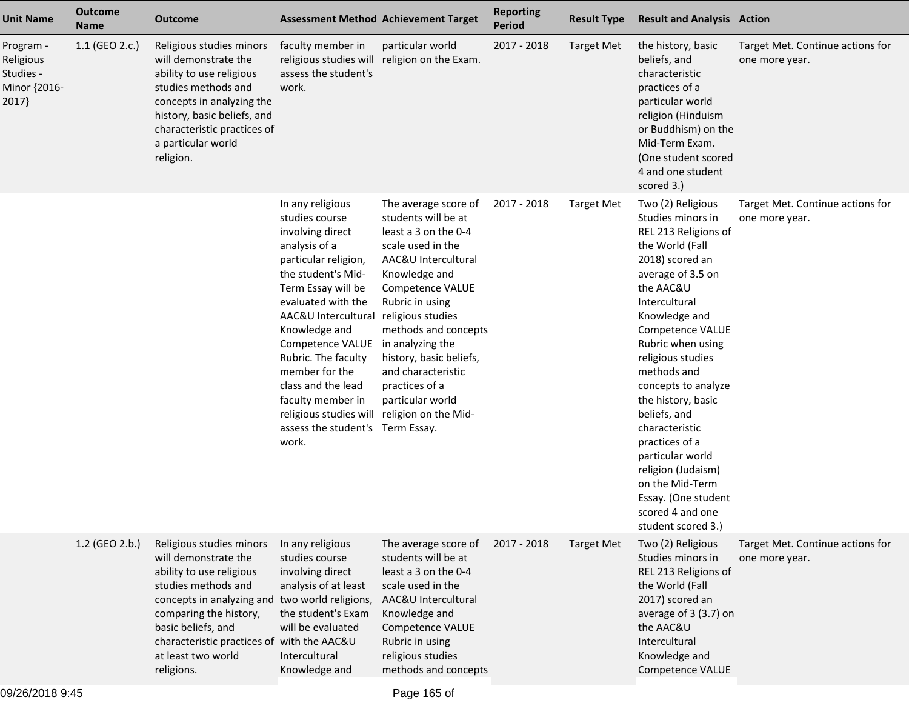| <b>Unit Name</b>                                             | <b>Outcome</b><br><b>Name</b> | <b>Outcome</b>                                                                                                                                                                                                                                                                          |                                                                                                                                                                                                                                                                                                                                                                                          | <b>Assessment Method Achievement Target</b>                                                                                                                                                                                                                                                                                                                    | <b>Reporting</b><br><b>Period</b> | <b>Result Type</b> | <b>Result and Analysis Action</b>                                                                                                                                                                                                                                                                                                                                                                                                                                                    |                                                    |
|--------------------------------------------------------------|-------------------------------|-----------------------------------------------------------------------------------------------------------------------------------------------------------------------------------------------------------------------------------------------------------------------------------------|------------------------------------------------------------------------------------------------------------------------------------------------------------------------------------------------------------------------------------------------------------------------------------------------------------------------------------------------------------------------------------------|----------------------------------------------------------------------------------------------------------------------------------------------------------------------------------------------------------------------------------------------------------------------------------------------------------------------------------------------------------------|-----------------------------------|--------------------|--------------------------------------------------------------------------------------------------------------------------------------------------------------------------------------------------------------------------------------------------------------------------------------------------------------------------------------------------------------------------------------------------------------------------------------------------------------------------------------|----------------------------------------------------|
| Program -<br>Religious<br>Studies -<br>Minor {2016-<br>2017} | 1.1 (GEO 2.c.)                | Religious studies minors<br>will demonstrate the<br>ability to use religious<br>studies methods and<br>concepts in analyzing the<br>history, basic beliefs, and<br>characteristic practices of<br>a particular world<br>religion.                                                       | faculty member in<br>religious studies will<br>assess the student's<br>work.                                                                                                                                                                                                                                                                                                             | particular world<br>religion on the Exam.                                                                                                                                                                                                                                                                                                                      | 2017 - 2018                       | <b>Target Met</b>  | the history, basic<br>beliefs, and<br>characteristic<br>practices of a<br>particular world<br>religion (Hinduism<br>or Buddhism) on the<br>Mid-Term Exam.<br>(One student scored<br>4 and one student<br>scored 3.)                                                                                                                                                                                                                                                                  | Target Met. Continue actions for<br>one more year. |
|                                                              |                               |                                                                                                                                                                                                                                                                                         | In any religious<br>studies course<br>involving direct<br>analysis of a<br>particular religion,<br>the student's Mid-<br>Term Essay will be<br>evaluated with the<br>AAC&U Intercultural<br>Knowledge and<br>Competence VALUE<br>Rubric. The faculty<br>member for the<br>class and the lead<br>faculty member in<br>religious studies will<br>assess the student's Term Essay.<br>work. | The average score of<br>students will be at<br>least a 3 on the 0-4<br>scale used in the<br>AAC&U Intercultural<br>Knowledge and<br><b>Competence VALUE</b><br>Rubric in using<br>religious studies<br>methods and concepts<br>in analyzing the<br>history, basic beliefs,<br>and characteristic<br>practices of a<br>particular world<br>religion on the Mid- | 2017 - 2018                       | <b>Target Met</b>  | Two (2) Religious<br>Studies minors in<br>REL 213 Religions of<br>the World (Fall<br>2018) scored an<br>average of 3.5 on<br>the AAC&U<br>Intercultural<br>Knowledge and<br>Competence VALUE<br>Rubric when using<br>religious studies<br>methods and<br>concepts to analyze<br>the history, basic<br>beliefs, and<br>characteristic<br>practices of a<br>particular world<br>religion (Judaism)<br>on the Mid-Term<br>Essay. (One student<br>scored 4 and one<br>student scored 3.) | Target Met. Continue actions for<br>one more year. |
|                                                              | 1.2 (GEO 2.b.)                | Religious studies minors<br>will demonstrate the<br>ability to use religious<br>studies methods and<br>concepts in analyzing and two world religions,<br>comparing the history,<br>basic beliefs, and<br>characteristic practices of with the AAC&U<br>at least two world<br>religions. | In any religious<br>studies course<br>involving direct<br>analysis of at least<br>the student's Exam<br>will be evaluated<br>Intercultural<br>Knowledge and                                                                                                                                                                                                                              | The average score of<br>students will be at<br>least a 3 on the 0-4<br>scale used in the<br>AAC&U Intercultural<br>Knowledge and<br>Competence VALUE<br>Rubric in using<br>religious studies<br>methods and concepts                                                                                                                                           | 2017 - 2018                       | <b>Target Met</b>  | Two (2) Religious<br>Studies minors in<br>REL 213 Religions of<br>the World (Fall<br>2017) scored an<br>average of 3 (3.7) on<br>the AAC&U<br>Intercultural<br>Knowledge and<br>Competence VALUE                                                                                                                                                                                                                                                                                     | Target Met. Continue actions for<br>one more year. |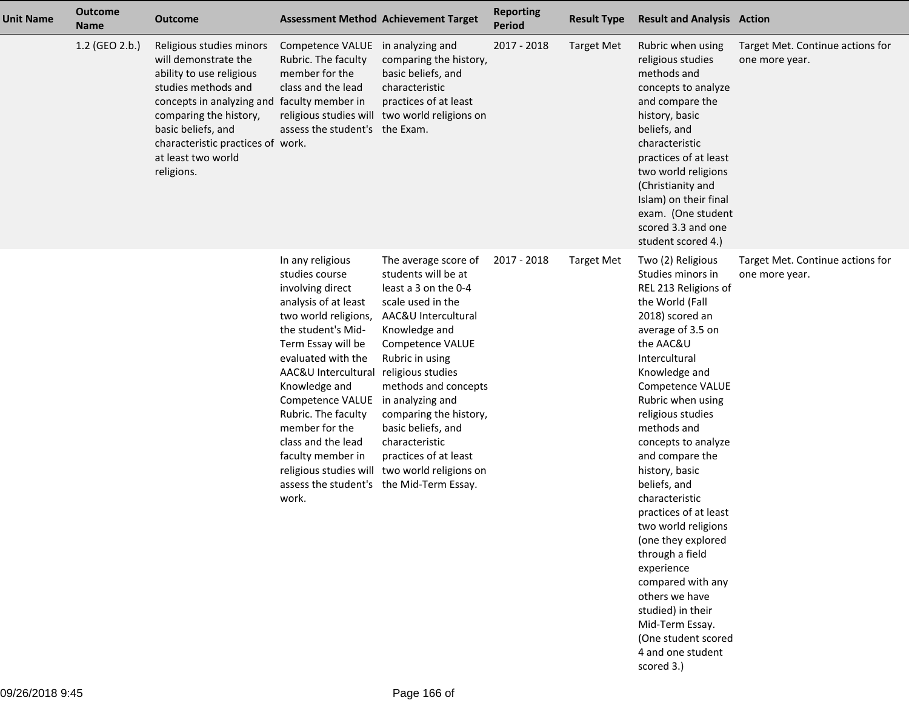| <b>Unit Name</b> | <b>Outcome</b><br><b>Name</b> | <b>Outcome</b>                                                                                                                                                                                                                                                              |                                                                                                                                                                                                                                                                                                                                                                               | <b>Assessment Method Achievement Target</b>                                                                                                                                                                                                                                                                                                                                          | <b>Reporting</b><br>Period | <b>Result Type</b> | <b>Result and Analysis Action</b>                                                                                                                                                                                                                                                                                                                                                                                                                                                                                                                                                                   |                                                    |
|------------------|-------------------------------|-----------------------------------------------------------------------------------------------------------------------------------------------------------------------------------------------------------------------------------------------------------------------------|-------------------------------------------------------------------------------------------------------------------------------------------------------------------------------------------------------------------------------------------------------------------------------------------------------------------------------------------------------------------------------|--------------------------------------------------------------------------------------------------------------------------------------------------------------------------------------------------------------------------------------------------------------------------------------------------------------------------------------------------------------------------------------|----------------------------|--------------------|-----------------------------------------------------------------------------------------------------------------------------------------------------------------------------------------------------------------------------------------------------------------------------------------------------------------------------------------------------------------------------------------------------------------------------------------------------------------------------------------------------------------------------------------------------------------------------------------------------|----------------------------------------------------|
|                  | 1.2 (GEO 2.b.)                | Religious studies minors<br>will demonstrate the<br>ability to use religious<br>studies methods and<br>concepts in analyzing and faculty member in<br>comparing the history,<br>basic beliefs, and<br>characteristic practices of work.<br>at least two world<br>religions. | Competence VALUE in analyzing and<br>Rubric. The faculty<br>member for the<br>class and the lead<br>religious studies will<br>assess the student's the Exam.                                                                                                                                                                                                                  | comparing the history,<br>basic beliefs, and<br>characteristic<br>practices of at least<br>two world religions on                                                                                                                                                                                                                                                                    | 2017 - 2018                | <b>Target Met</b>  | Rubric when using<br>religious studies<br>methods and<br>concepts to analyze<br>and compare the<br>history, basic<br>beliefs, and<br>characteristic<br>practices of at least<br>two world religions<br>(Christianity and<br>Islam) on their final<br>exam. (One student<br>scored 3.3 and one<br>student scored 4.)                                                                                                                                                                                                                                                                                 | Target Met. Continue actions for<br>one more year. |
|                  |                               |                                                                                                                                                                                                                                                                             | In any religious<br>studies course<br>involving direct<br>analysis of at least<br>two world religions,<br>the student's Mid-<br>Term Essay will be<br>evaluated with the<br>AAC&U Intercultural<br>Knowledge and<br>Competence VALUE<br>Rubric. The faculty<br>member for the<br>class and the lead<br>faculty member in<br>assess the student's the Mid-Term Essay.<br>work. | The average score of<br>students will be at<br>least a 3 on the 0-4<br>scale used in the<br>AAC&U Intercultural<br>Knowledge and<br>Competence VALUE<br>Rubric in using<br>religious studies<br>methods and concepts<br>in analyzing and<br>comparing the history,<br>basic beliefs, and<br>characteristic<br>practices of at least<br>religious studies will two world religions on | 2017 - 2018                | <b>Target Met</b>  | Two (2) Religious<br>Studies minors in<br>REL 213 Religions of<br>the World (Fall<br>2018) scored an<br>average of 3.5 on<br>the AAC&U<br>Intercultural<br>Knowledge and<br>Competence VALUE<br>Rubric when using<br>religious studies<br>methods and<br>concepts to analyze<br>and compare the<br>history, basic<br>beliefs, and<br>characteristic<br>practices of at least<br>two world religions<br>(one they explored<br>through a field<br>experience<br>compared with any<br>others we have<br>studied) in their<br>Mid-Term Essay.<br>(One student scored<br>4 and one student<br>scored 3.) | Target Met. Continue actions for<br>one more year. |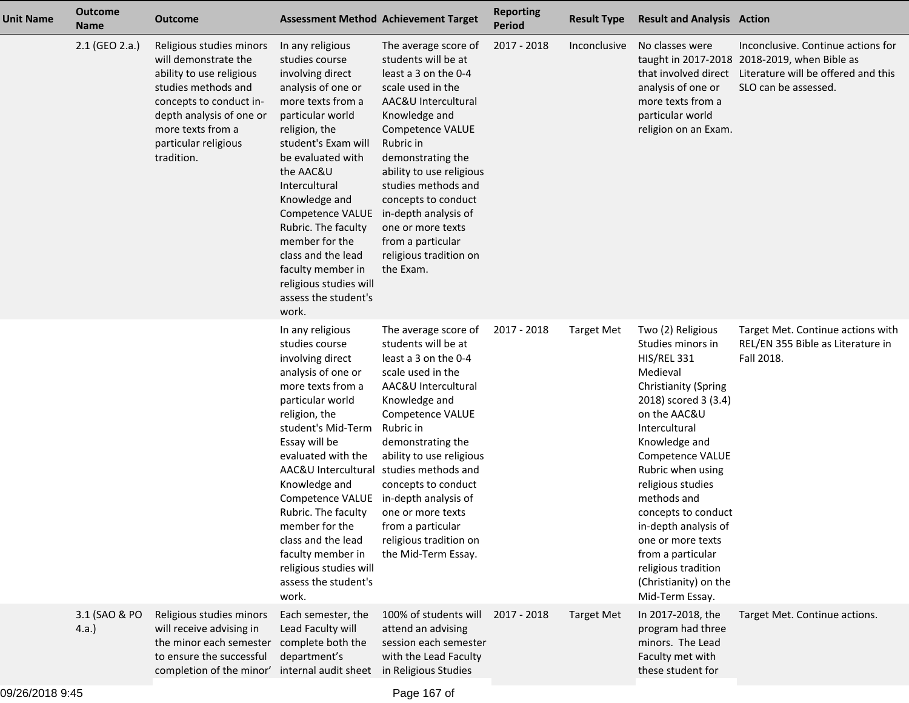| <b>Unit Name</b> | <b>Outcome</b><br><b>Name</b> | <b>Outcome</b>                                                                                                                                                                                                        |                                                                                                                                                                                                                                                                                                                                                                                                                                    | <b>Assessment Method Achievement Target</b>                                                                                                                                                                                                                                                                                                                               | <b>Reporting</b><br>Period | <b>Result Type</b> | <b>Result and Analysis Action</b>                                                                                                                                                                                                                                                                                                                                                                                          |                                                                                                                                                   |
|------------------|-------------------------------|-----------------------------------------------------------------------------------------------------------------------------------------------------------------------------------------------------------------------|------------------------------------------------------------------------------------------------------------------------------------------------------------------------------------------------------------------------------------------------------------------------------------------------------------------------------------------------------------------------------------------------------------------------------------|---------------------------------------------------------------------------------------------------------------------------------------------------------------------------------------------------------------------------------------------------------------------------------------------------------------------------------------------------------------------------|----------------------------|--------------------|----------------------------------------------------------------------------------------------------------------------------------------------------------------------------------------------------------------------------------------------------------------------------------------------------------------------------------------------------------------------------------------------------------------------------|---------------------------------------------------------------------------------------------------------------------------------------------------|
|                  | 2.1 (GEO 2.a.)                | Religious studies minors<br>will demonstrate the<br>ability to use religious<br>studies methods and<br>concepts to conduct in-<br>depth analysis of one or<br>more texts from a<br>particular religious<br>tradition. | In any religious<br>studies course<br>involving direct<br>analysis of one or<br>more texts from a<br>particular world<br>religion, the<br>student's Exam will<br>be evaluated with<br>the AAC&U<br>Intercultural<br>Knowledge and<br>Competence VALUE<br>Rubric. The faculty<br>member for the<br>class and the lead<br>faculty member in<br>religious studies will<br>assess the student's<br>work.                               | The average score of<br>students will be at<br>least a 3 on the 0-4<br>scale used in the<br>AAC&U Intercultural<br>Knowledge and<br>Competence VALUE<br>Rubric in<br>demonstrating the<br>ability to use religious<br>studies methods and<br>concepts to conduct<br>in-depth analysis of<br>one or more texts<br>from a particular<br>religious tradition on<br>the Exam. | 2017 - 2018                | Inconclusive       | No classes were<br>that involved direct<br>analysis of one or<br>more texts from a<br>particular world<br>religion on an Exam.                                                                                                                                                                                                                                                                                             | Inconclusive. Continue actions for<br>taught in 2017-2018 2018-2019, when Bible as<br>Literature will be offered and this<br>SLO can be assessed. |
|                  |                               |                                                                                                                                                                                                                       | In any religious<br>studies course<br>involving direct<br>analysis of one or<br>more texts from a<br>particular world<br>religion, the<br>student's Mid-Term<br>Essay will be<br>evaluated with the<br>AAC&U Intercultural studies methods and<br>Knowledge and<br>Competence VALUE<br>Rubric. The faculty<br>member for the<br>class and the lead<br>faculty member in<br>religious studies will<br>assess the student's<br>work. | The average score of<br>students will be at<br>least a 3 on the 0-4<br>scale used in the<br>AAC&U Intercultural<br>Knowledge and<br>Competence VALUE<br>Rubric in<br>demonstrating the<br>ability to use religious<br>concepts to conduct<br>in-depth analysis of<br>one or more texts<br>from a particular<br>religious tradition on<br>the Mid-Term Essay.              | 2017 - 2018                | <b>Target Met</b>  | Two (2) Religious<br>Studies minors in<br><b>HIS/REL 331</b><br>Medieval<br><b>Christianity (Spring</b><br>2018) scored 3 (3.4)<br>on the AAC&U<br>Intercultural<br>Knowledge and<br>Competence VALUE<br>Rubric when using<br>religious studies<br>methods and<br>concepts to conduct<br>in-depth analysis of<br>one or more texts<br>from a particular<br>religious tradition<br>(Christianity) on the<br>Mid-Term Essay. | Target Met. Continue actions with<br>REL/EN 355 Bible as Literature in<br>Fall 2018.                                                              |
|                  | 3.1 (SAO & PO<br>4.a.         | Religious studies minors<br>will receive advising in<br>the minor each semester<br>to ensure the successful<br>completion of the minor'                                                                               | Each semester, the<br>Lead Faculty will<br>complete both the<br>department's<br>internal audit sheet in Religious Studies                                                                                                                                                                                                                                                                                                          | 100% of students will<br>attend an advising<br>session each semester<br>with the Lead Faculty                                                                                                                                                                                                                                                                             | 2017 - 2018                | <b>Target Met</b>  | In 2017-2018, the<br>program had three<br>minors. The Lead<br>Faculty met with<br>these student for                                                                                                                                                                                                                                                                                                                        | Target Met. Continue actions.                                                                                                                     |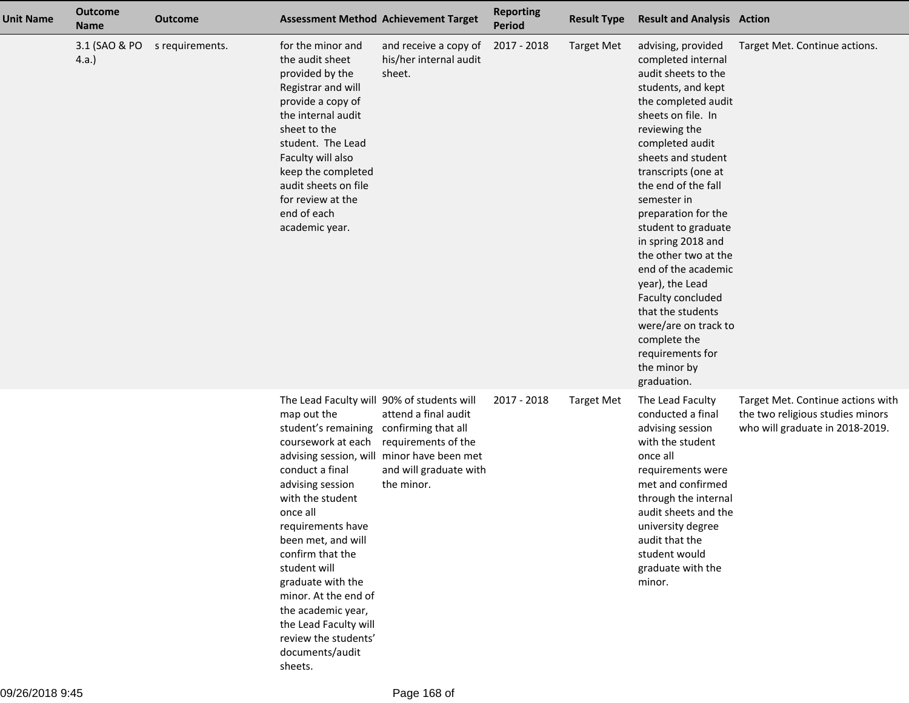| <b>Unit Name</b> | <b>Outcome</b><br><b>Name</b> | Outcome         | <b>Assessment Method Achievement Target</b>                                                                                                                                                                                                                                                                                                                                                                                              |                                                                                                                                   | <b>Reporting</b><br><b>Period</b> | <b>Result Type</b> | <b>Result and Analysis Action</b>                                                                                                                                                                                                                                                                                                                                                                                                                                                                                                    |                                                                                                          |
|------------------|-------------------------------|-----------------|------------------------------------------------------------------------------------------------------------------------------------------------------------------------------------------------------------------------------------------------------------------------------------------------------------------------------------------------------------------------------------------------------------------------------------------|-----------------------------------------------------------------------------------------------------------------------------------|-----------------------------------|--------------------|--------------------------------------------------------------------------------------------------------------------------------------------------------------------------------------------------------------------------------------------------------------------------------------------------------------------------------------------------------------------------------------------------------------------------------------------------------------------------------------------------------------------------------------|----------------------------------------------------------------------------------------------------------|
|                  | 3.1 (SAO & PO<br>4.a.         | s requirements. | for the minor and<br>the audit sheet<br>provided by the<br>Registrar and will<br>provide a copy of<br>the internal audit<br>sheet to the<br>student. The Lead<br>Faculty will also<br>keep the completed<br>audit sheets on file<br>for review at the<br>end of each<br>academic year.                                                                                                                                                   | and receive a copy of<br>his/her internal audit<br>sheet.                                                                         | 2017 - 2018                       | <b>Target Met</b>  | advising, provided<br>completed internal<br>audit sheets to the<br>students, and kept<br>the completed audit<br>sheets on file. In<br>reviewing the<br>completed audit<br>sheets and student<br>transcripts (one at<br>the end of the fall<br>semester in<br>preparation for the<br>student to graduate<br>in spring 2018 and<br>the other two at the<br>end of the academic<br>year), the Lead<br>Faculty concluded<br>that the students<br>were/are on track to<br>complete the<br>requirements for<br>the minor by<br>graduation. | Target Met. Continue actions.                                                                            |
|                  |                               |                 | The Lead Faculty will 90% of students will<br>map out the<br>student's remaining<br>coursework at each<br>advising session, will<br>conduct a final<br>advising session<br>with the student<br>once all<br>requirements have<br>been met, and will<br>confirm that the<br>student will<br>graduate with the<br>minor. At the end of<br>the academic year,<br>the Lead Faculty will<br>review the students'<br>documents/audit<br>sheets. | attend a final audit<br>confirming that all<br>requirements of the<br>minor have been met<br>and will graduate with<br>the minor. | 2017 - 2018                       | <b>Target Met</b>  | The Lead Faculty<br>conducted a final<br>advising session<br>with the student<br>once all<br>requirements were<br>met and confirmed<br>through the internal<br>audit sheets and the<br>university degree<br>audit that the<br>student would<br>graduate with the<br>minor.                                                                                                                                                                                                                                                           | Target Met. Continue actions with<br>the two religious studies minors<br>who will graduate in 2018-2019. |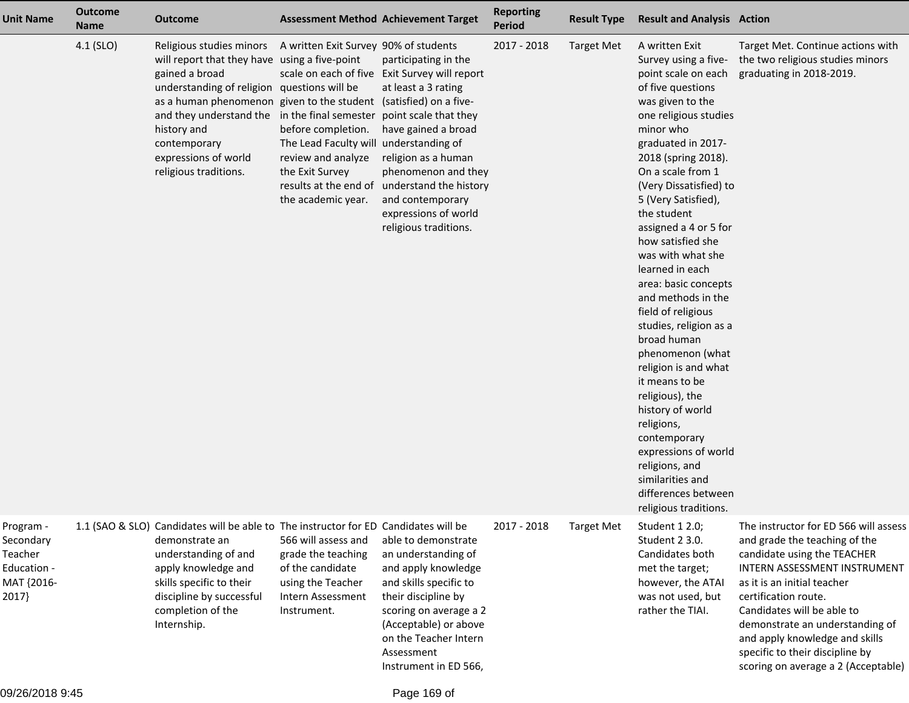| <b>Unit Name</b>                                                        | <b>Outcome</b><br><b>Name</b> | <b>Outcome</b>                                                                                                                                                                                                                                                                                                                                   |                                                                                                                                                                      | <b>Assessment Method Achievement Target</b>                                                                                                                                                                                                                                                                     | <b>Reporting</b><br><b>Period</b> | <b>Result Type</b> | <b>Result and Analysis Action</b>                                                                                                                                                                                                                                                                                                                                                                                                                                                                                                                                                                                                                                                                                                  |                                                                                                                                                                                                                                                                                                                                                                           |
|-------------------------------------------------------------------------|-------------------------------|--------------------------------------------------------------------------------------------------------------------------------------------------------------------------------------------------------------------------------------------------------------------------------------------------------------------------------------------------|----------------------------------------------------------------------------------------------------------------------------------------------------------------------|-----------------------------------------------------------------------------------------------------------------------------------------------------------------------------------------------------------------------------------------------------------------------------------------------------------------|-----------------------------------|--------------------|------------------------------------------------------------------------------------------------------------------------------------------------------------------------------------------------------------------------------------------------------------------------------------------------------------------------------------------------------------------------------------------------------------------------------------------------------------------------------------------------------------------------------------------------------------------------------------------------------------------------------------------------------------------------------------------------------------------------------------|---------------------------------------------------------------------------------------------------------------------------------------------------------------------------------------------------------------------------------------------------------------------------------------------------------------------------------------------------------------------------|
|                                                                         | 4.1 (SLO)                     | Religious studies minors<br>will report that they have using a five-point<br>gained a broad<br>understanding of religion questions will be<br>as a human phenomenon given to the student (satisfied) on a five-<br>and they understand the in the final semester<br>history and<br>contemporary<br>expressions of world<br>religious traditions. | A written Exit Survey 90% of students<br>before completion.<br>The Lead Faculty will understanding of<br>review and analyze<br>the Exit Survey<br>the academic year. | participating in the<br>scale on each of five Exit Survey will report<br>at least a 3 rating<br>point scale that they<br>have gained a broad<br>religion as a human<br>phenomenon and they<br>results at the end of understand the history<br>and contemporary<br>expressions of world<br>religious traditions. | 2017 - 2018                       | <b>Target Met</b>  | A written Exit<br>Survey using a five-<br>point scale on each<br>of five questions<br>was given to the<br>one religious studies<br>minor who<br>graduated in 2017-<br>2018 (spring 2018).<br>On a scale from 1<br>(Very Dissatisfied) to<br>5 (Very Satisfied),<br>the student<br>assigned a 4 or 5 for<br>how satisfied she<br>was with what she<br>learned in each<br>area: basic concepts<br>and methods in the<br>field of religious<br>studies, religion as a<br>broad human<br>phenomenon (what<br>religion is and what<br>it means to be<br>religious), the<br>history of world<br>religions,<br>contemporary<br>expressions of world<br>religions, and<br>similarities and<br>differences between<br>religious traditions. | Target Met. Continue actions with<br>the two religious studies minors<br>graduating in 2018-2019.                                                                                                                                                                                                                                                                         |
| Program -<br>Secondary<br>Teacher<br>Education -<br>MAT {2016-<br>2017} |                               | 1.1 (SAO & SLO) Candidates will be able to The instructor for ED Candidates will be<br>demonstrate an<br>understanding of and<br>apply knowledge and<br>skills specific to their<br>discipline by successful<br>completion of the<br>Internship.                                                                                                 | 566 will assess and<br>grade the teaching<br>of the candidate<br>using the Teacher<br>Intern Assessment<br>Instrument.                                               | able to demonstrate<br>an understanding of<br>and apply knowledge<br>and skills specific to<br>their discipline by<br>scoring on average a 2<br>(Acceptable) or above<br>on the Teacher Intern<br>Assessment<br>Instrument in ED 566,                                                                           | 2017 - 2018                       | <b>Target Met</b>  | Student 1 2.0;<br>Student 2 3.0.<br>Candidates both<br>met the target;<br>however, the ATAI<br>was not used, but<br>rather the TIAI.                                                                                                                                                                                                                                                                                                                                                                                                                                                                                                                                                                                               | The instructor for ED 566 will assess<br>and grade the teaching of the<br>candidate using the TEACHER<br>INTERN ASSESSMENT INSTRUMENT<br>as it is an initial teacher<br>certification route.<br>Candidates will be able to<br>demonstrate an understanding of<br>and apply knowledge and skills<br>specific to their discipline by<br>scoring on average a 2 (Acceptable) |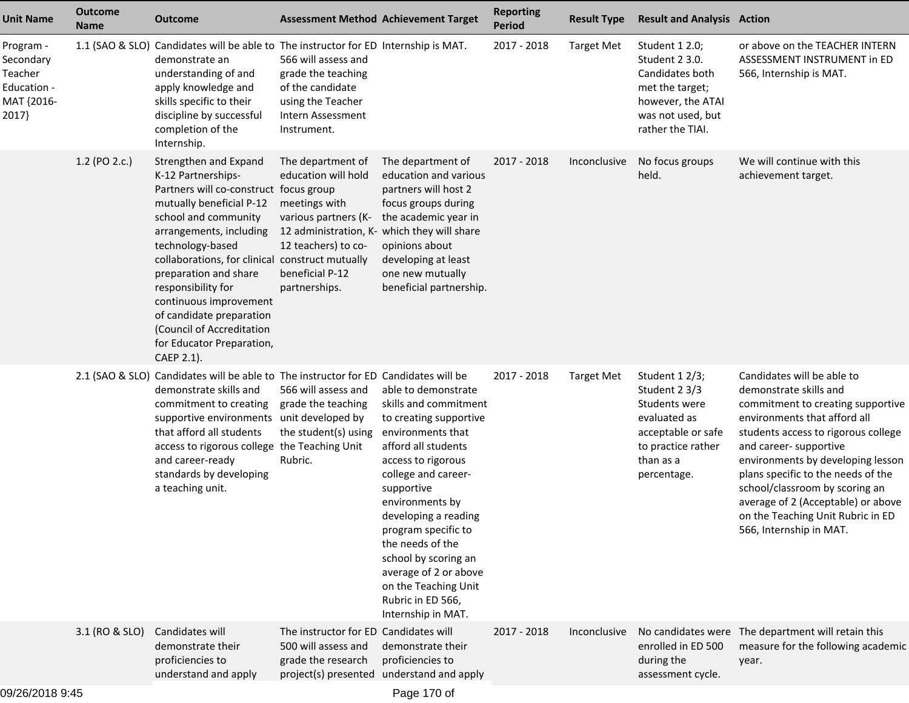| <b>Unit Name</b>                                                        | <b>Outcome</b><br><b>Name</b> | Outcome                                                                                                                                                                                                                                                                                                                                                                                                                  | <b>Assessment Method Achievement Target</b>                                                                                                                                                 |                                                                                                                                                                                                                                                                                                                                                                                         | <b>Reporting</b><br><b>Period</b> | <b>Result Type</b> | <b>Result and Analysis Action</b>                                                                                                       |                                                                                                                                                                                                                                                                                                                                                                                                               |
|-------------------------------------------------------------------------|-------------------------------|--------------------------------------------------------------------------------------------------------------------------------------------------------------------------------------------------------------------------------------------------------------------------------------------------------------------------------------------------------------------------------------------------------------------------|---------------------------------------------------------------------------------------------------------------------------------------------------------------------------------------------|-----------------------------------------------------------------------------------------------------------------------------------------------------------------------------------------------------------------------------------------------------------------------------------------------------------------------------------------------------------------------------------------|-----------------------------------|--------------------|-----------------------------------------------------------------------------------------------------------------------------------------|---------------------------------------------------------------------------------------------------------------------------------------------------------------------------------------------------------------------------------------------------------------------------------------------------------------------------------------------------------------------------------------------------------------|
| Program -<br>Secondary<br>Teacher<br>Education -<br>MAT {2016-<br>2017} |                               | 1.1 (SAO & SLO) Candidates will be able to The instructor for ED Internship is MAT.<br>demonstrate an<br>understanding of and<br>apply knowledge and<br>skills specific to their<br>discipline by successful<br>completion of the<br>Internship.                                                                                                                                                                         | 566 will assess and<br>grade the teaching<br>of the candidate<br>using the Teacher<br>Intern Assessment<br>Instrument.                                                                      |                                                                                                                                                                                                                                                                                                                                                                                         | 2017 - 2018                       | Target Met         | Student 1 2.0;<br>Student 2 3.0.<br>Candidates both<br>met the target;<br>however, the ATAI<br>was not used, but<br>rather the TIAI.    | or above on the TEACHER INTERN<br>ASSESSMENT INSTRUMENT in ED<br>566, Internship is MAT.                                                                                                                                                                                                                                                                                                                      |
|                                                                         | 1.2 (PO 2.c.)                 | Strengthen and Expand<br>K-12 Partnerships-<br>Partners will co-construct focus group<br>mutually beneficial P-12<br>school and community<br>arrangements, including<br>technology-based<br>collaborations, for clinical construct mutually<br>preparation and share<br>responsibility for<br>continuous improvement<br>of candidate preparation<br>(Council of Accreditation<br>for Educator Preparation,<br>CAEP 2.1). | The department of<br>education will hold<br>meetings with<br>various partners (K-<br>12 administration, K- which they will share<br>12 teachers) to co-<br>beneficial P-12<br>partnerships. | The department of<br>education and various<br>partners will host 2<br>focus groups during<br>the academic year in<br>opinions about<br>developing at least<br>one new mutually<br>beneficial partnership.                                                                                                                                                                               | 2017 - 2018                       | Inconclusive       | No focus groups<br>held.                                                                                                                | We will continue with this<br>achievement target.                                                                                                                                                                                                                                                                                                                                                             |
|                                                                         |                               | 2.1 (SAO & SLO) Candidates will be able to The instructor for ED Candidates will be<br>demonstrate skills and<br>commitment to creating<br>supportive environments unit developed by<br>that afford all students<br>access to rigorous college the Teaching Unit<br>and career-ready<br>standards by developing<br>a teaching unit.                                                                                      | 566 will assess and<br>grade the teaching<br>the student(s) using<br>Rubric.                                                                                                                | able to demonstrate<br>skills and commitment<br>to creating supportive<br>environments that<br>afford all students<br>access to rigorous<br>college and career-<br>supportive<br>environments by<br>developing a reading<br>program specific to<br>the needs of the<br>school by scoring an<br>average of 2 or above<br>on the Teaching Unit<br>Rubric in ED 566,<br>Internship in MAT. | 2017 - 2018                       | <b>Target Met</b>  | Student 12/3;<br>Student 2 3/3<br>Students were<br>evaluated as<br>acceptable or safe<br>to practice rather<br>than as a<br>percentage. | Candidates will be able to<br>demonstrate skills and<br>commitment to creating supportive<br>environments that afford all<br>students access to rigorous college<br>and career- supportive<br>environments by developing lesson<br>plans specific to the needs of the<br>school/classroom by scoring an<br>average of 2 (Acceptable) or above<br>on the Teaching Unit Rubric in ED<br>566, Internship in MAT. |
|                                                                         | 3.1 (RO & SLO)                | Candidates will<br>demonstrate their<br>proficiencies to<br>understand and apply                                                                                                                                                                                                                                                                                                                                         | The instructor for ED Candidates will<br>500 will assess and<br>grade the research                                                                                                          | demonstrate their<br>proficiencies to<br>project(s) presented understand and apply                                                                                                                                                                                                                                                                                                      | 2017 - 2018                       | Inconclusive       | enrolled in ED 500<br>during the<br>assessment cycle.                                                                                   | No candidates were The department will retain this<br>measure for the following academic<br>year.                                                                                                                                                                                                                                                                                                             |
|                                                                         |                               |                                                                                                                                                                                                                                                                                                                                                                                                                          |                                                                                                                                                                                             |                                                                                                                                                                                                                                                                                                                                                                                         |                                   |                    |                                                                                                                                         |                                                                                                                                                                                                                                                                                                                                                                                                               |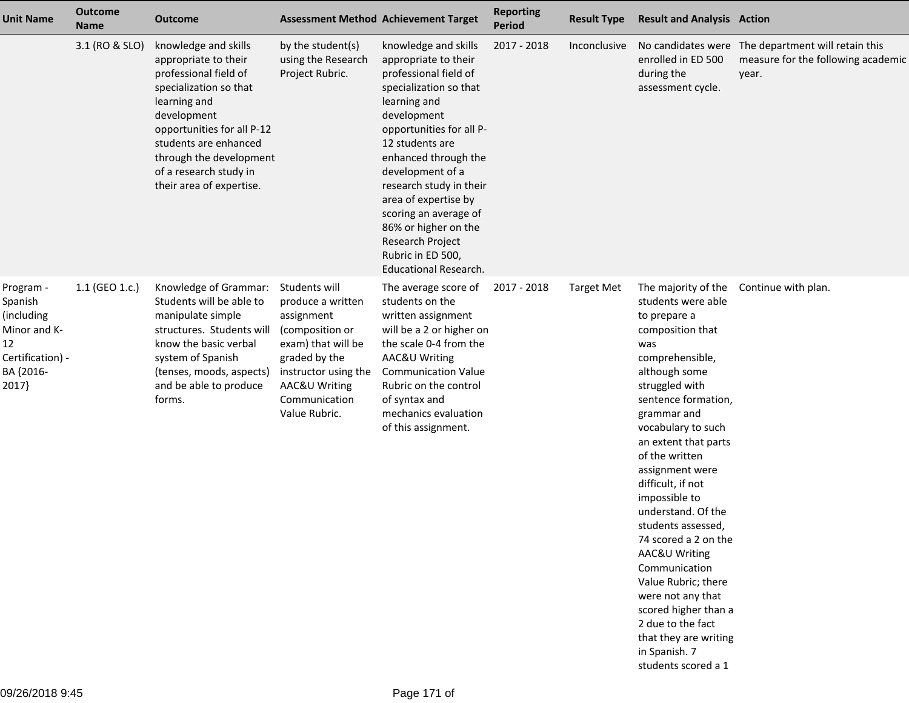| <b>Unit Name</b>                                                                                   | <b>Outcome</b><br><b>Name</b> | <b>Outcome</b>                                                                                                                                                                                                                                                         |                                                                                                                                                                                       | <b>Assessment Method Achievement Target</b>                                                                                                                                                                                                                                                                                                                                                            | <b>Reporting</b><br>Period | <b>Result Type</b> | <b>Result and Analysis Action</b>                                                                                                                                                                                                                                                                                                                                                                                                                                                                                                                                                    |                                                                                                   |
|----------------------------------------------------------------------------------------------------|-------------------------------|------------------------------------------------------------------------------------------------------------------------------------------------------------------------------------------------------------------------------------------------------------------------|---------------------------------------------------------------------------------------------------------------------------------------------------------------------------------------|--------------------------------------------------------------------------------------------------------------------------------------------------------------------------------------------------------------------------------------------------------------------------------------------------------------------------------------------------------------------------------------------------------|----------------------------|--------------------|--------------------------------------------------------------------------------------------------------------------------------------------------------------------------------------------------------------------------------------------------------------------------------------------------------------------------------------------------------------------------------------------------------------------------------------------------------------------------------------------------------------------------------------------------------------------------------------|---------------------------------------------------------------------------------------------------|
|                                                                                                    | 3.1 (RO & SLO)                | knowledge and skills<br>appropriate to their<br>professional field of<br>specialization so that<br>learning and<br>development<br>opportunities for all P-12<br>students are enhanced<br>through the development<br>of a research study in<br>their area of expertise. | by the student(s)<br>using the Research<br>Project Rubric.                                                                                                                            | knowledge and skills<br>appropriate to their<br>professional field of<br>specialization so that<br>learning and<br>development<br>opportunities for all P-<br>12 students are<br>enhanced through the<br>development of a<br>research study in their<br>area of expertise by<br>scoring an average of<br>86% or higher on the<br>Research Project<br>Rubric in ED 500,<br><b>Educational Research.</b> | 2017 - 2018                | Inconclusive       | enrolled in ED 500<br>during the<br>assessment cycle.                                                                                                                                                                                                                                                                                                                                                                                                                                                                                                                                | No candidates were The department will retain this<br>measure for the following academic<br>year. |
| Program -<br>Spanish<br>(including<br>Minor and K-<br>12<br>Certification) -<br>BA {2016-<br>2017} | 1.1 (GEO 1.c.)                | Knowledge of Grammar:<br>Students will be able to<br>manipulate simple<br>structures. Students will<br>know the basic verbal<br>system of Spanish<br>(tenses, moods, aspects)<br>and be able to produce<br>forms.                                                      | Students will<br>produce a written<br>assignment<br>(composition or<br>exam) that will be<br>graded by the<br>instructor using the<br>AAC&U Writing<br>Communication<br>Value Rubric. | The average score of<br>students on the<br>written assignment<br>will be a 2 or higher on<br>the scale 0-4 from the<br>AAC&U Writing<br><b>Communication Value</b><br>Rubric on the control<br>of syntax and<br>mechanics evaluation<br>of this assignment.                                                                                                                                            | 2017 - 2018                | <b>Target Met</b>  | The majority of the<br>students were able<br>to prepare a<br>composition that<br>was<br>comprehensible,<br>although some<br>struggled with<br>sentence formation,<br>grammar and<br>vocabulary to such<br>an extent that parts<br>of the written<br>assignment were<br>difficult, if not<br>impossible to<br>understand. Of the<br>students assessed,<br>74 scored a 2 on the<br><b>AAC&amp;U Writing</b><br>Communication<br>Value Rubric; there<br>were not any that<br>scored higher than a<br>2 due to the fact<br>that they are writing<br>in Spanish. 7<br>students scored a 1 | Continue with plan.                                                                               |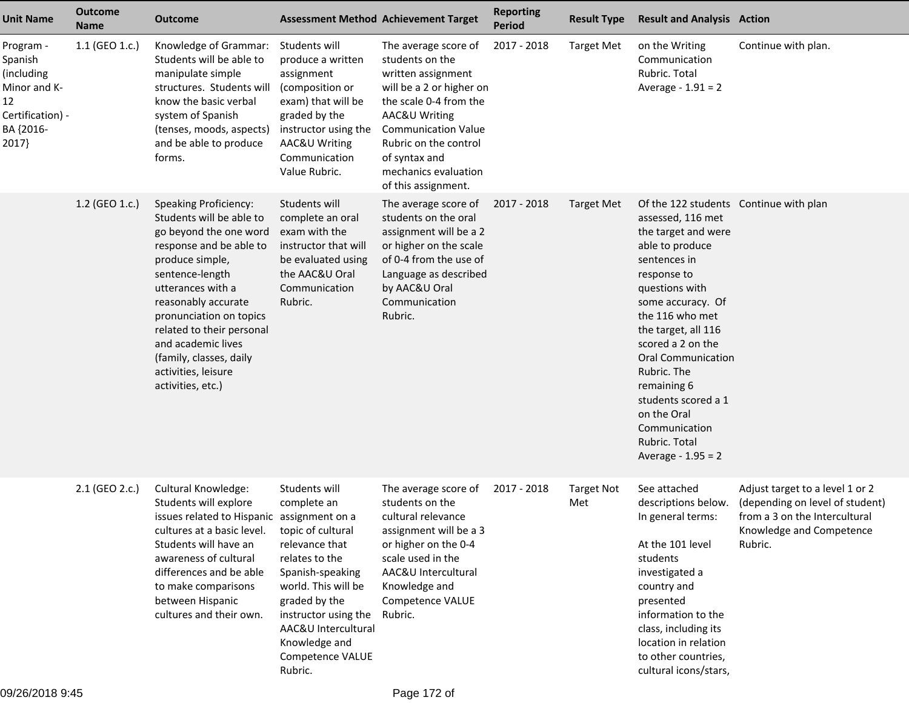| <b>Unit Name</b>                                                                                   | <b>Outcome</b><br><b>Name</b> | Outcome                                                                                                                                                                                                                                                                                                                                              | <b>Assessment Method Achievement Target</b>                                                                                                                                                                                                      |                                                                                                                                                                                                                                                             | <b>Reporting</b><br><b>Period</b> | <b>Result Type</b>       | <b>Result and Analysis Action</b>                                                                                                                                                                                                                                                                                                                                                                   |                                                                                                                                            |
|----------------------------------------------------------------------------------------------------|-------------------------------|------------------------------------------------------------------------------------------------------------------------------------------------------------------------------------------------------------------------------------------------------------------------------------------------------------------------------------------------------|--------------------------------------------------------------------------------------------------------------------------------------------------------------------------------------------------------------------------------------------------|-------------------------------------------------------------------------------------------------------------------------------------------------------------------------------------------------------------------------------------------------------------|-----------------------------------|--------------------------|-----------------------------------------------------------------------------------------------------------------------------------------------------------------------------------------------------------------------------------------------------------------------------------------------------------------------------------------------------------------------------------------------------|--------------------------------------------------------------------------------------------------------------------------------------------|
| Program -<br>Spanish<br>(including<br>Minor and K-<br>12<br>Certification) -<br>BA {2016-<br>2017} | 1.1 (GEO 1.c.)                | Knowledge of Grammar:<br>Students will be able to<br>manipulate simple<br>structures. Students will<br>know the basic verbal<br>system of Spanish<br>(tenses, moods, aspects)<br>and be able to produce<br>forms.                                                                                                                                    | Students will<br>produce a written<br>assignment<br>(composition or<br>exam) that will be<br>graded by the<br>instructor using the<br>AAC&U Writing<br>Communication<br>Value Rubric.                                                            | The average score of<br>students on the<br>written assignment<br>will be a 2 or higher on<br>the scale 0-4 from the<br>AAC&U Writing<br><b>Communication Value</b><br>Rubric on the control<br>of syntax and<br>mechanics evaluation<br>of this assignment. | 2017 - 2018                       | <b>Target Met</b>        | on the Writing<br>Communication<br>Rubric. Total<br>Average - $1.91 = 2$                                                                                                                                                                                                                                                                                                                            | Continue with plan.                                                                                                                        |
|                                                                                                    | 1.2 (GEO 1.c.)                | <b>Speaking Proficiency:</b><br>Students will be able to<br>go beyond the one word<br>response and be able to<br>produce simple,<br>sentence-length<br>utterances with a<br>reasonably accurate<br>pronunciation on topics<br>related to their personal<br>and academic lives<br>(family, classes, daily<br>activities, leisure<br>activities, etc.) | Students will<br>complete an oral<br>exam with the<br>instructor that will<br>be evaluated using<br>the AAC&U Oral<br>Communication<br>Rubric.                                                                                                   | The average score of<br>students on the oral<br>assignment will be a 2<br>or higher on the scale<br>of 0-4 from the use of<br>Language as described<br>by AAC&U Oral<br>Communication<br>Rubric.                                                            | 2017 - 2018                       | <b>Target Met</b>        | Of the 122 students Continue with plan<br>assessed, 116 met<br>the target and were<br>able to produce<br>sentences in<br>response to<br>questions with<br>some accuracy. Of<br>the 116 who met<br>the target, all 116<br>scored a 2 on the<br><b>Oral Communication</b><br>Rubric. The<br>remaining 6<br>students scored a 1<br>on the Oral<br>Communication<br>Rubric. Total<br>Average - 1.95 = 2 |                                                                                                                                            |
|                                                                                                    | 2.1 (GEO 2.c.)                | Cultural Knowledge:<br>Students will explore<br>issues related to Hispanic assignment on a<br>cultures at a basic level.<br>Students will have an<br>awareness of cultural<br>differences and be able<br>to make comparisons<br>between Hispanic<br>cultures and their own.                                                                          | Students will<br>complete an<br>topic of cultural<br>relevance that<br>relates to the<br>Spanish-speaking<br>world. This will be<br>graded by the<br>instructor using the<br>AAC&U Intercultural<br>Knowledge and<br>Competence VALUE<br>Rubric. | The average score of<br>students on the<br>cultural relevance<br>assignment will be a 3<br>or higher on the 0-4<br>scale used in the<br>AAC&U Intercultural<br>Knowledge and<br>Competence VALUE<br>Rubric.                                                 | 2017 - 2018                       | <b>Target Not</b><br>Met | See attached<br>descriptions below.<br>In general terms:<br>At the 101 level<br>students<br>investigated a<br>country and<br>presented<br>information to the<br>class, including its<br>location in relation<br>to other countries,<br>cultural icons/stars,                                                                                                                                        | Adjust target to a level 1 or 2<br>(depending on level of student)<br>from a 3 on the Intercultural<br>Knowledge and Competence<br>Rubric. |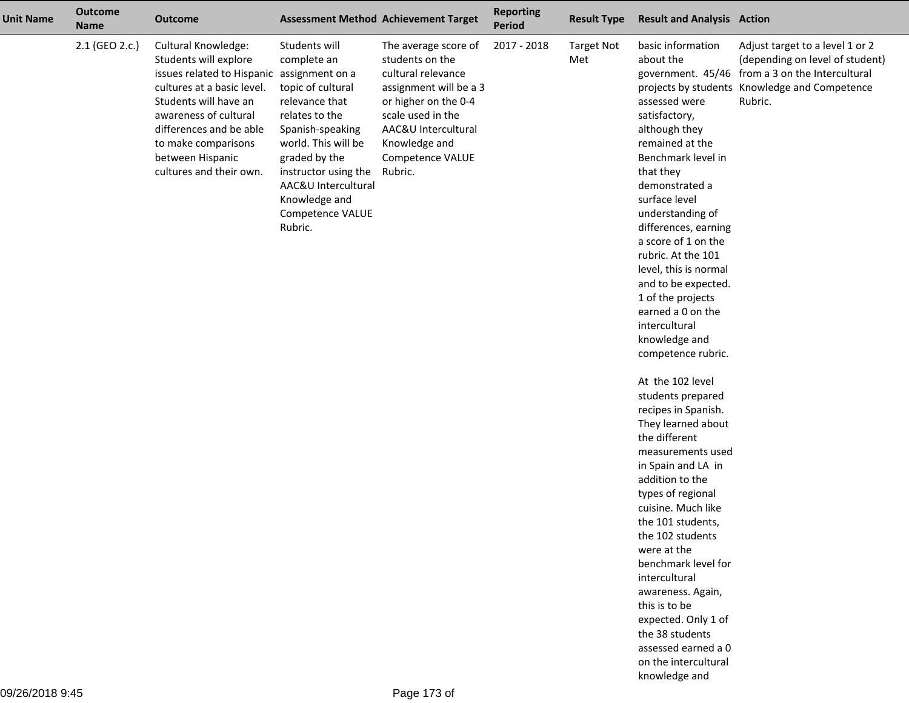| <b>Unit Name</b> | <b>Outcome</b><br><b>Name</b> | <b>Outcome</b>                                                                                                                                                                                                                                                              |                                                                                                                                                                                                                                                  | <b>Assessment Method Achievement Target</b>                                                                                                                                                                 | <b>Reporting</b><br>Period | <b>Result Type</b>       | <b>Result and Analysis Action</b>                                                                                                                                                                                                                                                                                                                                                                                                                                                                                                                                                                                                                                                                                                                                                                                                                                                     |                                                                                                                                                                                   |
|------------------|-------------------------------|-----------------------------------------------------------------------------------------------------------------------------------------------------------------------------------------------------------------------------------------------------------------------------|--------------------------------------------------------------------------------------------------------------------------------------------------------------------------------------------------------------------------------------------------|-------------------------------------------------------------------------------------------------------------------------------------------------------------------------------------------------------------|----------------------------|--------------------------|---------------------------------------------------------------------------------------------------------------------------------------------------------------------------------------------------------------------------------------------------------------------------------------------------------------------------------------------------------------------------------------------------------------------------------------------------------------------------------------------------------------------------------------------------------------------------------------------------------------------------------------------------------------------------------------------------------------------------------------------------------------------------------------------------------------------------------------------------------------------------------------|-----------------------------------------------------------------------------------------------------------------------------------------------------------------------------------|
|                  | 2.1 (GEO 2.c.)                | Cultural Knowledge:<br>Students will explore<br>issues related to Hispanic assignment on a<br>cultures at a basic level.<br>Students will have an<br>awareness of cultural<br>differences and be able<br>to make comparisons<br>between Hispanic<br>cultures and their own. | Students will<br>complete an<br>topic of cultural<br>relevance that<br>relates to the<br>Spanish-speaking<br>world. This will be<br>graded by the<br>instructor using the<br>AAC&U Intercultural<br>Knowledge and<br>Competence VALUE<br>Rubric. | The average score of<br>students on the<br>cultural relevance<br>assignment will be a 3<br>or higher on the 0-4<br>scale used in the<br>AAC&U Intercultural<br>Knowledge and<br>Competence VALUE<br>Rubric. | 2017 - 2018                | <b>Target Not</b><br>Met | basic information<br>about the<br>assessed were<br>satisfactory,<br>although they<br>remained at the<br>Benchmark level in<br>that they<br>demonstrated a<br>surface level<br>understanding of<br>differences, earning<br>a score of 1 on the<br>rubric. At the 101<br>level, this is normal<br>and to be expected.<br>1 of the projects<br>earned a 0 on the<br>intercultural<br>knowledge and<br>competence rubric.<br>At the 102 level<br>students prepared<br>recipes in Spanish.<br>They learned about<br>the different<br>measurements used<br>in Spain and LA in<br>addition to the<br>types of regional<br>cuisine. Much like<br>the 101 students,<br>the 102 students<br>were at the<br>benchmark level for<br>intercultural<br>awareness. Again,<br>this is to be<br>expected. Only 1 of<br>the 38 students<br>assessed earned a 0<br>on the intercultural<br>knowledge and | Adjust target to a level 1 or 2<br>(depending on level of student)<br>government. 45/46 from a 3 on the Intercultural<br>projects by students Knowledge and Competence<br>Rubric. |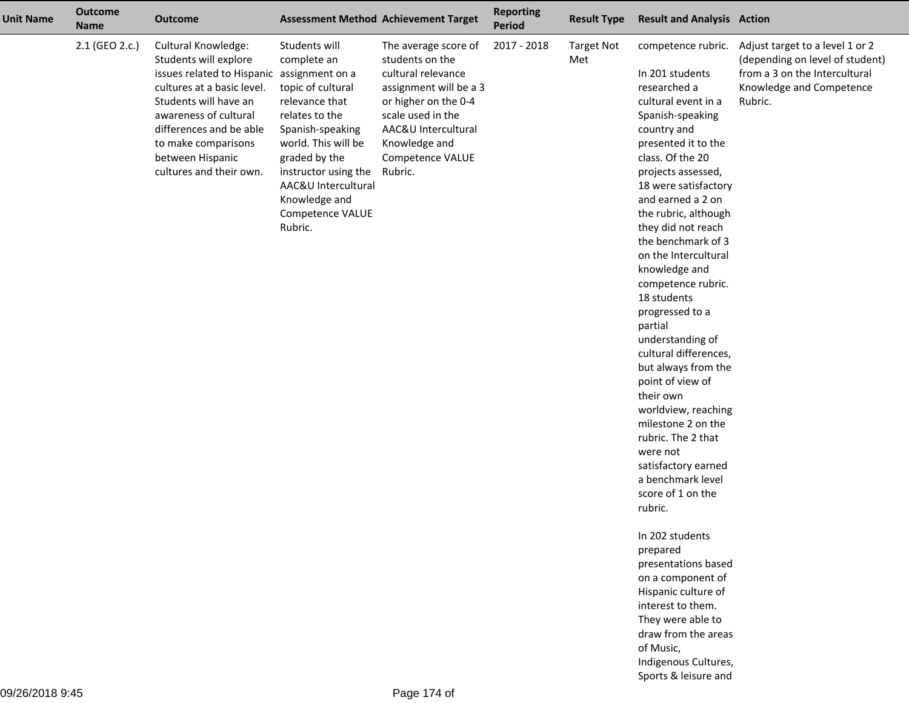| <b>Unit Name</b> | <b>Outcome</b><br><b>Name</b> | <b>Outcome</b>                                                                                                                                                                                                                                                     |                                                                                                                                                                                                                                                                     | <b>Assessment Method Achievement Target</b>                                                                                                                                                                 | <b>Reporting</b><br><b>Period</b> | <b>Result Type</b>       | <b>Result and Analysis Action</b>                                                                                                                                                                                                                                                                                                                                                                                                                                                                                                                                                                                                                                                                                                                                               |                                                                                                                                            |
|------------------|-------------------------------|--------------------------------------------------------------------------------------------------------------------------------------------------------------------------------------------------------------------------------------------------------------------|---------------------------------------------------------------------------------------------------------------------------------------------------------------------------------------------------------------------------------------------------------------------|-------------------------------------------------------------------------------------------------------------------------------------------------------------------------------------------------------------|-----------------------------------|--------------------------|---------------------------------------------------------------------------------------------------------------------------------------------------------------------------------------------------------------------------------------------------------------------------------------------------------------------------------------------------------------------------------------------------------------------------------------------------------------------------------------------------------------------------------------------------------------------------------------------------------------------------------------------------------------------------------------------------------------------------------------------------------------------------------|--------------------------------------------------------------------------------------------------------------------------------------------|
|                  | 2.1 (GEO 2.c.)                | <b>Cultural Knowledge:</b><br>Students will explore<br>issues related to Hispanic<br>cultures at a basic level.<br>Students will have an<br>awareness of cultural<br>differences and be able<br>to make comparisons<br>between Hispanic<br>cultures and their own. | Students will<br>complete an<br>assignment on a<br>topic of cultural<br>relevance that<br>relates to the<br>Spanish-speaking<br>world. This will be<br>graded by the<br>instructor using the<br>AAC&U Intercultural<br>Knowledge and<br>Competence VALUE<br>Rubric. | The average score of<br>students on the<br>cultural relevance<br>assignment will be a 3<br>or higher on the 0-4<br>scale used in the<br>AAC&U Intercultural<br>Knowledge and<br>Competence VALUE<br>Rubric. | 2017 - 2018                       | <b>Target Not</b><br>Met | competence rubric.<br>In 201 students<br>researched a<br>cultural event in a<br>Spanish-speaking<br>country and<br>presented it to the<br>class. Of the 20<br>projects assessed,<br>18 were satisfactory<br>and earned a 2 on<br>the rubric, although<br>they did not reach<br>the benchmark of 3<br>on the Intercultural<br>knowledge and<br>competence rubric.<br>18 students<br>progressed to a<br>partial<br>understanding of<br>cultural differences,<br>but always from the<br>point of view of<br>their own<br>worldview, reaching<br>milestone 2 on the<br>rubric. The 2 that<br>were not<br>satisfactory earned<br>a benchmark level<br>score of 1 on the<br>rubric.<br>In 202 students<br>prepared<br>presentations based<br>on a component of<br>Hispanic culture of | Adjust target to a level 1 or 2<br>(depending on level of student)<br>from a 3 on the Intercultural<br>Knowledge and Competence<br>Rubric. |
|                  |                               |                                                                                                                                                                                                                                                                    |                                                                                                                                                                                                                                                                     |                                                                                                                                                                                                             |                                   |                          | interest to them.<br>They were able to<br>draw from the areas<br>of Music,                                                                                                                                                                                                                                                                                                                                                                                                                                                                                                                                                                                                                                                                                                      |                                                                                                                                            |
|                  |                               |                                                                                                                                                                                                                                                                    |                                                                                                                                                                                                                                                                     |                                                                                                                                                                                                             |                                   |                          | Indigenous Cultures,                                                                                                                                                                                                                                                                                                                                                                                                                                                                                                                                                                                                                                                                                                                                                            |                                                                                                                                            |

Sports & leisure and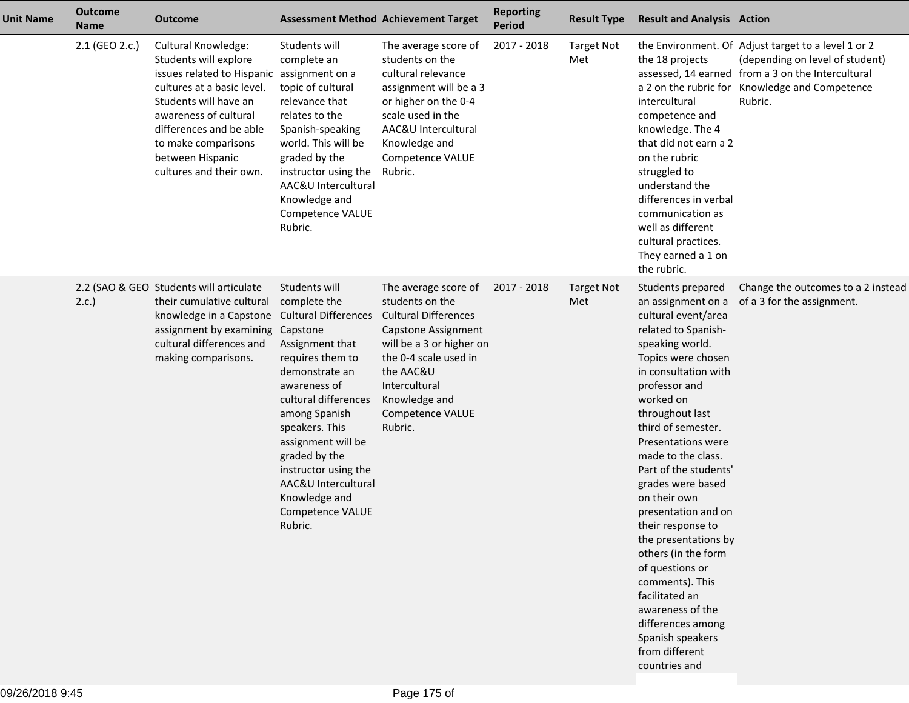| <b>Unit Name</b> | <b>Outcome</b><br><b>Name</b> | <b>Outcome</b>                                                                                                                                                                                                                                                                     |                                                                                                                                                                                                                                                                                                         | <b>Assessment Method Achievement Target</b>                                                                                                                                                                                             | <b>Reporting</b><br><b>Period</b> | <b>Result Type</b>       | <b>Result and Analysis Action</b>                                                                                                                                                                                                                                                                                                                                                                                                                                                                                                                                                          |                                                                                                                                                                                                          |
|------------------|-------------------------------|------------------------------------------------------------------------------------------------------------------------------------------------------------------------------------------------------------------------------------------------------------------------------------|---------------------------------------------------------------------------------------------------------------------------------------------------------------------------------------------------------------------------------------------------------------------------------------------------------|-----------------------------------------------------------------------------------------------------------------------------------------------------------------------------------------------------------------------------------------|-----------------------------------|--------------------------|--------------------------------------------------------------------------------------------------------------------------------------------------------------------------------------------------------------------------------------------------------------------------------------------------------------------------------------------------------------------------------------------------------------------------------------------------------------------------------------------------------------------------------------------------------------------------------------------|----------------------------------------------------------------------------------------------------------------------------------------------------------------------------------------------------------|
|                  | 2.1 (GEO 2.c.)                | <b>Cultural Knowledge:</b><br>Students will explore<br>issues related to Hispanic assignment on a<br>cultures at a basic level.<br>Students will have an<br>awareness of cultural<br>differences and be able<br>to make comparisons<br>between Hispanic<br>cultures and their own. | Students will<br>complete an<br>topic of cultural<br>relevance that<br>relates to the<br>Spanish-speaking<br>world. This will be<br>graded by the<br>instructor using the<br>AAC&U Intercultural<br>Knowledge and<br>Competence VALUE<br>Rubric.                                                        | The average score of<br>students on the<br>cultural relevance<br>assignment will be a 3<br>or higher on the 0-4<br>scale used in the<br>AAC&U Intercultural<br>Knowledge and<br>Competence VALUE<br>Rubric.                             | 2017 - 2018                       | <b>Target Not</b><br>Met | the 18 projects<br>intercultural<br>competence and<br>knowledge. The 4<br>that did not earn a 2<br>on the rubric<br>struggled to<br>understand the<br>differences in verbal<br>communication as<br>well as different<br>cultural practices.<br>They earned a 1 on<br>the rubric.                                                                                                                                                                                                                                                                                                           | the Environment. Of Adjust target to a level 1 or 2<br>(depending on level of student)<br>assessed, 14 earned from a 3 on the Intercultural<br>a 2 on the rubric for Knowledge and Competence<br>Rubric. |
|                  | 2.c.                          | 2.2 (SAO & GEO Students will articulate<br>their cumulative cultural<br>knowledge in a Capstone Cultural Differences<br>assignment by examining Capstone<br>cultural differences and<br>making comparisons.                                                                        | Students will<br>complete the<br>Assignment that<br>requires them to<br>demonstrate an<br>awareness of<br>cultural differences<br>among Spanish<br>speakers. This<br>assignment will be<br>graded by the<br>instructor using the<br>AAC&U Intercultural<br>Knowledge and<br>Competence VALUE<br>Rubric. | The average score of<br>students on the<br><b>Cultural Differences</b><br><b>Capstone Assignment</b><br>will be a 3 or higher on<br>the 0-4 scale used in<br>the AAC&U<br>Intercultural<br>Knowledge and<br>Competence VALUE<br>Rubric. | 2017 - 2018                       | <b>Target Not</b><br>Met | Students prepared<br>an assignment on a<br>cultural event/area<br>related to Spanish-<br>speaking world.<br>Topics were chosen<br>in consultation with<br>professor and<br>worked on<br>throughout last<br>third of semester.<br>Presentations were<br>made to the class.<br>Part of the students'<br>grades were based<br>on their own<br>presentation and on<br>their response to<br>the presentations by<br>others (in the form<br>of questions or<br>comments). This<br>facilitated an<br>awareness of the<br>differences among<br>Spanish speakers<br>from different<br>countries and | Change the outcomes to a 2 instead<br>of a 3 for the assignment.                                                                                                                                         |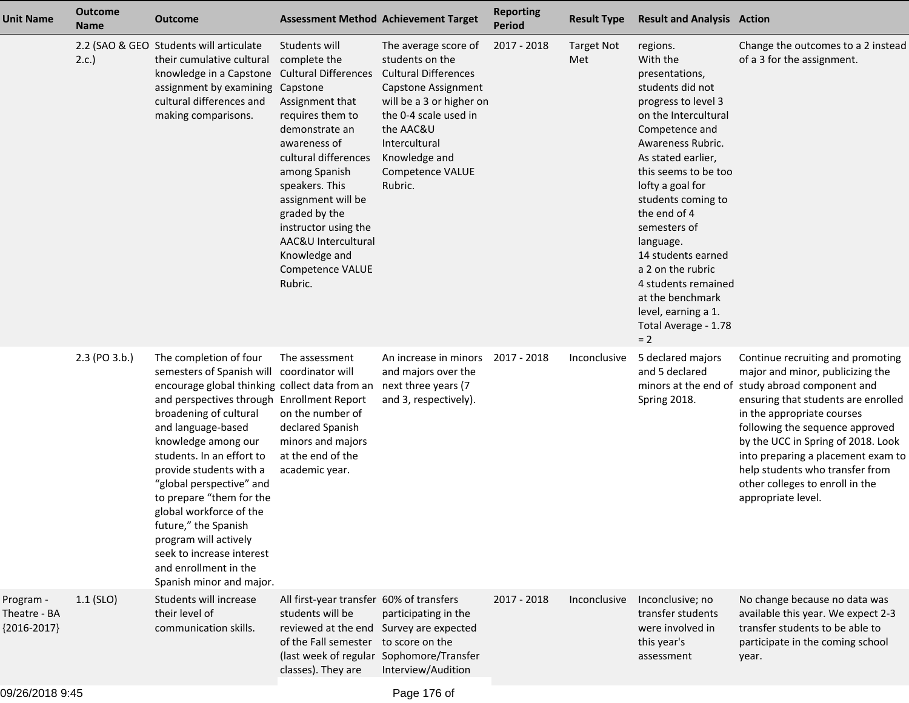| <b>Unit Name</b>                           | <b>Outcome</b><br><b>Name</b> | <b>Outcome</b>                                                                                                                                                                                                                                                                                                                                                                                                                                                                                           | <b>Assessment Method Achievement Target</b>                                                                                                                                                                                                                                                                                            |                                                                                                                                                                                                                                         | <b>Reporting</b><br><b>Period</b> | <b>Result Type</b>       | <b>Result and Analysis Action</b>                                                                                                                                                                                                                                                                                                                                                                                                   |                                                                                                                                                                                                                                                                                                                                                                                                          |
|--------------------------------------------|-------------------------------|----------------------------------------------------------------------------------------------------------------------------------------------------------------------------------------------------------------------------------------------------------------------------------------------------------------------------------------------------------------------------------------------------------------------------------------------------------------------------------------------------------|----------------------------------------------------------------------------------------------------------------------------------------------------------------------------------------------------------------------------------------------------------------------------------------------------------------------------------------|-----------------------------------------------------------------------------------------------------------------------------------------------------------------------------------------------------------------------------------------|-----------------------------------|--------------------------|-------------------------------------------------------------------------------------------------------------------------------------------------------------------------------------------------------------------------------------------------------------------------------------------------------------------------------------------------------------------------------------------------------------------------------------|----------------------------------------------------------------------------------------------------------------------------------------------------------------------------------------------------------------------------------------------------------------------------------------------------------------------------------------------------------------------------------------------------------|
|                                            | 2.c.                          | 2.2 (SAO & GEO Students will articulate<br>their cumulative cultural<br>knowledge in a Capstone<br>assignment by examining Capstone<br>cultural differences and<br>making comparisons.                                                                                                                                                                                                                                                                                                                   | Students will<br>complete the<br><b>Cultural Differences</b><br>Assignment that<br>requires them to<br>demonstrate an<br>awareness of<br>cultural differences<br>among Spanish<br>speakers. This<br>assignment will be<br>graded by the<br>instructor using the<br>AAC&U Intercultural<br>Knowledge and<br>Competence VALUE<br>Rubric. | The average score of<br>students on the<br><b>Cultural Differences</b><br>Capstone Assignment<br>will be a 3 or higher on<br>the 0-4 scale used in<br>the AAC&U<br>Intercultural<br>Knowledge and<br><b>Competence VALUE</b><br>Rubric. | 2017 - 2018                       | <b>Target Not</b><br>Met | regions.<br>With the<br>presentations,<br>students did not<br>progress to level 3<br>on the Intercultural<br>Competence and<br>Awareness Rubric.<br>As stated earlier,<br>this seems to be too<br>lofty a goal for<br>students coming to<br>the end of 4<br>semesters of<br>language.<br>14 students earned<br>a 2 on the rubric<br>4 students remained<br>at the benchmark<br>level, earning a 1.<br>Total Average - 1.78<br>$= 2$ | Change the outcomes to a 2 instead<br>of a 3 for the assignment.                                                                                                                                                                                                                                                                                                                                         |
|                                            | 2.3 (PO 3.b.)                 | The completion of four<br>semesters of Spanish will<br>encourage global thinking collect data from an<br>and perspectives through Enrollment Report<br>broadening of cultural<br>and language-based<br>knowledge among our<br>students. In an effort to<br>provide students with a<br>"global perspective" and<br>to prepare "them for the<br>global workforce of the<br>future," the Spanish<br>program will actively<br>seek to increase interest<br>and enrollment in the<br>Spanish minor and major. | The assessment<br>coordinator will<br>on the number of<br>declared Spanish<br>minors and majors<br>at the end of the<br>academic year.                                                                                                                                                                                                 | An increase in minors<br>and majors over the<br>next three years (7<br>and 3, respectively).                                                                                                                                            | 2017 - 2018                       | Inconclusive             | 5 declared majors<br>and 5 declared<br>Spring 2018.                                                                                                                                                                                                                                                                                                                                                                                 | Continue recruiting and promoting<br>major and minor, publicizing the<br>minors at the end of study abroad component and<br>ensuring that students are enrolled<br>in the appropriate courses<br>following the sequence approved<br>by the UCC in Spring of 2018. Look<br>into preparing a placement exam to<br>help students who transfer from<br>other colleges to enroll in the<br>appropriate level. |
| Program -<br>Theatre - BA<br>${2016-2017}$ | $1.1$ (SLO)                   | Students will increase<br>their level of<br>communication skills.                                                                                                                                                                                                                                                                                                                                                                                                                                        | All first-year transfer 60% of transfers<br>students will be<br>reviewed at the end Survey are expected<br>of the Fall semester to score on the<br>(last week of regular Sophomore/Transfer<br>classes). They are                                                                                                                      | participating in the<br>Interview/Audition                                                                                                                                                                                              | 2017 - 2018                       | Inconclusive             | Inconclusive; no<br>transfer students<br>were involved in<br>this year's<br>assessment                                                                                                                                                                                                                                                                                                                                              | No change because no data was<br>available this year. We expect 2-3<br>transfer students to be able to<br>participate in the coming school<br>year.                                                                                                                                                                                                                                                      |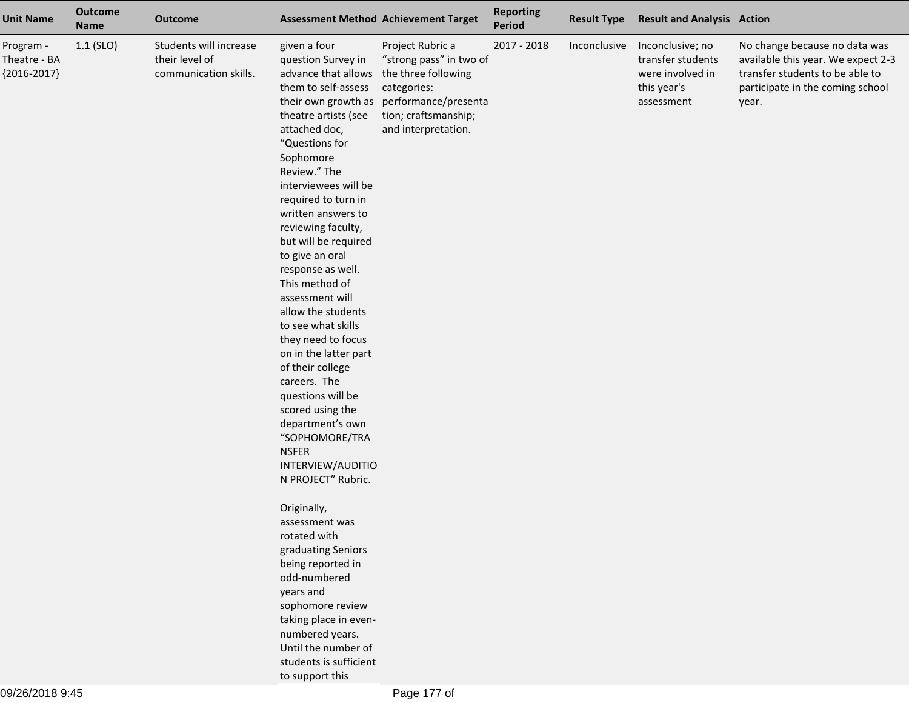| <b>Unit Name</b>                           | <b>Outcome</b><br><b>Name</b> | <b>Outcome</b>                                                    |                                                                                                                                                                                                                                                                                                                                                                                                                                                                                                                                                                                                                                                                                                                                                                                                                                                                                                                                       | <b>Assessment Method Achievement Target</b>                                                                                                              | <b>Reporting</b><br>Period | <b>Result Type</b> | <b>Result and Analysis Action</b>                                                      |                                                                                                                                                     |
|--------------------------------------------|-------------------------------|-------------------------------------------------------------------|---------------------------------------------------------------------------------------------------------------------------------------------------------------------------------------------------------------------------------------------------------------------------------------------------------------------------------------------------------------------------------------------------------------------------------------------------------------------------------------------------------------------------------------------------------------------------------------------------------------------------------------------------------------------------------------------------------------------------------------------------------------------------------------------------------------------------------------------------------------------------------------------------------------------------------------|----------------------------------------------------------------------------------------------------------------------------------------------------------|----------------------------|--------------------|----------------------------------------------------------------------------------------|-----------------------------------------------------------------------------------------------------------------------------------------------------|
| Program -<br>Theatre - BA<br>${2016-2017}$ | $1.1$ (SLO)                   | Students will increase<br>their level of<br>communication skills. | given a four<br>question Survey in<br>advance that allows<br>them to self-assess<br>their own growth as<br>theatre artists (see<br>attached doc,<br>"Questions for<br>Sophomore<br>Review." The<br>interviewees will be<br>required to turn in<br>written answers to<br>reviewing faculty,<br>but will be required<br>to give an oral<br>response as well.<br>This method of<br>assessment will<br>allow the students<br>to see what skills<br>they need to focus<br>on in the latter part<br>of their college<br>careers. The<br>questions will be<br>scored using the<br>department's own<br>"SOPHOMORE/TRA<br><b>NSFER</b><br>INTERVIEW/AUDITIO<br>N PROJECT" Rubric.<br>Originally,<br>assessment was<br>rotated with<br>graduating Seniors<br>being reported in<br>odd-numbered<br>years and<br>sophomore review<br>taking place in even-<br>numbered years.<br>Until the number of<br>students is sufficient<br>to support this | Project Rubric a<br>"strong pass" in two of<br>the three following<br>categories:<br>performance/presenta<br>tion; craftsmanship;<br>and interpretation. | 2017 - 2018                | Inconclusive       | Inconclusive; no<br>transfer students<br>were involved in<br>this year's<br>assessment | No change because no data was<br>available this year. We expect 2-3<br>transfer students to be able to<br>participate in the coming school<br>year. |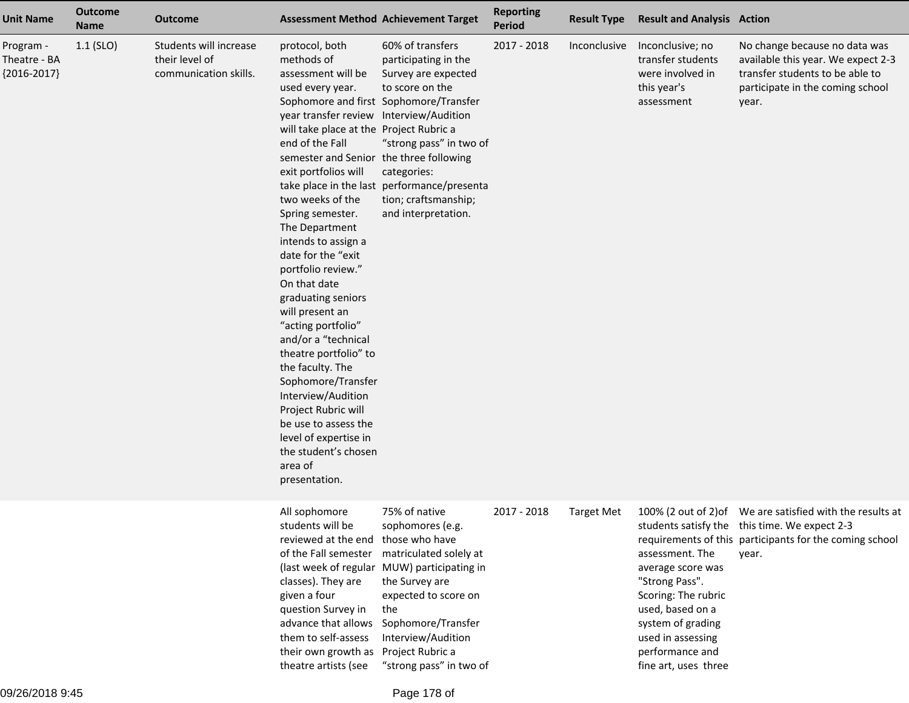| <b>Unit Name</b>                           | <b>Outcome</b><br><b>Name</b> | <b>Outcome</b>                                                    |                                                                                                                                                                                                                                                                                                                                                                                                                                                                                                                                                                                                                                                                                                            | <b>Assessment Method Achievement Target</b>                                                                                                                                                                                                                          | <b>Reporting</b><br><b>Period</b> | <b>Result Type</b> | <b>Result and Analysis Action</b>                                                                                                                                                      |                                                                                                                                                                                |
|--------------------------------------------|-------------------------------|-------------------------------------------------------------------|------------------------------------------------------------------------------------------------------------------------------------------------------------------------------------------------------------------------------------------------------------------------------------------------------------------------------------------------------------------------------------------------------------------------------------------------------------------------------------------------------------------------------------------------------------------------------------------------------------------------------------------------------------------------------------------------------------|----------------------------------------------------------------------------------------------------------------------------------------------------------------------------------------------------------------------------------------------------------------------|-----------------------------------|--------------------|----------------------------------------------------------------------------------------------------------------------------------------------------------------------------------------|--------------------------------------------------------------------------------------------------------------------------------------------------------------------------------|
| Program -<br>Theatre - BA<br>${2016-2017}$ | $1.1$ (SLO)                   | Students will increase<br>their level of<br>communication skills. | protocol, both<br>methods of<br>assessment will be<br>used every year.<br>year transfer review Interview/Audition<br>will take place at the Project Rubric a<br>end of the Fall<br>semester and Senior the three following<br>exit portfolios will<br>two weeks of the<br>Spring semester.<br>The Department<br>intends to assign a<br>date for the "exit<br>portfolio review."<br>On that date<br>graduating seniors<br>will present an<br>"acting portfolio"<br>and/or a "technical<br>theatre portfolio" to<br>the faculty. The<br>Sophomore/Transfer<br>Interview/Audition<br>Project Rubric will<br>be use to assess the<br>level of expertise in<br>the student's chosen<br>area of<br>presentation. | 60% of transfers<br>participating in the<br>Survey are expected<br>to score on the<br>Sophomore and first Sophomore/Transfer<br>"strong pass" in two of<br>categories:<br>take place in the last performance/presenta<br>tion; craftsmanship;<br>and interpretation. | 2017 - 2018                       | Inconclusive       | Inconclusive; no<br>transfer students<br>were involved in<br>this year's<br>assessment                                                                                                 | No change because no data was<br>available this year. We expect 2-3<br>transfer students to be able to<br>participate in the coming school<br>year.                            |
|                                            |                               |                                                                   | All sophomore<br>students will be<br>reviewed at the end those who have<br>of the Fall semester<br>classes). They are<br>given a four<br>question Survey in<br>advance that allows<br>them to self-assess<br>their own growth as<br>theatre artists (see                                                                                                                                                                                                                                                                                                                                                                                                                                                   | 75% of native<br>sophomores (e.g.<br>matriculated solely at<br>(last week of regular MUW) participating in<br>the Survey are<br>expected to score on<br>the<br>Sophomore/Transfer<br>Interview/Audition<br>Project Rubric a<br>"strong pass" in two of               | 2017 - 2018                       | <b>Target Met</b>  | assessment. The<br>average score was<br>"Strong Pass".<br>Scoring: The rubric<br>used, based on a<br>system of grading<br>used in assessing<br>performance and<br>fine art, uses three | 100% (2 out of 2) of We are satisfied with the results at<br>students satisfy the this time. We expect 2-3<br>requirements of this participants for the coming school<br>year. |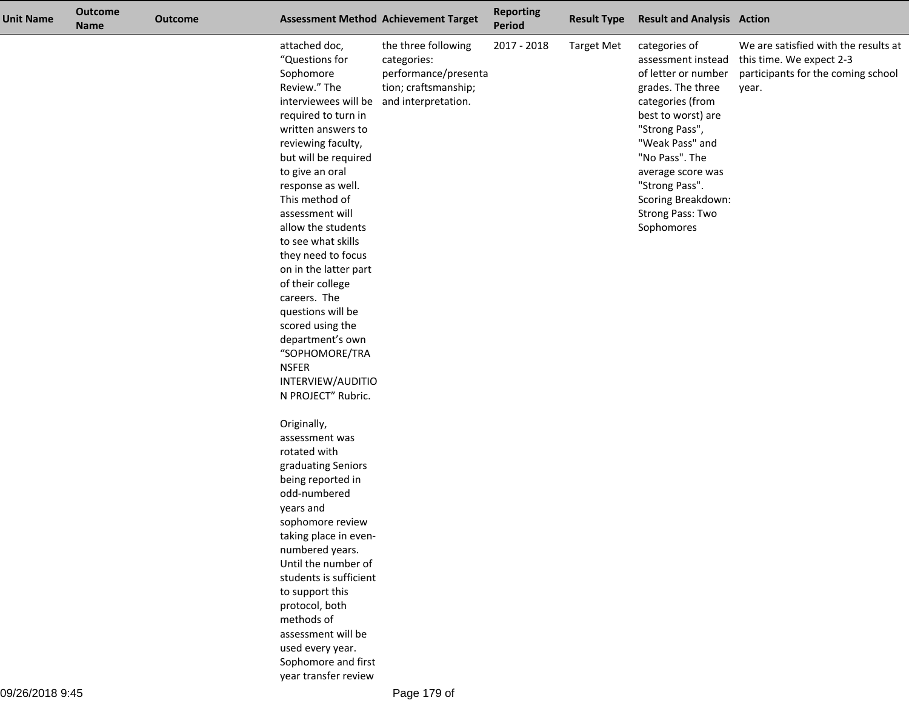| <b>Unit Name</b> | <b>Outcome</b><br><b>Name</b> | <b>Outcome</b> |                                                                                                                                                                                                                                                                                                                                                                                                                                                                                                                 | <b>Assessment Method Achievement Target</b>                                                               | <b>Reporting</b><br><b>Period</b> | <b>Result Type</b> | <b>Result and Analysis Action</b>                                                                                                                                                                                                                                               |                                                                                                                 |
|------------------|-------------------------------|----------------|-----------------------------------------------------------------------------------------------------------------------------------------------------------------------------------------------------------------------------------------------------------------------------------------------------------------------------------------------------------------------------------------------------------------------------------------------------------------------------------------------------------------|-----------------------------------------------------------------------------------------------------------|-----------------------------------|--------------------|---------------------------------------------------------------------------------------------------------------------------------------------------------------------------------------------------------------------------------------------------------------------------------|-----------------------------------------------------------------------------------------------------------------|
|                  |                               |                | attached doc,<br>"Questions for<br>Sophomore<br>Review." The<br>interviewees will be<br>required to turn in<br>written answers to<br>reviewing faculty,<br>but will be required<br>to give an oral<br>response as well.<br>This method of<br>assessment will<br>allow the students<br>to see what skills<br>they need to focus<br>on in the latter part<br>of their college<br>careers. The<br>questions will be<br>scored using the<br>department's own<br>"SOPHOMORE/TRA<br><b>NSFER</b><br>INTERVIEW/AUDITIO | the three following<br>categories:<br>performance/presenta<br>tion; craftsmanship;<br>and interpretation. | 2017 - 2018                       | <b>Target Met</b>  | categories of<br>assessment instead<br>of letter or number<br>grades. The three<br>categories (from<br>best to worst) are<br>"Strong Pass",<br>"Weak Pass" and<br>"No Pass". The<br>average score was<br>"Strong Pass".<br>Scoring Breakdown:<br>Strong Pass: Two<br>Sophomores | We are satisfied with the results at<br>this time. We expect 2-3<br>participants for the coming school<br>year. |
|                  |                               |                | N PROJECT" Rubric.<br>Originally,<br>assessment was<br>rotated with<br>graduating Seniors<br>being reported in<br>odd-numbered<br>years and<br>sophomore review<br>taking place in even-<br>numbered years.<br>Until the number of<br>students is sufficient<br>to support this<br>protocol, both<br>methods of<br>assessment will be<br>used every year.<br>Sophomore and first<br>year transfer review                                                                                                        |                                                                                                           |                                   |                    |                                                                                                                                                                                                                                                                                 |                                                                                                                 |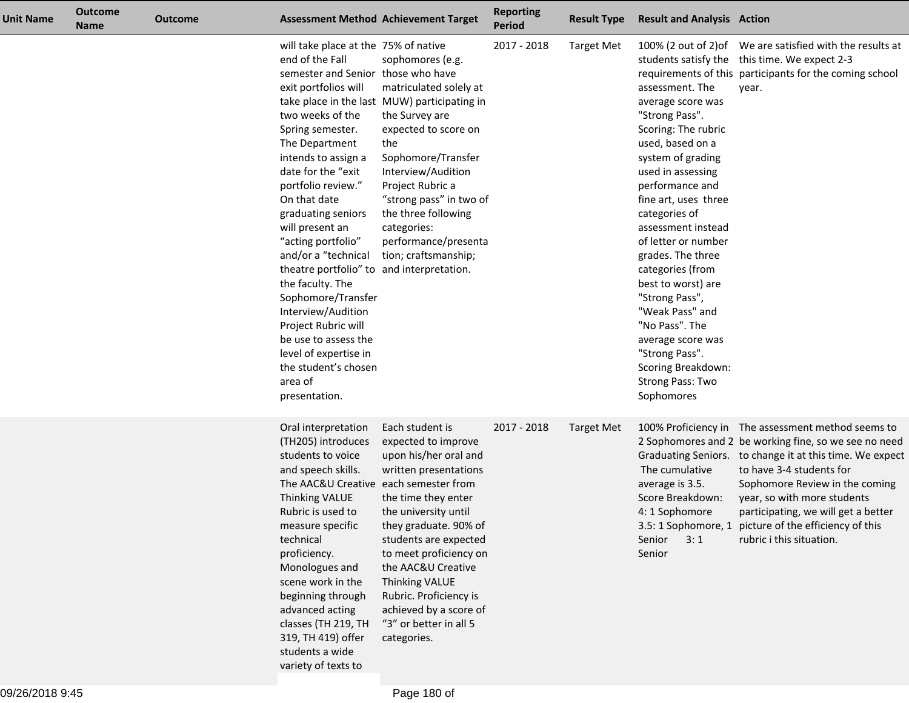| <b>Unit Name</b> | <b>Outcome</b><br><b>Name</b> | <b>Outcome</b> |                                                                                                                                                                                                                                                                                                                                                                                                                                                                                                                                                                                                   | <b>Assessment Method Achievement Target</b>                                                                                                                                                                                                                                                                                                                     | <b>Reporting</b><br><b>Period</b> | <b>Result Type</b> | <b>Result and Analysis Action</b>                                                                                                                                                                                                                                                                                                                                                                                                                                         |                                                                                                                                                                                                                                                                                                                                                                                                  |
|------------------|-------------------------------|----------------|---------------------------------------------------------------------------------------------------------------------------------------------------------------------------------------------------------------------------------------------------------------------------------------------------------------------------------------------------------------------------------------------------------------------------------------------------------------------------------------------------------------------------------------------------------------------------------------------------|-----------------------------------------------------------------------------------------------------------------------------------------------------------------------------------------------------------------------------------------------------------------------------------------------------------------------------------------------------------------|-----------------------------------|--------------------|---------------------------------------------------------------------------------------------------------------------------------------------------------------------------------------------------------------------------------------------------------------------------------------------------------------------------------------------------------------------------------------------------------------------------------------------------------------------------|--------------------------------------------------------------------------------------------------------------------------------------------------------------------------------------------------------------------------------------------------------------------------------------------------------------------------------------------------------------------------------------------------|
|                  |                               |                | will take place at the 75% of native<br>end of the Fall<br>semester and Senior those who have<br>exit portfolios will<br>two weeks of the<br>Spring semester.<br>The Department<br>intends to assign a<br>date for the "exit<br>portfolio review."<br>On that date<br>graduating seniors<br>will present an<br>"acting portfolio"<br>and/or a "technical<br>theatre portfolio" to and interpretation.<br>the faculty. The<br>Sophomore/Transfer<br>Interview/Audition<br>Project Rubric will<br>be use to assess the<br>level of expertise in<br>the student's chosen<br>area of<br>presentation. | sophomores (e.g.<br>matriculated solely at<br>take place in the last MUW) participating in<br>the Survey are<br>expected to score on<br>the<br>Sophomore/Transfer<br>Interview/Audition<br>Project Rubric a<br>"strong pass" in two of<br>the three following<br>categories:<br>performance/presenta<br>tion; craftsmanship;                                    | 2017 - 2018                       | <b>Target Met</b>  | assessment. The<br>average score was<br>"Strong Pass".<br>Scoring: The rubric<br>used, based on a<br>system of grading<br>used in assessing<br>performance and<br>fine art, uses three<br>categories of<br>assessment instead<br>of letter or number<br>grades. The three<br>categories (from<br>best to worst) are<br>"Strong Pass",<br>"Weak Pass" and<br>"No Pass". The<br>average score was<br>"Strong Pass".<br>Scoring Breakdown:<br>Strong Pass: Two<br>Sophomores | 100% (2 out of 2) of We are satisfied with the results at<br>students satisfy the this time. We expect 2-3<br>requirements of this participants for the coming school<br>year.                                                                                                                                                                                                                   |
|                  |                               |                | Oral interpretation<br>(TH205) introduces<br>students to voice<br>and speech skills.<br>The AAC&U Creative each semester from<br>Thinking VALUE<br>Rubric is used to<br>measure specific<br>technical<br>proficiency.<br>Monologues and<br>scene work in the<br>beginning through<br>advanced acting<br>classes (TH 219, TH<br>319, TH 419) offer<br>students a wide<br>variety of texts to                                                                                                                                                                                                       | Each student is<br>expected to improve<br>upon his/her oral and<br>written presentations<br>the time they enter<br>the university until<br>they graduate. 90% of<br>students are expected<br>to meet proficiency on<br>the AAC&U Creative<br><b>Thinking VALUE</b><br>Rubric. Proficiency is<br>achieved by a score of<br>"3" or better in all 5<br>categories. | 2017 - 2018                       | <b>Target Met</b>  | The cumulative<br>average is 3.5.<br>Score Breakdown:<br>4: 1 Sophomore<br>Senior<br>3:1<br>Senior                                                                                                                                                                                                                                                                                                                                                                        | 100% Proficiency in The assessment method seems to<br>2 Sophomores and 2 be working fine, so we see no need<br>Graduating Seniors. to change it at this time. We expect<br>to have 3-4 students for<br>Sophomore Review in the coming<br>year, so with more students<br>participating, we will get a better<br>3.5: 1 Sophomore, 1 picture of the efficiency of this<br>rubric i this situation. |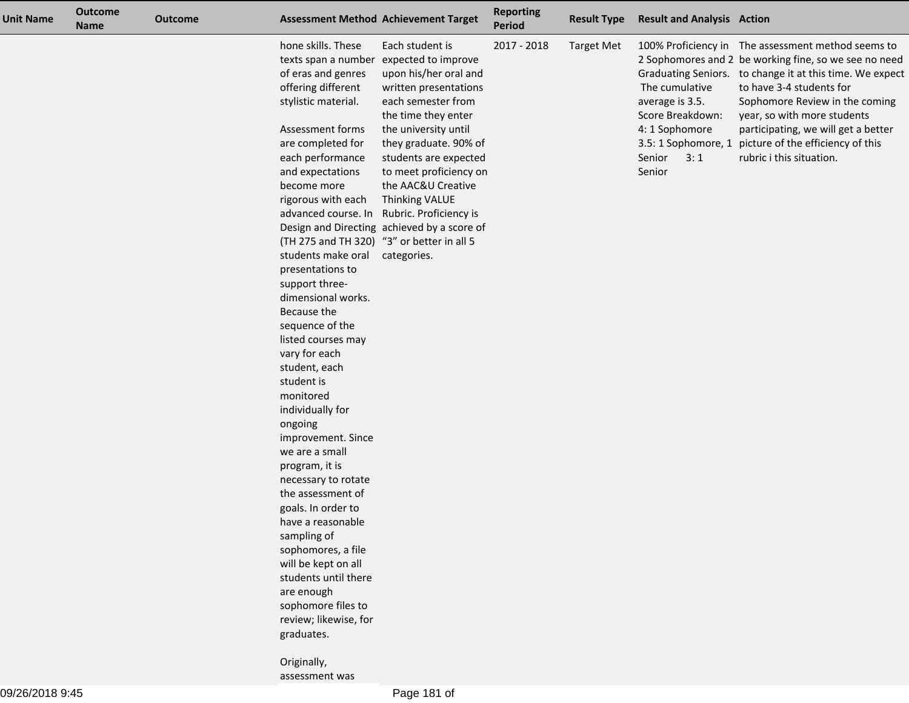| <b>Unit Name</b> | <b>Outcome</b><br><b>Name</b> | <b>Outcome</b> |                                                                                                                                                                                                                                                                                                                                                                                                                                                                                                                                                                                                                                                                                                                                                                                                                                                    | <b>Assessment Method Achievement Target</b>                                                                                                                                                                                                                                                                                                                                    | <b>Reporting</b><br><b>Period</b> | <b>Result Type</b> | <b>Result and Analysis Action</b>                                                                  |                                                                                                                                                                                                                                                                                                                                                                                                  |
|------------------|-------------------------------|----------------|----------------------------------------------------------------------------------------------------------------------------------------------------------------------------------------------------------------------------------------------------------------------------------------------------------------------------------------------------------------------------------------------------------------------------------------------------------------------------------------------------------------------------------------------------------------------------------------------------------------------------------------------------------------------------------------------------------------------------------------------------------------------------------------------------------------------------------------------------|--------------------------------------------------------------------------------------------------------------------------------------------------------------------------------------------------------------------------------------------------------------------------------------------------------------------------------------------------------------------------------|-----------------------------------|--------------------|----------------------------------------------------------------------------------------------------|--------------------------------------------------------------------------------------------------------------------------------------------------------------------------------------------------------------------------------------------------------------------------------------------------------------------------------------------------------------------------------------------------|
|                  |                               |                | hone skills. These<br>texts span a number<br>of eras and genres<br>offering different<br>stylistic material.<br>Assessment forms<br>are completed for<br>each performance<br>and expectations<br>become more<br>rigorous with each<br>(TH 275 and TH 320) "3" or better in all 5<br>students make oral categories.<br>presentations to<br>support three-<br>dimensional works.<br>Because the<br>sequence of the<br>listed courses may<br>vary for each<br>student, each<br>student is<br>monitored<br>individually for<br>ongoing<br>improvement. Since<br>we are a small<br>program, it is<br>necessary to rotate<br>the assessment of<br>goals. In order to<br>have a reasonable<br>sampling of<br>sophomores, a file<br>will be kept on all<br>students until there<br>are enough<br>sophomore files to<br>review; likewise, for<br>graduates. | Each student is<br>expected to improve<br>upon his/her oral and<br>written presentations<br>each semester from<br>the time they enter<br>the university until<br>they graduate. 90% of<br>students are expected<br>to meet proficiency on<br>the AAC&U Creative<br>Thinking VALUE<br>advanced course. In Rubric. Proficiency is<br>Design and Directing achieved by a score of | 2017 - 2018                       | <b>Target Met</b>  | The cumulative<br>average is 3.5.<br>Score Breakdown:<br>4: 1 Sophomore<br>Senior<br>3:1<br>Senior | 100% Proficiency in The assessment method seems to<br>2 Sophomores and 2 be working fine, so we see no need<br>Graduating Seniors. to change it at this time. We expect<br>to have 3-4 students for<br>Sophomore Review in the coming<br>year, so with more students<br>participating, we will get a better<br>3.5: 1 Sophomore, 1 picture of the efficiency of this<br>rubric i this situation. |

Originally, assessment was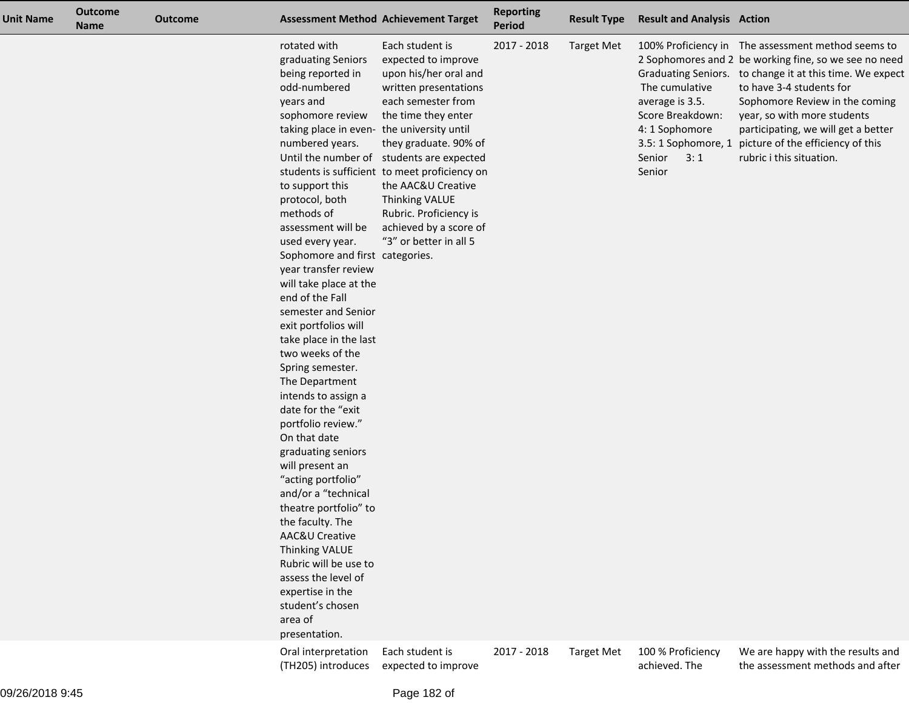| <b>Unit Name</b> | <b>Outcome</b><br><b>Name</b> | <b>Outcome</b> |                                                                                                                                                                                                                                                                                                                                                                                                                                                                                                                                                                                                                                                                                                                                                                                                                                                                                              | <b>Assessment Method Achievement Target</b>                                                                                                                                                                                                                                                                                                                                                                       | <b>Reporting</b><br>Period | <b>Result Type</b> | <b>Result and Analysis Action</b>                                                                  |                                                                                                                                                                                                                                                                                                                                                                                                  |
|------------------|-------------------------------|----------------|----------------------------------------------------------------------------------------------------------------------------------------------------------------------------------------------------------------------------------------------------------------------------------------------------------------------------------------------------------------------------------------------------------------------------------------------------------------------------------------------------------------------------------------------------------------------------------------------------------------------------------------------------------------------------------------------------------------------------------------------------------------------------------------------------------------------------------------------------------------------------------------------|-------------------------------------------------------------------------------------------------------------------------------------------------------------------------------------------------------------------------------------------------------------------------------------------------------------------------------------------------------------------------------------------------------------------|----------------------------|--------------------|----------------------------------------------------------------------------------------------------|--------------------------------------------------------------------------------------------------------------------------------------------------------------------------------------------------------------------------------------------------------------------------------------------------------------------------------------------------------------------------------------------------|
|                  |                               |                | rotated with<br>graduating Seniors<br>being reported in<br>odd-numbered<br>years and<br>sophomore review<br>taking place in even-<br>numbered years.<br>to support this<br>protocol, both<br>methods of<br>assessment will be<br>used every year.<br>Sophomore and first categories.<br>year transfer review<br>will take place at the<br>end of the Fall<br>semester and Senior<br>exit portfolios will<br>take place in the last<br>two weeks of the<br>Spring semester.<br>The Department<br>intends to assign a<br>date for the "exit<br>portfolio review."<br>On that date<br>graduating seniors<br>will present an<br>"acting portfolio"<br>and/or a "technical<br>theatre portfolio" to<br>the faculty. The<br><b>AAC&amp;U Creative</b><br><b>Thinking VALUE</b><br>Rubric will be use to<br>assess the level of<br>expertise in the<br>student's chosen<br>area of<br>presentation. | Each student is<br>expected to improve<br>upon his/her oral and<br>written presentations<br>each semester from<br>the time they enter<br>the university until<br>they graduate. 90% of<br>Until the number of students are expected<br>students is sufficient to meet proficiency on<br>the AAC&U Creative<br><b>Thinking VALUE</b><br>Rubric. Proficiency is<br>achieved by a score of<br>"3" or better in all 5 | 2017 - 2018                | <b>Target Met</b>  | The cumulative<br>average is 3.5.<br>Score Breakdown:<br>4: 1 Sophomore<br>Senior<br>3:1<br>Senior | 100% Proficiency in The assessment method seems to<br>2 Sophomores and 2 be working fine, so we see no need<br>Graduating Seniors. to change it at this time. We expect<br>to have 3-4 students for<br>Sophomore Review in the coming<br>year, so with more students<br>participating, we will get a better<br>3.5: 1 Sophomore, 1 picture of the efficiency of this<br>rubric i this situation. |
|                  |                               |                | Oral interpretation<br>(TH205) introduces                                                                                                                                                                                                                                                                                                                                                                                                                                                                                                                                                                                                                                                                                                                                                                                                                                                    | Each student is<br>expected to improve                                                                                                                                                                                                                                                                                                                                                                            | 2017 - 2018                | <b>Target Met</b>  | 100 % Proficiency<br>achieved. The                                                                 | We are happy with the results and<br>the assessment methods and after                                                                                                                                                                                                                                                                                                                            |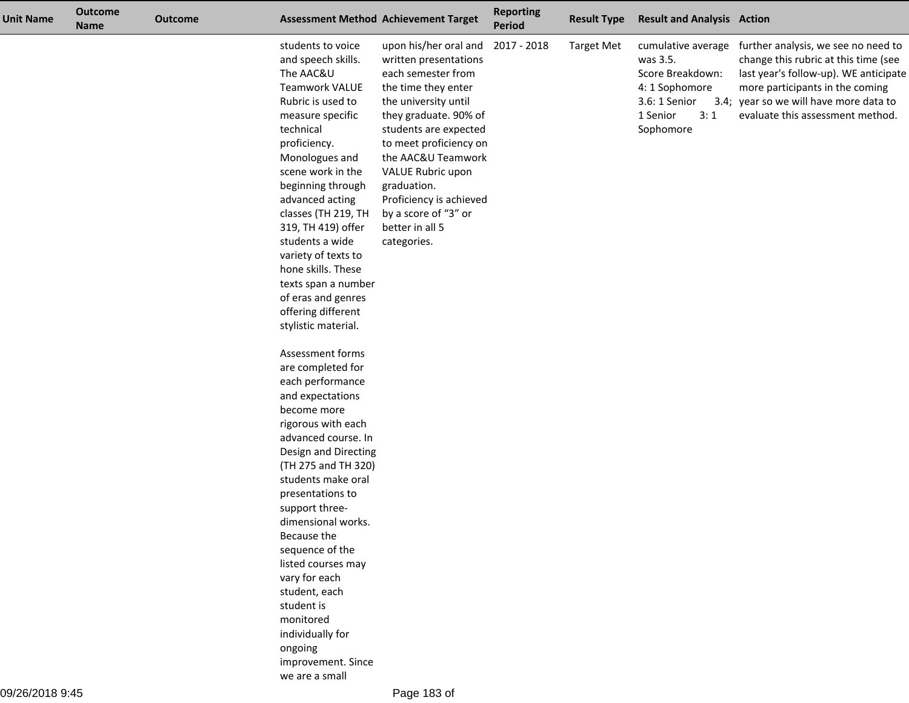| <b>Unit Name</b> | <b>Outcome</b><br><b>Name</b> | <b>Outcome</b> |                                                                                                                                                                                                                                                                                                                                                                                                                                                                        | <b>Assessment Method Achievement Target</b>                                                                                                                                                                                                                                                                                                    | <b>Reporting</b><br><b>Period</b> | <b>Result Type</b> | <b>Result and Analysis Action</b>                                                                                     |                                                                                                                                                                                                                                       |
|------------------|-------------------------------|----------------|------------------------------------------------------------------------------------------------------------------------------------------------------------------------------------------------------------------------------------------------------------------------------------------------------------------------------------------------------------------------------------------------------------------------------------------------------------------------|------------------------------------------------------------------------------------------------------------------------------------------------------------------------------------------------------------------------------------------------------------------------------------------------------------------------------------------------|-----------------------------------|--------------------|-----------------------------------------------------------------------------------------------------------------------|---------------------------------------------------------------------------------------------------------------------------------------------------------------------------------------------------------------------------------------|
|                  |                               |                | students to voice<br>and speech skills.<br>The AAC&U<br><b>Teamwork VALUE</b><br>Rubric is used to<br>measure specific<br>technical<br>proficiency.<br>Monologues and<br>scene work in the<br>beginning through<br>advanced acting<br>classes (TH 219, TH<br>319, TH 419) offer<br>students a wide<br>variety of texts to<br>hone skills. These<br>texts span a number<br>of eras and genres<br>offering different<br>stylistic material.                              | upon his/her oral and<br>written presentations<br>each semester from<br>the time they enter<br>the university until<br>they graduate. 90% of<br>students are expected<br>to meet proficiency on<br>the AAC&U Teamwork<br>VALUE Rubric upon<br>graduation.<br>Proficiency is achieved<br>by a score of "3" or<br>better in all 5<br>categories. | 2017 - 2018                       | <b>Target Met</b>  | cumulative average<br>was 3.5.<br>Score Breakdown:<br>4: 1 Sophomore<br>3.6: 1 Senior<br>1 Senior<br>3:1<br>Sophomore | further analysis, we see no need to<br>change this rubric at this time (see<br>last year's follow-up). WE anticipate<br>more participants in the coming<br>3.4; year so we will have more data to<br>evaluate this assessment method. |
|                  |                               |                | Assessment forms<br>are completed for<br>each performance<br>and expectations<br>become more<br>rigorous with each<br>advanced course. In<br>Design and Directing<br>(TH 275 and TH 320)<br>students make oral<br>presentations to<br>support three-<br>dimensional works.<br>Because the<br>sequence of the<br>listed courses may<br>vary for each<br>student, each<br>student is<br>monitored<br>individually for<br>ongoing<br>improvement. Since<br>we are a small |                                                                                                                                                                                                                                                                                                                                                |                                   |                    |                                                                                                                       |                                                                                                                                                                                                                                       |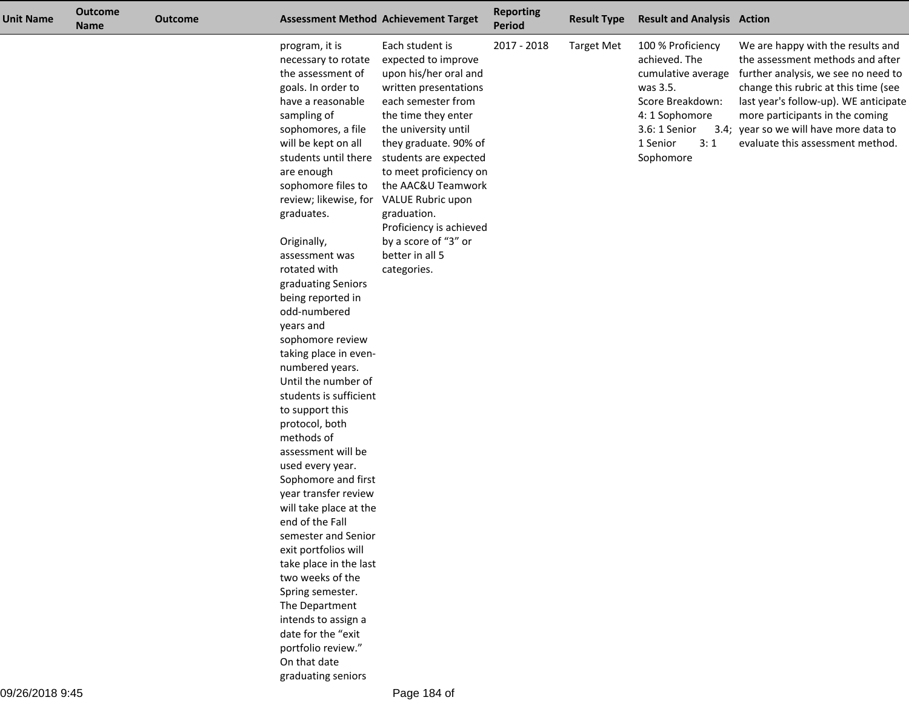| <b>Unit Name</b> | <b>Outcome</b><br><b>Name</b> | <b>Outcome</b> |                                                                                                                                                                                                                                                                                                                                                                                                                                                                                                                                                                                                                                                                                                                                                                                                                                                                                                                               | <b>Assessment Method Achievement Target</b>                                                                                                                                                                                                                                                                                                                                              | <b>Reporting</b><br><b>Period</b> | <b>Result Type</b> | <b>Result and Analysis Action</b>                                                                                                                           |                                                                                                                                                                                                                                                                                                                |
|------------------|-------------------------------|----------------|-------------------------------------------------------------------------------------------------------------------------------------------------------------------------------------------------------------------------------------------------------------------------------------------------------------------------------------------------------------------------------------------------------------------------------------------------------------------------------------------------------------------------------------------------------------------------------------------------------------------------------------------------------------------------------------------------------------------------------------------------------------------------------------------------------------------------------------------------------------------------------------------------------------------------------|------------------------------------------------------------------------------------------------------------------------------------------------------------------------------------------------------------------------------------------------------------------------------------------------------------------------------------------------------------------------------------------|-----------------------------------|--------------------|-------------------------------------------------------------------------------------------------------------------------------------------------------------|----------------------------------------------------------------------------------------------------------------------------------------------------------------------------------------------------------------------------------------------------------------------------------------------------------------|
|                  |                               |                | program, it is<br>necessary to rotate<br>the assessment of<br>goals. In order to<br>have a reasonable<br>sampling of<br>sophomores, a file<br>will be kept on all<br>students until there<br>are enough<br>sophomore files to<br>review; likewise, for<br>graduates.<br>Originally,<br>assessment was<br>rotated with<br>graduating Seniors<br>being reported in<br>odd-numbered<br>years and<br>sophomore review<br>taking place in even-<br>numbered years.<br>Until the number of<br>students is sufficient<br>to support this<br>protocol, both<br>methods of<br>assessment will be<br>used every year.<br>Sophomore and first<br>year transfer review<br>will take place at the<br>end of the Fall<br>semester and Senior<br>exit portfolios will<br>take place in the last<br>two weeks of the<br>Spring semester.<br>The Department<br>intends to assign a<br>date for the "exit<br>portfolio review."<br>On that date | Each student is<br>expected to improve<br>upon his/her oral and<br>written presentations<br>each semester from<br>the time they enter<br>the university until<br>they graduate. 90% of<br>students are expected<br>to meet proficiency on<br>the AAC&U Teamwork<br>VALUE Rubric upon<br>graduation.<br>Proficiency is achieved<br>by a score of "3" or<br>better in all 5<br>categories. | 2017 - 2018                       | <b>Target Met</b>  | 100 % Proficiency<br>achieved. The<br>cumulative average<br>was 3.5.<br>Score Breakdown:<br>4: 1 Sophomore<br>3.6: 1 Senior<br>1 Senior<br>3:1<br>Sophomore | We are happy with the results and<br>the assessment methods and after<br>further analysis, we see no need to<br>change this rubric at this time (see<br>last year's follow-up). WE anticipate<br>more participants in the coming<br>3.4; year so we will have more data to<br>evaluate this assessment method. |

graduating seniors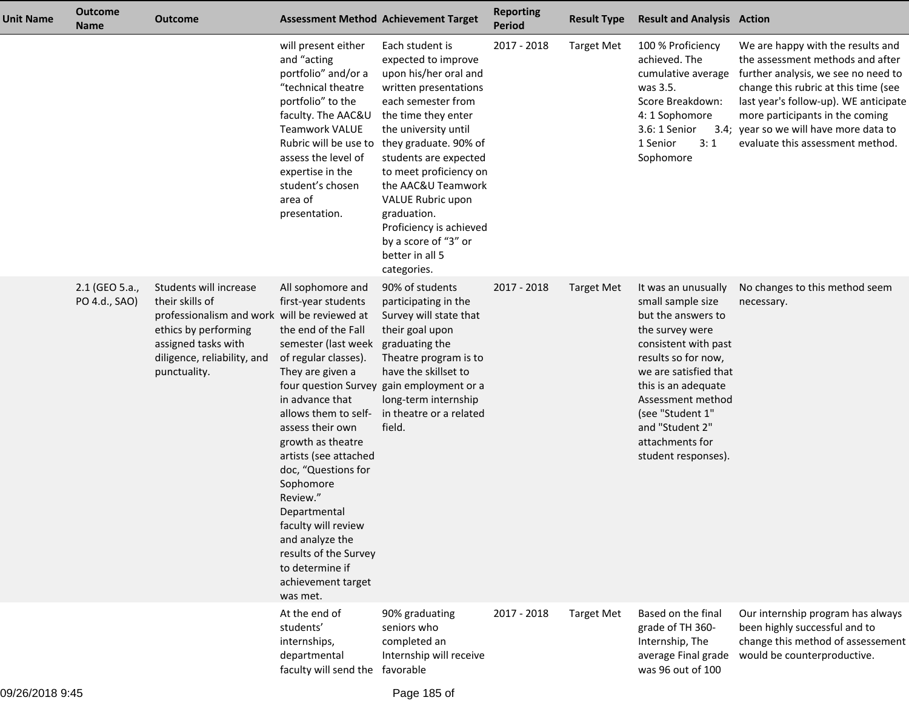| <b>Unit Name</b> | <b>Outcome</b><br><b>Name</b>   | <b>Outcome</b>                                                                                                                                                                          |                                                                                                                                                                                                                                                                                                                                                                                                                                         | <b>Assessment Method Achievement Target</b>                                                                                                                                                                                                                                                                                                                                              | <b>Reporting</b><br><b>Period</b> | <b>Result Type</b> | <b>Result and Analysis Action</b>                                                                                                                                                                                                                                                      |                                                                                                                                                                                                                                                                                                                |
|------------------|---------------------------------|-----------------------------------------------------------------------------------------------------------------------------------------------------------------------------------------|-----------------------------------------------------------------------------------------------------------------------------------------------------------------------------------------------------------------------------------------------------------------------------------------------------------------------------------------------------------------------------------------------------------------------------------------|------------------------------------------------------------------------------------------------------------------------------------------------------------------------------------------------------------------------------------------------------------------------------------------------------------------------------------------------------------------------------------------|-----------------------------------|--------------------|----------------------------------------------------------------------------------------------------------------------------------------------------------------------------------------------------------------------------------------------------------------------------------------|----------------------------------------------------------------------------------------------------------------------------------------------------------------------------------------------------------------------------------------------------------------------------------------------------------------|
|                  |                                 |                                                                                                                                                                                         | will present either<br>and "acting<br>portfolio" and/or a<br>"technical theatre<br>portfolio" to the<br>faculty. The AAC&U<br><b>Teamwork VALUE</b><br>Rubric will be use to<br>assess the level of<br>expertise in the<br>student's chosen<br>area of<br>presentation.                                                                                                                                                                 | Each student is<br>expected to improve<br>upon his/her oral and<br>written presentations<br>each semester from<br>the time they enter<br>the university until<br>they graduate. 90% of<br>students are expected<br>to meet proficiency on<br>the AAC&U Teamwork<br>VALUE Rubric upon<br>graduation.<br>Proficiency is achieved<br>by a score of "3" or<br>better in all 5<br>categories. | 2017 - 2018                       | <b>Target Met</b>  | 100 % Proficiency<br>achieved. The<br>cumulative average<br>was 3.5.<br>Score Breakdown:<br>4: 1 Sophomore<br>3.6: 1 Senior<br>3:1<br>1 Senior<br>Sophomore                                                                                                                            | We are happy with the results and<br>the assessment methods and after<br>further analysis, we see no need to<br>change this rubric at this time (see<br>last year's follow-up). WE anticipate<br>more participants in the coming<br>3.4; year so we will have more data to<br>evaluate this assessment method. |
|                  | 2.1 (GEO 5.a.,<br>PO 4.d., SAO) | Students will increase<br>their skills of<br>professionalism and work will be reviewed at<br>ethics by performing<br>assigned tasks with<br>diligence, reliability, and<br>punctuality. | All sophomore and<br>first-year students<br>the end of the Fall<br>semester (last week<br>of regular classes).<br>They are given a<br>in advance that<br>allows them to self-<br>assess their own<br>growth as theatre<br>artists (see attached<br>doc, "Questions for<br>Sophomore<br>Review."<br>Departmental<br>faculty will review<br>and analyze the<br>results of the Survey<br>to determine if<br>achievement target<br>was met. | 90% of students<br>participating in the<br>Survey will state that<br>their goal upon<br>graduating the<br>Theatre program is to<br>have the skillset to<br>four question Survey gain employment or a<br>long-term internship<br>in theatre or a related<br>field.                                                                                                                        | 2017 - 2018                       | <b>Target Met</b>  | It was an unusually<br>small sample size<br>but the answers to<br>the survey were<br>consistent with past<br>results so for now,<br>we are satisfied that<br>this is an adequate<br>Assessment method<br>(see "Student 1"<br>and "Student 2"<br>attachments for<br>student responses). | No changes to this method seem<br>necessary.                                                                                                                                                                                                                                                                   |
|                  |                                 |                                                                                                                                                                                         | At the end of<br>students'<br>internships,<br>departmental<br>faculty will send the favorable                                                                                                                                                                                                                                                                                                                                           | 90% graduating<br>seniors who<br>completed an<br>Internship will receive                                                                                                                                                                                                                                                                                                                 | 2017 - 2018                       | <b>Target Met</b>  | Based on the final<br>grade of TH 360-<br>Internship, The<br>average Final grade<br>was 96 out of 100                                                                                                                                                                                  | Our internship program has always<br>been highly successful and to<br>change this method of assessement<br>would be counterproductive.                                                                                                                                                                         |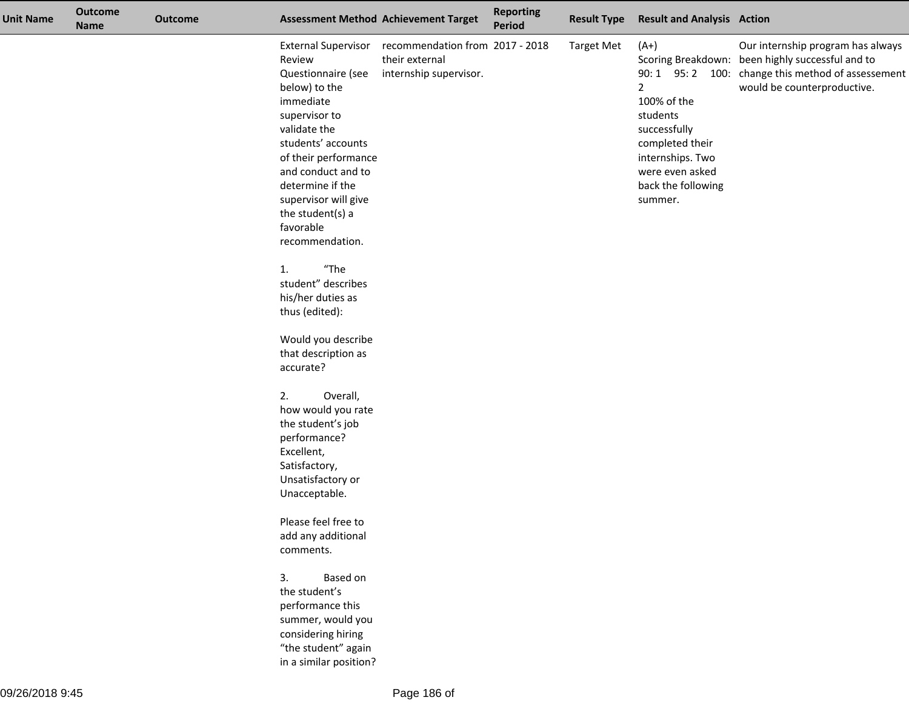| <b>Unit Name</b> | <b>Outcome</b><br><b>Name</b> | <b>Outcome</b> |                                                                                                                                                                                                                                                                                                                                                                                                      | <b>Assessment Method Achievement Target</b>                                                     | <b>Reporting</b><br><b>Period</b> | <b>Result Type</b> | <b>Result and Analysis Action</b>                                                                                                                              |                                                                                                                                                                            |
|------------------|-------------------------------|----------------|------------------------------------------------------------------------------------------------------------------------------------------------------------------------------------------------------------------------------------------------------------------------------------------------------------------------------------------------------------------------------------------------------|-------------------------------------------------------------------------------------------------|-----------------------------------|--------------------|----------------------------------------------------------------------------------------------------------------------------------------------------------------|----------------------------------------------------------------------------------------------------------------------------------------------------------------------------|
|                  |                               |                | Review<br>Questionnaire (see<br>below) to the<br>immediate<br>supervisor to<br>validate the<br>students' accounts<br>of their performance<br>and conduct and to<br>determine if the<br>supervisor will give<br>the student(s) a<br>favorable<br>recommendation.<br>"The<br>1.<br>student" describes<br>his/her duties as<br>thus (edited):<br>Would you describe<br>that description as<br>accurate? | External Supervisor recommendation from 2017 - 2018<br>their external<br>internship supervisor. |                                   | <b>Target Met</b>  | $(A+)$<br>$\overline{2}$<br>100% of the<br>students<br>successfully<br>completed their<br>internships. Two<br>were even asked<br>back the following<br>summer. | Our internship program has always<br>Scoring Breakdown: been highly successful and to<br>90: 1 95: 2 100: change this method of assessement<br>would be counterproductive. |
|                  |                               |                | 2.<br>Overall,<br>how would you rate<br>the student's job<br>performance?<br>Excellent,<br>Satisfactory,<br>Unsatisfactory or<br>Unacceptable.                                                                                                                                                                                                                                                       |                                                                                                 |                                   |                    |                                                                                                                                                                |                                                                                                                                                                            |
|                  |                               |                | Please feel free to<br>add any additional<br>comments.                                                                                                                                                                                                                                                                                                                                               |                                                                                                 |                                   |                    |                                                                                                                                                                |                                                                                                                                                                            |
|                  |                               |                | Based on<br>3.<br>the student's<br>performance this<br>summer, would you<br>considering hiring<br>"the student" again<br>in a similar position?                                                                                                                                                                                                                                                      |                                                                                                 |                                   |                    |                                                                                                                                                                |                                                                                                                                                                            |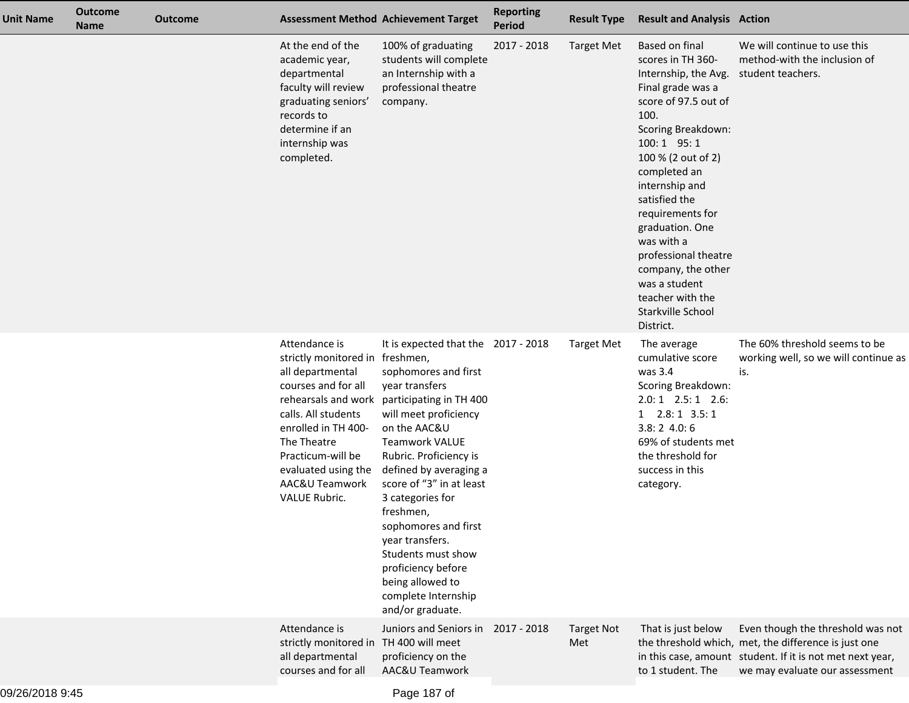| Unit Name | <b>Outcome</b><br><b>Name</b> | <b>Outcome</b> |                                                                                                                                                                                                                                         | <b>Assessment Method Achievement Target</b>                                                                                                                                                                                                                                                                                                                                                                                                                           | <b>Reporting</b><br><b>Period</b> | <b>Result Type</b>       | <b>Result and Analysis Action</b>                                                                                                                                                                                                                                                                                                                                                                         |                                                                                                                                                                                          |
|-----------|-------------------------------|----------------|-----------------------------------------------------------------------------------------------------------------------------------------------------------------------------------------------------------------------------------------|-----------------------------------------------------------------------------------------------------------------------------------------------------------------------------------------------------------------------------------------------------------------------------------------------------------------------------------------------------------------------------------------------------------------------------------------------------------------------|-----------------------------------|--------------------------|-----------------------------------------------------------------------------------------------------------------------------------------------------------------------------------------------------------------------------------------------------------------------------------------------------------------------------------------------------------------------------------------------------------|------------------------------------------------------------------------------------------------------------------------------------------------------------------------------------------|
|           |                               |                | At the end of the<br>academic year,<br>departmental<br>faculty will review<br>graduating seniors'<br>records to<br>determine if an<br>internship was<br>completed.                                                                      | 100% of graduating<br>students will complete<br>an Internship with a<br>professional theatre<br>company.                                                                                                                                                                                                                                                                                                                                                              | 2017 - 2018                       | <b>Target Met</b>        | Based on final<br>scores in TH 360-<br>Internship, the Avg.<br>Final grade was a<br>score of 97.5 out of<br>100.<br>Scoring Breakdown:<br>$100:1$ 95:1<br>100 % (2 out of 2)<br>completed an<br>internship and<br>satisfied the<br>requirements for<br>graduation. One<br>was with a<br>professional theatre<br>company, the other<br>was a student<br>teacher with the<br>Starkville School<br>District. | We will continue to use this<br>method-with the inclusion of<br>student teachers.                                                                                                        |
|           |                               |                | Attendance is<br>strictly monitored in freshmen,<br>all departmental<br>courses and for all<br>calls. All students<br>enrolled in TH 400-<br>The Theatre<br>Practicum-will be<br>evaluated using the<br>AAC&U Teamwork<br>VALUE Rubric. | It is expected that the 2017 - 2018<br>sophomores and first<br>year transfers<br>rehearsals and work participating in TH 400<br>will meet proficiency<br>on the AAC&U<br><b>Teamwork VALUE</b><br>Rubric. Proficiency is<br>defined by averaging a<br>score of "3" in at least<br>3 categories for<br>freshmen,<br>sophomores and first<br>year transfers.<br>Students must show<br>proficiency before<br>being allowed to<br>complete Internship<br>and/or graduate. |                                   | <b>Target Met</b>        | The average<br>cumulative score<br>was 3.4<br><b>Scoring Breakdown:</b><br>$2.0:1$ $2.5:1$ $2.6:$<br>$1$ $2.8:1$ $3.5:1$<br>3.8:24.0:6<br>69% of students met<br>the threshold for<br>success in this<br>category.                                                                                                                                                                                        | The 60% threshold seems to be<br>working well, so we will continue as<br>is.                                                                                                             |
|           |                               |                | Attendance is<br>strictly monitored in TH 400 will meet<br>all departmental<br>courses and for all                                                                                                                                      | Juniors and Seniors in<br>proficiency on the<br>AAC&U Teamwork                                                                                                                                                                                                                                                                                                                                                                                                        | 2017 - 2018                       | <b>Target Not</b><br>Met | That is just below<br>to 1 student. The                                                                                                                                                                                                                                                                                                                                                                   | Even though the threshold was not<br>the threshold which, met, the difference is just one<br>in this case, amount student. If it is not met next year,<br>we may evaluate our assessment |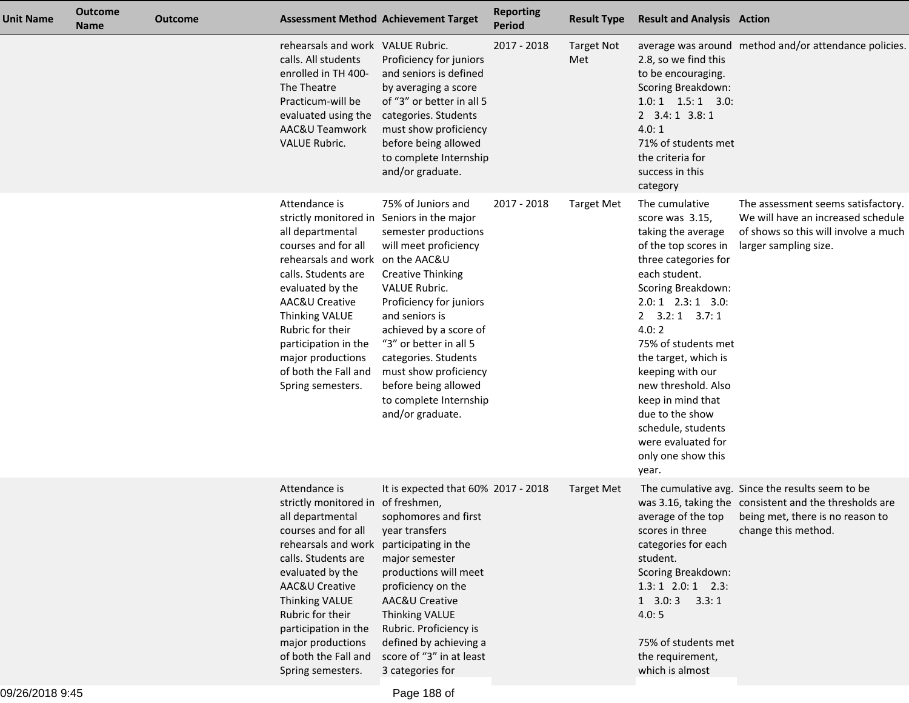| <b>Unit Name</b> | <b>Outcome</b><br><b>Name</b> | <b>Outcome</b> | <b>Assessment Method Achievement Target</b>                                                                                                                                                                                                                                                                                                    |                                                                                                                                                                                                                                                                                                                                          | <b>Reporting</b><br><b>Period</b> | <b>Result Type</b>       | <b>Result and Analysis Action</b>                                                                                                                                                                                                                                                                                                                                                                                     |                                                                                                                                                                       |
|------------------|-------------------------------|----------------|------------------------------------------------------------------------------------------------------------------------------------------------------------------------------------------------------------------------------------------------------------------------------------------------------------------------------------------------|------------------------------------------------------------------------------------------------------------------------------------------------------------------------------------------------------------------------------------------------------------------------------------------------------------------------------------------|-----------------------------------|--------------------------|-----------------------------------------------------------------------------------------------------------------------------------------------------------------------------------------------------------------------------------------------------------------------------------------------------------------------------------------------------------------------------------------------------------------------|-----------------------------------------------------------------------------------------------------------------------------------------------------------------------|
|                  |                               |                | rehearsals and work VALUE Rubric.<br>calls. All students<br>enrolled in TH 400-<br>The Theatre<br>Practicum-will be<br>evaluated using the<br>AAC&U Teamwork<br><b>VALUE Rubric.</b>                                                                                                                                                           | Proficiency for juniors<br>and seniors is defined<br>by averaging a score<br>of "3" or better in all 5<br>categories. Students<br>must show proficiency<br>before being allowed<br>to complete Internship<br>and/or graduate.                                                                                                            | 2017 - 2018                       | <b>Target Not</b><br>Met | 2.8, so we find this<br>to be encouraging.<br>Scoring Breakdown:<br>$1.0:1$ $1.5:1$ $3.0:$<br>$2$ 3.4:1 3.8:1<br>4.0:1<br>71% of students met<br>the criteria for<br>success in this<br>category                                                                                                                                                                                                                      | average was around method and/or attendance policies.                                                                                                                 |
|                  |                               |                | Attendance is<br>strictly monitored in Seniors in the major<br>all departmental<br>courses and for all<br>rehearsals and work on the AAC&U<br>calls. Students are<br>evaluated by the<br>AAC&U Creative<br>Thinking VALUE<br>Rubric for their<br>participation in the<br>major productions<br>of both the Fall and<br>Spring semesters.        | 75% of Juniors and<br>semester productions<br>will meet proficiency<br><b>Creative Thinking</b><br>VALUE Rubric.<br>Proficiency for juniors<br>and seniors is<br>achieved by a score of<br>"3" or better in all 5<br>categories. Students<br>must show proficiency<br>before being allowed<br>to complete Internship<br>and/or graduate. | 2017 - 2018                       | <b>Target Met</b>        | The cumulative<br>score was 3.15,<br>taking the average<br>of the top scores in<br>three categories for<br>each student.<br>Scoring Breakdown:<br>$2.0:1$ $2.3:1$ $3.0:$<br>$2$ $3.2:1$ $3.7:1$<br>4.0:2<br>75% of students met<br>the target, which is<br>keeping with our<br>new threshold. Also<br>keep in mind that<br>due to the show<br>schedule, students<br>were evaluated for<br>only one show this<br>year. | The assessment seems satisfactory.<br>We will have an increased schedule<br>of shows so this will involve a much<br>larger sampling size.                             |
|                  |                               |                | Attendance is<br>strictly monitored in of freshmen,<br>all departmental<br>courses and for all<br>rehearsals and work participating in the<br>calls. Students are<br>evaluated by the<br>AAC&U Creative<br><b>Thinking VALUE</b><br>Rubric for their<br>participation in the<br>major productions<br>of both the Fall and<br>Spring semesters. | It is expected that 60% 2017 - 2018<br>sophomores and first<br>year transfers<br>major semester<br>productions will meet<br>proficiency on the<br>AAC&U Creative<br>Thinking VALUE<br>Rubric. Proficiency is<br>defined by achieving a<br>score of "3" in at least<br>3 categories for                                                   |                                   | Target Met               | average of the top<br>scores in three<br>categories for each<br>student.<br>Scoring Breakdown:<br>$1.3:1$ $2.0:1$ $2.3:$<br>$1$ 3.0: 3 3.3: 1<br>4.0:5<br>75% of students met<br>the requirement,<br>which is almost                                                                                                                                                                                                  | The cumulative avg. Since the results seem to be<br>was 3.16, taking the consistent and the thresholds are<br>being met, there is no reason to<br>change this method. |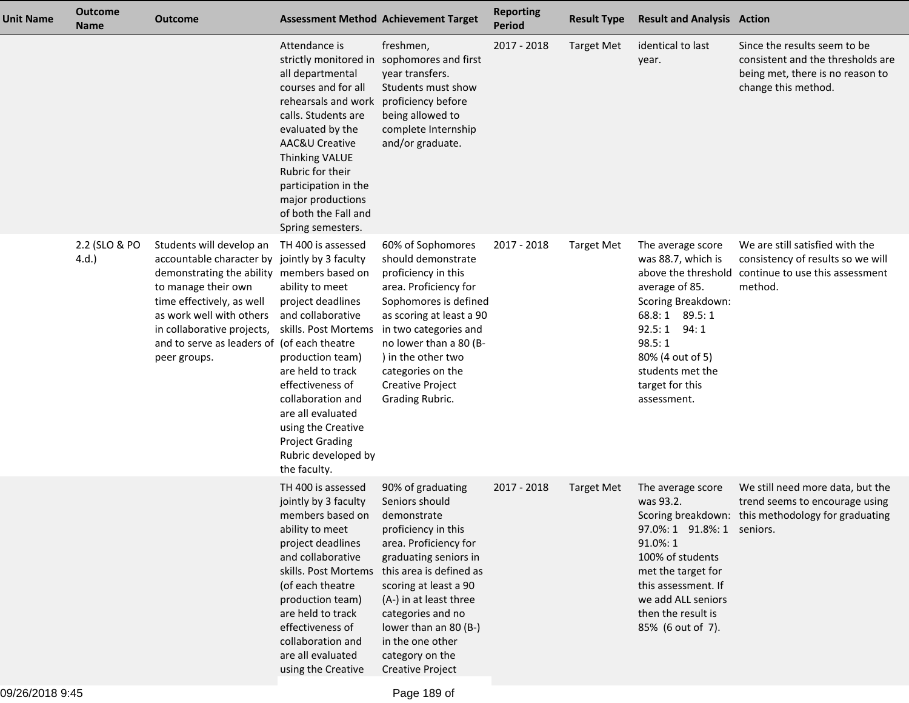| Unit Name | <b>Outcome</b><br><b>Name</b> | Outcome                                                                                                                                                                                                                                                                                              |                                                                                                                                                                                                                                                                                                                  | <b>Assessment Method Achievement Target</b>                                                                                                                                                                                                                                                                               | <b>Reporting</b><br>Period | <b>Result Type</b> | <b>Result and Analysis Action</b>                                                                                                                                                                                             |                                                                                                                              |
|-----------|-------------------------------|------------------------------------------------------------------------------------------------------------------------------------------------------------------------------------------------------------------------------------------------------------------------------------------------------|------------------------------------------------------------------------------------------------------------------------------------------------------------------------------------------------------------------------------------------------------------------------------------------------------------------|---------------------------------------------------------------------------------------------------------------------------------------------------------------------------------------------------------------------------------------------------------------------------------------------------------------------------|----------------------------|--------------------|-------------------------------------------------------------------------------------------------------------------------------------------------------------------------------------------------------------------------------|------------------------------------------------------------------------------------------------------------------------------|
|           |                               |                                                                                                                                                                                                                                                                                                      | Attendance is<br>strictly monitored in<br>all departmental<br>courses and for all<br>rehearsals and work<br>calls. Students are<br>evaluated by the<br><b>AAC&amp;U Creative</b><br>Thinking VALUE<br>Rubric for their<br>participation in the<br>major productions<br>of both the Fall and<br>Spring semesters. | freshmen,<br>sophomores and first<br>year transfers.<br>Students must show<br>proficiency before<br>being allowed to<br>complete Internship<br>and/or graduate.                                                                                                                                                           | 2017 - 2018                | <b>Target Met</b>  | identical to last<br>year.                                                                                                                                                                                                    | Since the results seem to be<br>consistent and the thresholds are<br>being met, there is no reason to<br>change this method. |
|           | 2.2 (SLO & PO<br>4.d.         | Students will develop an<br>accountable character by jointly by 3 faculty<br>demonstrating the ability members based on<br>to manage their own<br>time effectively, as well<br>as work well with others<br>in collaborative projects,<br>and to serve as leaders of (of each theatre<br>peer groups. | TH 400 is assessed<br>ability to meet<br>project deadlines<br>and collaborative<br>skills. Post Mortems<br>production team)<br>are held to track<br>effectiveness of<br>collaboration and<br>are all evaluated<br>using the Creative<br><b>Project Grading</b><br>Rubric developed by<br>the faculty.            | 60% of Sophomores<br>should demonstrate<br>proficiency in this<br>area. Proficiency for<br>Sophomores is defined<br>as scoring at least a 90<br>in two categories and<br>no lower than a 80 (B-<br>) in the other two<br>categories on the<br><b>Creative Project</b><br>Grading Rubric.                                  | 2017 - 2018                | <b>Target Met</b>  | The average score<br>was 88.7, which is<br>above the threshold<br>average of 85.<br>Scoring Breakdown:<br>68.8:1 89.5:1<br>92.5:1<br>94:1<br>98.5:1<br>80% (4 out of 5)<br>students met the<br>target for this<br>assessment. | We are still satisfied with the<br>consistency of results so we will<br>continue to use this assessment<br>method.           |
|           |                               |                                                                                                                                                                                                                                                                                                      | TH 400 is assessed<br>jointly by 3 faculty<br>members based on<br>ability to meet<br>project deadlines<br>and collaborative<br>skills. Post Mortems<br>(of each theatre<br>production team)<br>are held to track<br>effectiveness of<br>collaboration and<br>are all evaluated<br>using the Creative             | 90% of graduating<br>Seniors should<br>demonstrate<br>proficiency in this<br>area. Proficiency for<br>graduating seniors in<br>this area is defined as<br>scoring at least a 90<br>(A-) in at least three<br>categories and no<br>lower than an 80 (B-)<br>in the one other<br>category on the<br><b>Creative Project</b> | 2017 - 2018                | <b>Target Met</b>  | The average score<br>was 93.2.<br>97.0%: 1 91.8%: 1 seniors.<br>91.0%: 1<br>100% of students<br>met the target for<br>this assessment. If<br>we add ALL seniors<br>then the result is<br>85% (6 out of 7).                    | We still need more data, but the<br>trend seems to encourage using<br>Scoring breakdown: this methodology for graduating     |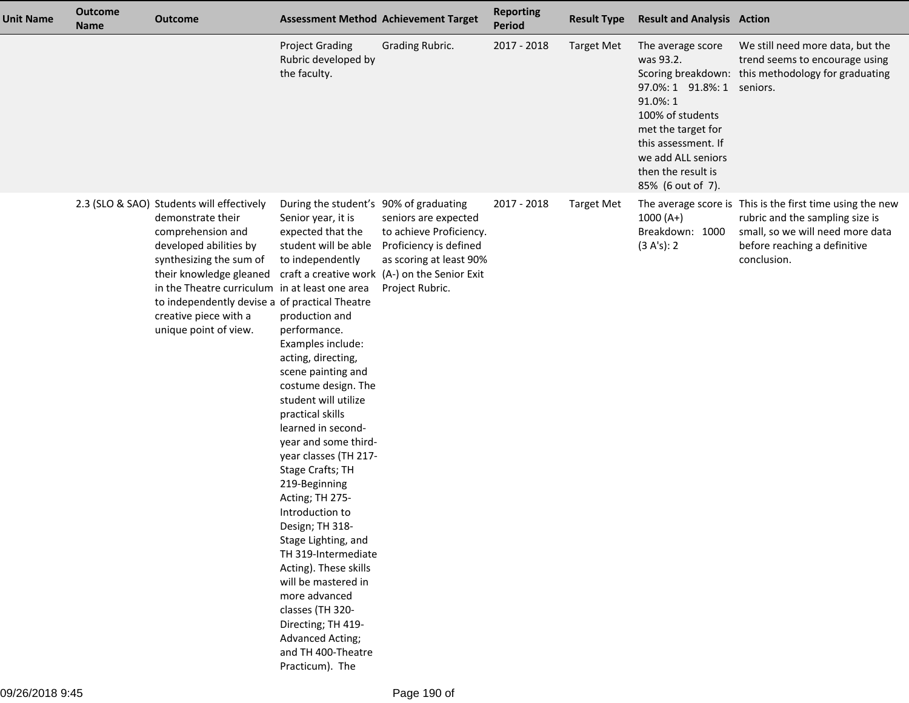| <b>Unit Name</b> | <b>Outcome</b><br><b>Name</b> | <b>Outcome</b>                                                                                                                                                                                                                                                                                                            | <b>Assessment Method Achievement Target</b>                                                                                                                                                                                                                                                                                                                                                                                                                                                                                                                                                                                                                                                    |                                                                                                                                                                          | <b>Reporting</b><br><b>Period</b> | <b>Result Type</b> | <b>Result and Analysis Action</b>                                                                                                                                                                                                |                                                                                                                                                                                 |
|------------------|-------------------------------|---------------------------------------------------------------------------------------------------------------------------------------------------------------------------------------------------------------------------------------------------------------------------------------------------------------------------|------------------------------------------------------------------------------------------------------------------------------------------------------------------------------------------------------------------------------------------------------------------------------------------------------------------------------------------------------------------------------------------------------------------------------------------------------------------------------------------------------------------------------------------------------------------------------------------------------------------------------------------------------------------------------------------------|--------------------------------------------------------------------------------------------------------------------------------------------------------------------------|-----------------------------------|--------------------|----------------------------------------------------------------------------------------------------------------------------------------------------------------------------------------------------------------------------------|---------------------------------------------------------------------------------------------------------------------------------------------------------------------------------|
|                  |                               |                                                                                                                                                                                                                                                                                                                           | <b>Project Grading</b><br>Rubric developed by<br>the faculty.                                                                                                                                                                                                                                                                                                                                                                                                                                                                                                                                                                                                                                  | <b>Grading Rubric.</b>                                                                                                                                                   | 2017 - 2018                       | <b>Target Met</b>  | The average score<br>was 93.2.<br>Scoring breakdown:<br>97.0%: 1 91.8%: 1 seniors.<br>91.0%: 1<br>100% of students<br>met the target for<br>this assessment. If<br>we add ALL seniors<br>then the result is<br>85% (6 out of 7). | We still need more data, but the<br>trend seems to encourage using<br>this methodology for graduating                                                                           |
|                  |                               | 2.3 (SLO & SAO) Students will effectively<br>demonstrate their<br>comprehension and<br>developed abilities by<br>synthesizing the sum of<br>their knowledge gleaned<br>in the Theatre curriculum in at least one area<br>to independently devise a of practical Theatre<br>creative piece with a<br>unique point of view. | During the student's 90% of graduating<br>Senior year, it is<br>expected that the<br>student will be able<br>to independently<br>production and<br>performance.<br>Examples include:<br>acting, directing,<br>scene painting and<br>costume design. The<br>student will utilize<br>practical skills<br>learned in second-<br>year and some third-<br>year classes (TH 217-<br>Stage Crafts; TH<br>219-Beginning<br>Acting; TH 275-<br>Introduction to<br>Design; TH 318-<br>Stage Lighting, and<br>TH 319-Intermediate<br>Acting). These skills<br>will be mastered in<br>more advanced<br>classes (TH 320-<br>Directing; TH 419-<br>Advanced Acting;<br>and TH 400-Theatre<br>Practicum). The | seniors are expected<br>to achieve Proficiency.<br>Proficiency is defined<br>as scoring at least 90%<br>craft a creative work (A-) on the Senior Exit<br>Project Rubric. | 2017 - 2018                       | <b>Target Met</b>  | $1000(A+)$<br>Breakdown: 1000<br>(3 A's): 2                                                                                                                                                                                      | The average score is This is the first time using the new<br>rubric and the sampling size is<br>small, so we will need more data<br>before reaching a definitive<br>conclusion. |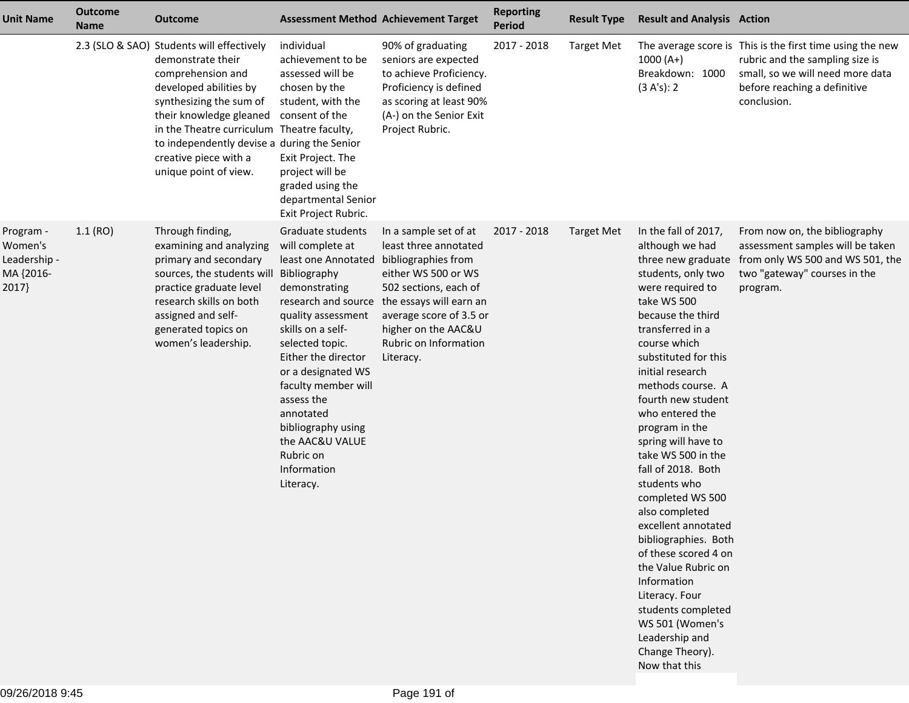| <b>Unit Name</b>                                           | <b>Outcome</b><br><b>Name</b> | <b>Outcome</b>                                                                                                                                                                                                                                                                                                     |                                                                                                                                                                                                                                                                                                                                                                     | <b>Assessment Method Achievement Target</b>                                                                                                                                                                                                     | <b>Reporting</b><br><b>Period</b> | <b>Result Type</b> | <b>Result and Analysis Action</b>                                                                                                                                                                                                                                                                                                                                                                                                                                                                                                                                                                                                                                  |                                                                                                                                                                                 |
|------------------------------------------------------------|-------------------------------|--------------------------------------------------------------------------------------------------------------------------------------------------------------------------------------------------------------------------------------------------------------------------------------------------------------------|---------------------------------------------------------------------------------------------------------------------------------------------------------------------------------------------------------------------------------------------------------------------------------------------------------------------------------------------------------------------|-------------------------------------------------------------------------------------------------------------------------------------------------------------------------------------------------------------------------------------------------|-----------------------------------|--------------------|--------------------------------------------------------------------------------------------------------------------------------------------------------------------------------------------------------------------------------------------------------------------------------------------------------------------------------------------------------------------------------------------------------------------------------------------------------------------------------------------------------------------------------------------------------------------------------------------------------------------------------------------------------------------|---------------------------------------------------------------------------------------------------------------------------------------------------------------------------------|
|                                                            |                               | 2.3 (SLO & SAO) Students will effectively<br>demonstrate their<br>comprehension and<br>developed abilities by<br>synthesizing the sum of<br>their knowledge gleaned<br>in the Theatre curriculum Theatre faculty,<br>to independently devise a during the Senior<br>creative piece with a<br>unique point of view. | individual<br>achievement to be<br>assessed will be<br>chosen by the<br>student, with the<br>consent of the<br>Exit Project. The<br>project will be<br>graded using the<br>departmental Senior<br>Exit Project Rubric.                                                                                                                                              | 90% of graduating<br>seniors are expected<br>to achieve Proficiency.<br>Proficiency is defined<br>as scoring at least 90%<br>(A-) on the Senior Exit<br>Project Rubric.                                                                         | 2017 - 2018                       | <b>Target Met</b>  | $1000(A+)$<br>Breakdown: 1000<br>(3 A's): 2                                                                                                                                                                                                                                                                                                                                                                                                                                                                                                                                                                                                                        | The average score is This is the first time using the new<br>rubric and the sampling size is<br>small, so we will need more data<br>before reaching a definitive<br>conclusion. |
| Program -<br>Women's<br>Leadership -<br>MA {2016-<br>2017} | 1.1(RO)                       | Through finding,<br>examining and analyzing<br>primary and secondary<br>sources, the students will<br>practice graduate level<br>research skills on both<br>assigned and self-<br>generated topics on<br>women's leadership.                                                                                       | Graduate students<br>will complete at<br>least one Annotated<br>Bibliography<br>demonstrating<br>research and source<br>quality assessment<br>skills on a self-<br>selected topic.<br>Either the director<br>or a designated WS<br>faculty member will<br>assess the<br>annotated<br>bibliography using<br>the AAC&U VALUE<br>Rubric on<br>Information<br>Literacy. | In a sample set of at<br>least three annotated<br>bibliographies from<br>either WS 500 or WS<br>502 sections, each of<br>the essays will earn an<br>average score of 3.5 or<br>higher on the AAC&U<br><b>Rubric on Information</b><br>Literacy. | 2017 - 2018                       | <b>Target Met</b>  | In the fall of 2017,<br>although we had<br>three new graduate<br>students, only two<br>were required to<br>take WS 500<br>because the third<br>transferred in a<br>course which<br>substituted for this<br>initial research<br>methods course. A<br>fourth new student<br>who entered the<br>program in the<br>spring will have to<br>take WS 500 in the<br>fall of 2018. Both<br>students who<br>completed WS 500<br>also completed<br>excellent annotated<br>bibliographies. Both<br>of these scored 4 on<br>the Value Rubric on<br>Information<br>Literacy. Four<br>students completed<br>WS 501 (Women's<br>Leadership and<br>Change Theory).<br>Now that this | From now on, the bibliography<br>assessment samples will be taken<br>from only WS 500 and WS 501, the<br>two "gateway" courses in the<br>program.                               |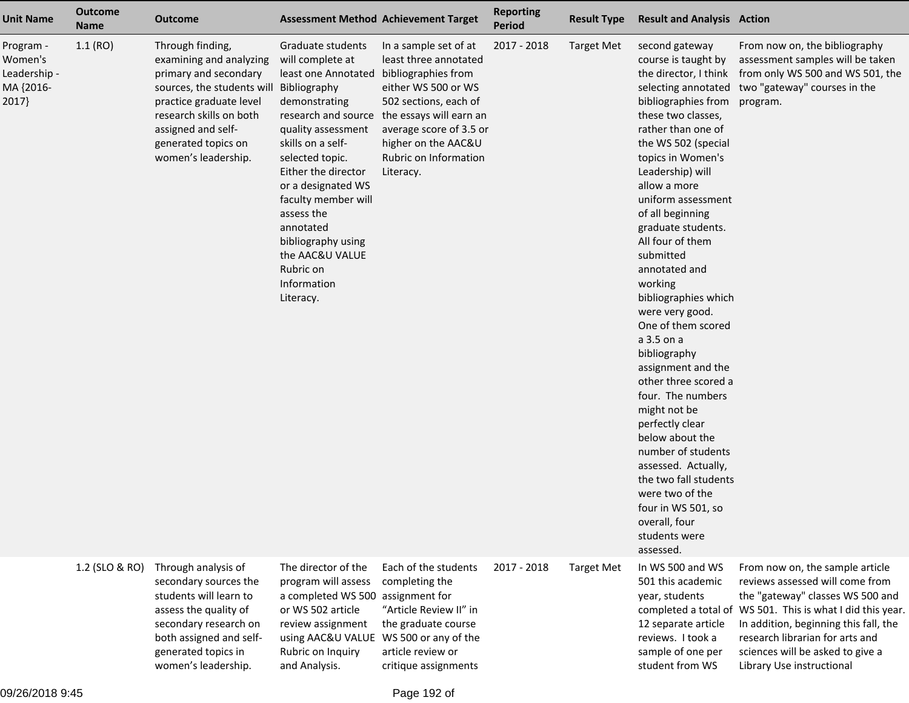| <b>Unit Name</b>                                           | <b>Outcome</b><br><b>Name</b> | <b>Outcome</b>                                                                                                                                                                                                               | <b>Assessment Method Achievement Target</b>                                                                                                                                                                                                                                                                                                  |                                                                                                                                                                                                                                                              | <b>Reporting</b><br><b>Period</b> | <b>Result Type</b> | <b>Result and Analysis Action</b>                                                                                                                                                                                                                                                                                                                                                                                                                                                                                                                                                                                                                                                                                                    |                                                                                                                                                                                                                                                                                                                   |
|------------------------------------------------------------|-------------------------------|------------------------------------------------------------------------------------------------------------------------------------------------------------------------------------------------------------------------------|----------------------------------------------------------------------------------------------------------------------------------------------------------------------------------------------------------------------------------------------------------------------------------------------------------------------------------------------|--------------------------------------------------------------------------------------------------------------------------------------------------------------------------------------------------------------------------------------------------------------|-----------------------------------|--------------------|--------------------------------------------------------------------------------------------------------------------------------------------------------------------------------------------------------------------------------------------------------------------------------------------------------------------------------------------------------------------------------------------------------------------------------------------------------------------------------------------------------------------------------------------------------------------------------------------------------------------------------------------------------------------------------------------------------------------------------------|-------------------------------------------------------------------------------------------------------------------------------------------------------------------------------------------------------------------------------------------------------------------------------------------------------------------|
| Program -<br>Women's<br>Leadership -<br>MA {2016-<br>2017} | 1.1(RO)                       | Through finding,<br>examining and analyzing<br>primary and secondary<br>sources, the students will<br>practice graduate level<br>research skills on both<br>assigned and self-<br>generated topics on<br>women's leadership. | Graduate students<br>will complete at<br>least one Annotated<br>Bibliography<br>demonstrating<br>quality assessment<br>skills on a self-<br>selected topic.<br>Either the director<br>or a designated WS<br>faculty member will<br>assess the<br>annotated<br>bibliography using<br>the AAC&U VALUE<br>Rubric on<br>Information<br>Literacy. | In a sample set of at<br>least three annotated<br>bibliographies from<br>either WS 500 or WS<br>502 sections, each of<br>research and source the essays will earn an<br>average score of 3.5 or<br>higher on the AAC&U<br>Rubric on Information<br>Literacy. | 2017 - 2018                       | <b>Target Met</b>  | second gateway<br>course is taught by<br>the director, I think<br>bibliographies from<br>these two classes,<br>rather than one of<br>the WS 502 (special<br>topics in Women's<br>Leadership) will<br>allow a more<br>uniform assessment<br>of all beginning<br>graduate students.<br>All four of them<br>submitted<br>annotated and<br>working<br>bibliographies which<br>were very good.<br>One of them scored<br>a 3.5 on a<br>bibliography<br>assignment and the<br>other three scored a<br>four. The numbers<br>might not be<br>perfectly clear<br>below about the<br>number of students<br>assessed. Actually,<br>the two fall students<br>were two of the<br>four in WS 501, so<br>overall, four<br>students were<br>assessed. | From now on, the bibliography<br>assessment samples will be taken<br>from only WS 500 and WS 501, the<br>selecting annotated two "gateway" courses in the<br>program.                                                                                                                                             |
|                                                            | 1.2 (SLO & RO)                | Through analysis of<br>secondary sources the<br>students will learn to<br>assess the quality of<br>secondary research on<br>both assigned and self-<br>generated topics in<br>women's leadership.                            | The director of the<br>program will assess<br>a completed WS 500<br>or WS 502 article<br>review assignment<br>using AAC&U VALUE WS 500 or any of the<br>Rubric on Inquiry<br>and Analysis.                                                                                                                                                   | Each of the students<br>completing the<br>assignment for<br>"Article Review II" in<br>the graduate course<br>article review or<br>critique assignments                                                                                                       | 2017 - 2018                       | <b>Target Met</b>  | In WS 500 and WS<br>501 this academic<br>year, students<br>12 separate article<br>reviews. I took a<br>sample of one per<br>student from WS                                                                                                                                                                                                                                                                                                                                                                                                                                                                                                                                                                                          | From now on, the sample article<br>reviews assessed will come from<br>the "gateway" classes WS 500 and<br>completed a total of WS 501. This is what I did this year.<br>In addition, beginning this fall, the<br>research librarian for arts and<br>sciences will be asked to give a<br>Library Use instructional |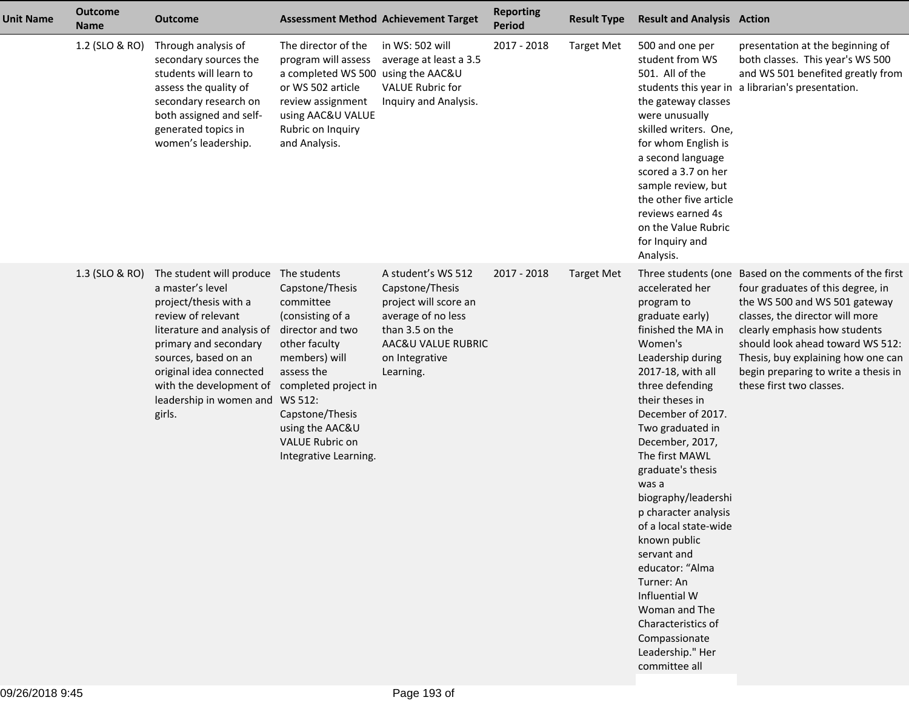| <b>Unit Name</b> | <b>Outcome</b><br><b>Name</b> | <b>Outcome</b>                                                                                                                                                                                                                                                        | <b>Assessment Method Achievement Target</b>                                                                                                                                                                                                                      |                                                                                                                                                              | <b>Reporting</b><br><b>Period</b> | <b>Result Type</b> | <b>Result and Analysis Action</b>                                                                                                                                                                                                                                                                                                                                                                                                                                                                                                   |                                                                                                                                                                                                                                                                                                                                                |
|------------------|-------------------------------|-----------------------------------------------------------------------------------------------------------------------------------------------------------------------------------------------------------------------------------------------------------------------|------------------------------------------------------------------------------------------------------------------------------------------------------------------------------------------------------------------------------------------------------------------|--------------------------------------------------------------------------------------------------------------------------------------------------------------|-----------------------------------|--------------------|-------------------------------------------------------------------------------------------------------------------------------------------------------------------------------------------------------------------------------------------------------------------------------------------------------------------------------------------------------------------------------------------------------------------------------------------------------------------------------------------------------------------------------------|------------------------------------------------------------------------------------------------------------------------------------------------------------------------------------------------------------------------------------------------------------------------------------------------------------------------------------------------|
|                  | 1.2 (SLO & RO)                | Through analysis of<br>secondary sources the<br>students will learn to<br>assess the quality of<br>secondary research on<br>both assigned and self-<br>generated topics in<br>women's leadership.                                                                     | The director of the<br>program will assess<br>a completed WS 500<br>or WS 502 article<br>review assignment<br>using AAC&U VALUE<br>Rubric on Inquiry<br>and Analysis.                                                                                            | in WS: 502 will<br>average at least a 3.5<br>using the AAC&U<br><b>VALUE Rubric for</b><br>Inquiry and Analysis.                                             | 2017 - 2018                       | <b>Target Met</b>  | 500 and one per<br>student from WS<br>501. All of the<br>the gateway classes<br>were unusually<br>skilled writers. One,<br>for whom English is<br>a second language<br>scored a 3.7 on her<br>sample review, but<br>the other five article<br>reviews earned 4s<br>on the Value Rubric<br>for Inquiry and<br>Analysis.                                                                                                                                                                                                              | presentation at the beginning of<br>both classes. This year's WS 500<br>and WS 501 benefited greatly from<br>students this year in a librarian's presentation.                                                                                                                                                                                 |
|                  | 1.3 (SLO & RO)                | The student will produce<br>a master's level<br>project/thesis with a<br>review of relevant<br>literature and analysis of<br>primary and secondary<br>sources, based on an<br>original idea connected<br>with the development of<br>leadership in women and<br>girls. | The students<br>Capstone/Thesis<br>committee<br>(consisting of a<br>director and two<br>other faculty<br>members) will<br>assess the<br>completed project in<br>WS 512:<br>Capstone/Thesis<br>using the AAC&U<br><b>VALUE Rubric on</b><br>Integrative Learning. | A student's WS 512<br>Capstone/Thesis<br>project will score an<br>average of no less<br>than 3.5 on the<br>AAC&U VALUE RUBRIC<br>on Integrative<br>Learning. | 2017 - 2018                       | <b>Target Met</b>  | accelerated her<br>program to<br>graduate early)<br>finished the MA in<br>Women's<br>Leadership during<br>2017-18, with all<br>three defending<br>their theses in<br>December of 2017.<br>Two graduated in<br>December, 2017,<br>The first MAWL<br>graduate's thesis<br>was a<br>biography/leadershi<br>p character analysis<br>of a local state-wide<br>known public<br>servant and<br>educator: "Alma<br>Turner: An<br>Influential W<br>Woman and The<br>Characteristics of<br>Compassionate<br>Leadership." Her<br>committee all | Three students (one Based on the comments of the first<br>four graduates of this degree, in<br>the WS 500 and WS 501 gateway<br>classes, the director will more<br>clearly emphasis how students<br>should look ahead toward WS 512:<br>Thesis, buy explaining how one can<br>begin preparing to write a thesis in<br>these first two classes. |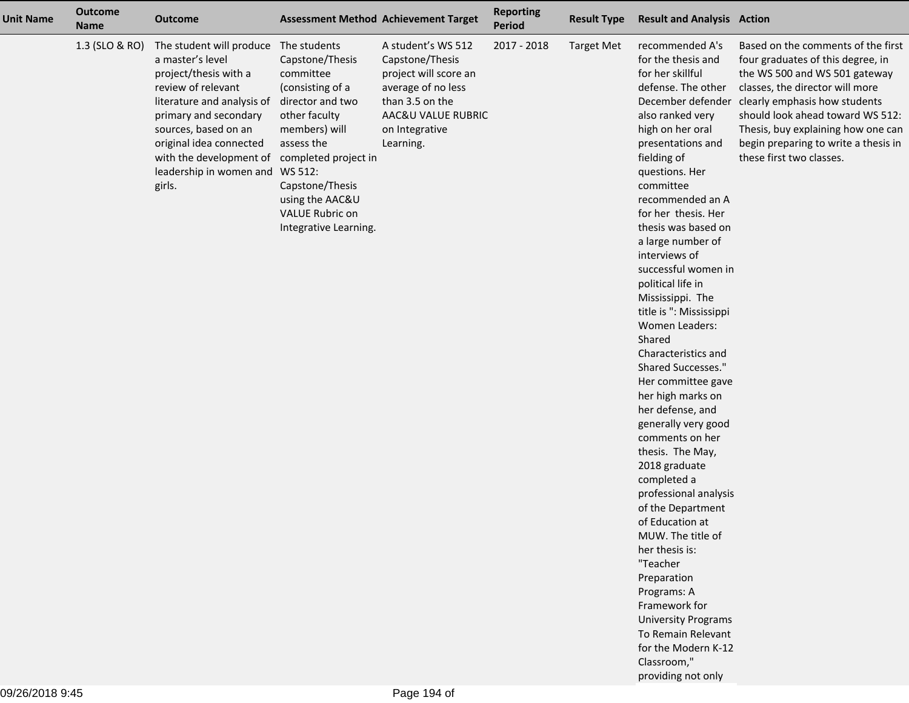| <b>Unit Name</b> | <b>Outcome</b><br><b>Name</b> | <b>Outcome</b>                                                                                                                                                                                                                                                                                                  |                                                                                                                                                                                                        | <b>Assessment Method Achievement Target</b>                                                                                                                  | <b>Reporting</b><br>Period | <b>Result Type</b> | <b>Result and Analysis Action</b>                                                                                                                                                                                                                                                                                                                                                                                                                                                                                                                                                                                                                                                                                                                                                                                                                                                                                      |                                                                                                                                                                                                                                                                                                                                              |
|------------------|-------------------------------|-----------------------------------------------------------------------------------------------------------------------------------------------------------------------------------------------------------------------------------------------------------------------------------------------------------------|--------------------------------------------------------------------------------------------------------------------------------------------------------------------------------------------------------|--------------------------------------------------------------------------------------------------------------------------------------------------------------|----------------------------|--------------------|------------------------------------------------------------------------------------------------------------------------------------------------------------------------------------------------------------------------------------------------------------------------------------------------------------------------------------------------------------------------------------------------------------------------------------------------------------------------------------------------------------------------------------------------------------------------------------------------------------------------------------------------------------------------------------------------------------------------------------------------------------------------------------------------------------------------------------------------------------------------------------------------------------------------|----------------------------------------------------------------------------------------------------------------------------------------------------------------------------------------------------------------------------------------------------------------------------------------------------------------------------------------------|
|                  | 1.3 (SLO & RO)                | The student will produce The students<br>a master's level<br>project/thesis with a<br>review of relevant<br>literature and analysis of<br>primary and secondary<br>sources, based on an<br>original idea connected<br>with the development of completed project in<br>leadership in women and WS 512:<br>girls. | Capstone/Thesis<br>committee<br>(consisting of a<br>director and two<br>other faculty<br>members) will<br>assess the<br>Capstone/Thesis<br>using the AAC&U<br>VALUE Rubric on<br>Integrative Learning. | A student's WS 512<br>Capstone/Thesis<br>project will score an<br>average of no less<br>than 3.5 on the<br>AAC&U VALUE RUBRIC<br>on Integrative<br>Learning. | 2017 - 2018                | <b>Target Met</b>  | recommended A's<br>for the thesis and<br>for her skillful<br>defense. The other<br>also ranked very<br>high on her oral<br>presentations and<br>fielding of<br>questions. Her<br>committee<br>recommended an A<br>for her thesis. Her<br>thesis was based on<br>a large number of<br>interviews of<br>successful women in<br>political life in<br>Mississippi. The<br>title is ": Mississippi<br>Women Leaders:<br>Shared<br>Characteristics and<br>Shared Successes."<br>Her committee gave<br>her high marks on<br>her defense, and<br>generally very good<br>comments on her<br>thesis. The May,<br>2018 graduate<br>completed a<br>professional analysis<br>of the Department<br>of Education at<br>MUW. The title of<br>her thesis is:<br>"Teacher<br>Preparation<br>Programs: A<br>Framework for<br><b>University Programs</b><br>To Remain Relevant<br>for the Modern K-12<br>Classroom,"<br>providing not only | Based on the comments of the first<br>four graduates of this degree, in<br>the WS 500 and WS 501 gateway<br>classes, the director will more<br>December defender clearly emphasis how students<br>should look ahead toward WS 512:<br>Thesis, buy explaining how one can<br>begin preparing to write a thesis in<br>these first two classes. |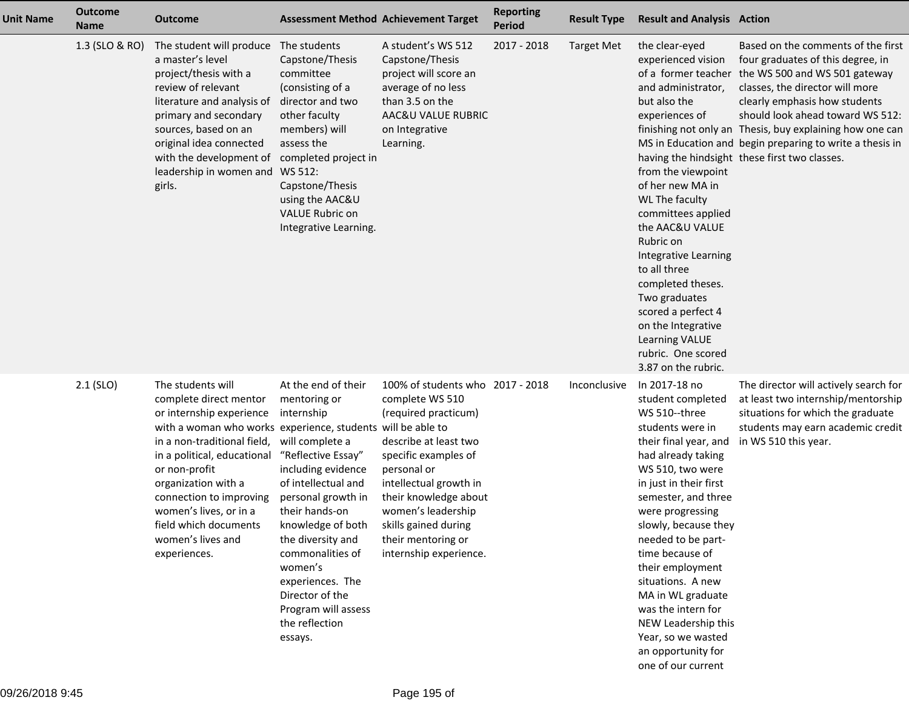| <b>Unit Name</b> | <b>Outcome</b><br><b>Name</b> | <b>Outcome</b>                                                                                                                                                                                                                                                                                                                                                  | <b>Assessment Method Achievement Target</b>                                                                                                                                                                                                                                                                                                         |                                                                                                                                                                                                                                                                                              | <b>Reporting</b><br><b>Period</b> | <b>Result Type</b> | <b>Result and Analysis Action</b>                                                                                                                                                                                                                                                                                                                                                                                                                             |                                                                                                                                                                                                                                                                                                                                                                                                               |
|------------------|-------------------------------|-----------------------------------------------------------------------------------------------------------------------------------------------------------------------------------------------------------------------------------------------------------------------------------------------------------------------------------------------------------------|-----------------------------------------------------------------------------------------------------------------------------------------------------------------------------------------------------------------------------------------------------------------------------------------------------------------------------------------------------|----------------------------------------------------------------------------------------------------------------------------------------------------------------------------------------------------------------------------------------------------------------------------------------------|-----------------------------------|--------------------|---------------------------------------------------------------------------------------------------------------------------------------------------------------------------------------------------------------------------------------------------------------------------------------------------------------------------------------------------------------------------------------------------------------------------------------------------------------|---------------------------------------------------------------------------------------------------------------------------------------------------------------------------------------------------------------------------------------------------------------------------------------------------------------------------------------------------------------------------------------------------------------|
|                  | 1.3 (SLO & RO)                | The student will produce The students<br>a master's level<br>project/thesis with a<br>review of relevant<br>literature and analysis of<br>primary and secondary<br>sources, based on an<br>original idea connected<br>with the development of<br>leadership in women and WS 512:<br>girls.                                                                      | Capstone/Thesis<br>committee<br>(consisting of a<br>director and two<br>other faculty<br>members) will<br>assess the<br>completed project in<br>Capstone/Thesis<br>using the AAC&U<br><b>VALUE Rubric on</b><br>Integrative Learning.                                                                                                               | A student's WS 512<br>Capstone/Thesis<br>project will score an<br>average of no less<br>than 3.5 on the<br>AAC&U VALUE RUBRIC<br>on Integrative<br>Learning.                                                                                                                                 | 2017 - 2018                       | <b>Target Met</b>  | the clear-eyed<br>experienced vision<br>and administrator,<br>but also the<br>experiences of<br>from the viewpoint<br>of her new MA in<br>WL The faculty<br>committees applied<br>the AAC&U VALUE<br>Rubric on<br>Integrative Learning<br>to all three<br>completed theses.<br>Two graduates<br>scored a perfect 4<br>on the Integrative<br>Learning VALUE<br>rubric. One scored<br>3.87 on the rubric.                                                       | Based on the comments of the first<br>four graduates of this degree, in<br>of a former teacher the WS 500 and WS 501 gateway<br>classes, the director will more<br>clearly emphasis how students<br>should look ahead toward WS 512:<br>finishing not only an Thesis, buy explaining how one can<br>MS in Education and begin preparing to write a thesis in<br>having the hindsight these first two classes. |
|                  | $2.1$ (SLO)                   | The students will<br>complete direct mentor<br>or internship experience<br>with a woman who works experience, students will be able to<br>in a non-traditional field,<br>in a political, educational<br>or non-profit<br>organization with a<br>connection to improving<br>women's lives, or in a<br>field which documents<br>women's lives and<br>experiences. | At the end of their<br>mentoring or<br>internship<br>will complete a<br>"Reflective Essay"<br>including evidence<br>of intellectual and<br>personal growth in<br>their hands-on<br>knowledge of both<br>the diversity and<br>commonalities of<br>women's<br>experiences. The<br>Director of the<br>Program will assess<br>the reflection<br>essays. | 100% of students who 2017 - 2018<br>complete WS 510<br>(required practicum)<br>describe at least two<br>specific examples of<br>personal or<br>intellectual growth in<br>their knowledge about<br>women's leadership<br>skills gained during<br>their mentoring or<br>internship experience. |                                   | Inconclusive       | In 2017-18 no<br>student completed<br>WS 510--three<br>students were in<br>their final year, and<br>had already taking<br>WS 510, two were<br>in just in their first<br>semester, and three<br>were progressing<br>slowly, because they<br>needed to be part-<br>time because of<br>their employment<br>situations. A new<br>MA in WL graduate<br>was the intern for<br>NEW Leadership this<br>Year, so we wasted<br>an opportunity for<br>one of our current | The director will actively search for<br>at least two internship/mentorship<br>situations for which the graduate<br>students may earn academic credit<br>in WS 510 this year.                                                                                                                                                                                                                                 |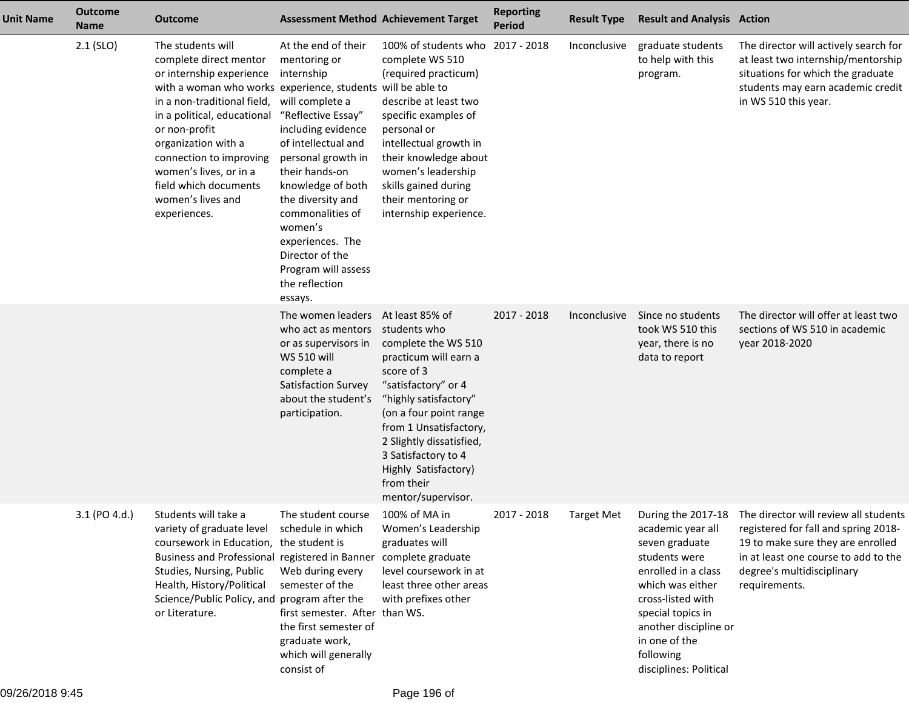| <b>Unit Name</b> | <b>Outcome</b><br><b>Name</b> | <b>Outcome</b>                                                                                                                                                                                                                                                                                                                                                  | <b>Assessment Method Achievement Target</b>                                                                                                                                                                                                                                                                                                         |                                                                                                                                                                                                                                                                                                                  | <b>Reporting</b><br><b>Period</b> | <b>Result Type</b> | <b>Result and Analysis Action</b>                                                                                                                                                                                          |                                                                                                                                                                                                                              |
|------------------|-------------------------------|-----------------------------------------------------------------------------------------------------------------------------------------------------------------------------------------------------------------------------------------------------------------------------------------------------------------------------------------------------------------|-----------------------------------------------------------------------------------------------------------------------------------------------------------------------------------------------------------------------------------------------------------------------------------------------------------------------------------------------------|------------------------------------------------------------------------------------------------------------------------------------------------------------------------------------------------------------------------------------------------------------------------------------------------------------------|-----------------------------------|--------------------|----------------------------------------------------------------------------------------------------------------------------------------------------------------------------------------------------------------------------|------------------------------------------------------------------------------------------------------------------------------------------------------------------------------------------------------------------------------|
|                  | $2.1$ (SLO)                   | The students will<br>complete direct mentor<br>or internship experience<br>with a woman who works experience, students will be able to<br>in a non-traditional field,<br>in a political, educational<br>or non-profit<br>organization with a<br>connection to improving<br>women's lives, or in a<br>field which documents<br>women's lives and<br>experiences. | At the end of their<br>mentoring or<br>internship<br>will complete a<br>"Reflective Essay"<br>including evidence<br>of intellectual and<br>personal growth in<br>their hands-on<br>knowledge of both<br>the diversity and<br>commonalities of<br>women's<br>experiences. The<br>Director of the<br>Program will assess<br>the reflection<br>essays. | 100% of students who 2017 - 2018<br>complete WS 510<br>(required practicum)<br>describe at least two<br>specific examples of<br>personal or<br>intellectual growth in<br>their knowledge about<br>women's leadership<br>skills gained during<br>their mentoring or<br>internship experience.                     |                                   | Inconclusive       | graduate students<br>to help with this<br>program.                                                                                                                                                                         | The director will actively search for<br>at least two internship/mentorship<br>situations for which the graduate<br>students may earn academic credit<br>in WS 510 this year.                                                |
|                  |                               |                                                                                                                                                                                                                                                                                                                                                                 | The women leaders<br>who act as mentors<br>or as supervisors in<br><b>WS 510 will</b><br>complete a<br>Satisfaction Survey<br>about the student's<br>participation.                                                                                                                                                                                 | At least 85% of<br>students who<br>complete the WS 510<br>practicum will earn a<br>score of 3<br>"satisfactory" or 4<br>"highly satisfactory"<br>(on a four point range<br>from 1 Unsatisfactory,<br>2 Slightly dissatisfied,<br>3 Satisfactory to 4<br>Highly Satisfactory)<br>from their<br>mentor/supervisor. | $2017 - 2018$                     | Inconclusive       | Since no students<br>took WS 510 this<br>year, there is no<br>data to report                                                                                                                                               | The director will offer at least two<br>sections of WS 510 in academic<br>year 2018-2020                                                                                                                                     |
|                  | 3.1 (PO 4.d.)                 | Students will take a<br>variety of graduate level<br>coursework in Education, the student is<br>Business and Professional registered in Banner<br>Studies, Nursing, Public<br>Health, History/Political<br>Science/Public Policy, and program after the<br>or Literature.                                                                                       | The student course<br>schedule in which<br>Web during every<br>semester of the<br>first semester. After than WS.<br>the first semester of<br>graduate work,<br>which will generally<br>consist of                                                                                                                                                   | 100% of MA in<br>Women's Leadership<br>graduates will<br>complete graduate<br>level coursework in at<br>least three other areas<br>with prefixes other                                                                                                                                                           | 2017 - 2018                       | Target Met         | academic year all<br>seven graduate<br>students were<br>enrolled in a class<br>which was either<br>cross-listed with<br>special topics in<br>another discipline or<br>in one of the<br>following<br>disciplines: Political | During the 2017-18 The director will review all students<br>registered for fall and spring 2018-<br>19 to make sure they are enrolled<br>in at least one course to add to the<br>degree's multidisciplinary<br>requirements. |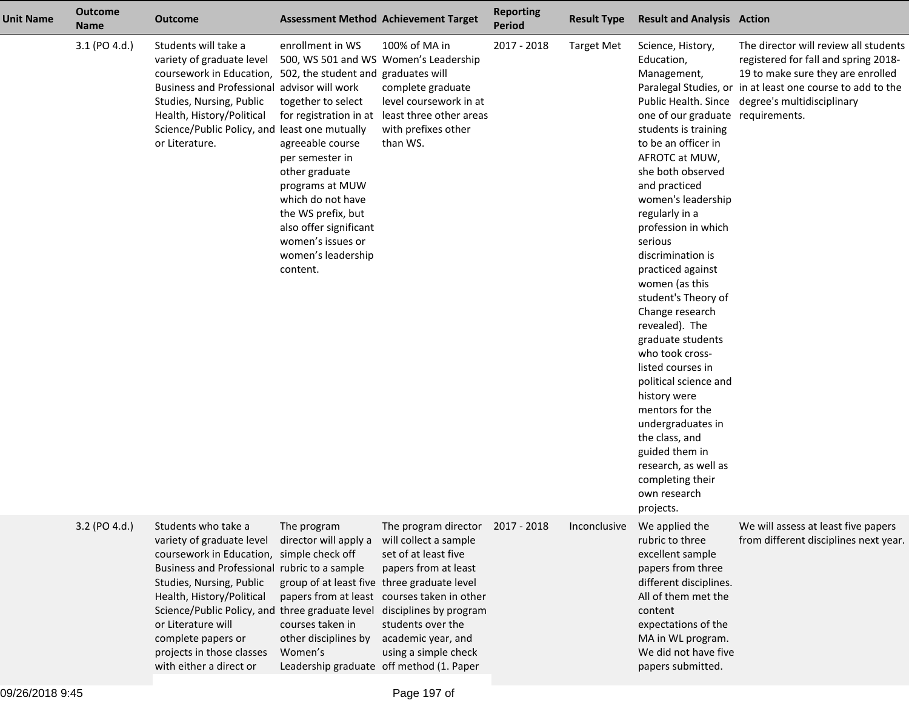| <b>Unit Name</b> | <b>Outcome</b><br><b>Name</b> | <b>Outcome</b>                                                                                                                                                                                                                                                                                                                                                                       | <b>Assessment Method Achievement Target</b>                                                                                                                                                                                                                                             |                                                                                                                                                                                                                             | <b>Reporting</b><br><b>Period</b> | <b>Result Type</b> | <b>Result and Analysis Action</b>                                                                                                                                                                                                                                                                                                                                                                                                                                                                                                                                                                                                                       |                                                                                                                                                                                                                                     |
|------------------|-------------------------------|--------------------------------------------------------------------------------------------------------------------------------------------------------------------------------------------------------------------------------------------------------------------------------------------------------------------------------------------------------------------------------------|-----------------------------------------------------------------------------------------------------------------------------------------------------------------------------------------------------------------------------------------------------------------------------------------|-----------------------------------------------------------------------------------------------------------------------------------------------------------------------------------------------------------------------------|-----------------------------------|--------------------|---------------------------------------------------------------------------------------------------------------------------------------------------------------------------------------------------------------------------------------------------------------------------------------------------------------------------------------------------------------------------------------------------------------------------------------------------------------------------------------------------------------------------------------------------------------------------------------------------------------------------------------------------------|-------------------------------------------------------------------------------------------------------------------------------------------------------------------------------------------------------------------------------------|
|                  | 3.1 (PO 4.d.)                 | Students will take a<br>variety of graduate level<br>coursework in Education, 502, the student and graduates will<br>Business and Professional advisor will work<br>Studies, Nursing, Public<br>Health, History/Political<br>Science/Public Policy, and least one mutually<br>or Literature.                                                                                         | enrollment in WS<br>500, WS 501 and WS Women's Leadership<br>together to select<br>agreeable course<br>per semester in<br>other graduate<br>programs at MUW<br>which do not have<br>the WS prefix, but<br>also offer significant<br>women's issues or<br>women's leadership<br>content. | 100% of MA in<br>complete graduate<br>level coursework in at<br>for registration in at least three other areas<br>with prefixes other<br>than WS.                                                                           | 2017 - 2018                       | <b>Target Met</b>  | Science, History,<br>Education,<br>Management,<br>one of our graduate requirements.<br>students is training<br>to be an officer in<br>AFROTC at MUW,<br>she both observed<br>and practiced<br>women's leadership<br>regularly in a<br>profession in which<br>serious<br>discrimination is<br>practiced against<br>women (as this<br>student's Theory of<br>Change research<br>revealed). The<br>graduate students<br>who took cross-<br>listed courses in<br>political science and<br>history were<br>mentors for the<br>undergraduates in<br>the class, and<br>guided them in<br>research, as well as<br>completing their<br>own research<br>projects. | The director will review all students<br>registered for fall and spring 2018-<br>19 to make sure they are enrolled<br>Paralegal Studies, or in at least one course to add to the<br>Public Health. Since degree's multidisciplinary |
|                  | 3.2 (PO 4.d.)                 | Students who take a<br>variety of graduate level<br>coursework in Education, simple check off<br>Business and Professional rubric to a sample<br>Studies, Nursing, Public<br>Health, History/Political<br>Science/Public Policy, and three graduate level disciplines by program<br>or Literature will<br>complete papers or<br>projects in those classes<br>with either a direct or | The program<br>director will apply a<br>group of at least five three graduate level<br>courses taken in<br>other disciplines by<br>Women's<br>Leadership graduate off method (1. Paper                                                                                                  | The program director 2017 - 2018<br>will collect a sample<br>set of at least five<br>papers from at least<br>papers from at least courses taken in other<br>students over the<br>academic year, and<br>using a simple check |                                   | Inconclusive       | We applied the<br>rubric to three<br>excellent sample<br>papers from three<br>different disciplines.<br>All of them met the<br>content<br>expectations of the<br>MA in WL program.<br>We did not have five<br>papers submitted.                                                                                                                                                                                                                                                                                                                                                                                                                         | We will assess at least five papers<br>from different disciplines next year.                                                                                                                                                        |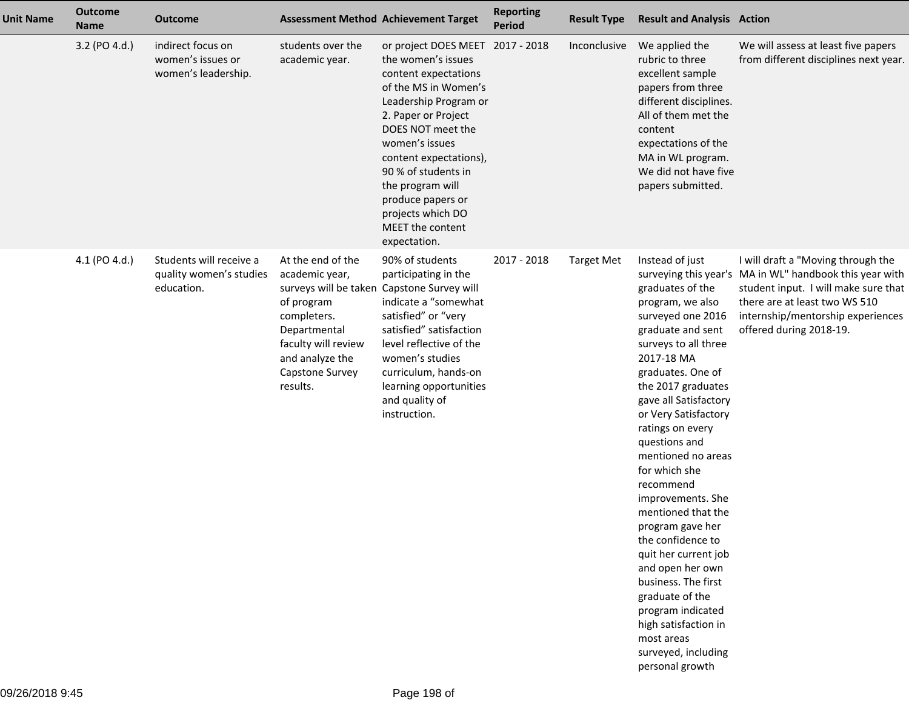| <b>Unit Name</b> | <b>Outcome</b><br><b>Name</b> | <b>Outcome</b>                                                   |                                                                                                                                                           | <b>Assessment Method Achievement Target</b>                                                                                                                                                                                                                                                                                                      | <b>Reporting</b><br><b>Period</b> | <b>Result Type</b> | <b>Result and Analysis Action</b>                                                                                                                                                                                                                                                                                                                                                                                                                                                                                                                                                                           |                                                                                                                                                                                                                                        |
|------------------|-------------------------------|------------------------------------------------------------------|-----------------------------------------------------------------------------------------------------------------------------------------------------------|--------------------------------------------------------------------------------------------------------------------------------------------------------------------------------------------------------------------------------------------------------------------------------------------------------------------------------------------------|-----------------------------------|--------------------|-------------------------------------------------------------------------------------------------------------------------------------------------------------------------------------------------------------------------------------------------------------------------------------------------------------------------------------------------------------------------------------------------------------------------------------------------------------------------------------------------------------------------------------------------------------------------------------------------------------|----------------------------------------------------------------------------------------------------------------------------------------------------------------------------------------------------------------------------------------|
|                  | 3.2 (PO 4.d.)                 | indirect focus on<br>women's issues or<br>women's leadership.    | students over the<br>academic year.                                                                                                                       | or project DOES MEET 2017 - 2018<br>the women's issues<br>content expectations<br>of the MS in Women's<br>Leadership Program or<br>2. Paper or Project<br>DOES NOT meet the<br>women's issues<br>content expectations),<br>90 % of students in<br>the program will<br>produce papers or<br>projects which DO<br>MEET the content<br>expectation. |                                   | Inconclusive       | We applied the<br>rubric to three<br>excellent sample<br>papers from three<br>different disciplines.<br>All of them met the<br>content<br>expectations of the<br>MA in WL program.<br>We did not have five<br>papers submitted.                                                                                                                                                                                                                                                                                                                                                                             | We will assess at least five papers<br>from different disciplines next year.                                                                                                                                                           |
|                  | 4.1 (PO 4.d.)                 | Students will receive a<br>quality women's studies<br>education. | At the end of the<br>academic year,<br>of program<br>completers.<br>Departmental<br>faculty will review<br>and analyze the<br>Capstone Survey<br>results. | 90% of students<br>participating in the<br>surveys will be taken Capstone Survey will<br>indicate a "somewhat<br>satisfied" or "very<br>satisfied" satisfaction<br>level reflective of the<br>women's studies<br>curriculum, hands-on<br>learning opportunities<br>and quality of<br>instruction.                                                | 2017 - 2018                       | <b>Target Met</b>  | Instead of just<br>graduates of the<br>program, we also<br>surveyed one 2016<br>graduate and sent<br>surveys to all three<br>2017-18 MA<br>graduates. One of<br>the 2017 graduates<br>gave all Satisfactory<br>or Very Satisfactory<br>ratings on every<br>questions and<br>mentioned no areas<br>for which she<br>recommend<br>improvements. She<br>mentioned that the<br>program gave her<br>the confidence to<br>quit her current job<br>and open her own<br>business. The first<br>graduate of the<br>program indicated<br>high satisfaction in<br>most areas<br>surveyed, including<br>personal growth | I will draft a "Moving through the<br>surveying this year's MA in WL" handbook this year with<br>student input. I will make sure that<br>there are at least two WS 510<br>internship/mentorship experiences<br>offered during 2018-19. |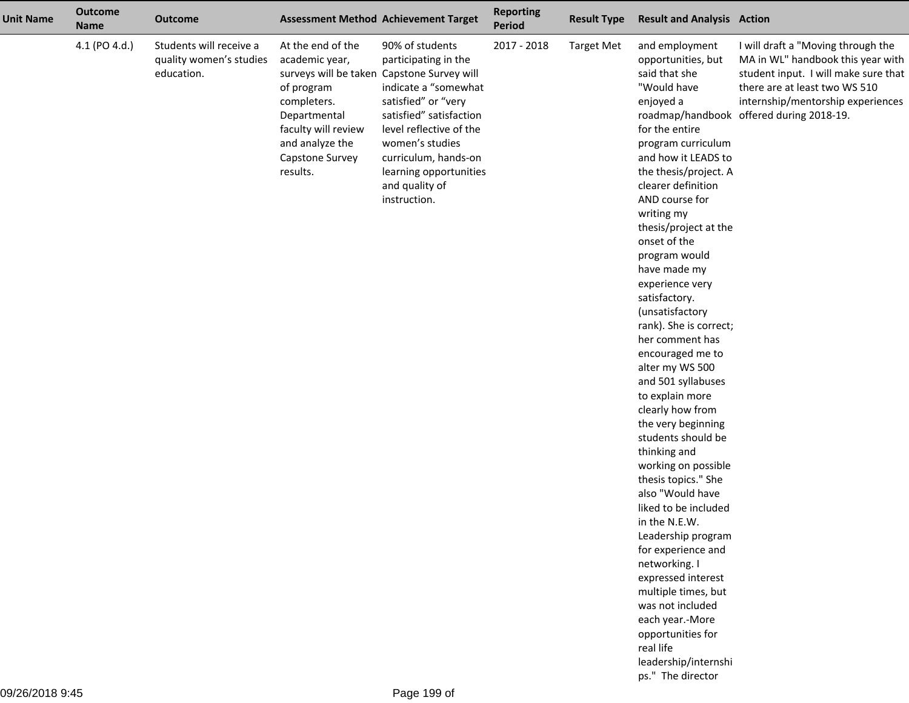| <b>Unit Name</b> | <b>Outcome</b><br><b>Name</b> | <b>Outcome</b>                                                   | <b>Assessment Method Achievement Target</b>                                                                                                                                                             |                                                                                                                                                                                                                                                     | <b>Reporting</b><br><b>Period</b> | <b>Result Type</b> | <b>Result and Analysis Action</b>                                                                                                                                                                                                                                                                                                                                                                                                                                                                                                                                                                                                                                                                                                                                                                                                                                                                                        |                                                                                                                                                                                                                                   |
|------------------|-------------------------------|------------------------------------------------------------------|---------------------------------------------------------------------------------------------------------------------------------------------------------------------------------------------------------|-----------------------------------------------------------------------------------------------------------------------------------------------------------------------------------------------------------------------------------------------------|-----------------------------------|--------------------|--------------------------------------------------------------------------------------------------------------------------------------------------------------------------------------------------------------------------------------------------------------------------------------------------------------------------------------------------------------------------------------------------------------------------------------------------------------------------------------------------------------------------------------------------------------------------------------------------------------------------------------------------------------------------------------------------------------------------------------------------------------------------------------------------------------------------------------------------------------------------------------------------------------------------|-----------------------------------------------------------------------------------------------------------------------------------------------------------------------------------------------------------------------------------|
|                  | 4.1 (PO 4.d.)                 | Students will receive a<br>quality women's studies<br>education. | At the end of the<br>academic year,<br>surveys will be taken Capstone Survey will<br>of program<br>completers.<br>Departmental<br>faculty will review<br>and analyze the<br>Capstone Survey<br>results. | 90% of students<br>participating in the<br>indicate a "somewhat<br>satisfied" or "very<br>satisfied" satisfaction<br>level reflective of the<br>women's studies<br>curriculum, hands-on<br>learning opportunities<br>and quality of<br>instruction. | 2017 - 2018                       | <b>Target Met</b>  | and employment<br>opportunities, but<br>said that she<br>"Would have<br>enjoyed a<br>for the entire<br>program curriculum<br>and how it LEADS to<br>the thesis/project. A<br>clearer definition<br>AND course for<br>writing my<br>thesis/project at the<br>onset of the<br>program would<br>have made my<br>experience very<br>satisfactory.<br>(unsatisfactory<br>rank). She is correct;<br>her comment has<br>encouraged me to<br>alter my WS 500<br>and 501 syllabuses<br>to explain more<br>clearly how from<br>the very beginning<br>students should be<br>thinking and<br>working on possible<br>thesis topics." She<br>also "Would have<br>liked to be included<br>in the N.E.W.<br>Leadership program<br>for experience and<br>networking. I<br>expressed interest<br>multiple times, but<br>was not included<br>each year.-More<br>opportunities for<br>real life<br>leadership/internshi<br>ps." The director | I will draft a "Moving through the<br>MA in WL" handbook this year with<br>student input. I will make sure that<br>there are at least two WS 510<br>internship/mentorship experiences<br>roadmap/handbook offered during 2018-19. |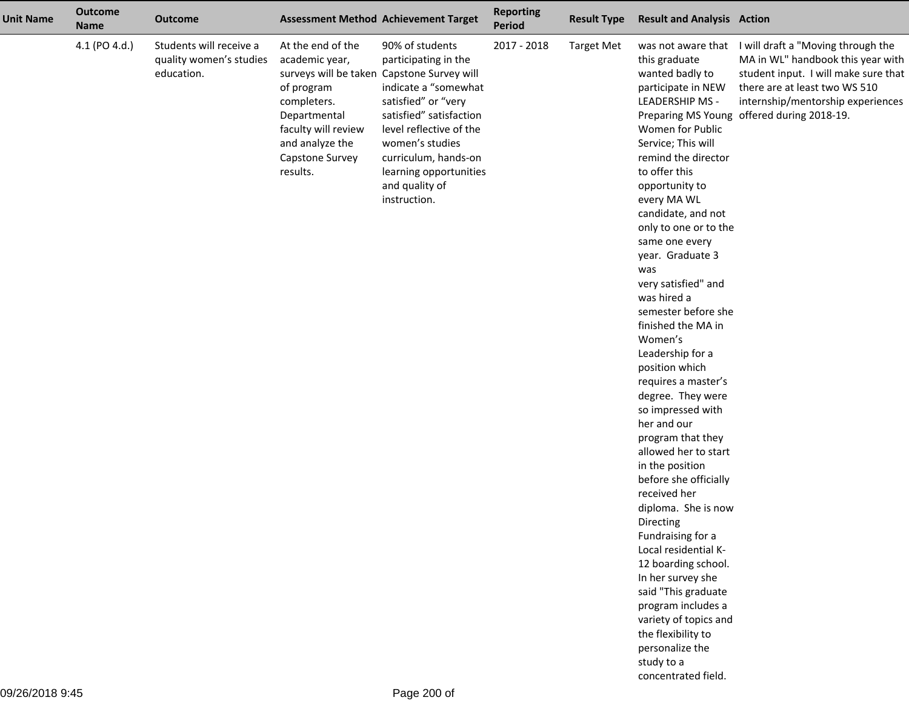| <b>Unit Name</b> | <b>Outcome</b><br><b>Name</b> | <b>Outcome</b>                                                   |                                                                                                                                                                                                         | <b>Assessment Method Achievement Target</b>                                                                                                                                                                                                         | <b>Reporting</b><br><b>Period</b> | <b>Result Type</b> | <b>Result and Analysis Action</b>                                                                                                                                                                                                                                                                                                                                                                                                                                                                                                                                                                                                                                                                                                                                                                                                                                                                             |                                                                                                                                                                                                                                                        |
|------------------|-------------------------------|------------------------------------------------------------------|---------------------------------------------------------------------------------------------------------------------------------------------------------------------------------------------------------|-----------------------------------------------------------------------------------------------------------------------------------------------------------------------------------------------------------------------------------------------------|-----------------------------------|--------------------|---------------------------------------------------------------------------------------------------------------------------------------------------------------------------------------------------------------------------------------------------------------------------------------------------------------------------------------------------------------------------------------------------------------------------------------------------------------------------------------------------------------------------------------------------------------------------------------------------------------------------------------------------------------------------------------------------------------------------------------------------------------------------------------------------------------------------------------------------------------------------------------------------------------|--------------------------------------------------------------------------------------------------------------------------------------------------------------------------------------------------------------------------------------------------------|
|                  | 4.1 (PO 4.d.)                 | Students will receive a<br>quality women's studies<br>education. | At the end of the<br>academic year,<br>surveys will be taken Capstone Survey will<br>of program<br>completers.<br>Departmental<br>faculty will review<br>and analyze the<br>Capstone Survey<br>results. | 90% of students<br>participating in the<br>indicate a "somewhat<br>satisfied" or "very<br>satisfied" satisfaction<br>level reflective of the<br>women's studies<br>curriculum, hands-on<br>learning opportunities<br>and quality of<br>instruction. | 2017 - 2018                       | <b>Target Met</b>  | this graduate<br>wanted badly to<br>participate in NEW<br><b>LEADERSHIP MS -</b><br>Women for Public<br>Service; This will<br>remind the director<br>to offer this<br>opportunity to<br>every MA WL<br>candidate, and not<br>only to one or to the<br>same one every<br>year. Graduate 3<br>was<br>very satisfied" and<br>was hired a<br>semester before she<br>finished the MA in<br>Women's<br>Leadership for a<br>position which<br>requires a master's<br>degree. They were<br>so impressed with<br>her and our<br>program that they<br>allowed her to start<br>in the position<br>before she officially<br>received her<br>diploma. She is now<br>Directing<br>Fundraising for a<br>Local residential K-<br>12 boarding school.<br>In her survey she<br>said "This graduate<br>program includes a<br>variety of topics and<br>the flexibility to<br>personalize the<br>study to a<br>concentrated field. | was not aware that I will draft a "Moving through the<br>MA in WL" handbook this year with<br>student input. I will make sure that<br>there are at least two WS 510<br>internship/mentorship experiences<br>Preparing MS Young offered during 2018-19. |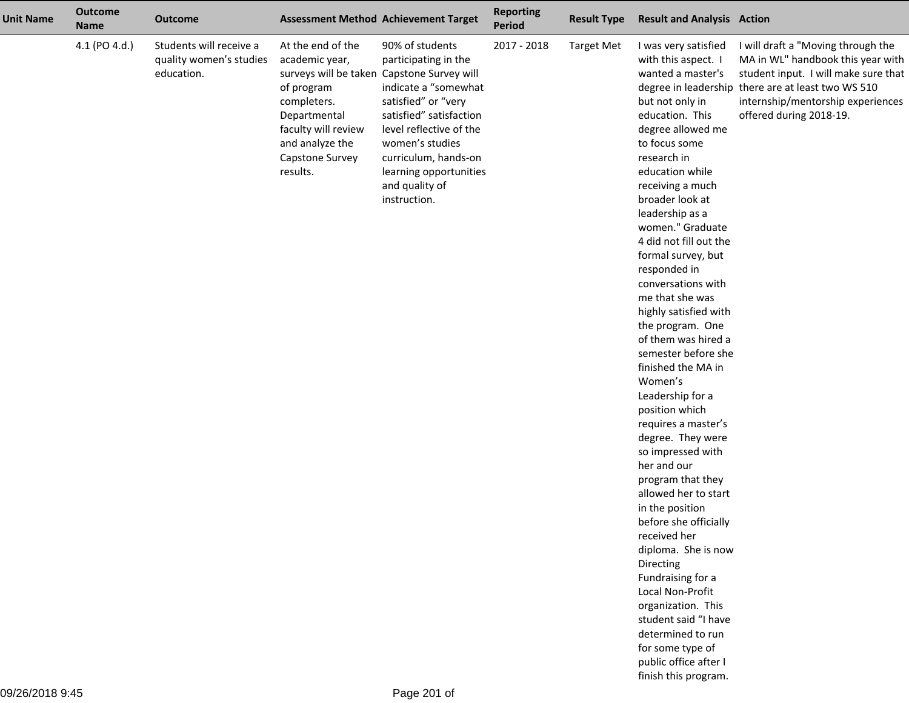| <b>Unit Name</b> | <b>Outcome</b><br><b>Name</b> | <b>Outcome</b>                                                   | <b>Assessment Method Achievement Target</b>                                                                                                                                                             |                                                                                                                                                                                                                                                     | <b>Reporting</b><br><b>Period</b> | <b>Result Type</b> | <b>Result and Analysis Action</b>                                                                                                                                                                                                                                                                                                                                                                                                                                                                                                                                                                                                                                                                                                                                                                                                                                                                                                                     |                                                                                                                                                                                                                                       |
|------------------|-------------------------------|------------------------------------------------------------------|---------------------------------------------------------------------------------------------------------------------------------------------------------------------------------------------------------|-----------------------------------------------------------------------------------------------------------------------------------------------------------------------------------------------------------------------------------------------------|-----------------------------------|--------------------|-------------------------------------------------------------------------------------------------------------------------------------------------------------------------------------------------------------------------------------------------------------------------------------------------------------------------------------------------------------------------------------------------------------------------------------------------------------------------------------------------------------------------------------------------------------------------------------------------------------------------------------------------------------------------------------------------------------------------------------------------------------------------------------------------------------------------------------------------------------------------------------------------------------------------------------------------------|---------------------------------------------------------------------------------------------------------------------------------------------------------------------------------------------------------------------------------------|
|                  | 4.1 (PO 4.d.)                 | Students will receive a<br>quality women's studies<br>education. | At the end of the<br>academic year,<br>surveys will be taken Capstone Survey will<br>of program<br>completers.<br>Departmental<br>faculty will review<br>and analyze the<br>Capstone Survey<br>results. | 90% of students<br>participating in the<br>indicate a "somewhat<br>satisfied" or "very<br>satisfied" satisfaction<br>level reflective of the<br>women's studies<br>curriculum, hands-on<br>learning opportunities<br>and quality of<br>instruction. | 2017 - 2018                       | <b>Target Met</b>  | I was very satisfied<br>with this aspect. I<br>wanted a master's<br>but not only in<br>education. This<br>degree allowed me<br>to focus some<br>research in<br>education while<br>receiving a much<br>broader look at<br>leadership as a<br>women." Graduate<br>4 did not fill out the<br>formal survey, but<br>responded in<br>conversations with<br>me that she was<br>highly satisfied with<br>the program. One<br>of them was hired a<br>semester before she<br>finished the MA in<br>Women's<br>Leadership for a<br>position which<br>requires a master's<br>degree. They were<br>so impressed with<br>her and our<br>program that they<br>allowed her to start<br>in the position<br>before she officially<br>received her<br>diploma. She is now<br>Directing<br>Fundraising for a<br>Local Non-Profit<br>organization. This<br>student said "I have<br>determined to run<br>for some type of<br>public office after I<br>finish this program. | I will draft a "Moving through the<br>MA in WL" handbook this year with<br>student input. I will make sure that<br>degree in leadership there are at least two WS 510<br>internship/mentorship experiences<br>offered during 2018-19. |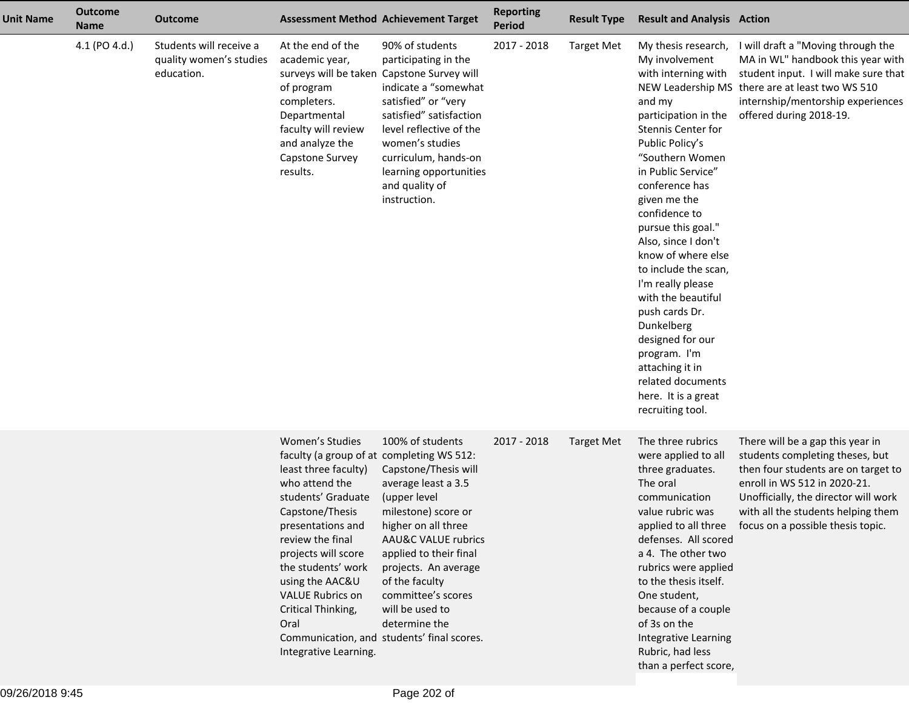| <b>Unit Name</b> | <b>Outcome</b><br><b>Name</b> | <b>Outcome</b>                                                   |                                                                                                                                                                                                                                                                                                                                            | <b>Assessment Method Achievement Target</b>                                                                                                                                                                                                                                                                                                 | <b>Reporting</b><br><b>Period</b> | <b>Result Type</b> | <b>Result and Analysis Action</b>                                                                                                                                                                                                                                                                                                                                                                                                                                                                                                |                                                                                                                                                                                                                                                                                    |
|------------------|-------------------------------|------------------------------------------------------------------|--------------------------------------------------------------------------------------------------------------------------------------------------------------------------------------------------------------------------------------------------------------------------------------------------------------------------------------------|---------------------------------------------------------------------------------------------------------------------------------------------------------------------------------------------------------------------------------------------------------------------------------------------------------------------------------------------|-----------------------------------|--------------------|----------------------------------------------------------------------------------------------------------------------------------------------------------------------------------------------------------------------------------------------------------------------------------------------------------------------------------------------------------------------------------------------------------------------------------------------------------------------------------------------------------------------------------|------------------------------------------------------------------------------------------------------------------------------------------------------------------------------------------------------------------------------------------------------------------------------------|
|                  | 4.1 (PO 4.d.)                 | Students will receive a<br>quality women's studies<br>education. | At the end of the<br>academic year,<br>surveys will be taken Capstone Survey will<br>of program<br>completers.<br>Departmental<br>faculty will review<br>and analyze the<br>Capstone Survey<br>results.                                                                                                                                    | 90% of students<br>participating in the<br>indicate a "somewhat<br>satisfied" or "very<br>satisfied" satisfaction<br>level reflective of the<br>women's studies<br>curriculum, hands-on<br>learning opportunities<br>and quality of<br>instruction.                                                                                         | 2017 - 2018                       | <b>Target Met</b>  | My thesis research,<br>My involvement<br>with interning with<br>and my<br>participation in the<br>Stennis Center for<br>Public Policy's<br>"Southern Women<br>in Public Service"<br>conference has<br>given me the<br>confidence to<br>pursue this goal."<br>Also, since I don't<br>know of where else<br>to include the scan,<br>I'm really please<br>with the beautiful<br>push cards Dr.<br>Dunkelberg<br>designed for our<br>program. I'm<br>attaching it in<br>related documents<br>here. It is a great<br>recruiting tool. | I will draft a "Moving through the<br>MA in WL" handbook this year with<br>student input. I will make sure that<br>NEW Leadership MS there are at least two WS 510<br>internship/mentorship experiences<br>offered during 2018-19.                                                 |
|                  |                               |                                                                  | Women's Studies<br>faculty (a group of at completing WS 512:<br>least three faculty)<br>who attend the<br>students' Graduate<br>Capstone/Thesis<br>presentations and<br>review the final<br>projects will score<br>the students' work<br>using the AAC&U<br><b>VALUE Rubrics on</b><br>Critical Thinking,<br>Oral<br>Integrative Learning. | 100% of students<br>Capstone/Thesis will<br>average least a 3.5<br>(upper level<br>milestone) score or<br>higher on all three<br><b>AAU&amp;C VALUE rubrics</b><br>applied to their final<br>projects. An average<br>of the faculty<br>committee's scores<br>will be used to<br>determine the<br>Communication, and students' final scores. | 2017 - 2018                       | <b>Target Met</b>  | The three rubrics<br>were applied to all<br>three graduates.<br>The oral<br>communication<br>value rubric was<br>defenses. All scored<br>a 4. The other two<br>rubrics were applied<br>to the thesis itself.<br>One student,<br>because of a couple<br>of 3s on the<br>Integrative Learning<br>Rubric, had less<br>than a perfect score,                                                                                                                                                                                         | There will be a gap this year in<br>students completing theses, but<br>then four students are on target to<br>enroll in WS 512 in 2020-21.<br>Unofficially, the director will work<br>with all the students helping them<br>applied to all three focus on a possible thesis topic. |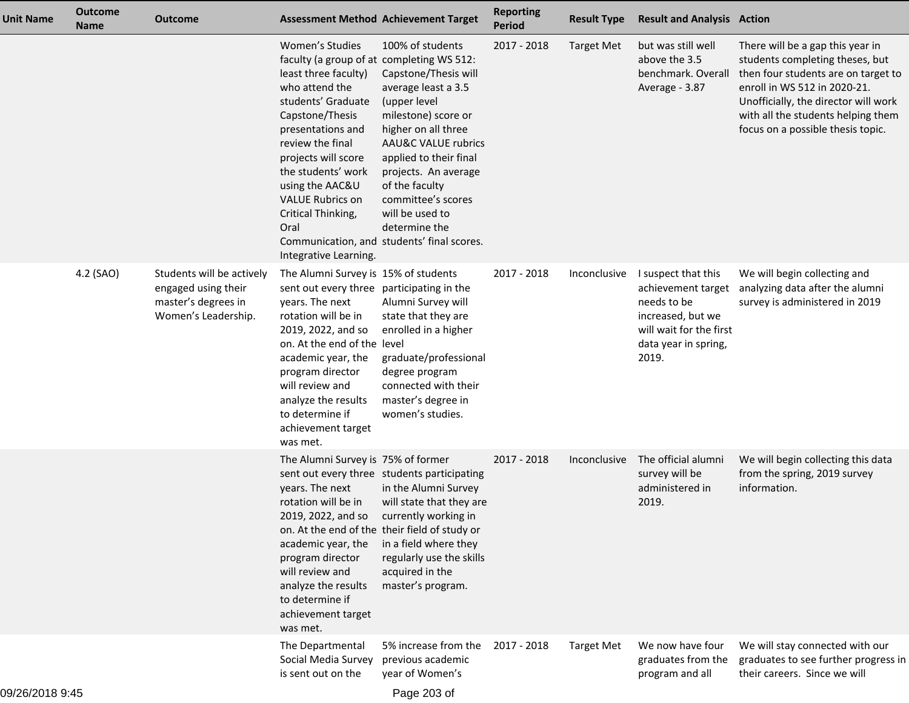| <b>Unit Name</b> | <b>Outcome</b><br><b>Name</b> | <b>Outcome</b>                                                                                 | <b>Assessment Method Achievement Target</b>                                                                                                                                                                                                                                                                                                |                                                                                                                                                                                                                                                                                                                                             | <b>Reporting</b><br><b>Period</b> | <b>Result Type</b> | <b>Result and Analysis Action</b>                                                                                                         |                                                                                                                                                                                                                                                               |
|------------------|-------------------------------|------------------------------------------------------------------------------------------------|--------------------------------------------------------------------------------------------------------------------------------------------------------------------------------------------------------------------------------------------------------------------------------------------------------------------------------------------|---------------------------------------------------------------------------------------------------------------------------------------------------------------------------------------------------------------------------------------------------------------------------------------------------------------------------------------------|-----------------------------------|--------------------|-------------------------------------------------------------------------------------------------------------------------------------------|---------------------------------------------------------------------------------------------------------------------------------------------------------------------------------------------------------------------------------------------------------------|
|                  |                               |                                                                                                | Women's Studies<br>faculty (a group of at completing WS 512:<br>least three faculty)<br>who attend the<br>students' Graduate<br>Capstone/Thesis<br>presentations and<br>review the final<br>projects will score<br>the students' work<br>using the AAC&U<br><b>VALUE Rubrics on</b><br>Critical Thinking,<br>Oral<br>Integrative Learning. | 100% of students<br>Capstone/Thesis will<br>average least a 3.5<br>(upper level<br>milestone) score or<br>higher on all three<br><b>AAU&amp;C VALUE rubrics</b><br>applied to their final<br>projects. An average<br>of the faculty<br>committee's scores<br>will be used to<br>determine the<br>Communication, and students' final scores. | 2017 - 2018                       | <b>Target Met</b>  | but was still well<br>above the 3.5<br>benchmark. Overall<br>Average - 3.87                                                               | There will be a gap this year in<br>students completing theses, but<br>then four students are on target to<br>enroll in WS 512 in 2020-21.<br>Unofficially, the director will work<br>with all the students helping them<br>focus on a possible thesis topic. |
|                  | 4.2 (SAO)                     | Students will be actively<br>engaged using their<br>master's degrees in<br>Women's Leadership. | The Alumni Survey is 15% of students<br>sent out every three participating in the<br>years. The next<br>rotation will be in<br>2019, 2022, and so<br>on. At the end of the level<br>academic year, the<br>program director<br>will review and<br>analyze the results<br>to determine if<br>achievement target<br>was met.                  | Alumni Survey will<br>state that they are<br>enrolled in a higher<br>graduate/professional<br>degree program<br>connected with their<br>master's degree in<br>women's studies.                                                                                                                                                              | 2017 - 2018                       | Inconclusive       | I suspect that this<br>achievement target<br>needs to be<br>increased, but we<br>will wait for the first<br>data year in spring,<br>2019. | We will begin collecting and<br>analyzing data after the alumni<br>survey is administered in 2019                                                                                                                                                             |
|                  |                               |                                                                                                | The Alumni Survey is 75% of former<br>years. The next<br>rotation will be in<br>2019, 2022, and so<br>academic year, the<br>program director<br>will review and<br>analyze the results<br>to determine if<br>achievement target<br>was met.                                                                                                | sent out every three students participating<br>in the Alumni Survey<br>will state that they are<br>currently working in<br>on. At the end of the their field of study or<br>in a field where they<br>regularly use the skills<br>acquired in the<br>master's program.                                                                       | 2017 - 2018                       | Inconclusive       | The official alumni<br>survey will be<br>administered in<br>2019.                                                                         | We will begin collecting this data<br>from the spring, 2019 survey<br>information.                                                                                                                                                                            |
|                  |                               |                                                                                                | The Departmental<br>Social Media Survey<br>is sent out on the                                                                                                                                                                                                                                                                              | 5% increase from the<br>previous academic<br>year of Women's                                                                                                                                                                                                                                                                                | 2017 - 2018                       | <b>Target Met</b>  | We now have four<br>graduates from the<br>program and all                                                                                 | We will stay connected with our<br>graduates to see further progress in<br>their careers. Since we will                                                                                                                                                       |

Page 203 of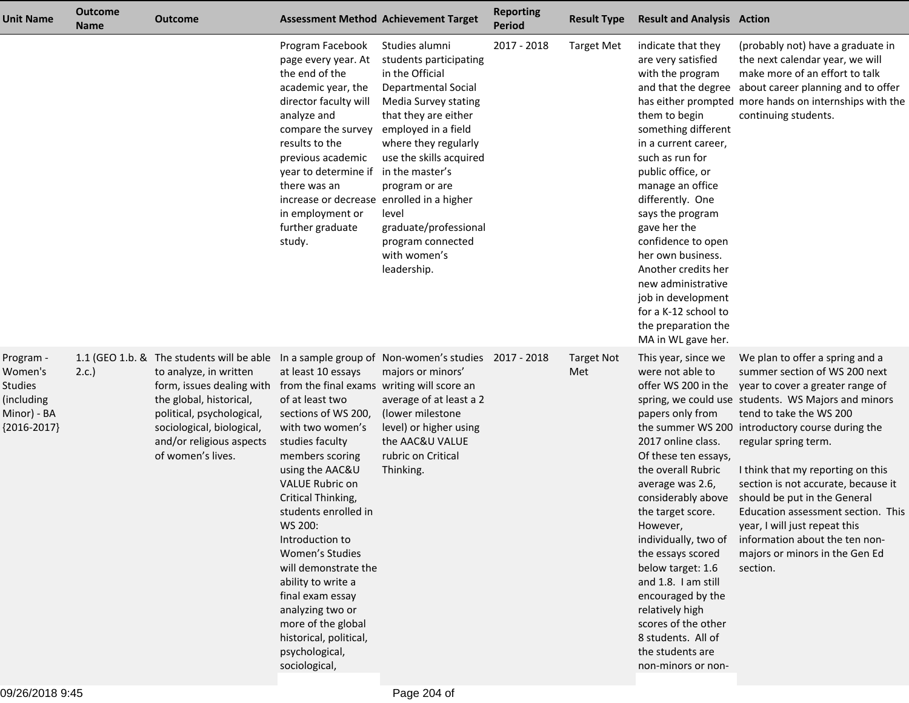| <b>Unit Name</b>                                                                     | <b>Outcome</b><br><b>Name</b> | <b>Outcome</b>                                                                                                                                                                                                                         | <b>Assessment Method Achievement Target</b>                                                                                                                                                                                                                                                                                                                                                                                                                                        |                                                                                                                                                                                                                                                                                                                             | <b>Reporting</b><br><b>Period</b> | <b>Result Type</b>       | <b>Result and Analysis Action</b>                                                                                                                                                                                                                                                                                                                                                                                                   |                                                                                                                                                                                                                                                                                                                                                                                                                                                                                                                                                           |
|--------------------------------------------------------------------------------------|-------------------------------|----------------------------------------------------------------------------------------------------------------------------------------------------------------------------------------------------------------------------------------|------------------------------------------------------------------------------------------------------------------------------------------------------------------------------------------------------------------------------------------------------------------------------------------------------------------------------------------------------------------------------------------------------------------------------------------------------------------------------------|-----------------------------------------------------------------------------------------------------------------------------------------------------------------------------------------------------------------------------------------------------------------------------------------------------------------------------|-----------------------------------|--------------------------|-------------------------------------------------------------------------------------------------------------------------------------------------------------------------------------------------------------------------------------------------------------------------------------------------------------------------------------------------------------------------------------------------------------------------------------|-----------------------------------------------------------------------------------------------------------------------------------------------------------------------------------------------------------------------------------------------------------------------------------------------------------------------------------------------------------------------------------------------------------------------------------------------------------------------------------------------------------------------------------------------------------|
|                                                                                      |                               |                                                                                                                                                                                                                                        | Program Facebook<br>page every year. At<br>the end of the<br>academic year, the<br>director faculty will<br>analyze and<br>compare the survey<br>results to the<br>previous academic<br>year to determine if in the master's<br>there was an<br>increase or decrease enrolled in a higher<br>in employment or<br>further graduate<br>study.                                                                                                                                        | Studies alumni<br>students participating<br>in the Official<br><b>Departmental Social</b><br>Media Survey stating<br>that they are either<br>employed in a field<br>where they regularly<br>use the skills acquired<br>program or are<br>level<br>graduate/professional<br>program connected<br>with women's<br>leadership. | 2017 - 2018                       | <b>Target Met</b>        | indicate that they<br>are very satisfied<br>with the program<br>them to begin<br>something different<br>in a current career,<br>such as run for<br>public office, or<br>manage an office<br>differently. One<br>says the program<br>gave her the<br>confidence to open<br>her own business.<br>Another credits her<br>new administrative<br>job in development<br>for a K-12 school to<br>the preparation the<br>MA in WL gave her. | (probably not) have a graduate in<br>the next calendar year, we will<br>make more of an effort to talk<br>and that the degree about career planning and to offer<br>has either prompted more hands on internships with the<br>continuing students.                                                                                                                                                                                                                                                                                                        |
| Program -<br>Women's<br><b>Studies</b><br>(including<br>Minor) - BA<br>${2016-2017}$ | 2.c.                          | 1.1 (GEO 1.b. & The students will be able<br>to analyze, in written<br>form, issues dealing with<br>the global, historical,<br>political, psychological,<br>sociological, biological,<br>and/or religious aspects<br>of women's lives. | at least 10 essays<br>from the final exams writing will score an<br>of at least two<br>sections of WS 200,<br>with two women's<br>studies faculty<br>members scoring<br>using the AAC&U<br>VALUE Rubric on<br>Critical Thinking,<br>students enrolled in<br>WS 200:<br>Introduction to<br>Women's Studies<br>will demonstrate the<br>ability to write a<br>final exam essay<br>analyzing two or<br>more of the global<br>historical, political,<br>psychological,<br>sociological, | In a sample group of Non-women's studies 2017 - 2018<br>majors or minors'<br>average of at least a 2<br>(lower milestone<br>level) or higher using<br>the AAC&U VALUE<br>rubric on Critical<br>Thinking.                                                                                                                    |                                   | <b>Target Not</b><br>Met | This year, since we<br>were not able to<br>papers only from<br>2017 online class.<br>Of these ten essays,<br>the overall Rubric<br>average was 2.6,<br>considerably above<br>the target score.<br>However,<br>individually, two of<br>the essays scored<br>below target: 1.6<br>and 1.8. I am still<br>encouraged by the<br>relatively high<br>scores of the other<br>8 students. All of<br>the students are<br>non-minors or non-  | We plan to offer a spring and a<br>summer section of WS 200 next<br>offer WS 200 in the year to cover a greater range of<br>spring, we could use students. WS Majors and minors<br>tend to take the WS 200<br>the summer WS 200 introductory course during the<br>regular spring term.<br>I think that my reporting on this<br>section is not accurate, because it<br>should be put in the General<br>Education assessment section. This<br>year, I will just repeat this<br>information about the ten non-<br>majors or minors in the Gen Ed<br>section. |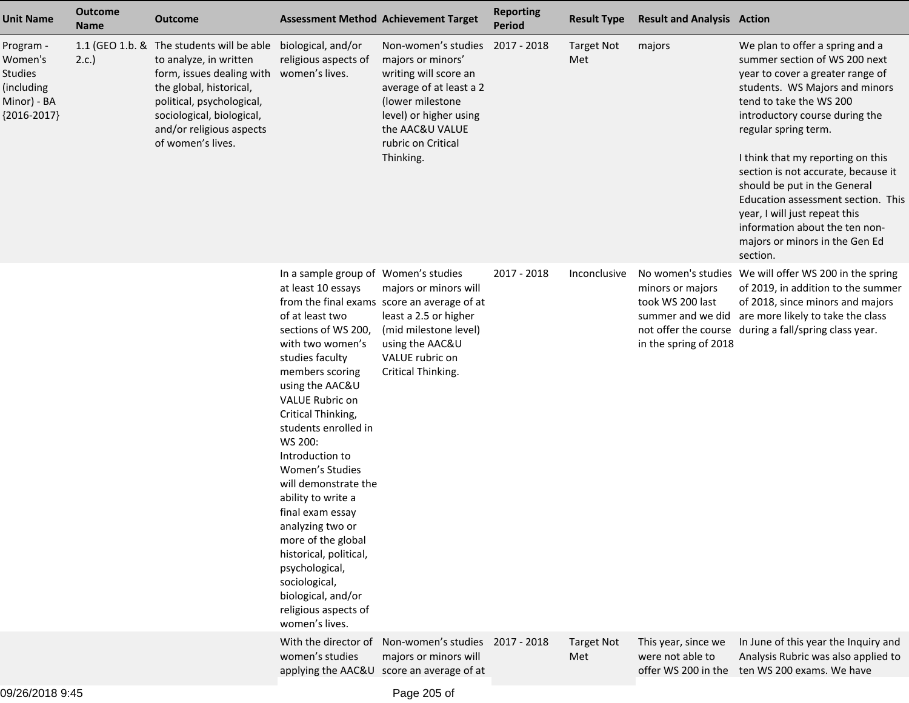| <b>Unit Name</b>                                                                     | <b>Outcome</b><br><b>Name</b> | <b>Outcome</b>                                                                                                                                                                                                                                            | <b>Assessment Method Achievement Target</b>                                                                                                                                                                                                                                                                                                                                                                                                                                                                                                  |                                                                                                                                                                                                              | <b>Reporting</b><br><b>Period</b> | <b>Result Type</b>       | <b>Result and Analysis Action</b>                             |                                                                                                                                                                                                                                                                                                                                                                                                                                                                                                |
|--------------------------------------------------------------------------------------|-------------------------------|-----------------------------------------------------------------------------------------------------------------------------------------------------------------------------------------------------------------------------------------------------------|----------------------------------------------------------------------------------------------------------------------------------------------------------------------------------------------------------------------------------------------------------------------------------------------------------------------------------------------------------------------------------------------------------------------------------------------------------------------------------------------------------------------------------------------|--------------------------------------------------------------------------------------------------------------------------------------------------------------------------------------------------------------|-----------------------------------|--------------------------|---------------------------------------------------------------|------------------------------------------------------------------------------------------------------------------------------------------------------------------------------------------------------------------------------------------------------------------------------------------------------------------------------------------------------------------------------------------------------------------------------------------------------------------------------------------------|
| Program -<br>Women's<br><b>Studies</b><br>(including<br>Minor) - BA<br>${2016-2017}$ | 2.c.                          | 1.1 (GEO 1.b. & The students will be able biological, and/or<br>to analyze, in written<br>form, issues dealing with<br>the global, historical,<br>political, psychological,<br>sociological, biological,<br>and/or religious aspects<br>of women's lives. | religious aspects of<br>women's lives.                                                                                                                                                                                                                                                                                                                                                                                                                                                                                                       | Non-women's studies 2017 - 2018<br>majors or minors'<br>writing will score an<br>average of at least a 2<br>(lower milestone<br>level) or higher using<br>the AAC&U VALUE<br>rubric on Critical<br>Thinking. |                                   | <b>Target Not</b><br>Met | majors                                                        | We plan to offer a spring and a<br>summer section of WS 200 next<br>year to cover a greater range of<br>students. WS Majors and minors<br>tend to take the WS 200<br>introductory course during the<br>regular spring term.<br>I think that my reporting on this<br>section is not accurate, because it<br>should be put in the General<br>Education assessment section. This<br>year, I will just repeat this<br>information about the ten non-<br>majors or minors in the Gen Ed<br>section. |
|                                                                                      |                               |                                                                                                                                                                                                                                                           | In a sample group of Women's studies<br>at least 10 essays<br>of at least two<br>sections of WS 200,<br>with two women's<br>studies faculty<br>members scoring<br>using the AAC&U<br>VALUE Rubric on<br>Critical Thinking,<br>students enrolled in<br>WS 200:<br>Introduction to<br>Women's Studies<br>will demonstrate the<br>ability to write a<br>final exam essay<br>analyzing two or<br>more of the global<br>historical, political,<br>psychological,<br>sociological,<br>biological, and/or<br>religious aspects of<br>women's lives. | majors or minors will<br>from the final exams score an average of at<br>least a 2.5 or higher<br>(mid milestone level)<br>using the AAC&U<br>VALUE rubric on<br>Critical Thinking.                           | 2017 - 2018                       | Inconclusive             | minors or majors<br>took WS 200 last<br>in the spring of 2018 | No women's studies We will offer WS 200 in the spring<br>of 2019, in addition to the summer<br>of 2018, since minors and majors<br>summer and we did are more likely to take the class<br>not offer the course during a fall/spring class year.                                                                                                                                                                                                                                                |
|                                                                                      |                               |                                                                                                                                                                                                                                                           | With the director of<br>women's studies                                                                                                                                                                                                                                                                                                                                                                                                                                                                                                      | Non-women's studies 2017 - 2018<br>majors or minors will<br>applying the AAC&U score an average of at                                                                                                        |                                   | <b>Target Not</b><br>Met | This year, since we<br>were not able to                       | In June of this year the Inquiry and<br>Analysis Rubric was also applied to<br>offer WS 200 in the ten WS 200 exams. We have                                                                                                                                                                                                                                                                                                                                                                   |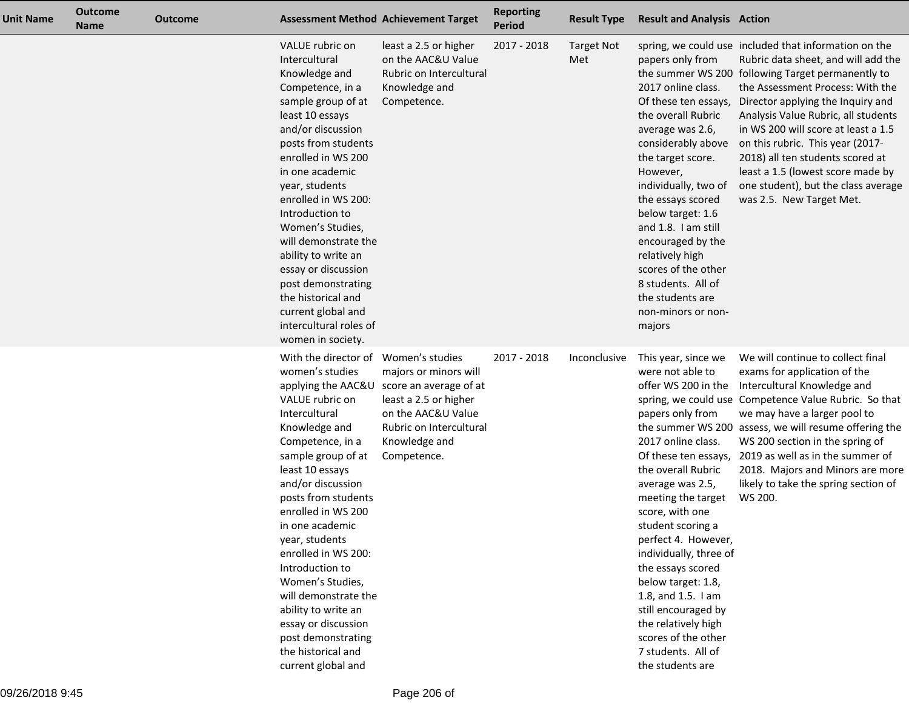| <b>Unit Name</b> | Outcome<br><b>Name</b> | <b>Outcome</b> |                                                                                                                                                                                                                                                                                                                                                                                                                                                                            | <b>Assessment Method Achievement Target</b>                                                                                                                                                     | <b>Reporting</b><br><b>Period</b> | <b>Result Type</b>       | <b>Result and Analysis Action</b>                                                                                                                                                                                                                                                                                                                                                                                                                 |                                                                                                                                                                                                                                                                                                                                                                                                                                                                                          |
|------------------|------------------------|----------------|----------------------------------------------------------------------------------------------------------------------------------------------------------------------------------------------------------------------------------------------------------------------------------------------------------------------------------------------------------------------------------------------------------------------------------------------------------------------------|-------------------------------------------------------------------------------------------------------------------------------------------------------------------------------------------------|-----------------------------------|--------------------------|---------------------------------------------------------------------------------------------------------------------------------------------------------------------------------------------------------------------------------------------------------------------------------------------------------------------------------------------------------------------------------------------------------------------------------------------------|------------------------------------------------------------------------------------------------------------------------------------------------------------------------------------------------------------------------------------------------------------------------------------------------------------------------------------------------------------------------------------------------------------------------------------------------------------------------------------------|
|                  |                        |                | VALUE rubric on<br>Intercultural<br>Knowledge and<br>Competence, in a<br>sample group of at<br>least 10 essays<br>and/or discussion<br>posts from students<br>enrolled in WS 200<br>in one academic<br>year, students<br>enrolled in WS 200:<br>Introduction to<br>Women's Studies,<br>will demonstrate the<br>ability to write an<br>essay or discussion<br>post demonstrating<br>the historical and<br>current global and<br>intercultural roles of<br>women in society. | least a 2.5 or higher<br>on the AAC&U Value<br>Rubric on Intercultural<br>Knowledge and<br>Competence.                                                                                          | 2017 - 2018                       | <b>Target Not</b><br>Met | papers only from<br>2017 online class.<br>Of these ten essays,<br>the overall Rubric<br>average was 2.6,<br>considerably above<br>the target score.<br>However,<br>individually, two of<br>the essays scored<br>below target: 1.6<br>and 1.8. I am still<br>encouraged by the<br>relatively high<br>scores of the other<br>8 students. All of<br>the students are<br>non-minors or non-<br>majors                                                 | spring, we could use included that information on the<br>Rubric data sheet, and will add the<br>the summer WS 200 following Target permanently to<br>the Assessment Process: With the<br>Director applying the Inquiry and<br>Analysis Value Rubric, all students<br>in WS 200 will score at least a 1.5<br>on this rubric. This year (2017-<br>2018) all ten students scored at<br>least a 1.5 (lowest score made by<br>one student), but the class average<br>was 2.5. New Target Met. |
|                  |                        |                | With the director of<br>women's studies<br>VALUE rubric on<br>Intercultural<br>Knowledge and<br>Competence, in a<br>sample group of at<br>least 10 essays<br>and/or discussion<br>posts from students<br>enrolled in WS 200<br>in one academic<br>year, students<br>enrolled in WS 200:<br>Introduction to<br>Women's Studies,<br>will demonstrate the<br>ability to write an<br>essay or discussion<br>post demonstrating<br>the historical and<br>current global and     | Women's studies<br>majors or minors will<br>applying the AAC&U score an average of at<br>least a 2.5 or higher<br>on the AAC&U Value<br>Rubric on Intercultural<br>Knowledge and<br>Competence. | 2017 - 2018                       | Inconclusive             | This year, since we<br>were not able to<br>offer WS 200 in the<br>papers only from<br>2017 online class.<br>the overall Rubric<br>average was 2.5,<br>meeting the target<br>score, with one<br>student scoring a<br>perfect 4. However,<br>individually, three of<br>the essays scored<br>below target: 1.8,<br>1.8, and 1.5. I am<br>still encouraged by<br>the relatively high<br>scores of the other<br>7 students. All of<br>the students are | We will continue to collect final<br>exams for application of the<br>Intercultural Knowledge and<br>spring, we could use Competence Value Rubric. So that<br>we may have a larger pool to<br>the summer WS 200 assess, we will resume offering the<br>WS 200 section in the spring of<br>Of these ten essays, 2019 as well as in the summer of<br>2018. Majors and Minors are more<br>likely to take the spring section of<br>WS 200.                                                    |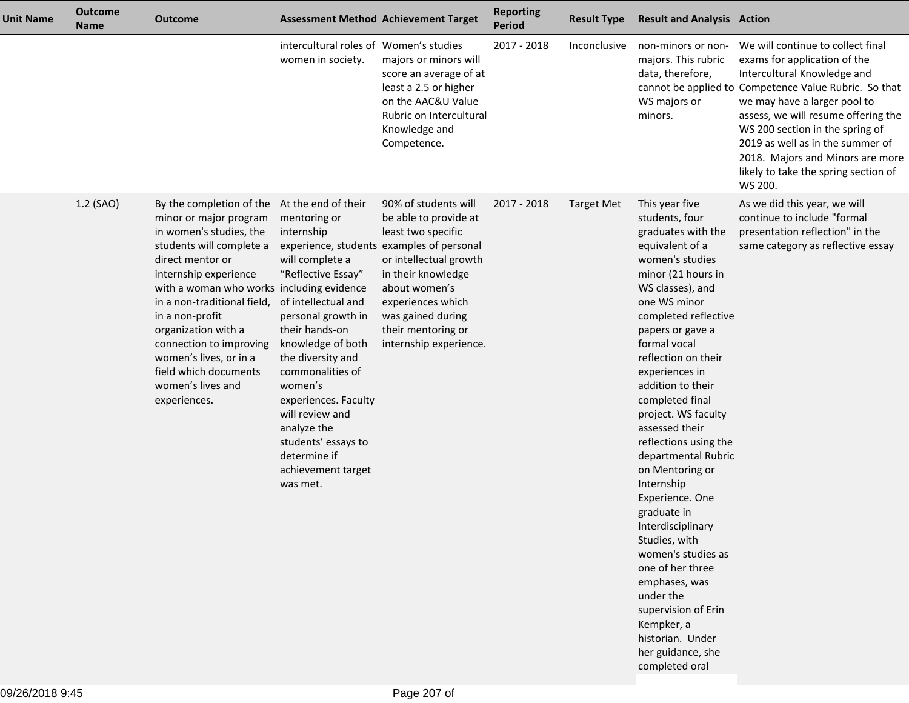| <b>Unit Name</b> | <b>Outcome</b><br><b>Name</b> | Outcome                                                                                                                                                                                                                                                                                                                                                                                         |                                                                                                                                                                                                                                                                                                                                                                       | <b>Assessment Method Achievement Target</b>                                                                                                                                                                                                                                 | <b>Reporting</b><br><b>Period</b> | <b>Result Type</b> | <b>Result and Analysis Action</b>                                                                                                                                                                                                                                                                                                                                                                                                                                                                                                                                                                                                                                             |                                                                                                                                                                                                                                                                                                                                                                                                |
|------------------|-------------------------------|-------------------------------------------------------------------------------------------------------------------------------------------------------------------------------------------------------------------------------------------------------------------------------------------------------------------------------------------------------------------------------------------------|-----------------------------------------------------------------------------------------------------------------------------------------------------------------------------------------------------------------------------------------------------------------------------------------------------------------------------------------------------------------------|-----------------------------------------------------------------------------------------------------------------------------------------------------------------------------------------------------------------------------------------------------------------------------|-----------------------------------|--------------------|-------------------------------------------------------------------------------------------------------------------------------------------------------------------------------------------------------------------------------------------------------------------------------------------------------------------------------------------------------------------------------------------------------------------------------------------------------------------------------------------------------------------------------------------------------------------------------------------------------------------------------------------------------------------------------|------------------------------------------------------------------------------------------------------------------------------------------------------------------------------------------------------------------------------------------------------------------------------------------------------------------------------------------------------------------------------------------------|
|                  |                               |                                                                                                                                                                                                                                                                                                                                                                                                 | intercultural roles of Women's studies<br>women in society.                                                                                                                                                                                                                                                                                                           | majors or minors will<br>score an average of at<br>least a 2.5 or higher<br>on the AAC&U Value<br>Rubric on Intercultural<br>Knowledge and<br>Competence.                                                                                                                   | 2017 - 2018                       | Inconclusive       | non-minors or non-<br>majors. This rubric<br>data, therefore,<br>WS majors or<br>minors.                                                                                                                                                                                                                                                                                                                                                                                                                                                                                                                                                                                      | We will continue to collect final<br>exams for application of the<br>Intercultural Knowledge and<br>cannot be applied to Competence Value Rubric. So that<br>we may have a larger pool to<br>assess, we will resume offering the<br>WS 200 section in the spring of<br>2019 as well as in the summer of<br>2018. Majors and Minors are more<br>likely to take the spring section of<br>WS 200. |
|                  | 1.2 (SAO)                     | By the completion of the<br>minor or major program<br>in women's studies, the<br>students will complete a<br>direct mentor or<br>internship experience<br>with a woman who works including evidence<br>in a non-traditional field,<br>in a non-profit<br>organization with a<br>connection to improving<br>women's lives, or in a<br>field which documents<br>women's lives and<br>experiences. | At the end of their<br>mentoring or<br>internship<br>will complete a<br>"Reflective Essay"<br>of intellectual and<br>personal growth in<br>their hands-on<br>knowledge of both<br>the diversity and<br>commonalities of<br>women's<br>experiences. Faculty<br>will review and<br>analyze the<br>students' essays to<br>determine if<br>achievement target<br>was met. | 90% of students will<br>be able to provide at<br>least two specific<br>experience, students examples of personal<br>or intellectual growth<br>in their knowledge<br>about women's<br>experiences which<br>was gained during<br>their mentoring or<br>internship experience. | 2017 - 2018                       | <b>Target Met</b>  | This year five<br>students, four<br>graduates with the<br>equivalent of a<br>women's studies<br>minor (21 hours in<br>WS classes), and<br>one WS minor<br>completed reflective<br>papers or gave a<br>formal vocal<br>reflection on their<br>experiences in<br>addition to their<br>completed final<br>project. WS faculty<br>assessed their<br>reflections using the<br>departmental Rubric<br>on Mentoring or<br>Internship<br>Experience. One<br>graduate in<br>Interdisciplinary<br>Studies, with<br>women's studies as<br>one of her three<br>emphases, was<br>under the<br>supervision of Erin<br>Kempker, a<br>historian. Under<br>her guidance, she<br>completed oral | As we did this year, we will<br>continue to include "formal<br>presentation reflection" in the<br>same category as reflective essay                                                                                                                                                                                                                                                            |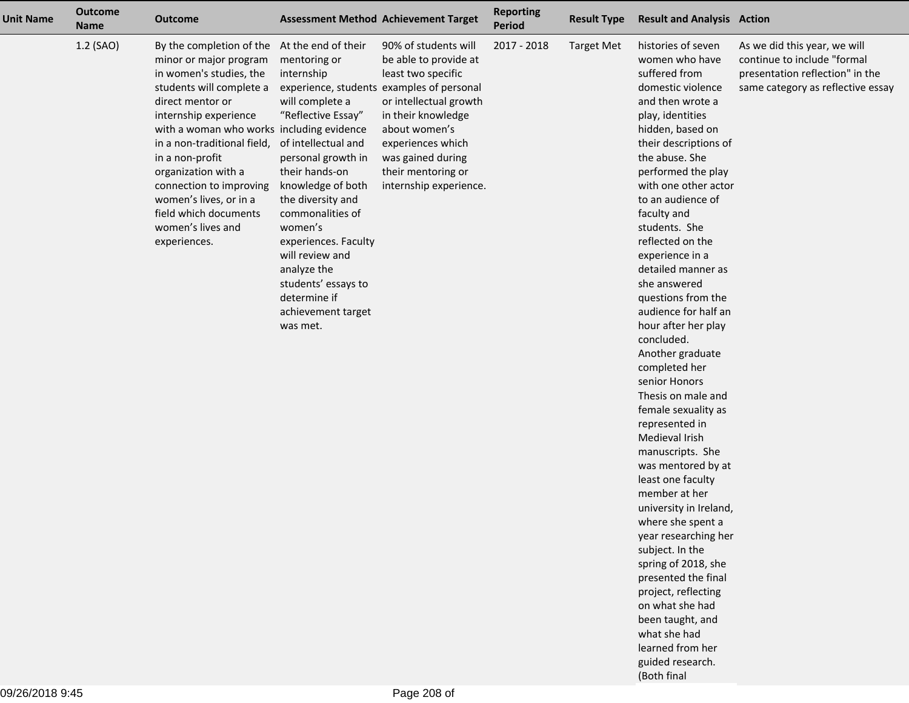| <b>Unit Name</b> | <b>Outcome</b><br><b>Name</b> | <b>Outcome</b>                                                                                                                                                                                                                                                                                                                                                                                                      |                                                                                                                                                                                                                                                                                                                                                | <b>Assessment Method Achievement Target</b>                                                                                                                                                                                                                                 | <b>Reporting</b><br><b>Period</b> | <b>Result Type</b> | <b>Result and Analysis Action</b>                                                                                                                                                                                                                                                                                                                                                                                                                                                                                                                                                                                                                                                                                                                                                                                                                                                                                                         |                                                                                                                                     |
|------------------|-------------------------------|---------------------------------------------------------------------------------------------------------------------------------------------------------------------------------------------------------------------------------------------------------------------------------------------------------------------------------------------------------------------------------------------------------------------|------------------------------------------------------------------------------------------------------------------------------------------------------------------------------------------------------------------------------------------------------------------------------------------------------------------------------------------------|-----------------------------------------------------------------------------------------------------------------------------------------------------------------------------------------------------------------------------------------------------------------------------|-----------------------------------|--------------------|-------------------------------------------------------------------------------------------------------------------------------------------------------------------------------------------------------------------------------------------------------------------------------------------------------------------------------------------------------------------------------------------------------------------------------------------------------------------------------------------------------------------------------------------------------------------------------------------------------------------------------------------------------------------------------------------------------------------------------------------------------------------------------------------------------------------------------------------------------------------------------------------------------------------------------------------|-------------------------------------------------------------------------------------------------------------------------------------|
|                  | 1.2 (SAO)                     | By the completion of the At the end of their<br>minor or major program<br>in women's studies, the<br>students will complete a<br>direct mentor or<br>internship experience<br>with a woman who works including evidence<br>in a non-traditional field,<br>in a non-profit<br>organization with a<br>connection to improving<br>women's lives, or in a<br>field which documents<br>women's lives and<br>experiences. | mentoring or<br>internship<br>will complete a<br>"Reflective Essay"<br>of intellectual and<br>personal growth in<br>their hands-on<br>knowledge of both<br>the diversity and<br>commonalities of<br>women's<br>experiences. Faculty<br>will review and<br>analyze the<br>students' essays to<br>determine if<br>achievement target<br>was met. | 90% of students will<br>be able to provide at<br>least two specific<br>experience, students examples of personal<br>or intellectual growth<br>in their knowledge<br>about women's<br>experiences which<br>was gained during<br>their mentoring or<br>internship experience. | 2017 - 2018                       | <b>Target Met</b>  | histories of seven<br>women who have<br>suffered from<br>domestic violence<br>and then wrote a<br>play, identities<br>hidden, based on<br>their descriptions of<br>the abuse. She<br>performed the play<br>with one other actor<br>to an audience of<br>faculty and<br>students. She<br>reflected on the<br>experience in a<br>detailed manner as<br>she answered<br>questions from the<br>audience for half an<br>hour after her play<br>concluded.<br>Another graduate<br>completed her<br>senior Honors<br>Thesis on male and<br>female sexuality as<br>represented in<br>Medieval Irish<br>manuscripts. She<br>was mentored by at<br>least one faculty<br>member at her<br>university in Ireland,<br>where she spent a<br>year researching her<br>subject. In the<br>spring of 2018, she<br>presented the final<br>project, reflecting<br>on what she had<br>been taught, and<br>what she had<br>learned from her<br>guided research. | As we did this year, we will<br>continue to include "formal<br>presentation reflection" in the<br>same category as reflective essay |

(Both final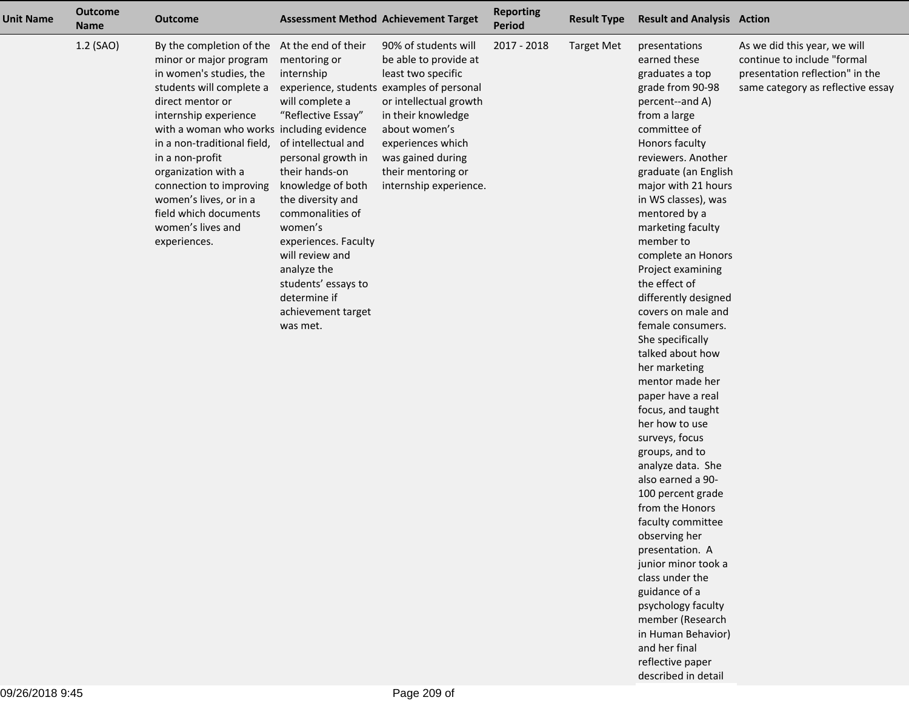| <b>Unit Name</b> | <b>Outcome</b><br><b>Name</b> | <b>Outcome</b>                                                                                                                                                                                                                                                                                                                                                                                                      |                                                                                                                                                                                                                                                                                                                                                | <b>Assessment Method Achievement Target</b>                                                                                                                                                                                                                                 | <b>Reporting</b><br>Period | <b>Result Type</b> | <b>Result and Analysis Action</b>                                                                                                                                                                                                                                                                                                                                                                                                                                                                                                                                                                                                                                                                                                                                                                                                                                                                              |                                                                                                                                     |
|------------------|-------------------------------|---------------------------------------------------------------------------------------------------------------------------------------------------------------------------------------------------------------------------------------------------------------------------------------------------------------------------------------------------------------------------------------------------------------------|------------------------------------------------------------------------------------------------------------------------------------------------------------------------------------------------------------------------------------------------------------------------------------------------------------------------------------------------|-----------------------------------------------------------------------------------------------------------------------------------------------------------------------------------------------------------------------------------------------------------------------------|----------------------------|--------------------|----------------------------------------------------------------------------------------------------------------------------------------------------------------------------------------------------------------------------------------------------------------------------------------------------------------------------------------------------------------------------------------------------------------------------------------------------------------------------------------------------------------------------------------------------------------------------------------------------------------------------------------------------------------------------------------------------------------------------------------------------------------------------------------------------------------------------------------------------------------------------------------------------------------|-------------------------------------------------------------------------------------------------------------------------------------|
|                  | 1.2 (SAO)                     | By the completion of the At the end of their<br>minor or major program<br>in women's studies, the<br>students will complete a<br>direct mentor or<br>internship experience<br>with a woman who works including evidence<br>in a non-traditional field,<br>in a non-profit<br>organization with a<br>connection to improving<br>women's lives, or in a<br>field which documents<br>women's lives and<br>experiences. | mentoring or<br>internship<br>will complete a<br>"Reflective Essay"<br>of intellectual and<br>personal growth in<br>their hands-on<br>knowledge of both<br>the diversity and<br>commonalities of<br>women's<br>experiences. Faculty<br>will review and<br>analyze the<br>students' essays to<br>determine if<br>achievement target<br>was met. | 90% of students will<br>be able to provide at<br>least two specific<br>experience, students examples of personal<br>or intellectual growth<br>in their knowledge<br>about women's<br>experiences which<br>was gained during<br>their mentoring or<br>internship experience. | 2017 - 2018                | <b>Target Met</b>  | presentations<br>earned these<br>graduates a top<br>grade from 90-98<br>percent--and A)<br>from a large<br>committee of<br>Honors faculty<br>reviewers. Another<br>graduate (an English<br>major with 21 hours<br>in WS classes), was<br>mentored by a<br>marketing faculty<br>member to<br>complete an Honors<br>Project examining<br>the effect of<br>differently designed<br>covers on male and<br>female consumers.<br>She specifically<br>talked about how<br>her marketing<br>mentor made her<br>paper have a real<br>focus, and taught<br>her how to use<br>surveys, focus<br>groups, and to<br>analyze data. She<br>also earned a 90-<br>100 percent grade<br>from the Honors<br>faculty committee<br>observing her<br>presentation. A<br>junior minor took a<br>class under the<br>guidance of a<br>psychology faculty<br>member (Research<br>in Human Behavior)<br>and her final<br>reflective paper | As we did this year, we will<br>continue to include "formal<br>presentation reflection" in the<br>same category as reflective essay |

described in detail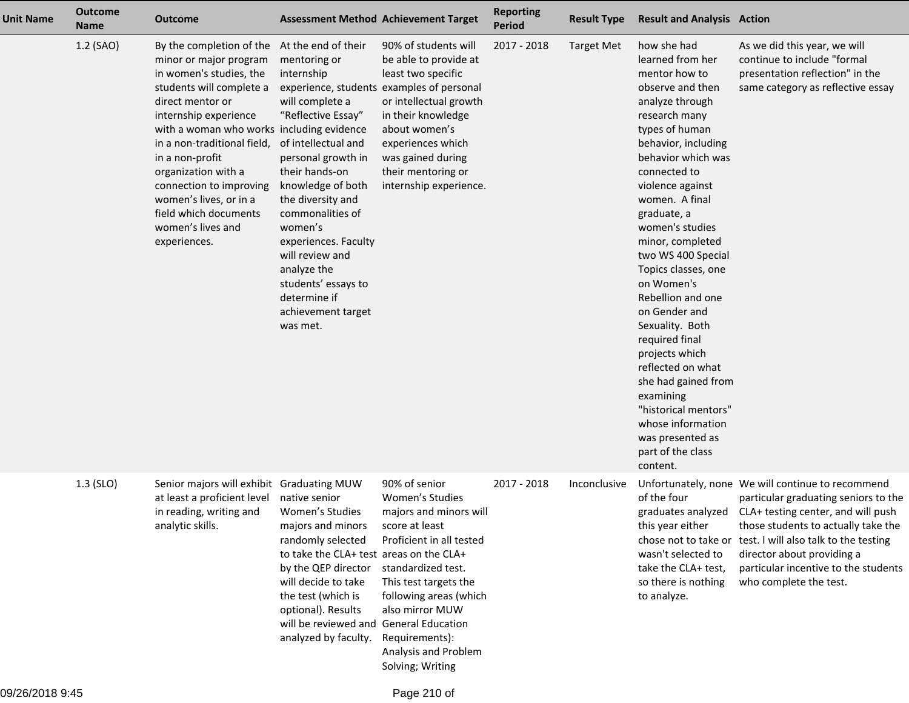| <b>Unit Name</b> | <b>Outcome</b><br><b>Name</b> | <b>Outcome</b>                                                                                                                                                                                                                                                                                                                                                                                                      |                                                                                                                                                                                                                                                                                                                                                | <b>Assessment Method Achievement Target</b>                                                                                                                                                                                                                                                    | <b>Reporting</b><br><b>Period</b> | <b>Result Type</b> | <b>Result and Analysis Action</b>                                                                                                                                                                                                                                                                                                                                                                                                                                                                                                                                                                      |                                                                                                                                                                                                                                                                                                                                                         |
|------------------|-------------------------------|---------------------------------------------------------------------------------------------------------------------------------------------------------------------------------------------------------------------------------------------------------------------------------------------------------------------------------------------------------------------------------------------------------------------|------------------------------------------------------------------------------------------------------------------------------------------------------------------------------------------------------------------------------------------------------------------------------------------------------------------------------------------------|------------------------------------------------------------------------------------------------------------------------------------------------------------------------------------------------------------------------------------------------------------------------------------------------|-----------------------------------|--------------------|--------------------------------------------------------------------------------------------------------------------------------------------------------------------------------------------------------------------------------------------------------------------------------------------------------------------------------------------------------------------------------------------------------------------------------------------------------------------------------------------------------------------------------------------------------------------------------------------------------|---------------------------------------------------------------------------------------------------------------------------------------------------------------------------------------------------------------------------------------------------------------------------------------------------------------------------------------------------------|
|                  | 1.2 (SAO)                     | By the completion of the At the end of their<br>minor or major program<br>in women's studies, the<br>students will complete a<br>direct mentor or<br>internship experience<br>with a woman who works including evidence<br>in a non-traditional field,<br>in a non-profit<br>organization with a<br>connection to improving<br>women's lives, or in a<br>field which documents<br>women's lives and<br>experiences. | mentoring or<br>internship<br>will complete a<br>"Reflective Essay"<br>of intellectual and<br>personal growth in<br>their hands-on<br>knowledge of both<br>the diversity and<br>commonalities of<br>women's<br>experiences. Faculty<br>will review and<br>analyze the<br>students' essays to<br>determine if<br>achievement target<br>was met. | 90% of students will<br>be able to provide at<br>least two specific<br>experience, students examples of personal<br>or intellectual growth<br>in their knowledge<br>about women's<br>experiences which<br>was gained during<br>their mentoring or<br>internship experience.                    | 2017 - 2018                       | <b>Target Met</b>  | how she had<br>learned from her<br>mentor how to<br>observe and then<br>analyze through<br>research many<br>types of human<br>behavior, including<br>behavior which was<br>connected to<br>violence against<br>women. A final<br>graduate, a<br>women's studies<br>minor, completed<br>two WS 400 Special<br>Topics classes, one<br>on Women's<br>Rebellion and one<br>on Gender and<br>Sexuality. Both<br>required final<br>projects which<br>reflected on what<br>she had gained from<br>examining<br>"historical mentors"<br>whose information<br>was presented as<br>part of the class<br>content. | As we did this year, we will<br>continue to include "formal<br>presentation reflection" in the<br>same category as reflective essay                                                                                                                                                                                                                     |
|                  | $1.3$ (SLO)                   | Senior majors will exhibit Graduating MUW<br>at least a proficient level<br>in reading, writing and<br>analytic skills.                                                                                                                                                                                                                                                                                             | native senior<br>Women's Studies<br>majors and minors<br>randomly selected<br>to take the CLA+ test areas on the CLA+<br>by the QEP director<br>will decide to take<br>the test (which is<br>optional). Results<br>will be reviewed and<br>analyzed by faculty.                                                                                | 90% of senior<br>Women's Studies<br>majors and minors will<br>score at least<br>Proficient in all tested<br>standardized test.<br>This test targets the<br>following areas (which<br>also mirror MUW<br><b>General Education</b><br>Requirements):<br>Analysis and Problem<br>Solving; Writing | 2017 - 2018                       | Inconclusive       | of the four<br>this year either<br>wasn't selected to<br>take the CLA+ test,<br>so there is nothing<br>to analyze.                                                                                                                                                                                                                                                                                                                                                                                                                                                                                     | Unfortunately, none We will continue to recommend<br>particular graduating seniors to the<br>graduates analyzed CLA+ testing center, and will push<br>those students to actually take the<br>chose not to take or test. I will also talk to the testing<br>director about providing a<br>particular incentive to the students<br>who complete the test. |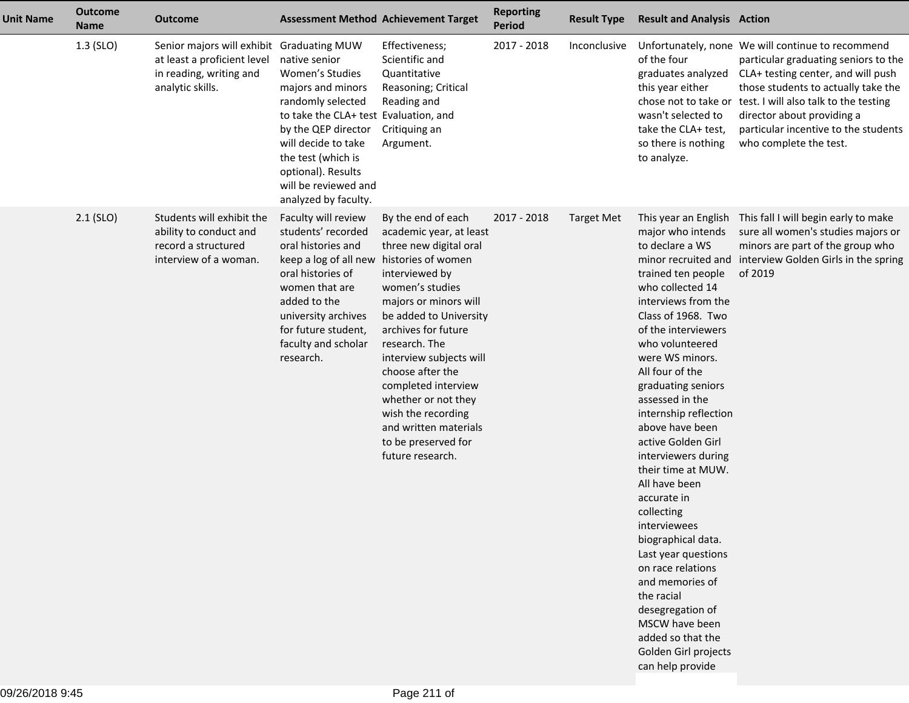| <b>Unit Name</b> | <b>Outcome</b><br><b>Name</b> | <b>Outcome</b>                                                                                                          |                                                                                                                                                                                                                                                               | <b>Assessment Method Achievement Target</b>                                                                                                                                                                                                                                                                                                                                                                          | <b>Reporting</b><br>Period | <b>Result Type</b> | <b>Result and Analysis Action</b>                                                                                                                                                                                                                                                                                                                                                                                                                                                                                                                                                                                                           |                                                                                                                                                                                                                                                                                                                                      |
|------------------|-------------------------------|-------------------------------------------------------------------------------------------------------------------------|---------------------------------------------------------------------------------------------------------------------------------------------------------------------------------------------------------------------------------------------------------------|----------------------------------------------------------------------------------------------------------------------------------------------------------------------------------------------------------------------------------------------------------------------------------------------------------------------------------------------------------------------------------------------------------------------|----------------------------|--------------------|---------------------------------------------------------------------------------------------------------------------------------------------------------------------------------------------------------------------------------------------------------------------------------------------------------------------------------------------------------------------------------------------------------------------------------------------------------------------------------------------------------------------------------------------------------------------------------------------------------------------------------------------|--------------------------------------------------------------------------------------------------------------------------------------------------------------------------------------------------------------------------------------------------------------------------------------------------------------------------------------|
|                  | 1.3 (SLO)                     | Senior majors will exhibit Graduating MUW<br>at least a proficient level<br>in reading, writing and<br>analytic skills. | native senior<br>Women's Studies<br>majors and minors<br>randomly selected<br>to take the CLA+ test Evaluation, and<br>by the QEP director<br>will decide to take<br>the test (which is<br>optional). Results<br>will be reviewed and<br>analyzed by faculty. | Effectiveness;<br>Scientific and<br>Quantitative<br>Reasoning; Critical<br>Reading and<br>Critiquing an<br>Argument.                                                                                                                                                                                                                                                                                                 | 2017 - 2018                | Inconclusive       | of the four<br>graduates analyzed<br>this year either<br>wasn't selected to<br>take the CLA+ test,<br>so there is nothing<br>to analyze.                                                                                                                                                                                                                                                                                                                                                                                                                                                                                                    | Unfortunately, none We will continue to recommend<br>particular graduating seniors to the<br>CLA+ testing center, and will push<br>those students to actually take the<br>chose not to take or test. I will also talk to the testing<br>director about providing a<br>particular incentive to the students<br>who complete the test. |
|                  | $2.1$ (SLO)                   | Students will exhibit the<br>ability to conduct and<br>record a structured<br>interview of a woman.                     | Faculty will review<br>students' recorded<br>oral histories and<br>keep a log of all new<br>oral histories of<br>women that are<br>added to the<br>university archives<br>for future student,<br>faculty and scholar<br>research.                             | By the end of each<br>academic year, at least<br>three new digital oral<br>histories of women<br>interviewed by<br>women's studies<br>majors or minors will<br>be added to University<br>archives for future<br>research. The<br>interview subjects will<br>choose after the<br>completed interview<br>whether or not they<br>wish the recording<br>and written materials<br>to be preserved for<br>future research. | 2017 - 2018                | <b>Target Met</b>  | major who intends<br>to declare a WS<br>trained ten people<br>who collected 14<br>interviews from the<br>Class of 1968. Two<br>of the interviewers<br>who volunteered<br>were WS minors.<br>All four of the<br>graduating seniors<br>assessed in the<br>internship reflection<br>above have been<br>active Golden Girl<br>interviewers during<br>their time at MUW.<br>All have been<br>accurate in<br>collecting<br>interviewees<br>biographical data.<br>Last year questions<br>on race relations<br>and memories of<br>the racial<br>desegregation of<br>MSCW have been<br>added so that the<br>Golden Girl projects<br>can help provide | This year an English This fall I will begin early to make<br>sure all women's studies majors or<br>minors are part of the group who<br>minor recruited and interview Golden Girls in the spring<br>of 2019                                                                                                                           |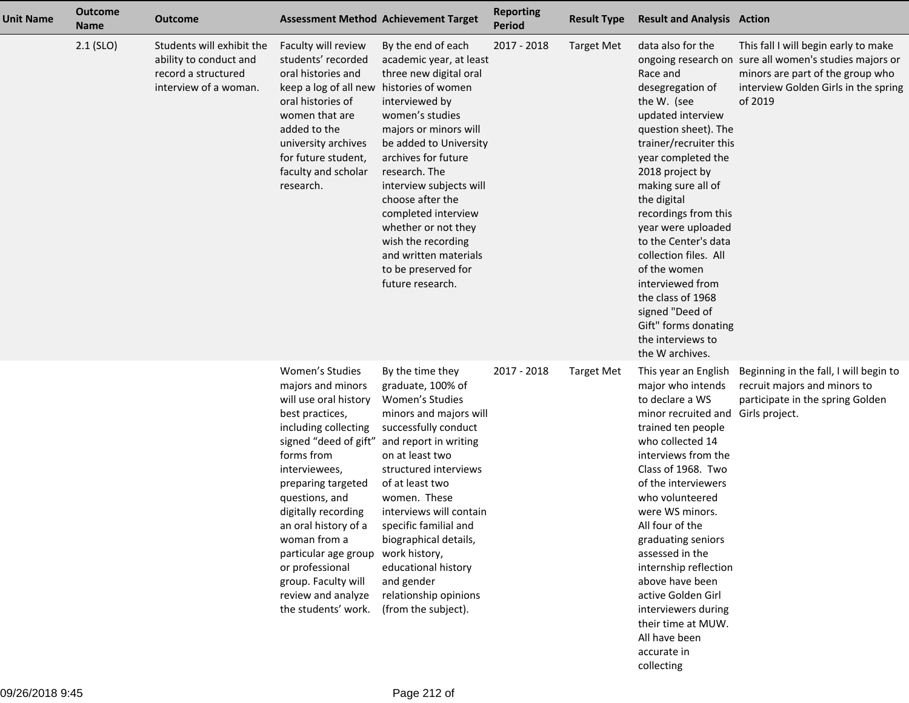| <b>Unit Name</b> | <b>Outcome</b><br><b>Name</b> | <b>Outcome</b>                                                                                      |                                                                                                                                                                                                                                                                                                                                                                                                                            | <b>Assessment Method Achievement Target</b>                                                                                                                                                                                                                                                                                                                                                    | <b>Reporting</b><br><b>Period</b> | <b>Result Type</b> | <b>Result and Analysis Action</b>                                                                                                                                                                                                                                                                                                                                                                                                                                               |                                                                                                                                                                                       |
|------------------|-------------------------------|-----------------------------------------------------------------------------------------------------|----------------------------------------------------------------------------------------------------------------------------------------------------------------------------------------------------------------------------------------------------------------------------------------------------------------------------------------------------------------------------------------------------------------------------|------------------------------------------------------------------------------------------------------------------------------------------------------------------------------------------------------------------------------------------------------------------------------------------------------------------------------------------------------------------------------------------------|-----------------------------------|--------------------|---------------------------------------------------------------------------------------------------------------------------------------------------------------------------------------------------------------------------------------------------------------------------------------------------------------------------------------------------------------------------------------------------------------------------------------------------------------------------------|---------------------------------------------------------------------------------------------------------------------------------------------------------------------------------------|
|                  | $2.1$ (SLO)                   | Students will exhibit the<br>ability to conduct and<br>record a structured<br>interview of a woman. | Faculty will review<br>students' recorded<br>oral histories and<br>keep a log of all new histories of women<br>oral histories of<br>women that are<br>added to the<br>university archives<br>for future student,<br>faculty and scholar<br>research.                                                                                                                                                                       | By the end of each<br>academic year, at least<br>three new digital oral<br>interviewed by<br>women's studies<br>majors or minors will<br>be added to University<br>archives for future<br>research. The<br>interview subjects will<br>choose after the<br>completed interview<br>whether or not they<br>wish the recording<br>and written materials<br>to be preserved for<br>future research. | 2017 - 2018                       | <b>Target Met</b>  | data also for the<br>Race and<br>desegregation of<br>the W. (see<br>updated interview<br>question sheet). The<br>trainer/recruiter this<br>year completed the<br>2018 project by<br>making sure all of<br>the digital<br>recordings from this<br>year were uploaded<br>to the Center's data<br>collection files. All<br>of the women<br>interviewed from<br>the class of 1968<br>signed "Deed of<br>Gift" forms donating<br>the interviews to<br>the W archives.                | This fall I will begin early to make<br>ongoing research on sure all women's studies majors or<br>minors are part of the group who<br>interview Golden Girls in the spring<br>of 2019 |
|                  |                               |                                                                                                     | Women's Studies<br>majors and minors<br>will use oral history<br>best practices,<br>including collecting<br>signed "deed of gift" and report in writing<br>forms from<br>interviewees,<br>preparing targeted<br>questions, and<br>digitally recording<br>an oral history of a<br>woman from a<br>particular age group work history,<br>or professional<br>group. Faculty will<br>review and analyze<br>the students' work. | By the time they<br>graduate, 100% of<br>Women's Studies<br>minors and majors will<br>successfully conduct<br>on at least two<br>structured interviews<br>of at least two<br>women. These<br>interviews will contain<br>specific familial and<br>biographical details,<br>educational history<br>and gender<br>relationship opinions<br>(from the subject).                                    | 2017 - 2018                       | <b>Target Met</b>  | This year an English<br>major who intends<br>to declare a WS<br>minor recruited and Girls project.<br>trained ten people<br>who collected 14<br>interviews from the<br>Class of 1968. Two<br>of the interviewers<br>who volunteered<br>were WS minors.<br>All four of the<br>graduating seniors<br>assessed in the<br>internship reflection<br>above have been<br>active Golden Girl<br>interviewers during<br>their time at MUW.<br>All have been<br>accurate in<br>collecting | Beginning in the fall, I will begin to<br>recruit majors and minors to<br>participate in the spring Golden                                                                            |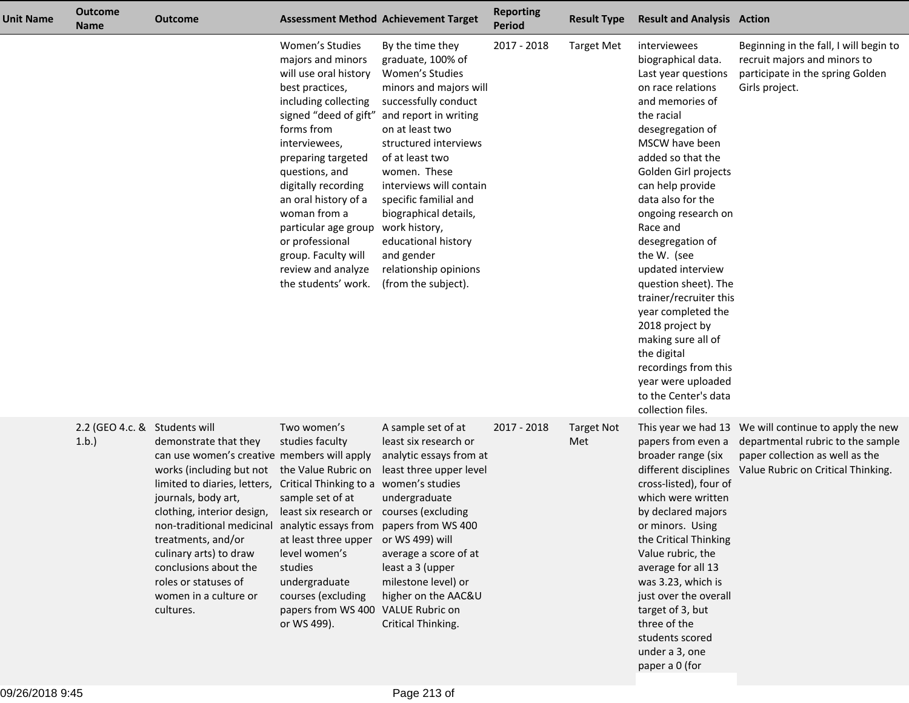| <b>Unit Name</b> | <b>Outcome</b><br><b>Name</b>         | <b>Outcome</b>                                                                                                                                                                                                                                                                                                                                                                                    |                                                                                                                                                                                                                                                                                                                                                               | <b>Assessment Method Achievement Target</b>                                                                                                                                                                                                                                                                                                                                                                                 | <b>Reporting</b><br><b>Period</b> | <b>Result Type</b>       | <b>Result and Analysis Action</b>                                                                                                                                                                                                                                                                                                                                                                                                                                                                                                                                 |                                                                                                                                                                     |
|------------------|---------------------------------------|---------------------------------------------------------------------------------------------------------------------------------------------------------------------------------------------------------------------------------------------------------------------------------------------------------------------------------------------------------------------------------------------------|---------------------------------------------------------------------------------------------------------------------------------------------------------------------------------------------------------------------------------------------------------------------------------------------------------------------------------------------------------------|-----------------------------------------------------------------------------------------------------------------------------------------------------------------------------------------------------------------------------------------------------------------------------------------------------------------------------------------------------------------------------------------------------------------------------|-----------------------------------|--------------------------|-------------------------------------------------------------------------------------------------------------------------------------------------------------------------------------------------------------------------------------------------------------------------------------------------------------------------------------------------------------------------------------------------------------------------------------------------------------------------------------------------------------------------------------------------------------------|---------------------------------------------------------------------------------------------------------------------------------------------------------------------|
|                  |                                       |                                                                                                                                                                                                                                                                                                                                                                                                   | Women's Studies<br>majors and minors<br>will use oral history<br>best practices,<br>including collecting<br>forms from<br>interviewees,<br>preparing targeted<br>questions, and<br>digitally recording<br>an oral history of a<br>woman from a<br>particular age group<br>or professional<br>group. Faculty will<br>review and analyze<br>the students' work. | By the time they<br>graduate, 100% of<br>Women's Studies<br>minors and majors will<br>successfully conduct<br>signed "deed of gift" and report in writing<br>on at least two<br>structured interviews<br>of at least two<br>women. These<br>interviews will contain<br>specific familial and<br>biographical details,<br>work history,<br>educational history<br>and gender<br>relationship opinions<br>(from the subject). | 2017 - 2018                       | <b>Target Met</b>        | interviewees<br>biographical data.<br>Last year questions<br>on race relations<br>and memories of<br>the racial<br>desegregation of<br>MSCW have been<br>added so that the<br>Golden Girl projects<br>can help provide<br>data also for the<br>ongoing research on<br>Race and<br>desegregation of<br>the W. (see<br>updated interview<br>question sheet). The<br>trainer/recruiter this<br>year completed the<br>2018 project by<br>making sure all of<br>the digital<br>recordings from this<br>year were uploaded<br>to the Center's data<br>collection files. | Beginning in the fall, I will begin to<br>recruit majors and minors to<br>participate in the spring Golden<br>Girls project.                                        |
|                  | 2.2 (GEO 4.c. & Students will<br>1.b. | demonstrate that they<br>can use women's creative members will apply<br>works (including but not<br>limited to diaries, letters,<br>journals, body art,<br>clothing, interior design,<br>non-traditional medicinal analytic essays from papers from WS 400<br>treatments, and/or<br>culinary arts) to draw<br>conclusions about the<br>roles or statuses of<br>women in a culture or<br>cultures. | Two women's<br>studies faculty<br>the Value Rubric on<br>Critical Thinking to a women's studies<br>sample set of at<br>least six research or courses (excluding<br>at least three upper or WS 499) will<br>level women's<br>studies<br>undergraduate<br>courses (excluding<br>papers from WS 400 VALUE Rubric on<br>or WS 499).                               | A sample set of at<br>least six research or<br>analytic essays from at<br>least three upper level<br>undergraduate<br>average a score of at<br>least a 3 (upper<br>milestone level) or<br>higher on the AAC&U<br>Critical Thinking.                                                                                                                                                                                         | 2017 - 2018                       | <b>Target Not</b><br>Met | papers from even a<br>broader range (six<br>different disciplines<br>cross-listed), four of<br>which were written<br>by declared majors<br>or minors. Using<br>the Critical Thinking<br>Value rubric, the<br>average for all 13<br>was 3.23, which is<br>just over the overall<br>target of 3, but<br>three of the<br>students scored<br>under a 3, one<br>paper a 0 (for                                                                                                                                                                                         | This year we had 13 We will continue to apply the new<br>departmental rubric to the sample<br>paper collection as well as the<br>Value Rubric on Critical Thinking. |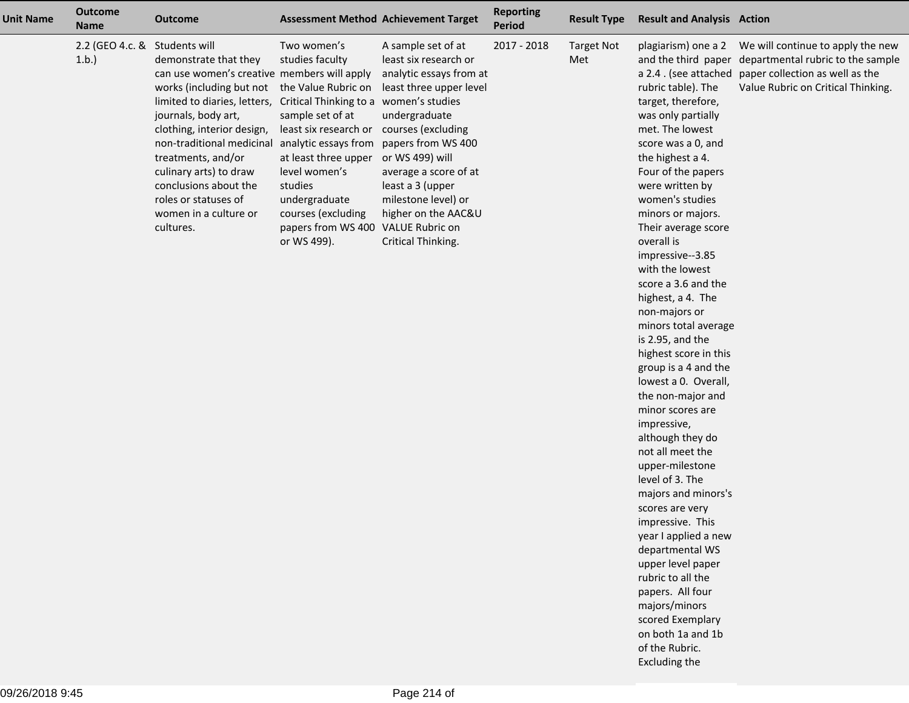| <b>Unit Name</b> | <b>Outcome</b><br><b>Name</b>         | <b>Outcome</b>                                                                                                                                                                                                                                                                                                                                            | <b>Assessment Method Achievement Target</b>                                                                                                                                                                                                                                                                                                                                |                                                                                                                                                                                                                                     | <b>Reporting</b><br><b>Period</b> | <b>Result Type</b>       | <b>Result and Analysis Action</b>                                                                                                                                                                                                                                                                                                                                                                                                                                                                                                                                                                                                                                                                                                                                                                                                                                                                                 |                                                                                                                                                                      |
|------------------|---------------------------------------|-----------------------------------------------------------------------------------------------------------------------------------------------------------------------------------------------------------------------------------------------------------------------------------------------------------------------------------------------------------|----------------------------------------------------------------------------------------------------------------------------------------------------------------------------------------------------------------------------------------------------------------------------------------------------------------------------------------------------------------------------|-------------------------------------------------------------------------------------------------------------------------------------------------------------------------------------------------------------------------------------|-----------------------------------|--------------------------|-------------------------------------------------------------------------------------------------------------------------------------------------------------------------------------------------------------------------------------------------------------------------------------------------------------------------------------------------------------------------------------------------------------------------------------------------------------------------------------------------------------------------------------------------------------------------------------------------------------------------------------------------------------------------------------------------------------------------------------------------------------------------------------------------------------------------------------------------------------------------------------------------------------------|----------------------------------------------------------------------------------------------------------------------------------------------------------------------|
|                  | 2.2 (GEO 4.c. & Students will<br>1.b. | demonstrate that they<br>can use women's creative members will apply<br>works (including but not<br>limited to diaries, letters,<br>journals, body art,<br>clothing, interior design,<br>non-traditional medicinal<br>treatments, and/or<br>culinary arts) to draw<br>conclusions about the<br>roles or statuses of<br>women in a culture or<br>cultures. | Two women's<br>studies faculty<br>the Value Rubric on<br>Critical Thinking to a women's studies<br>sample set of at<br>least six research or courses (excluding<br>analytic essays from papers from WS 400<br>at least three upper or WS 499) will<br>level women's<br>studies<br>undergraduate<br>courses (excluding<br>papers from WS 400 VALUE Rubric on<br>or WS 499). | A sample set of at<br>least six research or<br>analytic essays from at<br>least three upper level<br>undergraduate<br>average a score of at<br>least a 3 (upper<br>milestone level) or<br>higher on the AAC&U<br>Critical Thinking. | 2017 - 2018                       | <b>Target Not</b><br>Met | plagiarism) one a 2<br>and the third paper<br>rubric table). The<br>target, therefore,<br>was only partially<br>met. The lowest<br>score was a 0, and<br>the highest a 4.<br>Four of the papers<br>were written by<br>women's studies<br>minors or majors.<br>Their average score<br>overall is<br>impressive--3.85<br>with the lowest<br>score a 3.6 and the<br>highest, a 4. The<br>non-majors or<br>minors total average<br>is 2.95, and the<br>highest score in this<br>group is a 4 and the<br>lowest a 0. Overall,<br>the non-major and<br>minor scores are<br>impressive,<br>although they do<br>not all meet the<br>upper-milestone<br>level of 3. The<br>majors and minors's<br>scores are very<br>impressive. This<br>year I applied a new<br>departmental WS<br>upper level paper<br>rubric to all the<br>papers. All four<br>majors/minors<br>scored Exemplary<br>on both 1a and 1b<br>of the Rubric. | We will continue to apply the new<br>departmental rubric to the sample<br>a 2.4. (see attached paper collection as well as the<br>Value Rubric on Critical Thinking. |

Excluding the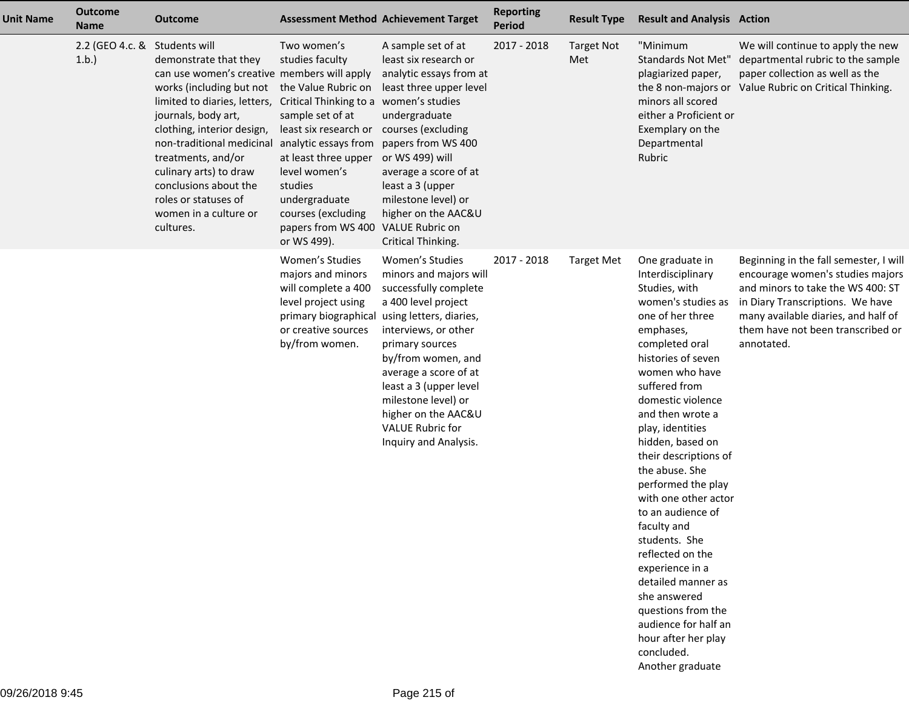| <b>Unit Name</b> | <b>Outcome</b><br><b>Name</b> | <b>Outcome</b>                                                                                                                                                                                                                                                                                                                                                             |                                                                                                                                                                                                                                                                                                                                         | <b>Assessment Method Achievement Target</b>                                                                                                                                                                                                                                                                     | <b>Reporting</b><br><b>Period</b> | <b>Result Type</b>       | <b>Result and Analysis Action</b>                                                                                                                                                                                                                                                                                                                                                                                                                                                                                                                                                                          |                                                                                                                                                                                                                                               |
|------------------|-------------------------------|----------------------------------------------------------------------------------------------------------------------------------------------------------------------------------------------------------------------------------------------------------------------------------------------------------------------------------------------------------------------------|-----------------------------------------------------------------------------------------------------------------------------------------------------------------------------------------------------------------------------------------------------------------------------------------------------------------------------------------|-----------------------------------------------------------------------------------------------------------------------------------------------------------------------------------------------------------------------------------------------------------------------------------------------------------------|-----------------------------------|--------------------------|------------------------------------------------------------------------------------------------------------------------------------------------------------------------------------------------------------------------------------------------------------------------------------------------------------------------------------------------------------------------------------------------------------------------------------------------------------------------------------------------------------------------------------------------------------------------------------------------------------|-----------------------------------------------------------------------------------------------------------------------------------------------------------------------------------------------------------------------------------------------|
|                  | 2.2 (GEO 4.c. &<br>1.b.       | Students will<br>demonstrate that they<br>can use women's creative members will apply<br>works (including but not<br>limited to diaries, letters,<br>journals, body art,<br>clothing, interior design,<br>non-traditional medicinal<br>treatments, and/or<br>culinary arts) to draw<br>conclusions about the<br>roles or statuses of<br>women in a culture or<br>cultures. | Two women's<br>studies faculty<br>the Value Rubric on<br>Critical Thinking to a women's studies<br>sample set of at<br>least six research or courses (excluding<br>analytic essays from<br>at least three upper<br>level women's<br>studies<br>undergraduate<br>courses (excluding<br>papers from WS 400 VALUE Rubric on<br>or WS 499). | A sample set of at<br>least six research or<br>analytic essays from at<br>least three upper level<br>undergraduate<br>papers from WS 400<br>or WS 499) will<br>average a score of at<br>least a 3 (upper<br>milestone level) or<br>higher on the AAC&U<br>Critical Thinking.                                    | 2017 - 2018                       | <b>Target Not</b><br>Met | "Minimum<br><b>Standards Not Met"</b><br>plagiarized paper,<br>minors all scored<br>either a Proficient or<br>Exemplary on the<br>Departmental<br>Rubric                                                                                                                                                                                                                                                                                                                                                                                                                                                   | We will continue to apply the new<br>departmental rubric to the sample<br>paper collection as well as the<br>the 8 non-majors or Value Rubric on Critical Thinking.                                                                           |
|                  |                               |                                                                                                                                                                                                                                                                                                                                                                            | Women's Studies<br>majors and minors<br>will complete a 400<br>level project using<br>primary biographical using letters, diaries,<br>or creative sources<br>by/from women.                                                                                                                                                             | Women's Studies<br>minors and majors will<br>successfully complete<br>a 400 level project<br>interviews, or other<br>primary sources<br>by/from women, and<br>average a score of at<br>least a 3 (upper level<br>milestone level) or<br>higher on the AAC&U<br><b>VALUE Rubric for</b><br>Inquiry and Analysis. | 2017 - 2018                       | <b>Target Met</b>        | One graduate in<br>Interdisciplinary<br>Studies, with<br>women's studies as<br>one of her three<br>emphases,<br>completed oral<br>histories of seven<br>women who have<br>suffered from<br>domestic violence<br>and then wrote a<br>play, identities<br>hidden, based on<br>their descriptions of<br>the abuse. She<br>performed the play<br>with one other actor<br>to an audience of<br>faculty and<br>students. She<br>reflected on the<br>experience in a<br>detailed manner as<br>she answered<br>questions from the<br>audience for half an<br>hour after her play<br>concluded.<br>Another graduate | Beginning in the fall semester, I will<br>encourage women's studies majors<br>and minors to take the WS 400: ST<br>in Diary Transcriptions. We have<br>many available diaries, and half of<br>them have not been transcribed or<br>annotated. |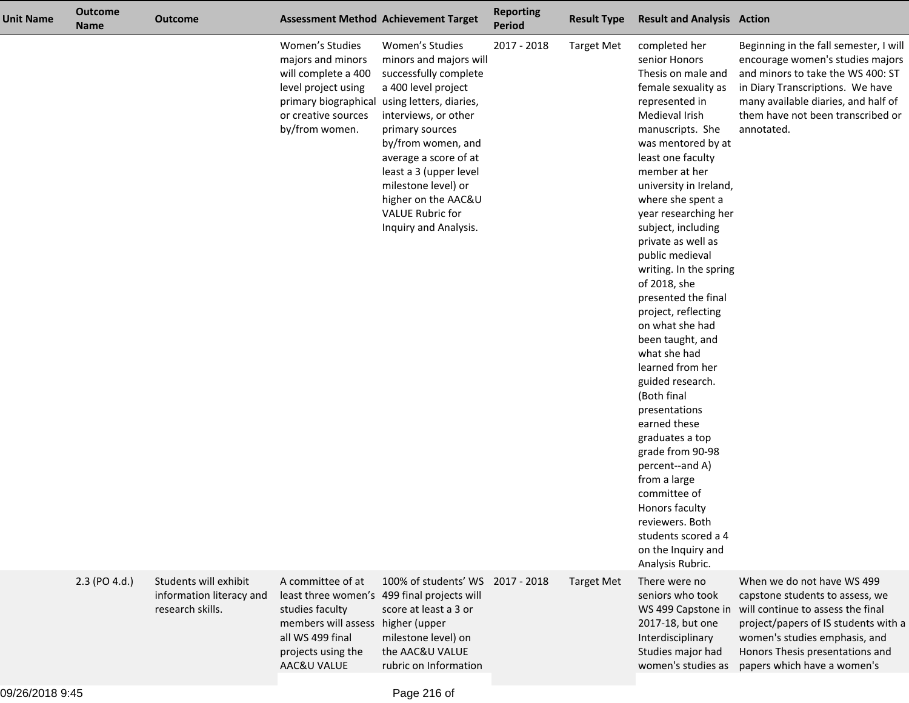| Unit Name | <b>Outcome</b><br><b>Name</b> | <b>Outcome</b>                                                        |                                                                                                                                                     | <b>Assessment Method Achievement Target</b>                                                                                                                                                                                                                                                                                                | <b>Reporting</b><br><b>Period</b> | <b>Result Type</b> | <b>Result and Analysis Action</b>                                                                                                                                                                                                                                                                                                                                                                                                                                                                                                                                                                                                                                                                                                                                            |                                                                                                                                                                                                                                               |
|-----------|-------------------------------|-----------------------------------------------------------------------|-----------------------------------------------------------------------------------------------------------------------------------------------------|--------------------------------------------------------------------------------------------------------------------------------------------------------------------------------------------------------------------------------------------------------------------------------------------------------------------------------------------|-----------------------------------|--------------------|------------------------------------------------------------------------------------------------------------------------------------------------------------------------------------------------------------------------------------------------------------------------------------------------------------------------------------------------------------------------------------------------------------------------------------------------------------------------------------------------------------------------------------------------------------------------------------------------------------------------------------------------------------------------------------------------------------------------------------------------------------------------------|-----------------------------------------------------------------------------------------------------------------------------------------------------------------------------------------------------------------------------------------------|
|           |                               |                                                                       | Women's Studies<br>majors and minors<br>will complete a 400<br>level project using<br>primary biographical<br>or creative sources<br>by/from women. | Women's Studies<br>minors and majors will<br>successfully complete<br>a 400 level project<br>using letters, diaries,<br>interviews, or other<br>primary sources<br>by/from women, and<br>average a score of at<br>least a 3 (upper level<br>milestone level) or<br>higher on the AAC&U<br><b>VALUE Rubric for</b><br>Inquiry and Analysis. | 2017 - 2018                       | <b>Target Met</b>  | completed her<br>senior Honors<br>Thesis on male and<br>female sexuality as<br>represented in<br>Medieval Irish<br>manuscripts. She<br>was mentored by at<br>least one faculty<br>member at her<br>university in Ireland,<br>where she spent a<br>year researching her<br>subject, including<br>private as well as<br>public medieval<br>writing. In the spring<br>of 2018, she<br>presented the final<br>project, reflecting<br>on what she had<br>been taught, and<br>what she had<br>learned from her<br>guided research.<br>(Both final<br>presentations<br>earned these<br>graduates a top<br>grade from 90-98<br>percent--and A)<br>from a large<br>committee of<br>Honors faculty<br>reviewers. Both<br>students scored a 4<br>on the Inquiry and<br>Analysis Rubric. | Beginning in the fall semester, I will<br>encourage women's studies majors<br>and minors to take the WS 400: ST<br>in Diary Transcriptions. We have<br>many available diaries, and half of<br>them have not been transcribed or<br>annotated. |
|           | 2.3 (PO 4.d.)                 | Students will exhibit<br>information literacy and<br>research skills. | A committee of at<br>studies faculty<br>members will assess higher (upper<br>all WS 499 final<br>projects using the<br>AAC&U VALUE                  | 100% of students' WS 2017 - 2018<br>least three women's 499 final projects will<br>score at least a 3 or<br>milestone level) on<br>the AAC&U VALUE<br>rubric on Information                                                                                                                                                                |                                   | <b>Target Met</b>  | There were no<br>seniors who took<br>WS 499 Capstone in<br>2017-18, but one<br>Interdisciplinary<br>Studies major had<br>women's studies as                                                                                                                                                                                                                                                                                                                                                                                                                                                                                                                                                                                                                                  | When we do not have WS 499<br>capstone students to assess, we<br>will continue to assess the final<br>project/papers of IS students with a<br>women's studies emphasis, and<br>Honors Thesis presentations and<br>papers which have a women's |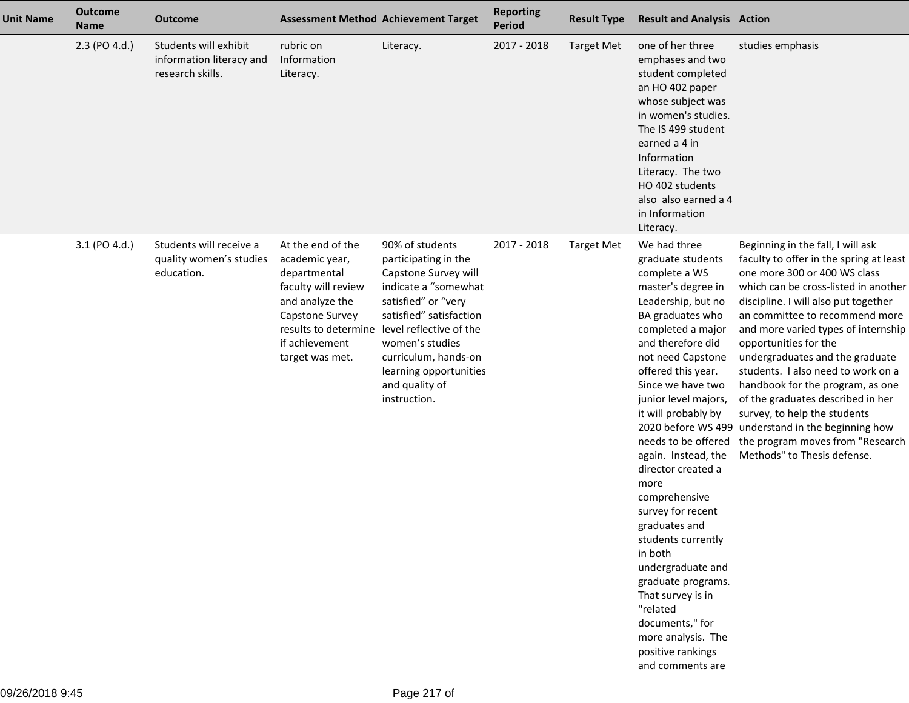| <b>Unit Name</b> | <b>Outcome</b><br><b>Name</b> | <b>Outcome</b>                                                        |                                                                                                                                                       | <b>Assessment Method Achievement Target</b>                                                                                                                                                                                                                                                      | <b>Reporting</b><br><b>Period</b> | <b>Result Type</b> | <b>Result and Analysis Action</b>                                                                                                                                                                                                                                                                                                                                                                                                                                                                                                                                                                             |                                                                                                                                                                                                                                                                                                                                                                                                                                                                                                                                                                                                           |
|------------------|-------------------------------|-----------------------------------------------------------------------|-------------------------------------------------------------------------------------------------------------------------------------------------------|--------------------------------------------------------------------------------------------------------------------------------------------------------------------------------------------------------------------------------------------------------------------------------------------------|-----------------------------------|--------------------|---------------------------------------------------------------------------------------------------------------------------------------------------------------------------------------------------------------------------------------------------------------------------------------------------------------------------------------------------------------------------------------------------------------------------------------------------------------------------------------------------------------------------------------------------------------------------------------------------------------|-----------------------------------------------------------------------------------------------------------------------------------------------------------------------------------------------------------------------------------------------------------------------------------------------------------------------------------------------------------------------------------------------------------------------------------------------------------------------------------------------------------------------------------------------------------------------------------------------------------|
|                  | 2.3 (PO 4.d.)                 | Students will exhibit<br>information literacy and<br>research skills. | rubric on<br>Information<br>Literacy.                                                                                                                 | Literacy.                                                                                                                                                                                                                                                                                        | 2017 - 2018                       | <b>Target Met</b>  | one of her three<br>emphases and two<br>student completed<br>an HO 402 paper<br>whose subject was<br>in women's studies.<br>The IS 499 student<br>earned a 4 in<br>Information<br>Literacy. The two<br>HO 402 students<br>also also earned a 4<br>in Information<br>Literacy.                                                                                                                                                                                                                                                                                                                                 | studies emphasis                                                                                                                                                                                                                                                                                                                                                                                                                                                                                                                                                                                          |
|                  | 3.1 (PO 4.d.)                 | Students will receive a<br>quality women's studies<br>education.      | At the end of the<br>academic year,<br>departmental<br>faculty will review<br>and analyze the<br>Capstone Survey<br>if achievement<br>target was met. | 90% of students<br>participating in the<br>Capstone Survey will<br>indicate a "somewhat<br>satisfied" or "very<br>satisfied" satisfaction<br>results to determine level reflective of the<br>women's studies<br>curriculum, hands-on<br>learning opportunities<br>and quality of<br>instruction. | 2017 - 2018                       | <b>Target Met</b>  | We had three<br>graduate students<br>complete a WS<br>master's degree in<br>Leadership, but no<br>BA graduates who<br>completed a major<br>and therefore did<br>not need Capstone<br>offered this year.<br>Since we have two<br>junior level majors,<br>it will probably by<br>needs to be offered<br>again. Instead, the<br>director created a<br>more<br>comprehensive<br>survey for recent<br>graduates and<br>students currently<br>in both<br>undergraduate and<br>graduate programs.<br>That survey is in<br>"related<br>documents," for<br>more analysis. The<br>positive rankings<br>and comments are | Beginning in the fall, I will ask<br>faculty to offer in the spring at least<br>one more 300 or 400 WS class<br>which can be cross-listed in another<br>discipline. I will also put together<br>an committee to recommend more<br>and more varied types of internship<br>opportunities for the<br>undergraduates and the graduate<br>students. I also need to work on a<br>handbook for the program, as one<br>of the graduates described in her<br>survey, to help the students<br>2020 before WS 499 understand in the beginning how<br>the program moves from "Research<br>Methods" to Thesis defense. |

ż,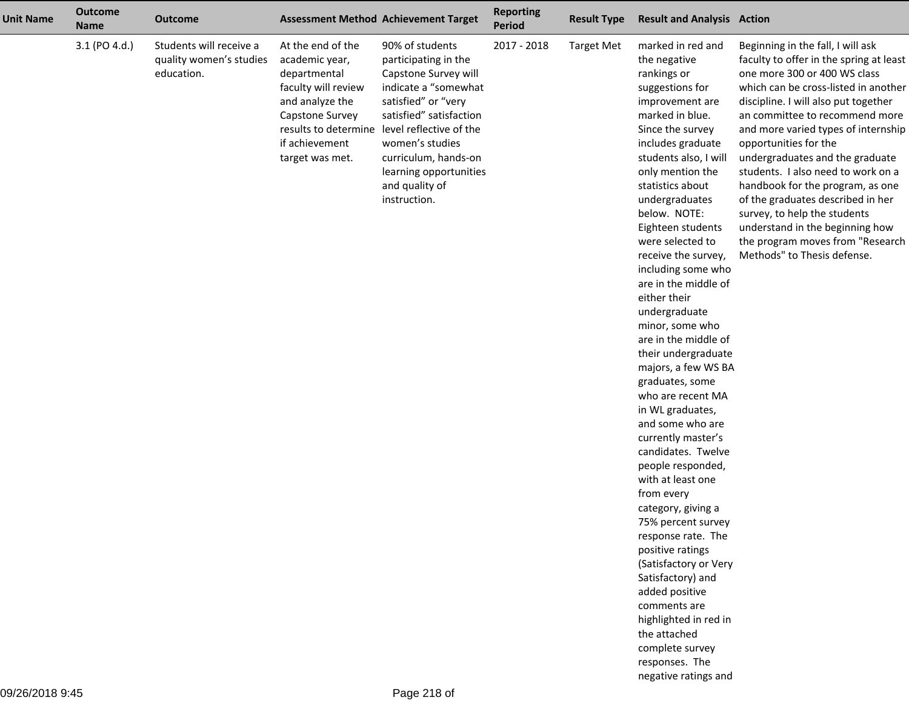| <b>Unit Name</b> | <b>Outcome</b><br><b>Name</b> | <b>Outcome</b>                                                   |                                                                                                                                                       | <b>Assessment Method Achievement Target</b>                                                                                                                                                                                                                                                      | <b>Reporting</b><br><b>Period</b> | <b>Result Type</b> | <b>Result and Analysis Action</b>                                                                                                                                                                                                                                                                                                                                                                                                                                                                                                                                                                                                                                                                                                                                                                                                                                                                                                                             |                                                                                                                                                                                                                                                                                                                                                                                                                                                                                                                                                                                        |
|------------------|-------------------------------|------------------------------------------------------------------|-------------------------------------------------------------------------------------------------------------------------------------------------------|--------------------------------------------------------------------------------------------------------------------------------------------------------------------------------------------------------------------------------------------------------------------------------------------------|-----------------------------------|--------------------|---------------------------------------------------------------------------------------------------------------------------------------------------------------------------------------------------------------------------------------------------------------------------------------------------------------------------------------------------------------------------------------------------------------------------------------------------------------------------------------------------------------------------------------------------------------------------------------------------------------------------------------------------------------------------------------------------------------------------------------------------------------------------------------------------------------------------------------------------------------------------------------------------------------------------------------------------------------|----------------------------------------------------------------------------------------------------------------------------------------------------------------------------------------------------------------------------------------------------------------------------------------------------------------------------------------------------------------------------------------------------------------------------------------------------------------------------------------------------------------------------------------------------------------------------------------|
|                  | 3.1 (PO 4.d.)                 | Students will receive a<br>quality women's studies<br>education. | At the end of the<br>academic year,<br>departmental<br>faculty will review<br>and analyze the<br>Capstone Survey<br>if achievement<br>target was met. | 90% of students<br>participating in the<br>Capstone Survey will<br>indicate a "somewhat<br>satisfied" or "very<br>satisfied" satisfaction<br>results to determine level reflective of the<br>women's studies<br>curriculum, hands-on<br>learning opportunities<br>and quality of<br>instruction. | 2017 - 2018                       | <b>Target Met</b>  | marked in red and<br>the negative<br>rankings or<br>suggestions for<br>improvement are<br>marked in blue.<br>Since the survey<br>includes graduate<br>students also, I will<br>only mention the<br>statistics about<br>undergraduates<br>below. NOTE:<br>Eighteen students<br>were selected to<br>receive the survey,<br>including some who<br>are in the middle of<br>either their<br>undergraduate<br>minor, some who<br>are in the middle of<br>their undergraduate<br>majors, a few WS BA<br>graduates, some<br>who are recent MA<br>in WL graduates,<br>and some who are<br>currently master's<br>candidates. Twelve<br>people responded,<br>with at least one<br>from every<br>category, giving a<br>75% percent survey<br>response rate. The<br>positive ratings<br>(Satisfactory or Very<br>Satisfactory) and<br>added positive<br>comments are<br>highlighted in red in<br>the attached<br>complete survey<br>responses. The<br>negative ratings and | Beginning in the fall, I will ask<br>faculty to offer in the spring at least<br>one more 300 or 400 WS class<br>which can be cross-listed in another<br>discipline. I will also put together<br>an committee to recommend more<br>and more varied types of internship<br>opportunities for the<br>undergraduates and the graduate<br>students. I also need to work on a<br>handbook for the program, as one<br>of the graduates described in her<br>survey, to help the students<br>understand in the beginning how<br>the program moves from "Research<br>Methods" to Thesis defense. |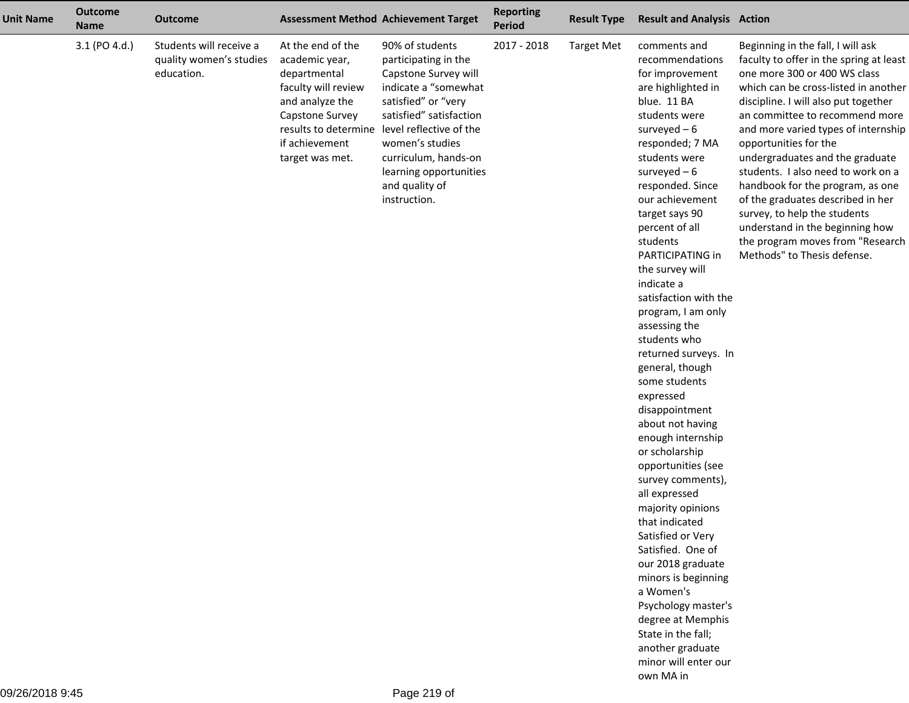| <b>Unit Name</b> | <b>Outcome</b><br><b>Name</b> | <b>Outcome</b>                                                   |                                                                                                                                                       | <b>Assessment Method Achievement Target</b>                                                                                                                                                                                                                                                      | <b>Reporting</b><br><b>Period</b> | <b>Result Type</b> | <b>Result and Analysis Action</b>                                                                                                                                                                                                                                                                                                                                                                                                                                                                                                                                                                                                                                                                                                                                                                                                                                                                 |                                                                                                                                                                                                                                                                                                                                                                                                                                                                                                                                                                                        |
|------------------|-------------------------------|------------------------------------------------------------------|-------------------------------------------------------------------------------------------------------------------------------------------------------|--------------------------------------------------------------------------------------------------------------------------------------------------------------------------------------------------------------------------------------------------------------------------------------------------|-----------------------------------|--------------------|---------------------------------------------------------------------------------------------------------------------------------------------------------------------------------------------------------------------------------------------------------------------------------------------------------------------------------------------------------------------------------------------------------------------------------------------------------------------------------------------------------------------------------------------------------------------------------------------------------------------------------------------------------------------------------------------------------------------------------------------------------------------------------------------------------------------------------------------------------------------------------------------------|----------------------------------------------------------------------------------------------------------------------------------------------------------------------------------------------------------------------------------------------------------------------------------------------------------------------------------------------------------------------------------------------------------------------------------------------------------------------------------------------------------------------------------------------------------------------------------------|
|                  | 3.1 (PO 4.d.)                 | Students will receive a<br>quality women's studies<br>education. | At the end of the<br>academic year,<br>departmental<br>faculty will review<br>and analyze the<br>Capstone Survey<br>if achievement<br>target was met. | 90% of students<br>participating in the<br>Capstone Survey will<br>indicate a "somewhat<br>satisfied" or "very<br>satisfied" satisfaction<br>results to determine level reflective of the<br>women's studies<br>curriculum, hands-on<br>learning opportunities<br>and quality of<br>instruction. | 2017 - 2018                       | <b>Target Met</b>  | comments and<br>recommendations<br>for improvement<br>are highlighted in<br>blue. 11 BA<br>students were<br>surveyed $-6$<br>responded; 7 MA<br>students were<br>surveyed $-6$<br>responded. Since<br>our achievement<br>target says 90<br>percent of all<br>students<br>PARTICIPATING in<br>the survey will<br>indicate a<br>satisfaction with the<br>program, I am only<br>assessing the<br>students who<br>returned surveys. In<br>general, though<br>some students<br>expressed<br>disappointment<br>about not having<br>enough internship<br>or scholarship<br>opportunities (see<br>survey comments),<br>all expressed<br>majority opinions<br>that indicated<br>Satisfied or Very<br>Satisfied. One of<br>our 2018 graduate<br>minors is beginning<br>a Women's<br>Psychology master's<br>degree at Memphis<br>State in the fall;<br>another graduate<br>minor will enter our<br>own MA in | Beginning in the fall, I will ask<br>faculty to offer in the spring at least<br>one more 300 or 400 WS class<br>which can be cross-listed in another<br>discipline. I will also put together<br>an committee to recommend more<br>and more varied types of internship<br>opportunities for the<br>undergraduates and the graduate<br>students. I also need to work on a<br>handbook for the program, as one<br>of the graduates described in her<br>survey, to help the students<br>understand in the beginning how<br>the program moves from "Research<br>Methods" to Thesis defense. |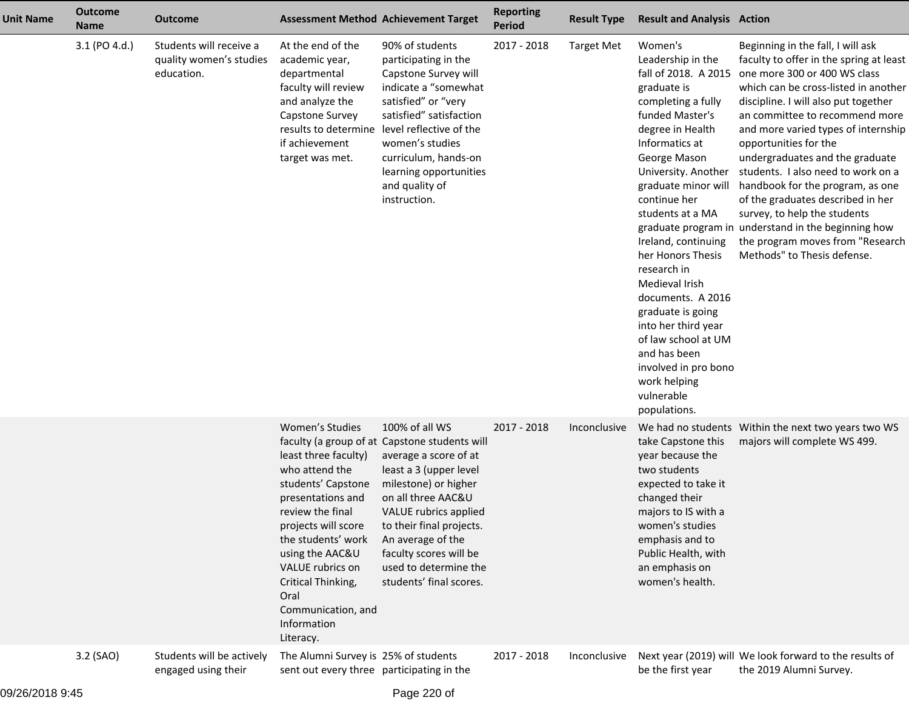| <b>Unit Name</b> | <b>Outcome</b><br><b>Name</b> | <b>Outcome</b>                                                   | <b>Assessment Method Achievement Target</b>                                                                                                                                                                                                                                                  |                                                                                                                                                                                                                                                                                                                          | <b>Reporting</b><br><b>Period</b> | <b>Result Type</b> | <b>Result and Analysis Action</b>                                                                                                                                                                                                                                                                                                                                                                                                                                                                               |                                                                                                                                                                                                                                                                                                                                                                                                                                                                                                                                                                                                            |
|------------------|-------------------------------|------------------------------------------------------------------|----------------------------------------------------------------------------------------------------------------------------------------------------------------------------------------------------------------------------------------------------------------------------------------------|--------------------------------------------------------------------------------------------------------------------------------------------------------------------------------------------------------------------------------------------------------------------------------------------------------------------------|-----------------------------------|--------------------|-----------------------------------------------------------------------------------------------------------------------------------------------------------------------------------------------------------------------------------------------------------------------------------------------------------------------------------------------------------------------------------------------------------------------------------------------------------------------------------------------------------------|------------------------------------------------------------------------------------------------------------------------------------------------------------------------------------------------------------------------------------------------------------------------------------------------------------------------------------------------------------------------------------------------------------------------------------------------------------------------------------------------------------------------------------------------------------------------------------------------------------|
|                  | 3.1 (PO 4.d.)                 | Students will receive a<br>quality women's studies<br>education. | At the end of the<br>academic year,<br>departmental<br>faculty will review<br>and analyze the<br>Capstone Survey<br>if achievement<br>target was met.                                                                                                                                        | 90% of students<br>participating in the<br>Capstone Survey will<br>indicate a "somewhat<br>satisfied" or "very<br>satisfied" satisfaction<br>results to determine level reflective of the<br>women's studies<br>curriculum, hands-on<br>learning opportunities<br>and quality of<br>instruction.                         | 2017 - 2018                       | <b>Target Met</b>  | Women's<br>Leadership in the<br>fall of 2018. A 2015<br>graduate is<br>completing a fully<br>funded Master's<br>degree in Health<br>Informatics at<br>George Mason<br>University. Another<br>graduate minor will<br>continue her<br>students at a MA<br>Ireland, continuing<br>her Honors Thesis<br>research in<br>Medieval Irish<br>documents. A 2016<br>graduate is going<br>into her third year<br>of law school at UM<br>and has been<br>involved in pro bono<br>work helping<br>vulnerable<br>populations. | Beginning in the fall, I will ask<br>faculty to offer in the spring at least<br>one more 300 or 400 WS class<br>which can be cross-listed in another<br>discipline. I will also put together<br>an committee to recommend more<br>and more varied types of internship<br>opportunities for the<br>undergraduates and the graduate<br>students. I also need to work on a<br>handbook for the program, as one<br>of the graduates described in her<br>survey, to help the students<br>graduate program in understand in the beginning how<br>the program moves from "Research<br>Methods" to Thesis defense. |
|                  |                               |                                                                  | Women's Studies<br>least three faculty)<br>who attend the<br>students' Capstone<br>presentations and<br>review the final<br>projects will score<br>the students' work<br>using the AAC&U<br>VALUE rubrics on<br>Critical Thinking,<br>Oral<br>Communication, and<br>Information<br>Literacy. | 100% of all WS<br>faculty (a group of at Capstone students will<br>average a score of at<br>least a 3 (upper level<br>milestone) or higher<br>on all three AAC&U<br>VALUE rubrics applied<br>to their final projects.<br>An average of the<br>faculty scores will be<br>used to determine the<br>students' final scores. | 2017 - 2018                       | Inconclusive       | take Capstone this<br>year because the<br>two students<br>expected to take it<br>changed their<br>majors to IS with a<br>women's studies<br>emphasis and to<br>Public Health, with<br>an emphasis on<br>women's health.                                                                                                                                                                                                                                                                                         | We had no students Within the next two years two WS<br>majors will complete WS 499.                                                                                                                                                                                                                                                                                                                                                                                                                                                                                                                        |
|                  | 3.2 (SAO)                     | Students will be actively<br>engaged using their                 | The Alumni Survey is 25% of students<br>sent out every three participating in the                                                                                                                                                                                                            |                                                                                                                                                                                                                                                                                                                          | 2017 - 2018                       | Inconclusive       | be the first year                                                                                                                                                                                                                                                                                                                                                                                                                                                                                               | Next year (2019) will We look forward to the results of<br>the 2019 Alumni Survey.                                                                                                                                                                                                                                                                                                                                                                                                                                                                                                                         |
| 0.0000000        |                               |                                                                  |                                                                                                                                                                                                                                                                                              |                                                                                                                                                                                                                                                                                                                          |                                   |                    |                                                                                                                                                                                                                                                                                                                                                                                                                                                                                                                 |                                                                                                                                                                                                                                                                                                                                                                                                                                                                                                                                                                                                            |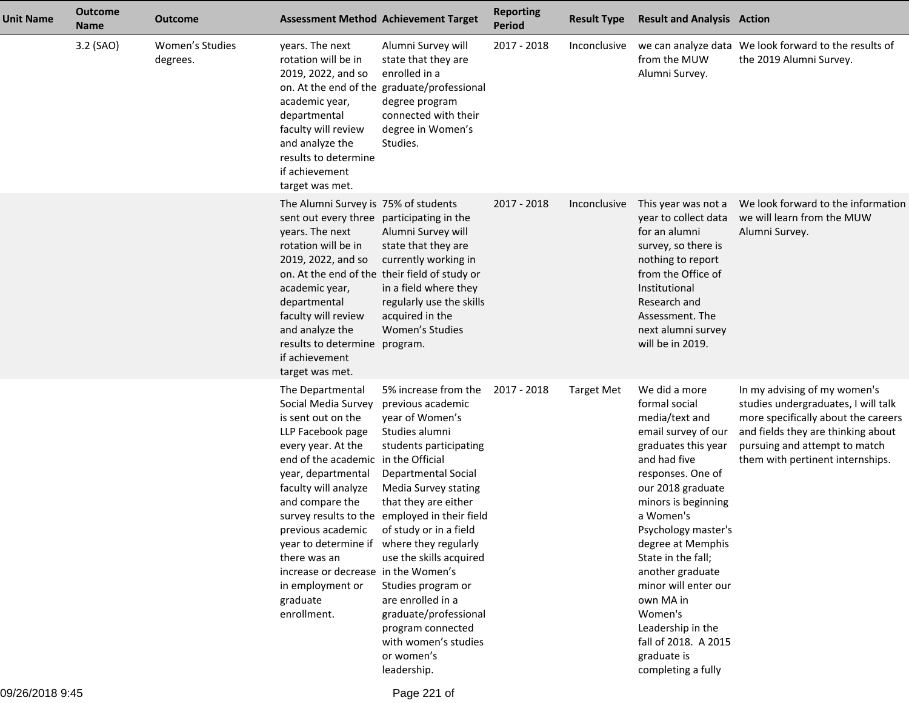| <b>Unit Name</b> | <b>Outcome</b><br><b>Name</b> | <b>Outcome</b>              |                                                                                                                                                                                                                                                                                                                                                                     | <b>Assessment Method Achievement Target</b>                                                                                                                                                                                                                                                                                                                                                                                                                        | <b>Reporting</b><br><b>Period</b> | <b>Result Type</b> | <b>Result and Analysis Action</b>                                                                                                                                                                                                                                                                                                                                                                                    |                                                                                                                                                                                                                       |
|------------------|-------------------------------|-----------------------------|---------------------------------------------------------------------------------------------------------------------------------------------------------------------------------------------------------------------------------------------------------------------------------------------------------------------------------------------------------------------|--------------------------------------------------------------------------------------------------------------------------------------------------------------------------------------------------------------------------------------------------------------------------------------------------------------------------------------------------------------------------------------------------------------------------------------------------------------------|-----------------------------------|--------------------|----------------------------------------------------------------------------------------------------------------------------------------------------------------------------------------------------------------------------------------------------------------------------------------------------------------------------------------------------------------------------------------------------------------------|-----------------------------------------------------------------------------------------------------------------------------------------------------------------------------------------------------------------------|
|                  | 3.2 (SAO)                     | Women's Studies<br>degrees. | years. The next<br>rotation will be in<br>2019, 2022, and so<br>academic year,<br>departmental<br>faculty will review<br>and analyze the<br>results to determine<br>if achievement<br>target was met.                                                                                                                                                               | Alumni Survey will<br>state that they are<br>enrolled in a<br>on. At the end of the graduate/professional<br>degree program<br>connected with their<br>degree in Women's<br>Studies.                                                                                                                                                                                                                                                                               | 2017 - 2018                       | Inconclusive       | from the MUW<br>Alumni Survey.                                                                                                                                                                                                                                                                                                                                                                                       | we can analyze data We look forward to the results of<br>the 2019 Alumni Survey.                                                                                                                                      |
|                  |                               |                             | The Alumni Survey is 75% of students<br>sent out every three participating in the<br>years. The next<br>rotation will be in<br>2019, 2022, and so<br>academic year,<br>departmental<br>faculty will review<br>and analyze the<br>results to determine program.<br>if achievement<br>target was met.                                                                 | Alumni Survey will<br>state that they are<br>currently working in<br>on. At the end of the their field of study or<br>in a field where they<br>regularly use the skills<br>acquired in the<br>Women's Studies                                                                                                                                                                                                                                                      | 2017 - 2018                       | Inconclusive       | This year was not a<br>year to collect data<br>for an alumni<br>survey, so there is<br>nothing to report<br>from the Office of<br>Institutional<br>Research and<br>Assessment. The<br>next alumni survey<br>will be in 2019.                                                                                                                                                                                         | We look forward to the information<br>we will learn from the MUW<br>Alumni Survey.                                                                                                                                    |
|                  |                               |                             | The Departmental<br>Social Media Survey<br>is sent out on the<br>LLP Facebook page<br>every year. At the<br>end of the academic in the Official<br>year, departmental<br>faculty will analyze<br>and compare the<br>previous academic<br>year to determine if<br>there was an<br>increase or decrease in the Women's<br>in employment or<br>graduate<br>enrollment. | 5% increase from the<br>previous academic<br>year of Women's<br>Studies alumni<br>students participating<br><b>Departmental Social</b><br>Media Survey stating<br>that they are either<br>survey results to the employed in their field<br>of study or in a field<br>where they regularly<br>use the skills acquired<br>Studies program or<br>are enrolled in a<br>graduate/professional<br>program connected<br>with women's studies<br>or women's<br>leadership. | 2017 - 2018                       | <b>Target Met</b>  | We did a more<br>formal social<br>media/text and<br>email survey of our<br>graduates this year<br>and had five<br>responses. One of<br>our 2018 graduate<br>minors is beginning<br>a Women's<br>Psychology master's<br>degree at Memphis<br>State in the fall;<br>another graduate<br>minor will enter our<br>own MA in<br>Women's<br>Leadership in the<br>fall of 2018. A 2015<br>graduate is<br>completing a fully | In my advising of my women's<br>studies undergraduates, I will talk<br>more specifically about the careers<br>and fields they are thinking about<br>pursuing and attempt to match<br>them with pertinent internships. |